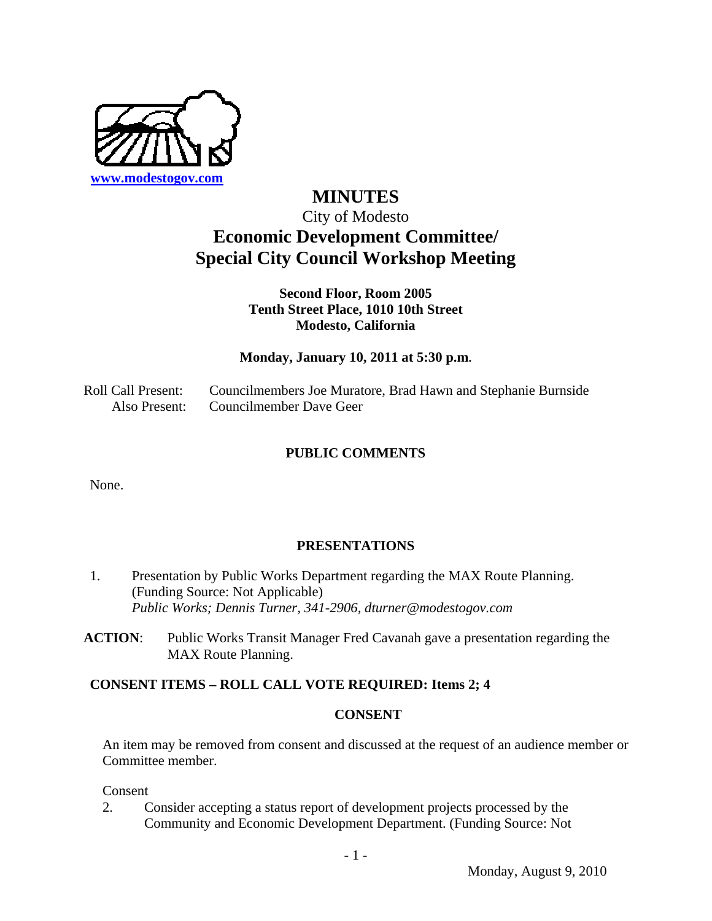

# **MINUTES**  City of Modesto **Economic Development Committee/ Special City Council Workshop Meeting**

# **Second Floor, Room 2005 Tenth Street Place, 1010 10th Street Modesto, California**

# **Monday, January 10, 2011 at 5:30 p.m.**

Roll Call Present: Councilmembers Joe Muratore, Brad Hawn and Stephanie Burnside Also Present: Councilmember Dave Geer

## **PUBLIC COMMENTS**

None.

### **PRESENTATIONS**

- 1. Presentation by Public Works Department regarding the MAX Route Planning. (Funding Source: Not Applicable)  *Public Works; Dennis Turner, 341-2906, dturner@modestogov.com*
- **ACTION**: Public Works Transit Manager Fred Cavanah gave a presentation regarding the MAX Route Planning.

# **CONSENT ITEMS – ROLL CALL VOTE REQUIRED: Items 2; 4**

### **CONSENT**

An item may be removed from consent and discussed at the request of an audience member or Committee member.

Consent

2. Consider accepting a status report of development projects processed by the Community and Economic Development Department. (Funding Source: Not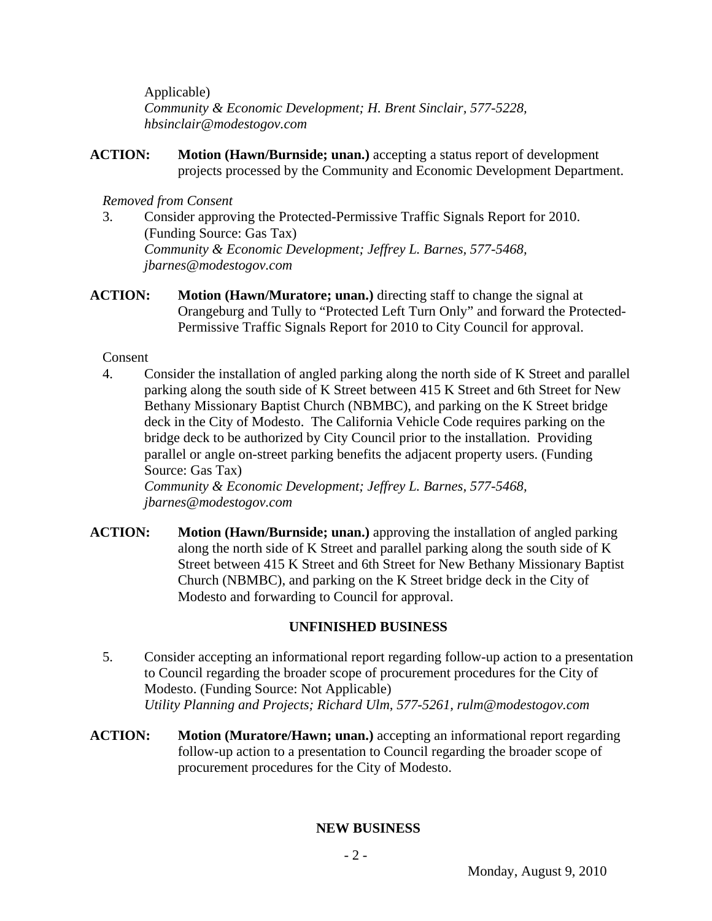Applicable)  *Community & Economic Development; H. Brent Sinclair, 577-5228, hbsinclair@modestogov.com* 

**ACTION: Motion (Hawn/Burnside; unan.)** accepting a status report of development projects processed by the Community and Economic Development Department.

### *Removed from Consent*

- 3. Consider approving the Protected-Permissive Traffic Signals Report for 2010. (Funding Source: Gas Tax)  *Community & Economic Development; Jeffrey L. Barnes, 577-5468, jbarnes@modestogov.com*
- **ACTION:** Motion (Hawn/Muratore; unan.) directing staff to change the signal at Orangeburg and Tully to "Protected Left Turn Only" and forward the Protected-Permissive Traffic Signals Report for 2010 to City Council for approval.

## Consent

4. Consider the installation of angled parking along the north side of K Street and parallel parking along the south side of K Street between 415 K Street and 6th Street for New Bethany Missionary Baptist Church (NBMBC), and parking on the K Street bridge deck in the City of Modesto. The California Vehicle Code requires parking on the bridge deck to be authorized by City Council prior to the installation. Providing parallel or angle on-street parking benefits the adjacent property users. (Funding Source: Gas Tax)

 *Community & Economic Development; Jeffrey L. Barnes, 577-5468, jbarnes@modestogov.com* 

**ACTION: Motion (Hawn/Burnside; unan.)** approving the installation of angled parking along the north side of K Street and parallel parking along the south side of K Street between 415 K Street and 6th Street for New Bethany Missionary Baptist Church (NBMBC), and parking on the K Street bridge deck in the City of Modesto and forwarding to Council for approval.

# **UNFINISHED BUSINESS**

- 5. Consider accepting an informational report regarding follow-up action to a presentation to Council regarding the broader scope of procurement procedures for the City of Modesto. (Funding Source: Not Applicable)  *Utility Planning and Projects; Richard Ulm, 577-5261, rulm@modestogov.com*
- **ACTION:** Motion (Muratore/Hawn; unan.) accepting an informational report regarding follow-up action to a presentation to Council regarding the broader scope of procurement procedures for the City of Modesto.

# **NEW BUSINESS**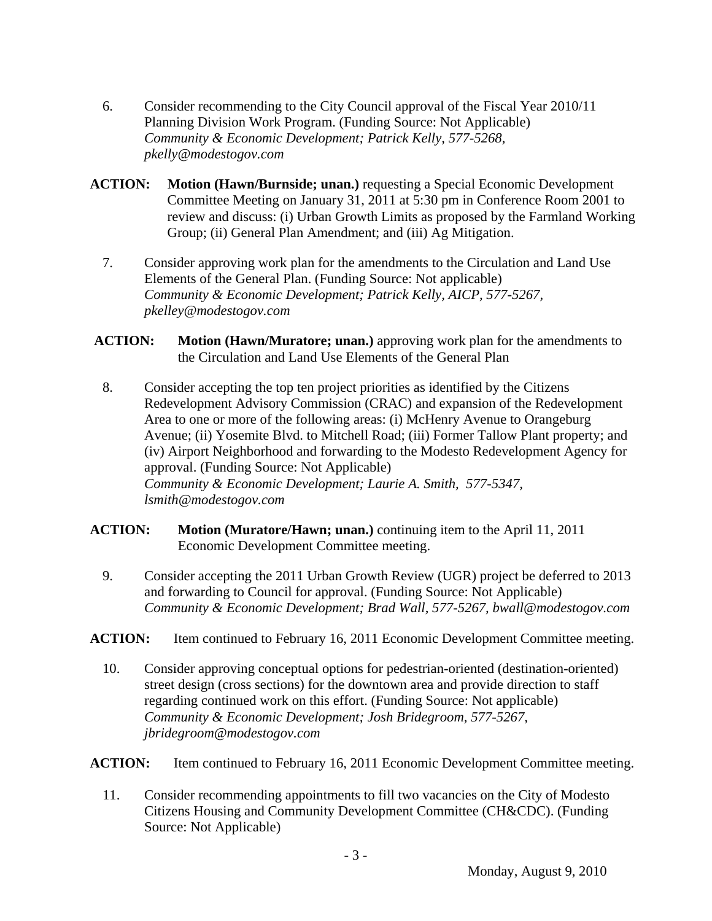- 6. Consider recommending to the City Council approval of the Fiscal Year 2010/11 Planning Division Work Program. (Funding Source: Not Applicable)  *Community & Economic Development; Patrick Kelly, 577-5268, pkelly@modestogov.com*
- **ACTION: Motion (Hawn/Burnside; unan.)** requesting a Special Economic Development Committee Meeting on January 31, 2011 at 5:30 pm in Conference Room 2001 to review and discuss: (i) Urban Growth Limits as proposed by the Farmland Working Group; (ii) General Plan Amendment; and (iii) Ag Mitigation.
	- 7. Consider approving work plan for the amendments to the Circulation and Land Use Elements of the General Plan. (Funding Source: Not applicable)  *Community & Economic Development; Patrick Kelly, AICP, 577-5267, pkelley@modestogov.com*
- **ACTION: Motion (Hawn/Muratore; unan.)** approving work plan for the amendments to the Circulation and Land Use Elements of the General Plan
- 8. Consider accepting the top ten project priorities as identified by the Citizens Redevelopment Advisory Commission (CRAC) and expansion of the Redevelopment Area to one or more of the following areas: (i) McHenry Avenue to Orangeburg Avenue; (ii) Yosemite Blvd. to Mitchell Road; (iii) Former Tallow Plant property; and (iv) Airport Neighborhood and forwarding to the Modesto Redevelopment Agency for approval. (Funding Source: Not Applicable)  *Community & Economic Development; Laurie A. Smith, 577-5347, lsmith@modestogov.com*
- **ACTION: Motion (Muratore/Hawn; unan.)** continuing item to the April 11, 2011 Economic Development Committee meeting.
	- 9. Consider accepting the 2011 Urban Growth Review (UGR) project be deferred to 2013 and forwarding to Council for approval. (Funding Source: Not Applicable)  *Community & Economic Development; Brad Wall, 577-5267, bwall@modestogov.com*
- **ACTION:** Item continued to February 16, 2011 Economic Development Committee meeting.
	- 10. Consider approving conceptual options for pedestrian-oriented (destination-oriented) street design (cross sections) for the downtown area and provide direction to staff regarding continued work on this effort. (Funding Source: Not applicable)  *Community & Economic Development; Josh Bridegroom, 577-5267, jbridegroom@modestogov.com*

**ACTION:** Item continued to February 16, 2011 Economic Development Committee meeting.

11. Consider recommending appointments to fill two vacancies on the City of Modesto Citizens Housing and Community Development Committee (CH&CDC). (Funding Source: Not Applicable)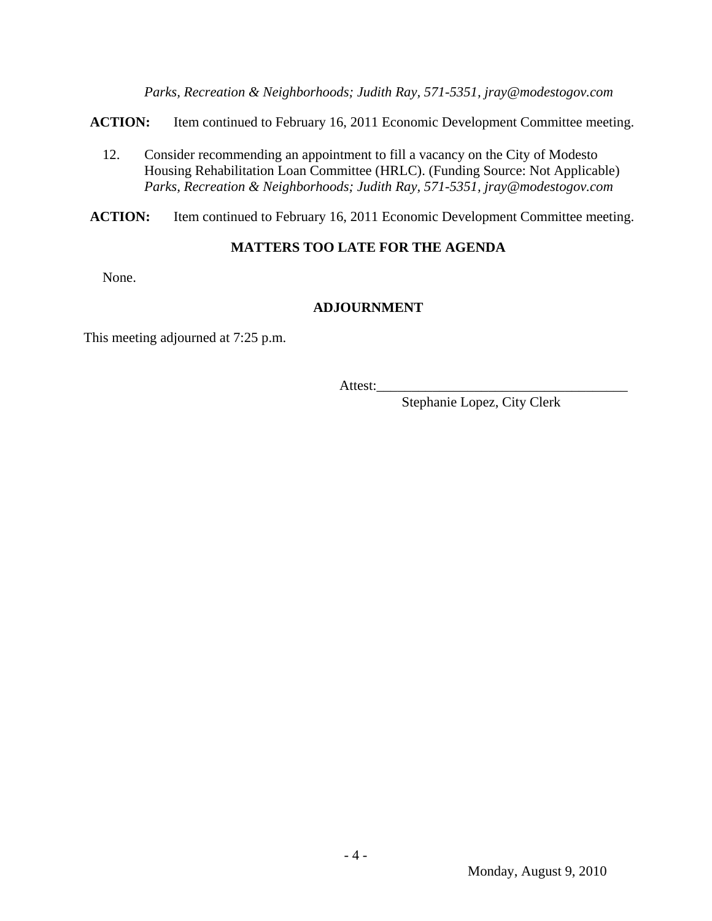*Parks, Recreation & Neighborhoods; Judith Ray, 571-5351, jray@modestogov.com* 

**ACTION:** Item continued to February 16, 2011 Economic Development Committee meeting.

12. Consider recommending an appointment to fill a vacancy on the City of Modesto Housing Rehabilitation Loan Committee (HRLC). (Funding Source: Not Applicable)  *Parks, Recreation & Neighborhoods; Judith Ray, 571-5351, jray@modestogov.com* 

**ACTION:** Item continued to February 16, 2011 Economic Development Committee meeting.

### **MATTERS TOO LATE FOR THE AGENDA**

None.

# **ADJOURNMENT**

This meeting adjourned at 7:25 p.m.

Attest:\_\_\_\_\_\_\_\_\_\_\_\_\_\_\_\_\_\_\_\_\_\_\_\_\_\_\_\_\_\_\_\_\_\_\_\_

Stephanie Lopez, City Clerk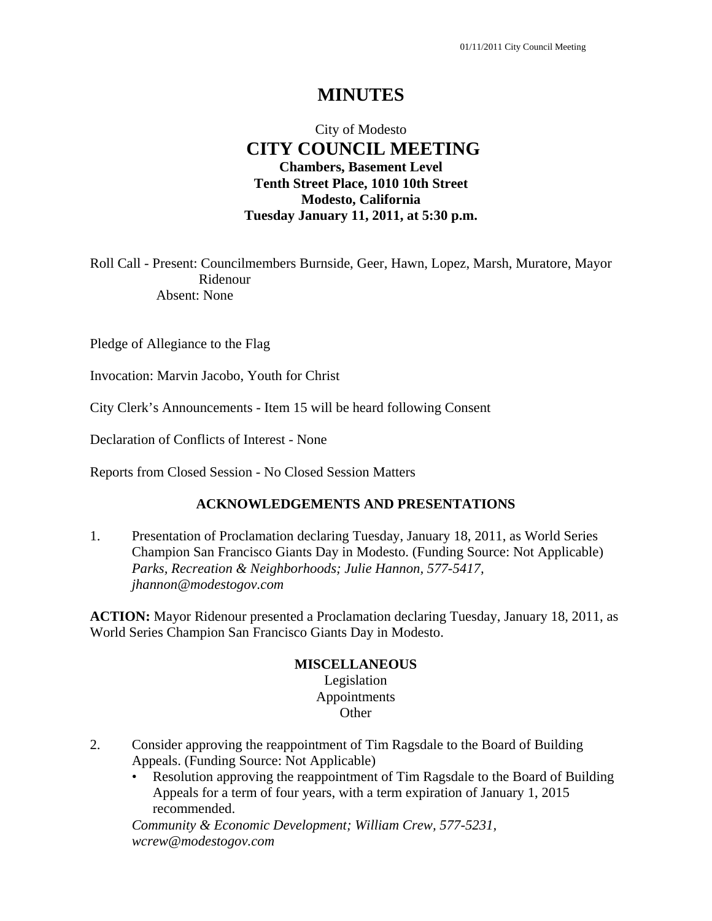# City of Modesto  **CITY COUNCIL MEETING Chambers, Basement Level Tenth Street Place, 1010 10th Street Modesto, California Tuesday January 11, 2011, at 5:30 p.m.**

Roll Call - Present: Councilmembers Burnside, Geer, Hawn, Lopez, Marsh, Muratore, Mayor Ridenour Absent: None

Pledge of Allegiance to the Flag

Invocation: Marvin Jacobo, Youth for Christ

City Clerk's Announcements - Item 15 will be heard following Consent

Declaration of Conflicts of Interest - None

Reports from Closed Session - No Closed Session Matters

### **ACKNOWLEDGEMENTS AND PRESENTATIONS**

1. Presentation of Proclamation declaring Tuesday, January 18, 2011, as World Series Champion San Francisco Giants Day in Modesto. (Funding Source: Not Applicable)  *Parks, Recreation & Neighborhoods; Julie Hannon, 577-5417, jhannon@modestogov.com* 

**ACTION:** Mayor Ridenour presented a Proclamation declaring Tuesday, January 18, 2011, as World Series Champion San Francisco Giants Day in Modesto.

### **MISCELLANEOUS**

Legislation Appointments **Other** 

- 2. Consider approving the reappointment of Tim Ragsdale to the Board of Building Appeals. (Funding Source: Not Applicable)
	- Resolution approving the reappointment of Tim Ragsdale to the Board of Building Appeals for a term of four years, with a term expiration of January 1, 2015 recommended.

*Community & Economic Development; William Crew, 577-5231, wcrew@modestogov.com*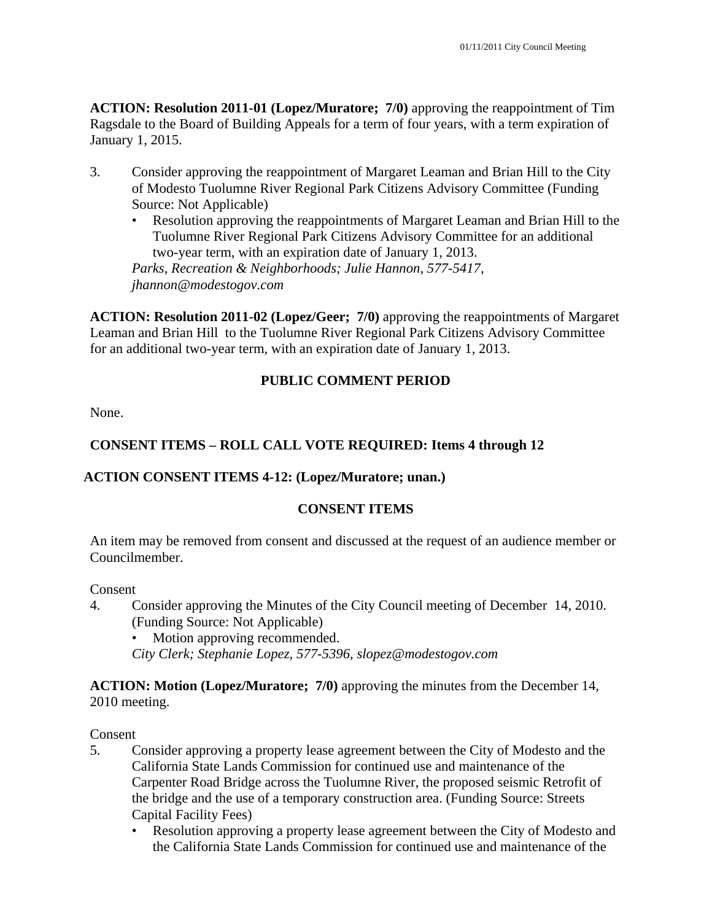**ACTION: Resolution 2011-01 (Lopez/Muratore; 7/0)** approving the reappointment of Tim Ragsdale to the Board of Building Appeals for a term of four years, with a term expiration of January 1, 2015.

- 3. Consider approving the reappointment of Margaret Leaman and Brian Hill to the City of Modesto Tuolumne River Regional Park Citizens Advisory Committee (Funding Source: Not Applicable)
	- Resolution approving the reappointments of Margaret Leaman and Brian Hill to the Tuolumne River Regional Park Citizens Advisory Committee for an additional two-year term, with an expiration date of January 1, 2013.

*Parks, Recreation & Neighborhoods; Julie Hannon, 577-5417, jhannon@modestogov.com* 

**ACTION: Resolution 2011-02 (Lopez/Geer; 7/0)** approving the reappointments of Margaret Leaman and Brian Hill to the Tuolumne River Regional Park Citizens Advisory Committee for an additional two-year term, with an expiration date of January 1, 2013.

# **PUBLIC COMMENT PERIOD**

None.

# **CONSENT ITEMS – ROLL CALL VOTE REQUIRED: Items 4 through 12**

# **ACTION CONSENT ITEMS 4-12: (Lopez/Muratore; unan.)**

# **CONSENT ITEMS**

An item may be removed from consent and discussed at the request of an audience member or Councilmember.

# Consent

- 4. Consider approving the Minutes of the City Council meeting of December 14, 2010. (Funding Source: Not Applicable)
	- Motion approving recommended.
	- *City Clerk; Stephanie Lopez, 577-5396, slopez@modestogov.com*

## **ACTION: Motion (Lopez/Muratore; 7/0)** approving the minutes from the December 14, 2010 meeting.

- 5. Consider approving a property lease agreement between the City of Modesto and the California State Lands Commission for continued use and maintenance of the Carpenter Road Bridge across the Tuolumne River, the proposed seismic Retrofit of the bridge and the use of a temporary construction area. (Funding Source: Streets Capital Facility Fees)
	- Resolution approving a property lease agreement between the City of Modesto and the California State Lands Commission for continued use and maintenance of the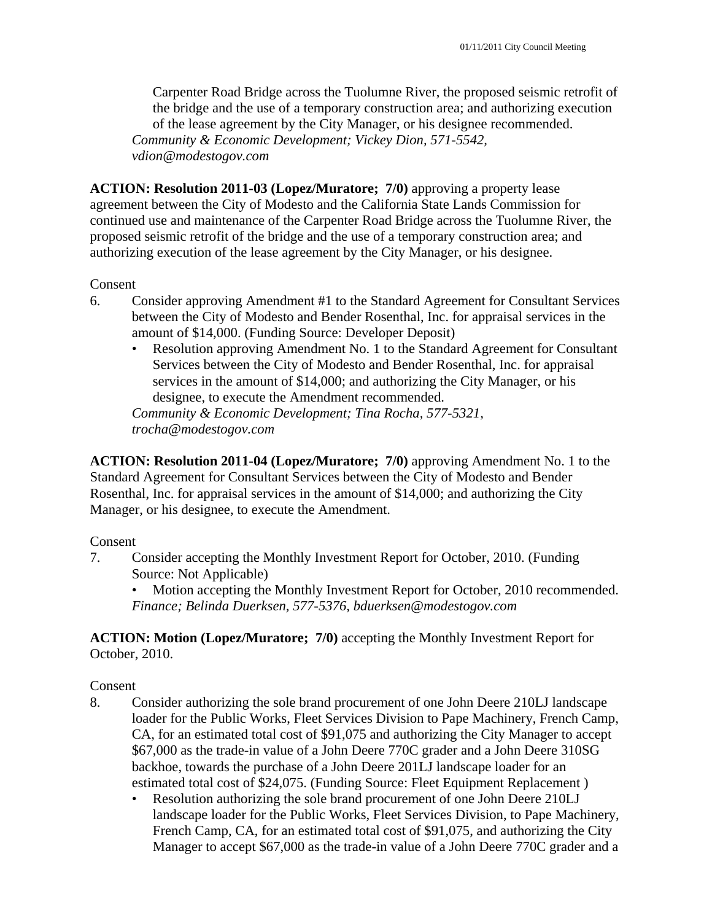Carpenter Road Bridge across the Tuolumne River, the proposed seismic retrofit of the bridge and the use of a temporary construction area; and authorizing execution of the lease agreement by the City Manager, or his designee recommended. *Community & Economic Development; Vickey Dion, 571-5542, vdion@modestogov.com* 

**ACTION: Resolution 2011-03 (Lopez/Muratore; 7/0)** approving a property lease agreement between the City of Modesto and the California State Lands Commission for continued use and maintenance of the Carpenter Road Bridge across the Tuolumne River, the proposed seismic retrofit of the bridge and the use of a temporary construction area; and authorizing execution of the lease agreement by the City Manager, or his designee.

### Consent

- 6. Consider approving Amendment #1 to the Standard Agreement for Consultant Services between the City of Modesto and Bender Rosenthal, Inc. for appraisal services in the amount of \$14,000. (Funding Source: Developer Deposit)
	- Resolution approving Amendment No. 1 to the Standard Agreement for Consultant Services between the City of Modesto and Bender Rosenthal, Inc. for appraisal services in the amount of \$14,000; and authorizing the City Manager, or his designee, to execute the Amendment recommended.

*Community & Economic Development; Tina Rocha, 577-5321, trocha@modestogov.com* 

**ACTION: Resolution 2011-04 (Lopez/Muratore; 7/0)** approving Amendment No. 1 to the Standard Agreement for Consultant Services between the City of Modesto and Bender Rosenthal, Inc. for appraisal services in the amount of \$14,000; and authorizing the City Manager, or his designee, to execute the Amendment.

### Consent

7. Consider accepting the Monthly Investment Report for October, 2010. (Funding Source: Not Applicable)

• Motion accepting the Monthly Investment Report for October, 2010 recommended. *Finance; Belinda Duerksen, 577-5376, bduerksen@modestogov.com* 

**ACTION: Motion (Lopez/Muratore; 7/0)** accepting the Monthly Investment Report for October, 2010.

- 8. Consider authorizing the sole brand procurement of one John Deere 210LJ landscape loader for the Public Works, Fleet Services Division to Pape Machinery, French Camp, CA, for an estimated total cost of \$91,075 and authorizing the City Manager to accept \$67,000 as the trade-in value of a John Deere 770C grader and a John Deere 310SG backhoe, towards the purchase of a John Deere 201LJ landscape loader for an estimated total cost of \$24,075. (Funding Source: Fleet Equipment Replacement )
	- Resolution authorizing the sole brand procurement of one John Deere 210LJ landscape loader for the Public Works, Fleet Services Division, to Pape Machinery, French Camp, CA, for an estimated total cost of \$91,075, and authorizing the City Manager to accept \$67,000 as the trade-in value of a John Deere 770C grader and a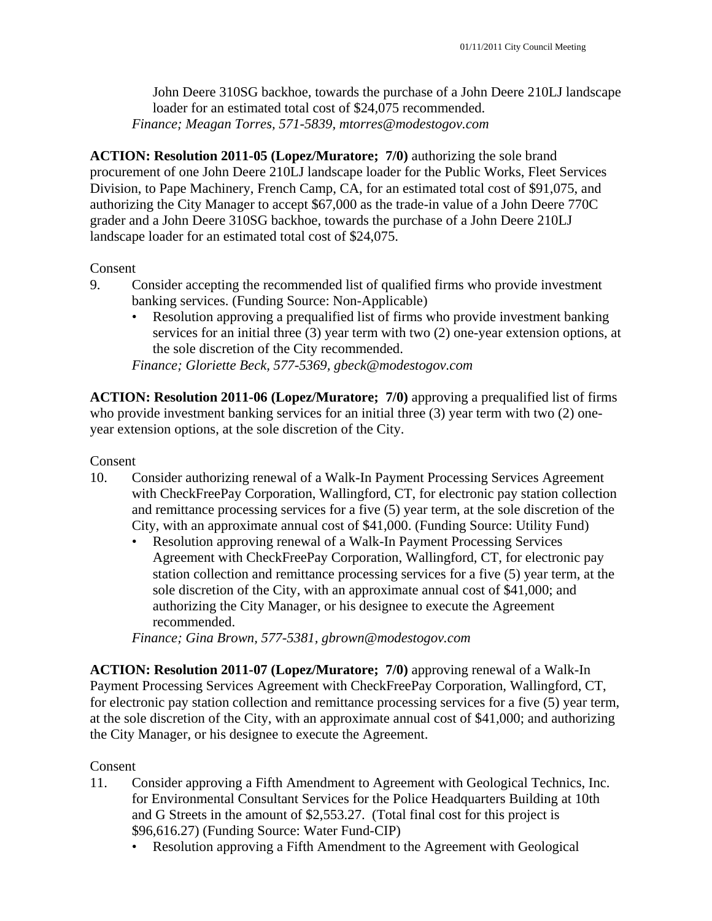John Deere 310SG backhoe, towards the purchase of a John Deere 210LJ landscape loader for an estimated total cost of \$24,075 recommended. *Finance; Meagan Torres, 571-5839, mtorres@modestogov.com* 

**ACTION: Resolution 2011-05 (Lopez/Muratore; 7/0)** authorizing the sole brand procurement of one John Deere 210LJ landscape loader for the Public Works, Fleet Services Division, to Pape Machinery, French Camp, CA, for an estimated total cost of \$91,075, and authorizing the City Manager to accept \$67,000 as the trade-in value of a John Deere 770C grader and a John Deere 310SG backhoe, towards the purchase of a John Deere 210LJ landscape loader for an estimated total cost of \$24,075.

#### Consent

- 9. Consider accepting the recommended list of qualified firms who provide investment banking services. (Funding Source: Non-Applicable)
	- Resolution approving a prequalified list of firms who provide investment banking services for an initial three (3) year term with two (2) one-year extension options, at the sole discretion of the City recommended.

*Finance; Gloriette Beck, 577-5369, gbeck@modestogov.com* 

**ACTION: Resolution 2011-06 (Lopez/Muratore; 7/0)** approving a prequalified list of firms who provide investment banking services for an initial three (3) year term with two (2) oneyear extension options, at the sole discretion of the City.

#### Consent

- 10. Consider authorizing renewal of a Walk-In Payment Processing Services Agreement with CheckFreePay Corporation, Wallingford, CT, for electronic pay station collection and remittance processing services for a five (5) year term, at the sole discretion of the City, with an approximate annual cost of \$41,000. (Funding Source: Utility Fund)
	- Resolution approving renewal of a Walk-In Payment Processing Services Agreement with CheckFreePay Corporation, Wallingford, CT, for electronic pay station collection and remittance processing services for a five (5) year term, at the sole discretion of the City, with an approximate annual cost of \$41,000; and authorizing the City Manager, or his designee to execute the Agreement recommended.

*Finance; Gina Brown, 577-5381, gbrown@modestogov.com* 

**ACTION: Resolution 2011-07 (Lopez/Muratore; 7/0)** approving renewal of a Walk-In Payment Processing Services Agreement with CheckFreePay Corporation, Wallingford, CT, for electronic pay station collection and remittance processing services for a five (5) year term, at the sole discretion of the City, with an approximate annual cost of \$41,000; and authorizing the City Manager, or his designee to execute the Agreement.

- 11. Consider approving a Fifth Amendment to Agreement with Geological Technics, Inc. for Environmental Consultant Services for the Police Headquarters Building at 10th and G Streets in the amount of \$2,553.27. (Total final cost for this project is \$96,616.27) (Funding Source: Water Fund-CIP)
	- Resolution approving a Fifth Amendment to the Agreement with Geological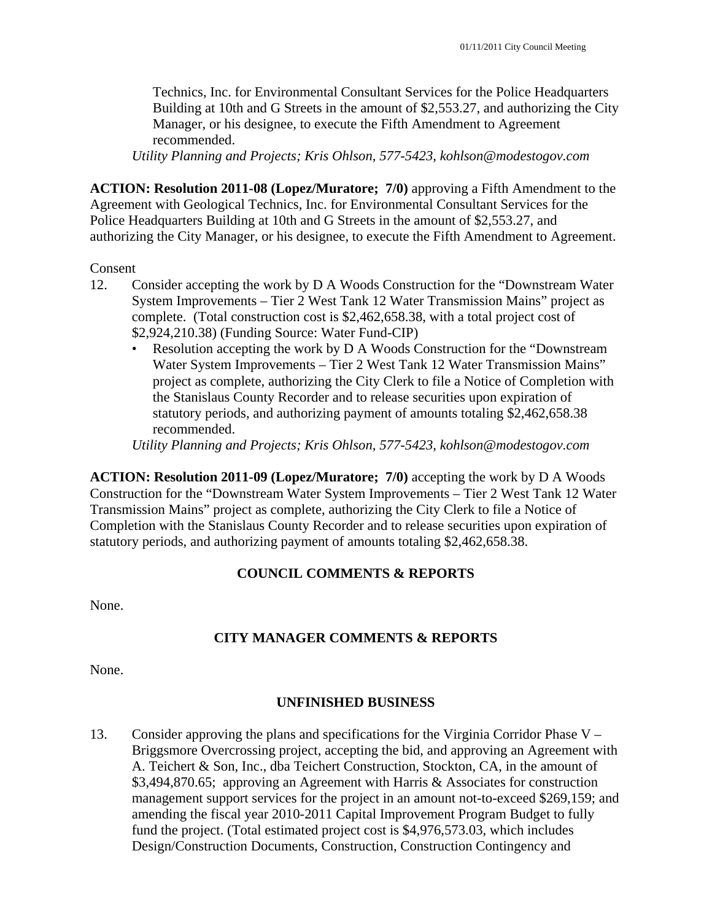Technics, Inc. for Environmental Consultant Services for the Police Headquarters Building at 10th and G Streets in the amount of \$2,553.27, and authorizing the City Manager, or his designee, to execute the Fifth Amendment to Agreement recommended.

*Utility Planning and Projects; Kris Ohlson, 577-5423, kohlson@modestogov.com* 

**ACTION: Resolution 2011-08 (Lopez/Muratore; 7/0)** approving a Fifth Amendment to the Agreement with Geological Technics, Inc. for Environmental Consultant Services for the Police Headquarters Building at 10th and G Streets in the amount of \$2,553.27, and authorizing the City Manager, or his designee, to execute the Fifth Amendment to Agreement.

#### Consent

- 12. Consider accepting the work by D A Woods Construction for the "Downstream Water System Improvements – Tier 2 West Tank 12 Water Transmission Mains" project as complete. (Total construction cost is \$2,462,658.38, with a total project cost of \$2,924,210.38) (Funding Source: Water Fund-CIP)
	- Resolution accepting the work by D A Woods Construction for the "Downstream Water System Improvements – Tier 2 West Tank 12 Water Transmission Mains" project as complete, authorizing the City Clerk to file a Notice of Completion with the Stanislaus County Recorder and to release securities upon expiration of statutory periods, and authorizing payment of amounts totaling \$2,462,658.38 recommended.

*Utility Planning and Projects; Kris Ohlson, 577-5423, kohlson@modestogov.com* 

**ACTION: Resolution 2011-09 (Lopez/Muratore; 7/0)** accepting the work by D A Woods Construction for the "Downstream Water System Improvements – Tier 2 West Tank 12 Water Transmission Mains" project as complete, authorizing the City Clerk to file a Notice of Completion with the Stanislaus County Recorder and to release securities upon expiration of statutory periods, and authorizing payment of amounts totaling \$2,462,658.38.

# **COUNCIL COMMENTS & REPORTS**

None.

# **CITY MANAGER COMMENTS & REPORTS**

None.

### **UNFINISHED BUSINESS**

13. Consider approving the plans and specifications for the Virginia Corridor Phase V – Briggsmore Overcrossing project, accepting the bid, and approving an Agreement with A. Teichert & Son, Inc., dba Teichert Construction, Stockton, CA, in the amount of \$3,494,870.65; approving an Agreement with Harris & Associates for construction management support services for the project in an amount not-to-exceed \$269,159; and amending the fiscal year 2010-2011 Capital Improvement Program Budget to fully fund the project. (Total estimated project cost is \$4,976,573.03, which includes Design/Construction Documents, Construction, Construction Contingency and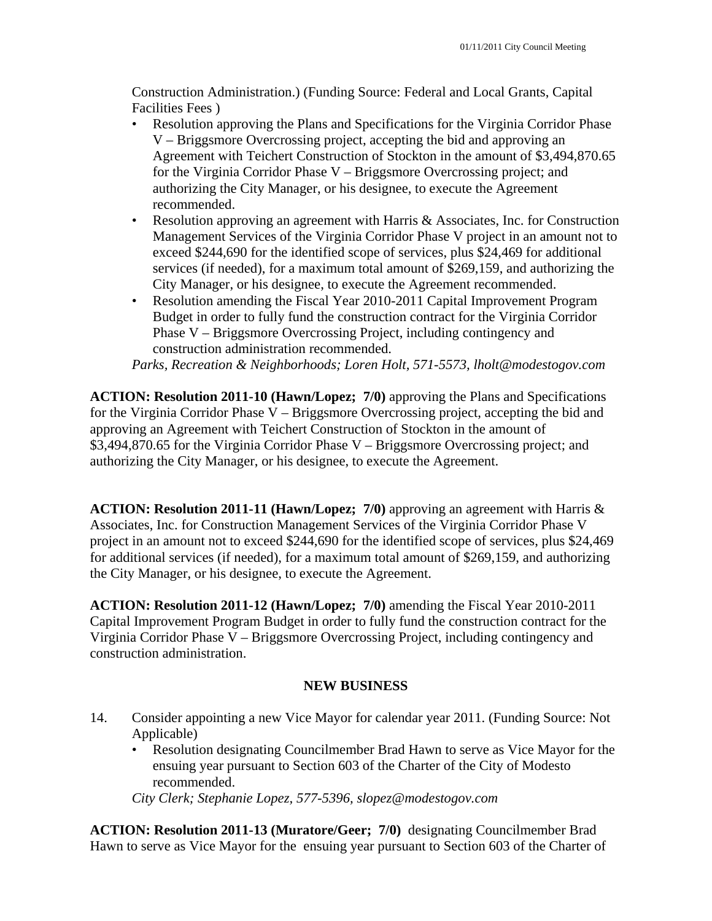Construction Administration.) (Funding Source: Federal and Local Grants, Capital Facilities Fees )

- Resolution approving the Plans and Specifications for the Virginia Corridor Phase V – Briggsmore Overcrossing project, accepting the bid and approving an Agreement with Teichert Construction of Stockton in the amount of \$3,494,870.65 for the Virginia Corridor Phase V – Briggsmore Overcrossing project; and authorizing the City Manager, or his designee, to execute the Agreement recommended.
- Resolution approving an agreement with Harris & Associates, Inc. for Construction Management Services of the Virginia Corridor Phase V project in an amount not to exceed \$244,690 for the identified scope of services, plus \$24,469 for additional services (if needed), for a maximum total amount of \$269,159, and authorizing the City Manager, or his designee, to execute the Agreement recommended.
- Resolution amending the Fiscal Year 2010-2011 Capital Improvement Program Budget in order to fully fund the construction contract for the Virginia Corridor Phase V – Briggsmore Overcrossing Project, including contingency and construction administration recommended.

*Parks, Recreation & Neighborhoods; Loren Holt, 571-5573, lholt@modestogov.com* 

**ACTION: Resolution 2011-10 (Hawn/Lopez; 7/0)** approving the Plans and Specifications for the Virginia Corridor Phase V – Briggsmore Overcrossing project, accepting the bid and approving an Agreement with Teichert Construction of Stockton in the amount of \$3,494,870.65 for the Virginia Corridor Phase V – Briggsmore Overcrossing project; and authorizing the City Manager, or his designee, to execute the Agreement.

**ACTION: Resolution 2011-11 (Hawn/Lopez; 7/0)** approving an agreement with Harris & Associates, Inc. for Construction Management Services of the Virginia Corridor Phase V project in an amount not to exceed \$244,690 for the identified scope of services, plus \$24,469 for additional services (if needed), for a maximum total amount of \$269,159, and authorizing the City Manager, or his designee, to execute the Agreement.

**ACTION: Resolution 2011-12 (Hawn/Lopez; 7/0)** amending the Fiscal Year 2010-2011 Capital Improvement Program Budget in order to fully fund the construction contract for the Virginia Corridor Phase V – Briggsmore Overcrossing Project, including contingency and construction administration.

### **NEW BUSINESS**

- 14. Consider appointing a new Vice Mayor for calendar year 2011. (Funding Source: Not Applicable)
	- Resolution designating Councilmember Brad Hawn to serve as Vice Mayor for the ensuing year pursuant to Section 603 of the Charter of the City of Modesto recommended.

*City Clerk; Stephanie Lopez, 577-5396, slopez@modestogov.com* 

**ACTION: Resolution 2011-13 (Muratore/Geer; 7/0)** designating Councilmember Brad Hawn to serve as Vice Mayor for the ensuing year pursuant to Section 603 of the Charter of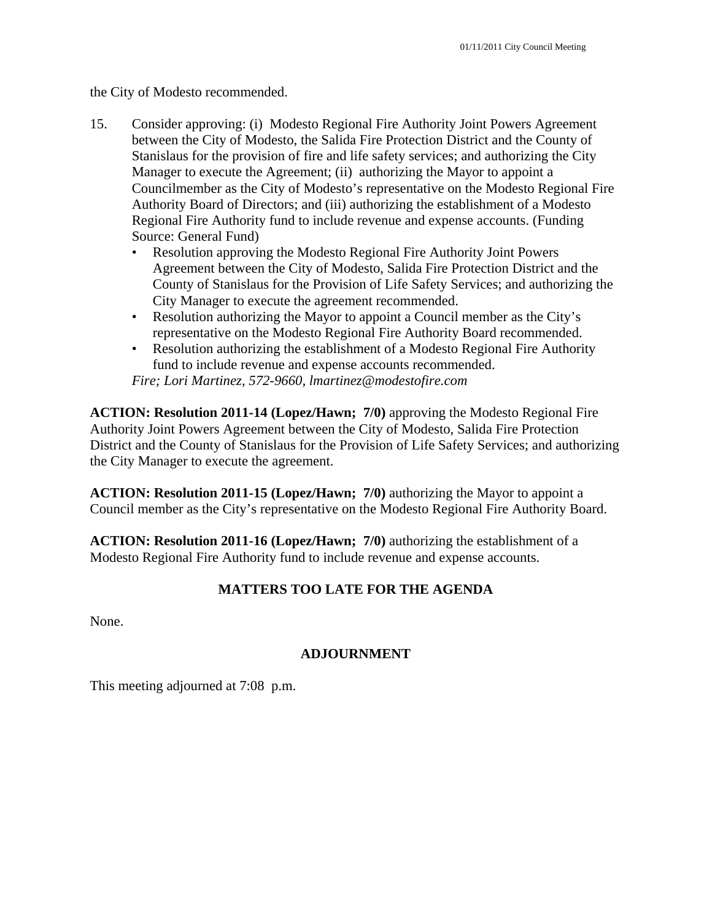the City of Modesto recommended.

- 15. Consider approving: (i) Modesto Regional Fire Authority Joint Powers Agreement between the City of Modesto, the Salida Fire Protection District and the County of Stanislaus for the provision of fire and life safety services; and authorizing the City Manager to execute the Agreement; (ii) authorizing the Mayor to appoint a Councilmember as the City of Modesto's representative on the Modesto Regional Fire Authority Board of Directors; and (iii) authorizing the establishment of a Modesto Regional Fire Authority fund to include revenue and expense accounts. (Funding Source: General Fund)
	- Resolution approving the Modesto Regional Fire Authority Joint Powers Agreement between the City of Modesto, Salida Fire Protection District and the County of Stanislaus for the Provision of Life Safety Services; and authorizing the City Manager to execute the agreement recommended.
	- Resolution authorizing the Mayor to appoint a Council member as the City's representative on the Modesto Regional Fire Authority Board recommended.
	- Resolution authorizing the establishment of a Modesto Regional Fire Authority fund to include revenue and expense accounts recommended.

*Fire; Lori Martinez, 572-9660, lmartinez@modestofire.com* 

**ACTION: Resolution 2011-14 (Lopez/Hawn; 7/0)** approving the Modesto Regional Fire Authority Joint Powers Agreement between the City of Modesto, Salida Fire Protection District and the County of Stanislaus for the Provision of Life Safety Services; and authorizing the City Manager to execute the agreement.

**ACTION: Resolution 2011-15 (Lopez/Hawn; 7/0)** authorizing the Mayor to appoint a Council member as the City's representative on the Modesto Regional Fire Authority Board.

**ACTION: Resolution 2011-16 (Lopez/Hawn; 7/0)** authorizing the establishment of a Modesto Regional Fire Authority fund to include revenue and expense accounts.

# **MATTERS TOO LATE FOR THE AGENDA**

None.

# **ADJOURNMENT**

This meeting adjourned at 7:08 p.m.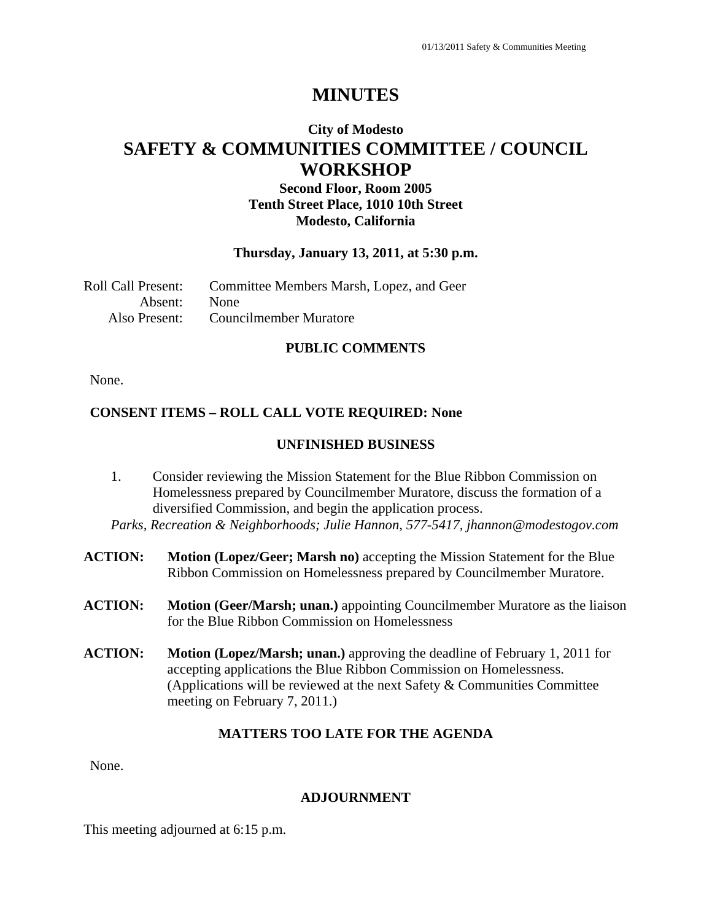# **City of Modesto SAFETY & COMMUNITIES COMMITTEE / COUNCIL WORKSHOP**

# **Second Floor, Room 2005 Tenth Street Place, 1010 10th Street Modesto, California**

#### **Thursday, January 13, 2011, at 5:30 p.m.**

| Roll Call Present: | Committee Members Marsh, Lopez, and Geer |
|--------------------|------------------------------------------|
| Absent: None       |                                          |
| Also Present:      | Councilmember Muratore                   |

### **PUBLIC COMMENTS**

None.

### **CONSENT ITEMS – ROLL CALL VOTE REQUIRED: None**

#### **UNFINISHED BUSINESS**

- 1. Consider reviewing the Mission Statement for the Blue Ribbon Commission on Homelessness prepared by Councilmember Muratore, discuss the formation of a diversified Commission, and begin the application process.
- *Parks, Recreation & Neighborhoods; Julie Hannon, 577-5417, jhannon@modestogov.com*
- **ACTION: Motion (Lopez/Geer; Marsh no)** accepting the Mission Statement for the Blue Ribbon Commission on Homelessness prepared by Councilmember Muratore.
- **ACTION: Motion (Geer/Marsh; unan.)** appointing Councilmember Muratore as the liaison for the Blue Ribbon Commission on Homelessness
- **ACTION: Motion (Lopez/Marsh; unan.)** approving the deadline of February 1, 2011 for accepting applications the Blue Ribbon Commission on Homelessness. (Applications will be reviewed at the next Safety & Communities Committee meeting on February 7, 2011.)

#### **MATTERS TOO LATE FOR THE AGENDA**

None.

#### **ADJOURNMENT**

This meeting adjourned at 6:15 p.m.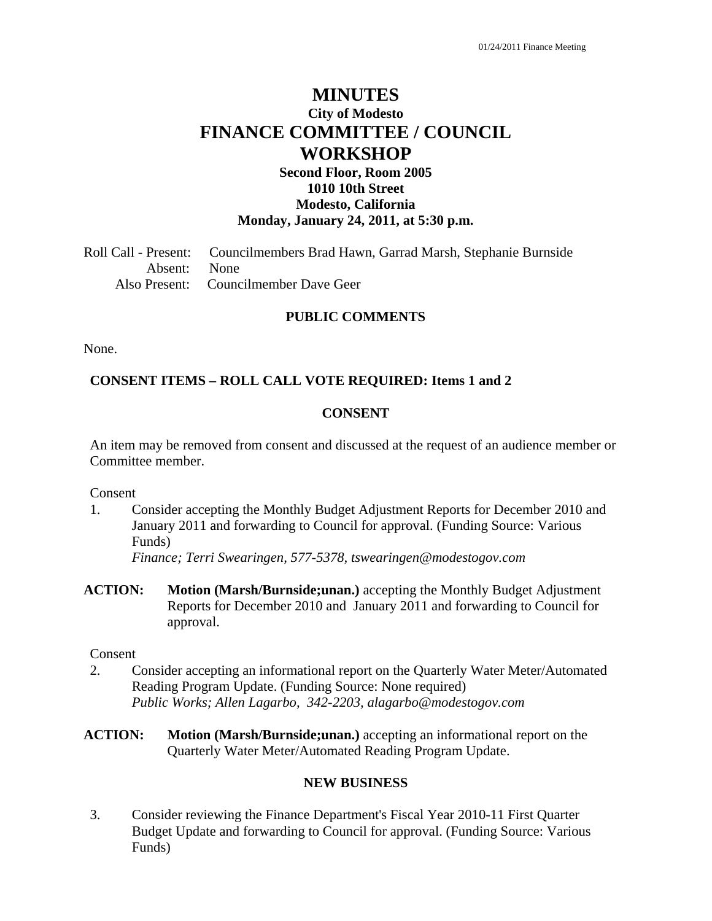# **MINUTES City of Modesto FINANCE COMMITTEE / COUNCIL WORKSHOP**

# **Second Floor, Room 2005 1010 10th Street Modesto, California Monday, January 24, 2011, at 5:30 p.m.**

Roll Call - Present: Councilmembers Brad Hawn, Garrad Marsh, Stephanie Burnside Absent: None Also Present: Councilmember Dave Geer

### **PUBLIC COMMENTS**

None.

#### **CONSENT ITEMS – ROLL CALL VOTE REQUIRED: Items 1 and 2**

#### **CONSENT**

An item may be removed from consent and discussed at the request of an audience member or Committee member.

Consent

1. Consider accepting the Monthly Budget Adjustment Reports for December 2010 and January 2011 and forwarding to Council for approval. (Funding Source: Various Funds)

 *Finance; Terri Swearingen, 577-5378, tswearingen@modestogov.com* 

**ACTION: Motion (Marsh/Burnside;unan.)** accepting the Monthly Budget Adjustment Reports for December 2010 and January 2011 and forwarding to Council for approval.

#### Consent

- 2. Consider accepting an informational report on the Quarterly Water Meter/Automated Reading Program Update. (Funding Source: None required)  *Public Works; Allen Lagarbo, 342-2203, alagarbo@modestogov.com*
- **ACTION: Motion (Marsh/Burnside;unan.)** accepting an informational report on the Quarterly Water Meter/Automated Reading Program Update.

#### **NEW BUSINESS**

3. Consider reviewing the Finance Department's Fiscal Year 2010-11 First Quarter Budget Update and forwarding to Council for approval. (Funding Source: Various Funds)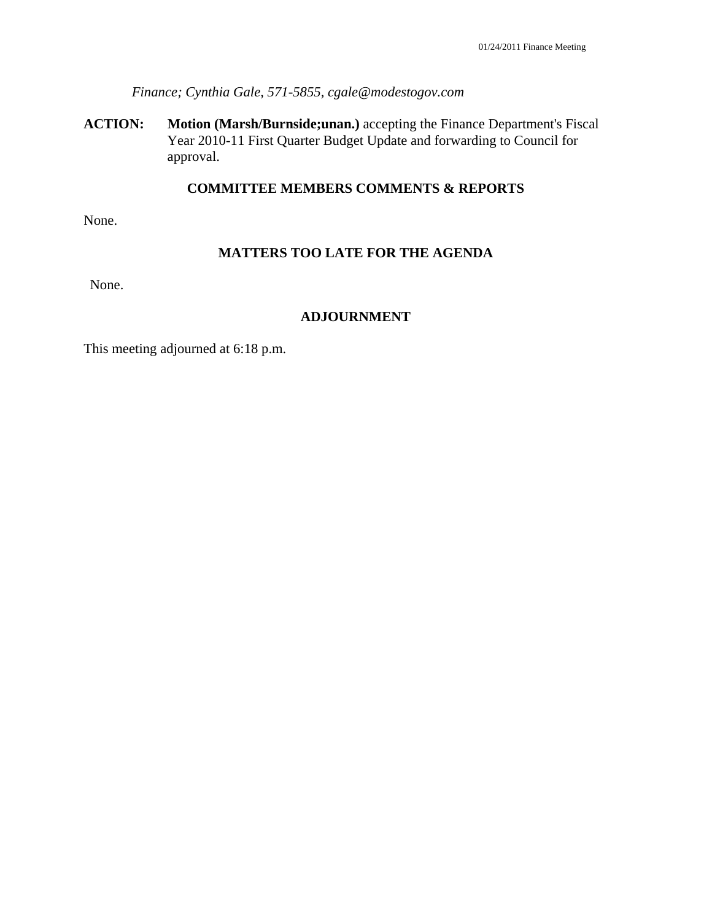*Finance; Cynthia Gale, 571-5855, cgale@modestogov.com* 

**ACTION: Motion (Marsh/Burnside;unan.)** accepting the Finance Department's Fiscal Year 2010-11 First Quarter Budget Update and forwarding to Council for approval.

### **COMMITTEE MEMBERS COMMENTS & REPORTS**

None.

#### **MATTERS TOO LATE FOR THE AGENDA**

None.

#### **ADJOURNMENT**

This meeting adjourned at 6:18 p.m.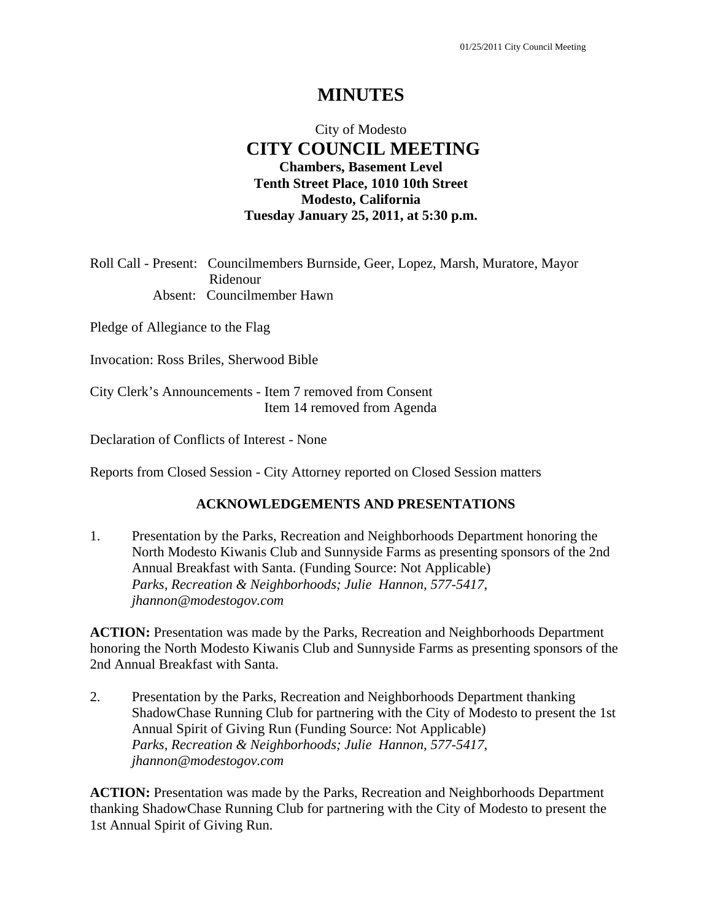# City of Modesto  **CITY COUNCIL MEETING Chambers, Basement Level Tenth Street Place, 1010 10th Street Modesto, California Tuesday January 25, 2011, at 5:30 p.m.**

Roll Call - Present: Councilmembers Burnside, Geer, Lopez, Marsh, Muratore, Mayor Ridenour Absent: Councilmember Hawn

Pledge of Allegiance to the Flag

Invocation: Ross Briles, Sherwood Bible

City Clerk's Announcements - Item 7 removed from Consent Item 14 removed from Agenda

Declaration of Conflicts of Interest - None

Reports from Closed Session - City Attorney reported on Closed Session matters

#### **ACKNOWLEDGEMENTS AND PRESENTATIONS**

1. Presentation by the Parks, Recreation and Neighborhoods Department honoring the North Modesto Kiwanis Club and Sunnyside Farms as presenting sponsors of the 2nd Annual Breakfast with Santa. (Funding Source: Not Applicable)  *Parks, Recreation & Neighborhoods; Julie Hannon, 577-5417, jhannon@modestogov.com* 

**ACTION:** Presentation was made by the Parks, Recreation and Neighborhoods Department honoring the North Modesto Kiwanis Club and Sunnyside Farms as presenting sponsors of the 2nd Annual Breakfast with Santa.

2. Presentation by the Parks, Recreation and Neighborhoods Department thanking ShadowChase Running Club for partnering with the City of Modesto to present the 1st Annual Spirit of Giving Run (Funding Source: Not Applicable)  *Parks, Recreation & Neighborhoods; Julie Hannon, 577-5417, jhannon@modestogov.com* 

**ACTION:** Presentation was made by the Parks, Recreation and Neighborhoods Department thanking ShadowChase Running Club for partnering with the City of Modesto to present the 1st Annual Spirit of Giving Run.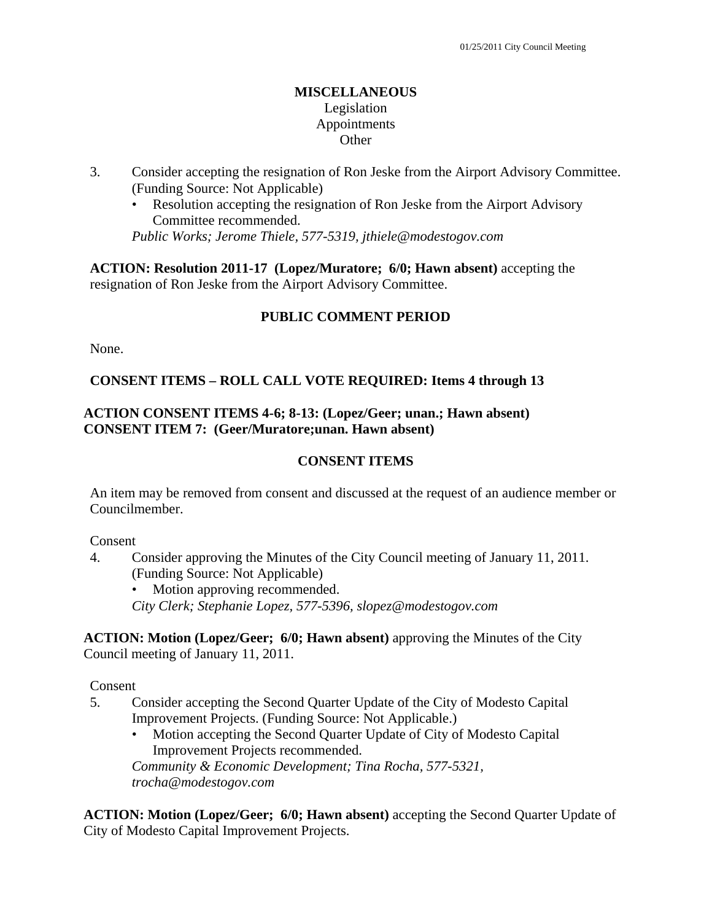## **MISCELLANEOUS**  Legislation Appointments **Other**

- 3. Consider accepting the resignation of Ron Jeske from the Airport Advisory Committee. (Funding Source: Not Applicable)
	- Resolution accepting the resignation of Ron Jeske from the Airport Advisory Committee recommended.

*Public Works; Jerome Thiele, 577-5319, jthiele@modestogov.com* 

**ACTION: Resolution 2011-17 (Lopez/Muratore; 6/0; Hawn absent)** accepting the resignation of Ron Jeske from the Airport Advisory Committee.

# **PUBLIC COMMENT PERIOD**

None.

# **CONSENT ITEMS – ROLL CALL VOTE REQUIRED: Items 4 through 13**

## **ACTION CONSENT ITEMS 4-6; 8-13: (Lopez/Geer; unan.; Hawn absent) CONSENT ITEM 7: (Geer/Muratore;unan. Hawn absent)**

# **CONSENT ITEMS**

An item may be removed from consent and discussed at the request of an audience member or Councilmember.

#### Consent

4. Consider approving the Minutes of the City Council meeting of January 11, 2011. (Funding Source: Not Applicable)

• Motion approving recommended. *City Clerk; Stephanie Lopez, 577-5396, slopez@modestogov.com* 

**ACTION: Motion (Lopez/Geer; 6/0; Hawn absent)** approving the Minutes of the City Council meeting of January 11, 2011.

Consent

- 5. Consider accepting the Second Quarter Update of the City of Modesto Capital Improvement Projects. (Funding Source: Not Applicable.)
	- Motion accepting the Second Quarter Update of City of Modesto Capital Improvement Projects recommended.

*Community & Economic Development; Tina Rocha, 577-5321, trocha@modestogov.com* 

**ACTION: Motion (Lopez/Geer; 6/0; Hawn absent)** accepting the Second Quarter Update of City of Modesto Capital Improvement Projects.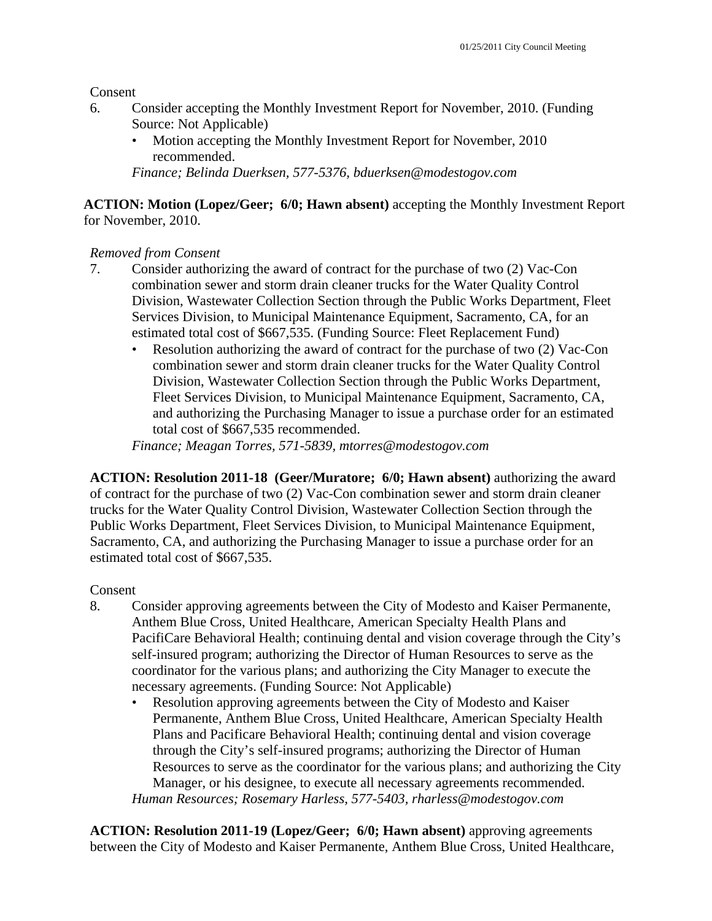Consent

- 6. Consider accepting the Monthly Investment Report for November, 2010. (Funding Source: Not Applicable)
	- Motion accepting the Monthly Investment Report for November, 2010 recommended.

*Finance; Belinda Duerksen, 577-5376, bduerksen@modestogov.com* 

# **ACTION: Motion (Lopez/Geer; 6/0; Hawn absent)** accepting the Monthly Investment Report for November, 2010.

# *Removed from Consent*

- 7. Consider authorizing the award of contract for the purchase of two (2) Vac-Con combination sewer and storm drain cleaner trucks for the Water Quality Control Division, Wastewater Collection Section through the Public Works Department, Fleet Services Division, to Municipal Maintenance Equipment, Sacramento, CA, for an estimated total cost of \$667,535. (Funding Source: Fleet Replacement Fund)
	- Resolution authorizing the award of contract for the purchase of two (2) Vac-Con combination sewer and storm drain cleaner trucks for the Water Quality Control Division, Wastewater Collection Section through the Public Works Department, Fleet Services Division, to Municipal Maintenance Equipment, Sacramento, CA, and authorizing the Purchasing Manager to issue a purchase order for an estimated total cost of \$667,535 recommended.

*Finance; Meagan Torres, 571-5839, mtorres@modestogov.com* 

**ACTION: Resolution 2011-18 (Geer/Muratore; 6/0; Hawn absent)** authorizing the award of contract for the purchase of two (2) Vac-Con combination sewer and storm drain cleaner trucks for the Water Quality Control Division, Wastewater Collection Section through the Public Works Department, Fleet Services Division, to Municipal Maintenance Equipment, Sacramento, CA, and authorizing the Purchasing Manager to issue a purchase order for an estimated total cost of \$667,535.

# Consent

- 8. Consider approving agreements between the City of Modesto and Kaiser Permanente, Anthem Blue Cross, United Healthcare, American Specialty Health Plans and PacifiCare Behavioral Health; continuing dental and vision coverage through the City's self-insured program; authorizing the Director of Human Resources to serve as the coordinator for the various plans; and authorizing the City Manager to execute the necessary agreements. (Funding Source: Not Applicable)
	- Resolution approving agreements between the City of Modesto and Kaiser Permanente, Anthem Blue Cross, United Healthcare, American Specialty Health Plans and Pacificare Behavioral Health; continuing dental and vision coverage through the City's self-insured programs; authorizing the Director of Human Resources to serve as the coordinator for the various plans; and authorizing the City Manager, or his designee, to execute all necessary agreements recommended. *Human Resources; Rosemary Harless, 577-5403, rharless@modestogov.com*

**ACTION: Resolution 2011-19 (Lopez/Geer; 6/0; Hawn absent)** approving agreements between the City of Modesto and Kaiser Permanente, Anthem Blue Cross, United Healthcare,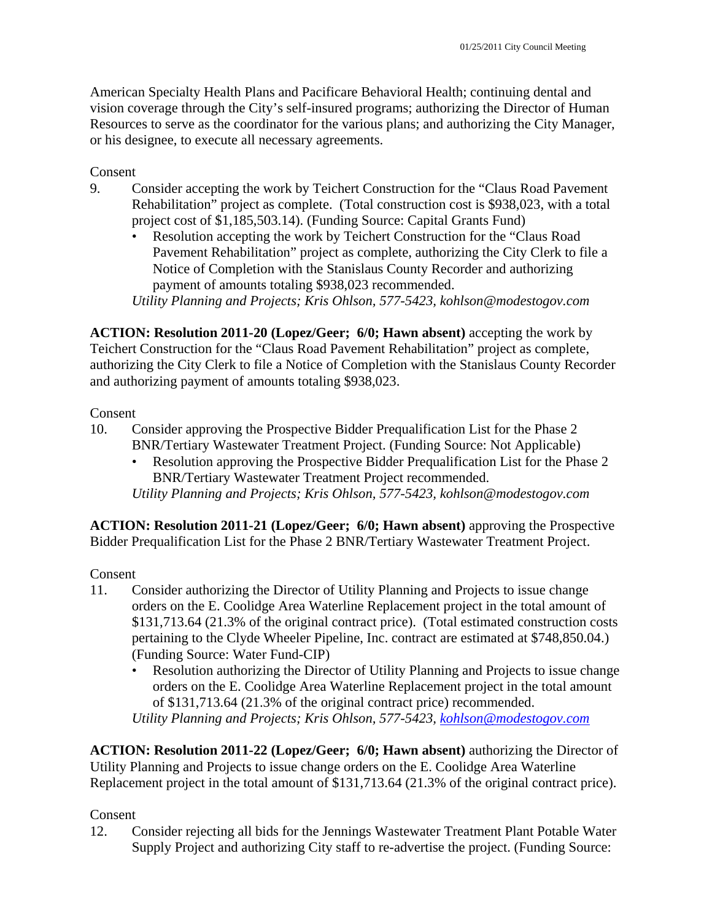American Specialty Health Plans and Pacificare Behavioral Health; continuing dental and vision coverage through the City's self-insured programs; authorizing the Director of Human Resources to serve as the coordinator for the various plans; and authorizing the City Manager, or his designee, to execute all necessary agreements.

Consent

- 9. Consider accepting the work by Teichert Construction for the "Claus Road Pavement Rehabilitation" project as complete. (Total construction cost is \$938,023, with a total project cost of \$1,185,503.14). (Funding Source: Capital Grants Fund)
	- Resolution accepting the work by Teichert Construction for the "Claus Road Pavement Rehabilitation" project as complete, authorizing the City Clerk to file a Notice of Completion with the Stanislaus County Recorder and authorizing payment of amounts totaling \$938,023 recommended. *Utility Planning and Projects; Kris Ohlson, 577-5423, kohlson@modestogov.com*

**ACTION: Resolution 2011-20 (Lopez/Geer; 6/0; Hawn absent)** accepting the work by Teichert Construction for the "Claus Road Pavement Rehabilitation" project as complete, authorizing the City Clerk to file a Notice of Completion with the Stanislaus County Recorder and authorizing payment of amounts totaling \$938,023.

## Consent

- 10. Consider approving the Prospective Bidder Prequalification List for the Phase 2 BNR/Tertiary Wastewater Treatment Project. (Funding Source: Not Applicable)
	- Resolution approving the Prospective Bidder Prequalification List for the Phase 2 BNR/Tertiary Wastewater Treatment Project recommended.

*Utility Planning and Projects; Kris Ohlson, 577-5423, kohlson@modestogov.com* 

**ACTION: Resolution 2011-21 (Lopez/Geer; 6/0; Hawn absent)** approving the Prospective Bidder Prequalification List for the Phase 2 BNR/Tertiary Wastewater Treatment Project.

Consent

- 11. Consider authorizing the Director of Utility Planning and Projects to issue change orders on the E. Coolidge Area Waterline Replacement project in the total amount of \$131,713.64 (21.3% of the original contract price). (Total estimated construction costs pertaining to the Clyde Wheeler Pipeline, Inc. contract are estimated at \$748,850.04.) (Funding Source: Water Fund-CIP)
	- Resolution authorizing the Director of Utility Planning and Projects to issue change orders on the E. Coolidge Area Waterline Replacement project in the total amount of \$131,713.64 (21.3% of the original contract price) recommended. *Utility Planning and Projects; Kris Ohlson, 577-5423, kohlson@modestogov.com*

**ACTION: Resolution 2011-22 (Lopez/Geer; 6/0; Hawn absent)** authorizing the Director of Utility Planning and Projects to issue change orders on the E. Coolidge Area Waterline Replacement project in the total amount of \$131,713.64 (21.3% of the original contract price).

# Consent

12. Consider rejecting all bids for the Jennings Wastewater Treatment Plant Potable Water Supply Project and authorizing City staff to re-advertise the project. (Funding Source: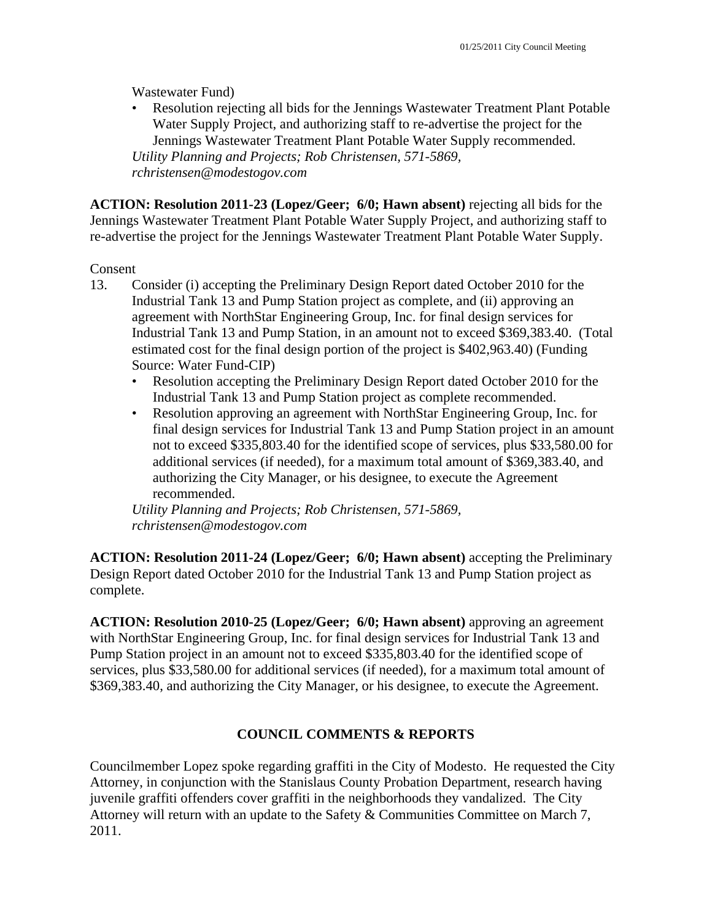Wastewater Fund)

• Resolution rejecting all bids for the Jennings Wastewater Treatment Plant Potable Water Supply Project, and authorizing staff to re-advertise the project for the Jennings Wastewater Treatment Plant Potable Water Supply recommended. *Utility Planning and Projects; Rob Christensen, 571-5869, rchristensen@modestogov.com* 

**ACTION: Resolution 2011-23 (Lopez/Geer; 6/0; Hawn absent)** rejecting all bids for the Jennings Wastewater Treatment Plant Potable Water Supply Project, and authorizing staff to re-advertise the project for the Jennings Wastewater Treatment Plant Potable Water Supply.

## Consent

- 13. Consider (i) accepting the Preliminary Design Report dated October 2010 for the Industrial Tank 13 and Pump Station project as complete, and (ii) approving an agreement with NorthStar Engineering Group, Inc. for final design services for Industrial Tank 13 and Pump Station, in an amount not to exceed \$369,383.40. (Total estimated cost for the final design portion of the project is \$402,963.40) (Funding Source: Water Fund-CIP)
	- Resolution accepting the Preliminary Design Report dated October 2010 for the Industrial Tank 13 and Pump Station project as complete recommended.
	- Resolution approving an agreement with NorthStar Engineering Group, Inc. for final design services for Industrial Tank 13 and Pump Station project in an amount not to exceed \$335,803.40 for the identified scope of services, plus \$33,580.00 for additional services (if needed), for a maximum total amount of \$369,383.40, and authorizing the City Manager, or his designee, to execute the Agreement recommended.

*Utility Planning and Projects; Rob Christensen, 571-5869, rchristensen@modestogov.com* 

**ACTION: Resolution 2011-24 (Lopez/Geer; 6/0; Hawn absent)** accepting the Preliminary Design Report dated October 2010 for the Industrial Tank 13 and Pump Station project as complete.

**ACTION: Resolution 2010-25 (Lopez/Geer; 6/0; Hawn absent)** approving an agreement with NorthStar Engineering Group, Inc. for final design services for Industrial Tank 13 and Pump Station project in an amount not to exceed \$335,803.40 for the identified scope of services, plus \$33,580.00 for additional services (if needed), for a maximum total amount of \$369,383.40, and authorizing the City Manager, or his designee, to execute the Agreement.

# **COUNCIL COMMENTS & REPORTS**

Councilmember Lopez spoke regarding graffiti in the City of Modesto. He requested the City Attorney, in conjunction with the Stanislaus County Probation Department, research having juvenile graffiti offenders cover graffiti in the neighborhoods they vandalized. The City Attorney will return with an update to the Safety & Communities Committee on March 7, 2011.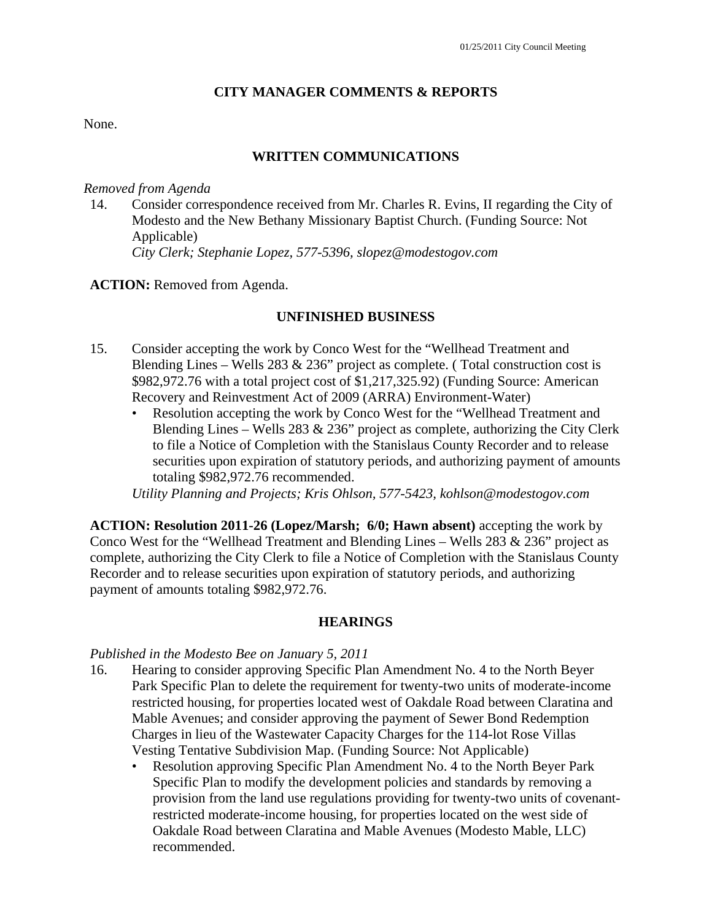### **CITY MANAGER COMMENTS & REPORTS**

None.

### **WRITTEN COMMUNICATIONS**

#### *Removed from Agenda*

14. Consider correspondence received from Mr. Charles R. Evins, II regarding the City of Modesto and the New Bethany Missionary Baptist Church. (Funding Source: Not Applicable)  *City Clerk; Stephanie Lopez, 577-5396, slopez@modestogov.com* 

#### **ACTION:** Removed from Agenda.

### **UNFINISHED BUSINESS**

- 15. Consider accepting the work by Conco West for the "Wellhead Treatment and Blending Lines – Wells 283  $\&$  236" project as complete. (Total construction cost is \$982,972.76 with a total project cost of \$1,217,325.92) (Funding Source: American Recovery and Reinvestment Act of 2009 (ARRA) Environment-Water)
	- Resolution accepting the work by Conco West for the "Wellhead Treatment and Blending Lines – Wells 283  $& 236"$  project as complete, authorizing the City Clerk to file a Notice of Completion with the Stanislaus County Recorder and to release securities upon expiration of statutory periods, and authorizing payment of amounts totaling \$982,972.76 recommended.

*Utility Planning and Projects; Kris Ohlson, 577-5423, kohlson@modestogov.com* 

**ACTION: Resolution 2011-26 (Lopez/Marsh; 6/0; Hawn absent)** accepting the work by Conco West for the "Wellhead Treatment and Blending Lines – Wells 283 & 236" project as complete, authorizing the City Clerk to file a Notice of Completion with the Stanislaus County Recorder and to release securities upon expiration of statutory periods, and authorizing payment of amounts totaling \$982,972.76.

#### **HEARINGS**

#### *Published in the Modesto Bee on January 5, 2011*

- 16. Hearing to consider approving Specific Plan Amendment No. 4 to the North Beyer Park Specific Plan to delete the requirement for twenty-two units of moderate-income restricted housing, for properties located west of Oakdale Road between Claratina and Mable Avenues; and consider approving the payment of Sewer Bond Redemption Charges in lieu of the Wastewater Capacity Charges for the 114-lot Rose Villas Vesting Tentative Subdivision Map. (Funding Source: Not Applicable)
	- Resolution approving Specific Plan Amendment No. 4 to the North Beyer Park Specific Plan to modify the development policies and standards by removing a provision from the land use regulations providing for twenty-two units of covenantrestricted moderate-income housing, for properties located on the west side of Oakdale Road between Claratina and Mable Avenues (Modesto Mable, LLC) recommended.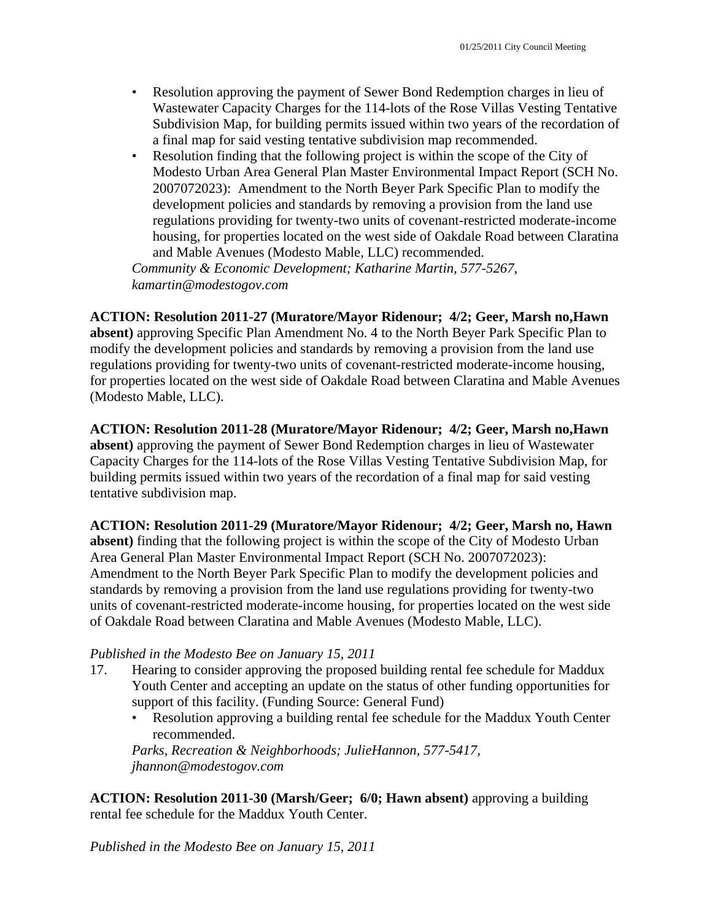- Resolution approving the payment of Sewer Bond Redemption charges in lieu of Wastewater Capacity Charges for the 114-lots of the Rose Villas Vesting Tentative Subdivision Map, for building permits issued within two years of the recordation of a final map for said vesting tentative subdivision map recommended.
- Resolution finding that the following project is within the scope of the City of Modesto Urban Area General Plan Master Environmental Impact Report (SCH No. 2007072023): Amendment to the North Beyer Park Specific Plan to modify the development policies and standards by removing a provision from the land use regulations providing for twenty-two units of covenant-restricted moderate-income housing, for properties located on the west side of Oakdale Road between Claratina and Mable Avenues (Modesto Mable, LLC) recommended.

*Community & Economic Development; Katharine Martin, 577-5267, kamartin@modestogov.com* 

**ACTION: Resolution 2011-27 (Muratore/Mayor Ridenour; 4/2; Geer, Marsh no,Hawn** 

**absent)** approving Specific Plan Amendment No. 4 to the North Beyer Park Specific Plan to modify the development policies and standards by removing a provision from the land use regulations providing for twenty-two units of covenant-restricted moderate-income housing, for properties located on the west side of Oakdale Road between Claratina and Mable Avenues (Modesto Mable, LLC).

**ACTION: Resolution 2011-28 (Muratore/Mayor Ridenour; 4/2; Geer, Marsh no,Hawn absent)** approving the payment of Sewer Bond Redemption charges in lieu of Wastewater Capacity Charges for the 114-lots of the Rose Villas Vesting Tentative Subdivision Map, for building permits issued within two years of the recordation of a final map for said vesting tentative subdivision map.

**ACTION: Resolution 2011-29 (Muratore/Mayor Ridenour; 4/2; Geer, Marsh no, Hawn absent)** finding that the following project is within the scope of the City of Modesto Urban Area General Plan Master Environmental Impact Report (SCH No. 2007072023): Amendment to the North Beyer Park Specific Plan to modify the development policies and standards by removing a provision from the land use regulations providing for twenty-two units of covenant-restricted moderate-income housing, for properties located on the west side of Oakdale Road between Claratina and Mable Avenues (Modesto Mable, LLC).

# *Published in the Modesto Bee on January 15, 2011*

- 17. Hearing to consider approving the proposed building rental fee schedule for Maddux Youth Center and accepting an update on the status of other funding opportunities for support of this facility. (Funding Source: General Fund)
	- Resolution approving a building rental fee schedule for the Maddux Youth Center recommended.

*Parks, Recreation & Neighborhoods; JulieHannon, 577-5417, jhannon@modestogov.com* 

**ACTION: Resolution 2011-30 (Marsh/Geer; 6/0; Hawn absent)** approving a building rental fee schedule for the Maddux Youth Center.

*Published in the Modesto Bee on January 15, 2011*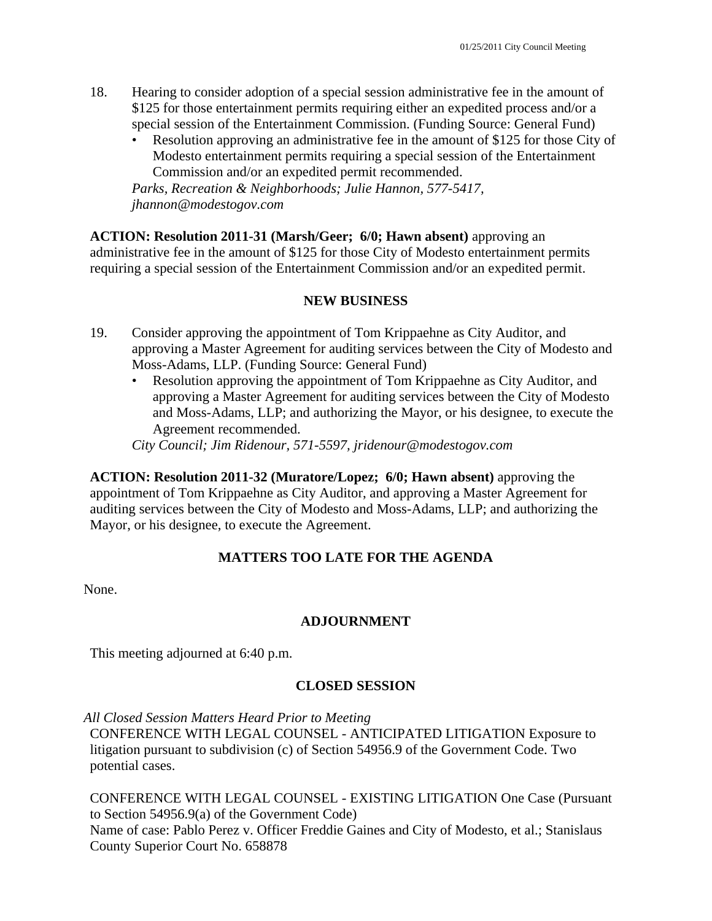- 18. Hearing to consider adoption of a special session administrative fee in the amount of \$125 for those entertainment permits requiring either an expedited process and/or a special session of the Entertainment Commission. (Funding Source: General Fund)
	- Resolution approving an administrative fee in the amount of \$125 for those City of Modesto entertainment permits requiring a special session of the Entertainment Commission and/or an expedited permit recommended.

*Parks, Recreation & Neighborhoods; Julie Hannon, 577-5417, jhannon@modestogov.com* 

**ACTION: Resolution 2011-31 (Marsh/Geer; 6/0; Hawn absent)** approving an administrative fee in the amount of \$125 for those City of Modesto entertainment permits requiring a special session of the Entertainment Commission and/or an expedited permit.

# **NEW BUSINESS**

- 19. Consider approving the appointment of Tom Krippaehne as City Auditor, and approving a Master Agreement for auditing services between the City of Modesto and Moss-Adams, LLP. (Funding Source: General Fund)
	- Resolution approving the appointment of Tom Krippaehne as City Auditor, and approving a Master Agreement for auditing services between the City of Modesto and Moss-Adams, LLP; and authorizing the Mayor, or his designee, to execute the Agreement recommended.

*City Council; Jim Ridenour, 571-5597, jridenour@modestogov.com* 

**ACTION: Resolution 2011-32 (Muratore/Lopez; 6/0; Hawn absent)** approving the appointment of Tom Krippaehne as City Auditor, and approving a Master Agreement for auditing services between the City of Modesto and Moss-Adams, LLP; and authorizing the Mayor, or his designee, to execute the Agreement.

# **MATTERS TOO LATE FOR THE AGENDA**

None.

# **ADJOURNMENT**

This meeting adjourned at 6:40 p.m.

# **CLOSED SESSION**

*All Closed Session Matters Heard Prior to Meeting* 

CONFERENCE WITH LEGAL COUNSEL - ANTICIPATED LITIGATION Exposure to litigation pursuant to subdivision (c) of Section 54956.9 of the Government Code. Two potential cases.

CONFERENCE WITH LEGAL COUNSEL - EXISTING LITIGATION One Case (Pursuant to Section 54956.9(a) of the Government Code) Name of case: Pablo Perez v. Officer Freddie Gaines and City of Modesto, et al.; Stanislaus County Superior Court No. 658878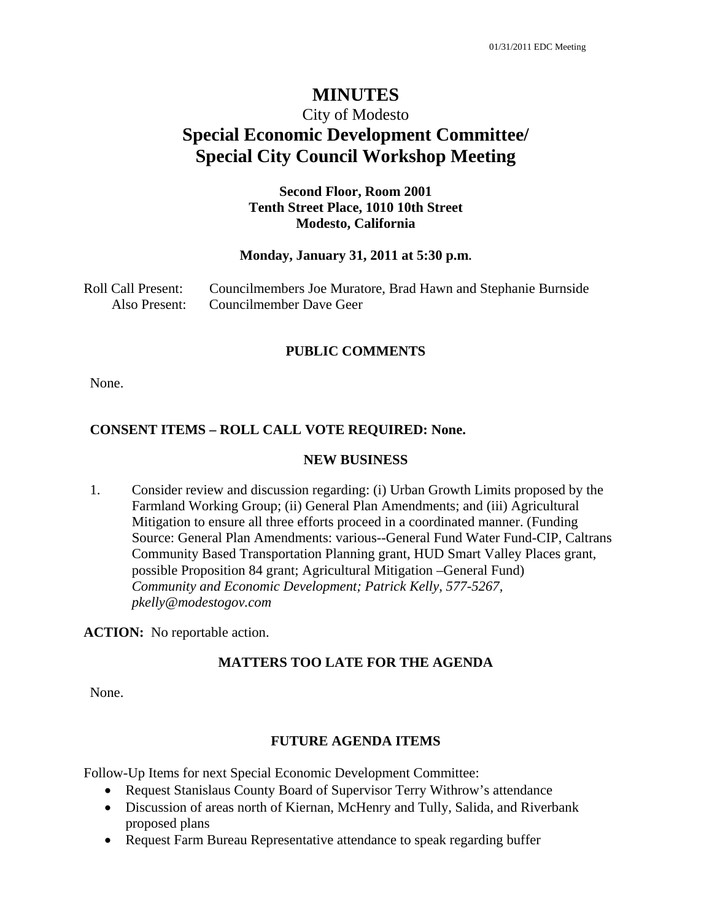# City of Modesto **Special Economic Development Committee/ Special City Council Workshop Meeting**

## **Second Floor, Room 2001 Tenth Street Place, 1010 10th Street Modesto, California**

#### **Monday, January 31, 2011 at 5:30 p.m.**

| Roll Call Present: | Councilmembers Joe Muratore, Brad Hawn and Stephanie Burnside |
|--------------------|---------------------------------------------------------------|
| Also Present:      | Councilmember Dave Geer                                       |

#### **PUBLIC COMMENTS**

None.

#### **CONSENT ITEMS – ROLL CALL VOTE REQUIRED: None.**

#### **NEW BUSINESS**

1. Consider review and discussion regarding: (i) Urban Growth Limits proposed by the Farmland Working Group; (ii) General Plan Amendments; and (iii) Agricultural Mitigation to ensure all three efforts proceed in a coordinated manner. (Funding Source: General Plan Amendments: various--General Fund Water Fund-CIP, Caltrans Community Based Transportation Planning grant, HUD Smart Valley Places grant, possible Proposition 84 grant; Agricultural Mitigation –General Fund)  *Community and Economic Development; Patrick Kelly, 577-5267, pkelly@modestogov.com* 

**ACTION:** No reportable action.

#### **MATTERS TOO LATE FOR THE AGENDA**

None.

#### **FUTURE AGENDA ITEMS**

Follow-Up Items for next Special Economic Development Committee:

- Request Stanislaus County Board of Supervisor Terry Withrow's attendance
- Discussion of areas north of Kiernan, McHenry and Tully, Salida, and Riverbank proposed plans
- Request Farm Bureau Representative attendance to speak regarding buffer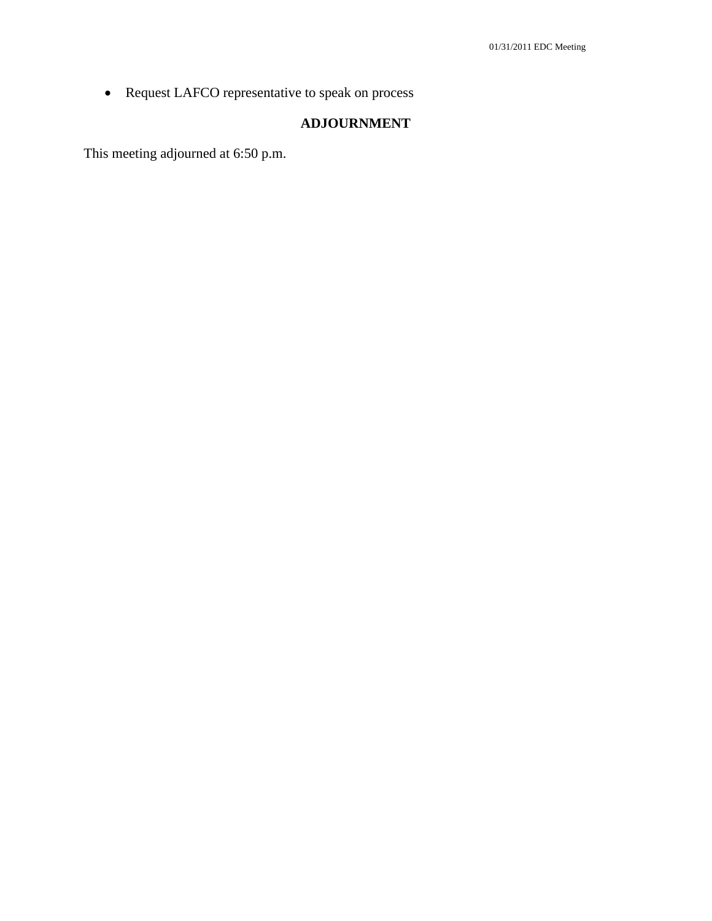Request LAFCO representative to speak on process

# **ADJOURNMENT**

This meeting adjourned at 6:50 p.m.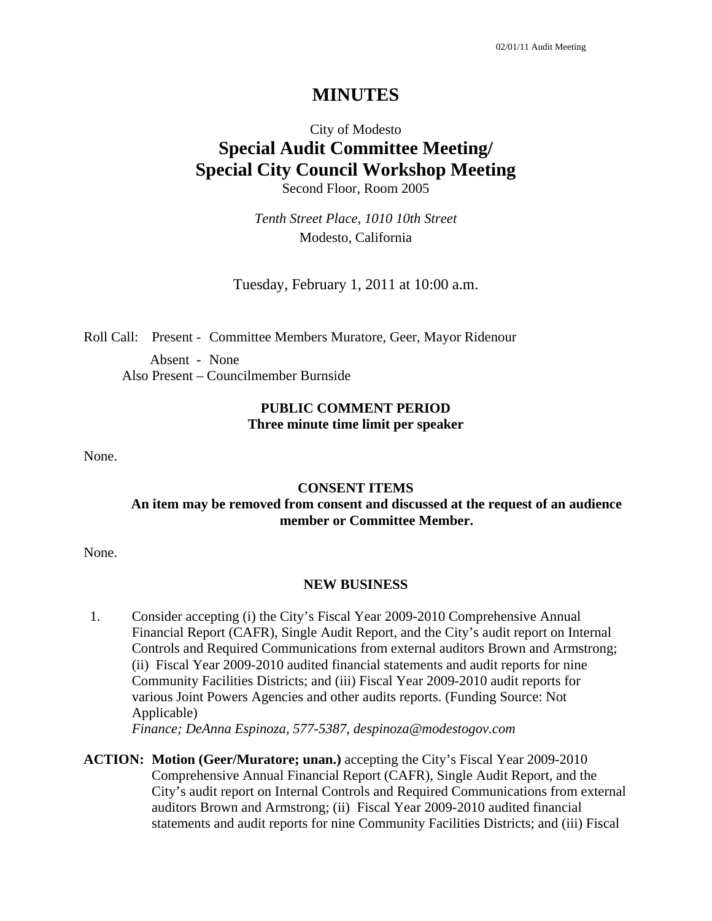# City of Modesto **Special Audit Committee Meeting/ Special City Council Workshop Meeting**  Second Floor, Room 2005

*Tenth Street Place, 1010 10th Street*  Modesto, California

Tuesday, February 1, 2011 at 10:00 a.m.

Roll Call: Present - Committee Members Muratore, Geer, Mayor Ridenour

Absent - None Also Present – Councilmember Burnside

### **PUBLIC COMMENT PERIOD Three minute time limit per speaker**

None.

#### **CONSENT ITEMS**

### **An item may be removed from consent and discussed at the request of an audience member or Committee Member.**

None.

#### **NEW BUSINESS**

1. Consider accepting (i) the City's Fiscal Year 2009-2010 Comprehensive Annual Financial Report (CAFR), Single Audit Report, and the City's audit report on Internal Controls and Required Communications from external auditors Brown and Armstrong; (ii) Fiscal Year 2009-2010 audited financial statements and audit reports for nine Community Facilities Districts; and (iii) Fiscal Year 2009-2010 audit reports for various Joint Powers Agencies and other audits reports. (Funding Source: Not Applicable)

 *Finance; DeAnna Espinoza, 577-5387, despinoza@modestogov.com* 

**ACTION: Motion (Geer/Muratore; unan.)** accepting the City's Fiscal Year 2009-2010 Comprehensive Annual Financial Report (CAFR), Single Audit Report, and the City's audit report on Internal Controls and Required Communications from external auditors Brown and Armstrong; (ii) Fiscal Year 2009-2010 audited financial statements and audit reports for nine Community Facilities Districts; and (iii) Fiscal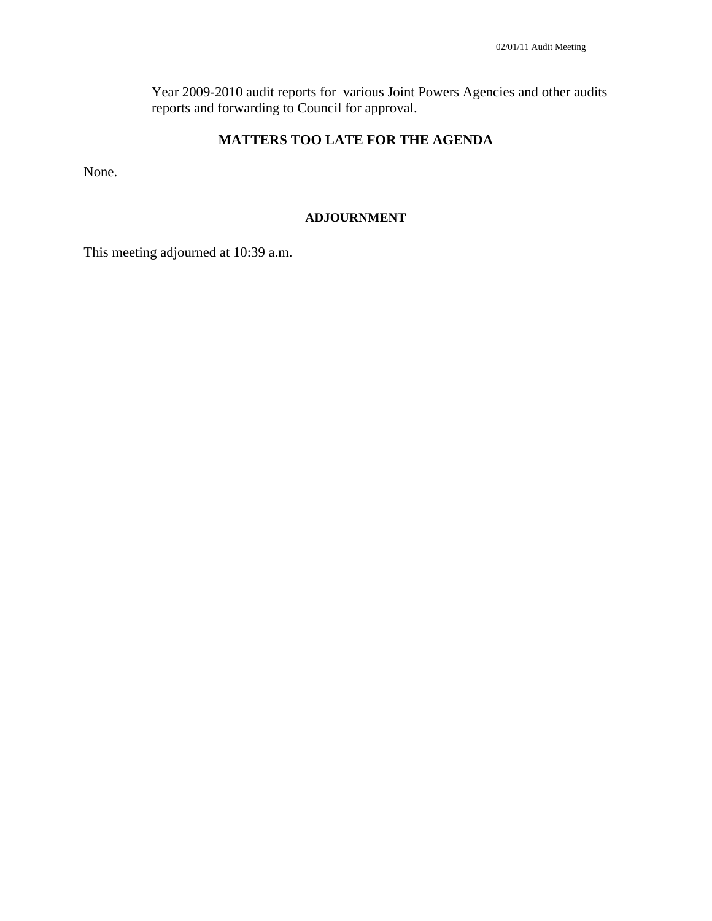Year 2009-2010 audit reports for various Joint Powers Agencies and other audits reports and forwarding to Council for approval.

# **MATTERS TOO LATE FOR THE AGENDA**

None.

#### **ADJOURNMENT**

This meeting adjourned at 10:39 a.m.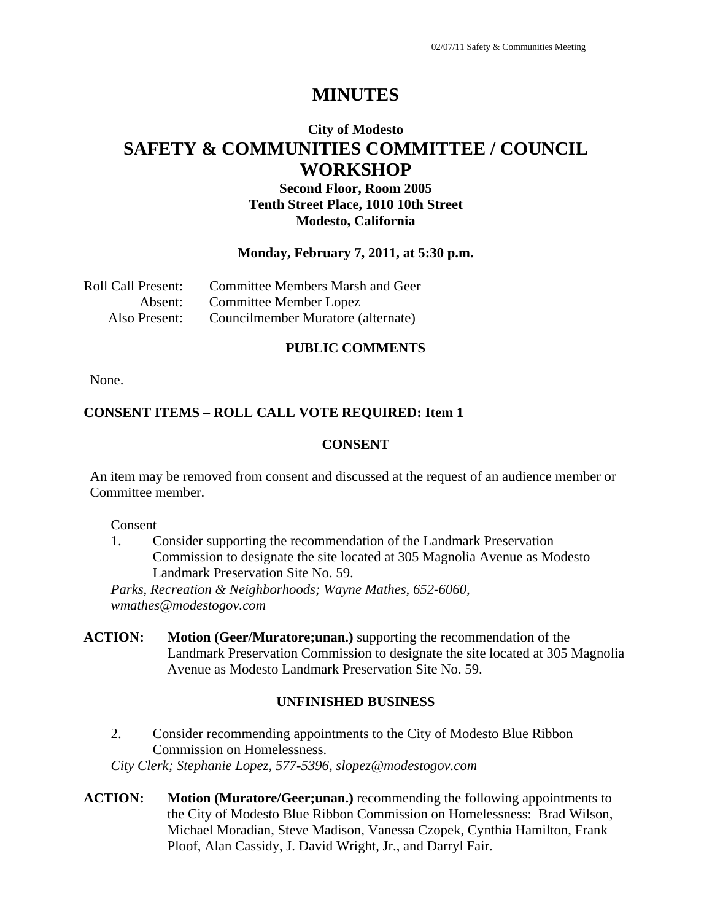# **City of Modesto SAFETY & COMMUNITIES COMMITTEE / COUNCIL WORKSHOP**

# **Second Floor, Room 2005 Tenth Street Place, 1010 10th Street Modesto, California**

### **Monday, February 7, 2011, at 5:30 p.m.**

| Roll Call Present: | <b>Committee Members Marsh and Geer</b> |
|--------------------|-----------------------------------------|
| Absent:            | <b>Committee Member Lopez</b>           |
| Also Present:      | Councilmember Muratore (alternate)      |

### **PUBLIC COMMENTS**

None.

## **CONSENT ITEMS – ROLL CALL VOTE REQUIRED: Item 1**

### **CONSENT**

An item may be removed from consent and discussed at the request of an audience member or Committee member.

Consent

1. Consider supporting the recommendation of the Landmark Preservation Commission to designate the site located at 305 Magnolia Avenue as Modesto Landmark Preservation Site No. 59.

*Parks, Recreation & Neighborhoods; Wayne Mathes, 652-6060, wmathes@modestogov.com* 

**ACTION: Motion (Geer/Muratore;unan.)** supporting the recommendation of the Landmark Preservation Commission to designate the site located at 305 Magnolia Avenue as Modesto Landmark Preservation Site No. 59.

# **UNFINISHED BUSINESS**

2. Consider recommending appointments to the City of Modesto Blue Ribbon Commission on Homelessness.

*City Clerk; Stephanie Lopez, 577-5396, slopez@modestogov.com* 

**ACTION: Motion (Muratore/Geer;unan.)** recommending the following appointments to the City of Modesto Blue Ribbon Commission on Homelessness: Brad Wilson, Michael Moradian, Steve Madison, Vanessa Czopek, Cynthia Hamilton, Frank Ploof, Alan Cassidy, J. David Wright, Jr., and Darryl Fair.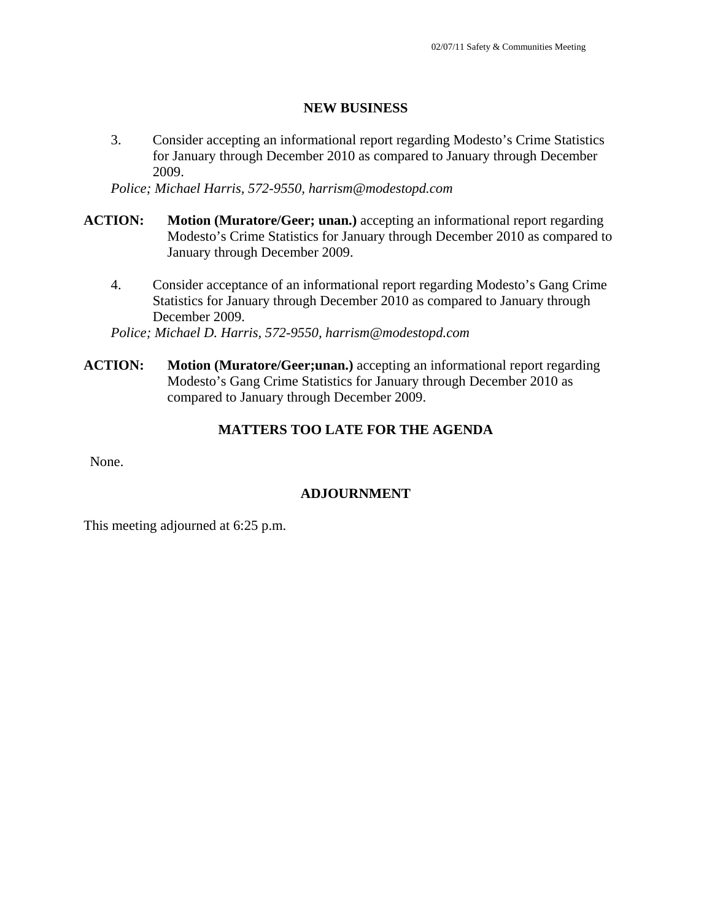#### **NEW BUSINESS**

3. Consider accepting an informational report regarding Modesto's Crime Statistics for January through December 2010 as compared to January through December 2009.

*Police; Michael Harris, 572-9550, harrism@modestopd.com* 

- **ACTION: Motion (Muratore/Geer; unan.)** accepting an informational report regarding Modesto's Crime Statistics for January through December 2010 as compared to January through December 2009.
	- 4. Consider acceptance of an informational report regarding Modesto's Gang Crime Statistics for January through December 2010 as compared to January through December 2009.

*Police; Michael D. Harris, 572-9550, harrism@modestopd.com* 

**ACTION:** Motion (Muratore/Geer;unan.) accepting an informational report regarding Modesto's Gang Crime Statistics for January through December 2010 as compared to January through December 2009.

# **MATTERS TOO LATE FOR THE AGENDA**

None.

### **ADJOURNMENT**

This meeting adjourned at 6:25 p.m.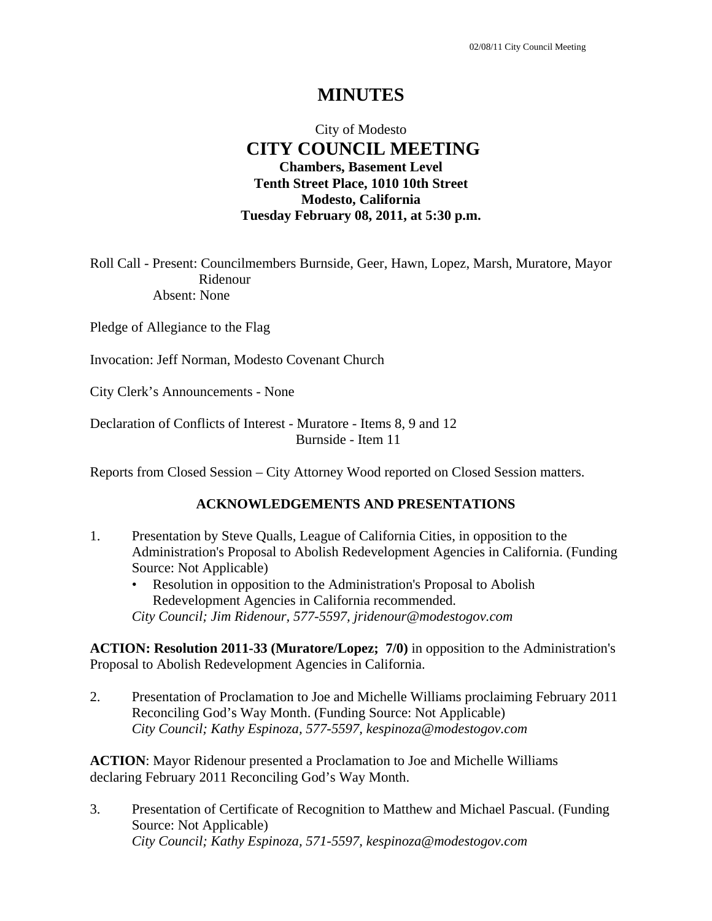# City of Modesto  **CITY COUNCIL MEETING Chambers, Basement Level Tenth Street Place, 1010 10th Street Modesto, California Tuesday February 08, 2011, at 5:30 p.m.**

Roll Call - Present: Councilmembers Burnside, Geer, Hawn, Lopez, Marsh, Muratore, Mayor Ridenour Absent: None

Pledge of Allegiance to the Flag

Invocation: Jeff Norman, Modesto Covenant Church

City Clerk's Announcements - None

Declaration of Conflicts of Interest - Muratore - Items 8, 9 and 12 Burnside - Item 11

Reports from Closed Session – City Attorney Wood reported on Closed Session matters.

### **ACKNOWLEDGEMENTS AND PRESENTATIONS**

- 1. Presentation by Steve Qualls, League of California Cities, in opposition to the Administration's Proposal to Abolish Redevelopment Agencies in California. (Funding Source: Not Applicable)
	- Resolution in opposition to the Administration's Proposal to Abolish Redevelopment Agencies in California recommended. *City Council; Jim Ridenour, 577-5597, jridenour@modestogov.com*

**ACTION: Resolution 2011-33 (Muratore/Lopez; 7/0)** in opposition to the Administration's Proposal to Abolish Redevelopment Agencies in California.

2. Presentation of Proclamation to Joe and Michelle Williams proclaiming February 2011 Reconciling God's Way Month. (Funding Source: Not Applicable)  *City Council; Kathy Espinoza, 577-5597, kespinoza@modestogov.com* 

**ACTION**: Mayor Ridenour presented a Proclamation to Joe and Michelle Williams declaring February 2011 Reconciling God's Way Month.

3. Presentation of Certificate of Recognition to Matthew and Michael Pascual. (Funding Source: Not Applicable)  *City Council; Kathy Espinoza, 571-5597, kespinoza@modestogov.com*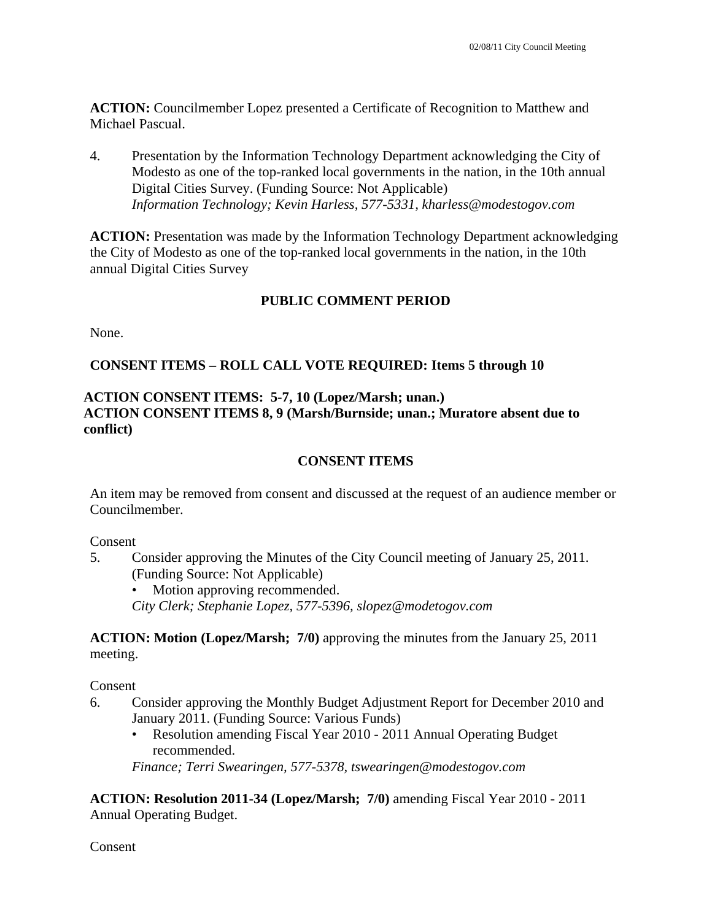**ACTION:** Councilmember Lopez presented a Certificate of Recognition to Matthew and Michael Pascual.

4. Presentation by the Information Technology Department acknowledging the City of Modesto as one of the top-ranked local governments in the nation, in the 10th annual Digital Cities Survey. (Funding Source: Not Applicable)  *Information Technology; Kevin Harless, 577-5331, kharless@modestogov.com* 

**ACTION:** Presentation was made by the Information Technology Department acknowledging the City of Modesto as one of the top-ranked local governments in the nation, in the 10th annual Digital Cities Survey

# **PUBLIC COMMENT PERIOD**

None.

# **CONSENT ITEMS – ROLL CALL VOTE REQUIRED: Items 5 through 10**

# **ACTION CONSENT ITEMS: 5-7, 10 (Lopez/Marsh; unan.) ACTION CONSENT ITEMS 8, 9 (Marsh/Burnside; unan.; Muratore absent due to conflict)**

# **CONSENT ITEMS**

An item may be removed from consent and discussed at the request of an audience member or Councilmember.

Consent

5. Consider approving the Minutes of the City Council meeting of January 25, 2011. (Funding Source: Not Applicable)

Motion approving recommended. *City Clerk; Stephanie Lopez, 577-5396, slopez@modetogov.com* 

**ACTION: Motion (Lopez/Marsh; 7/0)** approving the minutes from the January 25, 2011 meeting.

Consent

- 6. Consider approving the Monthly Budget Adjustment Report for December 2010 and January 2011. (Funding Source: Various Funds)
	- Resolution amending Fiscal Year 2010 2011 Annual Operating Budget recommended.

*Finance; Terri Swearingen, 577-5378, tswearingen@modestogov.com* 

**ACTION: Resolution 2011-34 (Lopez/Marsh; 7/0)** amending Fiscal Year 2010 - 2011 Annual Operating Budget.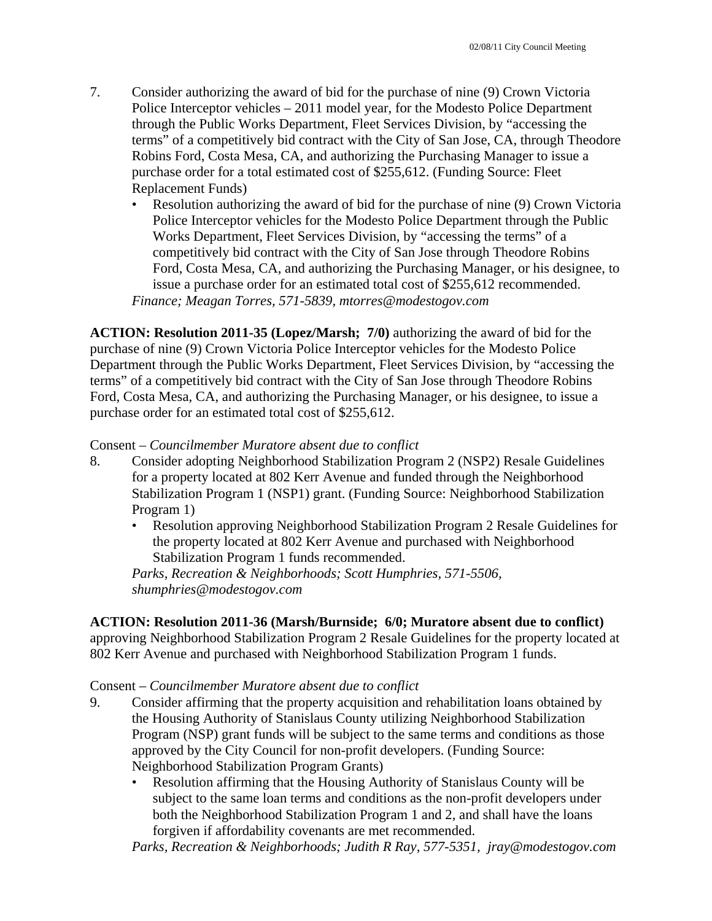- 7. Consider authorizing the award of bid for the purchase of nine (9) Crown Victoria Police Interceptor vehicles – 2011 model year, for the Modesto Police Department through the Public Works Department, Fleet Services Division, by "accessing the terms" of a competitively bid contract with the City of San Jose, CA, through Theodore Robins Ford, Costa Mesa, CA, and authorizing the Purchasing Manager to issue a purchase order for a total estimated cost of \$255,612. (Funding Source: Fleet Replacement Funds)
	- Resolution authorizing the award of bid for the purchase of nine (9) Crown Victoria Police Interceptor vehicles for the Modesto Police Department through the Public Works Department, Fleet Services Division, by "accessing the terms" of a competitively bid contract with the City of San Jose through Theodore Robins Ford, Costa Mesa, CA, and authorizing the Purchasing Manager, or his designee, to issue a purchase order for an estimated total cost of \$255,612 recommended. *Finance; Meagan Torres, 571-5839, mtorres@modestogov.com*

**ACTION: Resolution 2011-35 (Lopez/Marsh; 7/0)** authorizing the award of bid for the purchase of nine (9) Crown Victoria Police Interceptor vehicles for the Modesto Police Department through the Public Works Department, Fleet Services Division, by "accessing the terms" of a competitively bid contract with the City of San Jose through Theodore Robins Ford, Costa Mesa, CA, and authorizing the Purchasing Manager, or his designee, to issue a purchase order for an estimated total cost of \$255,612.

### Consent – *Councilmember Muratore absent due to conflict*

- 8. Consider adopting Neighborhood Stabilization Program 2 (NSP2) Resale Guidelines for a property located at 802 Kerr Avenue and funded through the Neighborhood Stabilization Program 1 (NSP1) grant. (Funding Source: Neighborhood Stabilization Program 1)
	- Resolution approving Neighborhood Stabilization Program 2 Resale Guidelines for the property located at 802 Kerr Avenue and purchased with Neighborhood Stabilization Program 1 funds recommended.

*Parks, Recreation & Neighborhoods; Scott Humphries, 571-5506, shumphries@modestogov.com* 

### **ACTION: Resolution 2011-36 (Marsh/Burnside; 6/0; Muratore absent due to conflict)**

approving Neighborhood Stabilization Program 2 Resale Guidelines for the property located at 802 Kerr Avenue and purchased with Neighborhood Stabilization Program 1 funds.

### Consent – *Councilmember Muratore absent due to conflict*

- 9. Consider affirming that the property acquisition and rehabilitation loans obtained by the Housing Authority of Stanislaus County utilizing Neighborhood Stabilization Program (NSP) grant funds will be subject to the same terms and conditions as those approved by the City Council for non-profit developers. (Funding Source: Neighborhood Stabilization Program Grants)
	- Resolution affirming that the Housing Authority of Stanislaus County will be subject to the same loan terms and conditions as the non-profit developers under both the Neighborhood Stabilization Program 1 and 2, and shall have the loans forgiven if affordability covenants are met recommended.

*Parks, Recreation & Neighborhoods; Judith R Ray, 577-5351, jray@modestogov.com*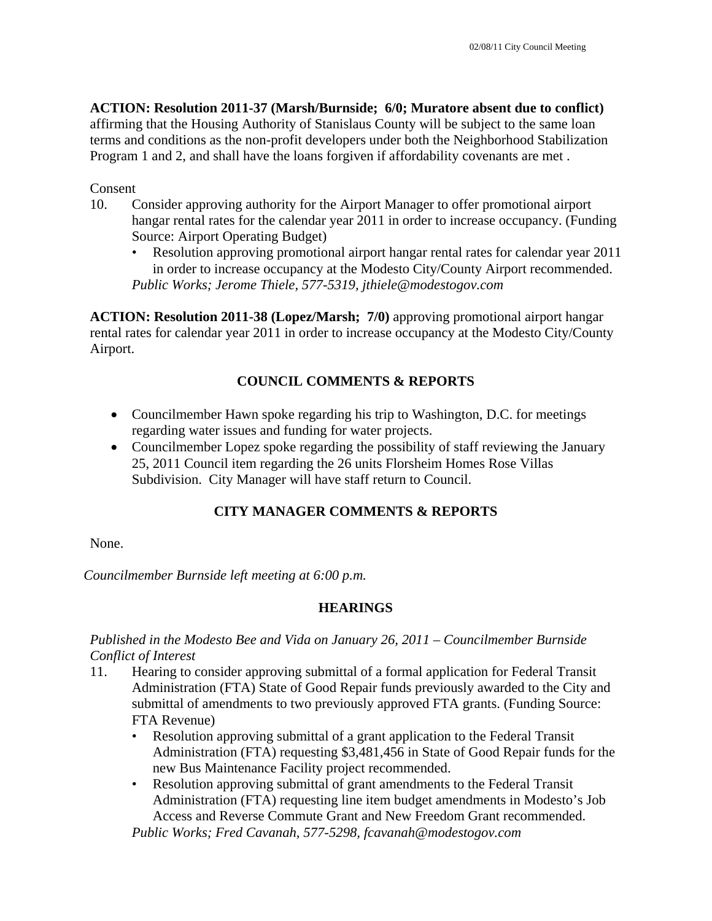**ACTION: Resolution 2011-37 (Marsh/Burnside; 6/0; Muratore absent due to conflict)**

affirming that the Housing Authority of Stanislaus County will be subject to the same loan terms and conditions as the non-profit developers under both the Neighborhood Stabilization Program 1 and 2, and shall have the loans forgiven if affordability covenants are met .

## Consent

- 10. Consider approving authority for the Airport Manager to offer promotional airport hangar rental rates for the calendar year 2011 in order to increase occupancy. (Funding Source: Airport Operating Budget)
	- Resolution approving promotional airport hangar rental rates for calendar year 2011 in order to increase occupancy at the Modesto City/County Airport recommended. *Public Works; Jerome Thiele, 577-5319, jthiele@modestogov.com*

**ACTION: Resolution 2011-38 (Lopez/Marsh; 7/0)** approving promotional airport hangar rental rates for calendar year 2011 in order to increase occupancy at the Modesto City/County Airport.

# **COUNCIL COMMENTS & REPORTS**

- Councilmember Hawn spoke regarding his trip to Washington, D.C. for meetings regarding water issues and funding for water projects.
- Councilmember Lopez spoke regarding the possibility of staff reviewing the January 25, 2011 Council item regarding the 26 units Florsheim Homes Rose Villas Subdivision. City Manager will have staff return to Council.

# **CITY MANAGER COMMENTS & REPORTS**

None.

*Councilmember Burnside left meeting at 6:00 p.m.* 

# **HEARINGS**

*Published in the Modesto Bee and Vida on January 26, 2011 – Councilmember Burnside Conflict of Interest* 

- 11. Hearing to consider approving submittal of a formal application for Federal Transit Administration (FTA) State of Good Repair funds previously awarded to the City and submittal of amendments to two previously approved FTA grants. (Funding Source: FTA Revenue)
	- Resolution approving submittal of a grant application to the Federal Transit Administration (FTA) requesting \$3,481,456 in State of Good Repair funds for the new Bus Maintenance Facility project recommended.
	- Resolution approving submittal of grant amendments to the Federal Transit Administration (FTA) requesting line item budget amendments in Modesto's Job Access and Reverse Commute Grant and New Freedom Grant recommended.

*Public Works; Fred Cavanah, 577-5298, fcavanah@modestogov.com*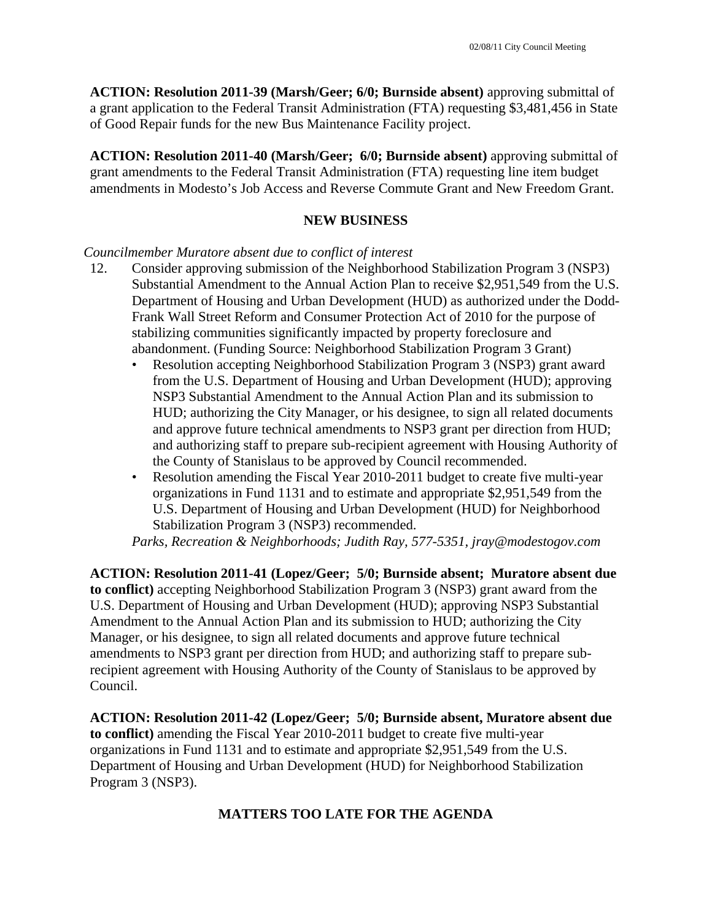**ACTION: Resolution 2011-39 (Marsh/Geer; 6/0; Burnside absent)** approving submittal of a grant application to the Federal Transit Administration (FTA) requesting \$3,481,456 in State of Good Repair funds for the new Bus Maintenance Facility project.

**ACTION: Resolution 2011-40 (Marsh/Geer; 6/0; Burnside absent)** approving submittal of grant amendments to the Federal Transit Administration (FTA) requesting line item budget amendments in Modesto's Job Access and Reverse Commute Grant and New Freedom Grant.

# **NEW BUSINESS**

# *Councilmember Muratore absent due to conflict of interest*

- 12. Consider approving submission of the Neighborhood Stabilization Program 3 (NSP3) Substantial Amendment to the Annual Action Plan to receive \$2,951,549 from the U.S. Department of Housing and Urban Development (HUD) as authorized under the Dodd-Frank Wall Street Reform and Consumer Protection Act of 2010 for the purpose of stabilizing communities significantly impacted by property foreclosure and abandonment. (Funding Source: Neighborhood Stabilization Program 3 Grant)
	- Resolution accepting Neighborhood Stabilization Program 3 (NSP3) grant award from the U.S. Department of Housing and Urban Development (HUD); approving NSP3 Substantial Amendment to the Annual Action Plan and its submission to HUD; authorizing the City Manager, or his designee, to sign all related documents and approve future technical amendments to NSP3 grant per direction from HUD; and authorizing staff to prepare sub-recipient agreement with Housing Authority of the County of Stanislaus to be approved by Council recommended.
	- Resolution amending the Fiscal Year 2010-2011 budget to create five multi-year organizations in Fund 1131 and to estimate and appropriate \$2,951,549 from the U.S. Department of Housing and Urban Development (HUD) for Neighborhood Stabilization Program 3 (NSP3) recommended.

*Parks, Recreation & Neighborhoods; Judith Ray, 577-5351, jray@modestogov.com* 

**ACTION: Resolution 2011-41 (Lopez/Geer; 5/0; Burnside absent; Muratore absent due to conflict)** accepting Neighborhood Stabilization Program 3 (NSP3) grant award from the U.S. Department of Housing and Urban Development (HUD); approving NSP3 Substantial Amendment to the Annual Action Plan and its submission to HUD; authorizing the City Manager, or his designee, to sign all related documents and approve future technical amendments to NSP3 grant per direction from HUD; and authorizing staff to prepare subrecipient agreement with Housing Authority of the County of Stanislaus to be approved by Council.

**ACTION: Resolution 2011-42 (Lopez/Geer; 5/0; Burnside absent, Muratore absent due to conflict)** amending the Fiscal Year 2010-2011 budget to create five multi-year organizations in Fund 1131 and to estimate and appropriate \$2,951,549 from the U.S. Department of Housing and Urban Development (HUD) for Neighborhood Stabilization Program 3 (NSP3).

# **MATTERS TOO LATE FOR THE AGENDA**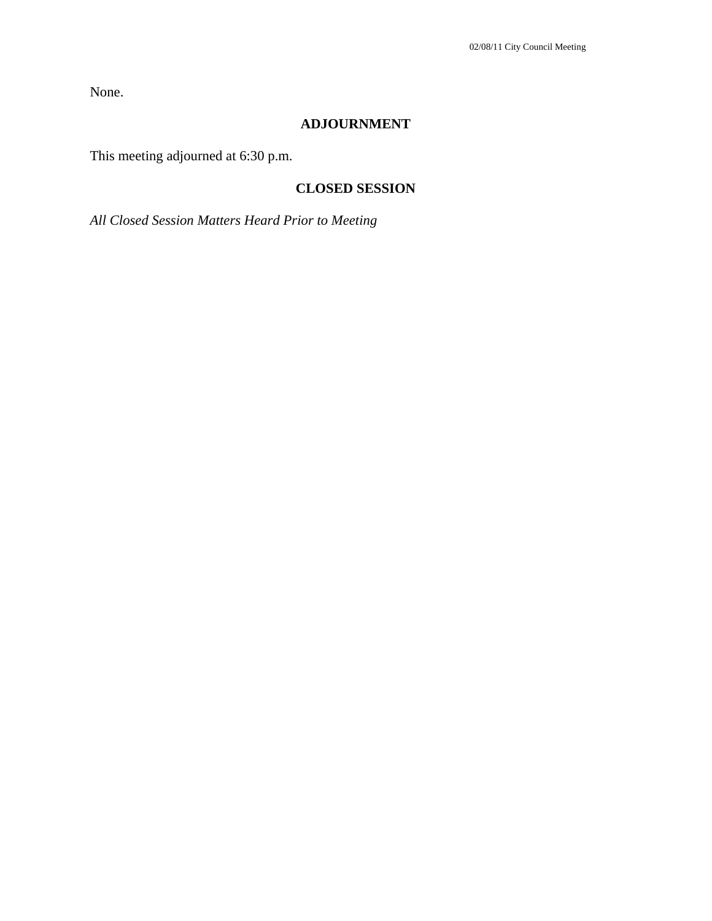None.

# **ADJOURNMENT**

This meeting adjourned at 6:30 p.m.

# **CLOSED SESSION**

*All Closed Session Matters Heard Prior to Meeting*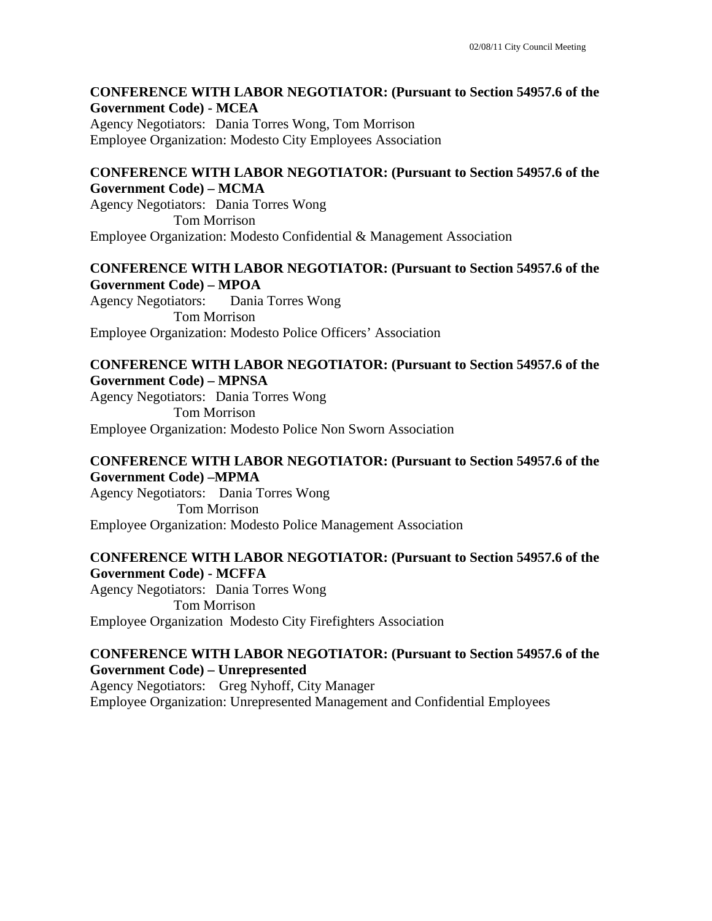#### **CONFERENCE WITH LABOR NEGOTIATOR: (Pursuant to Section 54957.6 of the Government Code) - MCEA**

Agency Negotiators: Dania Torres Wong, Tom Morrison Employee Organization: Modesto City Employees Association

## **CONFERENCE WITH LABOR NEGOTIATOR: (Pursuant to Section 54957.6 of the Government Code) – MCMA**

Agency Negotiators: Dania Torres Wong Tom Morrison Employee Organization: Modesto Confidential & Management Association

## **CONFERENCE WITH LABOR NEGOTIATOR: (Pursuant to Section 54957.6 of the Government Code) – MPOA**

Agency Negotiators: Dania Torres Wong Tom Morrison Employee Organization: Modesto Police Officers' Association

#### **CONFERENCE WITH LABOR NEGOTIATOR: (Pursuant to Section 54957.6 of the Government Code) – MPNSA**

Agency Negotiators: Dania Torres Wong Tom Morrison Employee Organization: Modesto Police Non Sworn Association

## **CONFERENCE WITH LABOR NEGOTIATOR: (Pursuant to Section 54957.6 of the Government Code) –MPMA**

Agency Negotiators: Dania Torres Wong Tom Morrison Employee Organization: Modesto Police Management Association

## **CONFERENCE WITH LABOR NEGOTIATOR: (Pursuant to Section 54957.6 of the Government Code) - MCFFA**

Agency Negotiators: Dania Torres Wong Tom Morrison Employee Organization Modesto City Firefighters Association

### **CONFERENCE WITH LABOR NEGOTIATOR: (Pursuant to Section 54957.6 of the Government Code) – Unrepresented**

Agency Negotiators: Greg Nyhoff, City Manager Employee Organization: Unrepresented Management and Confidential Employees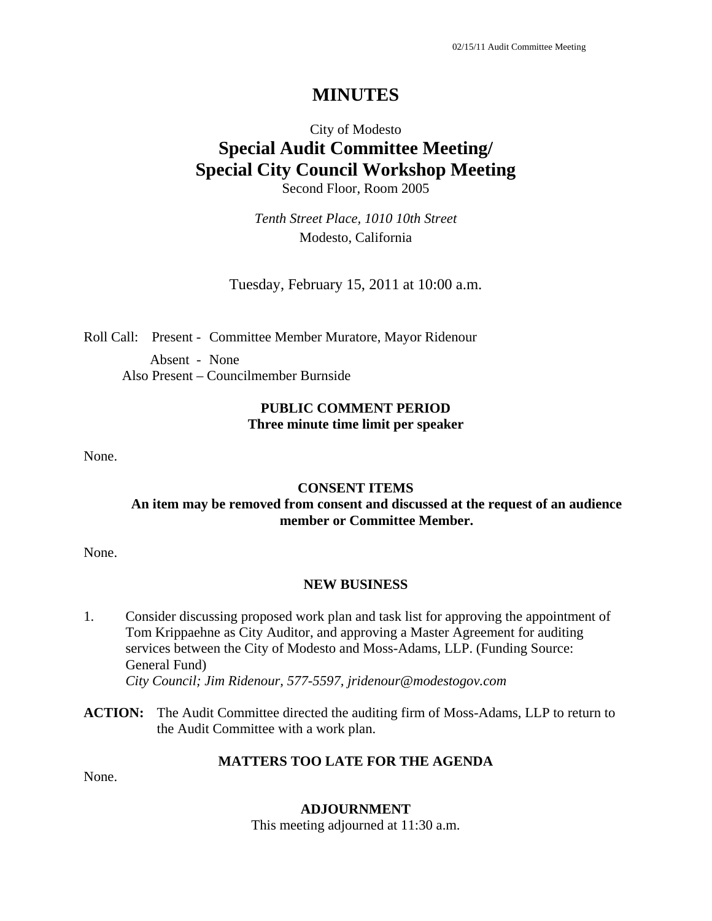# City of Modesto **Special Audit Committee Meeting/ Special City Council Workshop Meeting**  Second Floor, Room 2005

*Tenth Street Place, 1010 10th Street*  Modesto, California

Tuesday, February 15, 2011 at 10:00 a.m.

Roll Call: Present - Committee Member Muratore, Mayor Ridenour

Absent - None Also Present – Councilmember Burnside

### **PUBLIC COMMENT PERIOD Three minute time limit per speaker**

None.

#### **CONSENT ITEMS**

### **An item may be removed from consent and discussed at the request of an audience member or Committee Member.**

None.

#### **NEW BUSINESS**

- 1. Consider discussing proposed work plan and task list for approving the appointment of Tom Krippaehne as City Auditor, and approving a Master Agreement for auditing services between the City of Modesto and Moss-Adams, LLP. (Funding Source: General Fund) *City Council; Jim Ridenour, 577-5597, jridenour@modestogov.com*
- **ACTION:** The Audit Committee directed the auditing firm of Moss-Adams, LLP to return to the Audit Committee with a work plan.

### **MATTERS TOO LATE FOR THE AGENDA**

None.

#### **ADJOURNMENT**

This meeting adjourned at 11:30 a.m.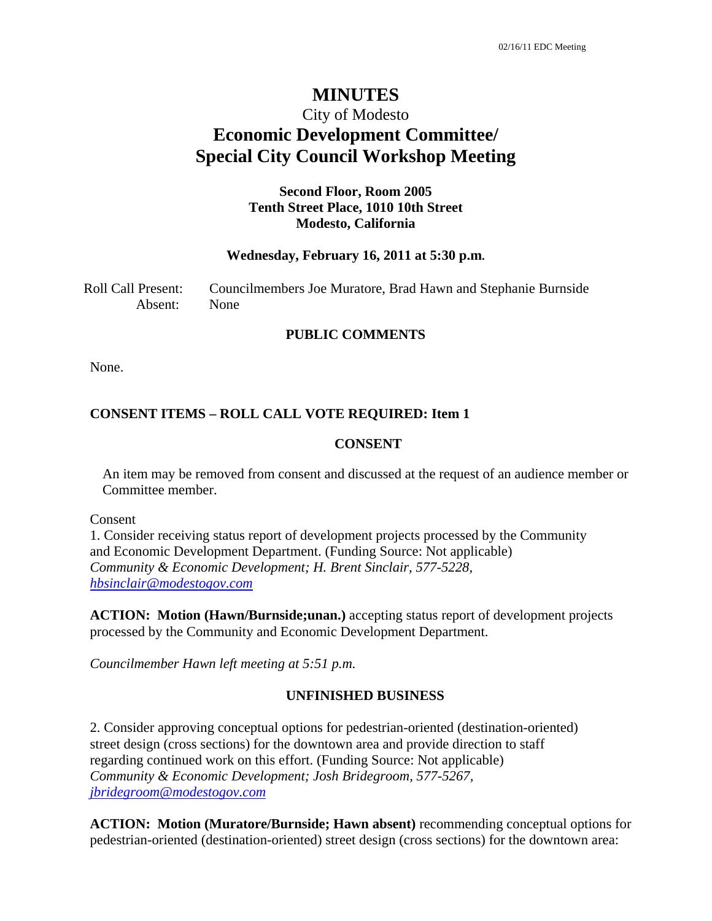# City of Modesto **Economic Development Committee/ Special City Council Workshop Meeting**

#### **Second Floor, Room 2005 Tenth Street Place, 1010 10th Street Modesto, California**

#### **Wednesday, February 16, 2011 at 5:30 p.m.**

Roll Call Present: Councilmembers Joe Muratore, Brad Hawn and Stephanie Burnside Absent: None

#### **PUBLIC COMMENTS**

None.

#### **CONSENT ITEMS – ROLL CALL VOTE REQUIRED: Item 1**

#### **CONSENT**

An item may be removed from consent and discussed at the request of an audience member or Committee member.

Consent

1. Consider receiving status report of development projects processed by the Community and Economic Development Department. (Funding Source: Not applicable) *Community & Economic Development; H. Brent Sinclair, 577-5228, hbsinclair@modestogov.com*

**ACTION: Motion (Hawn/Burnside;unan.)** accepting status report of development projects processed by the Community and Economic Development Department.

*Councilmember Hawn left meeting at 5:51 p.m.* 

#### **UNFINISHED BUSINESS**

2. Consider approving conceptual options for pedestrian-oriented (destination-oriented) street design (cross sections) for the downtown area and provide direction to staff regarding continued work on this effort. (Funding Source: Not applicable) *Community & Economic Development; Josh Bridegroom, 577-5267, jbridegroom@modestogov.com*

**ACTION: Motion (Muratore/Burnside; Hawn absent)** recommending conceptual options for pedestrian-oriented (destination-oriented) street design (cross sections) for the downtown area: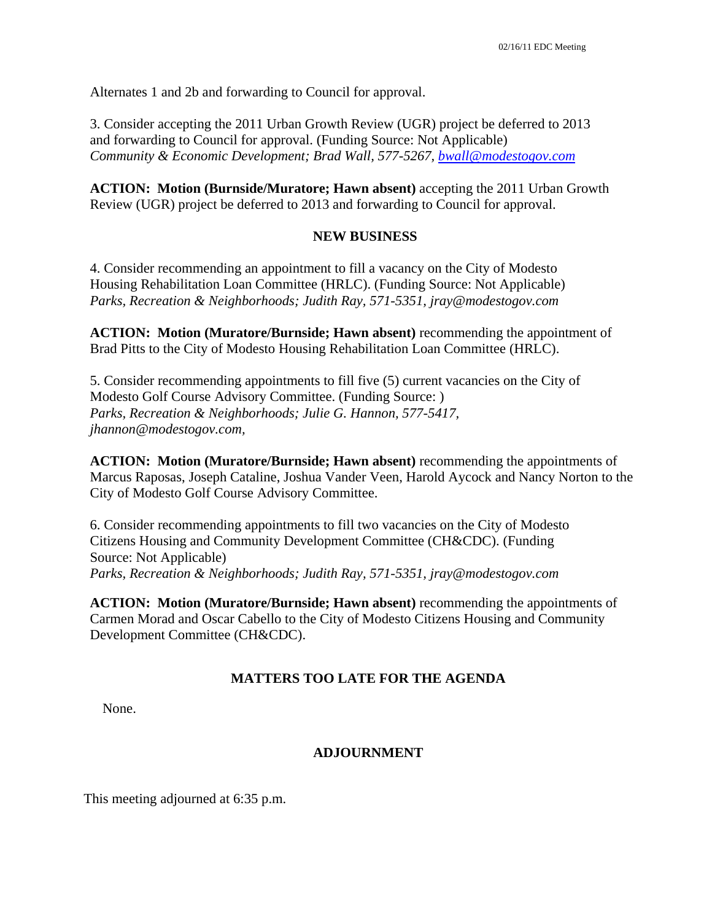Alternates 1 and 2b and forwarding to Council for approval.

3. Consider accepting the 2011 Urban Growth Review (UGR) project be deferred to 2013 and forwarding to Council for approval. (Funding Source: Not Applicable) *Community & Economic Development; Brad Wall, 577-5267, bwall@modestogov.com*

**ACTION: Motion (Burnside/Muratore; Hawn absent)** accepting the 2011 Urban Growth Review (UGR) project be deferred to 2013 and forwarding to Council for approval.

### **NEW BUSINESS**

4. Consider recommending an appointment to fill a vacancy on the City of Modesto Housing Rehabilitation Loan Committee (HRLC). (Funding Source: Not Applicable) *Parks, Recreation & Neighborhoods; Judith Ray, 571-5351, jray@modestogov.com* 

**ACTION: Motion (Muratore/Burnside; Hawn absent)** recommending the appointment of Brad Pitts to the City of Modesto Housing Rehabilitation Loan Committee (HRLC).

5. Consider recommending appointments to fill five (5) current vacancies on the City of Modesto Golf Course Advisory Committee. (Funding Source: ) *Parks, Recreation & Neighborhoods; Julie G. Hannon, 577-5417, jhannon@modestogov.com,* 

**ACTION: Motion (Muratore/Burnside; Hawn absent)** recommending the appointments of Marcus Raposas, Joseph Cataline, Joshua Vander Veen, Harold Aycock and Nancy Norton to the City of Modesto Golf Course Advisory Committee.

6. Consider recommending appointments to fill two vacancies on the City of Modesto Citizens Housing and Community Development Committee (CH&CDC). (Funding Source: Not Applicable) *Parks, Recreation & Neighborhoods; Judith Ray, 571-5351, jray@modestogov.com*

**ACTION: Motion (Muratore/Burnside; Hawn absent)** recommending the appointments of Carmen Morad and Oscar Cabello to the City of Modesto Citizens Housing and Community Development Committee (CH&CDC).

### **MATTERS TOO LATE FOR THE AGENDA**

None.

### **ADJOURNMENT**

This meeting adjourned at 6:35 p.m.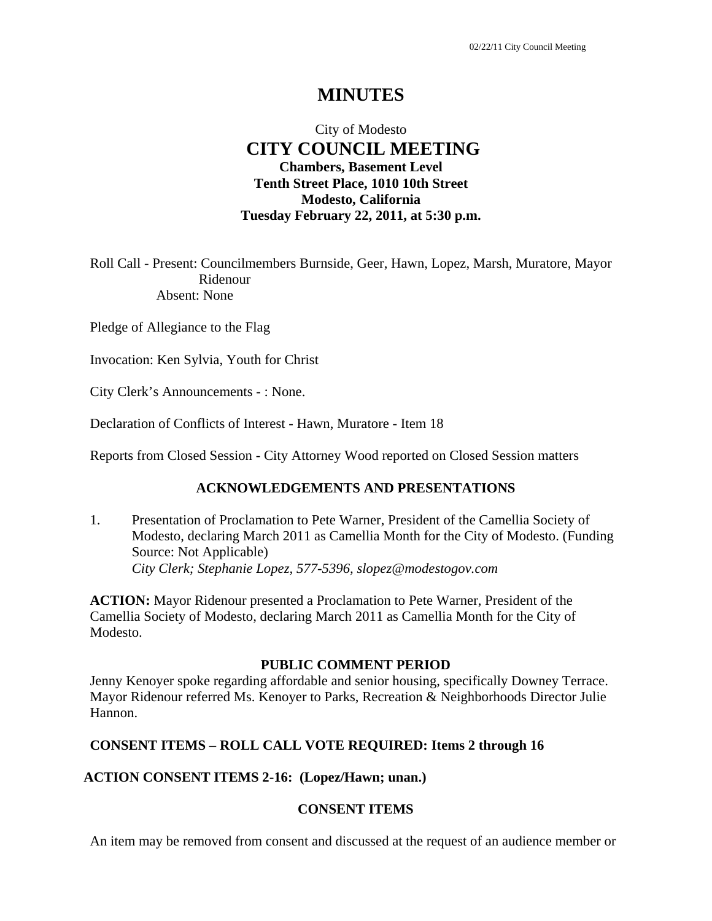### City of Modesto  **CITY COUNCIL MEETING Chambers, Basement Level Tenth Street Place, 1010 10th Street Modesto, California Tuesday February 22, 2011, at 5:30 p.m.**

Roll Call - Present: Councilmembers Burnside, Geer, Hawn, Lopez, Marsh, Muratore, Mayor Ridenour Absent: None

Pledge of Allegiance to the Flag

Invocation: Ken Sylvia, Youth for Christ

City Clerk's Announcements - : None.

Declaration of Conflicts of Interest - Hawn, Muratore - Item 18

Reports from Closed Session - City Attorney Wood reported on Closed Session matters

### **ACKNOWLEDGEMENTS AND PRESENTATIONS**

1. Presentation of Proclamation to Pete Warner, President of the Camellia Society of Modesto, declaring March 2011 as Camellia Month for the City of Modesto. (Funding Source: Not Applicable)  *City Clerk; Stephanie Lopez, 577-5396, slopez@modestogov.com* 

**ACTION:** Mayor Ridenour presented a Proclamation to Pete Warner, President of the Camellia Society of Modesto, declaring March 2011 as Camellia Month for the City of Modesto.

#### **PUBLIC COMMENT PERIOD**

Jenny Kenoyer spoke regarding affordable and senior housing, specifically Downey Terrace. Mayor Ridenour referred Ms. Kenoyer to Parks, Recreation & Neighborhoods Director Julie Hannon.

#### **CONSENT ITEMS – ROLL CALL VOTE REQUIRED: Items 2 through 16**

#### **ACTION CONSENT ITEMS 2-16: (Lopez/Hawn; unan.)**

#### **CONSENT ITEMS**

An item may be removed from consent and discussed at the request of an audience member or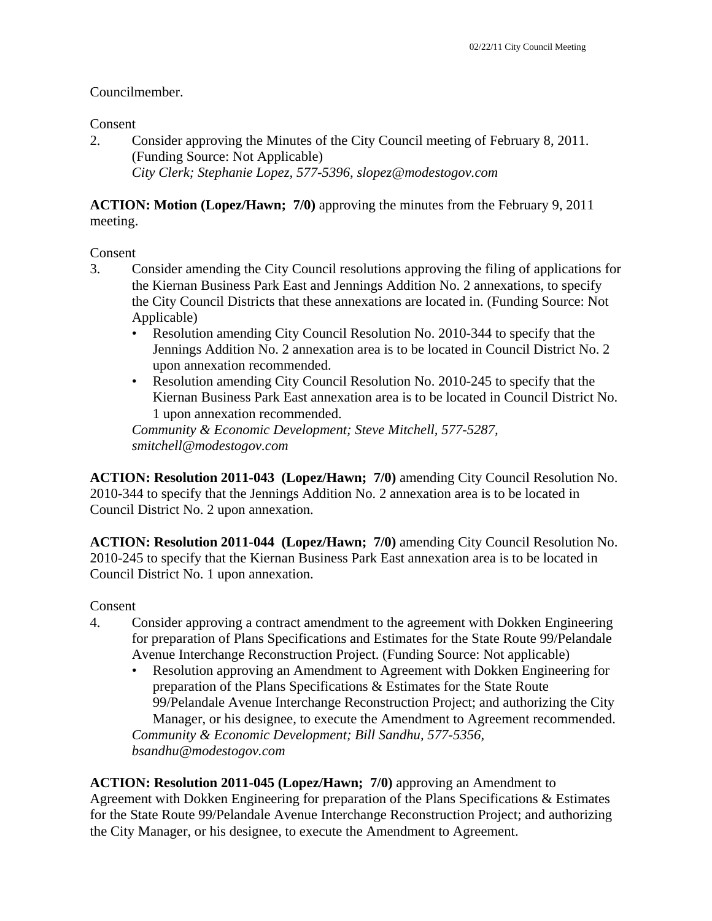#### Councilmember.

#### Consent

2. Consider approving the Minutes of the City Council meeting of February 8, 2011. (Funding Source: Not Applicable)  *City Clerk; Stephanie Lopez, 577-5396, slopez@modestogov.com* 

**ACTION: Motion (Lopez/Hawn; 7/0)** approving the minutes from the February 9, 2011 meeting.

#### Consent

- 3. Consider amending the City Council resolutions approving the filing of applications for the Kiernan Business Park East and Jennings Addition No. 2 annexations, to specify the City Council Districts that these annexations are located in. (Funding Source: Not Applicable)
	- Resolution amending City Council Resolution No. 2010-344 to specify that the Jennings Addition No. 2 annexation area is to be located in Council District No. 2 upon annexation recommended.
	- Resolution amending City Council Resolution No. 2010-245 to specify that the Kiernan Business Park East annexation area is to be located in Council District No. 1 upon annexation recommended.

*Community & Economic Development; Steve Mitchell, 577-5287, smitchell@modestogov.com* 

**ACTION: Resolution 2011-043 (Lopez/Hawn; 7/0)** amending City Council Resolution No. 2010-344 to specify that the Jennings Addition No. 2 annexation area is to be located in Council District No. 2 upon annexation.

**ACTION: Resolution 2011-044 (Lopez/Hawn; 7/0)** amending City Council Resolution No. 2010-245 to specify that the Kiernan Business Park East annexation area is to be located in Council District No. 1 upon annexation.

#### Consent

- 4. Consider approving a contract amendment to the agreement with Dokken Engineering for preparation of Plans Specifications and Estimates for the State Route 99/Pelandale Avenue Interchange Reconstruction Project. (Funding Source: Not applicable)
	- Resolution approving an Amendment to Agreement with Dokken Engineering for preparation of the Plans Specifications & Estimates for the State Route 99/Pelandale Avenue Interchange Reconstruction Project; and authorizing the City Manager, or his designee, to execute the Amendment to Agreement recommended. *Community & Economic Development; Bill Sandhu, 577-5356, bsandhu@modestogov.com*

**ACTION: Resolution 2011-045 (Lopez/Hawn; 7/0)** approving an Amendment to Agreement with Dokken Engineering for preparation of the Plans Specifications & Estimates for the State Route 99/Pelandale Avenue Interchange Reconstruction Project; and authorizing the City Manager, or his designee, to execute the Amendment to Agreement.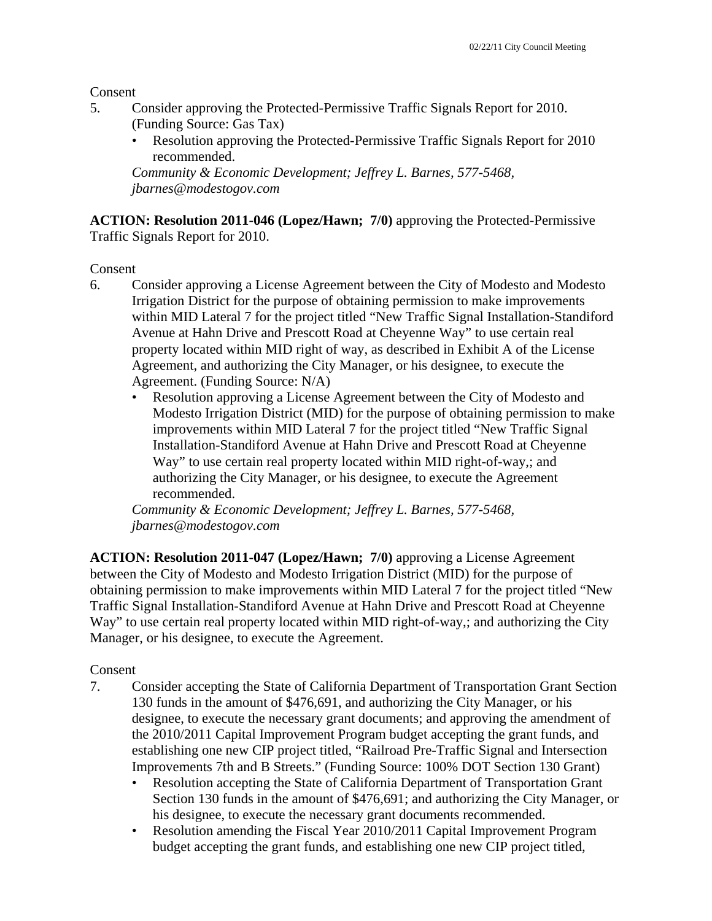Consent

- 5. Consider approving the Protected-Permissive Traffic Signals Report for 2010. (Funding Source: Gas Tax)
	- Resolution approving the Protected-Permissive Traffic Signals Report for 2010 recommended.

*Community & Economic Development; Jeffrey L. Barnes, 577-5468, jbarnes@modestogov.com* 

**ACTION: Resolution 2011-046 (Lopez/Hawn; 7/0)** approving the Protected-Permissive Traffic Signals Report for 2010.

Consent

- 6. Consider approving a License Agreement between the City of Modesto and Modesto Irrigation District for the purpose of obtaining permission to make improvements within MID Lateral 7 for the project titled "New Traffic Signal Installation-Standiford Avenue at Hahn Drive and Prescott Road at Cheyenne Way" to use certain real property located within MID right of way, as described in Exhibit A of the License Agreement, and authorizing the City Manager, or his designee, to execute the Agreement. (Funding Source: N/A)
	- Resolution approving a License Agreement between the City of Modesto and Modesto Irrigation District (MID) for the purpose of obtaining permission to make improvements within MID Lateral 7 for the project titled "New Traffic Signal Installation-Standiford Avenue at Hahn Drive and Prescott Road at Cheyenne Way" to use certain real property located within MID right-of-way,; and authorizing the City Manager, or his designee, to execute the Agreement recommended.

*Community & Economic Development; Jeffrey L. Barnes, 577-5468, jbarnes@modestogov.com* 

**ACTION: Resolution 2011-047 (Lopez/Hawn; 7/0)** approving a License Agreement between the City of Modesto and Modesto Irrigation District (MID) for the purpose of obtaining permission to make improvements within MID Lateral 7 for the project titled "New Traffic Signal Installation-Standiford Avenue at Hahn Drive and Prescott Road at Cheyenne Way" to use certain real property located within MID right-of-way,; and authorizing the City Manager, or his designee, to execute the Agreement.

### Consent

- 7. Consider accepting the State of California Department of Transportation Grant Section 130 funds in the amount of \$476,691, and authorizing the City Manager, or his designee, to execute the necessary grant documents; and approving the amendment of the 2010/2011 Capital Improvement Program budget accepting the grant funds, and establishing one new CIP project titled, "Railroad Pre-Traffic Signal and Intersection Improvements 7th and B Streets." (Funding Source: 100% DOT Section 130 Grant)
	- Resolution accepting the State of California Department of Transportation Grant Section 130 funds in the amount of \$476,691; and authorizing the City Manager, or his designee, to execute the necessary grant documents recommended.
	- Resolution amending the Fiscal Year 2010/2011 Capital Improvement Program budget accepting the grant funds, and establishing one new CIP project titled,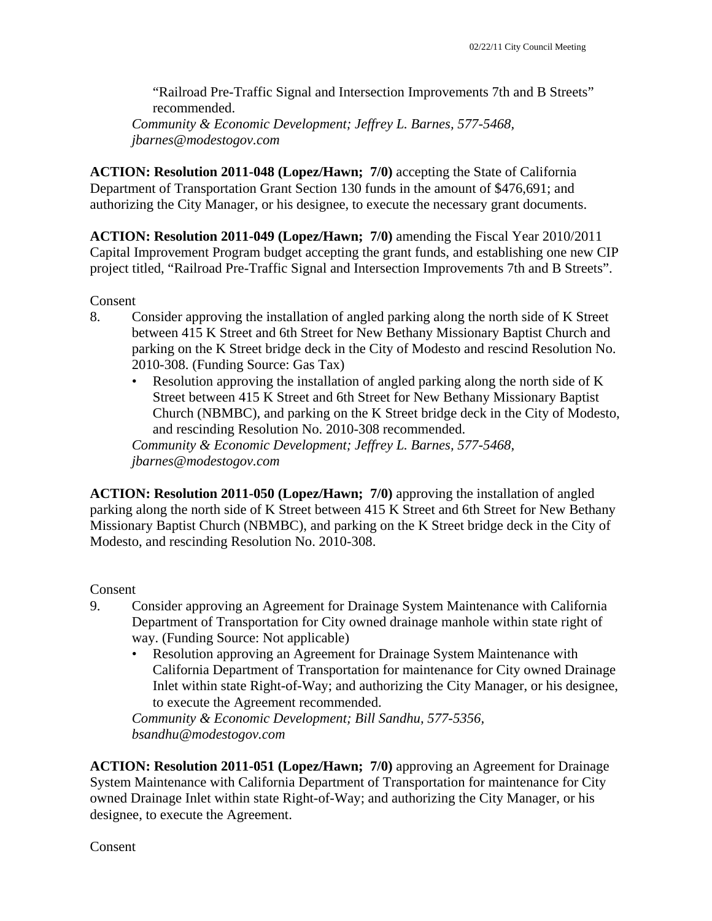"Railroad Pre-Traffic Signal and Intersection Improvements 7th and B Streets" recommended.

*Community & Economic Development; Jeffrey L. Barnes, 577-5468, jbarnes@modestogov.com* 

**ACTION: Resolution 2011-048 (Lopez/Hawn; 7/0)** accepting the State of California Department of Transportation Grant Section 130 funds in the amount of \$476,691; and authorizing the City Manager, or his designee, to execute the necessary grant documents.

**ACTION: Resolution 2011-049 (Lopez/Hawn; 7/0)** amending the Fiscal Year 2010/2011 Capital Improvement Program budget accepting the grant funds, and establishing one new CIP project titled, "Railroad Pre-Traffic Signal and Intersection Improvements 7th and B Streets".

Consent

- 8. Consider approving the installation of angled parking along the north side of K Street between 415 K Street and 6th Street for New Bethany Missionary Baptist Church and parking on the K Street bridge deck in the City of Modesto and rescind Resolution No. 2010-308. (Funding Source: Gas Tax)
	- Resolution approving the installation of angled parking along the north side of K Street between 415 K Street and 6th Street for New Bethany Missionary Baptist Church (NBMBC), and parking on the K Street bridge deck in the City of Modesto, and rescinding Resolution No. 2010-308 recommended.

*Community & Economic Development; Jeffrey L. Barnes, 577-5468, jbarnes@modestogov.com* 

**ACTION: Resolution 2011-050 (Lopez/Hawn; 7/0)** approving the installation of angled parking along the north side of K Street between 415 K Street and 6th Street for New Bethany Missionary Baptist Church (NBMBC), and parking on the K Street bridge deck in the City of Modesto, and rescinding Resolution No. 2010-308.

Consent

- 9. Consider approving an Agreement for Drainage System Maintenance with California Department of Transportation for City owned drainage manhole within state right of way. (Funding Source: Not applicable)
	- Resolution approving an Agreement for Drainage System Maintenance with California Department of Transportation for maintenance for City owned Drainage Inlet within state Right-of-Way; and authorizing the City Manager, or his designee, to execute the Agreement recommended.

*Community & Economic Development; Bill Sandhu, 577-5356, bsandhu@modestogov.com* 

**ACTION: Resolution 2011-051 (Lopez/Hawn; 7/0)** approving an Agreement for Drainage System Maintenance with California Department of Transportation for maintenance for City owned Drainage Inlet within state Right-of-Way; and authorizing the City Manager, or his designee, to execute the Agreement.

Consent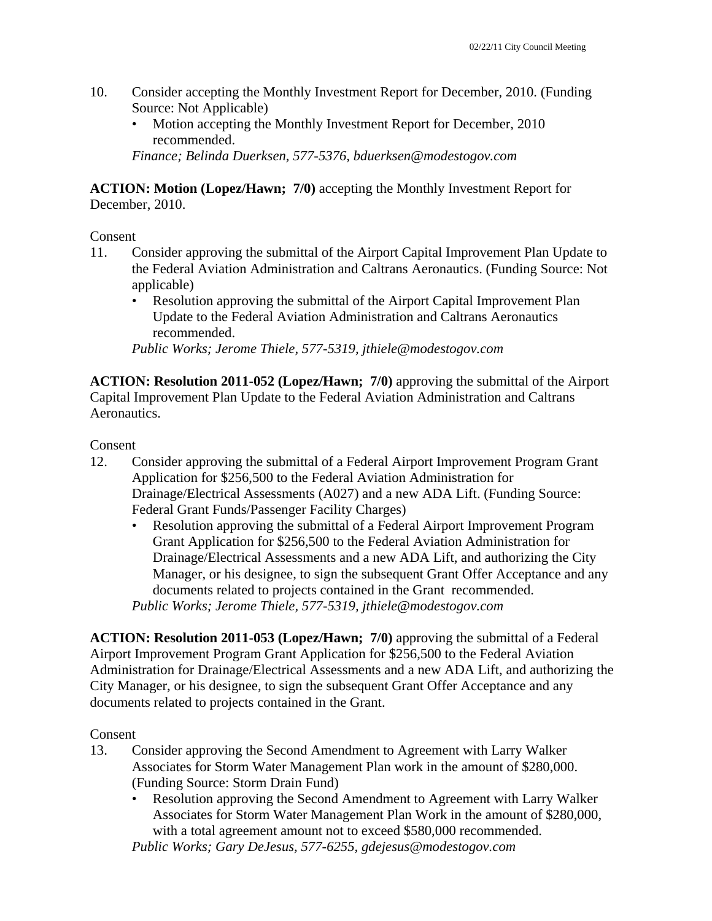- 10. Consider accepting the Monthly Investment Report for December, 2010. (Funding Source: Not Applicable)
	- Motion accepting the Monthly Investment Report for December, 2010 recommended.

*Finance; Belinda Duerksen, 577-5376, bduerksen@modestogov.com* 

**ACTION: Motion (Lopez/Hawn; 7/0)** accepting the Monthly Investment Report for December, 2010.

#### Consent

- 11. Consider approving the submittal of the Airport Capital Improvement Plan Update to the Federal Aviation Administration and Caltrans Aeronautics. (Funding Source: Not applicable)
	- Resolution approving the submittal of the Airport Capital Improvement Plan Update to the Federal Aviation Administration and Caltrans Aeronautics recommended.

*Public Works; Jerome Thiele, 577-5319, jthiele@modestogov.com* 

**ACTION: Resolution 2011-052 (Lopez/Hawn; 7/0)** approving the submittal of the Airport Capital Improvement Plan Update to the Federal Aviation Administration and Caltrans Aeronautics.

#### Consent

- 12. Consider approving the submittal of a Federal Airport Improvement Program Grant Application for \$256,500 to the Federal Aviation Administration for Drainage/Electrical Assessments (A027) and a new ADA Lift. (Funding Source: Federal Grant Funds/Passenger Facility Charges)
	- Resolution approving the submittal of a Federal Airport Improvement Program Grant Application for \$256,500 to the Federal Aviation Administration for Drainage/Electrical Assessments and a new ADA Lift, and authorizing the City Manager, or his designee, to sign the subsequent Grant Offer Acceptance and any documents related to projects contained in the Grant recommended. *Public Works; Jerome Thiele, 577-5319, jthiele@modestogov.com*

**ACTION: Resolution 2011-053 (Lopez/Hawn; 7/0)** approving the submittal of a Federal Airport Improvement Program Grant Application for \$256,500 to the Federal Aviation Administration for Drainage/Electrical Assessments and a new ADA Lift, and authorizing the City Manager, or his designee, to sign the subsequent Grant Offer Acceptance and any documents related to projects contained in the Grant.

#### Consent

- 13. Consider approving the Second Amendment to Agreement with Larry Walker Associates for Storm Water Management Plan work in the amount of \$280,000. (Funding Source: Storm Drain Fund)
	- Resolution approving the Second Amendment to Agreement with Larry Walker Associates for Storm Water Management Plan Work in the amount of \$280,000, with a total agreement amount not to exceed \$580,000 recommended.

*Public Works; Gary DeJesus, 577-6255, gdejesus@modestogov.com*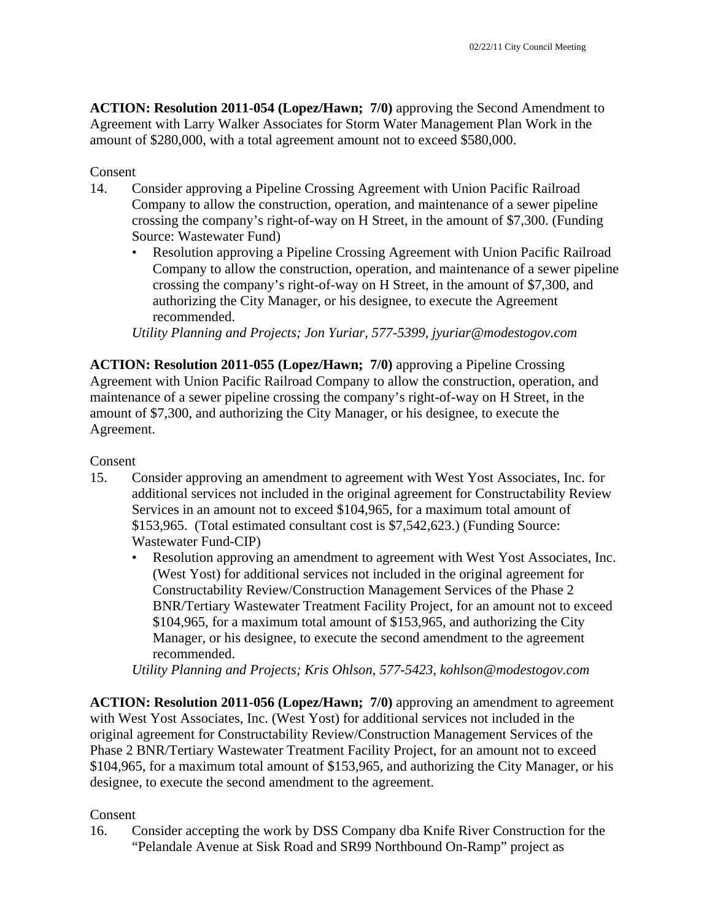**ACTION: Resolution 2011-054 (Lopez/Hawn; 7/0)** approving the Second Amendment to Agreement with Larry Walker Associates for Storm Water Management Plan Work in the amount of \$280,000, with a total agreement amount not to exceed \$580,000.

#### Consent

- 14. Consider approving a Pipeline Crossing Agreement with Union Pacific Railroad Company to allow the construction, operation, and maintenance of a sewer pipeline crossing the company's right-of-way on H Street, in the amount of \$7,300. (Funding Source: Wastewater Fund)
	- Resolution approving a Pipeline Crossing Agreement with Union Pacific Railroad Company to allow the construction, operation, and maintenance of a sewer pipeline crossing the company's right-of-way on H Street, in the amount of \$7,300, and authorizing the City Manager, or his designee, to execute the Agreement recommended.

*Utility Planning and Projects; Jon Yuriar, 577-5399, jyuriar@modestogov.com* 

**ACTION: Resolution 2011-055 (Lopez/Hawn; 7/0)** approving a Pipeline Crossing Agreement with Union Pacific Railroad Company to allow the construction, operation, and maintenance of a sewer pipeline crossing the company's right-of-way on H Street, in the amount of \$7,300, and authorizing the City Manager, or his designee, to execute the Agreement.

#### Consent

- 15. Consider approving an amendment to agreement with West Yost Associates, Inc. for additional services not included in the original agreement for Constructability Review Services in an amount not to exceed \$104,965, for a maximum total amount of \$153,965. (Total estimated consultant cost is \$7,542,623.) (Funding Source: Wastewater Fund-CIP)
	- Resolution approving an amendment to agreement with West Yost Associates, Inc. (West Yost) for additional services not included in the original agreement for Constructability Review/Construction Management Services of the Phase 2 BNR/Tertiary Wastewater Treatment Facility Project, for an amount not to exceed \$104,965, for a maximum total amount of \$153,965, and authorizing the City Manager, or his designee, to execute the second amendment to the agreement recommended.

*Utility Planning and Projects; Kris Ohlson, 577-5423, kohlson@modestogov.com* 

**ACTION: Resolution 2011-056 (Lopez/Hawn; 7/0)** approving an amendment to agreement with West Yost Associates, Inc. (West Yost) for additional services not included in the original agreement for Constructability Review/Construction Management Services of the Phase 2 BNR/Tertiary Wastewater Treatment Facility Project, for an amount not to exceed \$104,965, for a maximum total amount of \$153,965, and authorizing the City Manager, or his designee, to execute the second amendment to the agreement.

#### Consent

16. Consider accepting the work by DSS Company dba Knife River Construction for the "Pelandale Avenue at Sisk Road and SR99 Northbound On-Ramp" project as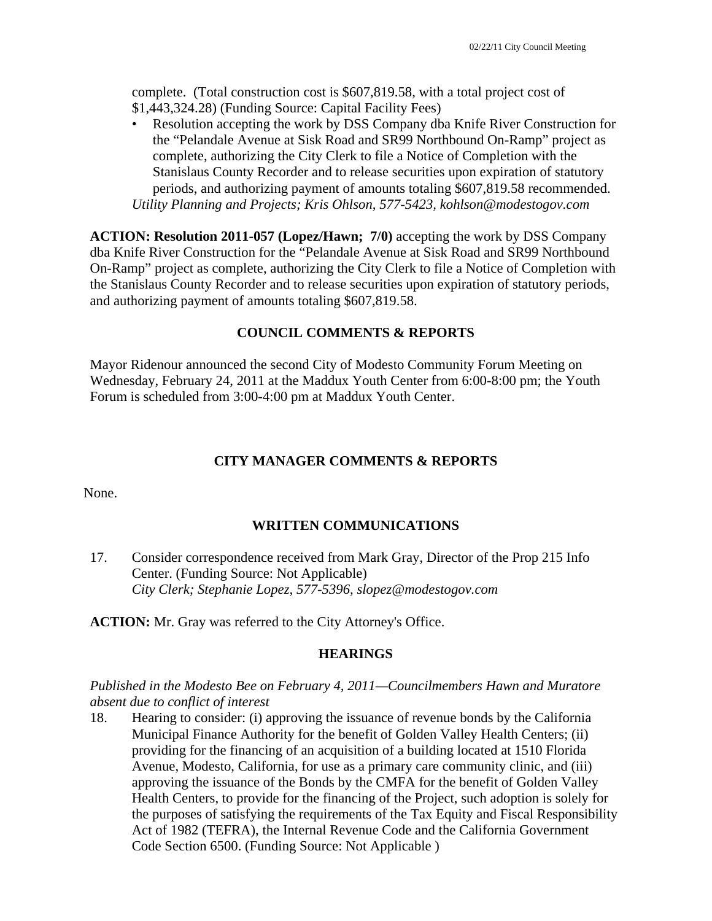complete. (Total construction cost is \$607,819.58, with a total project cost of \$1,443,324.28) (Funding Source: Capital Facility Fees)

• Resolution accepting the work by DSS Company dba Knife River Construction for the "Pelandale Avenue at Sisk Road and SR99 Northbound On-Ramp" project as complete, authorizing the City Clerk to file a Notice of Completion with the Stanislaus County Recorder and to release securities upon expiration of statutory periods, and authorizing payment of amounts totaling \$607,819.58 recommended. *Utility Planning and Projects; Kris Ohlson, 577-5423, kohlson@modestogov.com* 

**ACTION: Resolution 2011-057 (Lopez/Hawn; 7/0)** accepting the work by DSS Company dba Knife River Construction for the "Pelandale Avenue at Sisk Road and SR99 Northbound On-Ramp" project as complete, authorizing the City Clerk to file a Notice of Completion with the Stanislaus County Recorder and to release securities upon expiration of statutory periods, and authorizing payment of amounts totaling \$607,819.58.

#### **COUNCIL COMMENTS & REPORTS**

Mayor Ridenour announced the second City of Modesto Community Forum Meeting on Wednesday, February 24, 2011 at the Maddux Youth Center from 6:00-8:00 pm; the Youth Forum is scheduled from 3:00-4:00 pm at Maddux Youth Center.

#### **CITY MANAGER COMMENTS & REPORTS**

None.

#### **WRITTEN COMMUNICATIONS**

17. Consider correspondence received from Mark Gray, Director of the Prop 215 Info Center. (Funding Source: Not Applicable)  *City Clerk; Stephanie Lopez, 577-5396, slopez@modestogov.com* 

**ACTION:** Mr. Gray was referred to the City Attorney's Office.

#### **HEARINGS**

#### *Published in the Modesto Bee on February 4, 2011—Councilmembers Hawn and Muratore absent due to conflict of interest*

18. Hearing to consider: (i) approving the issuance of revenue bonds by the California Municipal Finance Authority for the benefit of Golden Valley Health Centers; (ii) providing for the financing of an acquisition of a building located at 1510 Florida Avenue, Modesto, California, for use as a primary care community clinic, and (iii) approving the issuance of the Bonds by the CMFA for the benefit of Golden Valley Health Centers, to provide for the financing of the Project, such adoption is solely for the purposes of satisfying the requirements of the Tax Equity and Fiscal Responsibility Act of 1982 (TEFRA), the Internal Revenue Code and the California Government Code Section 6500. (Funding Source: Not Applicable )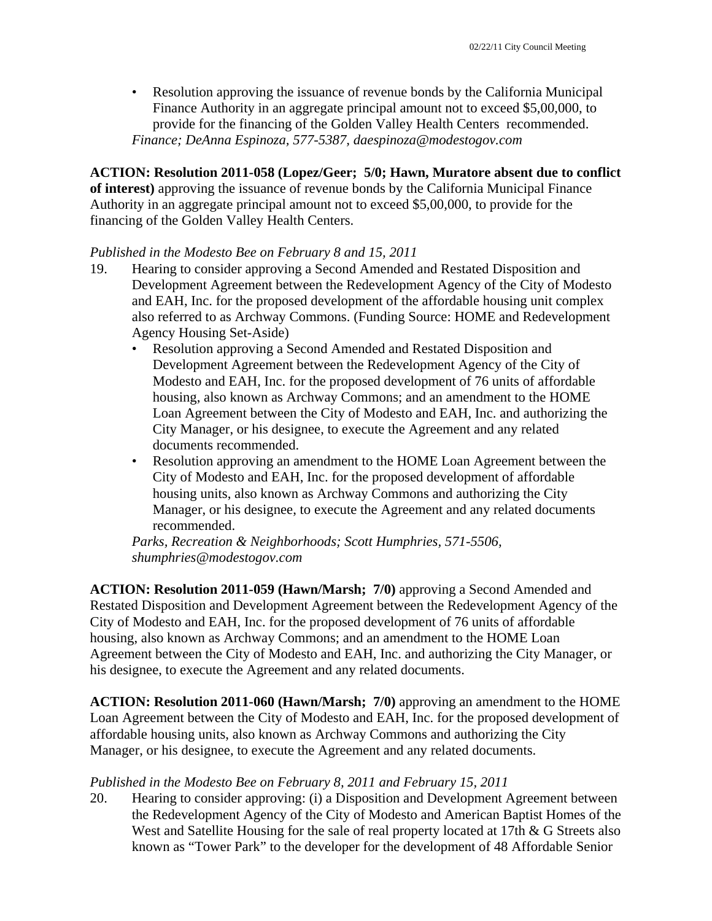• Resolution approving the issuance of revenue bonds by the California Municipal Finance Authority in an aggregate principal amount not to exceed \$5,00,000, to provide for the financing of the Golden Valley Health Centers recommended. *Finance; DeAnna Espinoza, 577-5387, daespinoza@modestogov.com* 

**ACTION: Resolution 2011-058 (Lopez/Geer; 5/0; Hawn, Muratore absent due to conflict of interest)** approving the issuance of revenue bonds by the California Municipal Finance Authority in an aggregate principal amount not to exceed \$5,00,000, to provide for the financing of the Golden Valley Health Centers.

#### *Published in the Modesto Bee on February 8 and 15, 2011*

- 19. Hearing to consider approving a Second Amended and Restated Disposition and Development Agreement between the Redevelopment Agency of the City of Modesto and EAH, Inc. for the proposed development of the affordable housing unit complex also referred to as Archway Commons. (Funding Source: HOME and Redevelopment Agency Housing Set-Aside)
	- Resolution approving a Second Amended and Restated Disposition and Development Agreement between the Redevelopment Agency of the City of Modesto and EAH, Inc. for the proposed development of 76 units of affordable housing, also known as Archway Commons; and an amendment to the HOME Loan Agreement between the City of Modesto and EAH, Inc. and authorizing the City Manager, or his designee, to execute the Agreement and any related documents recommended.
	- Resolution approving an amendment to the HOME Loan Agreement between the City of Modesto and EAH, Inc. for the proposed development of affordable housing units, also known as Archway Commons and authorizing the City Manager, or his designee, to execute the Agreement and any related documents recommended.

*Parks, Recreation & Neighborhoods; Scott Humphries, 571-5506, shumphries@modestogov.com* 

**ACTION: Resolution 2011-059 (Hawn/Marsh; 7/0)** approving a Second Amended and Restated Disposition and Development Agreement between the Redevelopment Agency of the City of Modesto and EAH, Inc. for the proposed development of 76 units of affordable housing, also known as Archway Commons; and an amendment to the HOME Loan Agreement between the City of Modesto and EAH, Inc. and authorizing the City Manager, or his designee, to execute the Agreement and any related documents.

**ACTION: Resolution 2011-060 (Hawn/Marsh; 7/0)** approving an amendment to the HOME Loan Agreement between the City of Modesto and EAH, Inc. for the proposed development of affordable housing units, also known as Archway Commons and authorizing the City Manager, or his designee, to execute the Agreement and any related documents.

### *Published in the Modesto Bee on February 8, 2011 and February 15, 2011*

20. Hearing to consider approving: (i) a Disposition and Development Agreement between the Redevelopment Agency of the City of Modesto and American Baptist Homes of the West and Satellite Housing for the sale of real property located at 17th & G Streets also known as "Tower Park" to the developer for the development of 48 Affordable Senior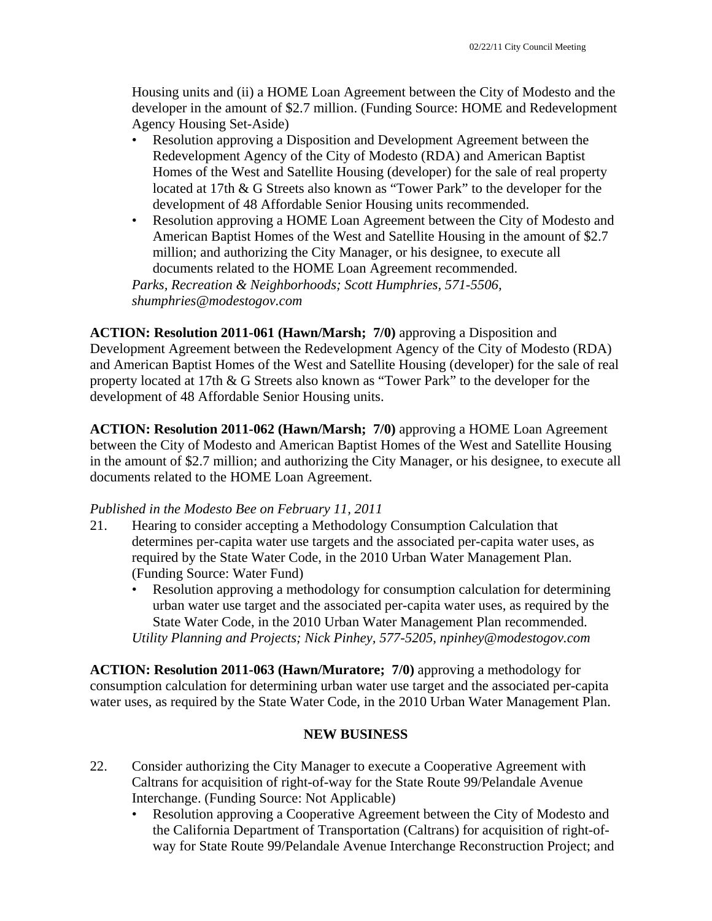Housing units and (ii) a HOME Loan Agreement between the City of Modesto and the developer in the amount of \$2.7 million. (Funding Source: HOME and Redevelopment Agency Housing Set-Aside)

- Resolution approving a Disposition and Development Agreement between the Redevelopment Agency of the City of Modesto (RDA) and American Baptist Homes of the West and Satellite Housing (developer) for the sale of real property located at 17th & G Streets also known as "Tower Park" to the developer for the development of 48 Affordable Senior Housing units recommended.
- Resolution approving a HOME Loan Agreement between the City of Modesto and American Baptist Homes of the West and Satellite Housing in the amount of \$2.7 million; and authorizing the City Manager, or his designee, to execute all documents related to the HOME Loan Agreement recommended.

*Parks, Recreation & Neighborhoods; Scott Humphries, 571-5506, shumphries@modestogov.com* 

**ACTION: Resolution 2011-061 (Hawn/Marsh; 7/0)** approving a Disposition and Development Agreement between the Redevelopment Agency of the City of Modesto (RDA) and American Baptist Homes of the West and Satellite Housing (developer) for the sale of real property located at 17th & G Streets also known as "Tower Park" to the developer for the development of 48 Affordable Senior Housing units.

**ACTION: Resolution 2011-062 (Hawn/Marsh; 7/0)** approving a HOME Loan Agreement between the City of Modesto and American Baptist Homes of the West and Satellite Housing in the amount of \$2.7 million; and authorizing the City Manager, or his designee, to execute all documents related to the HOME Loan Agreement.

### *Published in the Modesto Bee on February 11, 2011*

- 21. Hearing to consider accepting a Methodology Consumption Calculation that determines per-capita water use targets and the associated per-capita water uses, as required by the State Water Code, in the 2010 Urban Water Management Plan. (Funding Source: Water Fund)
	- Resolution approving a methodology for consumption calculation for determining urban water use target and the associated per-capita water uses, as required by the State Water Code, in the 2010 Urban Water Management Plan recommended. *Utility Planning and Projects; Nick Pinhey, 577-5205, npinhey@modestogov.com*

**ACTION: Resolution 2011-063 (Hawn/Muratore; 7/0)** approving a methodology for consumption calculation for determining urban water use target and the associated per-capita water uses, as required by the State Water Code, in the 2010 Urban Water Management Plan.

### **NEW BUSINESS**

- 22. Consider authorizing the City Manager to execute a Cooperative Agreement with Caltrans for acquisition of right-of-way for the State Route 99/Pelandale Avenue Interchange. (Funding Source: Not Applicable)
	- Resolution approving a Cooperative Agreement between the City of Modesto and the California Department of Transportation (Caltrans) for acquisition of right-ofway for State Route 99/Pelandale Avenue Interchange Reconstruction Project; and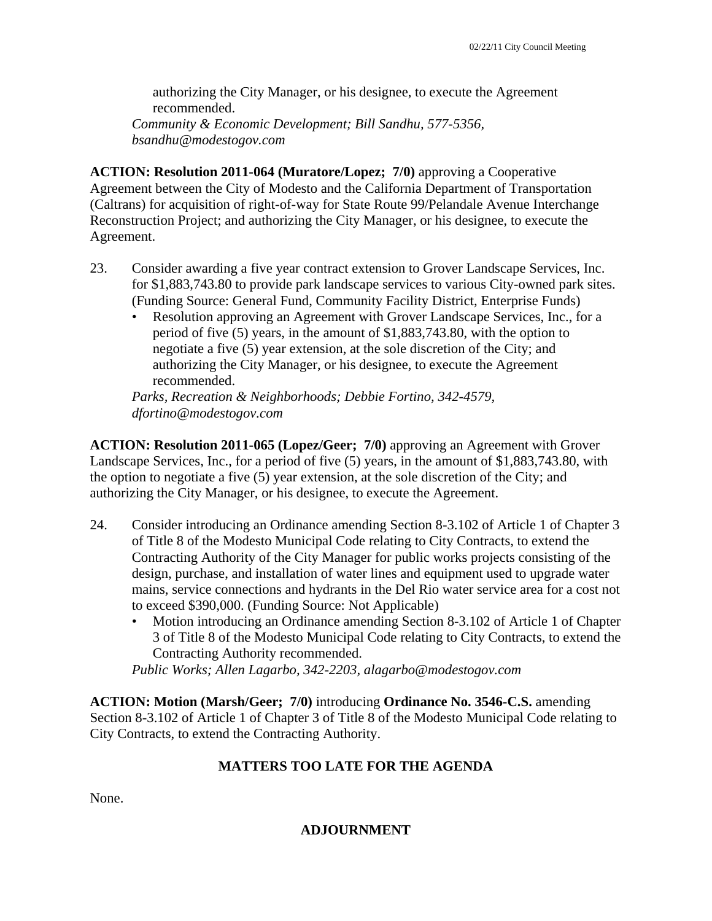authorizing the City Manager, or his designee, to execute the Agreement recommended.

*Community & Economic Development; Bill Sandhu, 577-5356, bsandhu@modestogov.com* 

**ACTION: Resolution 2011-064 (Muratore/Lopez; 7/0)** approving a Cooperative Agreement between the City of Modesto and the California Department of Transportation (Caltrans) for acquisition of right-of-way for State Route 99/Pelandale Avenue Interchange Reconstruction Project; and authorizing the City Manager, or his designee, to execute the Agreement.

- 23. Consider awarding a five year contract extension to Grover Landscape Services, Inc. for \$1,883,743.80 to provide park landscape services to various City-owned park sites. (Funding Source: General Fund, Community Facility District, Enterprise Funds)
	- Resolution approving an Agreement with Grover Landscape Services, Inc., for a period of five (5) years, in the amount of \$1,883,743.80, with the option to negotiate a five (5) year extension, at the sole discretion of the City; and authorizing the City Manager, or his designee, to execute the Agreement recommended.

*Parks, Recreation & Neighborhoods; Debbie Fortino, 342-4579, dfortino@modestogov.com* 

**ACTION: Resolution 2011-065 (Lopez/Geer; 7/0)** approving an Agreement with Grover Landscape Services, Inc., for a period of five (5) years, in the amount of \$1,883,743.80, with the option to negotiate a five (5) year extension, at the sole discretion of the City; and authorizing the City Manager, or his designee, to execute the Agreement.

- 24. Consider introducing an Ordinance amending Section 8-3.102 of Article 1 of Chapter 3 of Title 8 of the Modesto Municipal Code relating to City Contracts, to extend the Contracting Authority of the City Manager for public works projects consisting of the design, purchase, and installation of water lines and equipment used to upgrade water mains, service connections and hydrants in the Del Rio water service area for a cost not to exceed \$390,000. (Funding Source: Not Applicable)
	- Motion introducing an Ordinance amending Section 8-3.102 of Article 1 of Chapter 3 of Title 8 of the Modesto Municipal Code relating to City Contracts, to extend the Contracting Authority recommended.

*Public Works; Allen Lagarbo, 342-2203, alagarbo@modestogov.com* 

**ACTION: Motion (Marsh/Geer; 7/0)** introducing **Ordinance No. 3546-C.S.** amending Section 8-3.102 of Article 1 of Chapter 3 of Title 8 of the Modesto Municipal Code relating to City Contracts, to extend the Contracting Authority.

### **MATTERS TOO LATE FOR THE AGENDA**

None.

**ADJOURNMENT**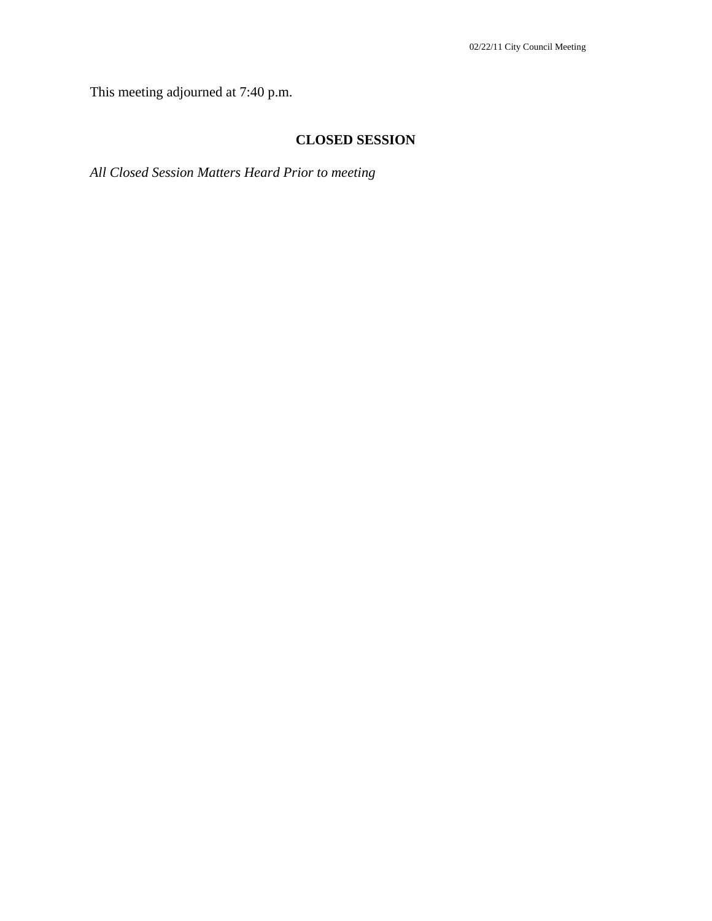This meeting adjourned at 7:40 p.m.

### **CLOSED SESSION**

*All Closed Session Matters Heard Prior to meeting*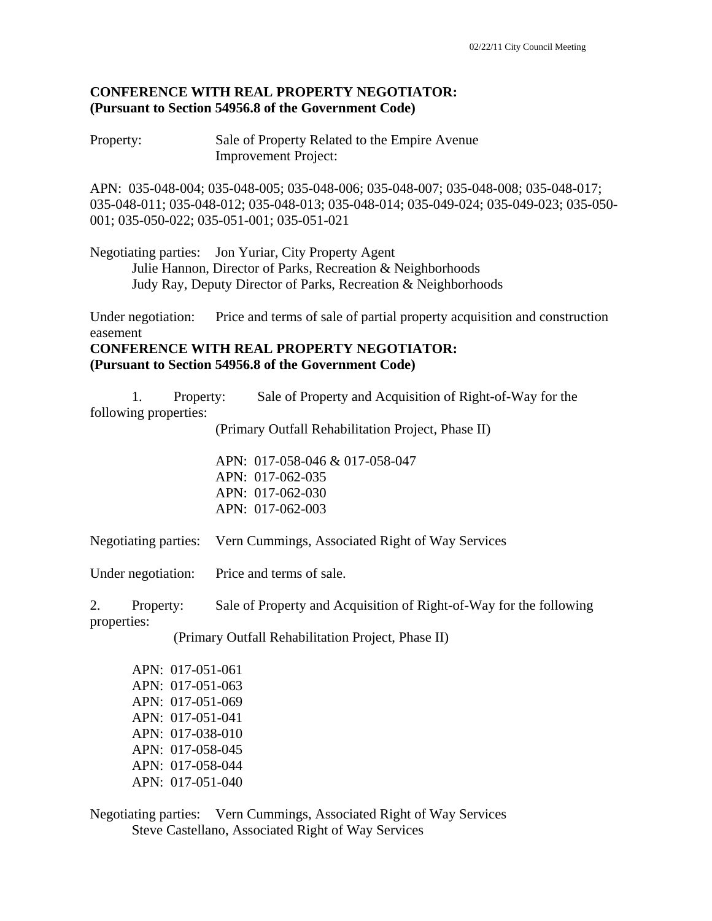### **CONFERENCE WITH REAL PROPERTY NEGOTIATOR: (Pursuant to Section 54956.8 of the Government Code)**

Property: Sale of Property Related to the Empire Avenue Improvement Project:

APN: 035-048-004; 035-048-005; 035-048-006; 035-048-007; 035-048-008; 035-048-017; 035-048-011; 035-048-012; 035-048-013; 035-048-014; 035-049-024; 035-049-023; 035-050- 001; 035-050-022; 035-051-001; 035-051-021

Negotiating parties: Jon Yuriar, City Property Agent Julie Hannon, Director of Parks, Recreation & Neighborhoods Judy Ray, Deputy Director of Parks, Recreation & Neighborhoods

Under negotiation: Price and terms of sale of partial property acquisition and construction easement

#### **CONFERENCE WITH REAL PROPERTY NEGOTIATOR: (Pursuant to Section 54956.8 of the Government Code)**

 1. Property: Sale of Property and Acquisition of Right-of-Way for the following properties:

(Primary Outfall Rehabilitation Project, Phase II)

 APN: 017-058-046 & 017-058-047 APN: 017-062-035 APN: 017-062-030 APN: 017-062-003

Negotiating parties: Vern Cummings, Associated Right of Way Services

Under negotiation: Price and terms of sale.

2. Property: Sale of Property and Acquisition of Right-of-Way for the following properties:

(Primary Outfall Rehabilitation Project, Phase II)

| APN: 017-051-061 |
|------------------|
| APN: 017-051-063 |
| APN: 017-051-069 |
| APN: 017-051-041 |
| APN: 017-038-010 |
| APN: 017-058-045 |
| APN: 017-058-044 |
| APN: 017-051-040 |

Negotiating parties: Vern Cummings, Associated Right of Way Services Steve Castellano, Associated Right of Way Services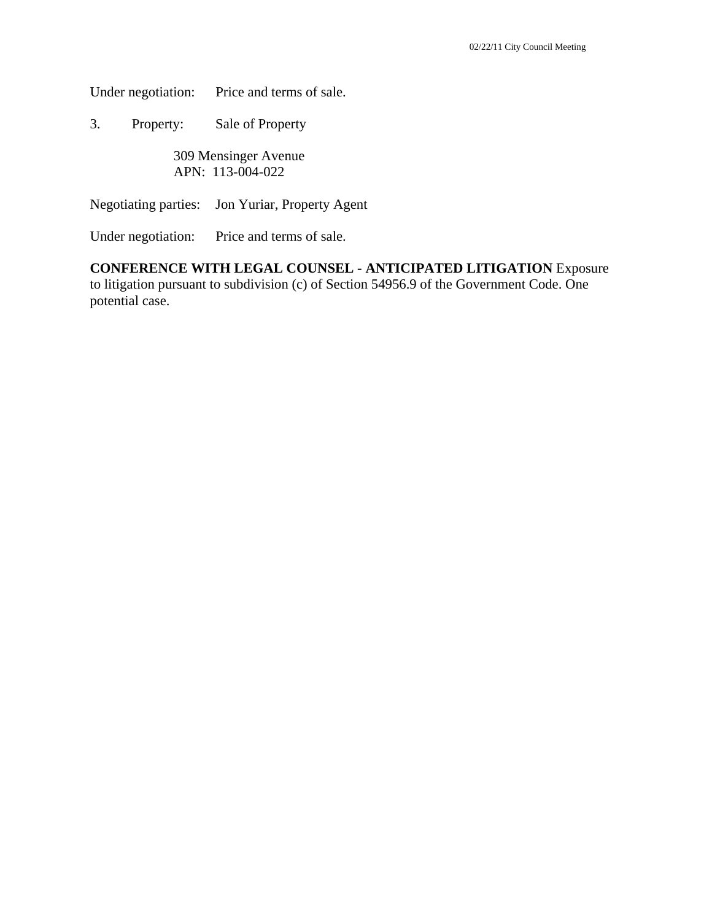Under negotiation: Price and terms of sale.

3. Property: Sale of Property

 309 Mensinger Avenue APN: 113-004-022

Negotiating parties: Jon Yuriar, Property Agent

Under negotiation: Price and terms of sale.

#### **CONFERENCE WITH LEGAL COUNSEL - ANTICIPATED LITIGATION** Exposure to litigation pursuant to subdivision (c) of Section 54956.9 of the Government Code. One potential case.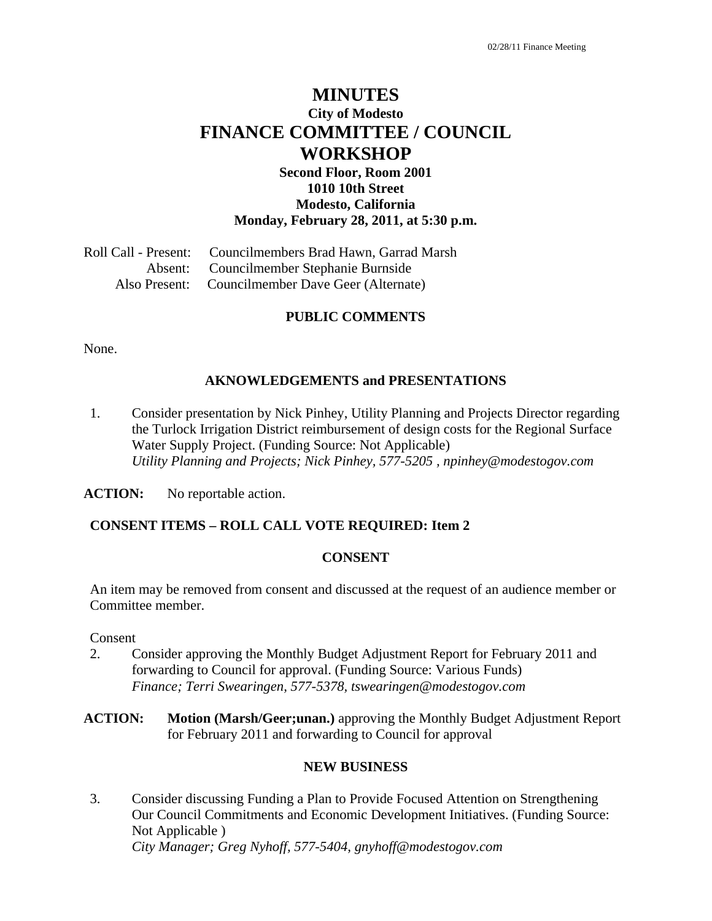# **MINUTES City of Modesto FINANCE COMMITTEE / COUNCIL WORKSHOP**

### **Second Floor, Room 2001 1010 10th Street Modesto, California Monday, February 28, 2011, at 5:30 p.m.**

Roll Call - Present: Councilmembers Brad Hawn, Garrad Marsh Absent: Councilmember Stephanie Burnside Also Present: Councilmember Dave Geer (Alternate)

#### **PUBLIC COMMENTS**

None.

#### **AKNOWLEDGEMENTS and PRESENTATIONS**

1. Consider presentation by Nick Pinhey, Utility Planning and Projects Director regarding the Turlock Irrigation District reimbursement of design costs for the Regional Surface Water Supply Project. (Funding Source: Not Applicable)  *Utility Planning and Projects; Nick Pinhey, 577-5205 , npinhey@modestogov.com* 

**ACTION:** No reportable action.

#### **CONSENT ITEMS – ROLL CALL VOTE REQUIRED: Item 2**

#### **CONSENT**

An item may be removed from consent and discussed at the request of an audience member or Committee member.

#### Consent

- 2. Consider approving the Monthly Budget Adjustment Report for February 2011 and forwarding to Council for approval. (Funding Source: Various Funds)  *Finance; Terri Swearingen, 577-5378, tswearingen@modestogov.com*
- **ACTION: Motion (Marsh/Geer;unan.)** approving the Monthly Budget Adjustment Report for February 2011 and forwarding to Council for approval

#### **NEW BUSINESS**

3. Consider discussing Funding a Plan to Provide Focused Attention on Strengthening Our Council Commitments and Economic Development Initiatives. (Funding Source: Not Applicable )  *City Manager; Greg Nyhoff, 577-5404, gnyhoff@modestogov.com*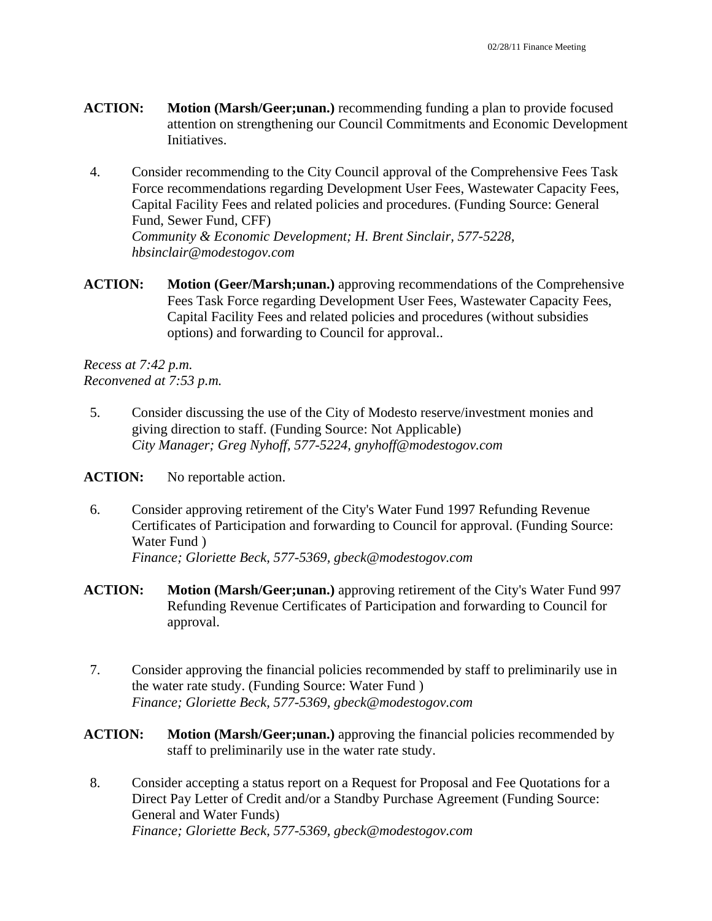- **ACTION: Motion (Marsh/Geer;unan.)** recommending funding a plan to provide focused attention on strengthening our Council Commitments and Economic Development Initiatives.
- 4. Consider recommending to the City Council approval of the Comprehensive Fees Task Force recommendations regarding Development User Fees, Wastewater Capacity Fees, Capital Facility Fees and related policies and procedures. (Funding Source: General Fund, Sewer Fund, CFF)  *Community & Economic Development; H. Brent Sinclair, 577-5228, hbsinclair@modestogov.com*
- **ACTION: Motion (Geer/Marsh;unan.)** approving recommendations of the Comprehensive Fees Task Force regarding Development User Fees, Wastewater Capacity Fees, Capital Facility Fees and related policies and procedures (without subsidies options) and forwarding to Council for approval..

*Recess at 7:42 p.m. Reconvened at 7:53 p.m.* 

5. Consider discussing the use of the City of Modesto reserve/investment monies and giving direction to staff. (Funding Source: Not Applicable)  *City Manager; Greg Nyhoff, 577-5224, gnyhoff@modestogov.com* 

ACTION: No reportable action.

- 6. Consider approving retirement of the City's Water Fund 1997 Refunding Revenue Certificates of Participation and forwarding to Council for approval. (Funding Source: Water Fund )  *Finance; Gloriette Beck, 577-5369, gbeck@modestogov.com*
- **ACTION: Motion (Marsh/Geer;unan.)** approving retirement of the City's Water Fund 997 Refunding Revenue Certificates of Participation and forwarding to Council for approval.
- 7. Consider approving the financial policies recommended by staff to preliminarily use in the water rate study. (Funding Source: Water Fund )  *Finance; Gloriette Beck, 577-5369, gbeck@modestogov.com*
- **ACTION:** Motion (Marsh/Geer;unan.) approving the financial policies recommended by staff to preliminarily use in the water rate study.
- 8. Consider accepting a status report on a Request for Proposal and Fee Quotations for a Direct Pay Letter of Credit and/or a Standby Purchase Agreement (Funding Source: General and Water Funds)  *Finance; Gloriette Beck, 577-5369, gbeck@modestogov.com*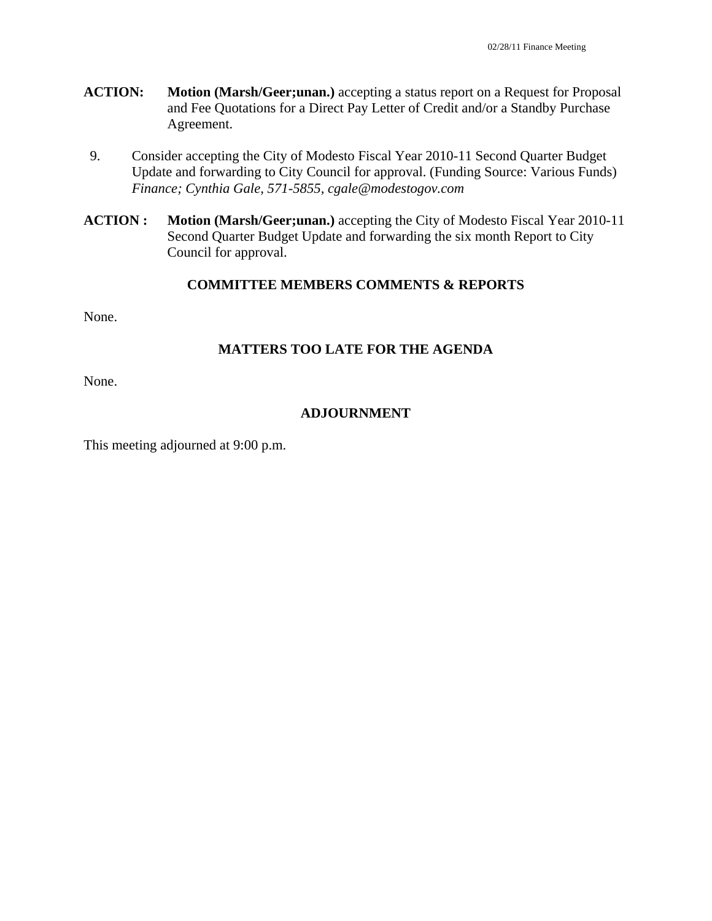- **ACTION: Motion (Marsh/Geer;unan.)** accepting a status report on a Request for Proposal and Fee Quotations for a Direct Pay Letter of Credit and/or a Standby Purchase Agreement.
- 9. Consider accepting the City of Modesto Fiscal Year 2010-11 Second Quarter Budget Update and forwarding to City Council for approval. (Funding Source: Various Funds)  *Finance; Cynthia Gale, 571-5855, cgale@modestogov.com*
- **ACTION : Motion (Marsh/Geer;unan.)** accepting the City of Modesto Fiscal Year 2010-11 Second Quarter Budget Update and forwarding the six month Report to City Council for approval.

#### **COMMITTEE MEMBERS COMMENTS & REPORTS**

None.

### **MATTERS TOO LATE FOR THE AGENDA**

None.

### **ADJOURNMENT**

This meeting adjourned at 9:00 p.m.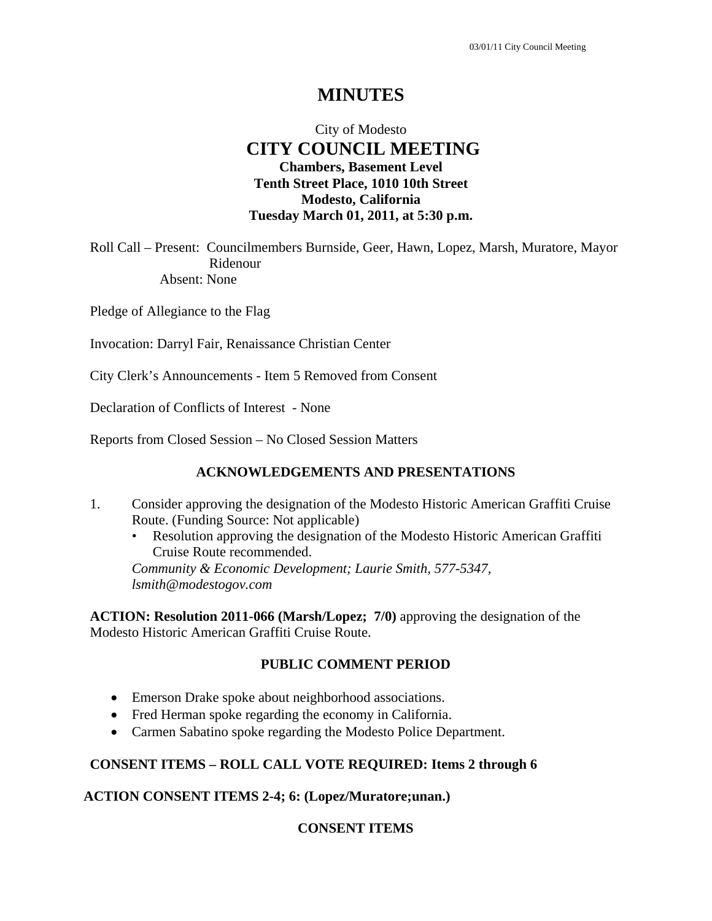### City of Modesto  **CITY COUNCIL MEETING Chambers, Basement Level Tenth Street Place, 1010 10th Street Modesto, California Tuesday March 01, 2011, at 5:30 p.m.**

Roll Call – Present: Councilmembers Burnside, Geer, Hawn, Lopez, Marsh, Muratore, Mayor Ridenour Absent: None

Pledge of Allegiance to the Flag

Invocation: Darryl Fair, Renaissance Christian Center

City Clerk's Announcements - Item 5 Removed from Consent

Declaration of Conflicts of Interest - None

Reports from Closed Session – No Closed Session Matters

#### **ACKNOWLEDGEMENTS AND PRESENTATIONS**

- 1. Consider approving the designation of the Modesto Historic American Graffiti Cruise Route. (Funding Source: Not applicable)
	- Resolution approving the designation of the Modesto Historic American Graffiti Cruise Route recommended.

*Community & Economic Development; Laurie Smith, 577-5347, lsmith@modestogov.com* 

**ACTION: Resolution 2011-066 (Marsh/Lopez; 7/0)** approving the designation of the Modesto Historic American Graffiti Cruise Route.

#### **PUBLIC COMMENT PERIOD**

- Emerson Drake spoke about neighborhood associations.
- Fred Herman spoke regarding the economy in California.
- Carmen Sabatino spoke regarding the Modesto Police Department.

### **CONSENT ITEMS – ROLL CALL VOTE REQUIRED: Items 2 through 6**

#### **ACTION CONSENT ITEMS 2-4; 6: (Lopez/Muratore;unan.)**

### **CONSENT ITEMS**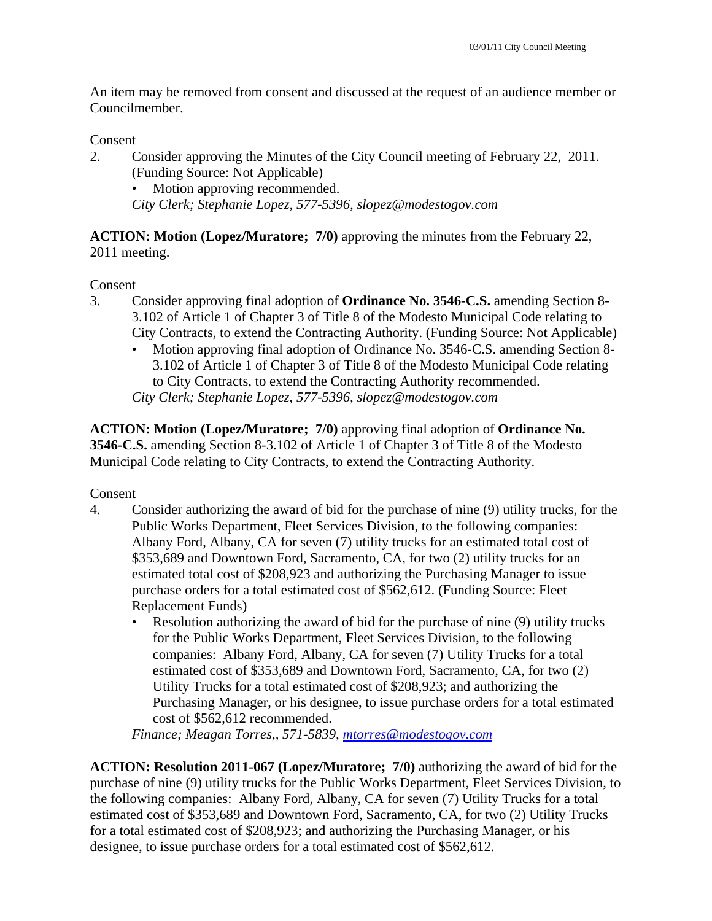An item may be removed from consent and discussed at the request of an audience member or Councilmember.

#### Consent

2. Consider approving the Minutes of the City Council meeting of February 22, 2011. (Funding Source: Not Applicable) Motion approving recommended.

*City Clerk; Stephanie Lopez, 577-5396, slopez@modestogov.com* 

**ACTION: Motion (Lopez/Muratore; 7/0)** approving the minutes from the February 22, 2011 meeting.

Consent

- 3. Consider approving final adoption of **Ordinance No. 3546-C.S.** amending Section 8- 3.102 of Article 1 of Chapter 3 of Title 8 of the Modesto Municipal Code relating to City Contracts, to extend the Contracting Authority. (Funding Source: Not Applicable)
	- Motion approving final adoption of Ordinance No. 3546-C.S. amending Section 8- 3.102 of Article 1 of Chapter 3 of Title 8 of the Modesto Municipal Code relating to City Contracts, to extend the Contracting Authority recommended. *City Clerk; Stephanie Lopez, 577-5396, slopez@modestogov.com*

**ACTION: Motion (Lopez/Muratore; 7/0)** approving final adoption of **Ordinance No. 3546-C.S.** amending Section 8-3.102 of Article 1 of Chapter 3 of Title 8 of the Modesto Municipal Code relating to City Contracts, to extend the Contracting Authority.

#### Consent

- 4. Consider authorizing the award of bid for the purchase of nine (9) utility trucks, for the Public Works Department, Fleet Services Division, to the following companies: Albany Ford, Albany, CA for seven (7) utility trucks for an estimated total cost of \$353,689 and Downtown Ford, Sacramento, CA, for two (2) utility trucks for an estimated total cost of \$208,923 and authorizing the Purchasing Manager to issue purchase orders for a total estimated cost of \$562,612. (Funding Source: Fleet Replacement Funds)
	- Resolution authorizing the award of bid for the purchase of nine (9) utility trucks for the Public Works Department, Fleet Services Division, to the following companies: Albany Ford, Albany, CA for seven (7) Utility Trucks for a total estimated cost of \$353,689 and Downtown Ford, Sacramento, CA, for two (2) Utility Trucks for a total estimated cost of \$208,923; and authorizing the Purchasing Manager, or his designee, to issue purchase orders for a total estimated cost of \$562,612 recommended.

*Finance; Meagan Torres,, 571-5839, mtorres@modestogov.com* 

**ACTION: Resolution 2011-067 (Lopez/Muratore; 7/0)** authorizing the award of bid for the purchase of nine (9) utility trucks for the Public Works Department, Fleet Services Division, to the following companies: Albany Ford, Albany, CA for seven (7) Utility Trucks for a total estimated cost of \$353,689 and Downtown Ford, Sacramento, CA, for two (2) Utility Trucks for a total estimated cost of \$208,923; and authorizing the Purchasing Manager, or his designee, to issue purchase orders for a total estimated cost of \$562,612.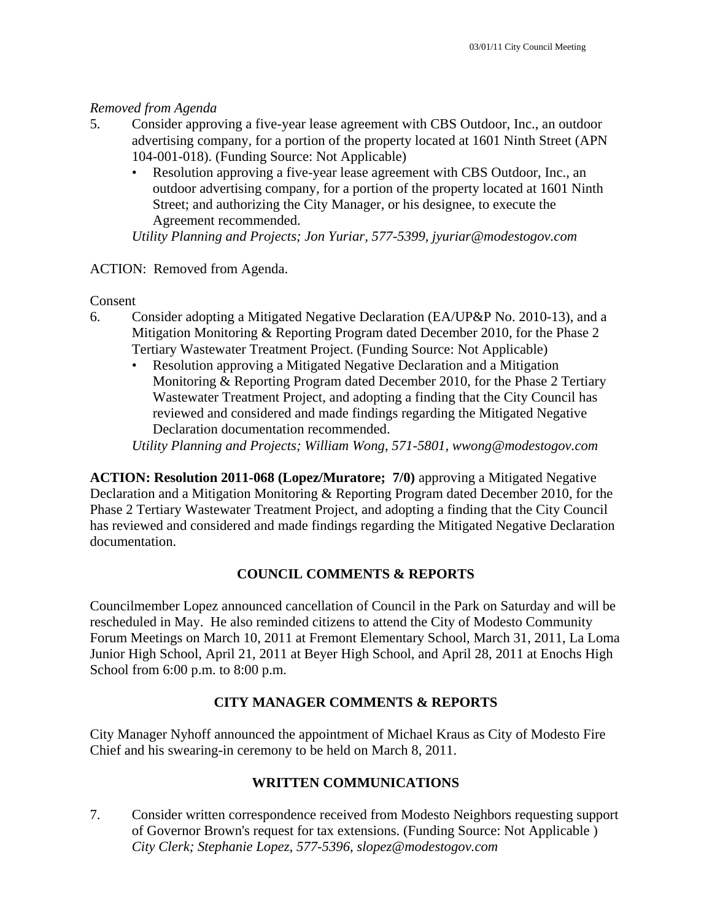#### *Removed from Agenda*

- 5. Consider approving a five-year lease agreement with CBS Outdoor, Inc., an outdoor advertising company, for a portion of the property located at 1601 Ninth Street (APN 104-001-018). (Funding Source: Not Applicable)
	- Resolution approving a five-year lease agreement with CBS Outdoor, Inc., an outdoor advertising company, for a portion of the property located at 1601 Ninth Street; and authorizing the City Manager, or his designee, to execute the Agreement recommended.

*Utility Planning and Projects; Jon Yuriar, 577-5399, jyuriar@modestogov.com* 

#### ACTION: Removed from Agenda.

Consent

- 6. Consider adopting a Mitigated Negative Declaration (EA/UP&P No. 2010-13), and a Mitigation Monitoring & Reporting Program dated December 2010, for the Phase 2 Tertiary Wastewater Treatment Project. (Funding Source: Not Applicable)
	- Resolution approving a Mitigated Negative Declaration and a Mitigation Monitoring & Reporting Program dated December 2010, for the Phase 2 Tertiary Wastewater Treatment Project, and adopting a finding that the City Council has reviewed and considered and made findings regarding the Mitigated Negative Declaration documentation recommended.

*Utility Planning and Projects; William Wong, 571-5801, wwong@modestogov.com* 

**ACTION: Resolution 2011-068 (Lopez/Muratore; 7/0)** approving a Mitigated Negative Declaration and a Mitigation Monitoring & Reporting Program dated December 2010, for the Phase 2 Tertiary Wastewater Treatment Project, and adopting a finding that the City Council has reviewed and considered and made findings regarding the Mitigated Negative Declaration documentation.

### **COUNCIL COMMENTS & REPORTS**

Councilmember Lopez announced cancellation of Council in the Park on Saturday and will be rescheduled in May. He also reminded citizens to attend the City of Modesto Community Forum Meetings on March 10, 2011 at Fremont Elementary School, March 31, 2011, La Loma Junior High School, April 21, 2011 at Beyer High School, and April 28, 2011 at Enochs High School from 6:00 p.m. to 8:00 p.m.

### **CITY MANAGER COMMENTS & REPORTS**

City Manager Nyhoff announced the appointment of Michael Kraus as City of Modesto Fire Chief and his swearing-in ceremony to be held on March 8, 2011.

### **WRITTEN COMMUNICATIONS**

7. Consider written correspondence received from Modesto Neighbors requesting support of Governor Brown's request for tax extensions. (Funding Source: Not Applicable )  *City Clerk; Stephanie Lopez, 577-5396, slopez@modestogov.com*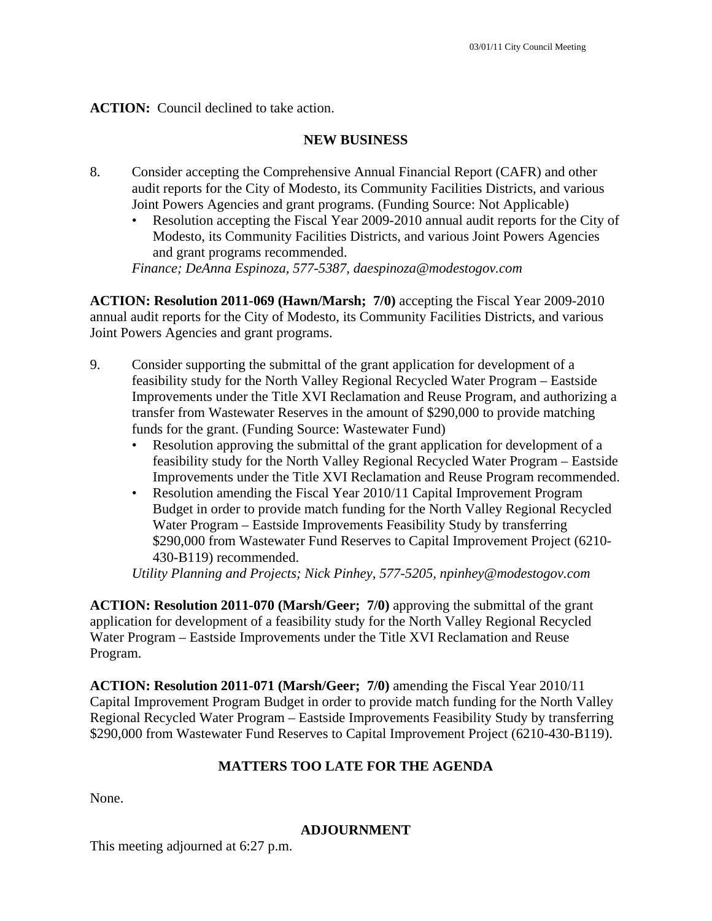**ACTION:** Council declined to take action.

### **NEW BUSINESS**

- 8. Consider accepting the Comprehensive Annual Financial Report (CAFR) and other audit reports for the City of Modesto, its Community Facilities Districts, and various Joint Powers Agencies and grant programs. (Funding Source: Not Applicable)
	- Resolution accepting the Fiscal Year 2009-2010 annual audit reports for the City of Modesto, its Community Facilities Districts, and various Joint Powers Agencies and grant programs recommended.

*Finance; DeAnna Espinoza, 577-5387, daespinoza@modestogov.com* 

**ACTION: Resolution 2011-069 (Hawn/Marsh; 7/0)** accepting the Fiscal Year 2009-2010 annual audit reports for the City of Modesto, its Community Facilities Districts, and various Joint Powers Agencies and grant programs.

- 9. Consider supporting the submittal of the grant application for development of a feasibility study for the North Valley Regional Recycled Water Program – Eastside Improvements under the Title XVI Reclamation and Reuse Program, and authorizing a transfer from Wastewater Reserves in the amount of \$290,000 to provide matching funds for the grant. (Funding Source: Wastewater Fund)
	- Resolution approving the submittal of the grant application for development of a feasibility study for the North Valley Regional Recycled Water Program – Eastside Improvements under the Title XVI Reclamation and Reuse Program recommended.
	- Resolution amending the Fiscal Year 2010/11 Capital Improvement Program Budget in order to provide match funding for the North Valley Regional Recycled Water Program – Eastside Improvements Feasibility Study by transferring \$290,000 from Wastewater Fund Reserves to Capital Improvement Project (6210- 430-B119) recommended.

*Utility Planning and Projects; Nick Pinhey, 577-5205, npinhey@modestogov.com* 

**ACTION: Resolution 2011-070 (Marsh/Geer; 7/0)** approving the submittal of the grant application for development of a feasibility study for the North Valley Regional Recycled Water Program – Eastside Improvements under the Title XVI Reclamation and Reuse Program.

**ACTION: Resolution 2011-071 (Marsh/Geer; 7/0)** amending the Fiscal Year 2010/11 Capital Improvement Program Budget in order to provide match funding for the North Valley Regional Recycled Water Program – Eastside Improvements Feasibility Study by transferring \$290,000 from Wastewater Fund Reserves to Capital Improvement Project (6210-430-B119).

### **MATTERS TOO LATE FOR THE AGENDA**

None.

#### **ADJOURNMENT**

This meeting adjourned at 6:27 p.m.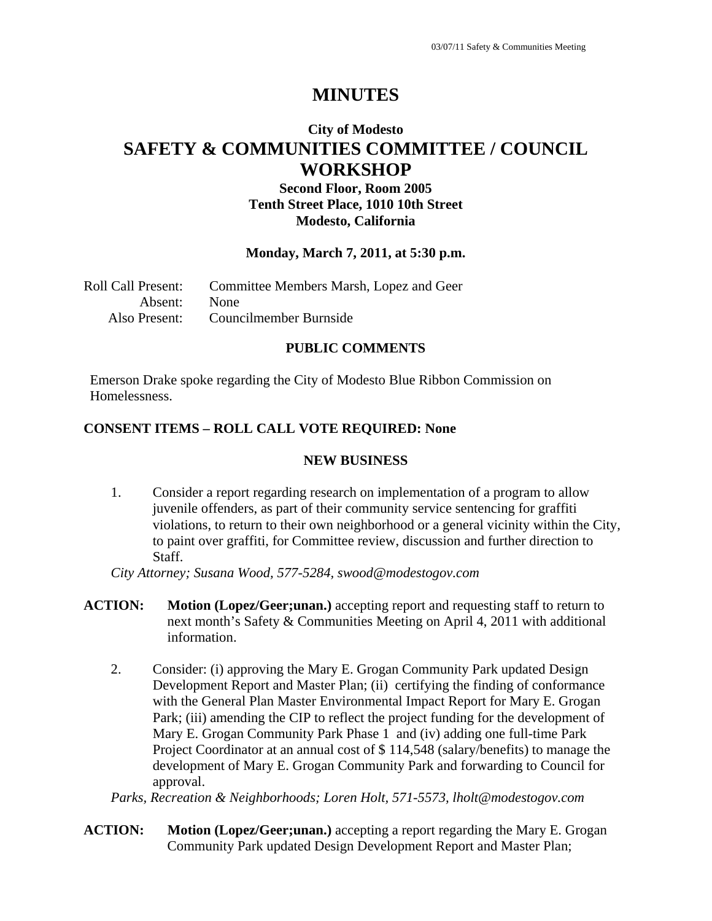## **City of Modesto SAFETY & COMMUNITIES COMMITTEE / COUNCIL WORKSHOP**

### **Second Floor, Room 2005 Tenth Street Place, 1010 10th Street Modesto, California**

#### **Monday, March 7, 2011, at 5:30 p.m.**

| Roll Call Present: | Committee Members Marsh, Lopez and Geer |
|--------------------|-----------------------------------------|
| Absent: None       |                                         |
|                    | Also Present: Councilmember Burnside    |

#### **PUBLIC COMMENTS**

Emerson Drake spoke regarding the City of Modesto Blue Ribbon Commission on Homelessness.

#### **CONSENT ITEMS – ROLL CALL VOTE REQUIRED: None**

#### **NEW BUSINESS**

1. Consider a report regarding research on implementation of a program to allow juvenile offenders, as part of their community service sentencing for graffiti violations, to return to their own neighborhood or a general vicinity within the City, to paint over graffiti, for Committee review, discussion and further direction to Staff.

*City Attorney; Susana Wood, 577-5284, swood@modestogov.com* 

- **ACTION: Motion (Lopez/Geer;unan.)** accepting report and requesting staff to return to next month's Safety & Communities Meeting on April 4, 2011 with additional information.
	- 2. Consider: (i) approving the Mary E. Grogan Community Park updated Design Development Report and Master Plan; (ii) certifying the finding of conformance with the General Plan Master Environmental Impact Report for Mary E. Grogan Park; (iii) amending the CIP to reflect the project funding for the development of Mary E. Grogan Community Park Phase 1 and (iv) adding one full-time Park Project Coordinator at an annual cost of \$ 114,548 (salary/benefits) to manage the development of Mary E. Grogan Community Park and forwarding to Council for approval.

*Parks, Recreation & Neighborhoods; Loren Holt, 571-5573, lholt@modestogov.com* 

**ACTION: Motion (Lopez/Geer;unan.)** accepting a report regarding the Mary E. Grogan Community Park updated Design Development Report and Master Plan;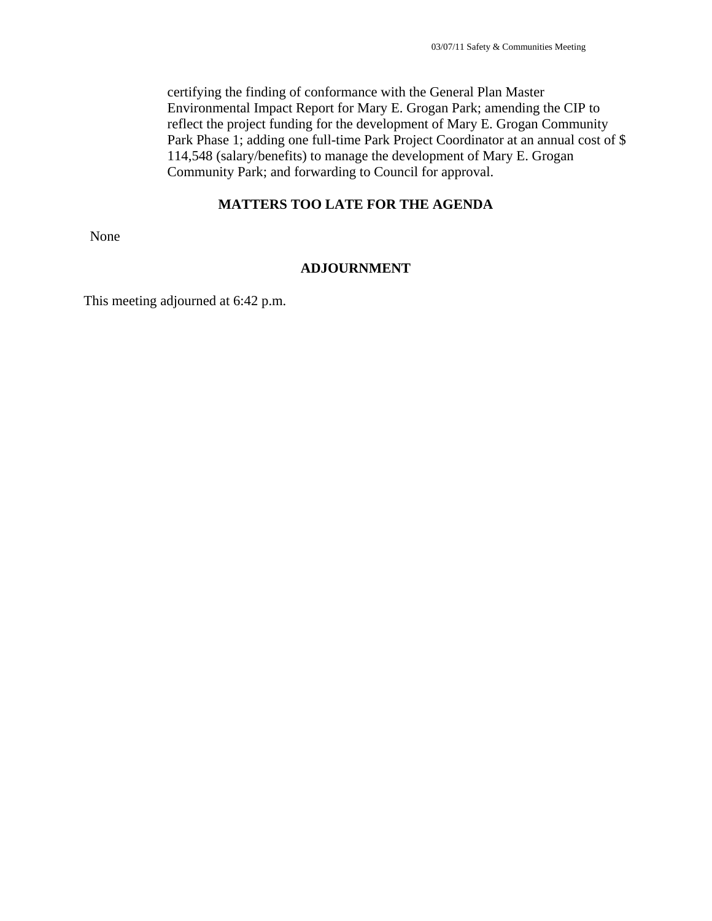certifying the finding of conformance with the General Plan Master Environmental Impact Report for Mary E. Grogan Park; amending the CIP to reflect the project funding for the development of Mary E. Grogan Community Park Phase 1; adding one full-time Park Project Coordinator at an annual cost of \$ 114,548 (salary/benefits) to manage the development of Mary E. Grogan Community Park; and forwarding to Council for approval.

#### **MATTERS TOO LATE FOR THE AGENDA**

None

#### **ADJOURNMENT**

This meeting adjourned at 6:42 p.m.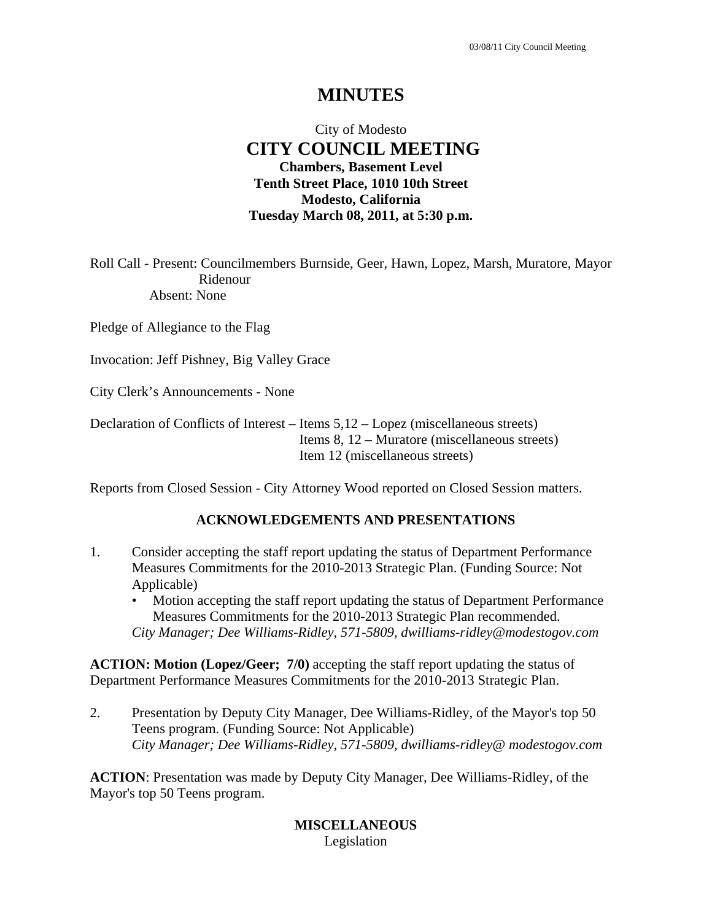### City of Modesto  **CITY COUNCIL MEETING Chambers, Basement Level Tenth Street Place, 1010 10th Street Modesto, California Tuesday March 08, 2011, at 5:30 p.m.**

Roll Call - Present: Councilmembers Burnside, Geer, Hawn, Lopez, Marsh, Muratore, Mayor Ridenour Absent: None

Pledge of Allegiance to the Flag

Invocation: Jeff Pishney, Big Valley Grace

City Clerk's Announcements - None

Declaration of Conflicts of Interest – Items 5,12 – Lopez (miscellaneous streets) Items 8, 12 – Muratore (miscellaneous streets) Item 12 (miscellaneous streets)

Reports from Closed Session - City Attorney Wood reported on Closed Session matters.

#### **ACKNOWLEDGEMENTS AND PRESENTATIONS**

- 1. Consider accepting the staff report updating the status of Department Performance Measures Commitments for the 2010-2013 Strategic Plan. (Funding Source: Not Applicable)
	- Motion accepting the staff report updating the status of Department Performance Measures Commitments for the 2010-2013 Strategic Plan recommended. *City Manager; Dee Williams-Ridley, 571-5809, dwilliams-ridley@modestogov.com*

**ACTION: Motion (Lopez/Geer; 7/0)** accepting the staff report updating the status of Department Performance Measures Commitments for the 2010-2013 Strategic Plan.

2. Presentation by Deputy City Manager, Dee Williams-Ridley, of the Mayor's top 50 Teens program. (Funding Source: Not Applicable)  *City Manager; Dee Williams-Ridley, 571-5809, dwilliams-ridley@ modestogov.com* 

**ACTION**: Presentation was made by Deputy City Manager, Dee Williams-Ridley, of the Mayor's top 50 Teens program.

> **MISCELLANEOUS**  Legislation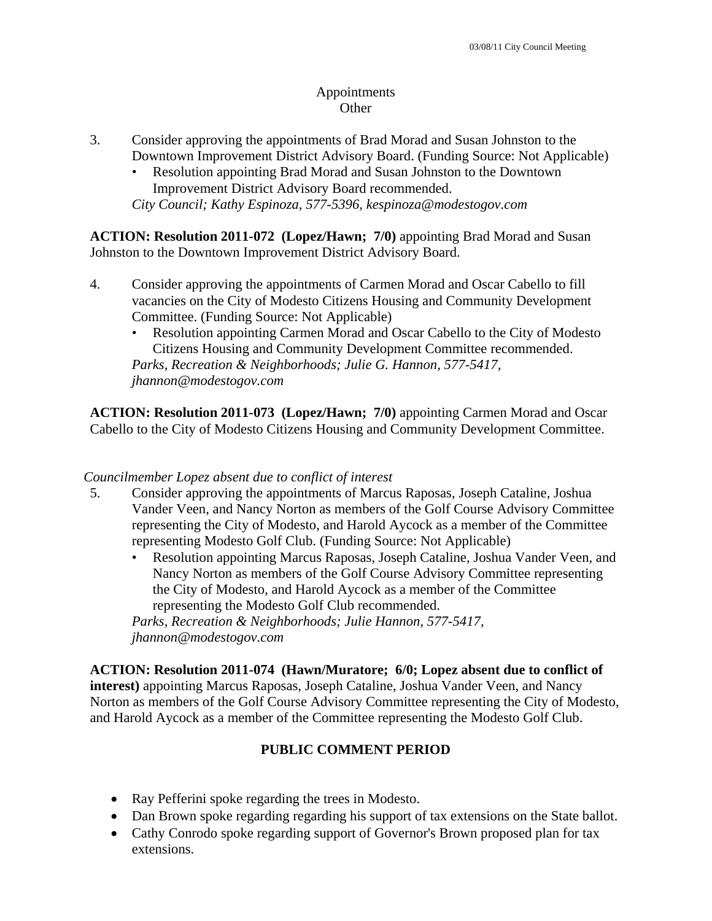### Appointments **Other**

- 3. Consider approving the appointments of Brad Morad and Susan Johnston to the Downtown Improvement District Advisory Board. (Funding Source: Not Applicable)
	- Resolution appointing Brad Morad and Susan Johnston to the Downtown Improvement District Advisory Board recommended. *City Council; Kathy Espinoza, 577-5396, kespinoza@modestogov.com*

**ACTION: Resolution 2011-072 (Lopez/Hawn; 7/0)** appointing Brad Morad and Susan Johnston to the Downtown Improvement District Advisory Board.

- 4. Consider approving the appointments of Carmen Morad and Oscar Cabello to fill vacancies on the City of Modesto Citizens Housing and Community Development Committee. (Funding Source: Not Applicable)
	- Resolution appointing Carmen Morad and Oscar Cabello to the City of Modesto Citizens Housing and Community Development Committee recommended.

*Parks, Recreation & Neighborhoods; Julie G. Hannon, 577-5417, jhannon@modestogov.com* 

**ACTION: Resolution 2011-073 (Lopez/Hawn; 7/0)** appointing Carmen Morad and Oscar Cabello to the City of Modesto Citizens Housing and Community Development Committee.

### *Councilmember Lopez absent due to conflict of interest*

- 5. Consider approving the appointments of Marcus Raposas, Joseph Cataline, Joshua Vander Veen, and Nancy Norton as members of the Golf Course Advisory Committee representing the City of Modesto, and Harold Aycock as a member of the Committee representing Modesto Golf Club. (Funding Source: Not Applicable)
	- Resolution appointing Marcus Raposas, Joseph Cataline, Joshua Vander Veen, and Nancy Norton as members of the Golf Course Advisory Committee representing the City of Modesto, and Harold Aycock as a member of the Committee representing the Modesto Golf Club recommended.

*Parks, Recreation & Neighborhoods; Julie Hannon, 577-5417, jhannon@modestogov.com* 

### **ACTION: Resolution 2011-074 (Hawn/Muratore; 6/0; Lopez absent due to conflict of**

**interest)** appointing Marcus Raposas, Joseph Cataline, Joshua Vander Veen, and Nancy Norton as members of the Golf Course Advisory Committee representing the City of Modesto, and Harold Aycock as a member of the Committee representing the Modesto Golf Club.

### **PUBLIC COMMENT PERIOD**

- Ray Pefferini spoke regarding the trees in Modesto.
- Dan Brown spoke regarding regarding his support of tax extensions on the State ballot.
- Cathy Conrodo spoke regarding support of Governor's Brown proposed plan for tax extensions.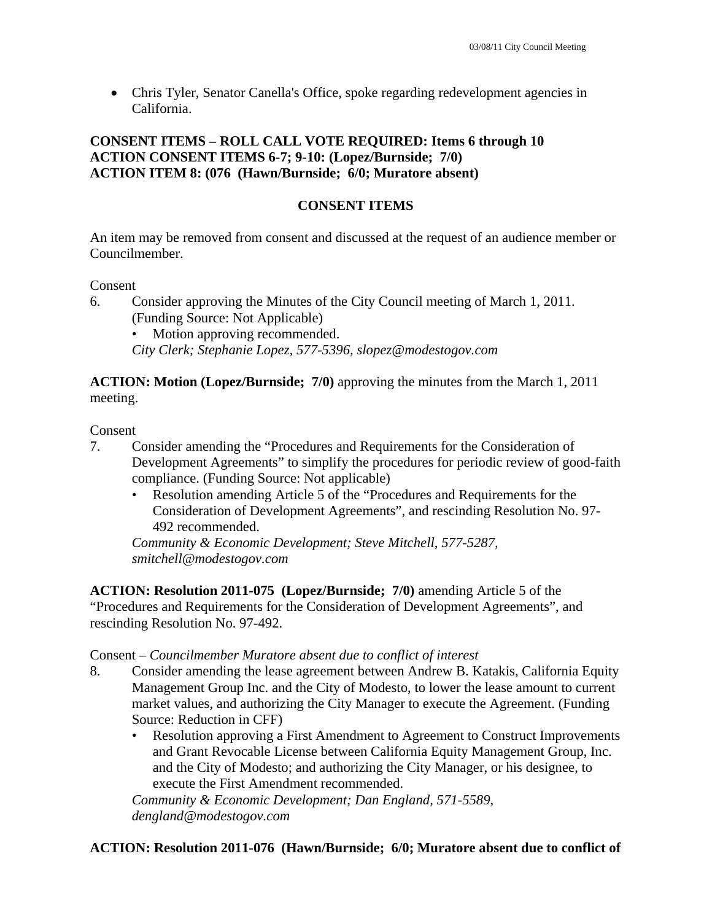• Chris Tyler, Senator Canella's Office, spoke regarding redevelopment agencies in California.

### **CONSENT ITEMS – ROLL CALL VOTE REQUIRED: Items 6 through 10 ACTION CONSENT ITEMS 6-7; 9-10: (Lopez/Burnside; 7/0) ACTION ITEM 8: (076 (Hawn/Burnside; 6/0; Muratore absent)**

### **CONSENT ITEMS**

An item may be removed from consent and discussed at the request of an audience member or Councilmember.

#### Consent

- 6. Consider approving the Minutes of the City Council meeting of March 1, 2011. (Funding Source: Not Applicable)
	- Motion approving recommended.

*City Clerk; Stephanie Lopez, 577-5396, slopez@modestogov.com* 

**ACTION: Motion (Lopez/Burnside; 7/0)** approving the minutes from the March 1, 2011 meeting.

#### Consent

- 7. Consider amending the "Procedures and Requirements for the Consideration of Development Agreements" to simplify the procedures for periodic review of good-faith compliance. (Funding Source: Not applicable)
	- Resolution amending Article 5 of the "Procedures and Requirements for the Consideration of Development Agreements", and rescinding Resolution No. 97- 492 recommended.

*Community & Economic Development; Steve Mitchell, 577-5287, smitchell@modestogov.com* 

**ACTION: Resolution 2011-075 (Lopez/Burnside; 7/0)** amending Article 5 of the "Procedures and Requirements for the Consideration of Development Agreements", and rescinding Resolution No. 97-492.

#### Consent – *Councilmember Muratore absent due to conflict of interest*

- 8. Consider amending the lease agreement between Andrew B. Katakis, California Equity Management Group Inc. and the City of Modesto, to lower the lease amount to current market values, and authorizing the City Manager to execute the Agreement. (Funding Source: Reduction in CFF)
	- Resolution approving a First Amendment to Agreement to Construct Improvements and Grant Revocable License between California Equity Management Group, Inc. and the City of Modesto; and authorizing the City Manager, or his designee, to execute the First Amendment recommended.

*Community & Economic Development; Dan England, 571-5589, dengland@modestogov.com* 

### **ACTION: Resolution 2011-076 (Hawn/Burnside; 6/0; Muratore absent due to conflict of**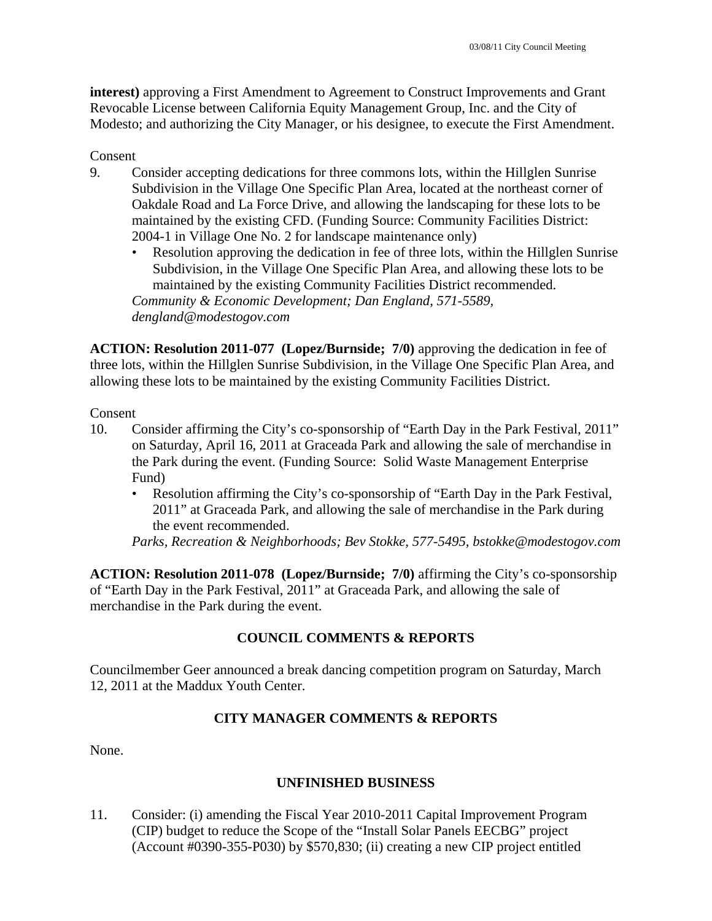**interest)** approving a First Amendment to Agreement to Construct Improvements and Grant Revocable License between California Equity Management Group, Inc. and the City of Modesto; and authorizing the City Manager, or his designee, to execute the First Amendment.

#### Consent

- 9. Consider accepting dedications for three commons lots, within the Hillglen Sunrise Subdivision in the Village One Specific Plan Area, located at the northeast corner of Oakdale Road and La Force Drive, and allowing the landscaping for these lots to be maintained by the existing CFD. (Funding Source: Community Facilities District: 2004-1 in Village One No. 2 for landscape maintenance only)
	- Resolution approving the dedication in fee of three lots, within the Hillglen Sunrise Subdivision, in the Village One Specific Plan Area, and allowing these lots to be maintained by the existing Community Facilities District recommended. *Community & Economic Development; Dan England, 571-5589, dengland@modestogov.com*

**ACTION: Resolution 2011-077 (Lopez/Burnside; 7/0)** approving the dedication in fee of three lots, within the Hillglen Sunrise Subdivision, in the Village One Specific Plan Area, and allowing these lots to be maintained by the existing Community Facilities District.

#### Consent

- 10. Consider affirming the City's co-sponsorship of "Earth Day in the Park Festival, 2011" on Saturday, April 16, 2011 at Graceada Park and allowing the sale of merchandise in the Park during the event. (Funding Source: Solid Waste Management Enterprise Fund)
	- Resolution affirming the City's co-sponsorship of "Earth Day in the Park Festival, 2011" at Graceada Park, and allowing the sale of merchandise in the Park during the event recommended.

*Parks, Recreation & Neighborhoods; Bev Stokke, 577-5495, bstokke@modestogov.com* 

**ACTION: Resolution 2011-078 (Lopez/Burnside; 7/0)** affirming the City's co-sponsorship of "Earth Day in the Park Festival, 2011" at Graceada Park, and allowing the sale of merchandise in the Park during the event.

### **COUNCIL COMMENTS & REPORTS**

Councilmember Geer announced a break dancing competition program on Saturday, March 12, 2011 at the Maddux Youth Center.

### **CITY MANAGER COMMENTS & REPORTS**

None.

#### **UNFINISHED BUSINESS**

11. Consider: (i) amending the Fiscal Year 2010-2011 Capital Improvement Program (CIP) budget to reduce the Scope of the "Install Solar Panels EECBG" project (Account #0390-355-P030) by \$570,830; (ii) creating a new CIP project entitled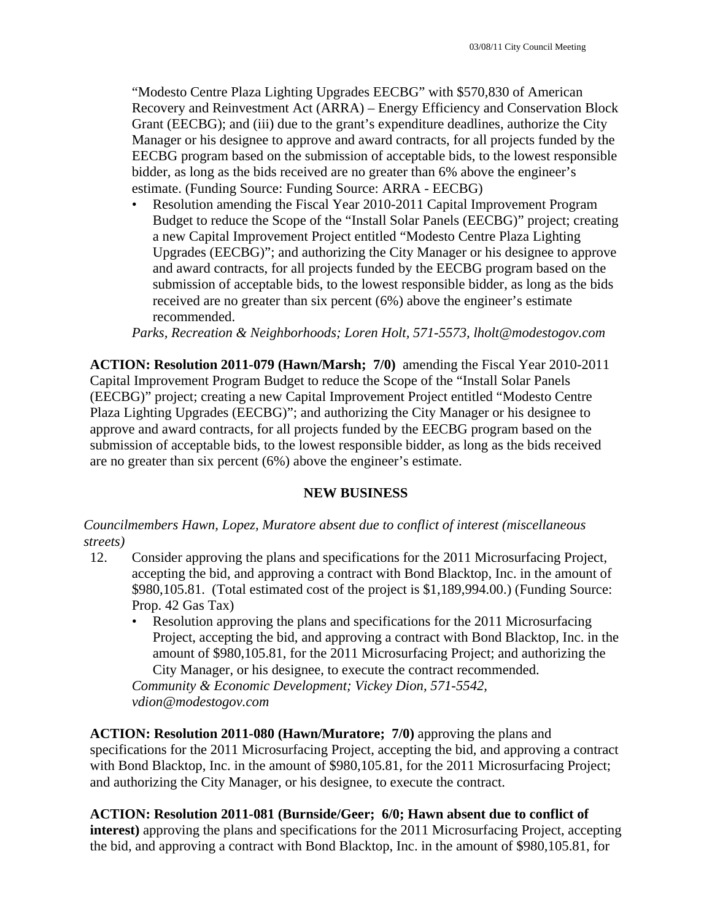"Modesto Centre Plaza Lighting Upgrades EECBG" with \$570,830 of American Recovery and Reinvestment Act (ARRA) – Energy Efficiency and Conservation Block Grant (EECBG); and (iii) due to the grant's expenditure deadlines, authorize the City Manager or his designee to approve and award contracts, for all projects funded by the EECBG program based on the submission of acceptable bids, to the lowest responsible bidder, as long as the bids received are no greater than 6% above the engineer's estimate. (Funding Source: Funding Source: ARRA - EECBG)

• Resolution amending the Fiscal Year 2010-2011 Capital Improvement Program Budget to reduce the Scope of the "Install Solar Panels (EECBG)" project; creating a new Capital Improvement Project entitled "Modesto Centre Plaza Lighting Upgrades (EECBG)"; and authorizing the City Manager or his designee to approve and award contracts, for all projects funded by the EECBG program based on the submission of acceptable bids, to the lowest responsible bidder, as long as the bids received are no greater than six percent (6%) above the engineer's estimate recommended.

*Parks, Recreation & Neighborhoods; Loren Holt, 571-5573, lholt@modestogov.com* 

**ACTION: Resolution 2011-079 (Hawn/Marsh; 7/0)** amending the Fiscal Year 2010-2011 Capital Improvement Program Budget to reduce the Scope of the "Install Solar Panels (EECBG)" project; creating a new Capital Improvement Project entitled "Modesto Centre Plaza Lighting Upgrades (EECBG)"; and authorizing the City Manager or his designee to approve and award contracts, for all projects funded by the EECBG program based on the submission of acceptable bids, to the lowest responsible bidder, as long as the bids received are no greater than six percent (6%) above the engineer's estimate.

#### **NEW BUSINESS**

*Councilmembers Hawn, Lopez, Muratore absent due to conflict of interest (miscellaneous streets)* 

- 12. Consider approving the plans and specifications for the 2011 Microsurfacing Project, accepting the bid, and approving a contract with Bond Blacktop, Inc. in the amount of \$980,105.81. (Total estimated cost of the project is \$1,189,994.00.) (Funding Source: Prop. 42 Gas Tax)
	- Resolution approving the plans and specifications for the 2011 Microsurfacing Project, accepting the bid, and approving a contract with Bond Blacktop, Inc. in the amount of \$980,105.81, for the 2011 Microsurfacing Project; and authorizing the City Manager, or his designee, to execute the contract recommended.

*Community & Economic Development; Vickey Dion, 571-5542, vdion@modestogov.com* 

**ACTION: Resolution 2011-080 (Hawn/Muratore; 7/0)** approving the plans and specifications for the 2011 Microsurfacing Project, accepting the bid, and approving a contract with Bond Blacktop, Inc. in the amount of \$980,105.81, for the 2011 Microsurfacing Project; and authorizing the City Manager, or his designee, to execute the contract.

#### **ACTION: Resolution 2011-081 (Burnside/Geer; 6/0; Hawn absent due to conflict of**

**interest)** approving the plans and specifications for the 2011 Microsurfacing Project, accepting the bid, and approving a contract with Bond Blacktop, Inc. in the amount of \$980,105.81, for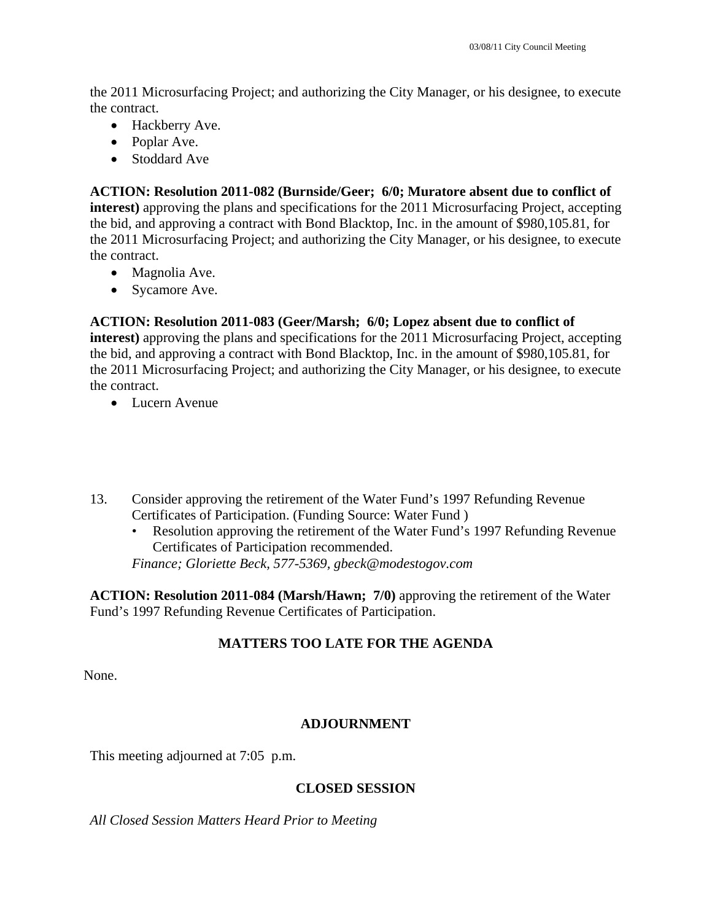the 2011 Microsurfacing Project; and authorizing the City Manager, or his designee, to execute the contract.

- Hackberry Ave.
- Poplar Ave.
- Stoddard Ave

## **ACTION: Resolution 2011-082 (Burnside/Geer; 6/0; Muratore absent due to conflict of**

**interest)** approving the plans and specifications for the 2011 Microsurfacing Project, accepting the bid, and approving a contract with Bond Blacktop, Inc. in the amount of \$980,105.81, for the 2011 Microsurfacing Project; and authorizing the City Manager, or his designee, to execute the contract.

- Magnolia Ave.
- Sycamore Ave.

### **ACTION: Resolution 2011-083 (Geer/Marsh; 6/0; Lopez absent due to conflict of**

**interest)** approving the plans and specifications for the 2011 Microsurfacing Project, accepting the bid, and approving a contract with Bond Blacktop, Inc. in the amount of \$980,105.81, for the 2011 Microsurfacing Project; and authorizing the City Manager, or his designee, to execute the contract.

- Lucern Avenue
- 13. Consider approving the retirement of the Water Fund's 1997 Refunding Revenue Certificates of Participation. (Funding Source: Water Fund )
	- Resolution approving the retirement of the Water Fund's 1997 Refunding Revenue Certificates of Participation recommended.

*Finance; Gloriette Beck, 577-5369, gbeck@modestogov.com* 

**ACTION: Resolution 2011-084 (Marsh/Hawn; 7/0)** approving the retirement of the Water Fund's 1997 Refunding Revenue Certificates of Participation.

### **MATTERS TOO LATE FOR THE AGENDA**

None.

### **ADJOURNMENT**

This meeting adjourned at 7:05 p.m.

### **CLOSED SESSION**

*All Closed Session Matters Heard Prior to Meeting*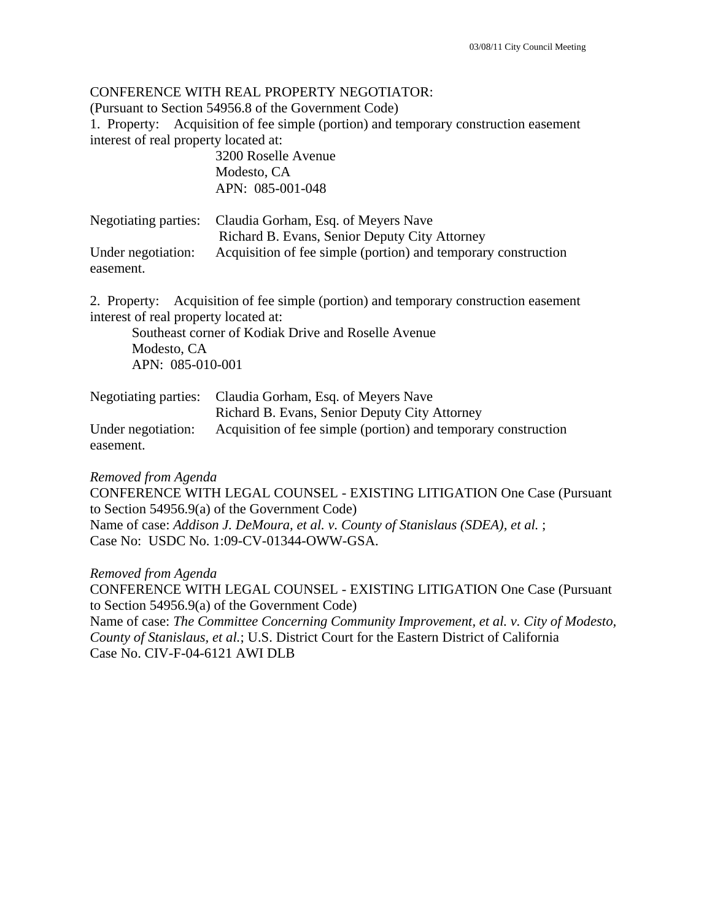#### CONFERENCE WITH REAL PROPERTY NEGOTIATOR:

(Pursuant to Section 54956.8 of the Government Code)

1. Property: Acquisition of fee simple (portion) and temporary construction easement interest of real property located at:

> 3200 Roselle Avenue Modesto, CA APN: 085-001-048

| Negotiating parties: | Claudia Gorham, Esq. of Meyers Nave                            |
|----------------------|----------------------------------------------------------------|
|                      | Richard B. Evans, Senior Deputy City Attorney                  |
| Under negotiation:   | Acquisition of fee simple (portion) and temporary construction |
| easement.            |                                                                |

2. Property: Acquisition of fee simple (portion) and temporary construction easement interest of real property located at:

 Southeast corner of Kodiak Drive and Roselle Avenue Modesto, CA APN: 085-010-001

|                    | Negotiating parties: Claudia Gorham, Esq. of Meyers Nave       |
|--------------------|----------------------------------------------------------------|
|                    | Richard B. Evans, Senior Deputy City Attorney                  |
| Under negotiation: | Acquisition of fee simple (portion) and temporary construction |
| easement.          |                                                                |

*Removed from Agenda* 

CONFERENCE WITH LEGAL COUNSEL - EXISTING LITIGATION One Case (Pursuant to Section 54956.9(a) of the Government Code) Name of case: *Addison J. DeMoura, et al. v. County of Stanislaus (SDEA), et al.* ; Case No: USDC No. 1:09-CV-01344-OWW-GSA.

*Removed from Agenda*  CONFERENCE WITH LEGAL COUNSEL - EXISTING LITIGATION One Case (Pursuant to Section 54956.9(a) of the Government Code) Name of case: *The Committee Concerning Community Improvement, et al. v. City of Modesto, County of Stanislaus, et al.*; U.S. District Court for the Eastern District of California Case No. CIV-F-04-6121 AWI DLB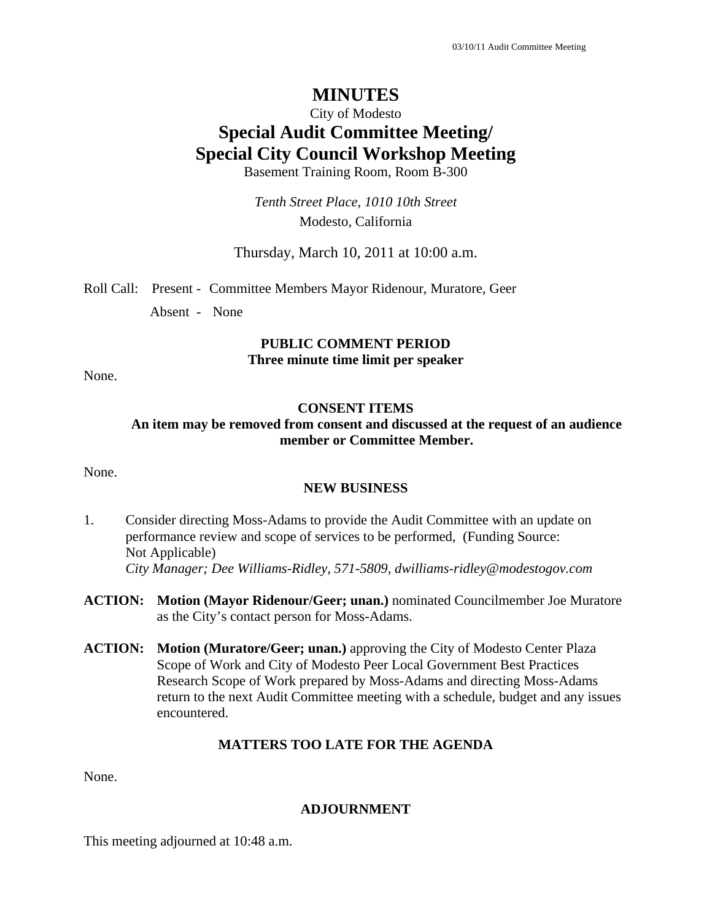#### City of Modesto

# **Special Audit Committee Meeting/ Special City Council Workshop Meeting**

Basement Training Room, Room B-300

*Tenth Street Place, 1010 10th Street*  Modesto, California

Thursday, March 10, 2011 at 10:00 a.m.

Roll Call: Present - Committee Members Mayor Ridenour, Muratore, Geer

Absent - None

# **PUBLIC COMMENT PERIOD**

**Three minute time limit per speaker** 

None.

#### **CONSENT ITEMS**

#### **An item may be removed from consent and discussed at the request of an audience member or Committee Member.**

None.

#### **NEW BUSINESS**

- 1. Consider directing Moss-Adams to provide the Audit Committee with an update on performance review and scope of services to be performed, (Funding Source: Not Applicable) *City Manager; Dee Williams-Ridley, 571-5809, dwilliams-ridley@modestogov.com*
- **ACTION: Motion (Mayor Ridenour/Geer; unan.)** nominated Councilmember Joe Muratore as the City's contact person for Moss-Adams.
- **ACTION: Motion (Muratore/Geer; unan.)** approving the City of Modesto Center Plaza Scope of Work and City of Modesto Peer Local Government Best Practices Research Scope of Work prepared by Moss-Adams and directing Moss-Adams return to the next Audit Committee meeting with a schedule, budget and any issues encountered.

#### **MATTERS TOO LATE FOR THE AGENDA**

None.

#### **ADJOURNMENT**

This meeting adjourned at 10:48 a.m.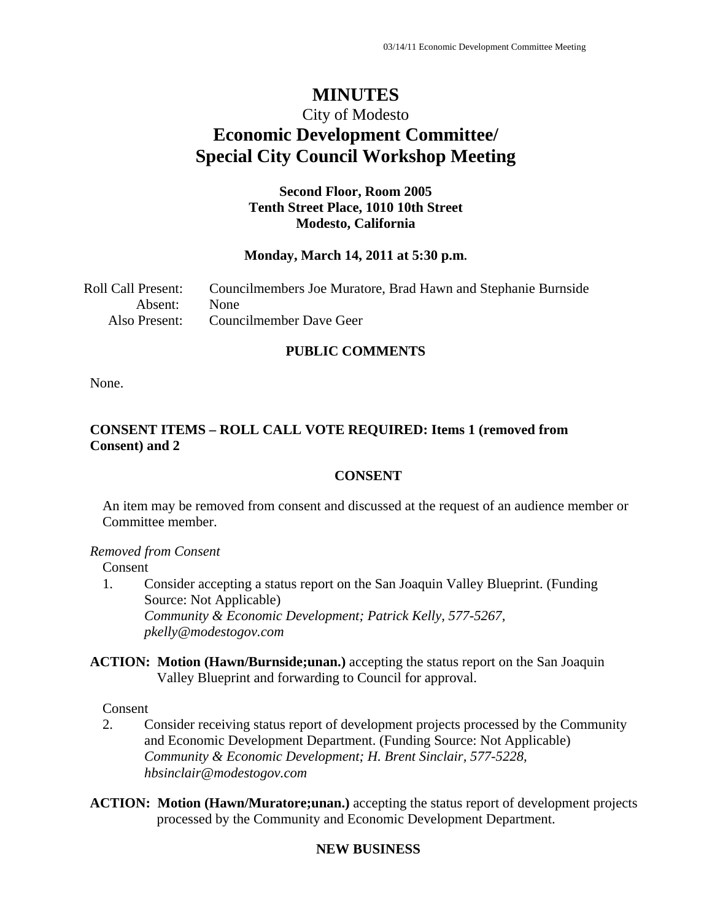# City of Modesto **Economic Development Committee/ Special City Council Workshop Meeting**

### **Second Floor, Room 2005 Tenth Street Place, 1010 10th Street Modesto, California**

#### **Monday, March 14, 2011 at 5:30 p.m.**

| <b>Roll Call Present:</b> | Councilmembers Joe Muratore, Brad Hawn and Stephanie Burnside |
|---------------------------|---------------------------------------------------------------|
| Absent: None              |                                                               |
|                           | Also Present: Councilmember Dave Geer                         |

#### **PUBLIC COMMENTS**

None.

### **CONSENT ITEMS – ROLL CALL VOTE REQUIRED: Items 1 (removed from Consent) and 2**

#### **CONSENT**

An item may be removed from consent and discussed at the request of an audience member or Committee member.

#### *Removed from Consent*

Consent

- 1. Consider accepting a status report on the San Joaquin Valley Blueprint. (Funding Source: Not Applicable)  *Community & Economic Development; Patrick Kelly, 577-5267, pkelly@modestogov.com*
- **ACTION: Motion (Hawn/Burnside;unan.)** accepting the status report on the San Joaquin Valley Blueprint and forwarding to Council for approval.

Consent

2. Consider receiving status report of development projects processed by the Community and Economic Development Department. (Funding Source: Not Applicable)  *Community & Economic Development; H. Brent Sinclair, 577-5228, hbsinclair@modestogov.com* 

**ACTION: Motion (Hawn/Muratore;unan.)** accepting the status report of development projects processed by the Community and Economic Development Department.

### **NEW BUSINESS**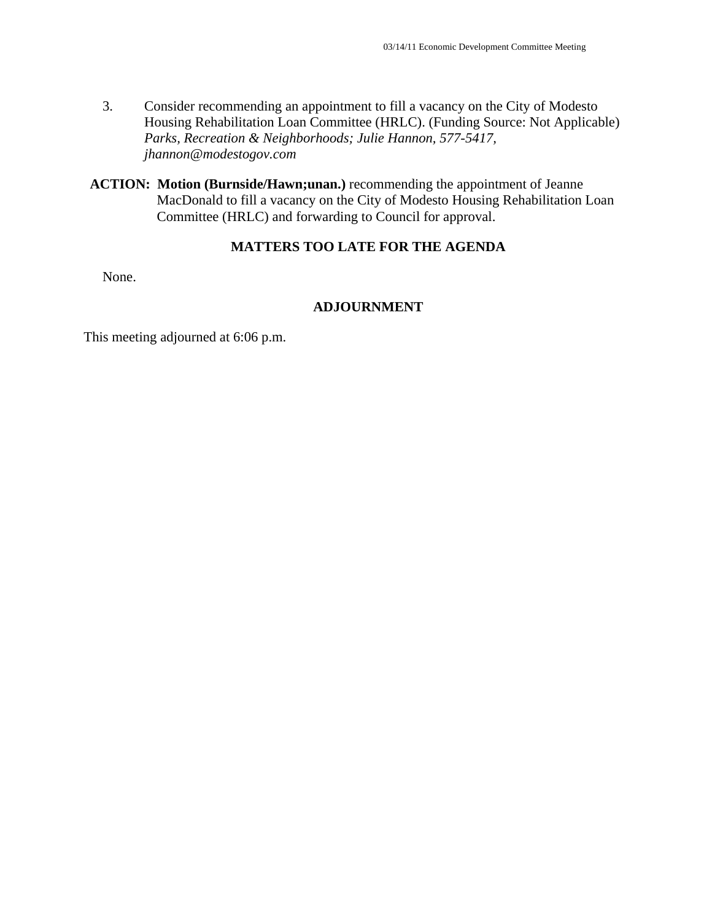- 3. Consider recommending an appointment to fill a vacancy on the City of Modesto Housing Rehabilitation Loan Committee (HRLC). (Funding Source: Not Applicable)  *Parks, Recreation & Neighborhoods; Julie Hannon, 577-5417, jhannon@modestogov.com*
- **ACTION: Motion (Burnside/Hawn;unan.)** recommending the appointment of Jeanne MacDonald to fill a vacancy on the City of Modesto Housing Rehabilitation Loan Committee (HRLC) and forwarding to Council for approval.

#### **MATTERS TOO LATE FOR THE AGENDA**

None.

### **ADJOURNMENT**

This meeting adjourned at 6:06 p.m.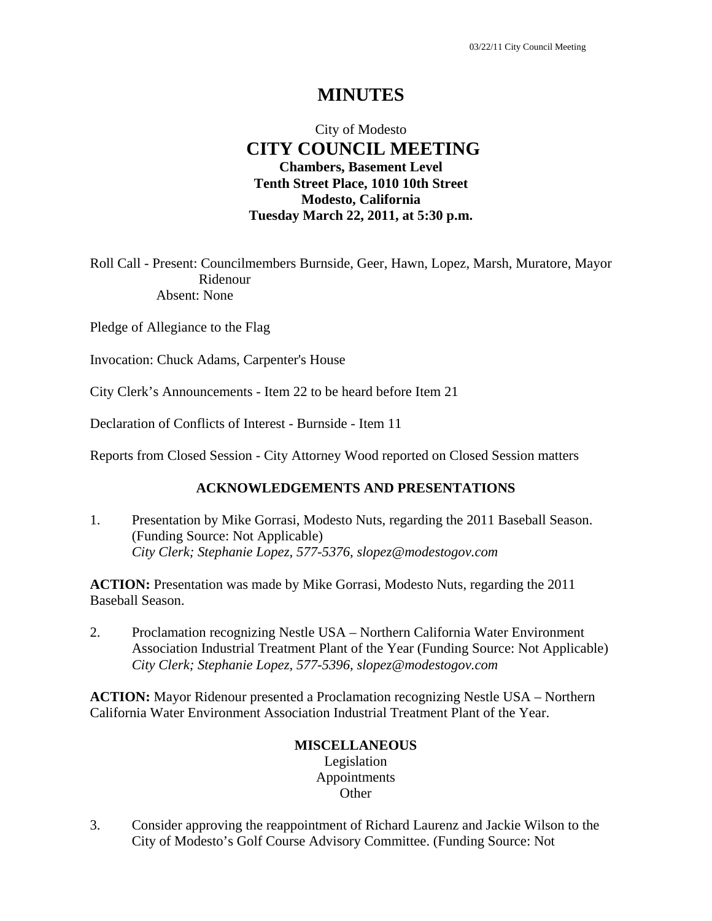### City of Modesto  **CITY COUNCIL MEETING Chambers, Basement Level Tenth Street Place, 1010 10th Street Modesto, California Tuesday March 22, 2011, at 5:30 p.m.**

Roll Call - Present: Councilmembers Burnside, Geer, Hawn, Lopez, Marsh, Muratore, Mayor Ridenour Absent: None

Pledge of Allegiance to the Flag

Invocation: Chuck Adams, Carpenter's House

City Clerk's Announcements - Item 22 to be heard before Item 21

Declaration of Conflicts of Interest - Burnside - Item 11

Reports from Closed Session - City Attorney Wood reported on Closed Session matters

### **ACKNOWLEDGEMENTS AND PRESENTATIONS**

1. Presentation by Mike Gorrasi, Modesto Nuts, regarding the 2011 Baseball Season. (Funding Source: Not Applicable)  *City Clerk; Stephanie Lopez, 577-5376, slopez@modestogov.com* 

**ACTION:** Presentation was made by Mike Gorrasi, Modesto Nuts, regarding the 2011 Baseball Season.

2. Proclamation recognizing Nestle USA – Northern California Water Environment Association Industrial Treatment Plant of the Year (Funding Source: Not Applicable)  *City Clerk; Stephanie Lopez, 577-5396, slopez@modestogov.com* 

**ACTION:** Mayor Ridenour presented a Proclamation recognizing Nestle USA – Northern California Water Environment Association Industrial Treatment Plant of the Year.

### **MISCELLANEOUS**

Legislation Appointments **Other** 

3. Consider approving the reappointment of Richard Laurenz and Jackie Wilson to the City of Modesto's Golf Course Advisory Committee. (Funding Source: Not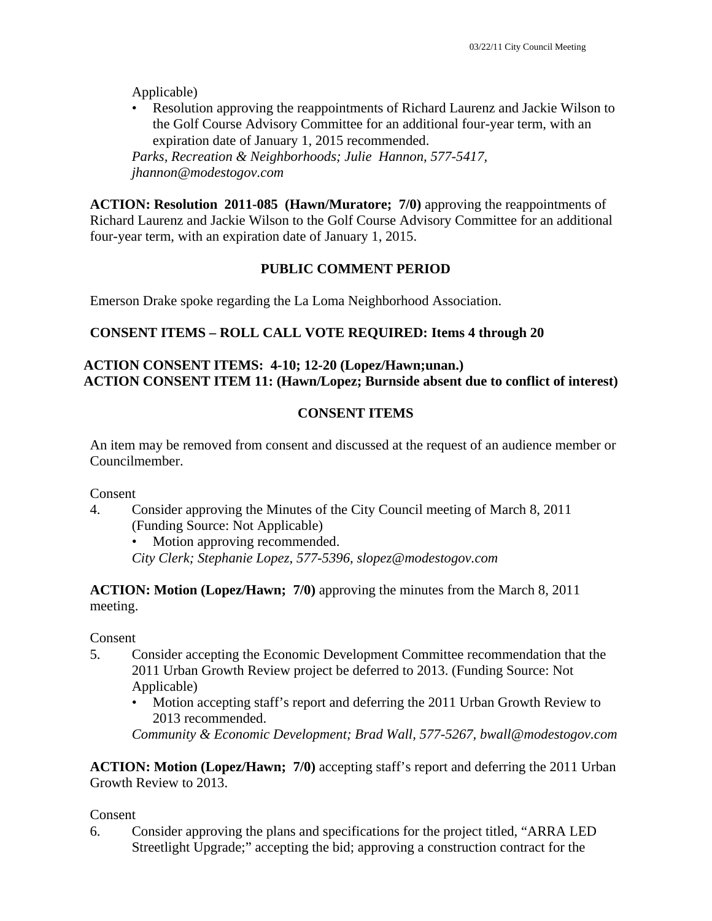Applicable)

• Resolution approving the reappointments of Richard Laurenz and Jackie Wilson to the Golf Course Advisory Committee for an additional four-year term, with an expiration date of January 1, 2015 recommended.

*Parks, Recreation & Neighborhoods; Julie Hannon, 577-5417, jhannon@modestogov.com* 

**ACTION: Resolution 2011-085 (Hawn/Muratore; 7/0)** approving the reappointments of Richard Laurenz and Jackie Wilson to the Golf Course Advisory Committee for an additional four-year term, with an expiration date of January 1, 2015.

### **PUBLIC COMMENT PERIOD**

Emerson Drake spoke regarding the La Loma Neighborhood Association.

### **CONSENT ITEMS – ROLL CALL VOTE REQUIRED: Items 4 through 20**

### **ACTION CONSENT ITEMS: 4-10; 12-20 (Lopez/Hawn;unan.) ACTION CONSENT ITEM 11: (Hawn/Lopez; Burnside absent due to conflict of interest)**

### **CONSENT ITEMS**

An item may be removed from consent and discussed at the request of an audience member or Councilmember.

Consent

4. Consider approving the Minutes of the City Council meeting of March 8, 2011 (Funding Source: Not Applicable)

Motion approving recommended.

*City Clerk; Stephanie Lopez, 577-5396, slopez@modestogov.com* 

**ACTION: Motion (Lopez/Hawn; 7/0)** approving the minutes from the March 8, 2011 meeting.

#### Consent

- 5. Consider accepting the Economic Development Committee recommendation that the 2011 Urban Growth Review project be deferred to 2013. (Funding Source: Not Applicable)
	- Motion accepting staff's report and deferring the 2011 Urban Growth Review to 2013 recommended.

*Community & Economic Development; Brad Wall, 577-5267, bwall@modestogov.com* 

**ACTION: Motion (Lopez/Hawn; 7/0)** accepting staff's report and deferring the 2011 Urban Growth Review to 2013.

#### Consent

6. Consider approving the plans and specifications for the project titled, "ARRA LED Streetlight Upgrade;" accepting the bid; approving a construction contract for the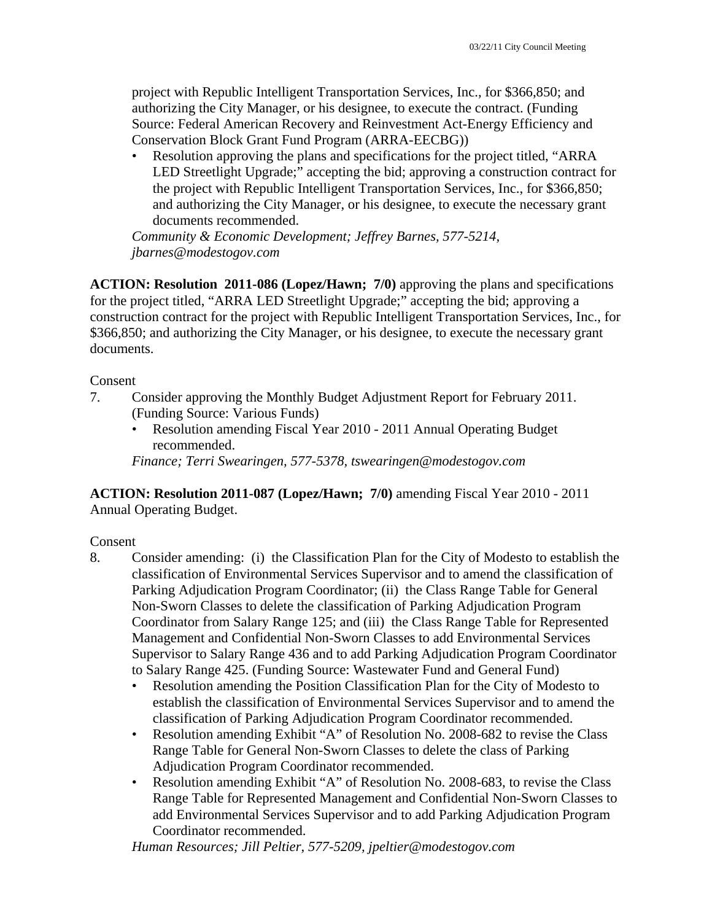project with Republic Intelligent Transportation Services, Inc., for \$366,850; and authorizing the City Manager, or his designee, to execute the contract. (Funding Source: Federal American Recovery and Reinvestment Act-Energy Efficiency and Conservation Block Grant Fund Program (ARRA-EECBG))

• Resolution approving the plans and specifications for the project titled, "ARRA LED Streetlight Upgrade;" accepting the bid; approving a construction contract for the project with Republic Intelligent Transportation Services, Inc., for \$366,850; and authorizing the City Manager, or his designee, to execute the necessary grant documents recommended.

*Community & Economic Development; Jeffrey Barnes, 577-5214, jbarnes@modestogov.com* 

**ACTION: Resolution 2011-086 (Lopez/Hawn; 7/0)** approving the plans and specifications for the project titled, "ARRA LED Streetlight Upgrade;" accepting the bid; approving a construction contract for the project with Republic Intelligent Transportation Services, Inc., for \$366,850; and authorizing the City Manager, or his designee, to execute the necessary grant documents.

#### Consent

- 7. Consider approving the Monthly Budget Adjustment Report for February 2011. (Funding Source: Various Funds)
	- Resolution amending Fiscal Year 2010 2011 Annual Operating Budget recommended.

*Finance; Terri Swearingen, 577-5378, tswearingen@modestogov.com* 

**ACTION: Resolution 2011-087 (Lopez/Hawn; 7/0)** amending Fiscal Year 2010 - 2011 Annual Operating Budget.

#### Consent

- 8. Consider amending: (i) the Classification Plan for the City of Modesto to establish the classification of Environmental Services Supervisor and to amend the classification of Parking Adjudication Program Coordinator; (ii) the Class Range Table for General Non-Sworn Classes to delete the classification of Parking Adjudication Program Coordinator from Salary Range 125; and (iii) the Class Range Table for Represented Management and Confidential Non-Sworn Classes to add Environmental Services Supervisor to Salary Range 436 and to add Parking Adjudication Program Coordinator to Salary Range 425. (Funding Source: Wastewater Fund and General Fund)
	- Resolution amending the Position Classification Plan for the City of Modesto to establish the classification of Environmental Services Supervisor and to amend the classification of Parking Adjudication Program Coordinator recommended.
	- Resolution amending Exhibit "A" of Resolution No. 2008-682 to revise the Class Range Table for General Non-Sworn Classes to delete the class of Parking Adjudication Program Coordinator recommended.
	- Resolution amending Exhibit "A" of Resolution No. 2008-683, to revise the Class Range Table for Represented Management and Confidential Non-Sworn Classes to add Environmental Services Supervisor and to add Parking Adjudication Program Coordinator recommended.

*Human Resources; Jill Peltier, 577-5209, jpeltier@modestogov.com*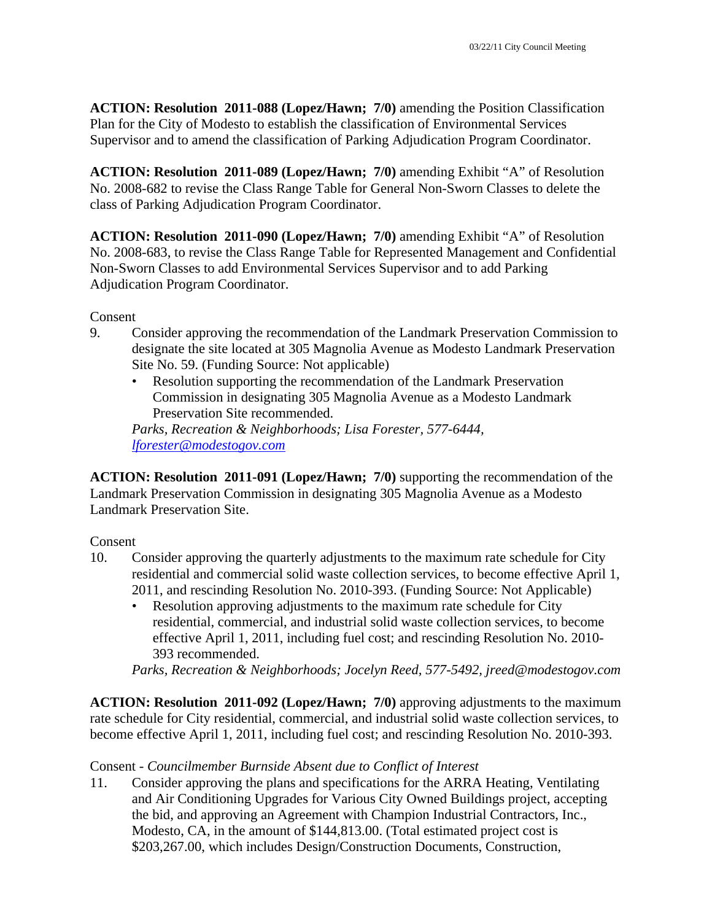**ACTION: Resolution 2011-088 (Lopez/Hawn; 7/0)** amending the Position Classification Plan for the City of Modesto to establish the classification of Environmental Services Supervisor and to amend the classification of Parking Adjudication Program Coordinator.

**ACTION: Resolution 2011-089 (Lopez/Hawn; 7/0)** amending Exhibit "A" of Resolution No. 2008-682 to revise the Class Range Table for General Non-Sworn Classes to delete the class of Parking Adjudication Program Coordinator.

**ACTION: Resolution 2011-090 (Lopez/Hawn; 7/0)** amending Exhibit "A" of Resolution No. 2008-683, to revise the Class Range Table for Represented Management and Confidential Non-Sworn Classes to add Environmental Services Supervisor and to add Parking Adjudication Program Coordinator.

**Consent** 

- 9. Consider approving the recommendation of the Landmark Preservation Commission to designate the site located at 305 Magnolia Avenue as Modesto Landmark Preservation Site No. 59. (Funding Source: Not applicable)
	- Resolution supporting the recommendation of the Landmark Preservation Commission in designating 305 Magnolia Avenue as a Modesto Landmark Preservation Site recommended.

*Parks, Recreation & Neighborhoods; Lisa Forester, 577-6444, lforester@modestogov.com* 

**ACTION: Resolution 2011-091 (Lopez/Hawn; 7/0)** supporting the recommendation of the Landmark Preservation Commission in designating 305 Magnolia Avenue as a Modesto Landmark Preservation Site.

## Consent

- 10. Consider approving the quarterly adjustments to the maximum rate schedule for City residential and commercial solid waste collection services, to become effective April 1, 2011, and rescinding Resolution No. 2010-393. (Funding Source: Not Applicable)
	- Resolution approving adjustments to the maximum rate schedule for City residential, commercial, and industrial solid waste collection services, to become effective April 1, 2011, including fuel cost; and rescinding Resolution No. 2010- 393 recommended.

*Parks, Recreation & Neighborhoods; Jocelyn Reed, 577-5492, jreed@modestogov.com* 

**ACTION: Resolution 2011-092 (Lopez/Hawn; 7/0)** approving adjustments to the maximum rate schedule for City residential, commercial, and industrial solid waste collection services, to become effective April 1, 2011, including fuel cost; and rescinding Resolution No. 2010-393.

## Consent - *Councilmember Burnside Absent due to Conflict of Interest*

11. Consider approving the plans and specifications for the ARRA Heating, Ventilating and Air Conditioning Upgrades for Various City Owned Buildings project, accepting the bid, and approving an Agreement with Champion Industrial Contractors, Inc., Modesto, CA, in the amount of \$144,813.00. (Total estimated project cost is \$203,267.00, which includes Design/Construction Documents, Construction,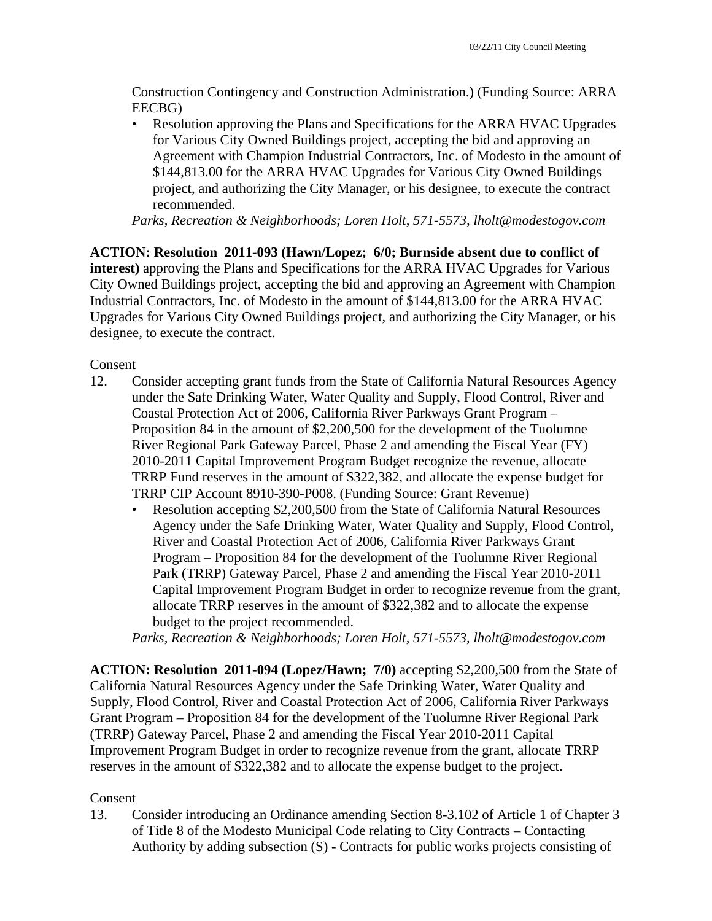Construction Contingency and Construction Administration.) (Funding Source: ARRA EECBG)

• Resolution approving the Plans and Specifications for the ARRA HVAC Upgrades for Various City Owned Buildings project, accepting the bid and approving an Agreement with Champion Industrial Contractors, Inc. of Modesto in the amount of \$144,813.00 for the ARRA HVAC Upgrades for Various City Owned Buildings project, and authorizing the City Manager, or his designee, to execute the contract recommended.

*Parks, Recreation & Neighborhoods; Loren Holt, 571-5573, lholt@modestogov.com* 

**ACTION: Resolution 2011-093 (Hawn/Lopez; 6/0; Burnside absent due to conflict of interest)** approving the Plans and Specifications for the ARRA HVAC Upgrades for Various City Owned Buildings project, accepting the bid and approving an Agreement with Champion Industrial Contractors, Inc. of Modesto in the amount of \$144,813.00 for the ARRA HVAC Upgrades for Various City Owned Buildings project, and authorizing the City Manager, or his designee, to execute the contract.

Consent

- 12. Consider accepting grant funds from the State of California Natural Resources Agency under the Safe Drinking Water, Water Quality and Supply, Flood Control, River and Coastal Protection Act of 2006, California River Parkways Grant Program – Proposition 84 in the amount of \$2,200,500 for the development of the Tuolumne River Regional Park Gateway Parcel, Phase 2 and amending the Fiscal Year (FY) 2010-2011 Capital Improvement Program Budget recognize the revenue, allocate TRRP Fund reserves in the amount of \$322,382, and allocate the expense budget for TRRP CIP Account 8910-390-P008. (Funding Source: Grant Revenue)
	- Resolution accepting \$2,200,500 from the State of California Natural Resources Agency under the Safe Drinking Water, Water Quality and Supply, Flood Control, River and Coastal Protection Act of 2006, California River Parkways Grant Program – Proposition 84 for the development of the Tuolumne River Regional Park (TRRP) Gateway Parcel, Phase 2 and amending the Fiscal Year 2010-2011 Capital Improvement Program Budget in order to recognize revenue from the grant, allocate TRRP reserves in the amount of \$322,382 and to allocate the expense budget to the project recommended.

*Parks, Recreation & Neighborhoods; Loren Holt, 571-5573, lholt@modestogov.com* 

**ACTION: Resolution 2011-094 (Lopez/Hawn; 7/0)** accepting \$2,200,500 from the State of California Natural Resources Agency under the Safe Drinking Water, Water Quality and Supply, Flood Control, River and Coastal Protection Act of 2006, California River Parkways Grant Program – Proposition 84 for the development of the Tuolumne River Regional Park (TRRP) Gateway Parcel, Phase 2 and amending the Fiscal Year 2010-2011 Capital Improvement Program Budget in order to recognize revenue from the grant, allocate TRRP reserves in the amount of \$322,382 and to allocate the expense budget to the project.

## Consent

13. Consider introducing an Ordinance amending Section 8-3.102 of Article 1 of Chapter 3 of Title 8 of the Modesto Municipal Code relating to City Contracts – Contacting Authority by adding subsection (S) - Contracts for public works projects consisting of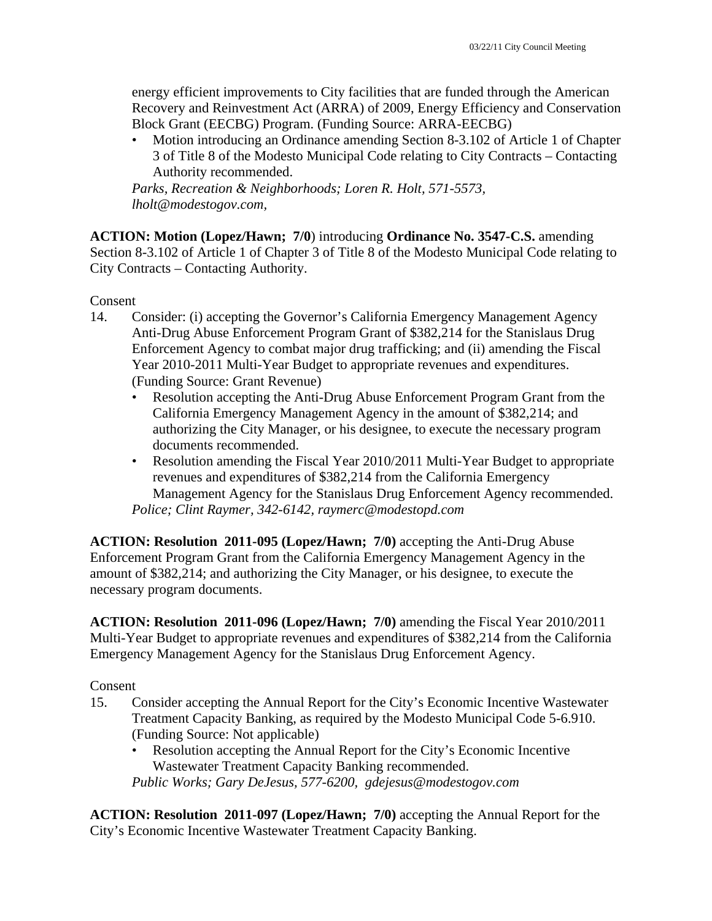energy efficient improvements to City facilities that are funded through the American Recovery and Reinvestment Act (ARRA) of 2009, Energy Efficiency and Conservation Block Grant (EECBG) Program. (Funding Source: ARRA-EECBG)

• Motion introducing an Ordinance amending Section 8-3.102 of Article 1 of Chapter 3 of Title 8 of the Modesto Municipal Code relating to City Contracts – Contacting Authority recommended.

*Parks, Recreation & Neighborhoods; Loren R. Holt, 571-5573, lholt@modestogov.com,* 

**ACTION: Motion (Lopez/Hawn; 7/0**) introducing **Ordinance No. 3547-C.S.** amending Section 8-3.102 of Article 1 of Chapter 3 of Title 8 of the Modesto Municipal Code relating to City Contracts – Contacting Authority.

Consent

- 14. Consider: (i) accepting the Governor's California Emergency Management Agency Anti-Drug Abuse Enforcement Program Grant of \$382,214 for the Stanislaus Drug Enforcement Agency to combat major drug trafficking; and (ii) amending the Fiscal Year 2010-2011 Multi-Year Budget to appropriate revenues and expenditures. (Funding Source: Grant Revenue)
	- Resolution accepting the Anti-Drug Abuse Enforcement Program Grant from the California Emergency Management Agency in the amount of \$382,214; and authorizing the City Manager, or his designee, to execute the necessary program documents recommended.
	- Resolution amending the Fiscal Year 2010/2011 Multi-Year Budget to appropriate revenues and expenditures of \$382,214 from the California Emergency Management Agency for the Stanislaus Drug Enforcement Agency recommended. *Police; Clint Raymer, 342-6142, raymerc@modestopd.com*

**ACTION: Resolution 2011-095 (Lopez/Hawn; 7/0)** accepting the Anti-Drug Abuse Enforcement Program Grant from the California Emergency Management Agency in the amount of \$382,214; and authorizing the City Manager, or his designee, to execute the necessary program documents.

**ACTION: Resolution 2011-096 (Lopez/Hawn; 7/0)** amending the Fiscal Year 2010/2011 Multi-Year Budget to appropriate revenues and expenditures of \$382,214 from the California Emergency Management Agency for the Stanislaus Drug Enforcement Agency.

Consent

- 15. Consider accepting the Annual Report for the City's Economic Incentive Wastewater Treatment Capacity Banking, as required by the Modesto Municipal Code 5-6.910. (Funding Source: Not applicable)
	- Resolution accepting the Annual Report for the City's Economic Incentive Wastewater Treatment Capacity Banking recommended. *Public Works; Gary DeJesus, 577-6200, gdejesus@modestogov.com*

**ACTION: Resolution 2011-097 (Lopez/Hawn; 7/0)** accepting the Annual Report for the City's Economic Incentive Wastewater Treatment Capacity Banking.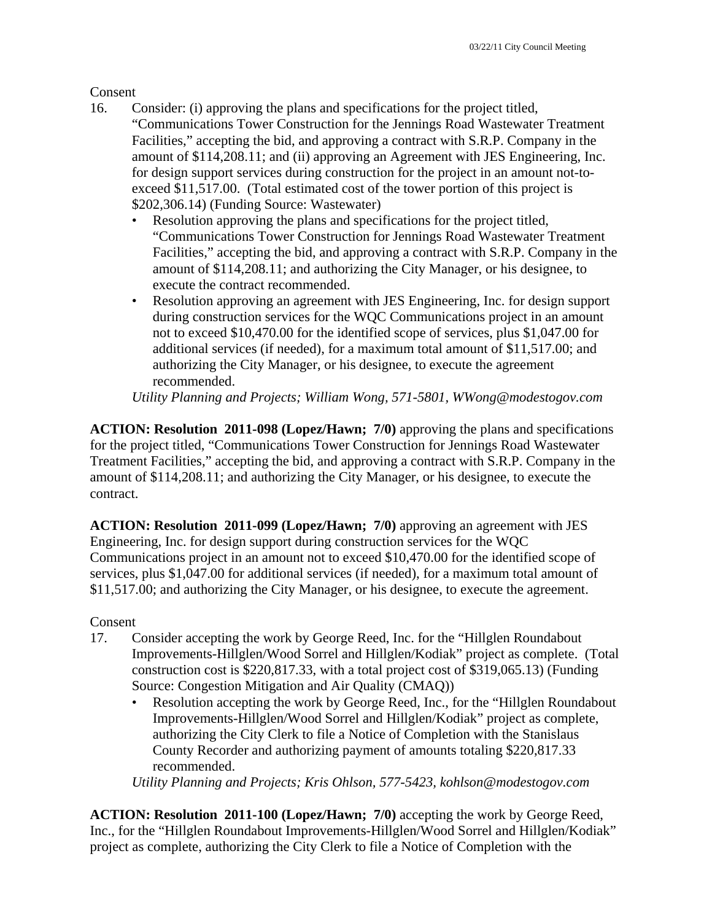Consent

- 16. Consider: (i) approving the plans and specifications for the project titled, "Communications Tower Construction for the Jennings Road Wastewater Treatment Facilities," accepting the bid, and approving a contract with S.R.P. Company in the amount of \$114,208.11; and (ii) approving an Agreement with JES Engineering, Inc. for design support services during construction for the project in an amount not-toexceed \$11,517.00. (Total estimated cost of the tower portion of this project is \$202,306.14) (Funding Source: Wastewater)
	- Resolution approving the plans and specifications for the project titled, "Communications Tower Construction for Jennings Road Wastewater Treatment Facilities," accepting the bid, and approving a contract with S.R.P. Company in the amount of \$114,208.11; and authorizing the City Manager, or his designee, to execute the contract recommended.
	- Resolution approving an agreement with JES Engineering, Inc. for design support during construction services for the WQC Communications project in an amount not to exceed \$10,470.00 for the identified scope of services, plus \$1,047.00 for additional services (if needed), for a maximum total amount of \$11,517.00; and authorizing the City Manager, or his designee, to execute the agreement recommended.

*Utility Planning and Projects; William Wong, 571-5801, WWong@modestogov.com* 

**ACTION: Resolution 2011-098 (Lopez/Hawn; 7/0)** approving the plans and specifications for the project titled, "Communications Tower Construction for Jennings Road Wastewater Treatment Facilities," accepting the bid, and approving a contract with S.R.P. Company in the amount of \$114,208.11; and authorizing the City Manager, or his designee, to execute the contract.

**ACTION: Resolution 2011-099 (Lopez/Hawn; 7/0)** approving an agreement with JES Engineering, Inc. for design support during construction services for the WQC Communications project in an amount not to exceed \$10,470.00 for the identified scope of services, plus \$1,047.00 for additional services (if needed), for a maximum total amount of \$11,517.00; and authorizing the City Manager, or his designee, to execute the agreement.

## Consent

- 17. Consider accepting the work by George Reed, Inc. for the "Hillglen Roundabout Improvements-Hillglen/Wood Sorrel and Hillglen/Kodiak" project as complete. (Total construction cost is \$220,817.33, with a total project cost of \$319,065.13) (Funding Source: Congestion Mitigation and Air Quality (CMAQ))
	- Resolution accepting the work by George Reed, Inc., for the "Hillglen Roundabout Improvements-Hillglen/Wood Sorrel and Hillglen/Kodiak" project as complete, authorizing the City Clerk to file a Notice of Completion with the Stanislaus County Recorder and authorizing payment of amounts totaling \$220,817.33 recommended.

*Utility Planning and Projects; Kris Ohlson, 577-5423, kohlson@modestogov.com* 

**ACTION: Resolution 2011-100 (Lopez/Hawn; 7/0)** accepting the work by George Reed, Inc., for the "Hillglen Roundabout Improvements-Hillglen/Wood Sorrel and Hillglen/Kodiak" project as complete, authorizing the City Clerk to file a Notice of Completion with the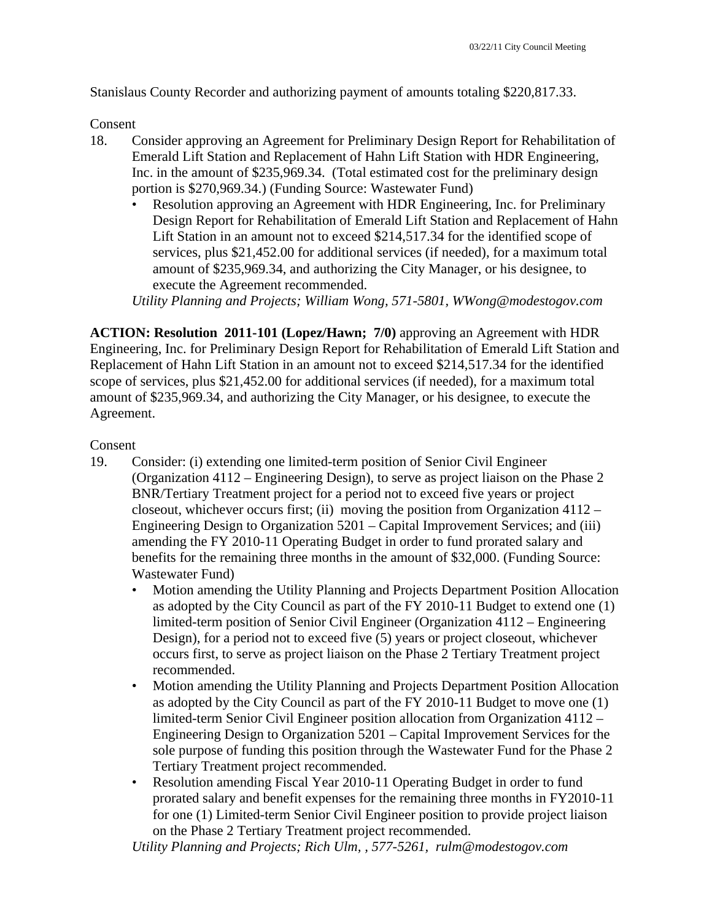Stanislaus County Recorder and authorizing payment of amounts totaling \$220,817.33.

Consent

- 18. Consider approving an Agreement for Preliminary Design Report for Rehabilitation of Emerald Lift Station and Replacement of Hahn Lift Station with HDR Engineering, Inc. in the amount of \$235,969.34. (Total estimated cost for the preliminary design portion is \$270,969.34.) (Funding Source: Wastewater Fund)
	- Resolution approving an Agreement with HDR Engineering, Inc. for Preliminary Design Report for Rehabilitation of Emerald Lift Station and Replacement of Hahn Lift Station in an amount not to exceed \$214,517.34 for the identified scope of services, plus \$21,452.00 for additional services (if needed), for a maximum total amount of \$235,969.34, and authorizing the City Manager, or his designee, to execute the Agreement recommended.

*Utility Planning and Projects; William Wong, 571-5801, WWong@modestogov.com* 

**ACTION: Resolution 2011-101 (Lopez/Hawn; 7/0)** approving an Agreement with HDR Engineering, Inc. for Preliminary Design Report for Rehabilitation of Emerald Lift Station and Replacement of Hahn Lift Station in an amount not to exceed \$214,517.34 for the identified scope of services, plus \$21,452.00 for additional services (if needed), for a maximum total amount of \$235,969.34, and authorizing the City Manager, or his designee, to execute the Agreement.

## Consent

- 19. Consider: (i) extending one limited-term position of Senior Civil Engineer (Organization 4112 – Engineering Design), to serve as project liaison on the Phase 2 BNR/Tertiary Treatment project for a period not to exceed five years or project closeout, whichever occurs first; (ii) moving the position from Organization 4112 – Engineering Design to Organization 5201 – Capital Improvement Services; and (iii) amending the FY 2010-11 Operating Budget in order to fund prorated salary and benefits for the remaining three months in the amount of \$32,000. (Funding Source: Wastewater Fund)
	- Motion amending the Utility Planning and Projects Department Position Allocation as adopted by the City Council as part of the FY 2010-11 Budget to extend one (1) limited-term position of Senior Civil Engineer (Organization 4112 – Engineering Design), for a period not to exceed five (5) years or project closeout, whichever occurs first, to serve as project liaison on the Phase 2 Tertiary Treatment project recommended.
	- Motion amending the Utility Planning and Projects Department Position Allocation as adopted by the City Council as part of the FY 2010-11 Budget to move one (1) limited-term Senior Civil Engineer position allocation from Organization 4112 – Engineering Design to Organization 5201 – Capital Improvement Services for the sole purpose of funding this position through the Wastewater Fund for the Phase 2 Tertiary Treatment project recommended.
	- Resolution amending Fiscal Year 2010-11 Operating Budget in order to fund prorated salary and benefit expenses for the remaining three months in FY2010-11 for one (1) Limited-term Senior Civil Engineer position to provide project liaison on the Phase 2 Tertiary Treatment project recommended.

*Utility Planning and Projects; Rich Ulm, , 577-5261, rulm@modestogov.com*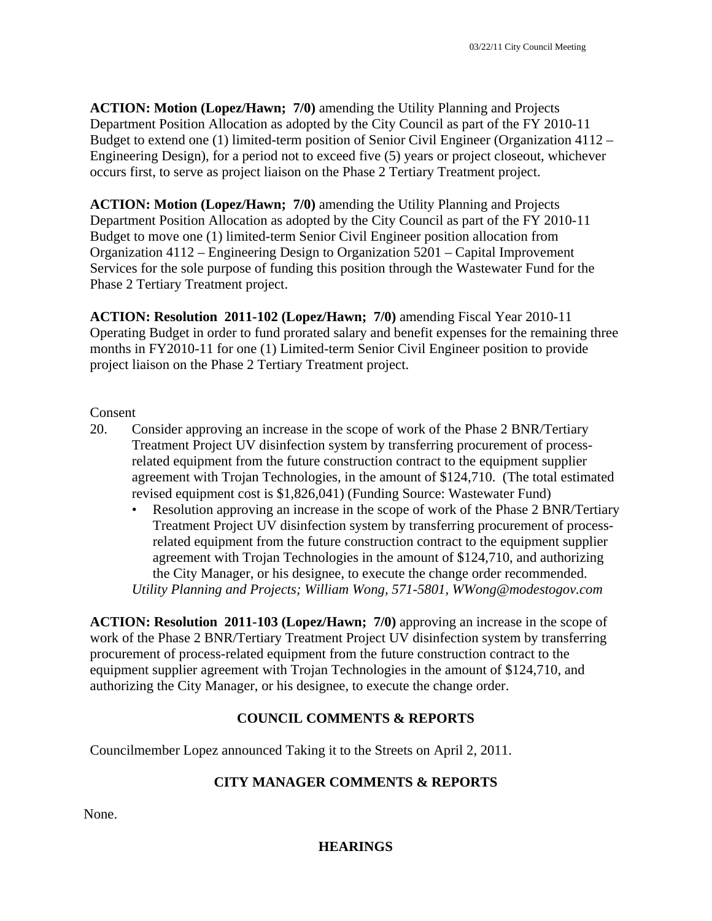**ACTION: Motion (Lopez/Hawn; 7/0)** amending the Utility Planning and Projects Department Position Allocation as adopted by the City Council as part of the FY 2010-11 Budget to extend one (1) limited-term position of Senior Civil Engineer (Organization 4112 – Engineering Design), for a period not to exceed five (5) years or project closeout, whichever occurs first, to serve as project liaison on the Phase 2 Tertiary Treatment project.

**ACTION: Motion (Lopez/Hawn; 7/0)** amending the Utility Planning and Projects Department Position Allocation as adopted by the City Council as part of the FY 2010-11 Budget to move one (1) limited-term Senior Civil Engineer position allocation from Organization 4112 – Engineering Design to Organization 5201 – Capital Improvement Services for the sole purpose of funding this position through the Wastewater Fund for the Phase 2 Tertiary Treatment project.

**ACTION: Resolution 2011-102 (Lopez/Hawn; 7/0)** amending Fiscal Year 2010-11 Operating Budget in order to fund prorated salary and benefit expenses for the remaining three months in FY2010-11 for one (1) Limited-term Senior Civil Engineer position to provide project liaison on the Phase 2 Tertiary Treatment project.

#### Consent

- 20. Consider approving an increase in the scope of work of the Phase 2 BNR/Tertiary Treatment Project UV disinfection system by transferring procurement of processrelated equipment from the future construction contract to the equipment supplier agreement with Trojan Technologies, in the amount of \$124,710. (The total estimated revised equipment cost is \$1,826,041) (Funding Source: Wastewater Fund)
	- Resolution approving an increase in the scope of work of the Phase 2 BNR/Tertiary Treatment Project UV disinfection system by transferring procurement of processrelated equipment from the future construction contract to the equipment supplier agreement with Trojan Technologies in the amount of \$124,710, and authorizing the City Manager, or his designee, to execute the change order recommended. *Utility Planning and Projects; William Wong, 571-5801, WWong@modestogov.com*

**ACTION: Resolution 2011-103 (Lopez/Hawn; 7/0)** approving an increase in the scope of work of the Phase 2 BNR/Tertiary Treatment Project UV disinfection system by transferring procurement of process-related equipment from the future construction contract to the equipment supplier agreement with Trojan Technologies in the amount of \$124,710, and authorizing the City Manager, or his designee, to execute the change order.

#### **COUNCIL COMMENTS & REPORTS**

Councilmember Lopez announced Taking it to the Streets on April 2, 2011.

#### **CITY MANAGER COMMENTS & REPORTS**

None.

#### **HEARINGS**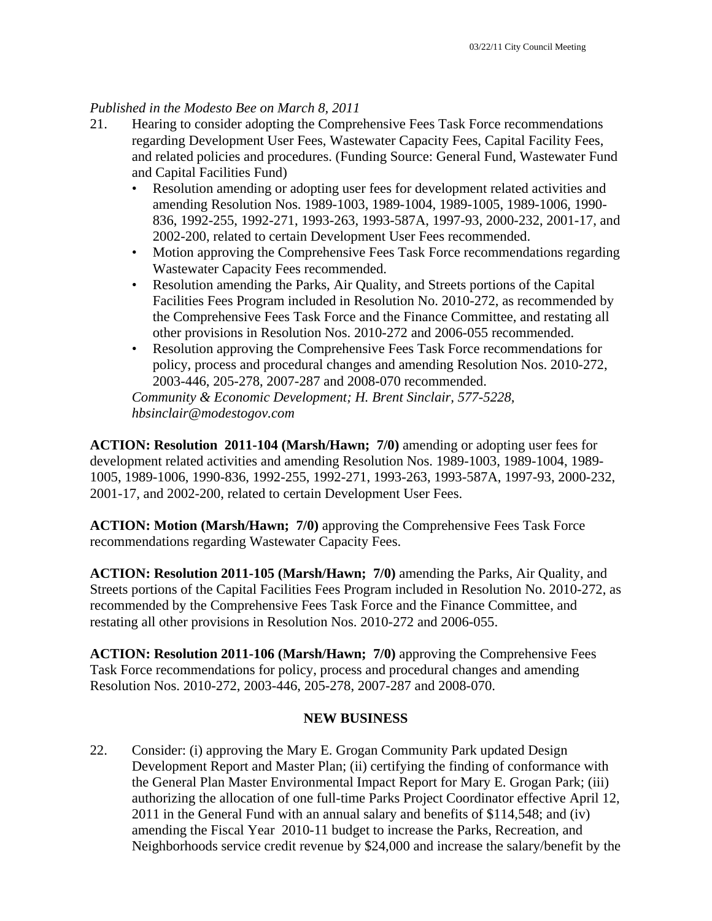#### *Published in the Modesto Bee on March 8, 2011*

- 21. Hearing to consider adopting the Comprehensive Fees Task Force recommendations regarding Development User Fees, Wastewater Capacity Fees, Capital Facility Fees, and related policies and procedures. (Funding Source: General Fund, Wastewater Fund and Capital Facilities Fund)
	- Resolution amending or adopting user fees for development related activities and amending Resolution Nos. 1989-1003, 1989-1004, 1989-1005, 1989-1006, 1990- 836, 1992-255, 1992-271, 1993-263, 1993-587A, 1997-93, 2000-232, 2001-17, and 2002-200, related to certain Development User Fees recommended.
	- Motion approving the Comprehensive Fees Task Force recommendations regarding Wastewater Capacity Fees recommended.
	- Resolution amending the Parks, Air Quality, and Streets portions of the Capital Facilities Fees Program included in Resolution No. 2010-272, as recommended by the Comprehensive Fees Task Force and the Finance Committee, and restating all other provisions in Resolution Nos. 2010-272 and 2006-055 recommended.
	- Resolution approving the Comprehensive Fees Task Force recommendations for policy, process and procedural changes and amending Resolution Nos. 2010-272, 2003-446, 205-278, 2007-287 and 2008-070 recommended.

*Community & Economic Development; H. Brent Sinclair, 577-5228, hbsinclair@modestogov.com* 

**ACTION: Resolution 2011-104 (Marsh/Hawn; 7/0)** amending or adopting user fees for development related activities and amending Resolution Nos. 1989-1003, 1989-1004, 1989- 1005, 1989-1006, 1990-836, 1992-255, 1992-271, 1993-263, 1993-587A, 1997-93, 2000-232, 2001-17, and 2002-200, related to certain Development User Fees.

**ACTION: Motion (Marsh/Hawn; 7/0)** approving the Comprehensive Fees Task Force recommendations regarding Wastewater Capacity Fees.

**ACTION: Resolution 2011-105 (Marsh/Hawn; 7/0)** amending the Parks, Air Quality, and Streets portions of the Capital Facilities Fees Program included in Resolution No. 2010-272, as recommended by the Comprehensive Fees Task Force and the Finance Committee, and restating all other provisions in Resolution Nos. 2010-272 and 2006-055.

**ACTION: Resolution 2011-106 (Marsh/Hawn; 7/0)** approving the Comprehensive Fees Task Force recommendations for policy, process and procedural changes and amending Resolution Nos. 2010-272, 2003-446, 205-278, 2007-287 and 2008-070.

## **NEW BUSINESS**

22. Consider: (i) approving the Mary E. Grogan Community Park updated Design Development Report and Master Plan; (ii) certifying the finding of conformance with the General Plan Master Environmental Impact Report for Mary E. Grogan Park; (iii) authorizing the allocation of one full-time Parks Project Coordinator effective April 12, 2011 in the General Fund with an annual salary and benefits of \$114,548; and (iv) amending the Fiscal Year 2010-11 budget to increase the Parks, Recreation, and Neighborhoods service credit revenue by \$24,000 and increase the salary/benefit by the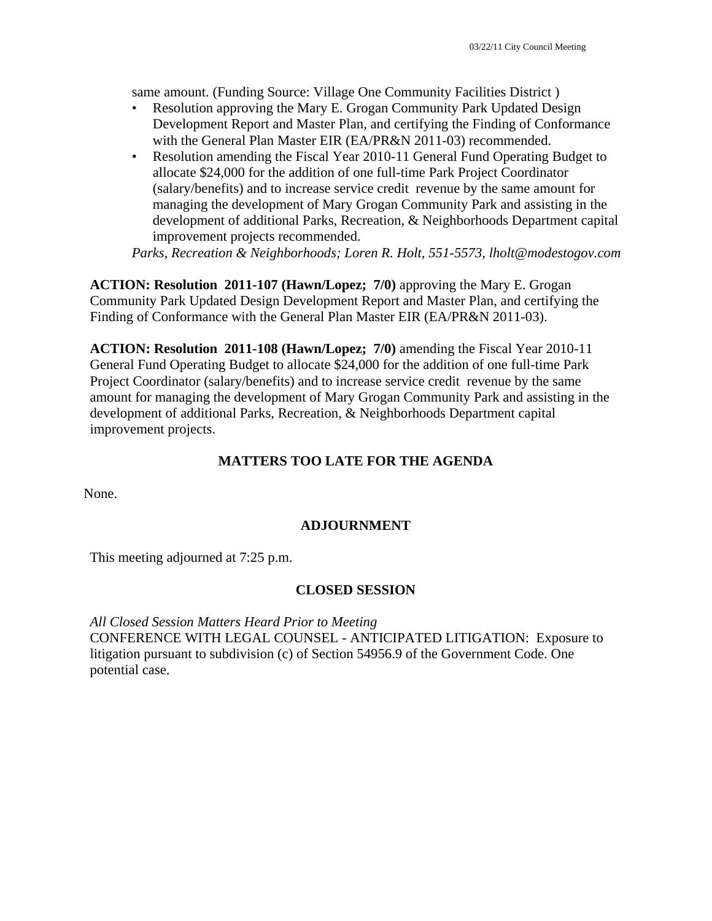same amount. (Funding Source: Village One Community Facilities District )

- Resolution approving the Mary E. Grogan Community Park Updated Design Development Report and Master Plan, and certifying the Finding of Conformance with the General Plan Master EIR (EA/PR&N 2011-03) recommended.
- Resolution amending the Fiscal Year 2010-11 General Fund Operating Budget to allocate \$24,000 for the addition of one full-time Park Project Coordinator (salary/benefits) and to increase service credit revenue by the same amount for managing the development of Mary Grogan Community Park and assisting in the development of additional Parks, Recreation, & Neighborhoods Department capital improvement projects recommended.

*Parks, Recreation & Neighborhoods; Loren R. Holt, 551-5573, lholt@modestogov.com* 

**ACTION: Resolution 2011-107 (Hawn/Lopez; 7/0)** approving the Mary E. Grogan Community Park Updated Design Development Report and Master Plan, and certifying the Finding of Conformance with the General Plan Master EIR (EA/PR&N 2011-03).

**ACTION: Resolution 2011-108 (Hawn/Lopez; 7/0)** amending the Fiscal Year 2010-11 General Fund Operating Budget to allocate \$24,000 for the addition of one full-time Park Project Coordinator (salary/benefits) and to increase service credit revenue by the same amount for managing the development of Mary Grogan Community Park and assisting in the development of additional Parks, Recreation, & Neighborhoods Department capital improvement projects.

## **MATTERS TOO LATE FOR THE AGENDA**

None.

#### **ADJOURNMENT**

This meeting adjourned at 7:25 p.m.

#### **CLOSED SESSION**

*All Closed Session Matters Heard Prior to Meeting* CONFERENCE WITH LEGAL COUNSEL - ANTICIPATED LITIGATION: Exposure to litigation pursuant to subdivision (c) of Section 54956.9 of the Government Code. One potential case.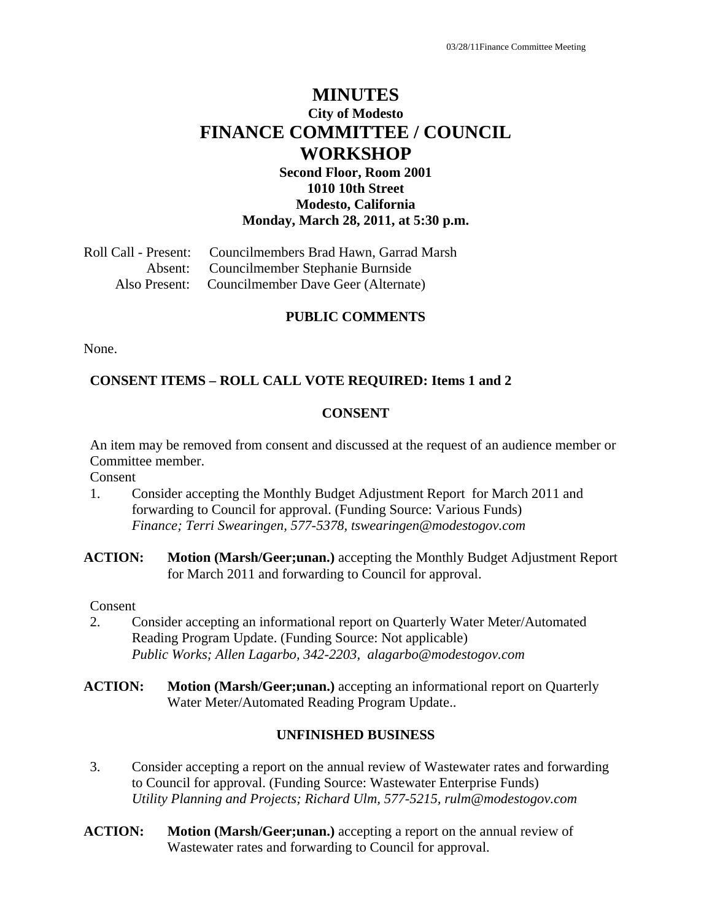# **MINUTES City of Modesto FINANCE COMMITTEE / COUNCIL WORKSHOP**

#### **Second Floor, Room 2001 1010 10th Street Modesto, California Monday, March 28, 2011, at 5:30 p.m.**

Roll Call - Present: Councilmembers Brad Hawn, Garrad Marsh Absent: Councilmember Stephanie Burnside Also Present: Councilmember Dave Geer (Alternate)

#### **PUBLIC COMMENTS**

None.

#### **CONSENT ITEMS – ROLL CALL VOTE REQUIRED: Items 1 and 2**

#### **CONSENT**

An item may be removed from consent and discussed at the request of an audience member or Committee member.

Consent

- 1. Consider accepting the Monthly Budget Adjustment Report for March 2011 and forwarding to Council for approval. (Funding Source: Various Funds)  *Finance; Terri Swearingen, 577-5378, tswearingen@modestogov.com*
- **ACTION: Motion (Marsh/Geer;unan.)** accepting the Monthly Budget Adjustment Report for March 2011 and forwarding to Council for approval.

Consent

- 2. Consider accepting an informational report on Quarterly Water Meter/Automated Reading Program Update. (Funding Source: Not applicable)  *Public Works; Allen Lagarbo, 342-2203, alagarbo@modestogov.com*
- **ACTION: Motion (Marsh/Geer;unan.)** accepting an informational report on Quarterly Water Meter/Automated Reading Program Update..

#### **UNFINISHED BUSINESS**

- 3. Consider accepting a report on the annual review of Wastewater rates and forwarding to Council for approval. (Funding Source: Wastewater Enterprise Funds)  *Utility Planning and Projects; Richard Ulm, 577-5215, rulm@modestogov.com*
- **ACTION:** Motion (Marsh/Geer;unan.) accepting a report on the annual review of Wastewater rates and forwarding to Council for approval.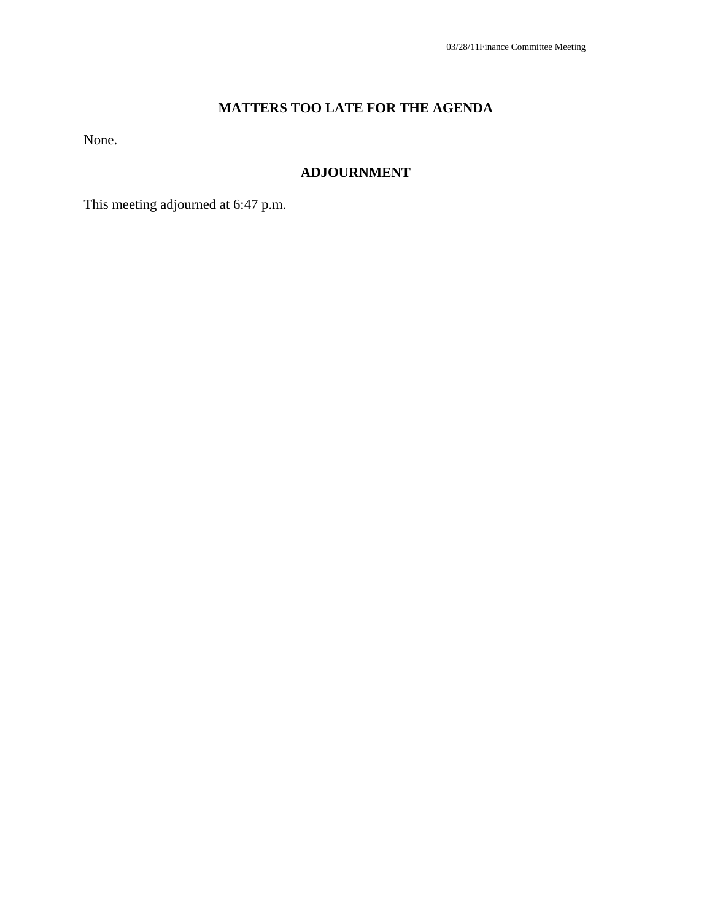# **MATTERS TOO LATE FOR THE AGENDA**

None.

## **ADJOURNMENT**

This meeting adjourned at 6:47 p.m.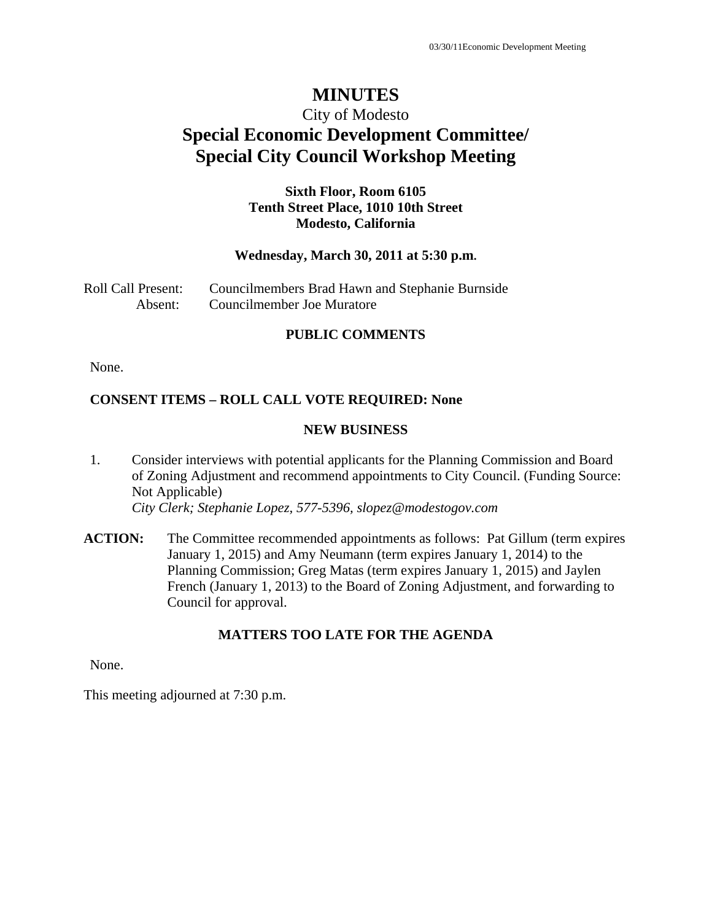# City of Modesto **Special Economic Development Committee/ Special City Council Workshop Meeting**

#### **Sixth Floor, Room 6105 Tenth Street Place, 1010 10th Street Modesto, California**

#### **Wednesday, March 30, 2011 at 5:30 p.m.**

| Roll Call Present: | Councilmembers Brad Hawn and Stephanie Burnside |
|--------------------|-------------------------------------------------|
| Absent:            | Councilmember Joe Muratore                      |

#### **PUBLIC COMMENTS**

None.

#### **CONSENT ITEMS – ROLL CALL VOTE REQUIRED: None**

#### **NEW BUSINESS**

- 1. Consider interviews with potential applicants for the Planning Commission and Board of Zoning Adjustment and recommend appointments to City Council. (Funding Source: Not Applicable)  *City Clerk; Stephanie Lopez, 577-5396, slopez@modestogov.com*
- **ACTION:** The Committee recommended appointments as follows: Pat Gillum (term expires January 1, 2015) and Amy Neumann (term expires January 1, 2014) to the Planning Commission; Greg Matas (term expires January 1, 2015) and Jaylen French (January 1, 2013) to the Board of Zoning Adjustment, and forwarding to Council for approval.

#### **MATTERS TOO LATE FOR THE AGENDA**

None.

This meeting adjourned at 7:30 p.m.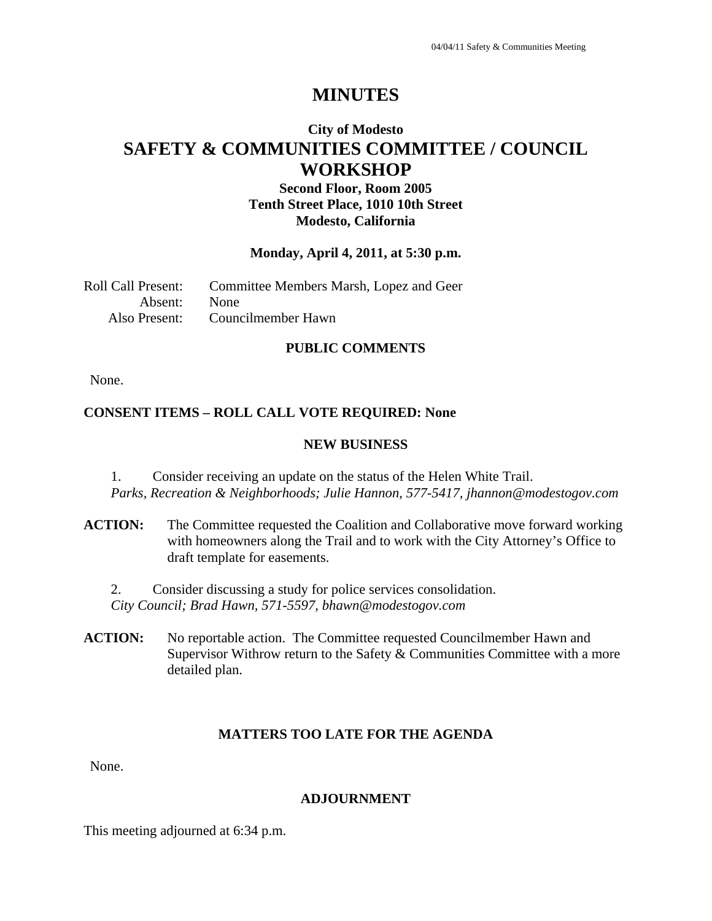# **City of Modesto SAFETY & COMMUNITIES COMMITTEE / COUNCIL WORKSHOP**

# **Second Floor, Room 2005 Tenth Street Place, 1010 10th Street Modesto, California**

#### **Monday, April 4, 2011, at 5:30 p.m.**

| Roll Call Present: | Committee Members Marsh, Lopez and Geer |
|--------------------|-----------------------------------------|
| Absent: None       |                                         |
|                    | Also Present: Councilmember Hawn        |

#### **PUBLIC COMMENTS**

None.

#### **CONSENT ITEMS – ROLL CALL VOTE REQUIRED: None**

#### **NEW BUSINESS**

1. Consider receiving an update on the status of the Helen White Trail. *Parks, Recreation & Neighborhoods; Julie Hannon, 577-5417, jhannon@modestogov.com* 

**ACTION:** The Committee requested the Coalition and Collaborative move forward working with homeowners along the Trail and to work with the City Attorney's Office to draft template for easements.

2. Consider discussing a study for police services consolidation. *City Council; Brad Hawn, 571-5597, bhawn@modestogov.com* 

ACTION: No reportable action. The Committee requested Councilmember Hawn and Supervisor Withrow return to the Safety & Communities Committee with a more detailed plan.

#### **MATTERS TOO LATE FOR THE AGENDA**

None.

#### **ADJOURNMENT**

This meeting adjourned at 6:34 p.m.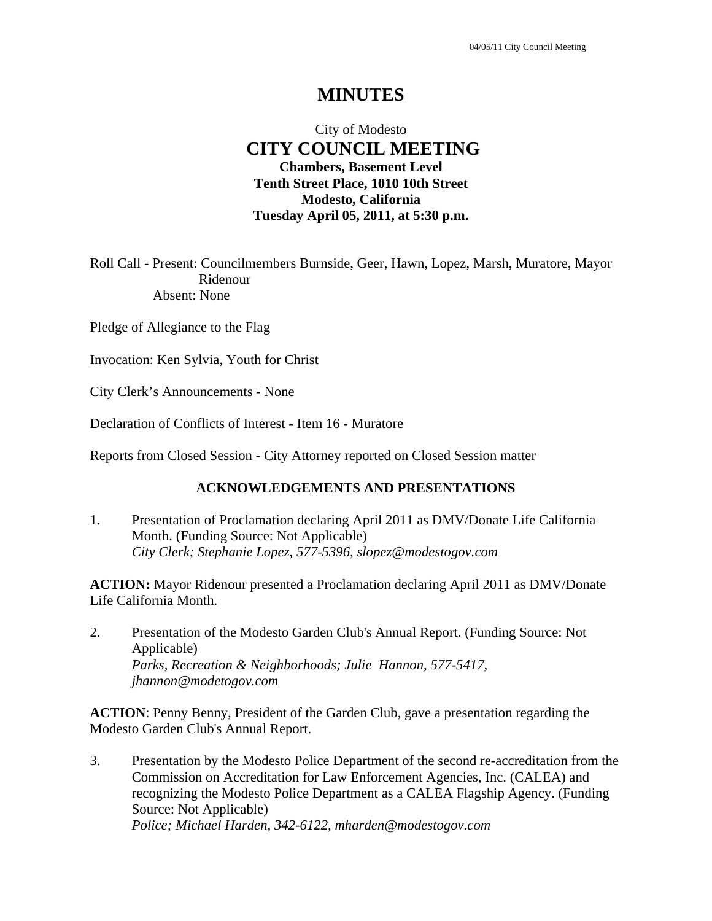# City of Modesto  **CITY COUNCIL MEETING Chambers, Basement Level Tenth Street Place, 1010 10th Street Modesto, California Tuesday April 05, 2011, at 5:30 p.m.**

Roll Call - Present: Councilmembers Burnside, Geer, Hawn, Lopez, Marsh, Muratore, Mayor Ridenour Absent: None

Pledge of Allegiance to the Flag

Invocation: Ken Sylvia, Youth for Christ

City Clerk's Announcements - None

Declaration of Conflicts of Interest - Item 16 - Muratore

Reports from Closed Session - City Attorney reported on Closed Session matter

#### **ACKNOWLEDGEMENTS AND PRESENTATIONS**

1. Presentation of Proclamation declaring April 2011 as DMV/Donate Life California Month. (Funding Source: Not Applicable)  *City Clerk; Stephanie Lopez, 577-5396, slopez@modestogov.com* 

**ACTION:** Mayor Ridenour presented a Proclamation declaring April 2011 as DMV/Donate Life California Month.

2. Presentation of the Modesto Garden Club's Annual Report. (Funding Source: Not Applicable)  *Parks, Recreation & Neighborhoods; Julie Hannon, 577-5417, jhannon@modetogov.com* 

**ACTION**: Penny Benny, President of the Garden Club, gave a presentation regarding the Modesto Garden Club's Annual Report.

3. Presentation by the Modesto Police Department of the second re-accreditation from the Commission on Accreditation for Law Enforcement Agencies, Inc. (CALEA) and recognizing the Modesto Police Department as a CALEA Flagship Agency. (Funding Source: Not Applicable)  *Police; Michael Harden, 342-6122, mharden@modestogov.com*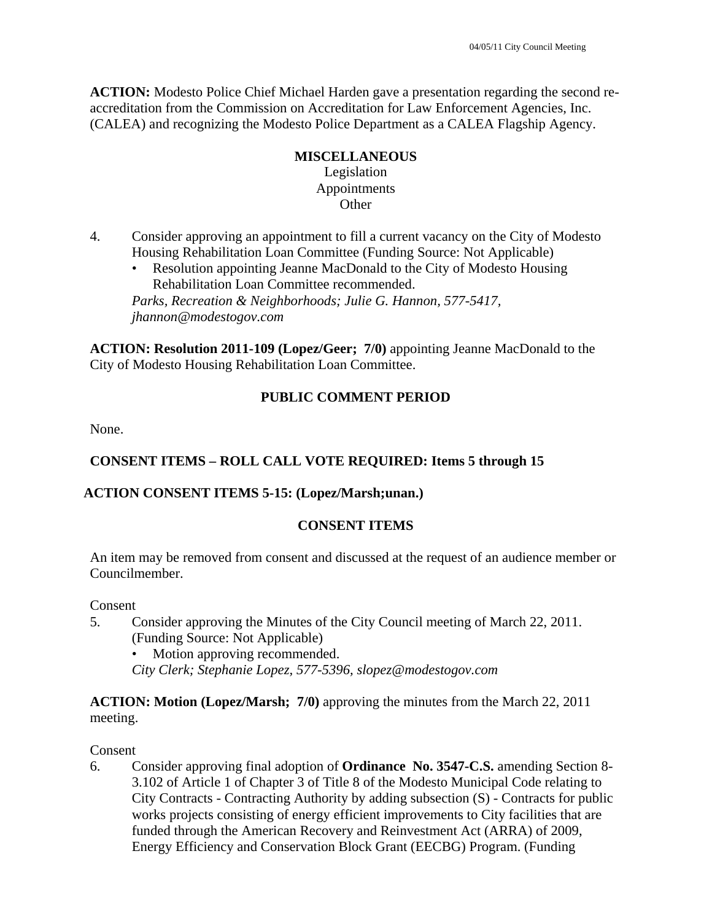**ACTION:** Modesto Police Chief Michael Harden gave a presentation regarding the second reaccreditation from the Commission on Accreditation for Law Enforcement Agencies, Inc. (CALEA) and recognizing the Modesto Police Department as a CALEA Flagship Agency.

# **MISCELLANEOUS**

#### Legislation Appointments **Other**

- 4. Consider approving an appointment to fill a current vacancy on the City of Modesto Housing Rehabilitation Loan Committee (Funding Source: Not Applicable)
	- Resolution appointing Jeanne MacDonald to the City of Modesto Housing Rehabilitation Loan Committee recommended. *Parks, Recreation & Neighborhoods; Julie G. Hannon, 577-5417, jhannon@modestogov.com*

**ACTION: Resolution 2011-109 (Lopez/Geer; 7/0)** appointing Jeanne MacDonald to the City of Modesto Housing Rehabilitation Loan Committee.

# **PUBLIC COMMENT PERIOD**

None.

# **CONSENT ITEMS – ROLL CALL VOTE REQUIRED: Items 5 through 15**

## **ACTION CONSENT ITEMS 5-15: (Lopez/Marsh;unan.)**

## **CONSENT ITEMS**

An item may be removed from consent and discussed at the request of an audience member or Councilmember.

**Consent** 

5. Consider approving the Minutes of the City Council meeting of March 22, 2011. (Funding Source: Not Applicable)

Motion approving recommended.

*City Clerk; Stephanie Lopez, 577-5396, slopez@modestogov.com* 

**ACTION: Motion (Lopez/Marsh; 7/0)** approving the minutes from the March 22, 2011 meeting.

Consent

6. Consider approving final adoption of **Ordinance No. 3547-C.S.** amending Section 8- 3.102 of Article 1 of Chapter 3 of Title 8 of the Modesto Municipal Code relating to City Contracts - Contracting Authority by adding subsection (S) - Contracts for public works projects consisting of energy efficient improvements to City facilities that are funded through the American Recovery and Reinvestment Act (ARRA) of 2009, Energy Efficiency and Conservation Block Grant (EECBG) Program. (Funding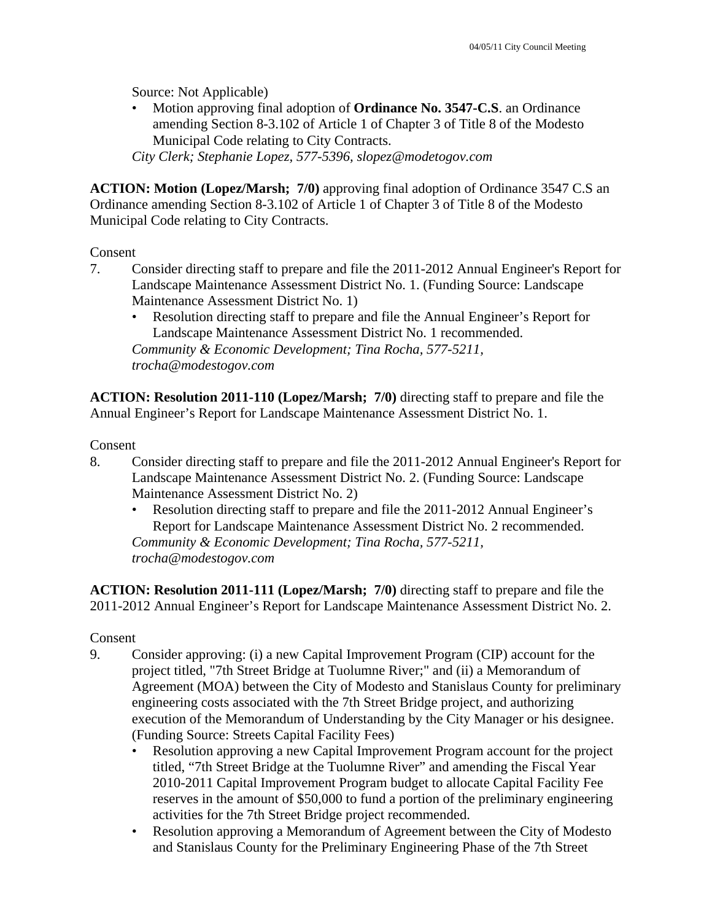Source: Not Applicable)

• Motion approving final adoption of **Ordinance No. 3547-C.S**. an Ordinance amending Section 8-3.102 of Article 1 of Chapter 3 of Title 8 of the Modesto Municipal Code relating to City Contracts.

*City Clerk; Stephanie Lopez, 577-5396, slopez@modetogov.com* 

**ACTION: Motion (Lopez/Marsh; 7/0)** approving final adoption of Ordinance 3547 C.S an Ordinance amending Section 8-3.102 of Article 1 of Chapter 3 of Title 8 of the Modesto Municipal Code relating to City Contracts.

#### Consent

- 7. Consider directing staff to prepare and file the 2011-2012 Annual Engineer's Report for Landscape Maintenance Assessment District No. 1. (Funding Source: Landscape Maintenance Assessment District No. 1)
	- Resolution directing staff to prepare and file the Annual Engineer's Report for Landscape Maintenance Assessment District No. 1 recommended. *Community & Economic Development; Tina Rocha, 577-5211, trocha@modestogov.com*

**ACTION: Resolution 2011-110 (Lopez/Marsh; 7/0)** directing staff to prepare and file the Annual Engineer's Report for Landscape Maintenance Assessment District No. 1.

Consent

- 8. Consider directing staff to prepare and file the 2011-2012 Annual Engineer's Report for Landscape Maintenance Assessment District No. 2. (Funding Source: Landscape Maintenance Assessment District No. 2)
	- Resolution directing staff to prepare and file the 2011-2012 Annual Engineer's Report for Landscape Maintenance Assessment District No. 2 recommended. *Community & Economic Development; Tina Rocha, 577-5211, trocha@modestogov.com*

**ACTION: Resolution 2011-111 (Lopez/Marsh; 7/0)** directing staff to prepare and file the 2011-2012 Annual Engineer's Report for Landscape Maintenance Assessment District No. 2.

## Consent

- 9. Consider approving: (i) a new Capital Improvement Program (CIP) account for the project titled, "7th Street Bridge at Tuolumne River;" and (ii) a Memorandum of Agreement (MOA) between the City of Modesto and Stanislaus County for preliminary engineering costs associated with the 7th Street Bridge project, and authorizing execution of the Memorandum of Understanding by the City Manager or his designee. (Funding Source: Streets Capital Facility Fees)
	- Resolution approving a new Capital Improvement Program account for the project titled, "7th Street Bridge at the Tuolumne River" and amending the Fiscal Year 2010-2011 Capital Improvement Program budget to allocate Capital Facility Fee reserves in the amount of \$50,000 to fund a portion of the preliminary engineering activities for the 7th Street Bridge project recommended.
	- Resolution approving a Memorandum of Agreement between the City of Modesto and Stanislaus County for the Preliminary Engineering Phase of the 7th Street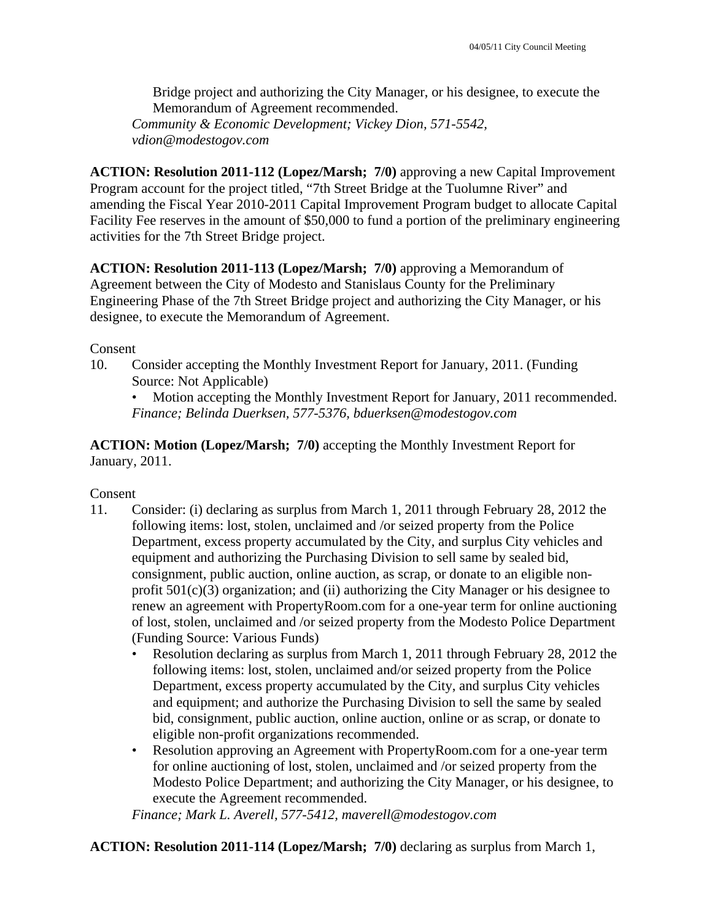Bridge project and authorizing the City Manager, or his designee, to execute the Memorandum of Agreement recommended. *Community & Economic Development; Vickey Dion, 571-5542, vdion@modestogov.com* 

**ACTION: Resolution 2011-112 (Lopez/Marsh; 7/0)** approving a new Capital Improvement Program account for the project titled, "7th Street Bridge at the Tuolumne River" and amending the Fiscal Year 2010-2011 Capital Improvement Program budget to allocate Capital Facility Fee reserves in the amount of \$50,000 to fund a portion of the preliminary engineering activities for the 7th Street Bridge project.

**ACTION: Resolution 2011-113 (Lopez/Marsh; 7/0)** approving a Memorandum of Agreement between the City of Modesto and Stanislaus County for the Preliminary Engineering Phase of the 7th Street Bridge project and authorizing the City Manager, or his designee, to execute the Memorandum of Agreement.

#### Consent

10. Consider accepting the Monthly Investment Report for January, 2011. (Funding Source: Not Applicable)

• Motion accepting the Monthly Investment Report for January, 2011 recommended. *Finance; Belinda Duerksen, 577-5376, bduerksen@modestogov.com* 

**ACTION: Motion (Lopez/Marsh; 7/0)** accepting the Monthly Investment Report for January, 2011.

## Consent

- 11. Consider: (i) declaring as surplus from March 1, 2011 through February 28, 2012 the following items: lost, stolen, unclaimed and /or seized property from the Police Department, excess property accumulated by the City, and surplus City vehicles and equipment and authorizing the Purchasing Division to sell same by sealed bid, consignment, public auction, online auction, as scrap, or donate to an eligible nonprofit  $501(c)(3)$  organization; and (ii) authorizing the City Manager or his designee to renew an agreement with PropertyRoom.com for a one-year term for online auctioning of lost, stolen, unclaimed and /or seized property from the Modesto Police Department (Funding Source: Various Funds)
	- Resolution declaring as surplus from March 1, 2011 through February 28, 2012 the following items: lost, stolen, unclaimed and/or seized property from the Police Department, excess property accumulated by the City, and surplus City vehicles and equipment; and authorize the Purchasing Division to sell the same by sealed bid, consignment, public auction, online auction, online or as scrap, or donate to eligible non-profit organizations recommended.
	- Resolution approving an Agreement with PropertyRoom.com for a one-year term for online auctioning of lost, stolen, unclaimed and /or seized property from the Modesto Police Department; and authorizing the City Manager, or his designee, to execute the Agreement recommended.

*Finance; Mark L. Averell, 577-5412, maverell@modestogov.com* 

**ACTION: Resolution 2011-114 (Lopez/Marsh; 7/0)** declaring as surplus from March 1,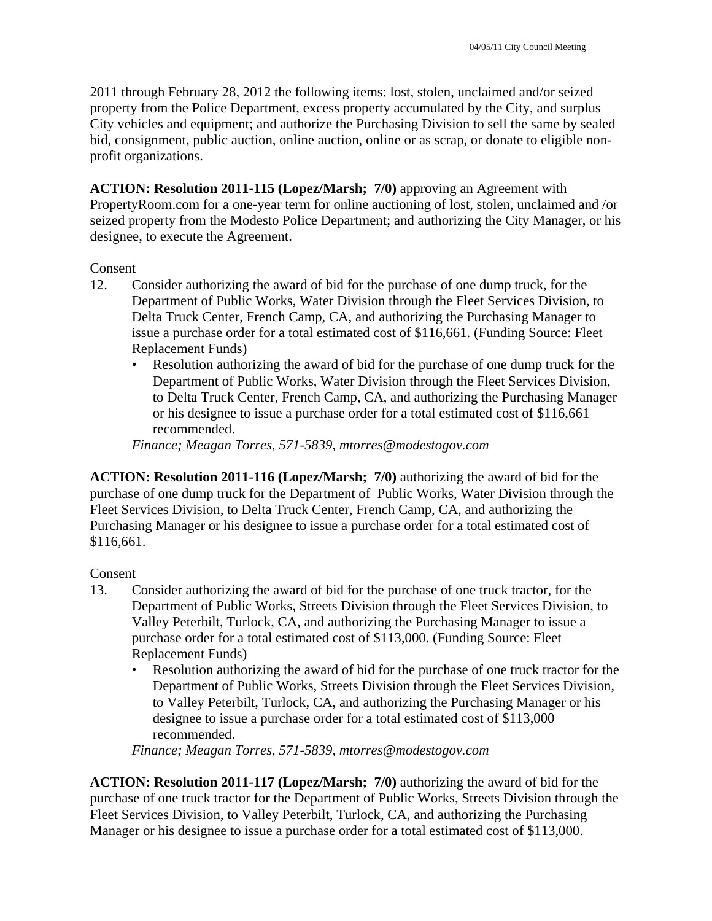2011 through February 28, 2012 the following items: lost, stolen, unclaimed and/or seized property from the Police Department, excess property accumulated by the City, and surplus City vehicles and equipment; and authorize the Purchasing Division to sell the same by sealed bid, consignment, public auction, online auction, online or as scrap, or donate to eligible nonprofit organizations.

**ACTION: Resolution 2011-115 (Lopez/Marsh; 7/0)** approving an Agreement with PropertyRoom.com for a one-year term for online auctioning of lost, stolen, unclaimed and /or seized property from the Modesto Police Department; and authorizing the City Manager, or his designee, to execute the Agreement.

#### Consent

- 12. Consider authorizing the award of bid for the purchase of one dump truck, for the Department of Public Works, Water Division through the Fleet Services Division, to Delta Truck Center, French Camp, CA, and authorizing the Purchasing Manager to issue a purchase order for a total estimated cost of \$116,661. (Funding Source: Fleet Replacement Funds)
	- Resolution authorizing the award of bid for the purchase of one dump truck for the Department of Public Works, Water Division through the Fleet Services Division, to Delta Truck Center, French Camp, CA, and authorizing the Purchasing Manager or his designee to issue a purchase order for a total estimated cost of \$116,661 recommended.

*Finance; Meagan Torres, 571-5839, mtorres@modestogov.com* 

**ACTION: Resolution 2011-116 (Lopez/Marsh; 7/0)** authorizing the award of bid for the purchase of one dump truck for the Department of Public Works, Water Division through the Fleet Services Division, to Delta Truck Center, French Camp, CA, and authorizing the Purchasing Manager or his designee to issue a purchase order for a total estimated cost of \$116,661.

## Consent

- 13. Consider authorizing the award of bid for the purchase of one truck tractor, for the Department of Public Works, Streets Division through the Fleet Services Division, to Valley Peterbilt, Turlock, CA, and authorizing the Purchasing Manager to issue a purchase order for a total estimated cost of \$113,000. (Funding Source: Fleet Replacement Funds)
	- Resolution authorizing the award of bid for the purchase of one truck tractor for the Department of Public Works, Streets Division through the Fleet Services Division, to Valley Peterbilt, Turlock, CA, and authorizing the Purchasing Manager or his designee to issue a purchase order for a total estimated cost of \$113,000 recommended.

*Finance; Meagan Torres, 571-5839, mtorres@modestogov.com* 

**ACTION: Resolution 2011-117 (Lopez/Marsh; 7/0)** authorizing the award of bid for the purchase of one truck tractor for the Department of Public Works, Streets Division through the Fleet Services Division, to Valley Peterbilt, Turlock, CA, and authorizing the Purchasing Manager or his designee to issue a purchase order for a total estimated cost of \$113,000.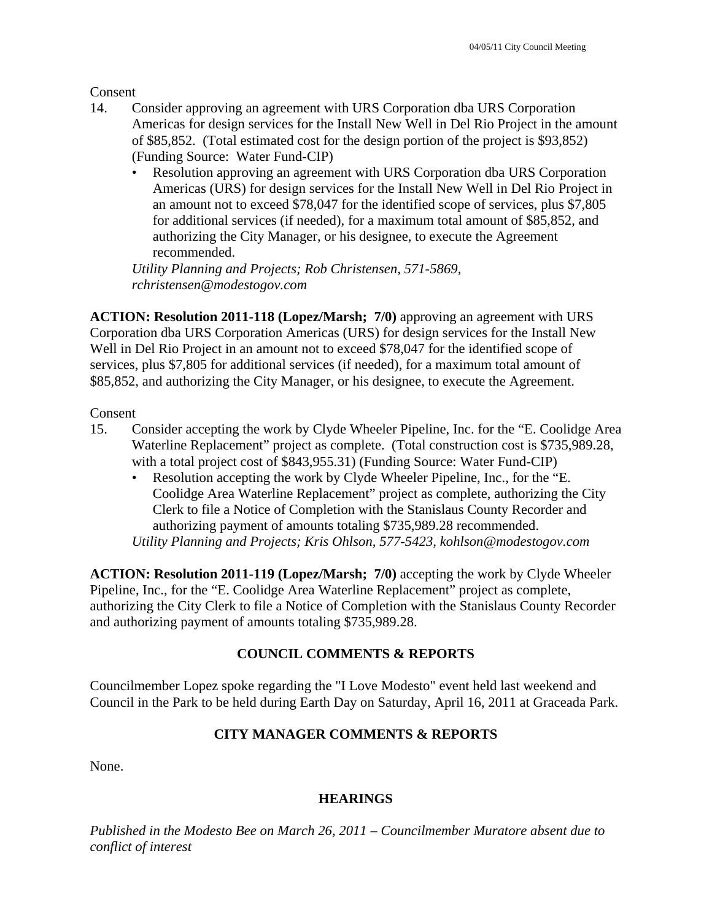Consent

- 14. Consider approving an agreement with URS Corporation dba URS Corporation Americas for design services for the Install New Well in Del Rio Project in the amount of \$85,852. (Total estimated cost for the design portion of the project is \$93,852) (Funding Source: Water Fund-CIP)
	- Resolution approving an agreement with URS Corporation dba URS Corporation Americas (URS) for design services for the Install New Well in Del Rio Project in an amount not to exceed \$78,047 for the identified scope of services, plus \$7,805 for additional services (if needed), for a maximum total amount of \$85,852, and authorizing the City Manager, or his designee, to execute the Agreement recommended.

*Utility Planning and Projects; Rob Christensen, 571-5869, rchristensen@modestogov.com* 

**ACTION: Resolution 2011-118 (Lopez/Marsh; 7/0)** approving an agreement with URS Corporation dba URS Corporation Americas (URS) for design services for the Install New Well in Del Rio Project in an amount not to exceed \$78,047 for the identified scope of services, plus \$7,805 for additional services (if needed), for a maximum total amount of \$85,852, and authorizing the City Manager, or his designee, to execute the Agreement.

#### Consent

- 15. Consider accepting the work by Clyde Wheeler Pipeline, Inc. for the "E. Coolidge Area Waterline Replacement" project as complete. (Total construction cost is \$735,989.28, with a total project cost of \$843,955.31) (Funding Source: Water Fund-CIP)
	- Resolution accepting the work by Clyde Wheeler Pipeline, Inc., for the "E. Coolidge Area Waterline Replacement" project as complete, authorizing the City Clerk to file a Notice of Completion with the Stanislaus County Recorder and authorizing payment of amounts totaling \$735,989.28 recommended. *Utility Planning and Projects; Kris Ohlson, 577-5423, kohlson@modestogov.com*

**ACTION: Resolution 2011-119 (Lopez/Marsh; 7/0)** accepting the work by Clyde Wheeler Pipeline, Inc., for the "E. Coolidge Area Waterline Replacement" project as complete, authorizing the City Clerk to file a Notice of Completion with the Stanislaus County Recorder and authorizing payment of amounts totaling \$735,989.28.

## **COUNCIL COMMENTS & REPORTS**

Councilmember Lopez spoke regarding the "I Love Modesto" event held last weekend and Council in the Park to be held during Earth Day on Saturday, April 16, 2011 at Graceada Park.

## **CITY MANAGER COMMENTS & REPORTS**

None.

#### **HEARINGS**

*Published in the Modesto Bee on March 26, 2011 – Councilmember Muratore absent due to conflict of interest*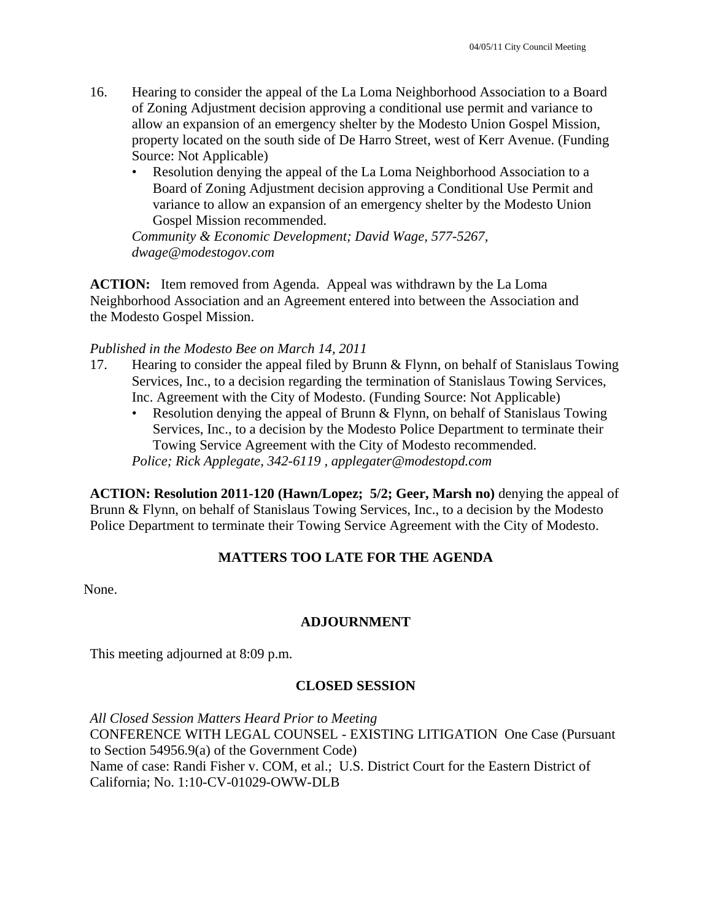- 16. Hearing to consider the appeal of the La Loma Neighborhood Association to a Board of Zoning Adjustment decision approving a conditional use permit and variance to allow an expansion of an emergency shelter by the Modesto Union Gospel Mission, property located on the south side of De Harro Street, west of Kerr Avenue. (Funding Source: Not Applicable)
	- Resolution denying the appeal of the La Loma Neighborhood Association to a Board of Zoning Adjustment decision approving a Conditional Use Permit and variance to allow an expansion of an emergency shelter by the Modesto Union Gospel Mission recommended.

*Community & Economic Development; David Wage, 577-5267, dwage@modestogov.com* 

**ACTION:** Item removed from Agenda. Appeal was withdrawn by the La Loma Neighborhood Association and an Agreement entered into between the Association and the Modesto Gospel Mission.

#### *Published in the Modesto Bee on March 14, 2011*

- 17. Hearing to consider the appeal filed by Brunn & Flynn, on behalf of Stanislaus Towing Services, Inc., to a decision regarding the termination of Stanislaus Towing Services, Inc. Agreement with the City of Modesto. (Funding Source: Not Applicable)
	- Resolution denying the appeal of Brunn & Flynn, on behalf of Stanislaus Towing Services, Inc., to a decision by the Modesto Police Department to terminate their Towing Service Agreement with the City of Modesto recommended.

*Police; Rick Applegate, 342-6119 , applegater@modestopd.com* 

**ACTION: Resolution 2011-120 (Hawn/Lopez; 5/2; Geer, Marsh no)** denying the appeal of Brunn & Flynn, on behalf of Stanislaus Towing Services, Inc., to a decision by the Modesto Police Department to terminate their Towing Service Agreement with the City of Modesto.

## **MATTERS TOO LATE FOR THE AGENDA**

None.

## **ADJOURNMENT**

This meeting adjourned at 8:09 p.m.

## **CLOSED SESSION**

*All Closed Session Matters Heard Prior to Meeting*  CONFERENCE WITH LEGAL COUNSEL - EXISTING LITIGATION One Case (Pursuant to Section 54956.9(a) of the Government Code) Name of case: Randi Fisher v. COM, et al.; U.S. District Court for the Eastern District of California; No. 1:10-CV-01029-OWW-DLB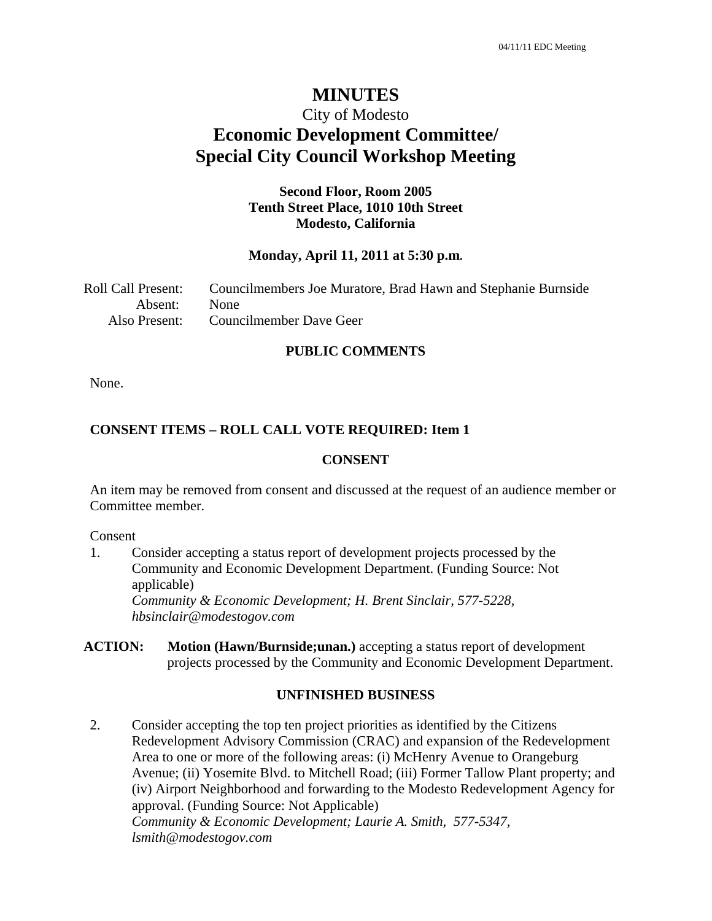# City of Modesto **Economic Development Committee/ Special City Council Workshop Meeting**

#### **Second Floor, Room 2005 Tenth Street Place, 1010 10th Street Modesto, California**

#### **Monday, April 11, 2011 at 5:30 p.m.**

| Roll Call Present: | Councilmembers Joe Muratore, Brad Hawn and Stephanie Burnside |
|--------------------|---------------------------------------------------------------|
| Absent: None       |                                                               |
| Also Present:      | Councilmember Dave Geer                                       |

#### **PUBLIC COMMENTS**

None.

#### **CONSENT ITEMS – ROLL CALL VOTE REQUIRED: Item 1**

#### **CONSENT**

An item may be removed from consent and discussed at the request of an audience member or Committee member.

Consent

1. Consider accepting a status report of development projects processed by the Community and Economic Development Department. (Funding Source: Not applicable)  *Community & Economic Development; H. Brent Sinclair, 577-5228, hbsinclair@modestogov.com* 

**ACTION: Motion (Hawn/Burnside;unan.)** accepting a status report of development projects processed by the Community and Economic Development Department.

#### **UNFINISHED BUSINESS**

2. Consider accepting the top ten project priorities as identified by the Citizens Redevelopment Advisory Commission (CRAC) and expansion of the Redevelopment Area to one or more of the following areas: (i) McHenry Avenue to Orangeburg Avenue; (ii) Yosemite Blvd. to Mitchell Road; (iii) Former Tallow Plant property; and (iv) Airport Neighborhood and forwarding to the Modesto Redevelopment Agency for approval. (Funding Source: Not Applicable)  *Community & Economic Development; Laurie A. Smith, 577-5347, lsmith@modestogov.com*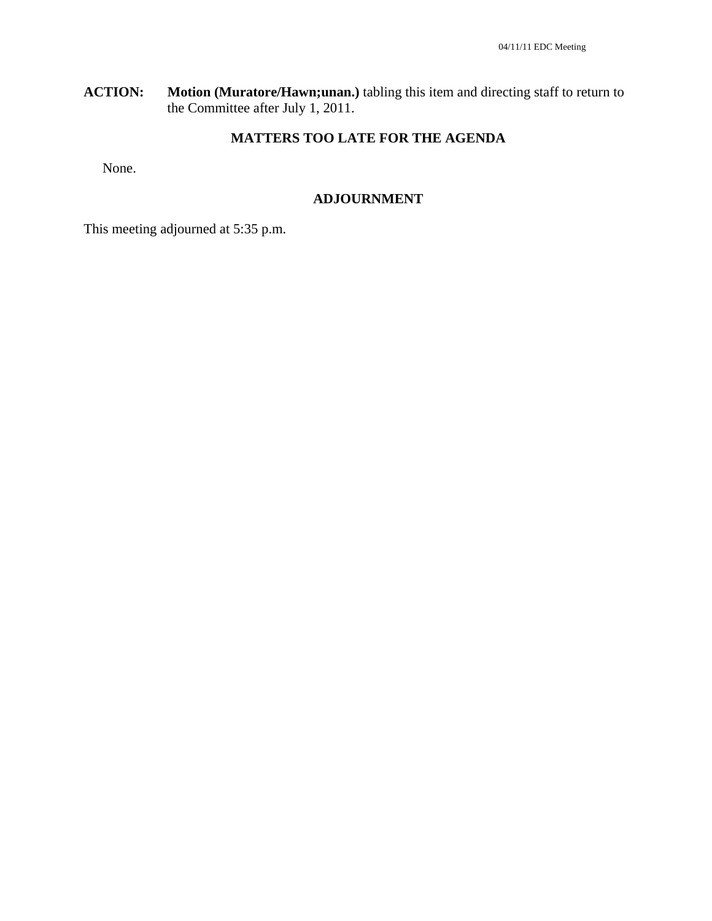**ACTION: Motion (Muratore/Hawn;unan.)** tabling this item and directing staff to return to the Committee after July 1, 2011.

# **MATTERS TOO LATE FOR THE AGENDA**

None.

#### **ADJOURNMENT**

This meeting adjourned at 5:35 p.m.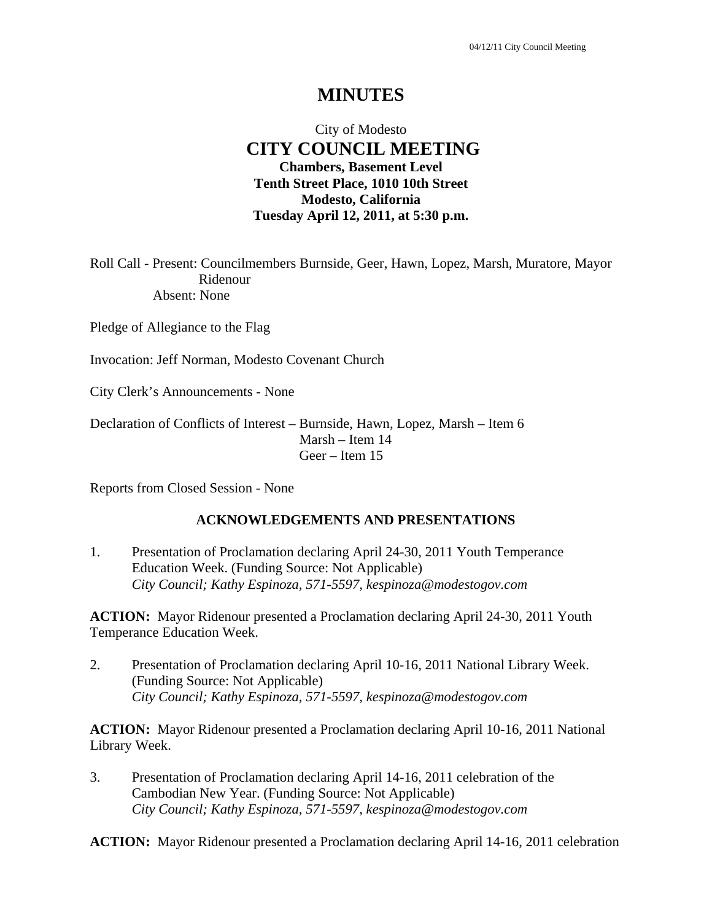# City of Modesto  **CITY COUNCIL MEETING Chambers, Basement Level Tenth Street Place, 1010 10th Street Modesto, California Tuesday April 12, 2011, at 5:30 p.m.**

Roll Call - Present: Councilmembers Burnside, Geer, Hawn, Lopez, Marsh, Muratore, Mayor Ridenour Absent: None

Pledge of Allegiance to the Flag

Invocation: Jeff Norman, Modesto Covenant Church

City Clerk's Announcements - None

Declaration of Conflicts of Interest – Burnside, Hawn, Lopez, Marsh – Item 6 Marsh – Item 14 Geer – Item 15

Reports from Closed Session - None

#### **ACKNOWLEDGEMENTS AND PRESENTATIONS**

1. Presentation of Proclamation declaring April 24-30, 2011 Youth Temperance Education Week. (Funding Source: Not Applicable)  *City Council; Kathy Espinoza, 571-5597, kespinoza@modestogov.com* 

**ACTION:** Mayor Ridenour presented a Proclamation declaring April 24-30, 2011 Youth Temperance Education Week.

2. Presentation of Proclamation declaring April 10-16, 2011 National Library Week. (Funding Source: Not Applicable)  *City Council; Kathy Espinoza, 571-5597, kespinoza@modestogov.com* 

**ACTION:** Mayor Ridenour presented a Proclamation declaring April 10-16, 2011 National Library Week.

3. Presentation of Proclamation declaring April 14-16, 2011 celebration of the Cambodian New Year. (Funding Source: Not Applicable)  *City Council; Kathy Espinoza, 571-5597, kespinoza@modestogov.com* 

**ACTION:** Mayor Ridenour presented a Proclamation declaring April 14-16, 2011 celebration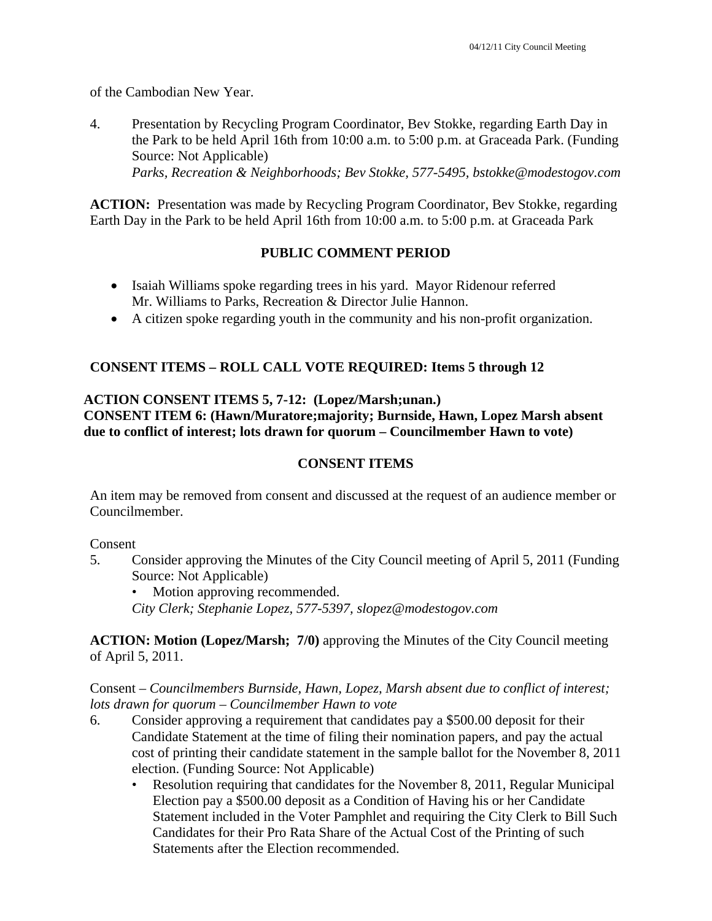of the Cambodian New Year.

4. Presentation by Recycling Program Coordinator, Bev Stokke, regarding Earth Day in the Park to be held April 16th from 10:00 a.m. to 5:00 p.m. at Graceada Park. (Funding Source: Not Applicable)  *Parks, Recreation & Neighborhoods; Bev Stokke, 577-5495, bstokke@modestogov.com* 

**ACTION:** Presentation was made by Recycling Program Coordinator, Bev Stokke, regarding Earth Day in the Park to be held April 16th from 10:00 a.m. to 5:00 p.m. at Graceada Park

#### **PUBLIC COMMENT PERIOD**

- Isaiah Williams spoke regarding trees in his yard. Mayor Ridenour referred Mr. Williams to Parks, Recreation & Director Julie Hannon.
- A citizen spoke regarding youth in the community and his non-profit organization.

## **CONSENT ITEMS – ROLL CALL VOTE REQUIRED: Items 5 through 12**

# **ACTION CONSENT ITEMS 5, 7-12: (Lopez/Marsh;unan.)**

**CONSENT ITEM 6: (Hawn/Muratore;majority; Burnside, Hawn, Lopez Marsh absent due to conflict of interest; lots drawn for quorum – Councilmember Hawn to vote)** 

## **CONSENT ITEMS**

An item may be removed from consent and discussed at the request of an audience member or Councilmember.

Consent

5. Consider approving the Minutes of the City Council meeting of April 5, 2011 (Funding Source: Not Applicable)

• Motion approving recommended. *City Clerk; Stephanie Lopez, 577-5397, slopez@modestogov.com* 

**ACTION: Motion (Lopez/Marsh; 7/0)** approving the Minutes of the City Council meeting of April 5, 2011.

Consent – *Councilmembers Burnside, Hawn, Lopez, Marsh absent due to conflict of interest; lots drawn for quorum – Councilmember Hawn to vote* 

- 6. Consider approving a requirement that candidates pay a \$500.00 deposit for their Candidate Statement at the time of filing their nomination papers, and pay the actual cost of printing their candidate statement in the sample ballot for the November 8, 2011 election. (Funding Source: Not Applicable)
	- Resolution requiring that candidates for the November 8, 2011, Regular Municipal Election pay a \$500.00 deposit as a Condition of Having his or her Candidate Statement included in the Voter Pamphlet and requiring the City Clerk to Bill Such Candidates for their Pro Rata Share of the Actual Cost of the Printing of such Statements after the Election recommended.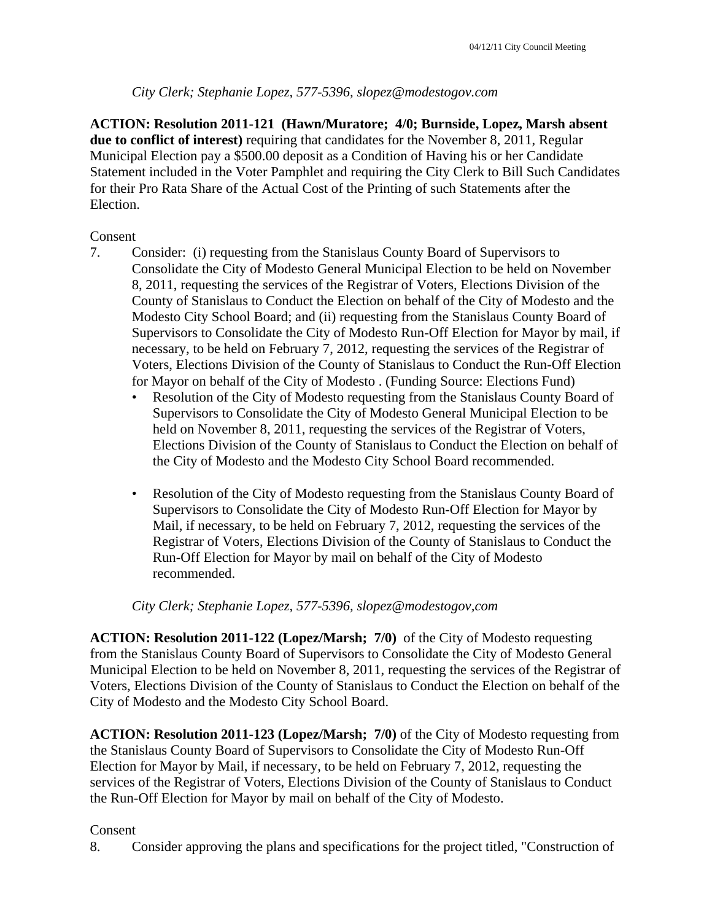# *City Clerk; Stephanie Lopez, 577-5396, slopez@modestogov.com*

**ACTION: Resolution 2011-121 (Hawn/Muratore; 4/0; Burnside, Lopez, Marsh absent due to conflict of interest)** requiring that candidates for the November 8, 2011, Regular Municipal Election pay a \$500.00 deposit as a Condition of Having his or her Candidate Statement included in the Voter Pamphlet and requiring the City Clerk to Bill Such Candidates for their Pro Rata Share of the Actual Cost of the Printing of such Statements after the Election.

## Consent

- 7. Consider: (i) requesting from the Stanislaus County Board of Supervisors to Consolidate the City of Modesto General Municipal Election to be held on November 8, 2011, requesting the services of the Registrar of Voters, Elections Division of the County of Stanislaus to Conduct the Election on behalf of the City of Modesto and the Modesto City School Board; and (ii) requesting from the Stanislaus County Board of Supervisors to Consolidate the City of Modesto Run-Off Election for Mayor by mail, if necessary, to be held on February 7, 2012, requesting the services of the Registrar of Voters, Elections Division of the County of Stanislaus to Conduct the Run-Off Election for Mayor on behalf of the City of Modesto . (Funding Source: Elections Fund)
	- Resolution of the City of Modesto requesting from the Stanislaus County Board of Supervisors to Consolidate the City of Modesto General Municipal Election to be held on November 8, 2011, requesting the services of the Registrar of Voters, Elections Division of the County of Stanislaus to Conduct the Election on behalf of the City of Modesto and the Modesto City School Board recommended.
	- Resolution of the City of Modesto requesting from the Stanislaus County Board of Supervisors to Consolidate the City of Modesto Run-Off Election for Mayor by Mail, if necessary, to be held on February 7, 2012, requesting the services of the Registrar of Voters, Elections Division of the County of Stanislaus to Conduct the Run-Off Election for Mayor by mail on behalf of the City of Modesto recommended.

## *City Clerk; Stephanie Lopez, 577-5396, slopez@modestogov,com*

**ACTION: Resolution 2011-122 (Lopez/Marsh; 7/0)** of the City of Modesto requesting from the Stanislaus County Board of Supervisors to Consolidate the City of Modesto General Municipal Election to be held on November 8, 2011, requesting the services of the Registrar of Voters, Elections Division of the County of Stanislaus to Conduct the Election on behalf of the City of Modesto and the Modesto City School Board.

**ACTION: Resolution 2011-123 (Lopez/Marsh; 7/0)** of the City of Modesto requesting from the Stanislaus County Board of Supervisors to Consolidate the City of Modesto Run-Off Election for Mayor by Mail, if necessary, to be held on February 7, 2012, requesting the services of the Registrar of Voters, Elections Division of the County of Stanislaus to Conduct the Run-Off Election for Mayor by mail on behalf of the City of Modesto.

#### Consent

8. Consider approving the plans and specifications for the project titled, "Construction of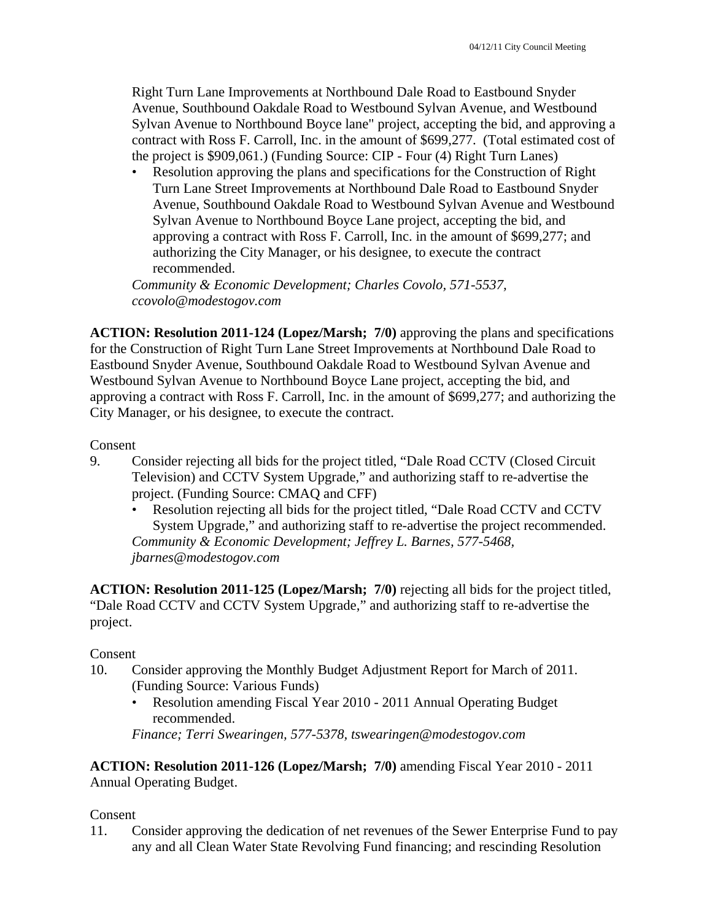Right Turn Lane Improvements at Northbound Dale Road to Eastbound Snyder Avenue, Southbound Oakdale Road to Westbound Sylvan Avenue, and Westbound Sylvan Avenue to Northbound Boyce lane" project, accepting the bid, and approving a contract with Ross F. Carroll, Inc. in the amount of \$699,277. (Total estimated cost of the project is \$909,061.) (Funding Source: CIP - Four (4) Right Turn Lanes)

• Resolution approving the plans and specifications for the Construction of Right Turn Lane Street Improvements at Northbound Dale Road to Eastbound Snyder Avenue, Southbound Oakdale Road to Westbound Sylvan Avenue and Westbound Sylvan Avenue to Northbound Boyce Lane project, accepting the bid, and approving a contract with Ross F. Carroll, Inc. in the amount of \$699,277; and authorizing the City Manager, or his designee, to execute the contract recommended.

*Community & Economic Development; Charles Covolo, 571-5537, ccovolo@modestogov.com* 

**ACTION: Resolution 2011-124 (Lopez/Marsh; 7/0)** approving the plans and specifications for the Construction of Right Turn Lane Street Improvements at Northbound Dale Road to Eastbound Snyder Avenue, Southbound Oakdale Road to Westbound Sylvan Avenue and Westbound Sylvan Avenue to Northbound Boyce Lane project, accepting the bid, and approving a contract with Ross F. Carroll, Inc. in the amount of \$699,277; and authorizing the City Manager, or his designee, to execute the contract.

#### Consent

- 9. Consider rejecting all bids for the project titled, "Dale Road CCTV (Closed Circuit Television) and CCTV System Upgrade," and authorizing staff to re-advertise the project. (Funding Source: CMAQ and CFF)
	- Resolution rejecting all bids for the project titled, "Dale Road CCTV and CCTV System Upgrade," and authorizing staff to re-advertise the project recommended. *Community & Economic Development; Jeffrey L. Barnes, 577-5468, jbarnes@modestogov.com*

**ACTION: Resolution 2011-125 (Lopez/Marsh; 7/0)** rejecting all bids for the project titled, "Dale Road CCTV and CCTV System Upgrade," and authorizing staff to re-advertise the project.

#### Consent

- 10. Consider approving the Monthly Budget Adjustment Report for March of 2011. (Funding Source: Various Funds)
	- Resolution amending Fiscal Year 2010 2011 Annual Operating Budget recommended.

*Finance; Terri Swearingen, 577-5378, tswearingen@modestogov.com* 

**ACTION: Resolution 2011-126 (Lopez/Marsh; 7/0)** amending Fiscal Year 2010 - 2011 Annual Operating Budget.

#### Consent

11. Consider approving the dedication of net revenues of the Sewer Enterprise Fund to pay any and all Clean Water State Revolving Fund financing; and rescinding Resolution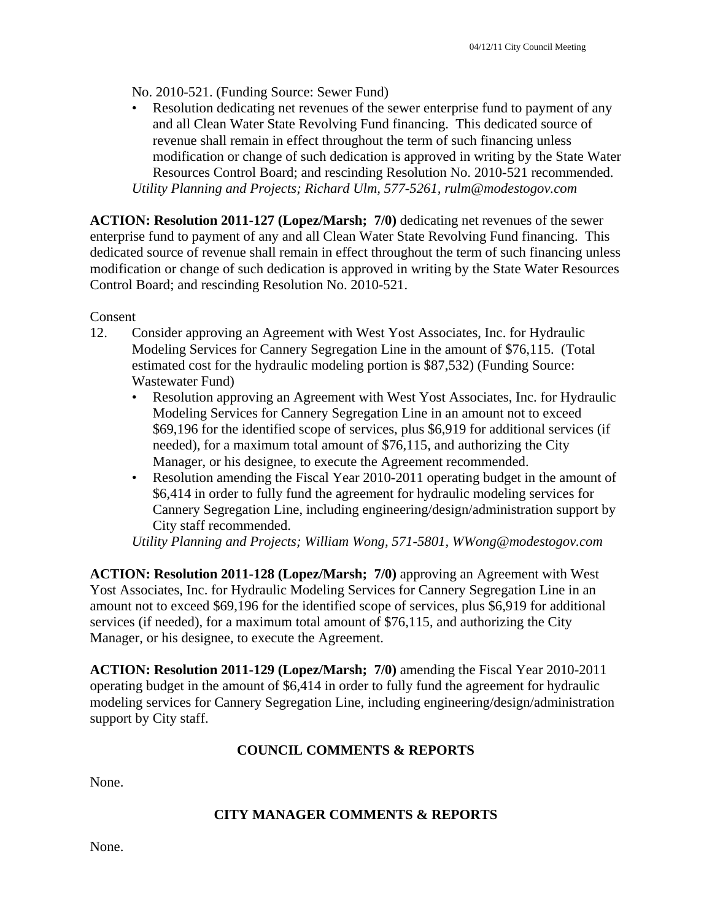No. 2010-521. (Funding Source: Sewer Fund)

Resolution dedicating net revenues of the sewer enterprise fund to payment of any and all Clean Water State Revolving Fund financing. This dedicated source of revenue shall remain in effect throughout the term of such financing unless modification or change of such dedication is approved in writing by the State Water Resources Control Board; and rescinding Resolution No. 2010-521 recommended. *Utility Planning and Projects; Richard Ulm, 577-5261, rulm@modestogov.com* 

**ACTION: Resolution 2011-127 (Lopez/Marsh; 7/0)** dedicating net revenues of the sewer enterprise fund to payment of any and all Clean Water State Revolving Fund financing. This dedicated source of revenue shall remain in effect throughout the term of such financing unless modification or change of such dedication is approved in writing by the State Water Resources Control Board; and rescinding Resolution No. 2010-521.

Consent

- 12. Consider approving an Agreement with West Yost Associates, Inc. for Hydraulic Modeling Services for Cannery Segregation Line in the amount of \$76,115. (Total estimated cost for the hydraulic modeling portion is \$87,532) (Funding Source: Wastewater Fund)
	- Resolution approving an Agreement with West Yost Associates, Inc. for Hydraulic Modeling Services for Cannery Segregation Line in an amount not to exceed \$69,196 for the identified scope of services, plus \$6,919 for additional services (if needed), for a maximum total amount of \$76,115, and authorizing the City Manager, or his designee, to execute the Agreement recommended.
	- Resolution amending the Fiscal Year 2010-2011 operating budget in the amount of \$6,414 in order to fully fund the agreement for hydraulic modeling services for Cannery Segregation Line, including engineering/design/administration support by City staff recommended.

*Utility Planning and Projects; William Wong, 571-5801, WWong@modestogov.com* 

**ACTION: Resolution 2011-128 (Lopez/Marsh; 7/0)** approving an Agreement with West Yost Associates, Inc. for Hydraulic Modeling Services for Cannery Segregation Line in an amount not to exceed \$69,196 for the identified scope of services, plus \$6,919 for additional services (if needed), for a maximum total amount of \$76,115, and authorizing the City Manager, or his designee, to execute the Agreement.

**ACTION: Resolution 2011-129 (Lopez/Marsh; 7/0)** amending the Fiscal Year 2010-2011 operating budget in the amount of \$6,414 in order to fully fund the agreement for hydraulic modeling services for Cannery Segregation Line, including engineering/design/administration support by City staff.

## **COUNCIL COMMENTS & REPORTS**

None.

#### **CITY MANAGER COMMENTS & REPORTS**

None.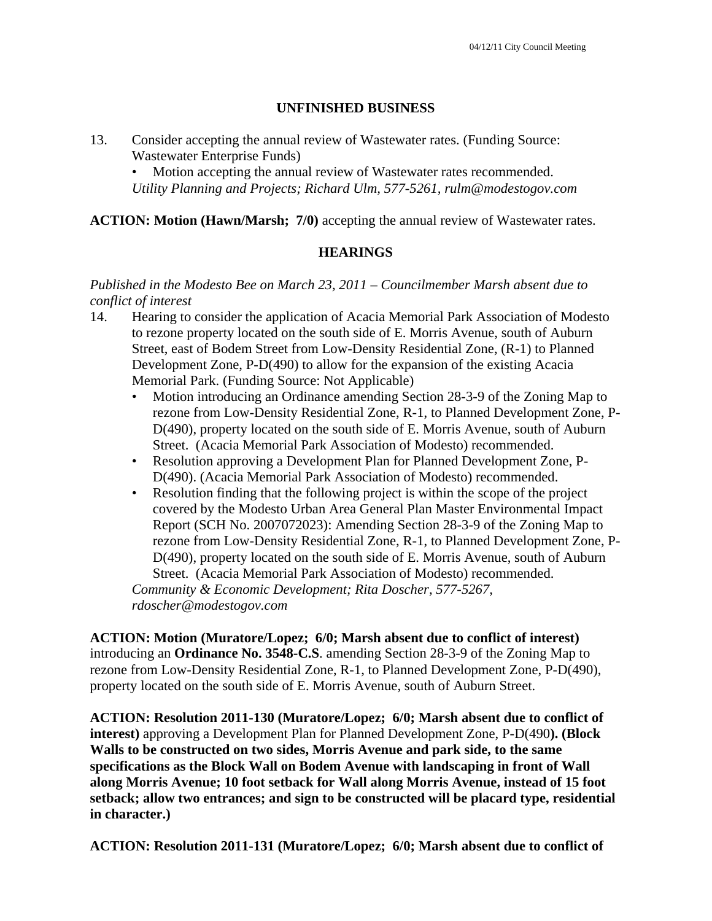#### **UNFINISHED BUSINESS**

13. Consider accepting the annual review of Wastewater rates. (Funding Source: Wastewater Enterprise Funds)

Motion accepting the annual review of Wastewater rates recommended. *Utility Planning and Projects; Richard Ulm, 577-5261, rulm@modestogov.com* 

#### **ACTION: Motion (Hawn/Marsh; 7/0)** accepting the annual review of Wastewater rates.

## **HEARINGS**

#### *Published in the Modesto Bee on March 23, 2011 – Councilmember Marsh absent due to conflict of interest*

- 14. Hearing to consider the application of Acacia Memorial Park Association of Modesto to rezone property located on the south side of E. Morris Avenue, south of Auburn Street, east of Bodem Street from Low-Density Residential Zone, (R-1) to Planned Development Zone, P-D(490) to allow for the expansion of the existing Acacia Memorial Park. (Funding Source: Not Applicable)
	- Motion introducing an Ordinance amending Section 28-3-9 of the Zoning Map to rezone from Low-Density Residential Zone, R-1, to Planned Development Zone, P-D(490), property located on the south side of E. Morris Avenue, south of Auburn Street. (Acacia Memorial Park Association of Modesto) recommended.
	- Resolution approving a Development Plan for Planned Development Zone, P-D(490). (Acacia Memorial Park Association of Modesto) recommended.
	- Resolution finding that the following project is within the scope of the project covered by the Modesto Urban Area General Plan Master Environmental Impact Report (SCH No. 2007072023): Amending Section 28-3-9 of the Zoning Map to rezone from Low-Density Residential Zone, R-1, to Planned Development Zone, P-D(490), property located on the south side of E. Morris Avenue, south of Auburn Street. (Acacia Memorial Park Association of Modesto) recommended. *Community & Economic Development; Rita Doscher, 577-5267,*

*rdoscher@modestogov.com* 

**ACTION: Motion (Muratore/Lopez; 6/0; Marsh absent due to conflict of interest)** introducing an **Ordinance No. 3548-C.S**. amending Section 28-3-9 of the Zoning Map to rezone from Low-Density Residential Zone, R-1, to Planned Development Zone, P-D(490), property located on the south side of E. Morris Avenue, south of Auburn Street.

**ACTION: Resolution 2011-130 (Muratore/Lopez; 6/0; Marsh absent due to conflict of interest)** approving a Development Plan for Planned Development Zone, P-D(490**). (Block Walls to be constructed on two sides, Morris Avenue and park side, to the same specifications as the Block Wall on Bodem Avenue with landscaping in front of Wall along Morris Avenue; 10 foot setback for Wall along Morris Avenue, instead of 15 foot setback; allow two entrances; and sign to be constructed will be placard type, residential in character.)** 

**ACTION: Resolution 2011-131 (Muratore/Lopez; 6/0; Marsh absent due to conflict of**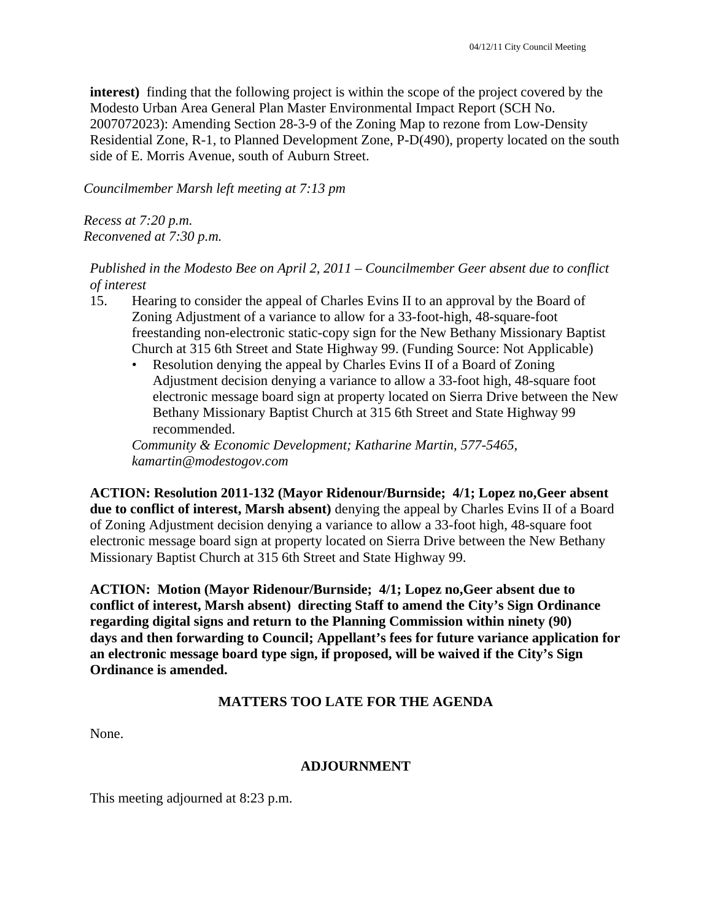**interest)** finding that the following project is within the scope of the project covered by the Modesto Urban Area General Plan Master Environmental Impact Report (SCH No. 2007072023): Amending Section 28-3-9 of the Zoning Map to rezone from Low-Density Residential Zone, R-1, to Planned Development Zone, P-D(490), property located on the south side of E. Morris Avenue, south of Auburn Street.

*Councilmember Marsh left meeting at 7:13 pm* 

*Recess at 7:20 p.m. Reconvened at 7:30 p.m.* 

*Published in the Modesto Bee on April 2, 2011 – Councilmember Geer absent due to conflict of interest* 

- 15. Hearing to consider the appeal of Charles Evins II to an approval by the Board of Zoning Adjustment of a variance to allow for a 33-foot-high, 48-square-foot freestanding non-electronic static-copy sign for the New Bethany Missionary Baptist Church at 315 6th Street and State Highway 99. (Funding Source: Not Applicable)
	- Resolution denying the appeal by Charles Evins II of a Board of Zoning Adjustment decision denying a variance to allow a 33-foot high, 48-square foot electronic message board sign at property located on Sierra Drive between the New Bethany Missionary Baptist Church at 315 6th Street and State Highway 99 recommended.

*Community & Economic Development; Katharine Martin, 577-5465, kamartin@modestogov.com* 

**ACTION: Resolution 2011-132 (Mayor Ridenour/Burnside; 4/1; Lopez no,Geer absent due to conflict of interest, Marsh absent)** denying the appeal by Charles Evins II of a Board of Zoning Adjustment decision denying a variance to allow a 33-foot high, 48-square foot electronic message board sign at property located on Sierra Drive between the New Bethany Missionary Baptist Church at 315 6th Street and State Highway 99.

**ACTION: Motion (Mayor Ridenour/Burnside; 4/1; Lopez no,Geer absent due to conflict of interest, Marsh absent) directing Staff to amend the City's Sign Ordinance regarding digital signs and return to the Planning Commission within ninety (90) days and then forwarding to Council; Appellant's fees for future variance application for an electronic message board type sign, if proposed, will be waived if the City's Sign Ordinance is amended.** 

# **MATTERS TOO LATE FOR THE AGENDA**

None.

## **ADJOURNMENT**

This meeting adjourned at 8:23 p.m.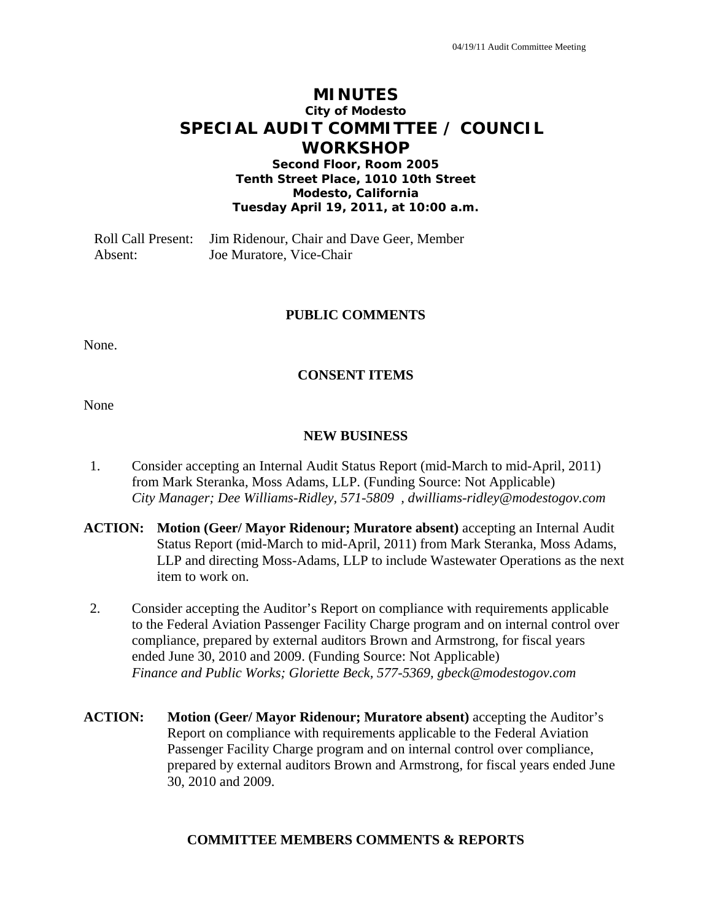# **MINUTES City of Modesto SPECIAL AUDIT COMMITTEE / COUNCIL WORKSHOP**

**Second Floor, Room 2005 Tenth Street Place, 1010 10th Street Modesto, California Tuesday April 19, 2011, at 10:00 a.m.** 

Roll Call Present: Jim Ridenour, Chair and Dave Geer, Member Absent: Joe Muratore, Vice-Chair

#### **PUBLIC COMMENTS**

None.

#### **CONSENT ITEMS**

None

#### **NEW BUSINESS**

- 1. Consider accepting an Internal Audit Status Report (mid-March to mid-April, 2011) from Mark Steranka, Moss Adams, LLP. (Funding Source: Not Applicable)  *City Manager; Dee Williams-Ridley, 571-5809 , dwilliams-ridley@modestogov.com*
- **ACTION: Motion (Geer/ Mayor Ridenour; Muratore absent)** accepting an Internal Audit Status Report (mid-March to mid-April, 2011) from Mark Steranka, Moss Adams, LLP and directing Moss-Adams, LLP to include Wastewater Operations as the next item to work on.
- 2. Consider accepting the Auditor's Report on compliance with requirements applicable to the Federal Aviation Passenger Facility Charge program and on internal control over compliance, prepared by external auditors Brown and Armstrong, for fiscal years ended June 30, 2010 and 2009. (Funding Source: Not Applicable)  *Finance and Public Works; Gloriette Beck, 577-5369, gbeck@modestogov.com*
- **ACTION: Motion (Geer/ Mayor Ridenour; Muratore absent)** accepting the Auditor's Report on compliance with requirements applicable to the Federal Aviation Passenger Facility Charge program and on internal control over compliance, prepared by external auditors Brown and Armstrong, for fiscal years ended June 30, 2010 and 2009.

#### **COMMITTEE MEMBERS COMMENTS & REPORTS**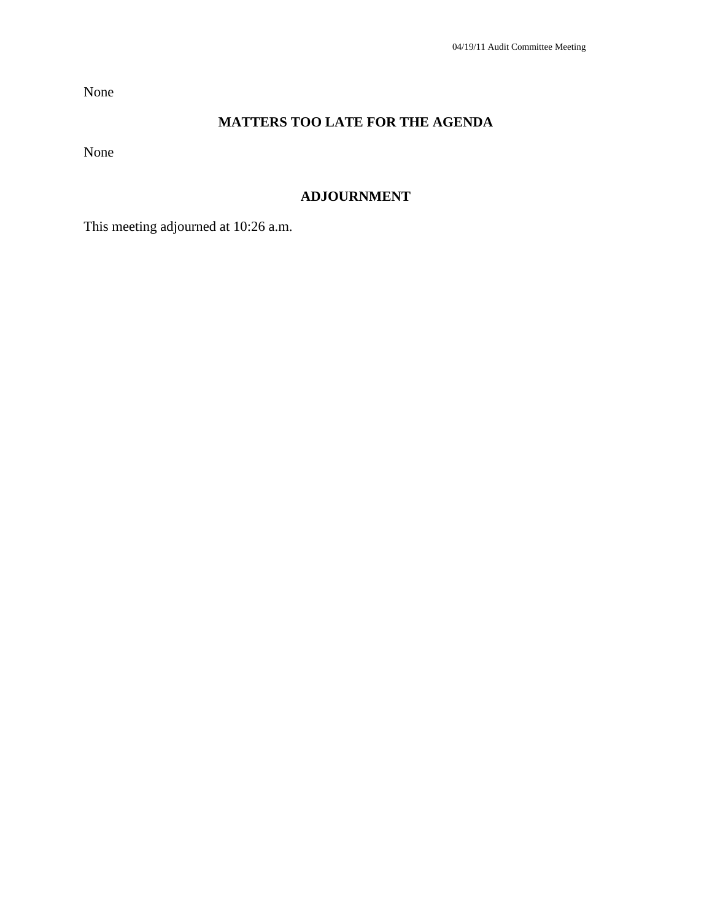None

# **MATTERS TOO LATE FOR THE AGENDA**

None

# **ADJOURNMENT**

This meeting adjourned at 10:26 a.m.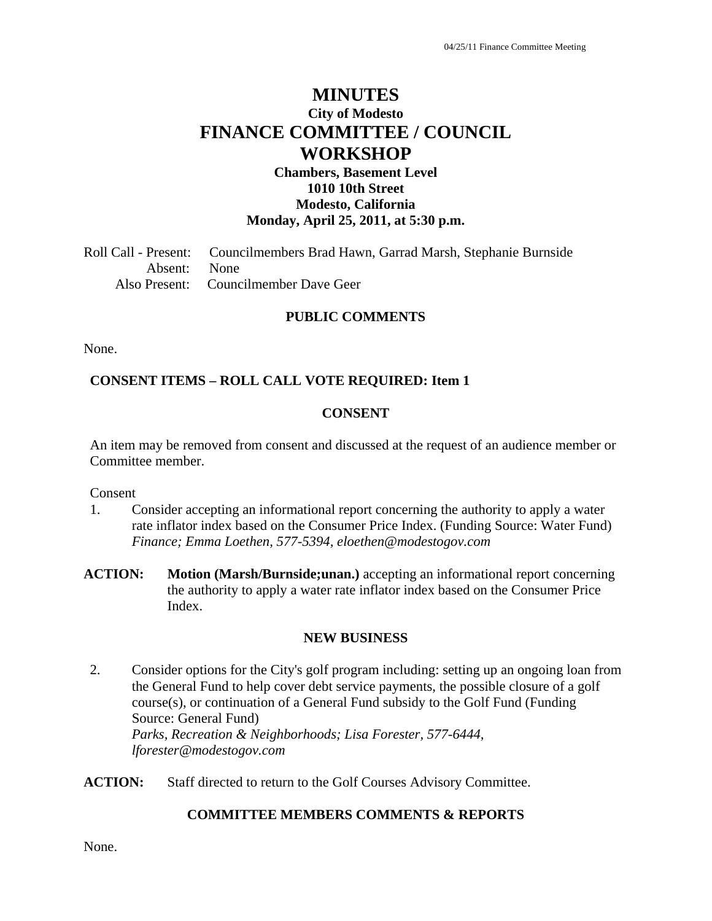# **MINUTES City of Modesto FINANCE COMMITTEE / COUNCIL WORKSHOP**

#### **Chambers, Basement Level 1010 10th Street Modesto, California Monday, April 25, 2011, at 5:30 p.m.**

Roll Call - Present: Councilmembers Brad Hawn, Garrad Marsh, Stephanie Burnside Absent: None Also Present: Councilmember Dave Geer

#### **PUBLIC COMMENTS**

None.

#### **CONSENT ITEMS – ROLL CALL VOTE REQUIRED: Item 1**

#### **CONSENT**

An item may be removed from consent and discussed at the request of an audience member or Committee member.

Consent

- 1. Consider accepting an informational report concerning the authority to apply a water rate inflator index based on the Consumer Price Index. (Funding Source: Water Fund)  *Finance; Emma Loethen, 577-5394, eloethen@modestogov.com*
- **ACTION: Motion (Marsh/Burnside;unan.)** accepting an informational report concerning the authority to apply a water rate inflator index based on the Consumer Price Index.

#### **NEW BUSINESS**

- 2. Consider options for the City's golf program including: setting up an ongoing loan from the General Fund to help cover debt service payments, the possible closure of a golf course(s), or continuation of a General Fund subsidy to the Golf Fund (Funding Source: General Fund)  *Parks, Recreation & Neighborhoods; Lisa Forester, 577-6444, lforester@modestogov.com*
- **ACTION:** Staff directed to return to the Golf Courses Advisory Committee.

#### **COMMITTEE MEMBERS COMMENTS & REPORTS**

None.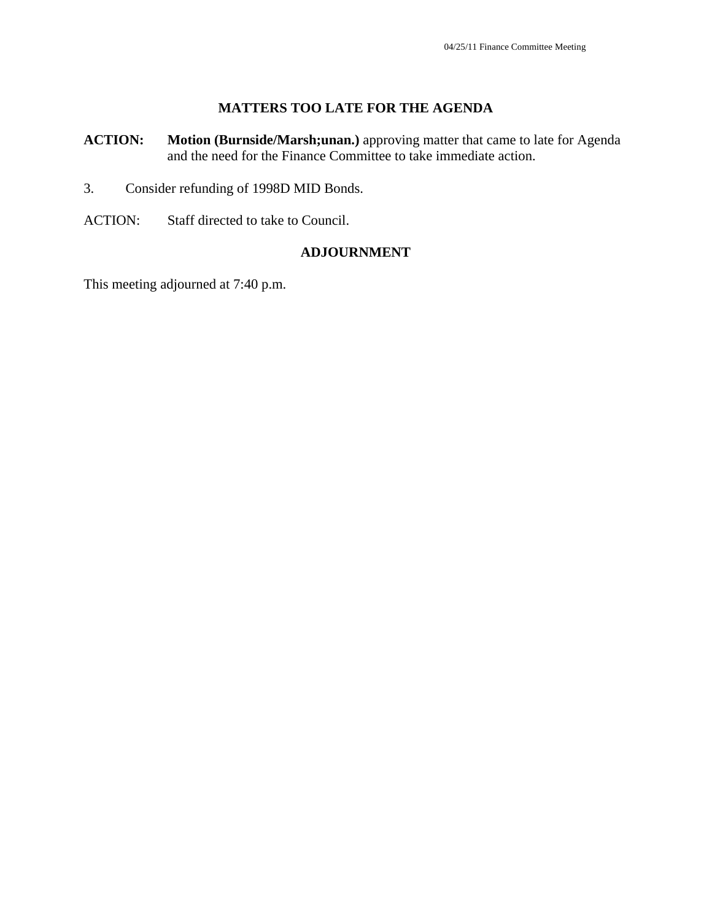#### **MATTERS TOO LATE FOR THE AGENDA**

- **ACTION: Motion (Burnside/Marsh;unan.)** approving matter that came to late for Agenda and the need for the Finance Committee to take immediate action.
- 3. Consider refunding of 1998D MID Bonds.
- ACTION: Staff directed to take to Council.

#### **ADJOURNMENT**

This meeting adjourned at 7:40 p.m.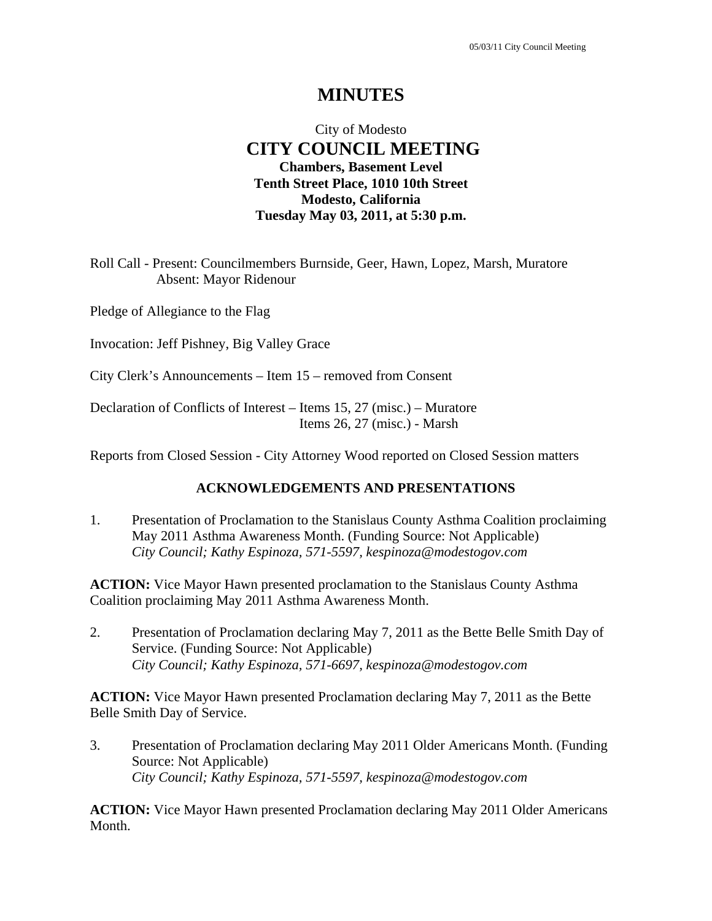# City of Modesto  **CITY COUNCIL MEETING Chambers, Basement Level Tenth Street Place, 1010 10th Street Modesto, California Tuesday May 03, 2011, at 5:30 p.m.**

Roll Call - Present: Councilmembers Burnside, Geer, Hawn, Lopez, Marsh, Muratore Absent: Mayor Ridenour

Pledge of Allegiance to the Flag

Invocation: Jeff Pishney, Big Valley Grace

City Clerk's Announcements – Item 15 – removed from Consent

Declaration of Conflicts of Interest – Items 15, 27 (misc.) – Muratore Items 26, 27 (misc.) - Marsh

Reports from Closed Session - City Attorney Wood reported on Closed Session matters

#### **ACKNOWLEDGEMENTS AND PRESENTATIONS**

1. Presentation of Proclamation to the Stanislaus County Asthma Coalition proclaiming May 2011 Asthma Awareness Month. (Funding Source: Not Applicable)  *City Council; Kathy Espinoza, 571-5597, kespinoza@modestogov.com* 

**ACTION:** Vice Mayor Hawn presented proclamation to the Stanislaus County Asthma Coalition proclaiming May 2011 Asthma Awareness Month.

2. Presentation of Proclamation declaring May 7, 2011 as the Bette Belle Smith Day of Service. (Funding Source: Not Applicable)  *City Council; Kathy Espinoza, 571-6697, kespinoza@modestogov.com* 

**ACTION:** Vice Mayor Hawn presented Proclamation declaring May 7, 2011 as the Bette Belle Smith Day of Service.

3. Presentation of Proclamation declaring May 2011 Older Americans Month. (Funding Source: Not Applicable)  *City Council; Kathy Espinoza, 571-5597, kespinoza@modestogov.com* 

**ACTION:** Vice Mayor Hawn presented Proclamation declaring May 2011 Older Americans Month.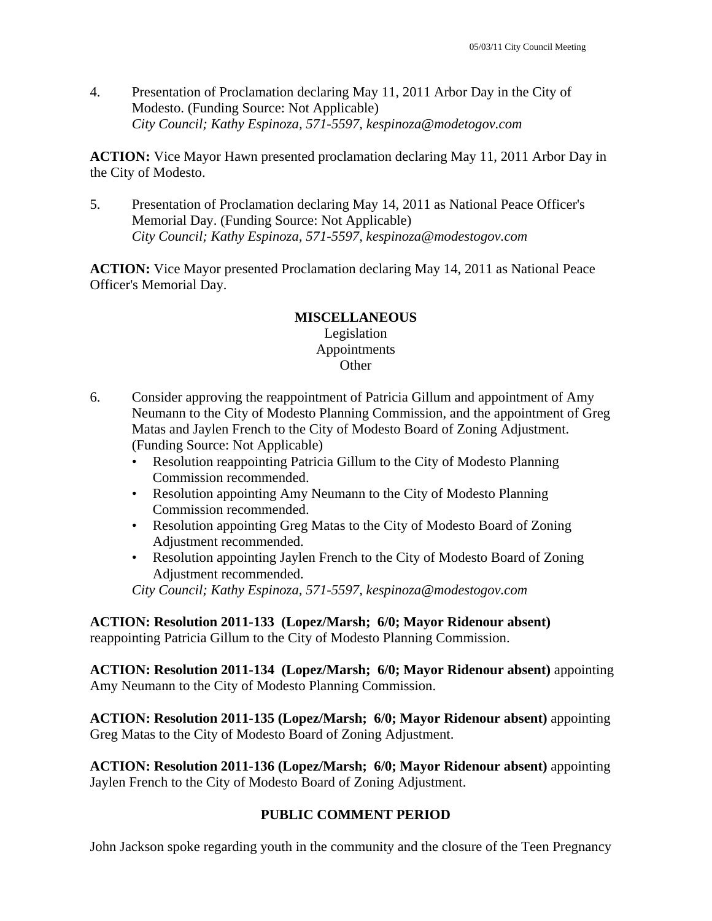4. Presentation of Proclamation declaring May 11, 2011 Arbor Day in the City of Modesto. (Funding Source: Not Applicable)  *City Council; Kathy Espinoza, 571-5597, kespinoza@modetogov.com* 

**ACTION:** Vice Mayor Hawn presented proclamation declaring May 11, 2011 Arbor Day in the City of Modesto.

5. Presentation of Proclamation declaring May 14, 2011 as National Peace Officer's Memorial Day. (Funding Source: Not Applicable)  *City Council; Kathy Espinoza, 571-5597, kespinoza@modestogov.com* 

**ACTION:** Vice Mayor presented Proclamation declaring May 14, 2011 as National Peace Officer's Memorial Day.

#### **MISCELLANEOUS**  Legislation

# Appointments **Other**

- 6. Consider approving the reappointment of Patricia Gillum and appointment of Amy Neumann to the City of Modesto Planning Commission, and the appointment of Greg Matas and Jaylen French to the City of Modesto Board of Zoning Adjustment. (Funding Source: Not Applicable)
	- Resolution reappointing Patricia Gillum to the City of Modesto Planning Commission recommended.
	- Resolution appointing Amy Neumann to the City of Modesto Planning Commission recommended.
	- Resolution appointing Greg Matas to the City of Modesto Board of Zoning Adjustment recommended.
	- Resolution appointing Jaylen French to the City of Modesto Board of Zoning Adjustment recommended.

*City Council; Kathy Espinoza, 571-5597, kespinoza@modestogov.com* 

**ACTION: Resolution 2011-133 (Lopez/Marsh; 6/0; Mayor Ridenour absent)** reappointing Patricia Gillum to the City of Modesto Planning Commission.

**ACTION: Resolution 2011-134 (Lopez/Marsh; 6/0; Mayor Ridenour absent)** appointing Amy Neumann to the City of Modesto Planning Commission.

**ACTION: Resolution 2011-135 (Lopez/Marsh; 6/0; Mayor Ridenour absent)** appointing Greg Matas to the City of Modesto Board of Zoning Adjustment.

**ACTION: Resolution 2011-136 (Lopez/Marsh; 6/0; Mayor Ridenour absent)** appointing Jaylen French to the City of Modesto Board of Zoning Adjustment.

## **PUBLIC COMMENT PERIOD**

John Jackson spoke regarding youth in the community and the closure of the Teen Pregnancy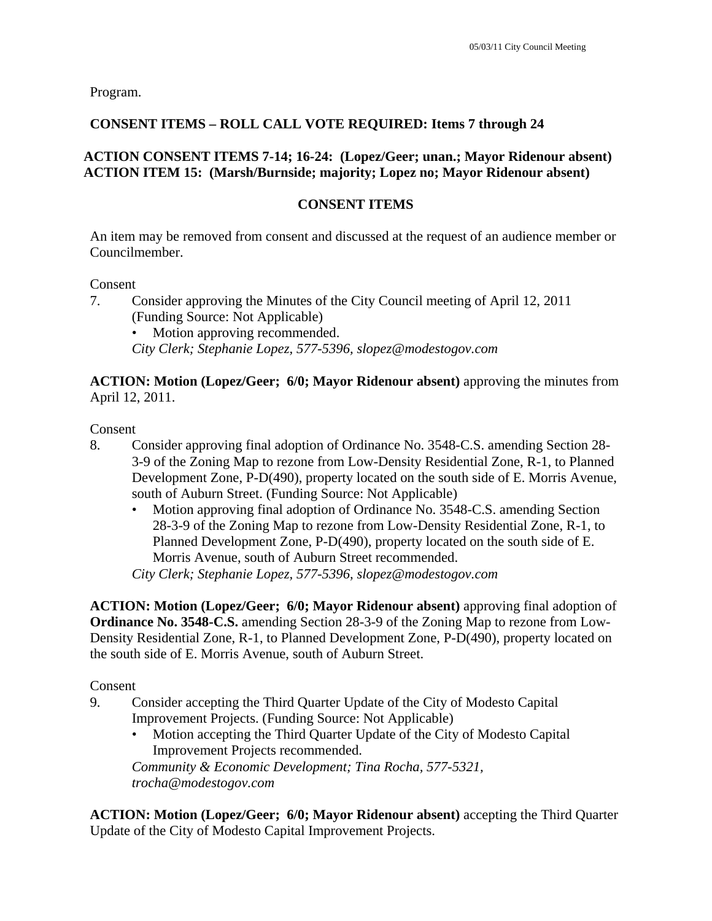Program.

# **CONSENT ITEMS – ROLL CALL VOTE REQUIRED: Items 7 through 24**

# **ACTION CONSENT ITEMS 7-14; 16-24: (Lopez/Geer; unan.; Mayor Ridenour absent) ACTION ITEM 15: (Marsh/Burnside; majority; Lopez no; Mayor Ridenour absent)**

## **CONSENT ITEMS**

An item may be removed from consent and discussed at the request of an audience member or Councilmember.

Consent

- 7. Consider approving the Minutes of the City Council meeting of April 12, 2011 (Funding Source: Not Applicable)
	- Motion approving recommended.

*City Clerk; Stephanie Lopez, 577-5396, slopez@modestogov.com* 

**ACTION: Motion (Lopez/Geer; 6/0; Mayor Ridenour absent)** approving the minutes from April 12, 2011.

Consent

- 8. Consider approving final adoption of Ordinance No. 3548-C.S. amending Section 28- 3-9 of the Zoning Map to rezone from Low-Density Residential Zone, R-1, to Planned Development Zone, P-D(490), property located on the south side of E. Morris Avenue, south of Auburn Street. (Funding Source: Not Applicable)
	- Motion approving final adoption of Ordinance No. 3548-C.S. amending Section 28-3-9 of the Zoning Map to rezone from Low-Density Residential Zone, R-1, to Planned Development Zone, P-D(490), property located on the south side of E. Morris Avenue, south of Auburn Street recommended.

*City Clerk; Stephanie Lopez, 577-5396, slopez@modestogov.com* 

**ACTION: Motion (Lopez/Geer; 6/0; Mayor Ridenour absent)** approving final adoption of **Ordinance No. 3548-C.S.** amending Section 28-3-9 of the Zoning Map to rezone from Low-Density Residential Zone, R-1, to Planned Development Zone, P-D(490), property located on the south side of E. Morris Avenue, south of Auburn Street.

Consent

- 9. Consider accepting the Third Quarter Update of the City of Modesto Capital Improvement Projects. (Funding Source: Not Applicable)
	- Motion accepting the Third Quarter Update of the City of Modesto Capital Improvement Projects recommended.

*Community & Economic Development; Tina Rocha, 577-5321, trocha@modestogov.com* 

**ACTION: Motion (Lopez/Geer; 6/0; Mayor Ridenour absent)** accepting the Third Quarter Update of the City of Modesto Capital Improvement Projects.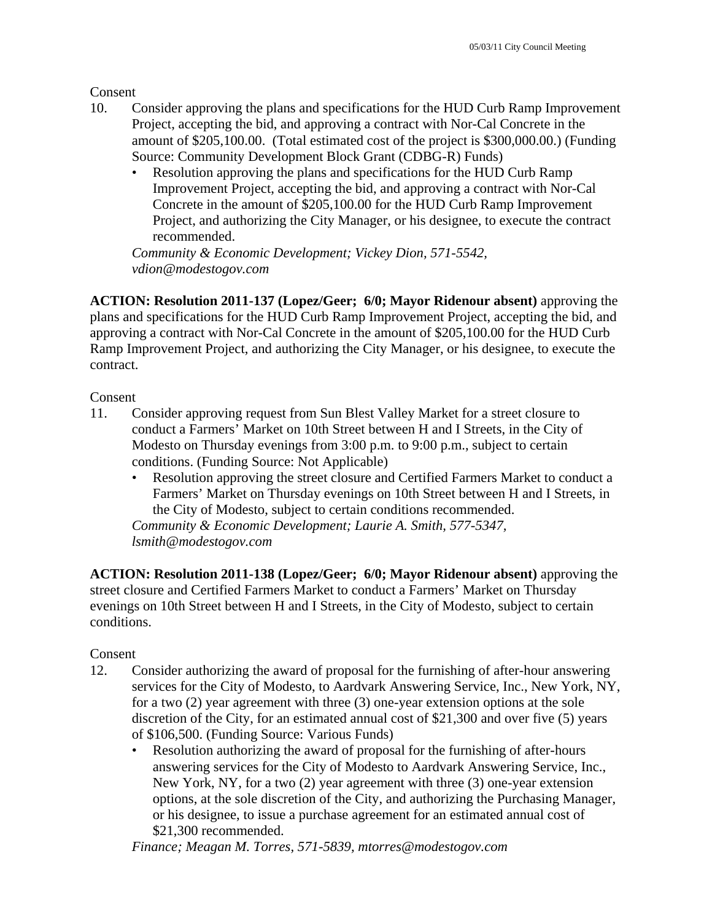Consent

- 10. Consider approving the plans and specifications for the HUD Curb Ramp Improvement Project, accepting the bid, and approving a contract with Nor-Cal Concrete in the amount of \$205,100.00. (Total estimated cost of the project is \$300,000.00.) (Funding Source: Community Development Block Grant (CDBG-R) Funds)
	- Resolution approving the plans and specifications for the HUD Curb Ramp Improvement Project, accepting the bid, and approving a contract with Nor-Cal Concrete in the amount of \$205,100.00 for the HUD Curb Ramp Improvement Project, and authorizing the City Manager, or his designee, to execute the contract recommended.

*Community & Economic Development; Vickey Dion, 571-5542, vdion@modestogov.com* 

**ACTION: Resolution 2011-137 (Lopez/Geer; 6/0; Mayor Ridenour absent)** approving the plans and specifications for the HUD Curb Ramp Improvement Project, accepting the bid, and approving a contract with Nor-Cal Concrete in the amount of \$205,100.00 for the HUD Curb Ramp Improvement Project, and authorizing the City Manager, or his designee, to execute the contract.

Consent

- 11. Consider approving request from Sun Blest Valley Market for a street closure to conduct a Farmers' Market on 10th Street between H and I Streets, in the City of Modesto on Thursday evenings from 3:00 p.m. to 9:00 p.m., subject to certain conditions. (Funding Source: Not Applicable)
	- Resolution approving the street closure and Certified Farmers Market to conduct a Farmers' Market on Thursday evenings on 10th Street between H and I Streets, in the City of Modesto, subject to certain conditions recommended.

*Community & Economic Development; Laurie A. Smith, 577-5347, lsmith@modestogov.com* 

**ACTION: Resolution 2011-138 (Lopez/Geer; 6/0; Mayor Ridenour absent)** approving the street closure and Certified Farmers Market to conduct a Farmers' Market on Thursday evenings on 10th Street between H and I Streets, in the City of Modesto, subject to certain conditions.

## Consent

- 12. Consider authorizing the award of proposal for the furnishing of after-hour answering services for the City of Modesto, to Aardvark Answering Service, Inc., New York, NY, for a two (2) year agreement with three (3) one-year extension options at the sole discretion of the City, for an estimated annual cost of \$21,300 and over five (5) years of \$106,500. (Funding Source: Various Funds)
	- Resolution authorizing the award of proposal for the furnishing of after-hours answering services for the City of Modesto to Aardvark Answering Service, Inc., New York, NY, for a two (2) year agreement with three (3) one-year extension options, at the sole discretion of the City, and authorizing the Purchasing Manager, or his designee, to issue a purchase agreement for an estimated annual cost of \$21,300 recommended.

*Finance; Meagan M. Torres, 571-5839, mtorres@modestogov.com*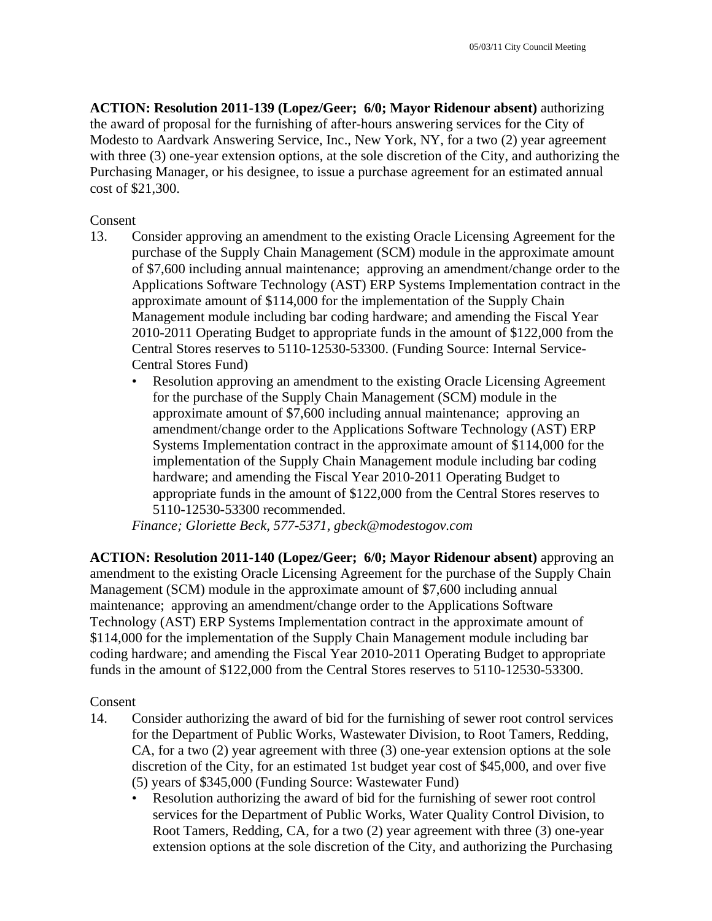**ACTION: Resolution 2011-139 (Lopez/Geer; 6/0; Mayor Ridenour absent)** authorizing the award of proposal for the furnishing of after-hours answering services for the City of Modesto to Aardvark Answering Service, Inc., New York, NY, for a two (2) year agreement with three (3) one-year extension options, at the sole discretion of the City, and authorizing the Purchasing Manager, or his designee, to issue a purchase agreement for an estimated annual cost of \$21,300.

#### Consent

- 13. Consider approving an amendment to the existing Oracle Licensing Agreement for the purchase of the Supply Chain Management (SCM) module in the approximate amount of \$7,600 including annual maintenance; approving an amendment/change order to the Applications Software Technology (AST) ERP Systems Implementation contract in the approximate amount of \$114,000 for the implementation of the Supply Chain Management module including bar coding hardware; and amending the Fiscal Year 2010-2011 Operating Budget to appropriate funds in the amount of \$122,000 from the Central Stores reserves to 5110-12530-53300. (Funding Source: Internal Service-Central Stores Fund)
	- Resolution approving an amendment to the existing Oracle Licensing Agreement for the purchase of the Supply Chain Management (SCM) module in the approximate amount of \$7,600 including annual maintenance; approving an amendment/change order to the Applications Software Technology (AST) ERP Systems Implementation contract in the approximate amount of \$114,000 for the implementation of the Supply Chain Management module including bar coding hardware; and amending the Fiscal Year 2010-2011 Operating Budget to appropriate funds in the amount of \$122,000 from the Central Stores reserves to 5110-12530-53300 recommended.

*Finance; Gloriette Beck, 577-5371, gbeck@modestogov.com* 

**ACTION: Resolution 2011-140 (Lopez/Geer; 6/0; Mayor Ridenour absent)** approving an amendment to the existing Oracle Licensing Agreement for the purchase of the Supply Chain Management (SCM) module in the approximate amount of \$7,600 including annual maintenance; approving an amendment/change order to the Applications Software Technology (AST) ERP Systems Implementation contract in the approximate amount of \$114,000 for the implementation of the Supply Chain Management module including bar coding hardware; and amending the Fiscal Year 2010-2011 Operating Budget to appropriate funds in the amount of \$122,000 from the Central Stores reserves to 5110-12530-53300.

#### Consent

- 14. Consider authorizing the award of bid for the furnishing of sewer root control services for the Department of Public Works, Wastewater Division, to Root Tamers, Redding, CA, for a two (2) year agreement with three (3) one-year extension options at the sole discretion of the City, for an estimated 1st budget year cost of \$45,000, and over five (5) years of \$345,000 (Funding Source: Wastewater Fund)
	- Resolution authorizing the award of bid for the furnishing of sewer root control services for the Department of Public Works, Water Quality Control Division, to Root Tamers, Redding, CA, for a two (2) year agreement with three (3) one-year extension options at the sole discretion of the City, and authorizing the Purchasing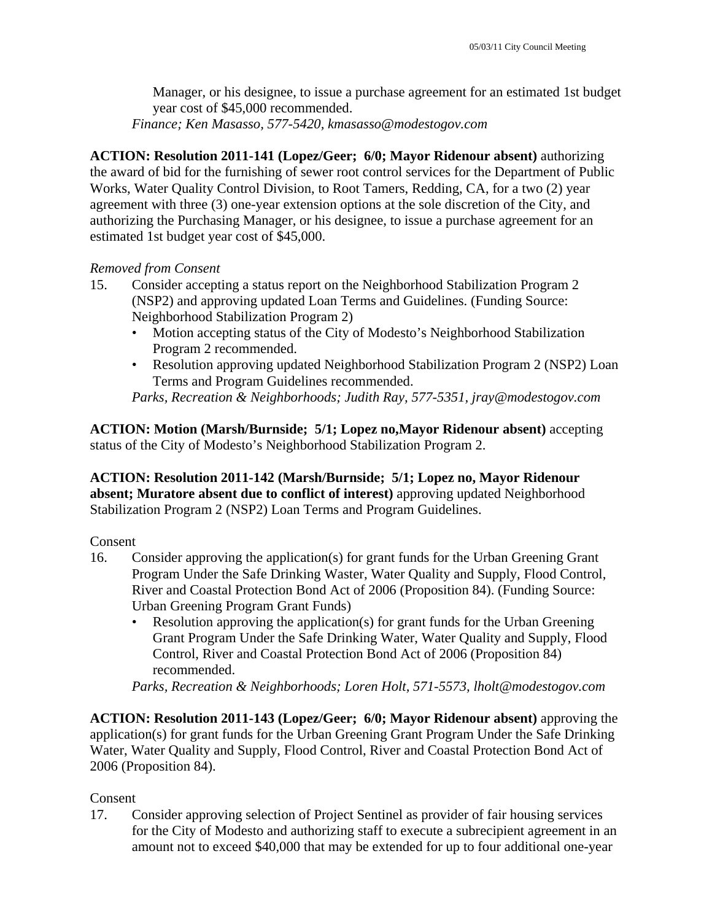Manager, or his designee, to issue a purchase agreement for an estimated 1st budget year cost of \$45,000 recommended.

*Finance; Ken Masasso, 577-5420, kmasasso@modestogov.com* 

**ACTION: Resolution 2011-141 (Lopez/Geer; 6/0; Mayor Ridenour absent)** authorizing the award of bid for the furnishing of sewer root control services for the Department of Public Works, Water Quality Control Division, to Root Tamers, Redding, CA, for a two (2) year agreement with three (3) one-year extension options at the sole discretion of the City, and authorizing the Purchasing Manager, or his designee, to issue a purchase agreement for an estimated 1st budget year cost of \$45,000.

#### *Removed from Consent*

- 15. Consider accepting a status report on the Neighborhood Stabilization Program 2 (NSP2) and approving updated Loan Terms and Guidelines. (Funding Source: Neighborhood Stabilization Program 2)
	- Motion accepting status of the City of Modesto's Neighborhood Stabilization Program 2 recommended.
	- Resolution approving updated Neighborhood Stabilization Program 2 (NSP2) Loan Terms and Program Guidelines recommended.

*Parks, Recreation & Neighborhoods; Judith Ray, 577-5351, jray@modestogov.com* 

**ACTION: Motion (Marsh/Burnside; 5/1; Lopez no,Mayor Ridenour absent)** accepting status of the City of Modesto's Neighborhood Stabilization Program 2.

**ACTION: Resolution 2011-142 (Marsh/Burnside; 5/1; Lopez no, Mayor Ridenour absent; Muratore absent due to conflict of interest)** approving updated Neighborhood Stabilization Program 2 (NSP2) Loan Terms and Program Guidelines.

#### Consent

- 16. Consider approving the application(s) for grant funds for the Urban Greening Grant Program Under the Safe Drinking Waster, Water Quality and Supply, Flood Control, River and Coastal Protection Bond Act of 2006 (Proposition 84). (Funding Source: Urban Greening Program Grant Funds)
	- Resolution approving the application(s) for grant funds for the Urban Greening Grant Program Under the Safe Drinking Water, Water Quality and Supply, Flood Control, River and Coastal Protection Bond Act of 2006 (Proposition 84) recommended.

*Parks, Recreation & Neighborhoods; Loren Holt, 571-5573, lholt@modestogov.com* 

**ACTION: Resolution 2011-143 (Lopez/Geer; 6/0; Mayor Ridenour absent)** approving the application(s) for grant funds for the Urban Greening Grant Program Under the Safe Drinking Water, Water Quality and Supply, Flood Control, River and Coastal Protection Bond Act of 2006 (Proposition 84).

## Consent

17. Consider approving selection of Project Sentinel as provider of fair housing services for the City of Modesto and authorizing staff to execute a subrecipient agreement in an amount not to exceed \$40,000 that may be extended for up to four additional one-year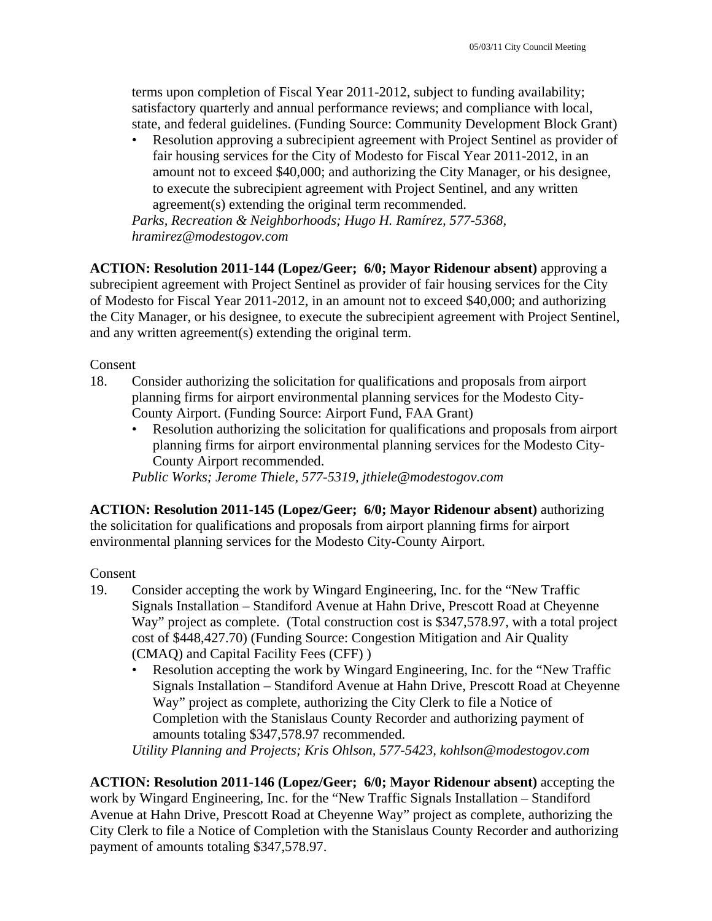terms upon completion of Fiscal Year 2011-2012, subject to funding availability; satisfactory quarterly and annual performance reviews; and compliance with local, state, and federal guidelines. (Funding Source: Community Development Block Grant)

• Resolution approving a subrecipient agreement with Project Sentinel as provider of fair housing services for the City of Modesto for Fiscal Year 2011-2012, in an amount not to exceed \$40,000; and authorizing the City Manager, or his designee, to execute the subrecipient agreement with Project Sentinel, and any written agreement(s) extending the original term recommended.

*Parks, Recreation & Neighborhoods; Hugo H. Ramírez, 577-5368, hramirez@modestogov.com* 

**ACTION: Resolution 2011-144 (Lopez/Geer; 6/0; Mayor Ridenour absent)** approving a subrecipient agreement with Project Sentinel as provider of fair housing services for the City of Modesto for Fiscal Year 2011-2012, in an amount not to exceed \$40,000; and authorizing the City Manager, or his designee, to execute the subrecipient agreement with Project Sentinel, and any written agreement(s) extending the original term.

Consent

- 18. Consider authorizing the solicitation for qualifications and proposals from airport planning firms for airport environmental planning services for the Modesto City-County Airport. (Funding Source: Airport Fund, FAA Grant)
	- Resolution authorizing the solicitation for qualifications and proposals from airport planning firms for airport environmental planning services for the Modesto City-County Airport recommended.

*Public Works; Jerome Thiele, 577-5319, jthiele@modestogov.com* 

**ACTION: Resolution 2011-145 (Lopez/Geer; 6/0; Mayor Ridenour absent)** authorizing the solicitation for qualifications and proposals from airport planning firms for airport environmental planning services for the Modesto City-County Airport.

## Consent

- 19. Consider accepting the work by Wingard Engineering, Inc. for the "New Traffic Signals Installation – Standiford Avenue at Hahn Drive, Prescott Road at Cheyenne Way" project as complete. (Total construction cost is \$347,578.97, with a total project cost of \$448,427.70) (Funding Source: Congestion Mitigation and Air Quality (CMAQ) and Capital Facility Fees (CFF) )
	- Resolution accepting the work by Wingard Engineering, Inc. for the "New Traffic Signals Installation – Standiford Avenue at Hahn Drive, Prescott Road at Cheyenne Way" project as complete, authorizing the City Clerk to file a Notice of Completion with the Stanislaus County Recorder and authorizing payment of amounts totaling \$347,578.97 recommended.

*Utility Planning and Projects; Kris Ohlson, 577-5423, kohlson@modestogov.com* 

**ACTION: Resolution 2011-146 (Lopez/Geer; 6/0; Mayor Ridenour absent)** accepting the work by Wingard Engineering, Inc. for the "New Traffic Signals Installation – Standiford Avenue at Hahn Drive, Prescott Road at Cheyenne Way" project as complete, authorizing the City Clerk to file a Notice of Completion with the Stanislaus County Recorder and authorizing payment of amounts totaling \$347,578.97.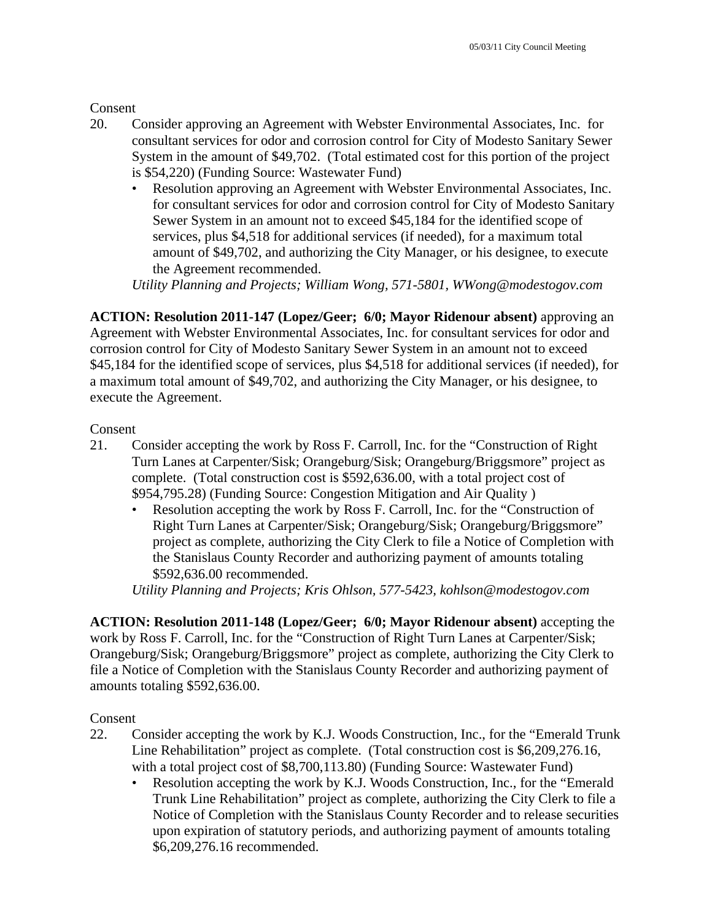**Consent** 

- 20. Consider approving an Agreement with Webster Environmental Associates, Inc. for consultant services for odor and corrosion control for City of Modesto Sanitary Sewer System in the amount of \$49,702. (Total estimated cost for this portion of the project is \$54,220) (Funding Source: Wastewater Fund)
	- Resolution approving an Agreement with Webster Environmental Associates, Inc. for consultant services for odor and corrosion control for City of Modesto Sanitary Sewer System in an amount not to exceed \$45,184 for the identified scope of services, plus \$4,518 for additional services (if needed), for a maximum total amount of \$49,702, and authorizing the City Manager, or his designee, to execute the Agreement recommended.

*Utility Planning and Projects; William Wong, 571-5801, WWong@modestogov.com* 

**ACTION: Resolution 2011-147 (Lopez/Geer; 6/0; Mayor Ridenour absent)** approving an Agreement with Webster Environmental Associates, Inc. for consultant services for odor and corrosion control for City of Modesto Sanitary Sewer System in an amount not to exceed \$45,184 for the identified scope of services, plus \$4,518 for additional services (if needed), for a maximum total amount of \$49,702, and authorizing the City Manager, or his designee, to execute the Agreement.

#### Consent

- 21. Consider accepting the work by Ross F. Carroll, Inc. for the "Construction of Right Turn Lanes at Carpenter/Sisk; Orangeburg/Sisk; Orangeburg/Briggsmore" project as complete. (Total construction cost is \$592,636.00, with a total project cost of \$954,795.28) (Funding Source: Congestion Mitigation and Air Quality )
	- Resolution accepting the work by Ross F. Carroll, Inc. for the "Construction of Right Turn Lanes at Carpenter/Sisk; Orangeburg/Sisk; Orangeburg/Briggsmore" project as complete, authorizing the City Clerk to file a Notice of Completion with the Stanislaus County Recorder and authorizing payment of amounts totaling \$592,636.00 recommended.

*Utility Planning and Projects; Kris Ohlson, 577-5423, kohlson@modestogov.com* 

**ACTION: Resolution 2011-148 (Lopez/Geer; 6/0; Mayor Ridenour absent)** accepting the work by Ross F. Carroll, Inc. for the "Construction of Right Turn Lanes at Carpenter/Sisk; Orangeburg/Sisk; Orangeburg/Briggsmore" project as complete, authorizing the City Clerk to file a Notice of Completion with the Stanislaus County Recorder and authorizing payment of amounts totaling \$592,636.00.

## Consent

- 22. Consider accepting the work by K.J. Woods Construction, Inc., for the "Emerald Trunk Line Rehabilitation" project as complete. (Total construction cost is \$6,209,276.16, with a total project cost of \$8,700,113.80) (Funding Source: Wastewater Fund)
	- Resolution accepting the work by K.J. Woods Construction, Inc., for the "Emerald Trunk Line Rehabilitation" project as complete, authorizing the City Clerk to file a Notice of Completion with the Stanislaus County Recorder and to release securities upon expiration of statutory periods, and authorizing payment of amounts totaling \$6,209,276.16 recommended.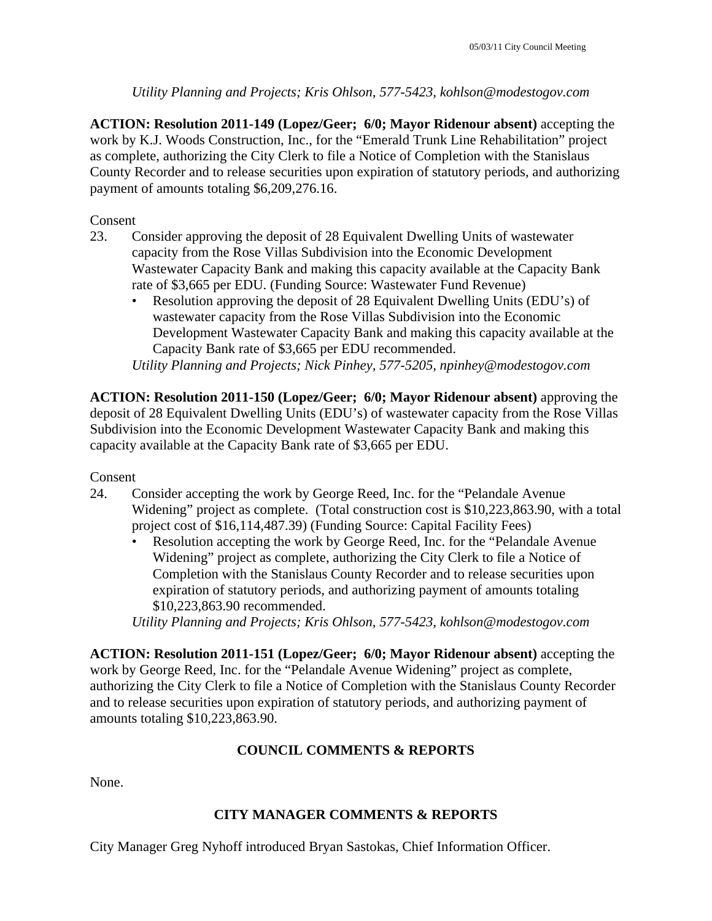## *Utility Planning and Projects; Kris Ohlson, 577-5423, kohlson@modestogov.com*

**ACTION: Resolution 2011-149 (Lopez/Geer; 6/0; Mayor Ridenour absent)** accepting the work by K.J. Woods Construction, Inc., for the "Emerald Trunk Line Rehabilitation" project as complete, authorizing the City Clerk to file a Notice of Completion with the Stanislaus County Recorder and to release securities upon expiration of statutory periods, and authorizing payment of amounts totaling \$6,209,276.16.

Consent

- 23. Consider approving the deposit of 28 Equivalent Dwelling Units of wastewater capacity from the Rose Villas Subdivision into the Economic Development Wastewater Capacity Bank and making this capacity available at the Capacity Bank rate of \$3,665 per EDU. (Funding Source: Wastewater Fund Revenue)
	- Resolution approving the deposit of 28 Equivalent Dwelling Units (EDU's) of wastewater capacity from the Rose Villas Subdivision into the Economic Development Wastewater Capacity Bank and making this capacity available at the Capacity Bank rate of \$3,665 per EDU recommended.

*Utility Planning and Projects; Nick Pinhey, 577-5205, npinhey@modestogov.com* 

**ACTION: Resolution 2011-150 (Lopez/Geer; 6/0; Mayor Ridenour absent)** approving the deposit of 28 Equivalent Dwelling Units (EDU's) of wastewater capacity from the Rose Villas Subdivision into the Economic Development Wastewater Capacity Bank and making this capacity available at the Capacity Bank rate of \$3,665 per EDU.

Consent

- 24. Consider accepting the work by George Reed, Inc. for the "Pelandale Avenue Widening" project as complete. (Total construction cost is \$10,223,863.90, with a total project cost of \$16,114,487.39) (Funding Source: Capital Facility Fees)
	- Resolution accepting the work by George Reed, Inc. for the "Pelandale Avenue Widening" project as complete, authorizing the City Clerk to file a Notice of Completion with the Stanislaus County Recorder and to release securities upon expiration of statutory periods, and authorizing payment of amounts totaling \$10,223,863.90 recommended.

*Utility Planning and Projects; Kris Ohlson, 577-5423, kohlson@modestogov.com* 

**ACTION: Resolution 2011-151 (Lopez/Geer; 6/0; Mayor Ridenour absent)** accepting the work by George Reed, Inc. for the "Pelandale Avenue Widening" project as complete, authorizing the City Clerk to file a Notice of Completion with the Stanislaus County Recorder and to release securities upon expiration of statutory periods, and authorizing payment of amounts totaling \$10,223,863.90.

## **COUNCIL COMMENTS & REPORTS**

None.

## **CITY MANAGER COMMENTS & REPORTS**

City Manager Greg Nyhoff introduced Bryan Sastokas, Chief Information Officer.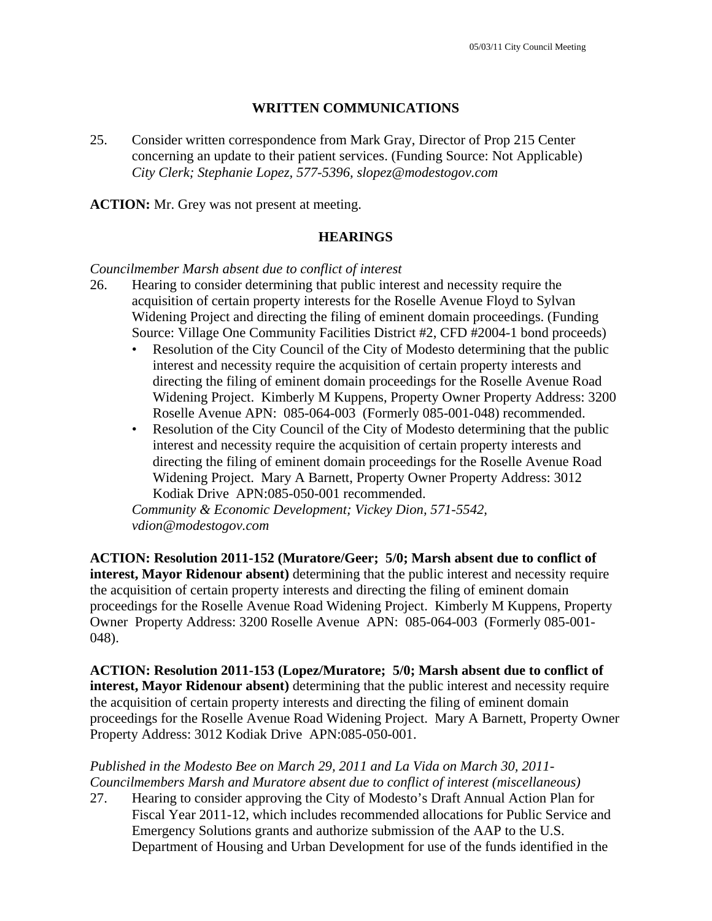#### **WRITTEN COMMUNICATIONS**

25. Consider written correspondence from Mark Gray, Director of Prop 215 Center concerning an update to their patient services. (Funding Source: Not Applicable)  *City Clerk; Stephanie Lopez, 577-5396, slopez@modestogov.com* 

**ACTION:** Mr. Grey was not present at meeting.

#### **HEARINGS**

#### *Councilmember Marsh absent due to conflict of interest*

- 26. Hearing to consider determining that public interest and necessity require the acquisition of certain property interests for the Roselle Avenue Floyd to Sylvan Widening Project and directing the filing of eminent domain proceedings. (Funding Source: Village One Community Facilities District #2, CFD #2004-1 bond proceeds)
	- Resolution of the City Council of the City of Modesto determining that the public interest and necessity require the acquisition of certain property interests and directing the filing of eminent domain proceedings for the Roselle Avenue Road Widening Project. Kimberly M Kuppens, Property Owner Property Address: 3200 Roselle Avenue APN: 085-064-003 (Formerly 085-001-048) recommended.
	- Resolution of the City Council of the City of Modesto determining that the public interest and necessity require the acquisition of certain property interests and directing the filing of eminent domain proceedings for the Roselle Avenue Road Widening Project. Mary A Barnett, Property Owner Property Address: 3012 Kodiak Drive APN:085-050-001 recommended.

*Community & Economic Development; Vickey Dion, 571-5542, vdion@modestogov.com* 

**ACTION: Resolution 2011-152 (Muratore/Geer; 5/0; Marsh absent due to conflict of interest, Mayor Ridenour absent)** determining that the public interest and necessity require the acquisition of certain property interests and directing the filing of eminent domain proceedings for the Roselle Avenue Road Widening Project. Kimberly M Kuppens, Property Owner Property Address: 3200 Roselle Avenue APN: 085-064-003 (Formerly 085-001- 048).

**ACTION: Resolution 2011-153 (Lopez/Muratore; 5/0; Marsh absent due to conflict of interest, Mayor Ridenour absent)** determining that the public interest and necessity require the acquisition of certain property interests and directing the filing of eminent domain proceedings for the Roselle Avenue Road Widening Project. Mary A Barnett, Property Owner Property Address: 3012 Kodiak Drive APN:085-050-001.

## *Published in the Modesto Bee on March 29, 2011 and La Vida on March 30, 2011- Councilmembers Marsh and Muratore absent due to conflict of interest (miscellaneous)*

27. Hearing to consider approving the City of Modesto's Draft Annual Action Plan for Fiscal Year 2011-12, which includes recommended allocations for Public Service and Emergency Solutions grants and authorize submission of the AAP to the U.S. Department of Housing and Urban Development for use of the funds identified in the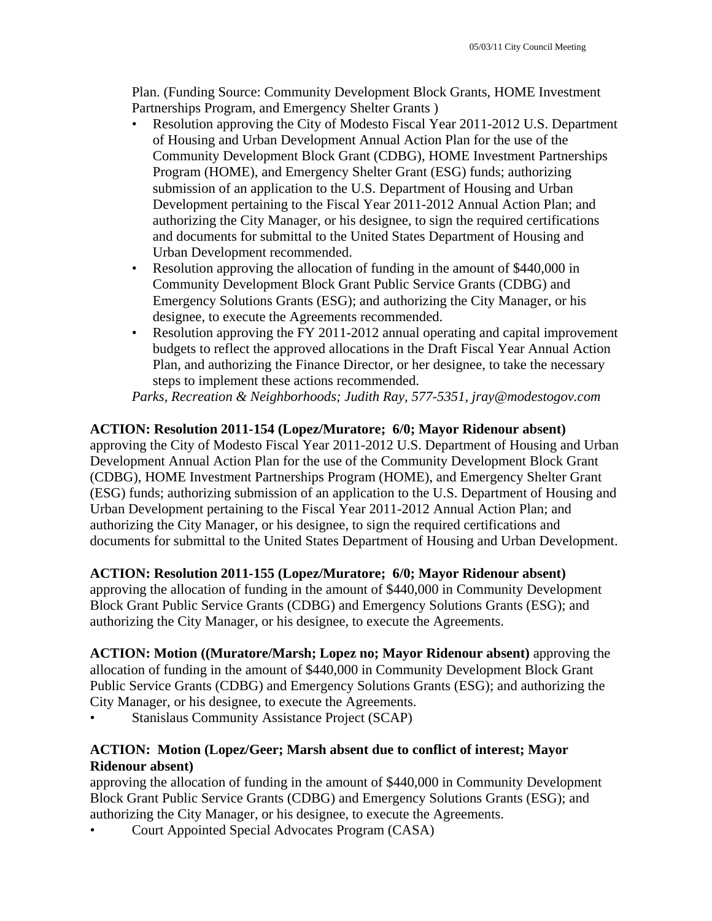Plan. (Funding Source: Community Development Block Grants, HOME Investment Partnerships Program, and Emergency Shelter Grants )

- Resolution approving the City of Modesto Fiscal Year 2011-2012 U.S. Department of Housing and Urban Development Annual Action Plan for the use of the Community Development Block Grant (CDBG), HOME Investment Partnerships Program (HOME), and Emergency Shelter Grant (ESG) funds; authorizing submission of an application to the U.S. Department of Housing and Urban Development pertaining to the Fiscal Year 2011-2012 Annual Action Plan; and authorizing the City Manager, or his designee, to sign the required certifications and documents for submittal to the United States Department of Housing and Urban Development recommended.
- Resolution approving the allocation of funding in the amount of \$440,000 in Community Development Block Grant Public Service Grants (CDBG) and Emergency Solutions Grants (ESG); and authorizing the City Manager, or his designee, to execute the Agreements recommended.
- Resolution approving the FY 2011-2012 annual operating and capital improvement budgets to reflect the approved allocations in the Draft Fiscal Year Annual Action Plan, and authorizing the Finance Director, or her designee, to take the necessary steps to implement these actions recommended.

*Parks, Recreation & Neighborhoods; Judith Ray, 577-5351, jray@modestogov.com* 

## **ACTION: Resolution 2011-154 (Lopez/Muratore; 6/0; Mayor Ridenour absent)**

approving the City of Modesto Fiscal Year 2011-2012 U.S. Department of Housing and Urban Development Annual Action Plan for the use of the Community Development Block Grant (CDBG), HOME Investment Partnerships Program (HOME), and Emergency Shelter Grant (ESG) funds; authorizing submission of an application to the U.S. Department of Housing and Urban Development pertaining to the Fiscal Year 2011-2012 Annual Action Plan; and authorizing the City Manager, or his designee, to sign the required certifications and documents for submittal to the United States Department of Housing and Urban Development.

## **ACTION: Resolution 2011-155 (Lopez/Muratore; 6/0; Mayor Ridenour absent)**

approving the allocation of funding in the amount of \$440,000 in Community Development Block Grant Public Service Grants (CDBG) and Emergency Solutions Grants (ESG); and authorizing the City Manager, or his designee, to execute the Agreements.

**ACTION: Motion ((Muratore/Marsh; Lopez no; Mayor Ridenour absent)** approving the allocation of funding in the amount of \$440,000 in Community Development Block Grant Public Service Grants (CDBG) and Emergency Solutions Grants (ESG); and authorizing the City Manager, or his designee, to execute the Agreements.

Stanislaus Community Assistance Project (SCAP)

## **ACTION: Motion (Lopez/Geer; Marsh absent due to conflict of interest; Mayor Ridenour absent)**

approving the allocation of funding in the amount of \$440,000 in Community Development Block Grant Public Service Grants (CDBG) and Emergency Solutions Grants (ESG); and authorizing the City Manager, or his designee, to execute the Agreements.

• Court Appointed Special Advocates Program (CASA)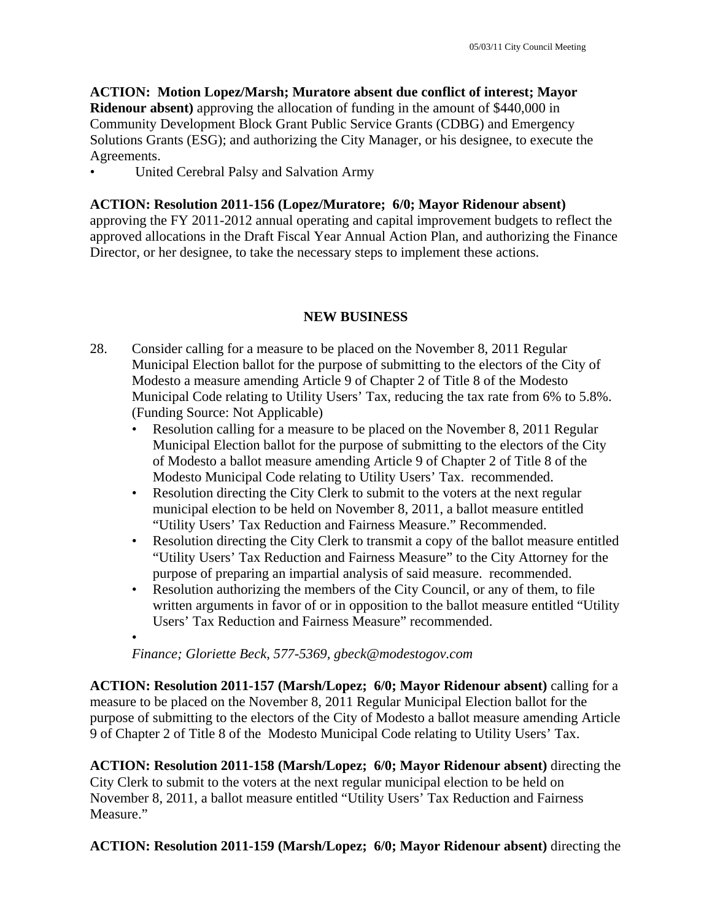**ACTION: Motion Lopez/Marsh; Muratore absent due conflict of interest; Mayor Ridenour absent)** approving the allocation of funding in the amount of \$440,000 in Community Development Block Grant Public Service Grants (CDBG) and Emergency Solutions Grants (ESG); and authorizing the City Manager, or his designee, to execute the Agreements.

• United Cerebral Palsy and Salvation Army

#### **ACTION: Resolution 2011-156 (Lopez/Muratore; 6/0; Mayor Ridenour absent)**

approving the FY 2011-2012 annual operating and capital improvement budgets to reflect the approved allocations in the Draft Fiscal Year Annual Action Plan, and authorizing the Finance Director, or her designee, to take the necessary steps to implement these actions.

## **NEW BUSINESS**

- 28. Consider calling for a measure to be placed on the November 8, 2011 Regular Municipal Election ballot for the purpose of submitting to the electors of the City of Modesto a measure amending Article 9 of Chapter 2 of Title 8 of the Modesto Municipal Code relating to Utility Users' Tax, reducing the tax rate from 6% to 5.8%. (Funding Source: Not Applicable)
	- Resolution calling for a measure to be placed on the November 8, 2011 Regular Municipal Election ballot for the purpose of submitting to the electors of the City of Modesto a ballot measure amending Article 9 of Chapter 2 of Title 8 of the Modesto Municipal Code relating to Utility Users' Tax. recommended.
	- Resolution directing the City Clerk to submit to the voters at the next regular municipal election to be held on November 8, 2011, a ballot measure entitled "Utility Users' Tax Reduction and Fairness Measure." Recommended.
	- Resolution directing the City Clerk to transmit a copy of the ballot measure entitled "Utility Users' Tax Reduction and Fairness Measure" to the City Attorney for the purpose of preparing an impartial analysis of said measure. recommended.
	- Resolution authorizing the members of the City Council, or any of them, to file written arguments in favor of or in opposition to the ballot measure entitled "Utility Users' Tax Reduction and Fairness Measure" recommended.
	- •

*Finance; Gloriette Beck, 577-5369, gbeck@modestogov.com* 

**ACTION: Resolution 2011-157 (Marsh/Lopez; 6/0; Mayor Ridenour absent)** calling for a measure to be placed on the November 8, 2011 Regular Municipal Election ballot for the purpose of submitting to the electors of the City of Modesto a ballot measure amending Article 9 of Chapter 2 of Title 8 of the Modesto Municipal Code relating to Utility Users' Tax.

**ACTION: Resolution 2011-158 (Marsh/Lopez; 6/0; Mayor Ridenour absent)** directing the City Clerk to submit to the voters at the next regular municipal election to be held on November 8, 2011, a ballot measure entitled "Utility Users' Tax Reduction and Fairness Measure."

**ACTION: Resolution 2011-159 (Marsh/Lopez; 6/0; Mayor Ridenour absent)** directing the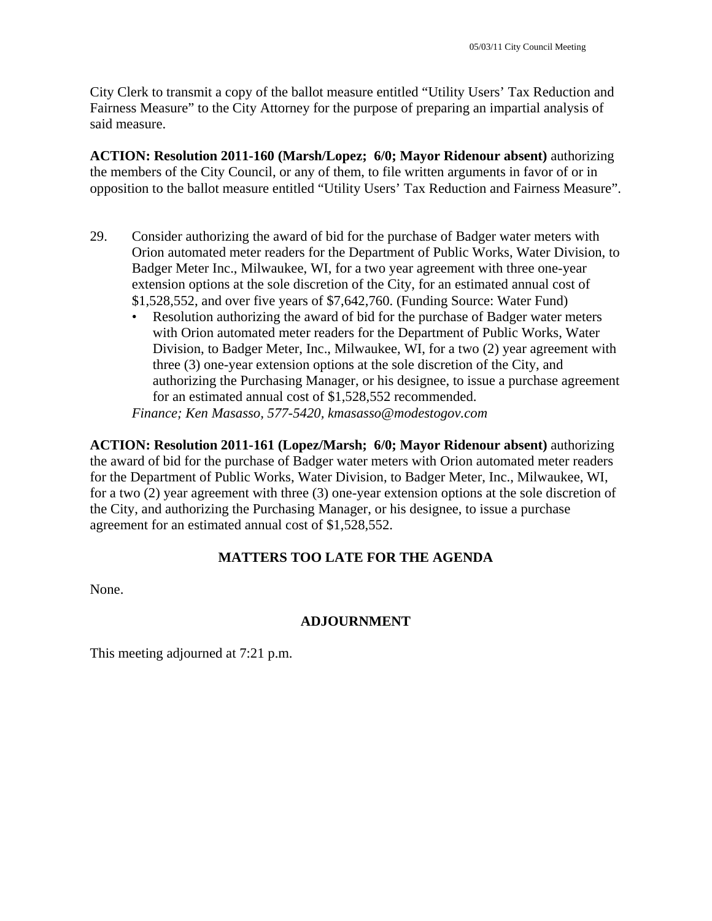City Clerk to transmit a copy of the ballot measure entitled "Utility Users' Tax Reduction and Fairness Measure" to the City Attorney for the purpose of preparing an impartial analysis of said measure.

**ACTION: Resolution 2011-160 (Marsh/Lopez; 6/0; Mayor Ridenour absent)** authorizing the members of the City Council, or any of them, to file written arguments in favor of or in opposition to the ballot measure entitled "Utility Users' Tax Reduction and Fairness Measure".

- 29. Consider authorizing the award of bid for the purchase of Badger water meters with Orion automated meter readers for the Department of Public Works, Water Division, to Badger Meter Inc., Milwaukee, WI, for a two year agreement with three one-year extension options at the sole discretion of the City, for an estimated annual cost of \$1,528,552, and over five years of \$7,642,760. (Funding Source: Water Fund)
	- Resolution authorizing the award of bid for the purchase of Badger water meters with Orion automated meter readers for the Department of Public Works, Water Division, to Badger Meter, Inc., Milwaukee, WI, for a two (2) year agreement with three (3) one-year extension options at the sole discretion of the City, and authorizing the Purchasing Manager, or his designee, to issue a purchase agreement for an estimated annual cost of \$1,528,552 recommended.

*Finance; Ken Masasso, 577-5420, kmasasso@modestogov.com* 

**ACTION: Resolution 2011-161 (Lopez/Marsh; 6/0; Mayor Ridenour absent)** authorizing the award of bid for the purchase of Badger water meters with Orion automated meter readers for the Department of Public Works, Water Division, to Badger Meter, Inc., Milwaukee, WI, for a two (2) year agreement with three (3) one-year extension options at the sole discretion of the City, and authorizing the Purchasing Manager, or his designee, to issue a purchase agreement for an estimated annual cost of \$1,528,552.

## **MATTERS TOO LATE FOR THE AGENDA**

None.

## **ADJOURNMENT**

This meeting adjourned at 7:21 p.m.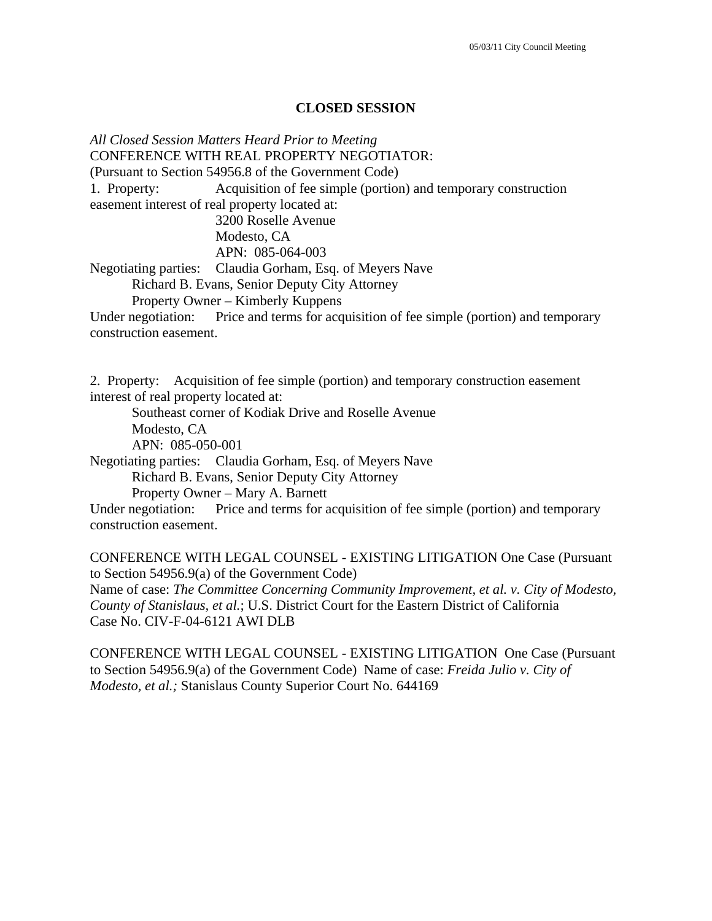#### **CLOSED SESSION**

*All Closed Session Matters Heard Prior to Meeting* CONFERENCE WITH REAL PROPERTY NEGOTIATOR: (Pursuant to Section 54956.8 of the Government Code) 1. Property: Acquisition of fee simple (portion) and temporary construction easement interest of real property located at: 3200 Roselle Avenue Modesto, CA APN: 085-064-003 Negotiating parties: Claudia Gorham, Esq. of Meyers Nave Richard B. Evans, Senior Deputy City Attorney Property Owner – Kimberly Kuppens Under negotiation: Price and terms for acquisition of fee simple (portion) and temporary construction easement.

2. Property: Acquisition of fee simple (portion) and temporary construction easement interest of real property located at:

Southeast corner of Kodiak Drive and Roselle Avenue

Modesto, CA

APN: 085-050-001

Negotiating parties: Claudia Gorham, Esq. of Meyers Nave

Richard B. Evans, Senior Deputy City Attorney

Property Owner – Mary A. Barnett

Under negotiation: Price and terms for acquisition of fee simple (portion) and temporary construction easement.

CONFERENCE WITH LEGAL COUNSEL - EXISTING LITIGATION One Case (Pursuant to Section 54956.9(a) of the Government Code)

Name of case: *The Committee Concerning Community Improvement, et al. v. City of Modesto, County of Stanislaus, et al.*; U.S. District Court for the Eastern District of California Case No. CIV-F-04-6121 AWI DLB

CONFERENCE WITH LEGAL COUNSEL - EXISTING LITIGATION One Case (Pursuant to Section 54956.9(a) of the Government Code) Name of case: *Freida Julio v. City of Modesto, et al.;* Stanislaus County Superior Court No. 644169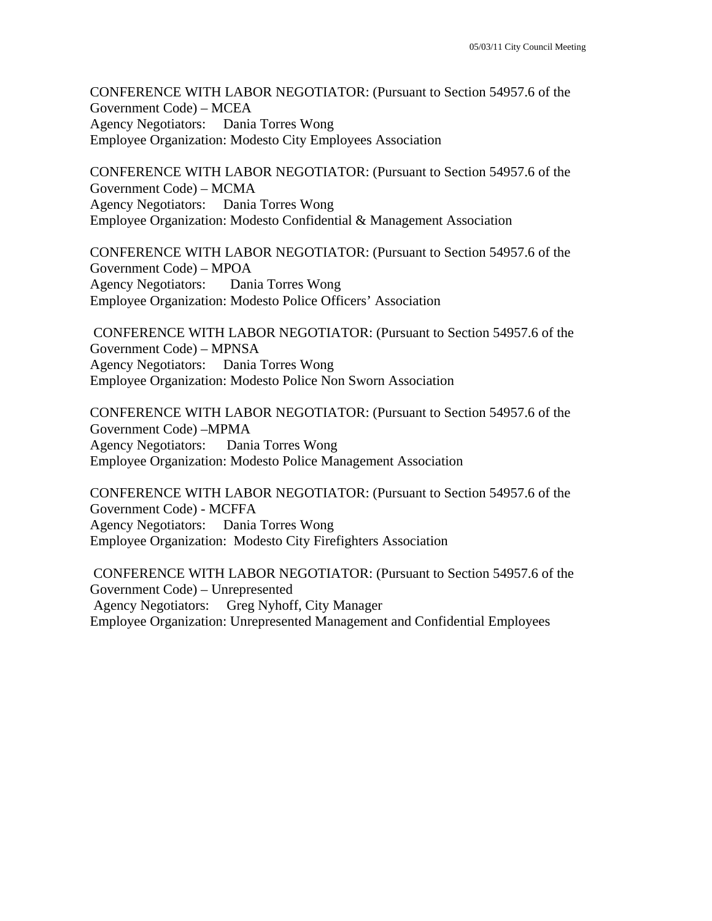CONFERENCE WITH LABOR NEGOTIATOR: (Pursuant to Section 54957.6 of the Government Code) – MCEA Agency Negotiators: Dania Torres Wong Employee Organization: Modesto City Employees Association

CONFERENCE WITH LABOR NEGOTIATOR: (Pursuant to Section 54957.6 of the Government Code) – MCMA Agency Negotiators: Dania Torres Wong Employee Organization: Modesto Confidential & Management Association

CONFERENCE WITH LABOR NEGOTIATOR: (Pursuant to Section 54957.6 of the Government Code) – MPOA Agency Negotiators: Dania Torres Wong Employee Organization: Modesto Police Officers' Association

 CONFERENCE WITH LABOR NEGOTIATOR: (Pursuant to Section 54957.6 of the Government Code) – MPNSA Agency Negotiators: Dania Torres Wong Employee Organization: Modesto Police Non Sworn Association

CONFERENCE WITH LABOR NEGOTIATOR: (Pursuant to Section 54957.6 of the Government Code) –MPMA Agency Negotiators: Dania Torres Wong Employee Organization: Modesto Police Management Association

CONFERENCE WITH LABOR NEGOTIATOR: (Pursuant to Section 54957.6 of the Government Code) - MCFFA Agency Negotiators: Dania Torres Wong Employee Organization: Modesto City Firefighters Association

 CONFERENCE WITH LABOR NEGOTIATOR: (Pursuant to Section 54957.6 of the Government Code) – Unrepresented Agency Negotiators: Greg Nyhoff, City Manager Employee Organization: Unrepresented Management and Confidential Employees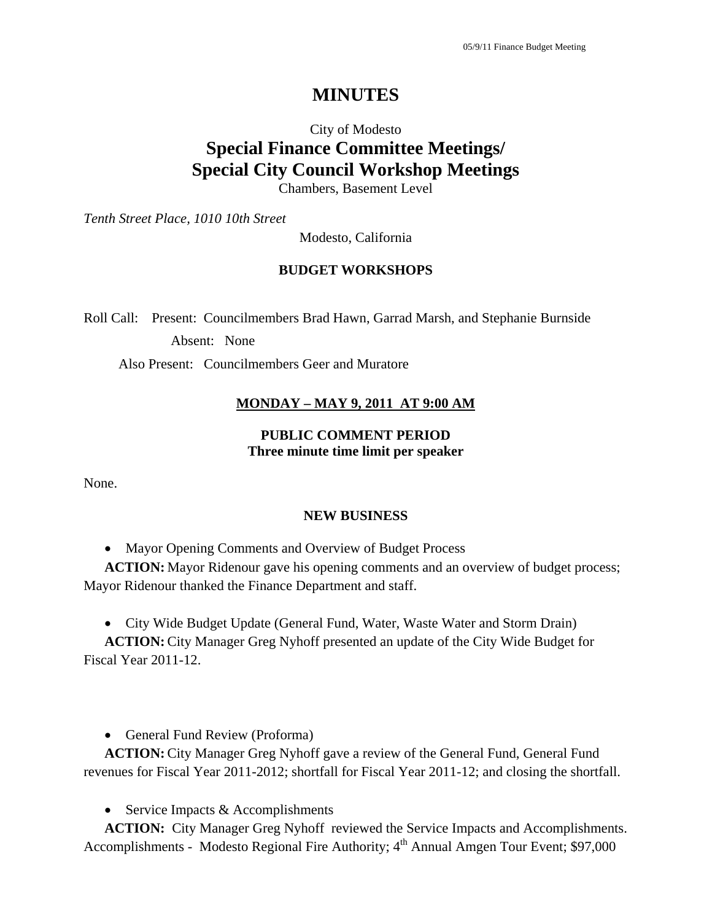# **MINUTES**

# City of Modesto **Special Finance Committee Meetings/ Special City Council Workshop Meetings**

Chambers, Basement Level

*Tenth Street Place, 1010 10th Street* 

Modesto, California

#### **BUDGET WORKSHOPS**

Roll Call: Present: Councilmembers Brad Hawn, Garrad Marsh, and Stephanie Burnside

Absent: None

Also Present: Councilmembers Geer and Muratore

#### **MONDAY – MAY 9, 2011 AT 9:00 AM**

#### **PUBLIC COMMENT PERIOD Three minute time limit per speaker**

None.

#### **NEW BUSINESS**

• Mayor Opening Comments and Overview of Budget Process

**ACTION:** Mayor Ridenour gave his opening comments and an overview of budget process; Mayor Ridenour thanked the Finance Department and staff.

• City Wide Budget Update (General Fund, Water, Waste Water and Storm Drain)

**ACTION:** City Manager Greg Nyhoff presented an update of the City Wide Budget for Fiscal Year 2011-12.

• General Fund Review (Proforma)

**ACTION:** City Manager Greg Nyhoff gave a review of the General Fund, General Fund revenues for Fiscal Year 2011-2012; shortfall for Fiscal Year 2011-12; and closing the shortfall.

• Service Impacts  $&$  Accomplishments

**ACTION:** City Manager Greg Nyhoff reviewed the Service Impacts and Accomplishments. Accomplishments - Modesto Regional Fire Authority; 4<sup>th</sup> Annual Amgen Tour Event; \$97,000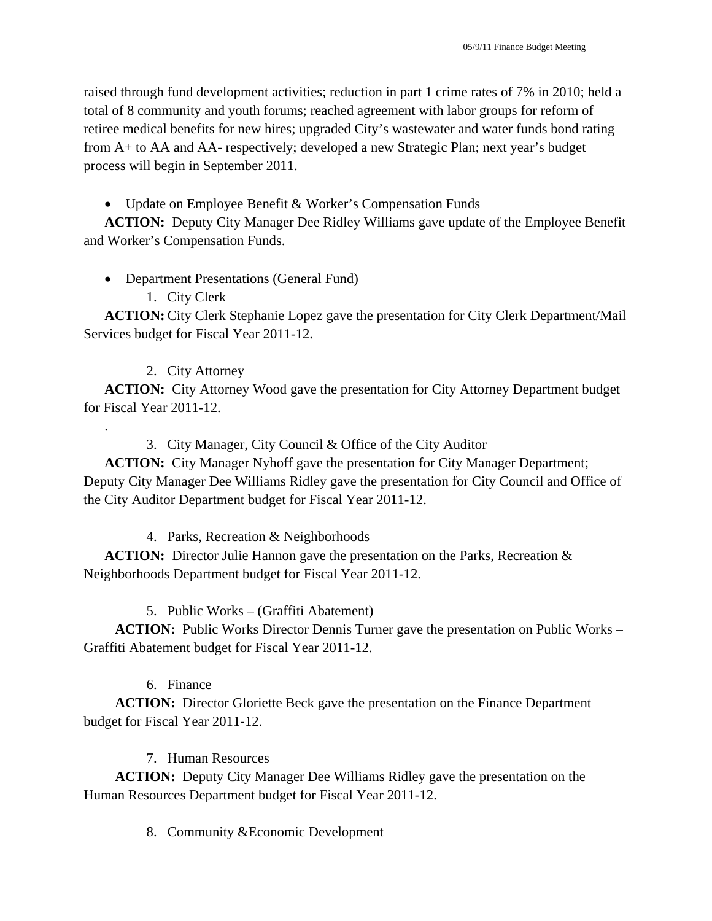raised through fund development activities; reduction in part 1 crime rates of 7% in 2010; held a total of 8 community and youth forums; reached agreement with labor groups for reform of retiree medical benefits for new hires; upgraded City's wastewater and water funds bond rating from A+ to AA and AA- respectively; developed a new Strategic Plan; next year's budget process will begin in September 2011.

## • Update on Employee Benefit & Worker's Compensation Funds

**ACTION:** Deputy City Manager Dee Ridley Williams gave update of the Employee Benefit and Worker's Compensation Funds.

## • Department Presentations (General Fund)

## 1. City Clerk

**ACTION:** City Clerk Stephanie Lopez gave the presentation for City Clerk Department/Mail Services budget for Fiscal Year 2011-12.

## 2. City Attorney

.

**ACTION:** City Attorney Wood gave the presentation for City Attorney Department budget for Fiscal Year 2011-12.

# 3. City Manager, City Council & Office of the City Auditor

**ACTION:** City Manager Nyhoff gave the presentation for City Manager Department; Deputy City Manager Dee Williams Ridley gave the presentation for City Council and Office of the City Auditor Department budget for Fiscal Year 2011-12.

4. Parks, Recreation & Neighborhoods

**ACTION:** Director Julie Hannon gave the presentation on the Parks, Recreation & Neighborhoods Department budget for Fiscal Year 2011-12.

5. Public Works – (Graffiti Abatement)

**ACTION:** Public Works Director Dennis Turner gave the presentation on Public Works – Graffiti Abatement budget for Fiscal Year 2011-12.

# 6. Finance

**ACTION:** Director Gloriette Beck gave the presentation on the Finance Department budget for Fiscal Year 2011-12.

# 7. Human Resources

**ACTION:** Deputy City Manager Dee Williams Ridley gave the presentation on the Human Resources Department budget for Fiscal Year 2011-12.

8. Community &Economic Development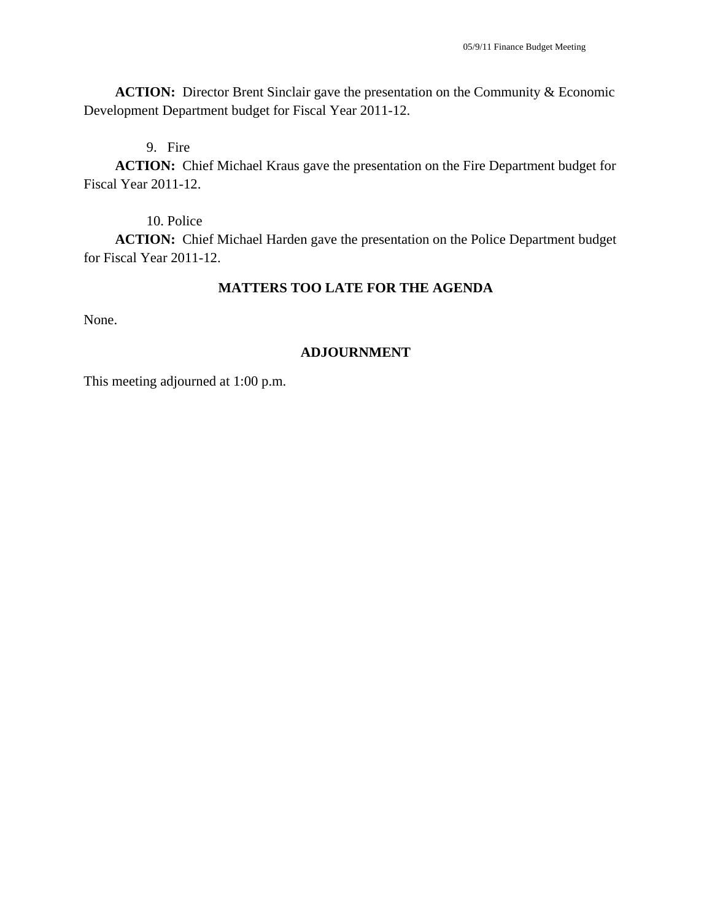**ACTION:** Director Brent Sinclair gave the presentation on the Community & Economic Development Department budget for Fiscal Year 2011-12.

9. Fire

**ACTION:** Chief Michael Kraus gave the presentation on the Fire Department budget for Fiscal Year 2011-12.

10. Police

**ACTION:** Chief Michael Harden gave the presentation on the Police Department budget for Fiscal Year 2011-12.

#### **MATTERS TOO LATE FOR THE AGENDA**

None.

#### **ADJOURNMENT**

This meeting adjourned at 1:00 p.m.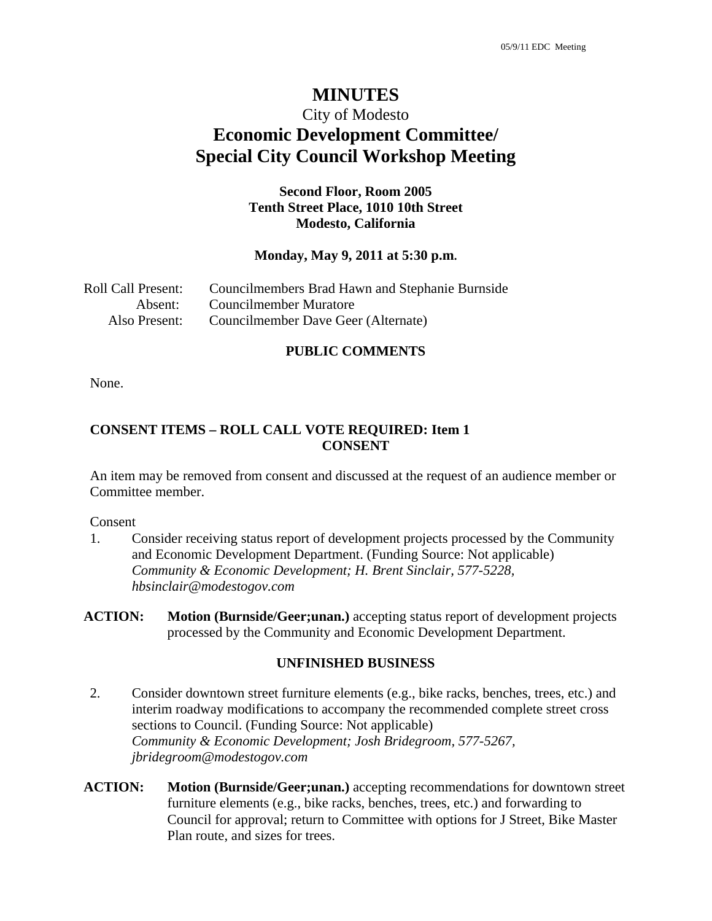# **MINUTES**

# City of Modesto **Economic Development Committee/ Special City Council Workshop Meeting**

#### **Second Floor, Room 2005 Tenth Street Place, 1010 10th Street Modesto, California**

#### **Monday, May 9, 2011 at 5:30 p.m.**

| Roll Call Present: | Councilmembers Brad Hawn and Stephanie Burnside |
|--------------------|-------------------------------------------------|
| Absent:            | Councilmember Muratore                          |
| Also Present:      | Councilmember Dave Geer (Alternate)             |

#### **PUBLIC COMMENTS**

None.

#### **CONSENT ITEMS – ROLL CALL VOTE REQUIRED: Item 1 CONSENT**

An item may be removed from consent and discussed at the request of an audience member or Committee member.

#### Consent

1. Consider receiving status report of development projects processed by the Community and Economic Development Department. (Funding Source: Not applicable)  *Community & Economic Development; H. Brent Sinclair, 577-5228, hbsinclair@modestogov.com* 

#### **UNFINISHED BUSINESS**

- 2. Consider downtown street furniture elements (e.g., bike racks, benches, trees, etc.) and interim roadway modifications to accompany the recommended complete street cross sections to Council. (Funding Source: Not applicable)  *Community & Economic Development; Josh Bridegroom, 577-5267, jbridegroom@modestogov.com*
- **ACTION: Motion (Burnside/Geer;unan.)** accepting recommendations for downtown street furniture elements (e.g., bike racks, benches, trees, etc.) and forwarding to Council for approval; return to Committee with options for J Street, Bike Master Plan route, and sizes for trees.

**ACTION:** Motion (Burnside/Geer; unan.) accepting status report of development projects processed by the Community and Economic Development Department.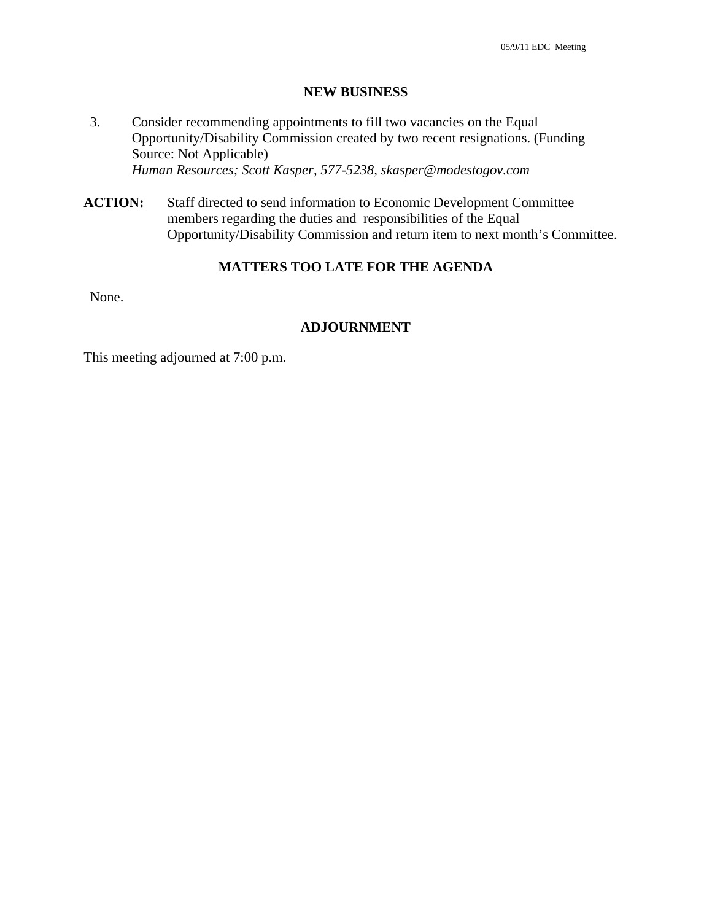#### **NEW BUSINESS**

- 3. Consider recommending appointments to fill two vacancies on the Equal Opportunity/Disability Commission created by two recent resignations. (Funding Source: Not Applicable)  *Human Resources; Scott Kasper, 577-5238, skasper@modestogov.com*
- **ACTION:** Staff directed to send information to Economic Development Committee members regarding the duties and responsibilities of the Equal Opportunity/Disability Commission and return item to next month's Committee.

#### **MATTERS TOO LATE FOR THE AGENDA**

None.

#### **ADJOURNMENT**

This meeting adjourned at 7:00 p.m.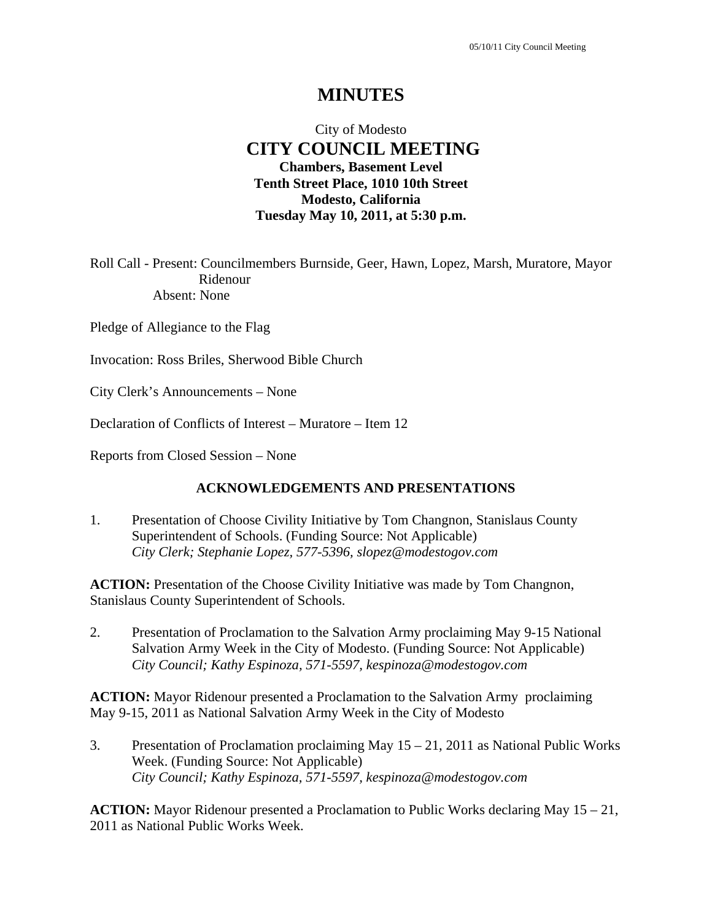# **MINUTES**

# City of Modesto  **CITY COUNCIL MEETING Chambers, Basement Level Tenth Street Place, 1010 10th Street Modesto, California Tuesday May 10, 2011, at 5:30 p.m.**

Roll Call - Present: Councilmembers Burnside, Geer, Hawn, Lopez, Marsh, Muratore, Mayor Ridenour Absent: None

Pledge of Allegiance to the Flag

Invocation: Ross Briles, Sherwood Bible Church

City Clerk's Announcements – None

Declaration of Conflicts of Interest – Muratore – Item 12

Reports from Closed Session – None

#### **ACKNOWLEDGEMENTS AND PRESENTATIONS**

1. Presentation of Choose Civility Initiative by Tom Changnon, Stanislaus County Superintendent of Schools. (Funding Source: Not Applicable)  *City Clerk; Stephanie Lopez, 577-5396, slopez@modestogov.com* 

**ACTION:** Presentation of the Choose Civility Initiative was made by Tom Changnon, Stanislaus County Superintendent of Schools.

2. Presentation of Proclamation to the Salvation Army proclaiming May 9-15 National Salvation Army Week in the City of Modesto. (Funding Source: Not Applicable)  *City Council; Kathy Espinoza, 571-5597, kespinoza@modestogov.com* 

**ACTION:** Mayor Ridenour presented a Proclamation to the Salvation Army proclaiming May 9-15, 2011 as National Salvation Army Week in the City of Modesto

3. Presentation of Proclamation proclaiming May 15 – 21, 2011 as National Public Works Week. (Funding Source: Not Applicable)  *City Council; Kathy Espinoza, 571-5597, kespinoza@modestogov.com* 

**ACTION:** Mayor Ridenour presented a Proclamation to Public Works declaring May 15 – 21, 2011 as National Public Works Week.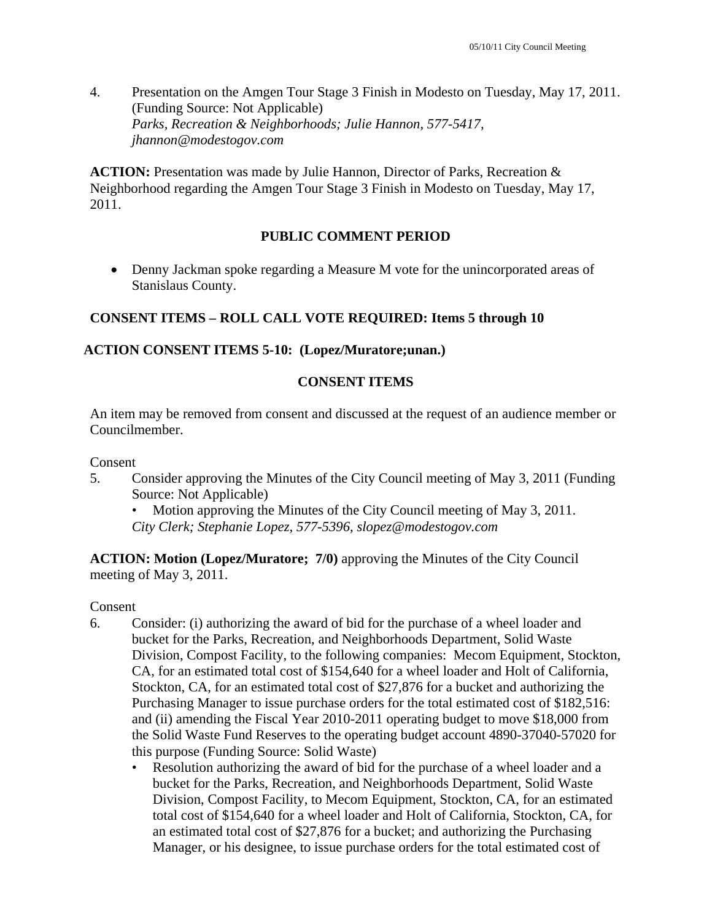4. Presentation on the Amgen Tour Stage 3 Finish in Modesto on Tuesday, May 17, 2011. (Funding Source: Not Applicable)  *Parks, Recreation & Neighborhoods; Julie Hannon, 577-5417, jhannon@modestogov.com* 

**ACTION:** Presentation was made by Julie Hannon, Director of Parks, Recreation & Neighborhood regarding the Amgen Tour Stage 3 Finish in Modesto on Tuesday, May 17, 2011.

## **PUBLIC COMMENT PERIOD**

 Denny Jackman spoke regarding a Measure M vote for the unincorporated areas of Stanislaus County.

## **CONSENT ITEMS – ROLL CALL VOTE REQUIRED: Items 5 through 10**

#### **ACTION CONSENT ITEMS 5-10: (Lopez/Muratore;unan.)**

#### **CONSENT ITEMS**

An item may be removed from consent and discussed at the request of an audience member or Councilmember.

#### Consent

5. Consider approving the Minutes of the City Council meeting of May 3, 2011 (Funding Source: Not Applicable)

• Motion approving the Minutes of the City Council meeting of May 3, 2011. *City Clerk; Stephanie Lopez, 577-5396, slopez@modestogov.com* 

**ACTION: Motion (Lopez/Muratore; 7/0)** approving the Minutes of the City Council meeting of May 3, 2011.

#### Consent

- 6. Consider: (i) authorizing the award of bid for the purchase of a wheel loader and bucket for the Parks, Recreation, and Neighborhoods Department, Solid Waste Division, Compost Facility, to the following companies: Mecom Equipment, Stockton, CA, for an estimated total cost of \$154,640 for a wheel loader and Holt of California, Stockton, CA, for an estimated total cost of \$27,876 for a bucket and authorizing the Purchasing Manager to issue purchase orders for the total estimated cost of \$182,516: and (ii) amending the Fiscal Year 2010-2011 operating budget to move \$18,000 from the Solid Waste Fund Reserves to the operating budget account 4890-37040-57020 for this purpose (Funding Source: Solid Waste)
	- Resolution authorizing the award of bid for the purchase of a wheel loader and a bucket for the Parks, Recreation, and Neighborhoods Department, Solid Waste Division, Compost Facility, to Mecom Equipment, Stockton, CA, for an estimated total cost of \$154,640 for a wheel loader and Holt of California, Stockton, CA, for an estimated total cost of \$27,876 for a bucket; and authorizing the Purchasing Manager, or his designee, to issue purchase orders for the total estimated cost of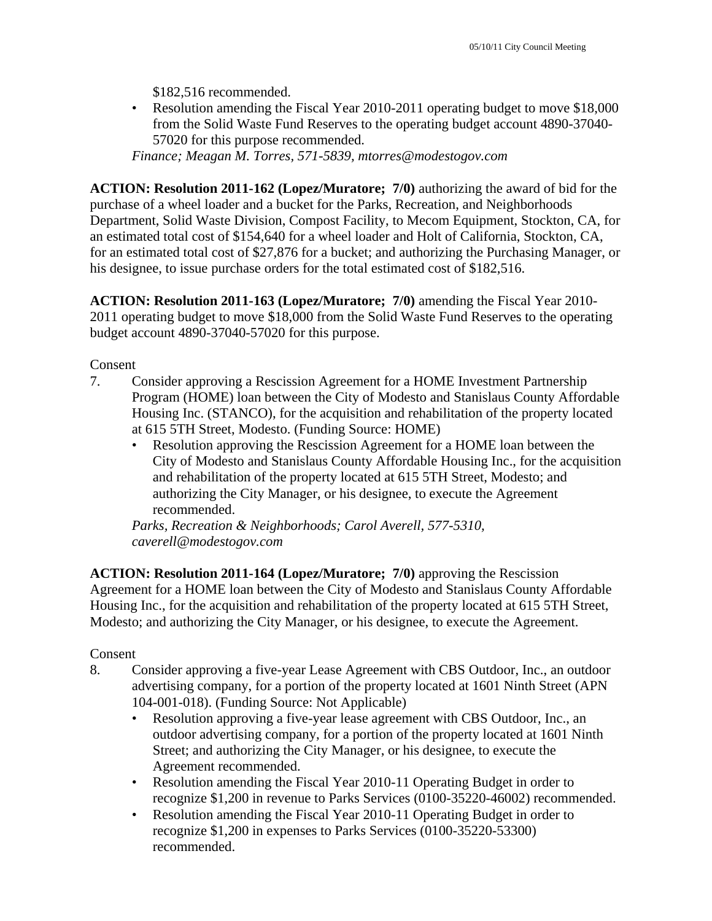\$182,516 recommended.

• Resolution amending the Fiscal Year 2010-2011 operating budget to move \$18,000 from the Solid Waste Fund Reserves to the operating budget account 4890-37040- 57020 for this purpose recommended.

*Finance; Meagan M. Torres, 571-5839, mtorres@modestogov.com* 

**ACTION: Resolution 2011-162 (Lopez/Muratore; 7/0)** authorizing the award of bid for the purchase of a wheel loader and a bucket for the Parks, Recreation, and Neighborhoods Department, Solid Waste Division, Compost Facility, to Mecom Equipment, Stockton, CA, for an estimated total cost of \$154,640 for a wheel loader and Holt of California, Stockton, CA, for an estimated total cost of \$27,876 for a bucket; and authorizing the Purchasing Manager, or his designee, to issue purchase orders for the total estimated cost of \$182,516.

**ACTION: Resolution 2011-163 (Lopez/Muratore; 7/0)** amending the Fiscal Year 2010- 2011 operating budget to move \$18,000 from the Solid Waste Fund Reserves to the operating budget account 4890-37040-57020 for this purpose.

Consent

- 7. Consider approving a Rescission Agreement for a HOME Investment Partnership Program (HOME) loan between the City of Modesto and Stanislaus County Affordable Housing Inc. (STANCO), for the acquisition and rehabilitation of the property located at 615 5TH Street, Modesto. (Funding Source: HOME)
	- Resolution approving the Rescission Agreement for a HOME loan between the City of Modesto and Stanislaus County Affordable Housing Inc., for the acquisition and rehabilitation of the property located at 615 5TH Street, Modesto; and authorizing the City Manager, or his designee, to execute the Agreement recommended.

*Parks, Recreation & Neighborhoods; Carol Averell, 577-5310, caverell@modestogov.com* 

**ACTION: Resolution 2011-164 (Lopez/Muratore; 7/0)** approving the Rescission Agreement for a HOME loan between the City of Modesto and Stanislaus County Affordable Housing Inc., for the acquisition and rehabilitation of the property located at 615 5TH Street, Modesto; and authorizing the City Manager, or his designee, to execute the Agreement.

## Consent

- 8. Consider approving a five-year Lease Agreement with CBS Outdoor, Inc., an outdoor advertising company, for a portion of the property located at 1601 Ninth Street (APN 104-001-018). (Funding Source: Not Applicable)
	- Resolution approving a five-year lease agreement with CBS Outdoor, Inc., an outdoor advertising company, for a portion of the property located at 1601 Ninth Street; and authorizing the City Manager, or his designee, to execute the Agreement recommended.
	- Resolution amending the Fiscal Year 2010-11 Operating Budget in order to recognize \$1,200 in revenue to Parks Services (0100-35220-46002) recommended.
	- Resolution amending the Fiscal Year 2010-11 Operating Budget in order to recognize \$1,200 in expenses to Parks Services (0100-35220-53300) recommended.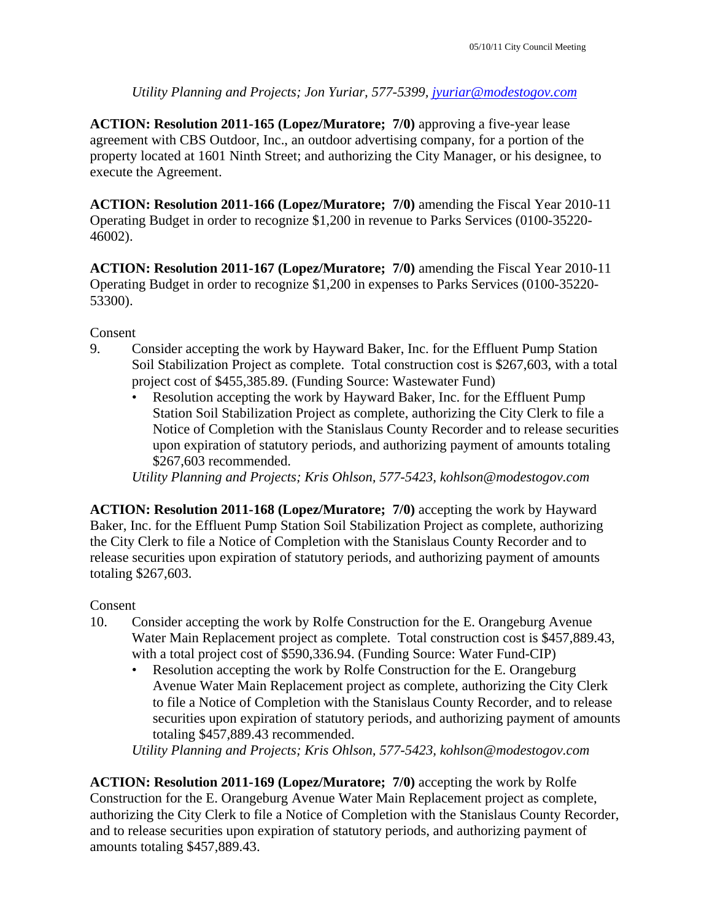*Utility Planning and Projects; Jon Yuriar, 577-5399, jyuriar@modestogov.com* 

**ACTION: Resolution 2011-165 (Lopez/Muratore; 7/0)** approving a five-year lease agreement with CBS Outdoor, Inc., an outdoor advertising company, for a portion of the property located at 1601 Ninth Street; and authorizing the City Manager, or his designee, to execute the Agreement.

**ACTION: Resolution 2011-166 (Lopez/Muratore; 7/0)** amending the Fiscal Year 2010-11 Operating Budget in order to recognize \$1,200 in revenue to Parks Services (0100-35220- 46002).

**ACTION: Resolution 2011-167 (Lopez/Muratore; 7/0)** amending the Fiscal Year 2010-11 Operating Budget in order to recognize \$1,200 in expenses to Parks Services (0100-35220- 53300).

Consent

- 9. Consider accepting the work by Hayward Baker, Inc. for the Effluent Pump Station Soil Stabilization Project as complete. Total construction cost is \$267,603, with a total project cost of \$455,385.89. (Funding Source: Wastewater Fund)
	- Resolution accepting the work by Hayward Baker, Inc. for the Effluent Pump Station Soil Stabilization Project as complete, authorizing the City Clerk to file a Notice of Completion with the Stanislaus County Recorder and to release securities upon expiration of statutory periods, and authorizing payment of amounts totaling \$267,603 recommended.

*Utility Planning and Projects; Kris Ohlson, 577-5423, kohlson@modestogov.com* 

**ACTION: Resolution 2011-168 (Lopez/Muratore; 7/0)** accepting the work by Hayward Baker, Inc. for the Effluent Pump Station Soil Stabilization Project as complete, authorizing the City Clerk to file a Notice of Completion with the Stanislaus County Recorder and to release securities upon expiration of statutory periods, and authorizing payment of amounts totaling \$267,603.

## Consent

- 10. Consider accepting the work by Rolfe Construction for the E. Orangeburg Avenue Water Main Replacement project as complete. Total construction cost is \$457,889.43, with a total project cost of \$590,336.94. (Funding Source: Water Fund-CIP)
	- Resolution accepting the work by Rolfe Construction for the E. Orangeburg Avenue Water Main Replacement project as complete, authorizing the City Clerk to file a Notice of Completion with the Stanislaus County Recorder, and to release securities upon expiration of statutory periods, and authorizing payment of amounts totaling \$457,889.43 recommended.

*Utility Planning and Projects; Kris Ohlson, 577-5423, kohlson@modestogov.com* 

**ACTION: Resolution 2011-169 (Lopez/Muratore; 7/0)** accepting the work by Rolfe Construction for the E. Orangeburg Avenue Water Main Replacement project as complete, authorizing the City Clerk to file a Notice of Completion with the Stanislaus County Recorder, and to release securities upon expiration of statutory periods, and authorizing payment of amounts totaling \$457,889.43.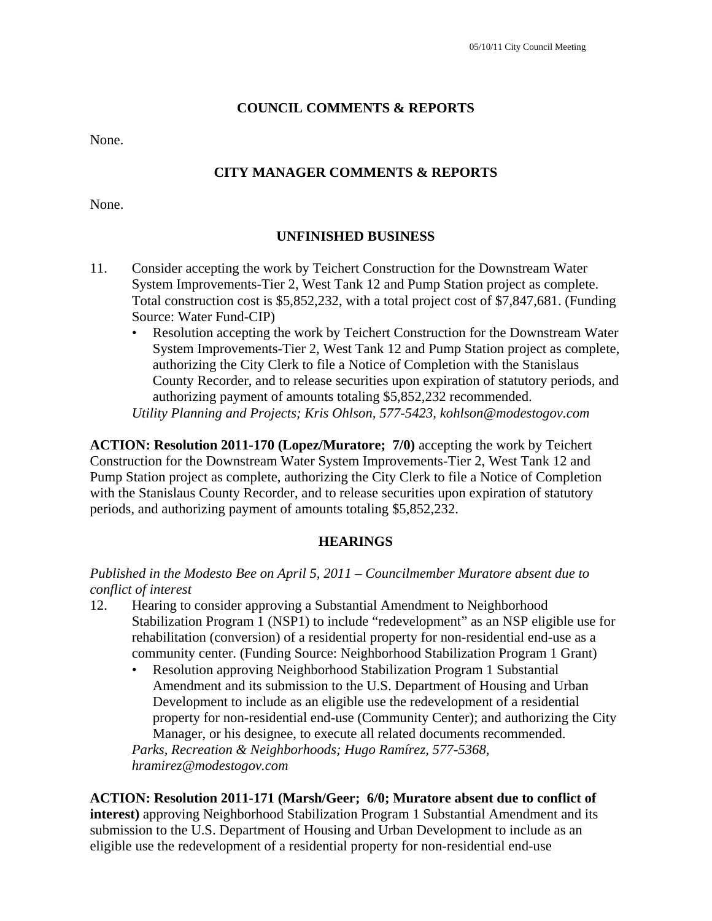#### **COUNCIL COMMENTS & REPORTS**

None.

## **CITY MANAGER COMMENTS & REPORTS**

None.

#### **UNFINISHED BUSINESS**

- 11. Consider accepting the work by Teichert Construction for the Downstream Water System Improvements-Tier 2, West Tank 12 and Pump Station project as complete. Total construction cost is \$5,852,232, with a total project cost of \$7,847,681. (Funding Source: Water Fund-CIP)
	- Resolution accepting the work by Teichert Construction for the Downstream Water System Improvements-Tier 2, West Tank 12 and Pump Station project as complete, authorizing the City Clerk to file a Notice of Completion with the Stanislaus County Recorder, and to release securities upon expiration of statutory periods, and authorizing payment of amounts totaling \$5,852,232 recommended. *Utility Planning and Projects; Kris Ohlson, 577-5423, kohlson@modestogov.com*

**ACTION: Resolution 2011-170 (Lopez/Muratore; 7/0)** accepting the work by Teichert Construction for the Downstream Water System Improvements-Tier 2, West Tank 12 and Pump Station project as complete, authorizing the City Clerk to file a Notice of Completion with the Stanislaus County Recorder, and to release securities upon expiration of statutory periods, and authorizing payment of amounts totaling \$5,852,232.

#### **HEARINGS**

#### *Published in the Modesto Bee on April 5, 2011 – Councilmember Muratore absent due to conflict of interest*

- 12. Hearing to consider approving a Substantial Amendment to Neighborhood Stabilization Program 1 (NSP1) to include "redevelopment" as an NSP eligible use for rehabilitation (conversion) of a residential property for non-residential end-use as a community center. (Funding Source: Neighborhood Stabilization Program 1 Grant)
	- Resolution approving Neighborhood Stabilization Program 1 Substantial Amendment and its submission to the U.S. Department of Housing and Urban Development to include as an eligible use the redevelopment of a residential property for non-residential end-use (Community Center); and authorizing the City Manager, or his designee, to execute all related documents recommended.

*Parks, Recreation & Neighborhoods; Hugo Ramírez, 577-5368, hramirez@modestogov.com* 

**ACTION: Resolution 2011-171 (Marsh/Geer; 6/0; Muratore absent due to conflict of interest)** approving Neighborhood Stabilization Program 1 Substantial Amendment and its submission to the U.S. Department of Housing and Urban Development to include as an eligible use the redevelopment of a residential property for non-residential end-use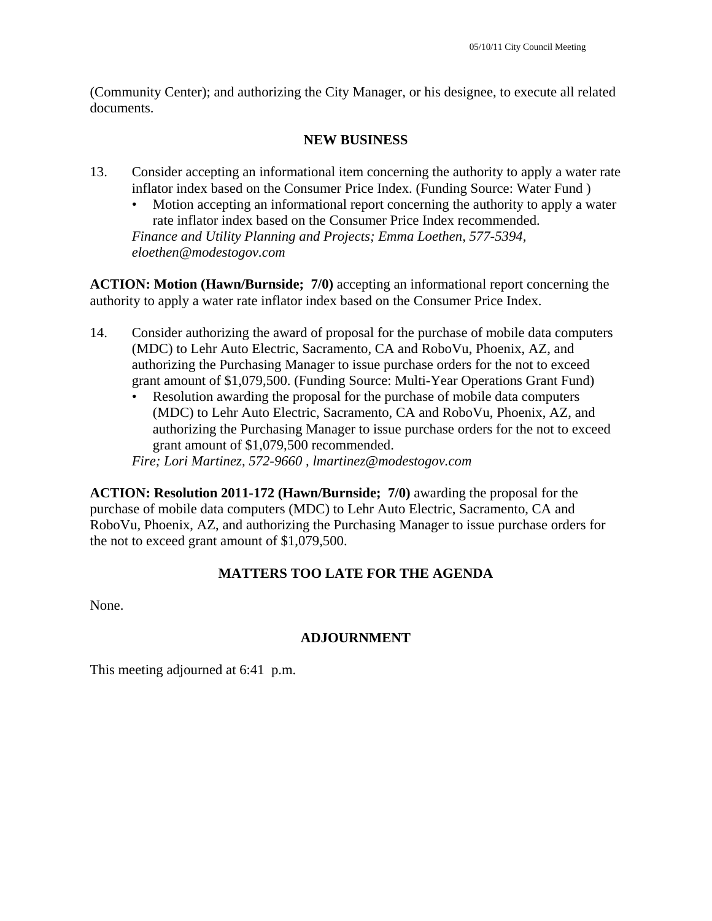(Community Center); and authorizing the City Manager, or his designee, to execute all related documents.

## **NEW BUSINESS**

- 13. Consider accepting an informational item concerning the authority to apply a water rate inflator index based on the Consumer Price Index. (Funding Source: Water Fund )
	- Motion accepting an informational report concerning the authority to apply a water rate inflator index based on the Consumer Price Index recommended. *Finance and Utility Planning and Projects; Emma Loethen, 577-5394, eloethen@modestogov.com*

**ACTION: Motion (Hawn/Burnside; 7/0)** accepting an informational report concerning the authority to apply a water rate inflator index based on the Consumer Price Index.

- 14. Consider authorizing the award of proposal for the purchase of mobile data computers (MDC) to Lehr Auto Electric, Sacramento, CA and RoboVu, Phoenix, AZ, and authorizing the Purchasing Manager to issue purchase orders for the not to exceed grant amount of \$1,079,500. (Funding Source: Multi-Year Operations Grant Fund)
	- Resolution awarding the proposal for the purchase of mobile data computers (MDC) to Lehr Auto Electric, Sacramento, CA and RoboVu, Phoenix, AZ, and authorizing the Purchasing Manager to issue purchase orders for the not to exceed grant amount of \$1,079,500 recommended.

*Fire; Lori Martinez, 572-9660 , lmartinez@modestogov.com* 

**ACTION: Resolution 2011-172 (Hawn/Burnside; 7/0)** awarding the proposal for the purchase of mobile data computers (MDC) to Lehr Auto Electric, Sacramento, CA and RoboVu, Phoenix, AZ, and authorizing the Purchasing Manager to issue purchase orders for the not to exceed grant amount of \$1,079,500.

# **MATTERS TOO LATE FOR THE AGENDA**

None.

## **ADJOURNMENT**

This meeting adjourned at 6:41 p.m.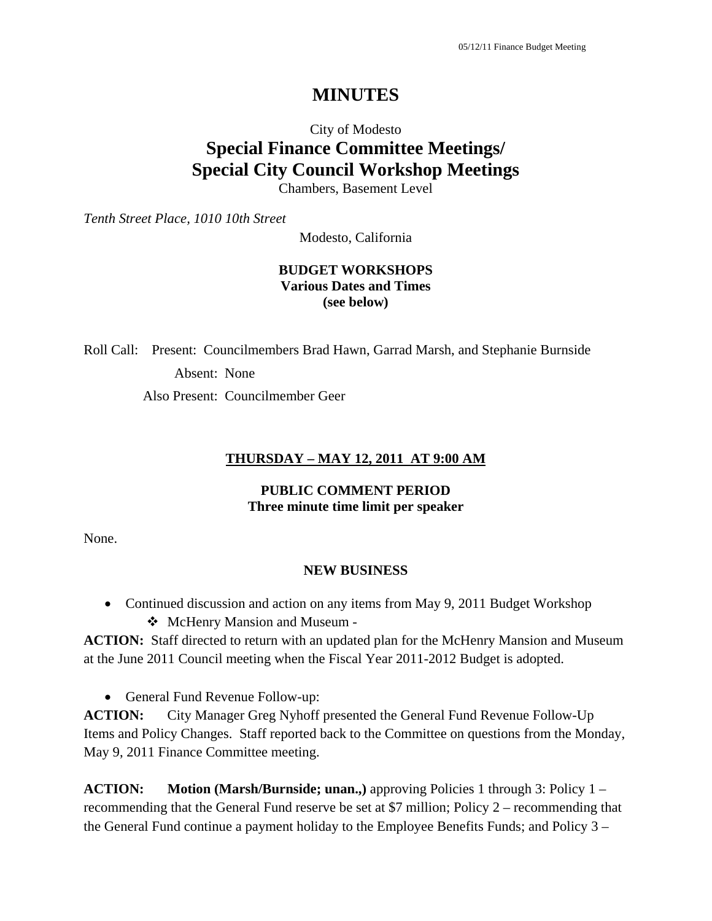# **MINUTES**

# City of Modesto **Special Finance Committee Meetings/ Special City Council Workshop Meetings**

Chambers, Basement Level

*Tenth Street Place, 1010 10th Street* 

Modesto, California

#### **BUDGET WORKSHOPS Various Dates and Times (see below)**

Roll Call: Present: Councilmembers Brad Hawn, Garrad Marsh, and Stephanie Burnside Absent: None

Also Present: Councilmember Geer

#### **THURSDAY – MAY 12, 2011 AT 9:00 AM**

#### **PUBLIC COMMENT PERIOD Three minute time limit per speaker**

None.

#### **NEW BUSINESS**

- Continued discussion and action on any items from May 9, 2011 Budget Workshop
	- ❖ McHenry Mansion and Museum -

**ACTION:** Staff directed to return with an updated plan for the McHenry Mansion and Museum at the June 2011 Council meeting when the Fiscal Year 2011-2012 Budget is adopted.

• General Fund Revenue Follow-up:

**ACTION:** City Manager Greg Nyhoff presented the General Fund Revenue Follow-Up Items and Policy Changes. Staff reported back to the Committee on questions from the Monday, May 9, 2011 Finance Committee meeting.

**ACTION: Motion (Marsh/Burnside; unan.,)** approving Policies 1 through 3: Policy 1 – recommending that the General Fund reserve be set at \$7 million; Policy 2 – recommending that the General Fund continue a payment holiday to the Employee Benefits Funds; and Policy 3 –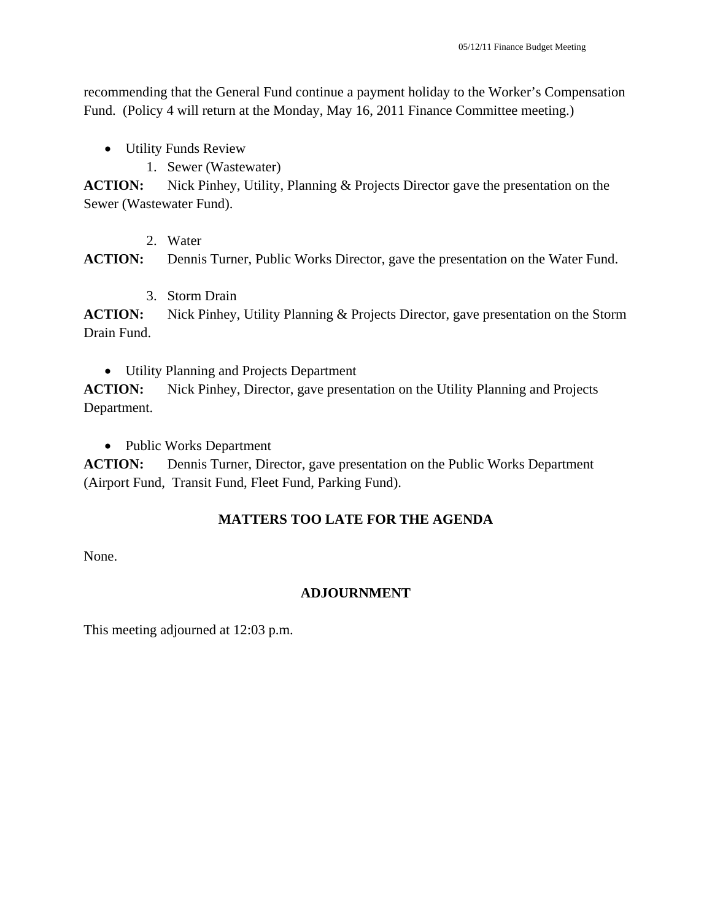recommending that the General Fund continue a payment holiday to the Worker's Compensation Fund. (Policy 4 will return at the Monday, May 16, 2011 Finance Committee meeting.)

- Utility Funds Review
	- 1. Sewer (Wastewater)

**ACTION:** Nick Pinhey, Utility, Planning & Projects Director gave the presentation on the Sewer (Wastewater Fund).

2. Water

**ACTION:** Dennis Turner, Public Works Director, gave the presentation on the Water Fund.

3. Storm Drain

**ACTION:** Nick Pinhey, Utility Planning & Projects Director, gave presentation on the Storm Drain Fund.

Utility Planning and Projects Department

**ACTION:** Nick Pinhey, Director, gave presentation on the Utility Planning and Projects Department.

• Public Works Department

**ACTION:** Dennis Turner, Director, gave presentation on the Public Works Department (Airport Fund, Transit Fund, Fleet Fund, Parking Fund).

# **MATTERS TOO LATE FOR THE AGENDA**

None.

# **ADJOURNMENT**

This meeting adjourned at 12:03 p.m.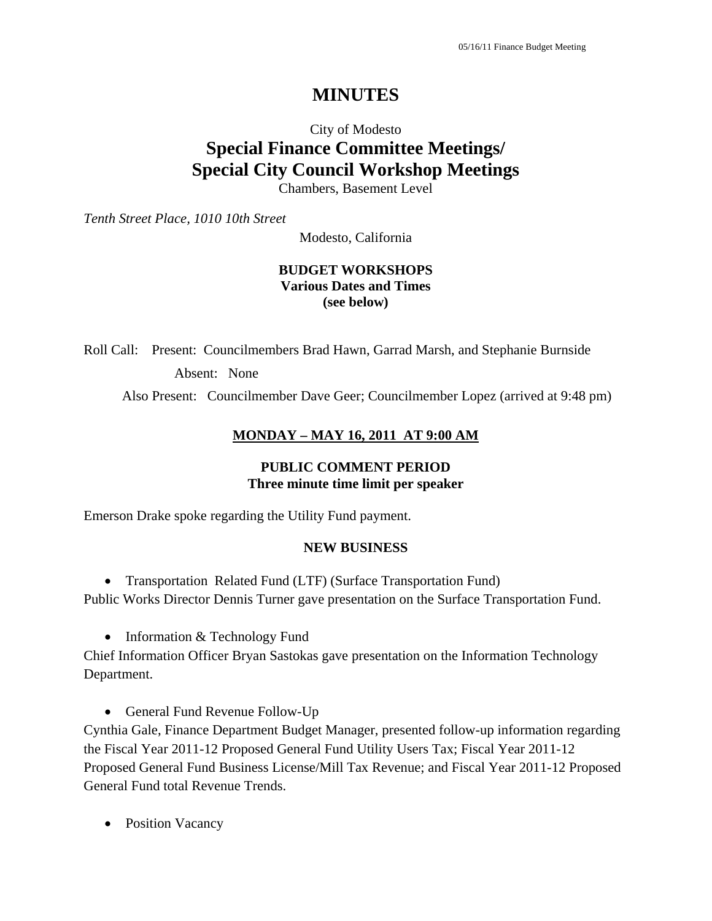# **MINUTES**

# City of Modesto **Special Finance Committee Meetings/ Special City Council Workshop Meetings**

Chambers, Basement Level

*Tenth Street Place, 1010 10th Street* 

Modesto, California

#### **BUDGET WORKSHOPS Various Dates and Times (see below)**

Roll Call: Present: Councilmembers Brad Hawn, Garrad Marsh, and Stephanie Burnside Absent: None

Also Present: Councilmember Dave Geer; Councilmember Lopez (arrived at 9:48 pm)

#### **MONDAY – MAY 16, 2011 AT 9:00 AM**

#### **PUBLIC COMMENT PERIOD Three minute time limit per speaker**

Emerson Drake spoke regarding the Utility Fund payment.

#### **NEW BUSINESS**

• Transportation Related Fund (LTF) (Surface Transportation Fund) Public Works Director Dennis Turner gave presentation on the Surface Transportation Fund.

• Information & Technology Fund

Chief Information Officer Bryan Sastokas gave presentation on the Information Technology Department.

• General Fund Revenue Follow-Up

Cynthia Gale, Finance Department Budget Manager, presented follow-up information regarding the Fiscal Year 2011-12 Proposed General Fund Utility Users Tax; Fiscal Year 2011-12 Proposed General Fund Business License/Mill Tax Revenue; and Fiscal Year 2011-12 Proposed General Fund total Revenue Trends.

• Position Vacancy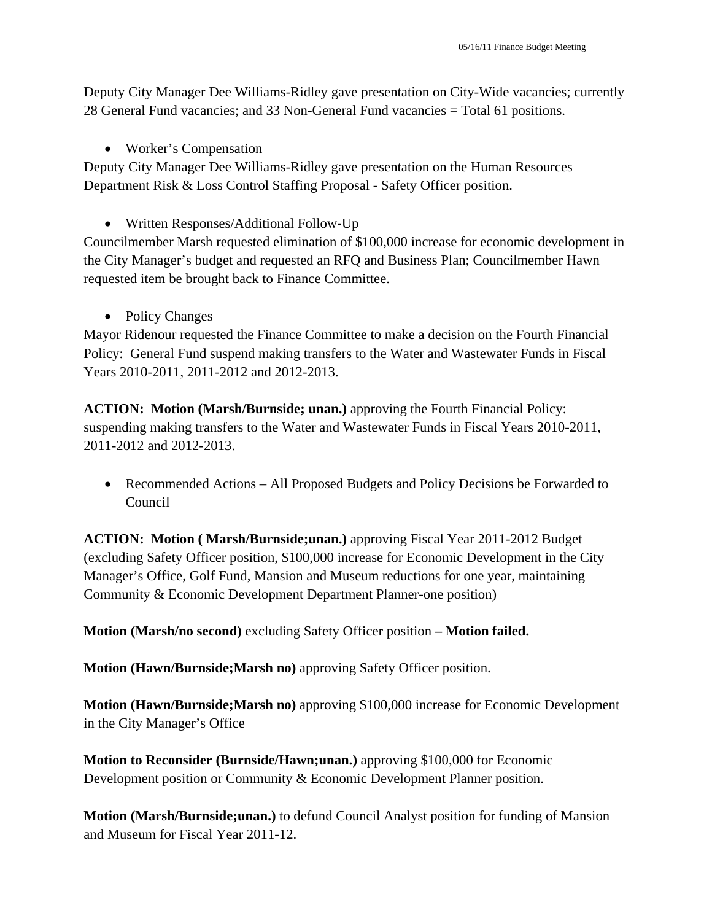Deputy City Manager Dee Williams-Ridley gave presentation on City-Wide vacancies; currently 28 General Fund vacancies; and 33 Non-General Fund vacancies = Total 61 positions.

• Worker's Compensation

Deputy City Manager Dee Williams-Ridley gave presentation on the Human Resources Department Risk & Loss Control Staffing Proposal - Safety Officer position.

Written Responses/Additional Follow-Up

Councilmember Marsh requested elimination of \$100,000 increase for economic development in the City Manager's budget and requested an RFQ and Business Plan; Councilmember Hawn requested item be brought back to Finance Committee.

• Policy Changes

Mayor Ridenour requested the Finance Committee to make a decision on the Fourth Financial Policy: General Fund suspend making transfers to the Water and Wastewater Funds in Fiscal Years 2010-2011, 2011-2012 and 2012-2013.

**ACTION: Motion (Marsh/Burnside; unan.)** approving the Fourth Financial Policy: suspending making transfers to the Water and Wastewater Funds in Fiscal Years 2010-2011, 2011-2012 and 2012-2013.

 Recommended Actions – All Proposed Budgets and Policy Decisions be Forwarded to Council

**ACTION: Motion ( Marsh/Burnside;unan.)** approving Fiscal Year 2011-2012 Budget (excluding Safety Officer position, \$100,000 increase for Economic Development in the City Manager's Office, Golf Fund, Mansion and Museum reductions for one year, maintaining Community & Economic Development Department Planner-one position)

**Motion (Marsh/no second)** excluding Safety Officer position **– Motion failed.** 

**Motion (Hawn/Burnside;Marsh no)** approving Safety Officer position.

**Motion (Hawn/Burnside;Marsh no)** approving \$100,000 increase for Economic Development in the City Manager's Office

**Motion to Reconsider (Burnside/Hawn;unan.)** approving \$100,000 for Economic Development position or Community & Economic Development Planner position.

**Motion (Marsh/Burnside;unan.)** to defund Council Analyst position for funding of Mansion and Museum for Fiscal Year 2011-12.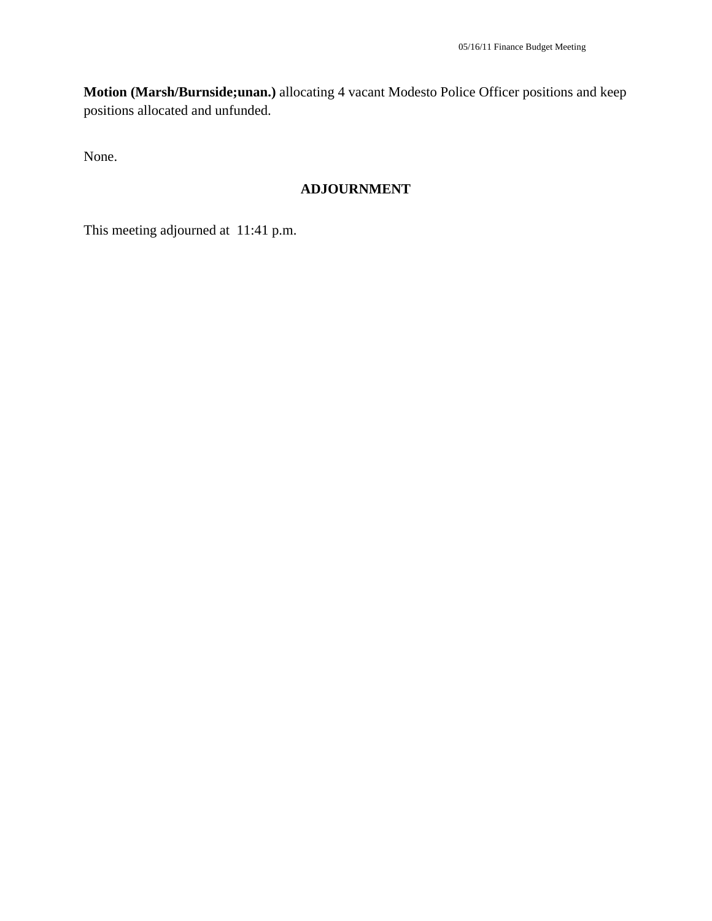**Motion (Marsh/Burnside;unan.)** allocating 4 vacant Modesto Police Officer positions and keep positions allocated and unfunded.

None.

# **ADJOURNMENT**

This meeting adjourned at 11:41 p.m.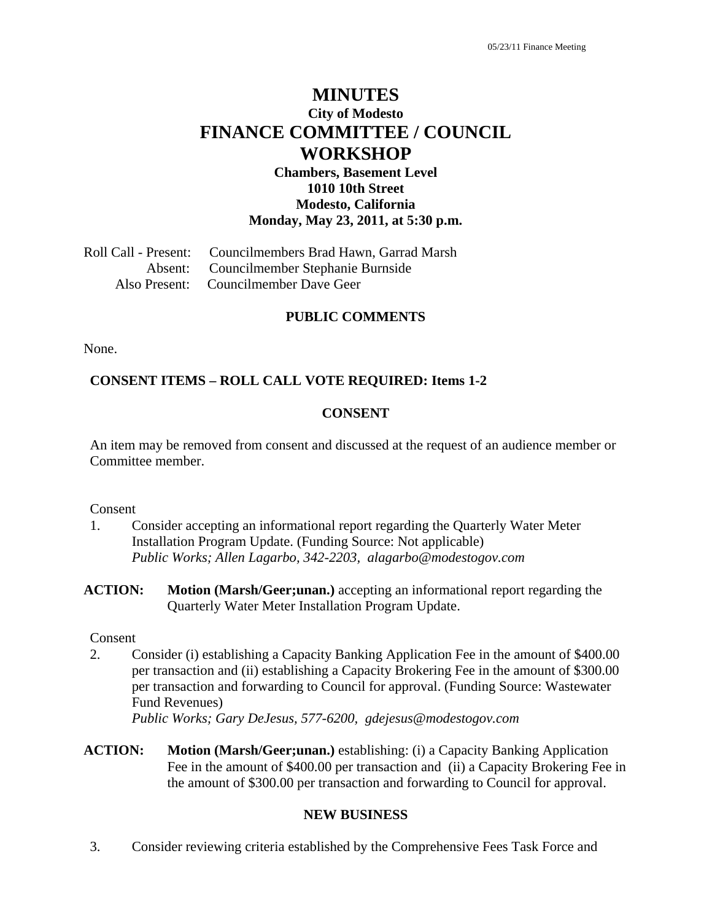# **MINUTES City of Modesto FINANCE COMMITTEE / COUNCIL WORKSHOP**

**Chambers, Basement Level 1010 10th Street Modesto, California Monday, May 23, 2011, at 5:30 p.m.** 

Roll Call - Present: Councilmembers Brad Hawn, Garrad Marsh Absent: Councilmember Stephanie Burnside Also Present: Councilmember Dave Geer

#### **PUBLIC COMMENTS**

None.

#### **CONSENT ITEMS – ROLL CALL VOTE REQUIRED: Items 1-2**

#### **CONSENT**

An item may be removed from consent and discussed at the request of an audience member or Committee member.

#### Consent

- 1. Consider accepting an informational report regarding the Quarterly Water Meter Installation Program Update. (Funding Source: Not applicable)  *Public Works; Allen Lagarbo, 342-2203, alagarbo@modestogov.com*
- **ACTION: Motion (Marsh/Geer;unan.)** accepting an informational report regarding the Quarterly Water Meter Installation Program Update.

#### Consent

2. Consider (i) establishing a Capacity Banking Application Fee in the amount of \$400.00 per transaction and (ii) establishing a Capacity Brokering Fee in the amount of \$300.00 per transaction and forwarding to Council for approval. (Funding Source: Wastewater Fund Revenues)

*Public Works; Gary DeJesus, 577-6200, gdejesus@modestogov.com* 

**ACTION: Motion (Marsh/Geer;unan.)** establishing: (i) a Capacity Banking Application Fee in the amount of \$400.00 per transaction and (ii) a Capacity Brokering Fee in the amount of \$300.00 per transaction and forwarding to Council for approval.

#### **NEW BUSINESS**

3. Consider reviewing criteria established by the Comprehensive Fees Task Force and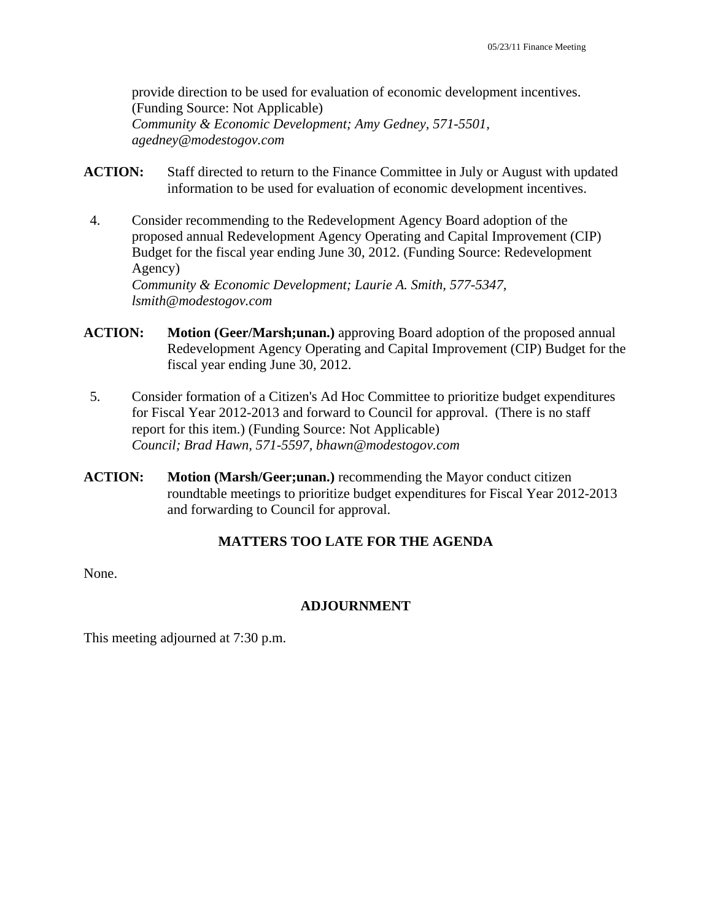provide direction to be used for evaluation of economic development incentives. (Funding Source: Not Applicable)  *Community & Economic Development; Amy Gedney, 571-5501, agedney@modestogov.com* 

- **ACTION:** Staff directed to return to the Finance Committee in July or August with updated information to be used for evaluation of economic development incentives.
- 4. Consider recommending to the Redevelopment Agency Board adoption of the proposed annual Redevelopment Agency Operating and Capital Improvement (CIP) Budget for the fiscal year ending June 30, 2012. (Funding Source: Redevelopment Agency)  *Community & Economic Development; Laurie A. Smith, 577-5347, lsmith@modestogov.com*
- **ACTION: Motion (Geer/Marsh;unan.)** approving Board adoption of the proposed annual Redevelopment Agency Operating and Capital Improvement (CIP) Budget for the fiscal year ending June 30, 2012.
- 5. Consider formation of a Citizen's Ad Hoc Committee to prioritize budget expenditures for Fiscal Year 2012-2013 and forward to Council for approval. (There is no staff report for this item.) (Funding Source: Not Applicable)  *Council; Brad Hawn, 571-5597, bhawn@modestogov.com*
- **ACTION: Motion (Marsh/Geer;unan.)** recommending the Mayor conduct citizen roundtable meetings to prioritize budget expenditures for Fiscal Year 2012-2013 and forwarding to Council for approval.

#### **MATTERS TOO LATE FOR THE AGENDA**

None.

#### **ADJOURNMENT**

This meeting adjourned at 7:30 p.m.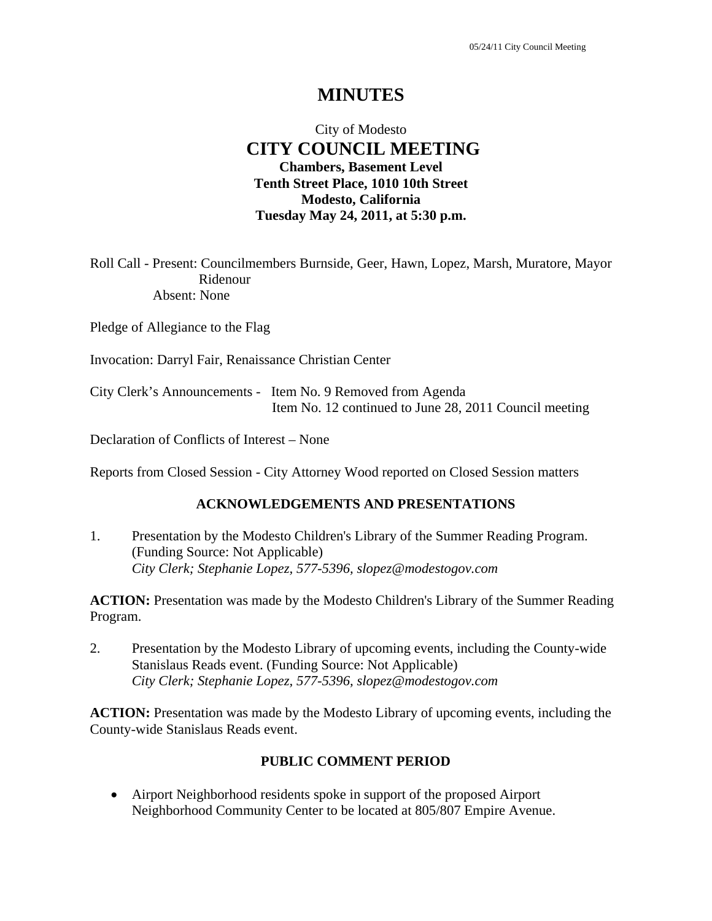# **MINUTES**

# City of Modesto  **CITY COUNCIL MEETING Chambers, Basement Level Tenth Street Place, 1010 10th Street Modesto, California Tuesday May 24, 2011, at 5:30 p.m.**

Roll Call - Present: Councilmembers Burnside, Geer, Hawn, Lopez, Marsh, Muratore, Mayor Ridenour Absent: None

Pledge of Allegiance to the Flag

Invocation: Darryl Fair, Renaissance Christian Center

City Clerk's Announcements - Item No. 9 Removed from Agenda Item No. 12 continued to June 28, 2011 Council meeting

Declaration of Conflicts of Interest – None

Reports from Closed Session - City Attorney Wood reported on Closed Session matters

#### **ACKNOWLEDGEMENTS AND PRESENTATIONS**

1. Presentation by the Modesto Children's Library of the Summer Reading Program. (Funding Source: Not Applicable)  *City Clerk; Stephanie Lopez, 577-5396, slopez@modestogov.com* 

**ACTION:** Presentation was made by the Modesto Children's Library of the Summer Reading Program.

2. Presentation by the Modesto Library of upcoming events, including the County-wide Stanislaus Reads event. (Funding Source: Not Applicable)  *City Clerk; Stephanie Lopez, 577-5396, slopez@modestogov.com* 

**ACTION:** Presentation was made by the Modesto Library of upcoming events, including the County-wide Stanislaus Reads event.

#### **PUBLIC COMMENT PERIOD**

 Airport Neighborhood residents spoke in support of the proposed Airport Neighborhood Community Center to be located at 805/807 Empire Avenue.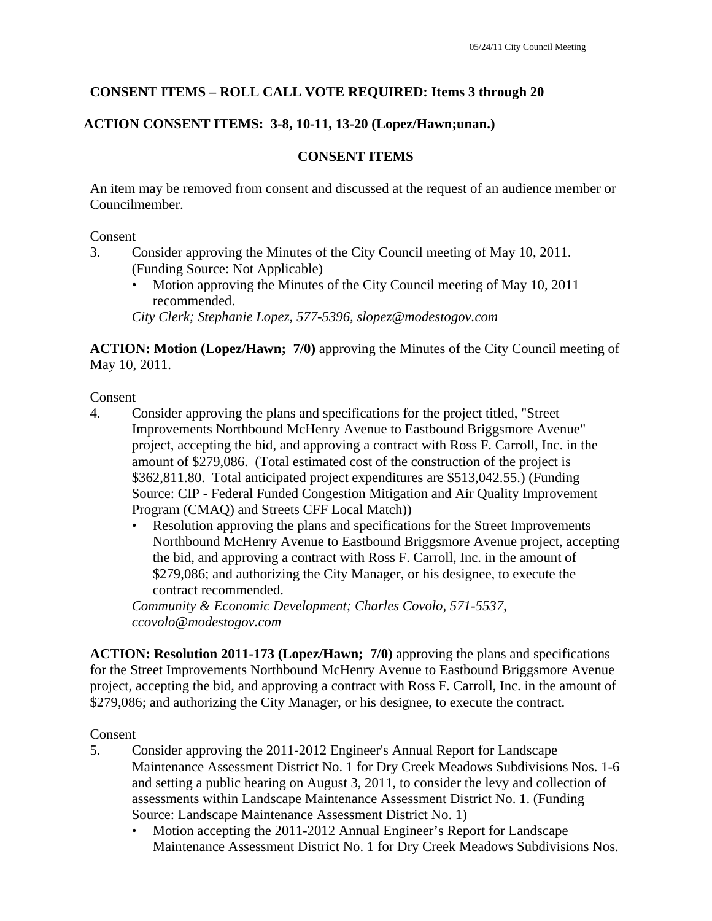# **CONSENT ITEMS – ROLL CALL VOTE REQUIRED: Items 3 through 20**

# **ACTION CONSENT ITEMS: 3-8, 10-11, 13-20 (Lopez/Hawn;unan.)**

## **CONSENT ITEMS**

An item may be removed from consent and discussed at the request of an audience member or Councilmember.

#### Consent

- 3. Consider approving the Minutes of the City Council meeting of May 10, 2011. (Funding Source: Not Applicable)
	- Motion approving the Minutes of the City Council meeting of May 10, 2011 recommended.

*City Clerk; Stephanie Lopez, 577-5396, slopez@modestogov.com* 

**ACTION: Motion (Lopez/Hawn; 7/0)** approving the Minutes of the City Council meeting of May 10, 2011.

Consent

- 4. Consider approving the plans and specifications for the project titled, "Street Improvements Northbound McHenry Avenue to Eastbound Briggsmore Avenue" project, accepting the bid, and approving a contract with Ross F. Carroll, Inc. in the amount of \$279,086. (Total estimated cost of the construction of the project is \$362,811.80. Total anticipated project expenditures are \$513,042.55.) (Funding Source: CIP - Federal Funded Congestion Mitigation and Air Quality Improvement Program (CMAQ) and Streets CFF Local Match))
	- Resolution approving the plans and specifications for the Street Improvements Northbound McHenry Avenue to Eastbound Briggsmore Avenue project, accepting the bid, and approving a contract with Ross F. Carroll, Inc. in the amount of \$279,086; and authorizing the City Manager, or his designee, to execute the contract recommended.

*Community & Economic Development; Charles Covolo, 571-5537, ccovolo@modestogov.com* 

**ACTION: Resolution 2011-173 (Lopez/Hawn; 7/0)** approving the plans and specifications for the Street Improvements Northbound McHenry Avenue to Eastbound Briggsmore Avenue project, accepting the bid, and approving a contract with Ross F. Carroll, Inc. in the amount of \$279,086; and authorizing the City Manager, or his designee, to execute the contract.

## Consent

- 5. Consider approving the 2011-2012 Engineer's Annual Report for Landscape Maintenance Assessment District No. 1 for Dry Creek Meadows Subdivisions Nos. 1-6 and setting a public hearing on August 3, 2011, to consider the levy and collection of assessments within Landscape Maintenance Assessment District No. 1. (Funding Source: Landscape Maintenance Assessment District No. 1)
	- Motion accepting the 2011-2012 Annual Engineer's Report for Landscape Maintenance Assessment District No. 1 for Dry Creek Meadows Subdivisions Nos.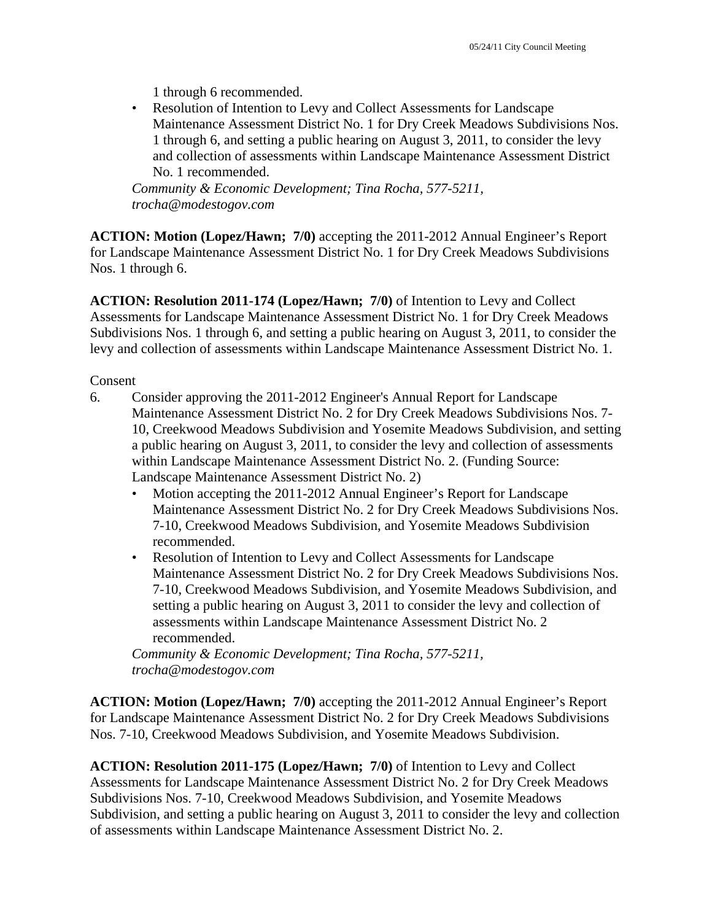1 through 6 recommended.

• Resolution of Intention to Levy and Collect Assessments for Landscape Maintenance Assessment District No. 1 for Dry Creek Meadows Subdivisions Nos. 1 through 6, and setting a public hearing on August 3, 2011, to consider the levy and collection of assessments within Landscape Maintenance Assessment District No. 1 recommended.

*Community & Economic Development; Tina Rocha, 577-5211, trocha@modestogov.com* 

**ACTION: Motion (Lopez/Hawn; 7/0)** accepting the 2011-2012 Annual Engineer's Report for Landscape Maintenance Assessment District No. 1 for Dry Creek Meadows Subdivisions Nos. 1 through 6.

**ACTION: Resolution 2011-174 (Lopez/Hawn; 7/0)** of Intention to Levy and Collect Assessments for Landscape Maintenance Assessment District No. 1 for Dry Creek Meadows Subdivisions Nos. 1 through 6, and setting a public hearing on August 3, 2011, to consider the levy and collection of assessments within Landscape Maintenance Assessment District No. 1.

Consent

- 6. Consider approving the 2011-2012 Engineer's Annual Report for Landscape Maintenance Assessment District No. 2 for Dry Creek Meadows Subdivisions Nos. 7- 10, Creekwood Meadows Subdivision and Yosemite Meadows Subdivision, and setting a public hearing on August 3, 2011, to consider the levy and collection of assessments within Landscape Maintenance Assessment District No. 2. (Funding Source: Landscape Maintenance Assessment District No. 2)
	- Motion accepting the 2011-2012 Annual Engineer's Report for Landscape Maintenance Assessment District No. 2 for Dry Creek Meadows Subdivisions Nos. 7-10, Creekwood Meadows Subdivision, and Yosemite Meadows Subdivision recommended.
	- Resolution of Intention to Levy and Collect Assessments for Landscape Maintenance Assessment District No. 2 for Dry Creek Meadows Subdivisions Nos. 7-10, Creekwood Meadows Subdivision, and Yosemite Meadows Subdivision, and setting a public hearing on August 3, 2011 to consider the levy and collection of assessments within Landscape Maintenance Assessment District No. 2 recommended.

*Community & Economic Development; Tina Rocha, 577-5211, trocha@modestogov.com* 

**ACTION: Motion (Lopez/Hawn; 7/0)** accepting the 2011-2012 Annual Engineer's Report for Landscape Maintenance Assessment District No. 2 for Dry Creek Meadows Subdivisions Nos. 7-10, Creekwood Meadows Subdivision, and Yosemite Meadows Subdivision.

**ACTION: Resolution 2011-175 (Lopez/Hawn; 7/0)** of Intention to Levy and Collect Assessments for Landscape Maintenance Assessment District No. 2 for Dry Creek Meadows Subdivisions Nos. 7-10, Creekwood Meadows Subdivision, and Yosemite Meadows Subdivision, and setting a public hearing on August 3, 2011 to consider the levy and collection of assessments within Landscape Maintenance Assessment District No. 2.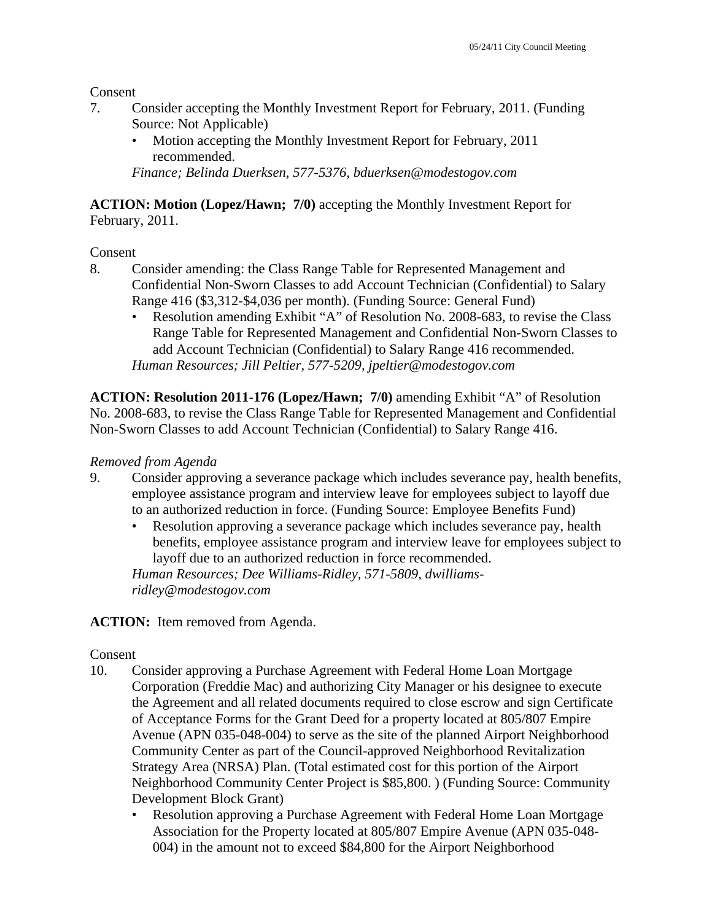Consent

- 7. Consider accepting the Monthly Investment Report for February, 2011. (Funding Source: Not Applicable)
	- Motion accepting the Monthly Investment Report for February, 2011 recommended.

*Finance; Belinda Duerksen, 577-5376, bduerksen@modestogov.com* 

**ACTION: Motion (Lopez/Hawn; 7/0)** accepting the Monthly Investment Report for February, 2011.

#### Consent

- 8. Consider amending: the Class Range Table for Represented Management and Confidential Non-Sworn Classes to add Account Technician (Confidential) to Salary Range 416 (\$3,312-\$4,036 per month). (Funding Source: General Fund)
	- Resolution amending Exhibit "A" of Resolution No. 2008-683, to revise the Class Range Table for Represented Management and Confidential Non-Sworn Classes to add Account Technician (Confidential) to Salary Range 416 recommended. *Human Resources; Jill Peltier, 577-5209, jpeltier@modestogov.com*

**ACTION: Resolution 2011-176 (Lopez/Hawn; 7/0)** amending Exhibit "A" of Resolution No. 2008-683, to revise the Class Range Table for Represented Management and Confidential Non-Sworn Classes to add Account Technician (Confidential) to Salary Range 416.

#### *Removed from Agenda*

- 9. Consider approving a severance package which includes severance pay, health benefits, employee assistance program and interview leave for employees subject to layoff due to an authorized reduction in force. (Funding Source: Employee Benefits Fund)
	- Resolution approving a severance package which includes severance pay, health benefits, employee assistance program and interview leave for employees subject to layoff due to an authorized reduction in force recommended.

*Human Resources; Dee Williams-Ridley, 571-5809, dwilliamsridley@modestogov.com* 

## ACTION: Item removed from Agenda.

#### Consent

- 10. Consider approving a Purchase Agreement with Federal Home Loan Mortgage Corporation (Freddie Mac) and authorizing City Manager or his designee to execute the Agreement and all related documents required to close escrow and sign Certificate of Acceptance Forms for the Grant Deed for a property located at 805/807 Empire Avenue (APN 035-048-004) to serve as the site of the planned Airport Neighborhood Community Center as part of the Council-approved Neighborhood Revitalization Strategy Area (NRSA) Plan. (Total estimated cost for this portion of the Airport Neighborhood Community Center Project is \$85,800. ) (Funding Source: Community Development Block Grant)
	- Resolution approving a Purchase Agreement with Federal Home Loan Mortgage Association for the Property located at 805/807 Empire Avenue (APN 035-048- 004) in the amount not to exceed \$84,800 for the Airport Neighborhood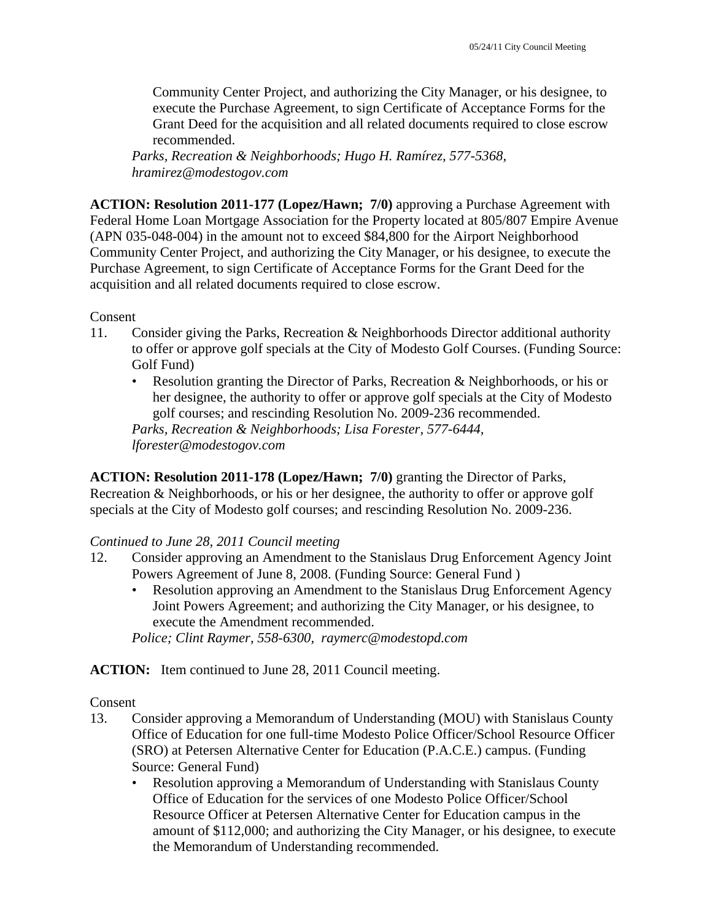Community Center Project, and authorizing the City Manager, or his designee, to execute the Purchase Agreement, to sign Certificate of Acceptance Forms for the Grant Deed for the acquisition and all related documents required to close escrow recommended.

*Parks, Recreation & Neighborhoods; Hugo H. Ramírez, 577-5368, hramirez@modestogov.com* 

**ACTION: Resolution 2011-177 (Lopez/Hawn; 7/0)** approving a Purchase Agreement with Federal Home Loan Mortgage Association for the Property located at 805/807 Empire Avenue (APN 035-048-004) in the amount not to exceed \$84,800 for the Airport Neighborhood Community Center Project, and authorizing the City Manager, or his designee, to execute the Purchase Agreement, to sign Certificate of Acceptance Forms for the Grant Deed for the acquisition and all related documents required to close escrow.

Consent

- 11. Consider giving the Parks, Recreation & Neighborhoods Director additional authority to offer or approve golf specials at the City of Modesto Golf Courses. (Funding Source: Golf Fund)
	- Resolution granting the Director of Parks, Recreation & Neighborhoods, or his or her designee, the authority to offer or approve golf specials at the City of Modesto golf courses; and rescinding Resolution No. 2009-236 recommended. *Parks, Recreation & Neighborhoods; Lisa Forester, 577-6444, lforester@modestogov.com*

**ACTION: Resolution 2011-178 (Lopez/Hawn; 7/0)** granting the Director of Parks, Recreation & Neighborhoods, or his or her designee, the authority to offer or approve golf specials at the City of Modesto golf courses; and rescinding Resolution No. 2009-236.

## *Continued to June 28, 2011 Council meeting*

- 12. Consider approving an Amendment to the Stanislaus Drug Enforcement Agency Joint Powers Agreement of June 8, 2008. (Funding Source: General Fund )
	- Resolution approving an Amendment to the Stanislaus Drug Enforcement Agency Joint Powers Agreement; and authorizing the City Manager, or his designee, to execute the Amendment recommended.

*Police; Clint Raymer, 558-6300, raymerc@modestopd.com* 

ACTION: Item continued to June 28, 2011 Council meeting.

Consent

- 13. Consider approving a Memorandum of Understanding (MOU) with Stanislaus County Office of Education for one full-time Modesto Police Officer/School Resource Officer (SRO) at Petersen Alternative Center for Education (P.A.C.E.) campus. (Funding Source: General Fund)
	- Resolution approving a Memorandum of Understanding with Stanislaus County Office of Education for the services of one Modesto Police Officer/School Resource Officer at Petersen Alternative Center for Education campus in the amount of \$112,000; and authorizing the City Manager, or his designee, to execute the Memorandum of Understanding recommended.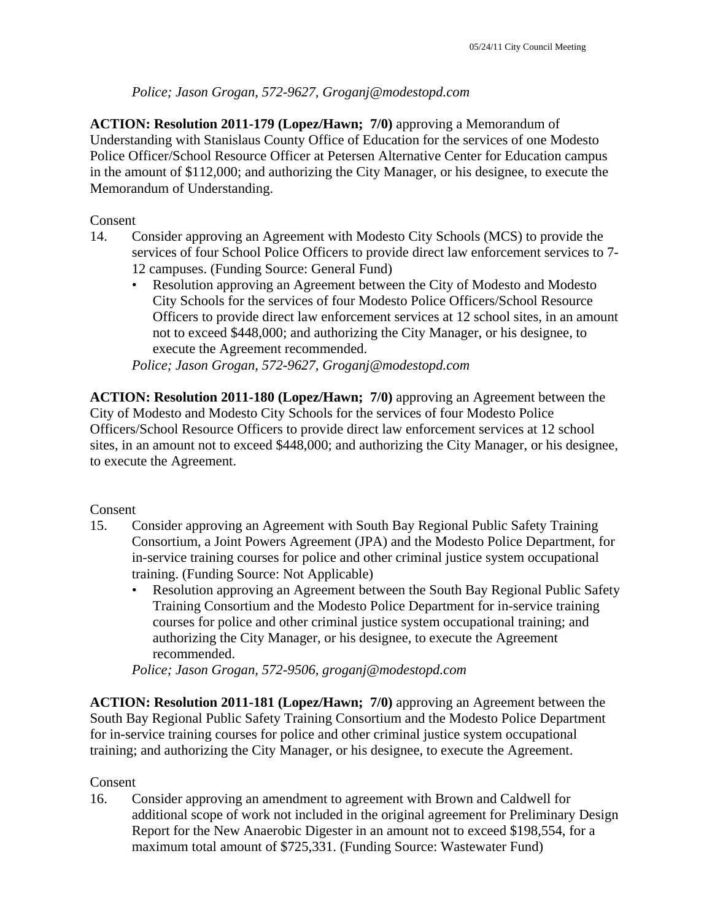## *Police; Jason Grogan, 572-9627, Groganj@modestopd.com*

**ACTION: Resolution 2011-179 (Lopez/Hawn; 7/0)** approving a Memorandum of Understanding with Stanislaus County Office of Education for the services of one Modesto Police Officer/School Resource Officer at Petersen Alternative Center for Education campus in the amount of \$112,000; and authorizing the City Manager, or his designee, to execute the Memorandum of Understanding.

#### Consent

- 14. Consider approving an Agreement with Modesto City Schools (MCS) to provide the services of four School Police Officers to provide direct law enforcement services to 7- 12 campuses. (Funding Source: General Fund)
	- Resolution approving an Agreement between the City of Modesto and Modesto City Schools for the services of four Modesto Police Officers/School Resource Officers to provide direct law enforcement services at 12 school sites, in an amount not to exceed \$448,000; and authorizing the City Manager, or his designee, to execute the Agreement recommended.

*Police; Jason Grogan, 572-9627, Groganj@modestopd.com* 

**ACTION: Resolution 2011-180 (Lopez/Hawn; 7/0)** approving an Agreement between the City of Modesto and Modesto City Schools for the services of four Modesto Police Officers/School Resource Officers to provide direct law enforcement services at 12 school sites, in an amount not to exceed \$448,000; and authorizing the City Manager, or his designee, to execute the Agreement.

## Consent

- 15. Consider approving an Agreement with South Bay Regional Public Safety Training Consortium, a Joint Powers Agreement (JPA) and the Modesto Police Department, for in-service training courses for police and other criminal justice system occupational training. (Funding Source: Not Applicable)
	- Resolution approving an Agreement between the South Bay Regional Public Safety Training Consortium and the Modesto Police Department for in-service training courses for police and other criminal justice system occupational training; and authorizing the City Manager, or his designee, to execute the Agreement recommended.

*Police; Jason Grogan, 572-9506, groganj@modestopd.com* 

**ACTION: Resolution 2011-181 (Lopez/Hawn; 7/0)** approving an Agreement between the South Bay Regional Public Safety Training Consortium and the Modesto Police Department for in-service training courses for police and other criminal justice system occupational training; and authorizing the City Manager, or his designee, to execute the Agreement.

## Consent

16. Consider approving an amendment to agreement with Brown and Caldwell for additional scope of work not included in the original agreement for Preliminary Design Report for the New Anaerobic Digester in an amount not to exceed \$198,554, for a maximum total amount of \$725,331. (Funding Source: Wastewater Fund)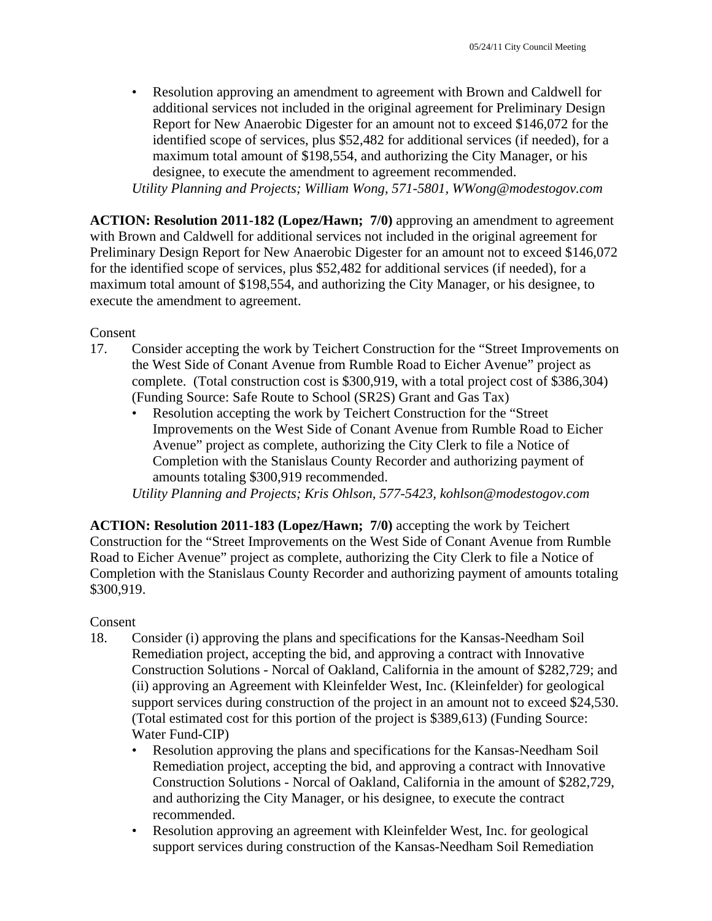• Resolution approving an amendment to agreement with Brown and Caldwell for additional services not included in the original agreement for Preliminary Design Report for New Anaerobic Digester for an amount not to exceed \$146,072 for the identified scope of services, plus \$52,482 for additional services (if needed), for a maximum total amount of \$198,554, and authorizing the City Manager, or his designee, to execute the amendment to agreement recommended.

*Utility Planning and Projects; William Wong, 571-5801, WWong@modestogov.com* 

**ACTION: Resolution 2011-182 (Lopez/Hawn; 7/0)** approving an amendment to agreement with Brown and Caldwell for additional services not included in the original agreement for Preliminary Design Report for New Anaerobic Digester for an amount not to exceed \$146,072 for the identified scope of services, plus \$52,482 for additional services (if needed), for a maximum total amount of \$198,554, and authorizing the City Manager, or his designee, to execute the amendment to agreement.

Consent

- 17. Consider accepting the work by Teichert Construction for the "Street Improvements on the West Side of Conant Avenue from Rumble Road to Eicher Avenue" project as complete. (Total construction cost is \$300,919, with a total project cost of \$386,304) (Funding Source: Safe Route to School (SR2S) Grant and Gas Tax)
	- Resolution accepting the work by Teichert Construction for the "Street" Improvements on the West Side of Conant Avenue from Rumble Road to Eicher Avenue" project as complete, authorizing the City Clerk to file a Notice of Completion with the Stanislaus County Recorder and authorizing payment of amounts totaling \$300,919 recommended.

*Utility Planning and Projects; Kris Ohlson, 577-5423, kohlson@modestogov.com* 

**ACTION: Resolution 2011-183 (Lopez/Hawn; 7/0)** accepting the work by Teichert Construction for the "Street Improvements on the West Side of Conant Avenue from Rumble Road to Eicher Avenue" project as complete, authorizing the City Clerk to file a Notice of Completion with the Stanislaus County Recorder and authorizing payment of amounts totaling \$300,919.

#### Consent

- 18. Consider (i) approving the plans and specifications for the Kansas-Needham Soil Remediation project, accepting the bid, and approving a contract with Innovative Construction Solutions - Norcal of Oakland, California in the amount of \$282,729; and (ii) approving an Agreement with Kleinfelder West, Inc. (Kleinfelder) for geological support services during construction of the project in an amount not to exceed \$24,530. (Total estimated cost for this portion of the project is \$389,613) (Funding Source: Water Fund-CIP)
	- Resolution approving the plans and specifications for the Kansas-Needham Soil Remediation project, accepting the bid, and approving a contract with Innovative Construction Solutions - Norcal of Oakland, California in the amount of \$282,729, and authorizing the City Manager, or his designee, to execute the contract recommended.
	- Resolution approving an agreement with Kleinfelder West, Inc. for geological support services during construction of the Kansas-Needham Soil Remediation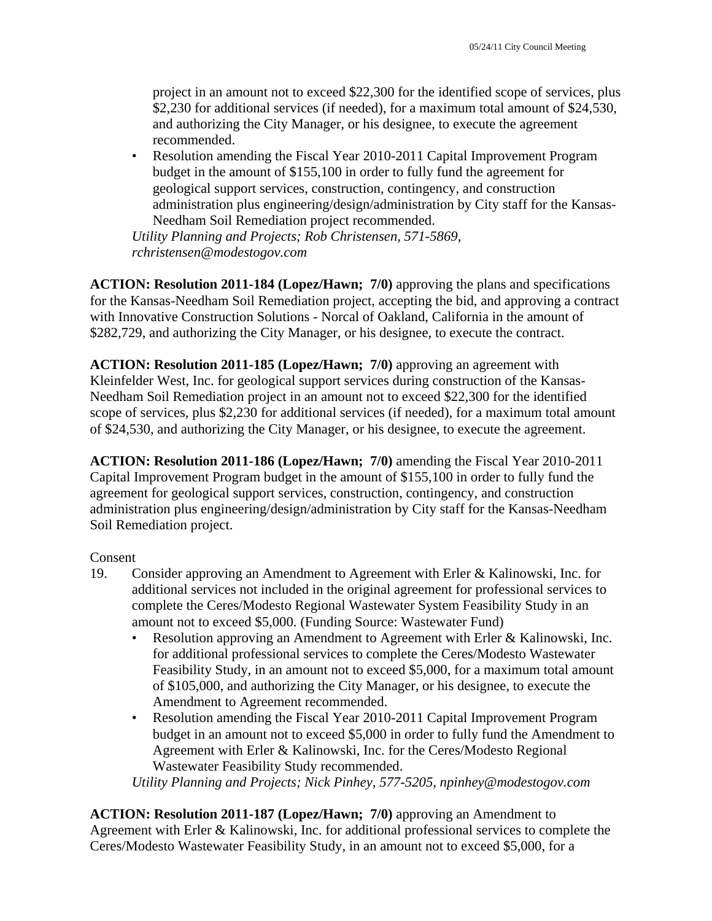project in an amount not to exceed \$22,300 for the identified scope of services, plus \$2,230 for additional services (if needed), for a maximum total amount of \$24,530, and authorizing the City Manager, or his designee, to execute the agreement recommended.

• Resolution amending the Fiscal Year 2010-2011 Capital Improvement Program budget in the amount of \$155,100 in order to fully fund the agreement for geological support services, construction, contingency, and construction administration plus engineering/design/administration by City staff for the Kansas-Needham Soil Remediation project recommended.

*Utility Planning and Projects; Rob Christensen, 571-5869, rchristensen@modestogov.com* 

**ACTION: Resolution 2011-184 (Lopez/Hawn; 7/0)** approving the plans and specifications for the Kansas-Needham Soil Remediation project, accepting the bid, and approving a contract with Innovative Construction Solutions - Norcal of Oakland, California in the amount of \$282,729, and authorizing the City Manager, or his designee, to execute the contract.

**ACTION: Resolution 2011-185 (Lopez/Hawn; 7/0)** approving an agreement with Kleinfelder West, Inc. for geological support services during construction of the Kansas-Needham Soil Remediation project in an amount not to exceed \$22,300 for the identified scope of services, plus \$2,230 for additional services (if needed), for a maximum total amount of \$24,530, and authorizing the City Manager, or his designee, to execute the agreement.

**ACTION: Resolution 2011-186 (Lopez/Hawn; 7/0)** amending the Fiscal Year 2010-2011 Capital Improvement Program budget in the amount of \$155,100 in order to fully fund the agreement for geological support services, construction, contingency, and construction administration plus engineering/design/administration by City staff for the Kansas-Needham Soil Remediation project.

#### Consent

- 19. Consider approving an Amendment to Agreement with Erler & Kalinowski, Inc. for additional services not included in the original agreement for professional services to complete the Ceres/Modesto Regional Wastewater System Feasibility Study in an amount not to exceed \$5,000. (Funding Source: Wastewater Fund)
	- Resolution approving an Amendment to Agreement with Erler & Kalinowski, Inc. for additional professional services to complete the Ceres/Modesto Wastewater Feasibility Study, in an amount not to exceed \$5,000, for a maximum total amount of \$105,000, and authorizing the City Manager, or his designee, to execute the Amendment to Agreement recommended.
	- Resolution amending the Fiscal Year 2010-2011 Capital Improvement Program budget in an amount not to exceed \$5,000 in order to fully fund the Amendment to Agreement with Erler & Kalinowski, Inc. for the Ceres/Modesto Regional Wastewater Feasibility Study recommended.

*Utility Planning and Projects; Nick Pinhey, 577-5205, npinhey@modestogov.com* 

**ACTION: Resolution 2011-187 (Lopez/Hawn; 7/0)** approving an Amendment to Agreement with Erler & Kalinowski, Inc. for additional professional services to complete the Ceres/Modesto Wastewater Feasibility Study, in an amount not to exceed \$5,000, for a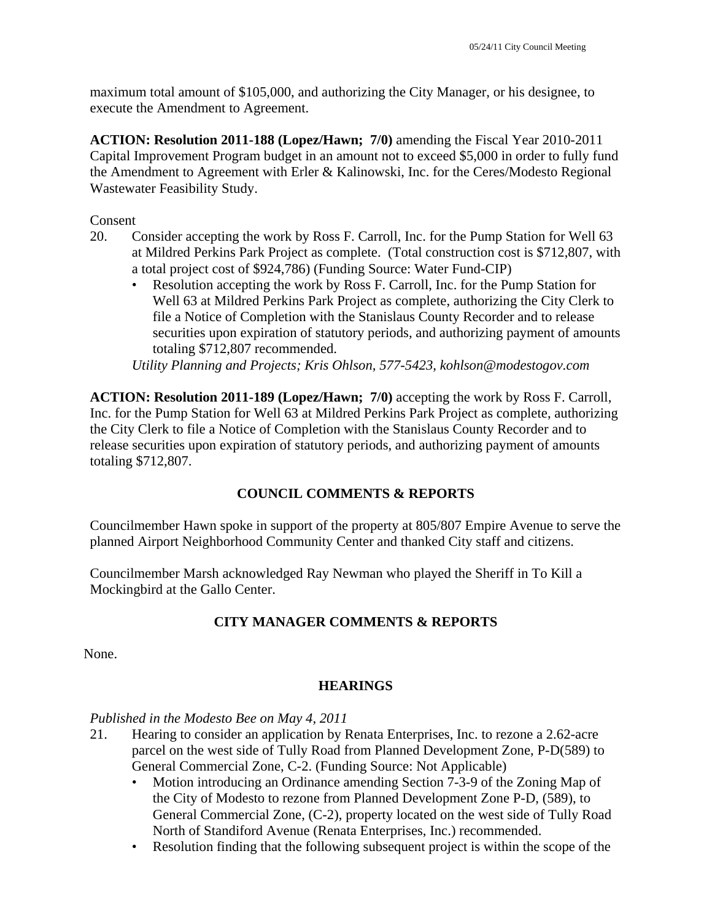maximum total amount of \$105,000, and authorizing the City Manager, or his designee, to execute the Amendment to Agreement.

**ACTION: Resolution 2011-188 (Lopez/Hawn; 7/0)** amending the Fiscal Year 2010-2011 Capital Improvement Program budget in an amount not to exceed \$5,000 in order to fully fund the Amendment to Agreement with Erler & Kalinowski, Inc. for the Ceres/Modesto Regional Wastewater Feasibility Study.

Consent

- 20. Consider accepting the work by Ross F. Carroll, Inc. for the Pump Station for Well 63 at Mildred Perkins Park Project as complete. (Total construction cost is \$712,807, with a total project cost of \$924,786) (Funding Source: Water Fund-CIP)
	- Resolution accepting the work by Ross F. Carroll, Inc. for the Pump Station for Well 63 at Mildred Perkins Park Project as complete, authorizing the City Clerk to file a Notice of Completion with the Stanislaus County Recorder and to release securities upon expiration of statutory periods, and authorizing payment of amounts totaling \$712,807 recommended.

*Utility Planning and Projects; Kris Ohlson, 577-5423, kohlson@modestogov.com* 

**ACTION: Resolution 2011-189 (Lopez/Hawn; 7/0)** accepting the work by Ross F. Carroll, Inc. for the Pump Station for Well 63 at Mildred Perkins Park Project as complete, authorizing the City Clerk to file a Notice of Completion with the Stanislaus County Recorder and to release securities upon expiration of statutory periods, and authorizing payment of amounts totaling \$712,807.

# **COUNCIL COMMENTS & REPORTS**

Councilmember Hawn spoke in support of the property at 805/807 Empire Avenue to serve the planned Airport Neighborhood Community Center and thanked City staff and citizens.

Councilmember Marsh acknowledged Ray Newman who played the Sheriff in To Kill a Mockingbird at the Gallo Center.

# **CITY MANAGER COMMENTS & REPORTS**

None.

# **HEARINGS**

#### *Published in the Modesto Bee on May 4, 2011*

- 21. Hearing to consider an application by Renata Enterprises, Inc. to rezone a 2.62-acre parcel on the west side of Tully Road from Planned Development Zone, P-D(589) to General Commercial Zone, C-2. (Funding Source: Not Applicable)
	- Motion introducing an Ordinance amending Section 7-3-9 of the Zoning Map of the City of Modesto to rezone from Planned Development Zone P-D, (589), to General Commercial Zone, (C-2), property located on the west side of Tully Road North of Standiford Avenue (Renata Enterprises, Inc.) recommended.
	- Resolution finding that the following subsequent project is within the scope of the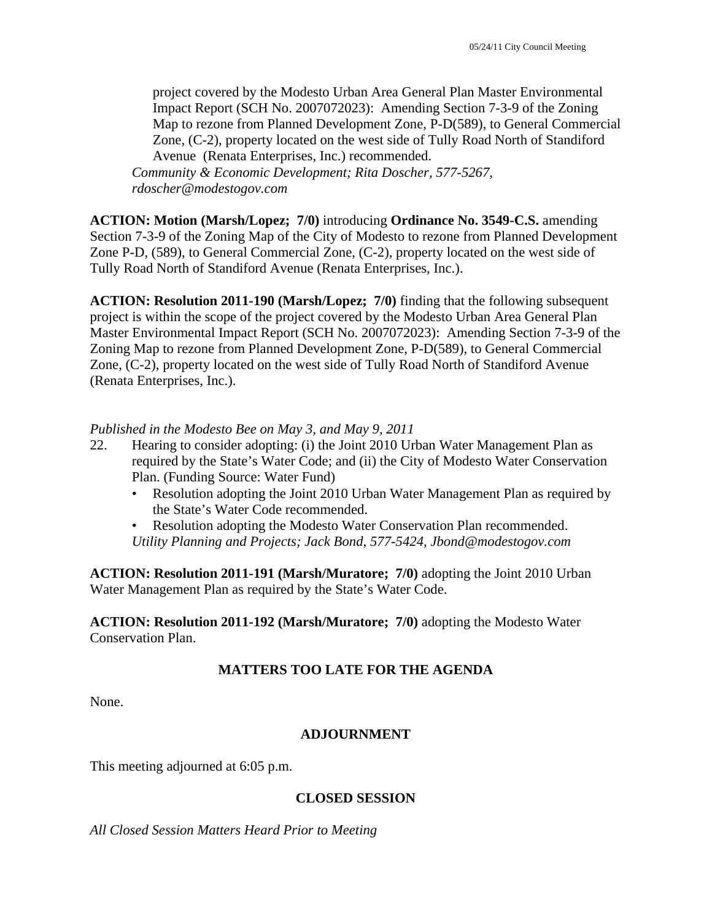project covered by the Modesto Urban Area General Plan Master Environmental Impact Report (SCH No. 2007072023): Amending Section 7-3-9 of the Zoning Map to rezone from Planned Development Zone, P-D(589), to General Commercial Zone, (C-2), property located on the west side of Tully Road North of Standiford Avenue (Renata Enterprises, Inc.) recommended.

*Community & Economic Development; Rita Doscher, 577-5267, rdoscher@modestogov.com* 

**ACTION: Motion (Marsh/Lopez; 7/0)** introducing **Ordinance No. 3549-C.S.** amending Section 7-3-9 of the Zoning Map of the City of Modesto to rezone from Planned Development Zone P-D, (589), to General Commercial Zone, (C-2), property located on the west side of Tully Road North of Standiford Avenue (Renata Enterprises, Inc.).

**ACTION: Resolution 2011-190 (Marsh/Lopez; 7/0)** finding that the following subsequent project is within the scope of the project covered by the Modesto Urban Area General Plan Master Environmental Impact Report (SCH No. 2007072023): Amending Section 7-3-9 of the Zoning Map to rezone from Planned Development Zone, P-D(589), to General Commercial Zone, (C-2), property located on the west side of Tully Road North of Standiford Avenue (Renata Enterprises, Inc.).

#### *Published in the Modesto Bee on May 3, and May 9, 2011*

- 22. Hearing to consider adopting: (i) the Joint 2010 Urban Water Management Plan as required by the State's Water Code; and (ii) the City of Modesto Water Conservation Plan. (Funding Source: Water Fund)
	- Resolution adopting the Joint 2010 Urban Water Management Plan as required by the State's Water Code recommended.
	- Resolution adopting the Modesto Water Conservation Plan recommended. *Utility Planning and Projects; Jack Bond, 577-5424, Jbond@modestogov.com*

**ACTION: Resolution 2011-191 (Marsh/Muratore; 7/0)** adopting the Joint 2010 Urban Water Management Plan as required by the State's Water Code.

**ACTION: Resolution 2011-192 (Marsh/Muratore; 7/0)** adopting the Modesto Water Conservation Plan.

# **MATTERS TOO LATE FOR THE AGENDA**

None.

# **ADJOURNMENT**

This meeting adjourned at 6:05 p.m.

#### **CLOSED SESSION**

*All Closed Session Matters Heard Prior to Meeting*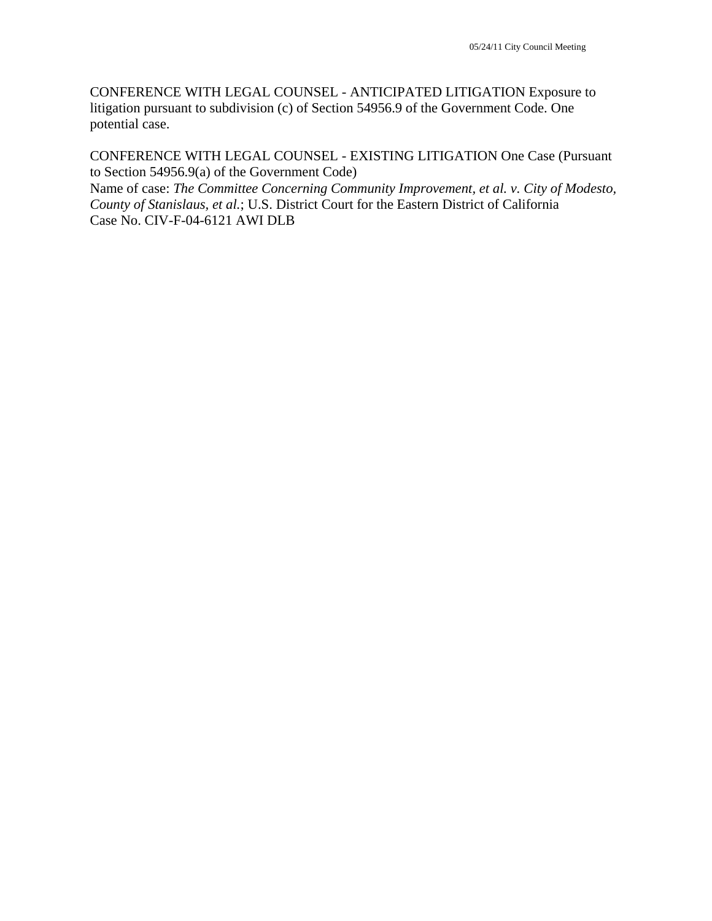CONFERENCE WITH LEGAL COUNSEL - ANTICIPATED LITIGATION Exposure to litigation pursuant to subdivision (c) of Section 54956.9 of the Government Code. One potential case.

CONFERENCE WITH LEGAL COUNSEL - EXISTING LITIGATION One Case (Pursuant to Section 54956.9(a) of the Government Code)

Name of case: *The Committee Concerning Community Improvement, et al. v. City of Modesto, County of Stanislaus, et al.*; U.S. District Court for the Eastern District of California Case No. CIV-F-04-6121 AWI DLB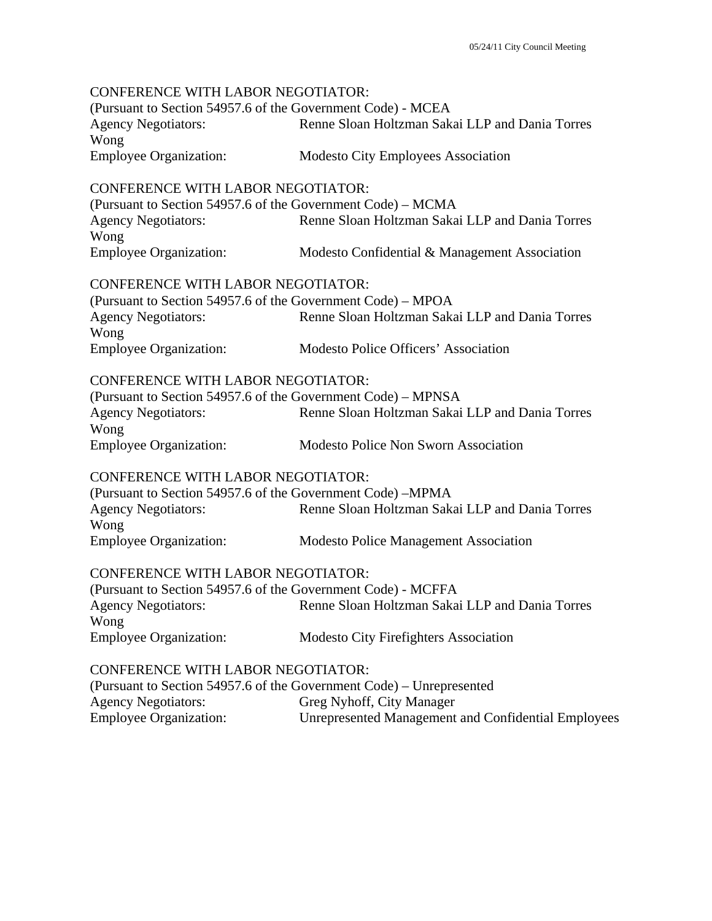CONFERENCE WITH LABOR NEGOTIATOR: (Pursuant to Section 54957.6 of the Government Code) - MCEA Agency Negotiators: Renne Sloan Holtzman Sakai LLP and Dania Torres Wong Employee Organization: Modesto City Employees Association CONFERENCE WITH LABOR NEGOTIATOR: (Pursuant to Section 54957.6 of the Government Code) – MCMA Agency Negotiators: Renne Sloan Holtzman Sakai LLP and Dania Torres Wong Employee Organization: Modesto Confidential & Management Association CONFERENCE WITH LABOR NEGOTIATOR: (Pursuant to Section 54957.6 of the Government Code) – MPOA Agency Negotiators: Renne Sloan Holtzman Sakai LLP and Dania Torres Wong Employee Organization: Modesto Police Officers' Association CONFERENCE WITH LABOR NEGOTIATOR: (Pursuant to Section 54957.6 of the Government Code) – MPNSA Agency Negotiators: Renne Sloan Holtzman Sakai LLP and Dania Torres Wong Employee Organization: Modesto Police Non Sworn Association CONFERENCE WITH LABOR NEGOTIATOR: (Pursuant to Section 54957.6 of the Government Code) –MPMA Agency Negotiators: Renne Sloan Holtzman Sakai LLP and Dania Torres Wong Employee Organization: Modesto Police Management Association CONFERENCE WITH LABOR NEGOTIATOR: (Pursuant to Section 54957.6 of the Government Code) - MCFFA Agency Negotiators: Renne Sloan Holtzman Sakai LLP and Dania Torres Wong Employee Organization: Modesto City Firefighters Association CONFERENCE WITH LABOR NEGOTIATOR: (Pursuant to Section 54957.6 of the Government Code) – Unrepresented Agency Negotiators: Greg Nyhoff, City Manager Employee Organization: Unrepresented Management and Confidential Employees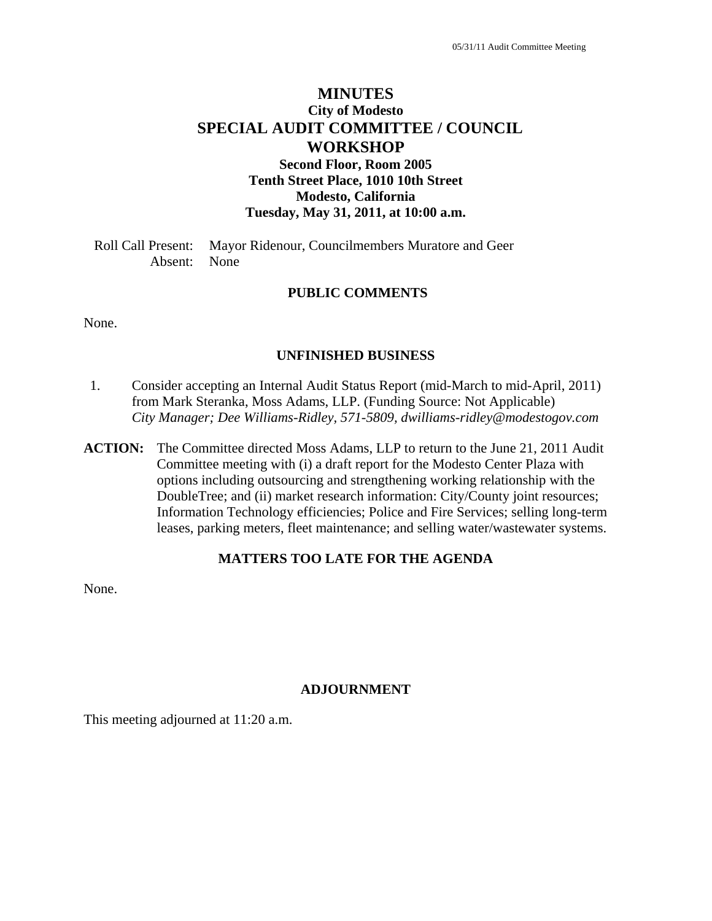# **MINUTES City of Modesto SPECIAL AUDIT COMMITTEE / COUNCIL WORKSHOP Second Floor, Room 2005 Tenth Street Place, 1010 10th Street**

**Modesto, California** 

**Tuesday, May 31, 2011, at 10:00 a.m.** 

Roll Call Present: Mayor Ridenour, Councilmembers Muratore and Geer Absent: None

#### **PUBLIC COMMENTS**

None.

#### **UNFINISHED BUSINESS**

- 1. Consider accepting an Internal Audit Status Report (mid-March to mid-April, 2011) from Mark Steranka, Moss Adams, LLP. (Funding Source: Not Applicable)  *City Manager; Dee Williams-Ridley, 571-5809, dwilliams-ridley@modestogov.com*
- **ACTION:** The Committee directed Moss Adams, LLP to return to the June 21, 2011 Audit Committee meeting with (i) a draft report for the Modesto Center Plaza with options including outsourcing and strengthening working relationship with the DoubleTree; and (ii) market research information: City/County joint resources; Information Technology efficiencies; Police and Fire Services; selling long-term leases, parking meters, fleet maintenance; and selling water/wastewater systems.

#### **MATTERS TOO LATE FOR THE AGENDA**

None.

#### **ADJOURNMENT**

This meeting adjourned at 11:20 a.m.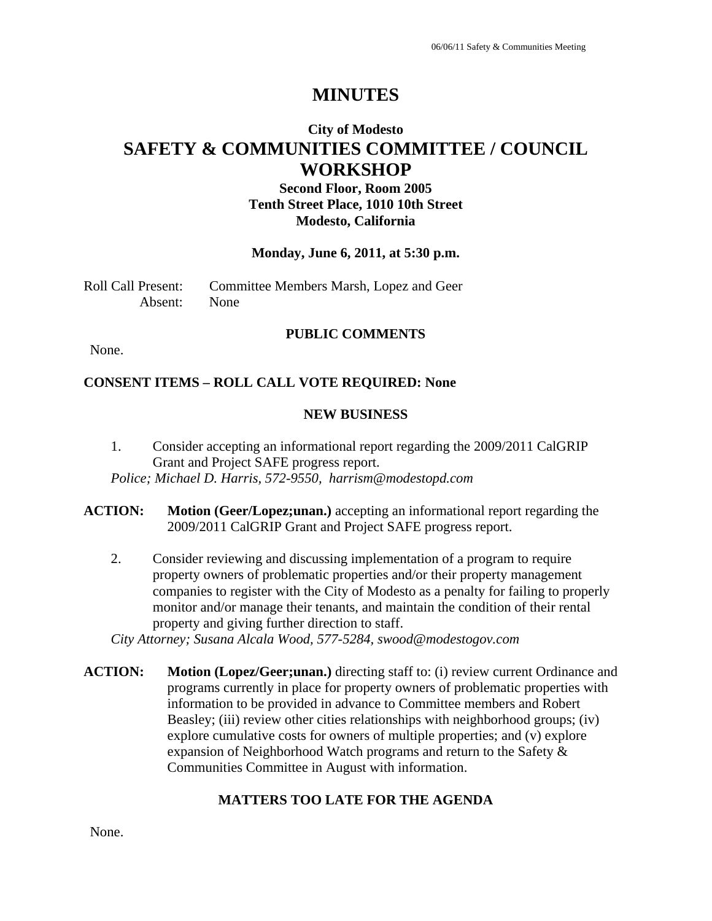# **MINUTES**

# **City of Modesto SAFETY & COMMUNITIES COMMITTEE / COUNCIL WORKSHOP**

**Second Floor, Room 2005 Tenth Street Place, 1010 10th Street Modesto, California** 

#### **Monday, June 6, 2011, at 5:30 p.m.**

Roll Call Present: Committee Members Marsh, Lopez and Geer Absent: None

#### **PUBLIC COMMENTS**

None.

#### **CONSENT ITEMS – ROLL CALL VOTE REQUIRED: None**

#### **NEW BUSINESS**

- 1. Consider accepting an informational report regarding the 2009/2011 CalGRIP Grant and Project SAFE progress report. *Police; Michael D. Harris, 572-9550, harrism@modestopd.com*
- **ACTION: Motion (Geer/Lopez;unan.)** accepting an informational report regarding the 2009/2011 CalGRIP Grant and Project SAFE progress report.
	- 2. Consider reviewing and discussing implementation of a program to require property owners of problematic properties and/or their property management companies to register with the City of Modesto as a penalty for failing to properly monitor and/or manage their tenants, and maintain the condition of their rental property and giving further direction to staff.

*City Attorney; Susana Alcala Wood, 577-5284, swood@modestogov.com* 

**ACTION:** Motion (Lopez/Geer;unan.) directing staff to: (i) review current Ordinance and programs currently in place for property owners of problematic properties with information to be provided in advance to Committee members and Robert Beasley; (iii) review other cities relationships with neighborhood groups; (iv) explore cumulative costs for owners of multiple properties; and (v) explore expansion of Neighborhood Watch programs and return to the Safety & Communities Committee in August with information.

# **MATTERS TOO LATE FOR THE AGENDA**

None.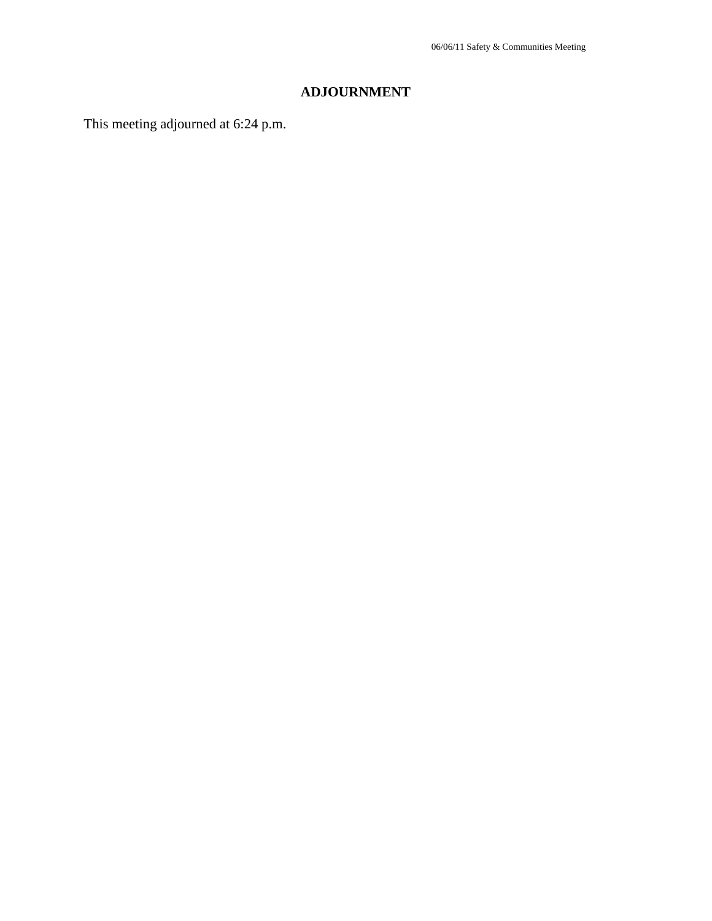# **ADJOURNMENT**

This meeting adjourned at 6:24 p.m.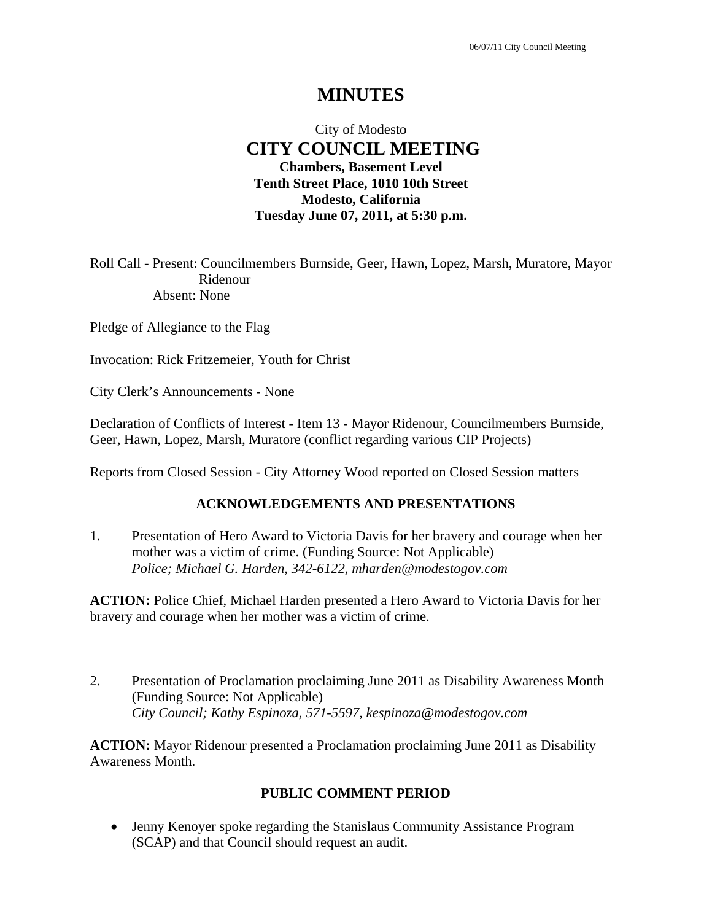# **MINUTES**

# City of Modesto  **CITY COUNCIL MEETING Chambers, Basement Level Tenth Street Place, 1010 10th Street Modesto, California Tuesday June 07, 2011, at 5:30 p.m.**

Roll Call - Present: Councilmembers Burnside, Geer, Hawn, Lopez, Marsh, Muratore, Mayor Ridenour Absent: None

Pledge of Allegiance to the Flag

Invocation: Rick Fritzemeier, Youth for Christ

City Clerk's Announcements - None

Declaration of Conflicts of Interest - Item 13 - Mayor Ridenour, Councilmembers Burnside, Geer, Hawn, Lopez, Marsh, Muratore (conflict regarding various CIP Projects)

Reports from Closed Session - City Attorney Wood reported on Closed Session matters

#### **ACKNOWLEDGEMENTS AND PRESENTATIONS**

1. Presentation of Hero Award to Victoria Davis for her bravery and courage when her mother was a victim of crime. (Funding Source: Not Applicable)  *Police; Michael G. Harden, 342-6122, mharden@modestogov.com* 

**ACTION:** Police Chief, Michael Harden presented a Hero Award to Victoria Davis for her bravery and courage when her mother was a victim of crime.

2. Presentation of Proclamation proclaiming June 2011 as Disability Awareness Month (Funding Source: Not Applicable)  *City Council; Kathy Espinoza, 571-5597, kespinoza@modestogov.com* 

**ACTION:** Mayor Ridenour presented a Proclamation proclaiming June 2011 as Disability Awareness Month.

# **PUBLIC COMMENT PERIOD**

 Jenny Kenoyer spoke regarding the Stanislaus Community Assistance Program (SCAP) and that Council should request an audit.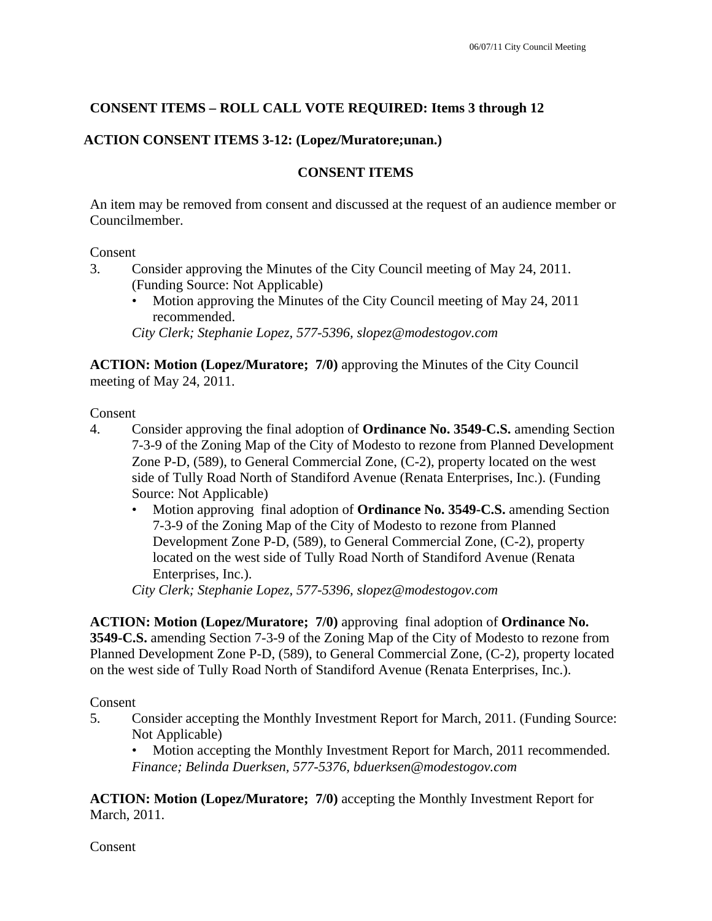# **CONSENT ITEMS – ROLL CALL VOTE REQUIRED: Items 3 through 12**

# **ACTION CONSENT ITEMS 3-12: (Lopez/Muratore;unan.)**

# **CONSENT ITEMS**

An item may be removed from consent and discussed at the request of an audience member or Councilmember.

#### Consent

- 3. Consider approving the Minutes of the City Council meeting of May 24, 2011. (Funding Source: Not Applicable)
	- Motion approving the Minutes of the City Council meeting of May 24, 2011 recommended.

*City Clerk; Stephanie Lopez, 577-5396, slopez@modestogov.com* 

**ACTION: Motion (Lopez/Muratore; 7/0)** approving the Minutes of the City Council meeting of May 24, 2011.

Consent

- 4. Consider approving the final adoption of **Ordinance No. 3549-C.S.** amending Section 7-3-9 of the Zoning Map of the City of Modesto to rezone from Planned Development Zone P-D, (589), to General Commercial Zone, (C-2), property located on the west side of Tully Road North of Standiford Avenue (Renata Enterprises, Inc.). (Funding Source: Not Applicable)
	- Motion approving final adoption of **Ordinance No. 3549-C.S.** amending Section 7-3-9 of the Zoning Map of the City of Modesto to rezone from Planned Development Zone P-D, (589), to General Commercial Zone, (C-2), property located on the west side of Tully Road North of Standiford Avenue (Renata Enterprises, Inc.).

*City Clerk; Stephanie Lopez, 577-5396, slopez@modestogov.com* 

**ACTION: Motion (Lopez/Muratore; 7/0)** approving final adoption of **Ordinance No. 3549-C.S.** amending Section 7-3-9 of the Zoning Map of the City of Modesto to rezone from Planned Development Zone P-D, (589), to General Commercial Zone, (C-2), property located on the west side of Tully Road North of Standiford Avenue (Renata Enterprises, Inc.).

Consent

5. Consider accepting the Monthly Investment Report for March, 2011. (Funding Source: Not Applicable)

• Motion accepting the Monthly Investment Report for March, 2011 recommended. *Finance; Belinda Duerksen, 577-5376, bduerksen@modestogov.com* 

**ACTION: Motion (Lopez/Muratore; 7/0)** accepting the Monthly Investment Report for March, 2011.

**Consent**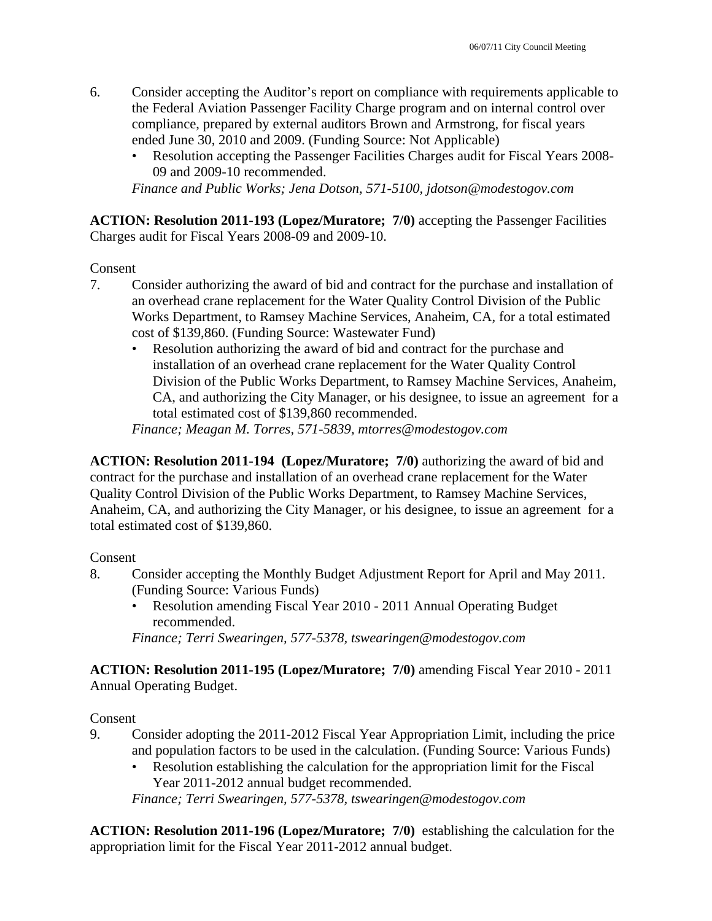- 6. Consider accepting the Auditor's report on compliance with requirements applicable to the Federal Aviation Passenger Facility Charge program and on internal control over compliance, prepared by external auditors Brown and Armstrong, for fiscal years ended June 30, 2010 and 2009. (Funding Source: Not Applicable)
	- Resolution accepting the Passenger Facilities Charges audit for Fiscal Years 2008- 09 and 2009-10 recommended.

*Finance and Public Works; Jena Dotson, 571-5100, jdotson@modestogov.com* 

**ACTION: Resolution 2011-193 (Lopez/Muratore; 7/0)** accepting the Passenger Facilities Charges audit for Fiscal Years 2008-09 and 2009-10.

#### Consent

- 7. Consider authorizing the award of bid and contract for the purchase and installation of an overhead crane replacement for the Water Quality Control Division of the Public Works Department, to Ramsey Machine Services, Anaheim, CA, for a total estimated cost of \$139,860. (Funding Source: Wastewater Fund)
	- Resolution authorizing the award of bid and contract for the purchase and installation of an overhead crane replacement for the Water Quality Control Division of the Public Works Department, to Ramsey Machine Services, Anaheim, CA, and authorizing the City Manager, or his designee, to issue an agreement for a total estimated cost of \$139,860 recommended.

*Finance; Meagan M. Torres, 571-5839, mtorres@modestogov.com* 

**ACTION: Resolution 2011-194 (Lopez/Muratore; 7/0)** authorizing the award of bid and contract for the purchase and installation of an overhead crane replacement for the Water Quality Control Division of the Public Works Department, to Ramsey Machine Services, Anaheim, CA, and authorizing the City Manager, or his designee, to issue an agreement for a total estimated cost of \$139,860.

#### Consent

- 8. Consider accepting the Monthly Budget Adjustment Report for April and May 2011. (Funding Source: Various Funds)
	- Resolution amending Fiscal Year 2010 2011 Annual Operating Budget recommended.

*Finance; Terri Swearingen, 577-5378, tswearingen@modestogov.com* 

**ACTION: Resolution 2011-195 (Lopez/Muratore; 7/0)** amending Fiscal Year 2010 - 2011 Annual Operating Budget.

#### Consent

- 9. Consider adopting the 2011-2012 Fiscal Year Appropriation Limit, including the price and population factors to be used in the calculation. (Funding Source: Various Funds)
	- Resolution establishing the calculation for the appropriation limit for the Fiscal Year 2011-2012 annual budget recommended.

*Finance; Terri Swearingen, 577-5378, tswearingen@modestogov.com* 

**ACTION: Resolution 2011-196 (Lopez/Muratore; 7/0)** establishing the calculation for the appropriation limit for the Fiscal Year 2011-2012 annual budget.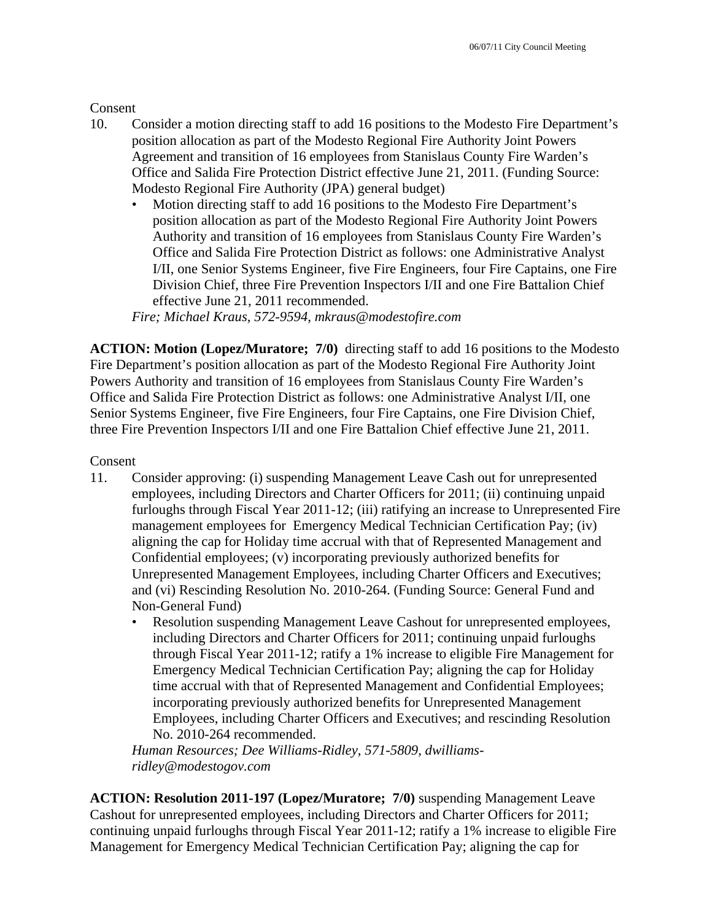#### **Consent**

- 10. Consider a motion directing staff to add 16 positions to the Modesto Fire Department's position allocation as part of the Modesto Regional Fire Authority Joint Powers Agreement and transition of 16 employees from Stanislaus County Fire Warden's Office and Salida Fire Protection District effective June 21, 2011. (Funding Source: Modesto Regional Fire Authority (JPA) general budget)
	- Motion directing staff to add 16 positions to the Modesto Fire Department's position allocation as part of the Modesto Regional Fire Authority Joint Powers Authority and transition of 16 employees from Stanislaus County Fire Warden's Office and Salida Fire Protection District as follows: one Administrative Analyst I/II, one Senior Systems Engineer, five Fire Engineers, four Fire Captains, one Fire Division Chief, three Fire Prevention Inspectors I/II and one Fire Battalion Chief effective June 21, 2011 recommended.

*Fire; Michael Kraus, 572-9594, mkraus@modestofire.com* 

**ACTION: Motion (Lopez/Muratore; 7/0)** directing staff to add 16 positions to the Modesto Fire Department's position allocation as part of the Modesto Regional Fire Authority Joint Powers Authority and transition of 16 employees from Stanislaus County Fire Warden's Office and Salida Fire Protection District as follows: one Administrative Analyst I/II, one Senior Systems Engineer, five Fire Engineers, four Fire Captains, one Fire Division Chief, three Fire Prevention Inspectors I/II and one Fire Battalion Chief effective June 21, 2011.

#### Consent

- 11. Consider approving: (i) suspending Management Leave Cash out for unrepresented employees, including Directors and Charter Officers for 2011; (ii) continuing unpaid furloughs through Fiscal Year 2011-12; (iii) ratifying an increase to Unrepresented Fire management employees for Emergency Medical Technician Certification Pay; (iv) aligning the cap for Holiday time accrual with that of Represented Management and Confidential employees; (v) incorporating previously authorized benefits for Unrepresented Management Employees, including Charter Officers and Executives; and (vi) Rescinding Resolution No. 2010-264. (Funding Source: General Fund and Non-General Fund)
	- Resolution suspending Management Leave Cashout for unrepresented employees, including Directors and Charter Officers for 2011; continuing unpaid furloughs through Fiscal Year 2011-12; ratify a 1% increase to eligible Fire Management for Emergency Medical Technician Certification Pay; aligning the cap for Holiday time accrual with that of Represented Management and Confidential Employees; incorporating previously authorized benefits for Unrepresented Management Employees, including Charter Officers and Executives; and rescinding Resolution No. 2010-264 recommended.

*Human Resources; Dee Williams-Ridley, 571-5809, dwilliamsridley@modestogov.com* 

**ACTION: Resolution 2011-197 (Lopez/Muratore; 7/0)** suspending Management Leave Cashout for unrepresented employees, including Directors and Charter Officers for 2011; continuing unpaid furloughs through Fiscal Year 2011-12; ratify a 1% increase to eligible Fire Management for Emergency Medical Technician Certification Pay; aligning the cap for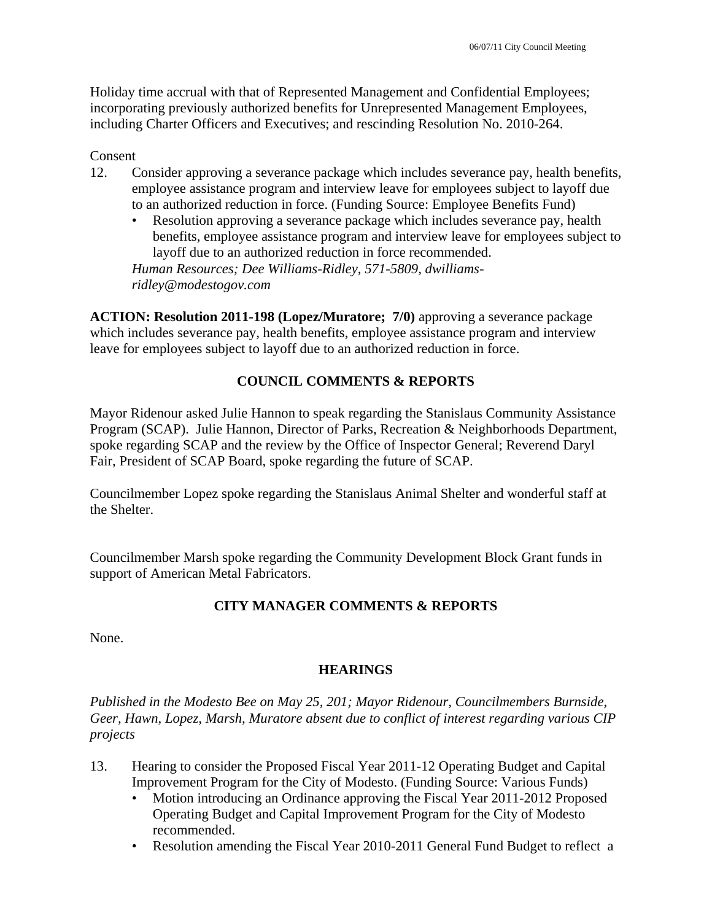Holiday time accrual with that of Represented Management and Confidential Employees; incorporating previously authorized benefits for Unrepresented Management Employees, including Charter Officers and Executives; and rescinding Resolution No. 2010-264.

#### Consent

- 12. Consider approving a severance package which includes severance pay, health benefits, employee assistance program and interview leave for employees subject to layoff due to an authorized reduction in force. (Funding Source: Employee Benefits Fund)
	- Resolution approving a severance package which includes severance pay, health benefits, employee assistance program and interview leave for employees subject to layoff due to an authorized reduction in force recommended.

*Human Resources; Dee Williams-Ridley, 571-5809, dwilliamsridley@modestogov.com* 

**ACTION: Resolution 2011-198 (Lopez/Muratore; 7/0)** approving a severance package which includes severance pay, health benefits, employee assistance program and interview leave for employees subject to layoff due to an authorized reduction in force.

# **COUNCIL COMMENTS & REPORTS**

Mayor Ridenour asked Julie Hannon to speak regarding the Stanislaus Community Assistance Program (SCAP). Julie Hannon, Director of Parks, Recreation & Neighborhoods Department, spoke regarding SCAP and the review by the Office of Inspector General; Reverend Daryl Fair, President of SCAP Board, spoke regarding the future of SCAP.

Councilmember Lopez spoke regarding the Stanislaus Animal Shelter and wonderful staff at the Shelter.

Councilmember Marsh spoke regarding the Community Development Block Grant funds in support of American Metal Fabricators.

# **CITY MANAGER COMMENTS & REPORTS**

None.

#### **HEARINGS**

*Published in the Modesto Bee on May 25, 201; Mayor Ridenour, Councilmembers Burnside, Geer, Hawn, Lopez, Marsh, Muratore absent due to conflict of interest regarding various CIP projects* 

- 13. Hearing to consider the Proposed Fiscal Year 2011-12 Operating Budget and Capital Improvement Program for the City of Modesto. (Funding Source: Various Funds)
	- Motion introducing an Ordinance approving the Fiscal Year 2011-2012 Proposed Operating Budget and Capital Improvement Program for the City of Modesto recommended.
	- Resolution amending the Fiscal Year 2010-2011 General Fund Budget to reflect a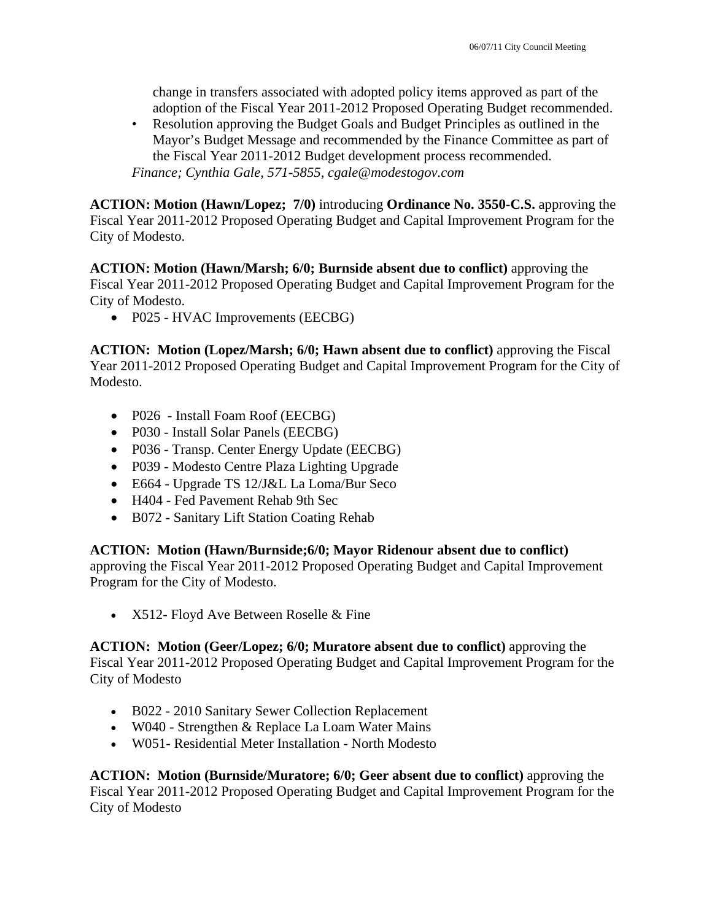change in transfers associated with adopted policy items approved as part of the adoption of the Fiscal Year 2011-2012 Proposed Operating Budget recommended.

• Resolution approving the Budget Goals and Budget Principles as outlined in the Mayor's Budget Message and recommended by the Finance Committee as part of the Fiscal Year 2011-2012 Budget development process recommended. *Finance; Cynthia Gale, 571-5855, cgale@modestogov.com* 

**ACTION: Motion (Hawn/Lopez; 7/0)** introducing **Ordinance No. 3550-C.S.** approving the Fiscal Year 2011-2012 Proposed Operating Budget and Capital Improvement Program for the City of Modesto.

**ACTION: Motion (Hawn/Marsh; 6/0; Burnside absent due to conflict)** approving the Fiscal Year 2011-2012 Proposed Operating Budget and Capital Improvement Program for the City of Modesto.

• P025 - HVAC Improvements (EECBG)

**ACTION: Motion (Lopez/Marsh; 6/0; Hawn absent due to conflict)** approving the Fiscal Year 2011-2012 Proposed Operating Budget and Capital Improvement Program for the City of Modesto.

- P026 Install Foam Roof (EECBG)
- P030 Install Solar Panels (EECBG)
- P036 Transp. Center Energy Update (EECBG)
- P039 Modesto Centre Plaza Lighting Upgrade
- E664 Upgrade TS 12/J&L La Loma/Bur Seco
- H404 Fed Pavement Rehab 9th Sec
- B072 Sanitary Lift Station Coating Rehab

# **ACTION: Motion (Hawn/Burnside;6/0; Mayor Ridenour absent due to conflict)**

approving the Fiscal Year 2011-2012 Proposed Operating Budget and Capital Improvement Program for the City of Modesto.

• X512- Floyd Ave Between Roselle & Fine

**ACTION: Motion (Geer/Lopez; 6/0; Muratore absent due to conflict)** approving the Fiscal Year 2011-2012 Proposed Operating Budget and Capital Improvement Program for the City of Modesto

- B022 2010 Sanitary Sewer Collection Replacement
- W040 Strengthen & Replace La Loam Water Mains
- W051- Residential Meter Installation North Modesto

**ACTION: Motion (Burnside/Muratore; 6/0; Geer absent due to conflict)** approving the Fiscal Year 2011-2012 Proposed Operating Budget and Capital Improvement Program for the City of Modesto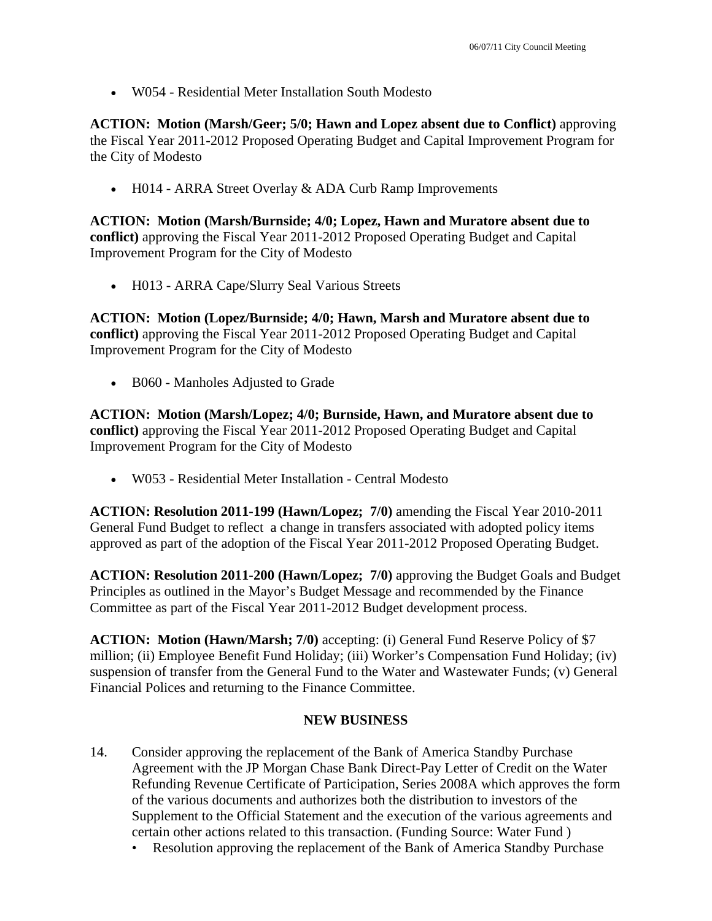W054 - Residential Meter Installation South Modesto

**ACTION: Motion (Marsh/Geer; 5/0; Hawn and Lopez absent due to Conflict)** approving the Fiscal Year 2011-2012 Proposed Operating Budget and Capital Improvement Program for the City of Modesto

• H014 - ARRA Street Overlay & ADA Curb Ramp Improvements

**ACTION: Motion (Marsh/Burnside; 4/0; Lopez, Hawn and Muratore absent due to conflict)** approving the Fiscal Year 2011-2012 Proposed Operating Budget and Capital Improvement Program for the City of Modesto

• H013 - ARRA Cape/Slurry Seal Various Streets

**ACTION: Motion (Lopez/Burnside; 4/0; Hawn, Marsh and Muratore absent due to conflict)** approving the Fiscal Year 2011-2012 Proposed Operating Budget and Capital Improvement Program for the City of Modesto

B060 - Manholes Adjusted to Grade

**ACTION: Motion (Marsh/Lopez; 4/0; Burnside, Hawn, and Muratore absent due to conflict)** approving the Fiscal Year 2011-2012 Proposed Operating Budget and Capital Improvement Program for the City of Modesto

W053 - Residential Meter Installation - Central Modesto

**ACTION: Resolution 2011-199 (Hawn/Lopez; 7/0)** amending the Fiscal Year 2010-2011 General Fund Budget to reflect a change in transfers associated with adopted policy items approved as part of the adoption of the Fiscal Year 2011-2012 Proposed Operating Budget.

**ACTION: Resolution 2011-200 (Hawn/Lopez; 7/0)** approving the Budget Goals and Budget Principles as outlined in the Mayor's Budget Message and recommended by the Finance Committee as part of the Fiscal Year 2011-2012 Budget development process.

**ACTION: Motion (Hawn/Marsh; 7/0)** accepting: (i) General Fund Reserve Policy of \$7 million; (ii) Employee Benefit Fund Holiday; (iii) Worker's Compensation Fund Holiday; (iv) suspension of transfer from the General Fund to the Water and Wastewater Funds; (v) General Financial Polices and returning to the Finance Committee.

# **NEW BUSINESS**

- 14. Consider approving the replacement of the Bank of America Standby Purchase Agreement with the JP Morgan Chase Bank Direct-Pay Letter of Credit on the Water Refunding Revenue Certificate of Participation, Series 2008A which approves the form of the various documents and authorizes both the distribution to investors of the Supplement to the Official Statement and the execution of the various agreements and certain other actions related to this transaction. (Funding Source: Water Fund )
	- Resolution approving the replacement of the Bank of America Standby Purchase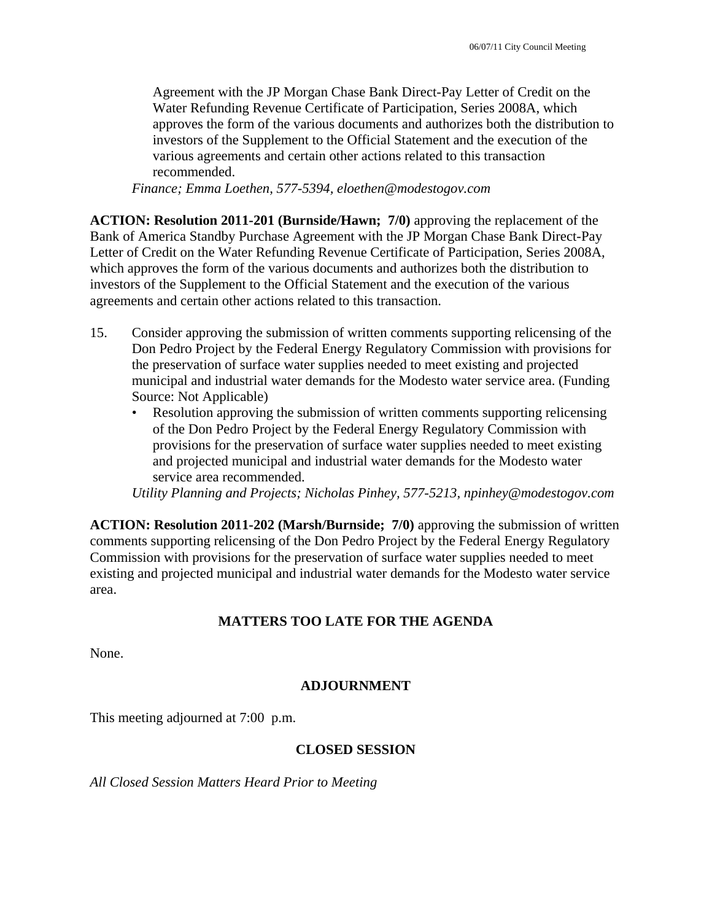Agreement with the JP Morgan Chase Bank Direct-Pay Letter of Credit on the Water Refunding Revenue Certificate of Participation, Series 2008A, which approves the form of the various documents and authorizes both the distribution to investors of the Supplement to the Official Statement and the execution of the various agreements and certain other actions related to this transaction recommended.

*Finance; Emma Loethen, 577-5394, eloethen@modestogov.com* 

**ACTION: Resolution 2011-201 (Burnside/Hawn; 7/0)** approving the replacement of the Bank of America Standby Purchase Agreement with the JP Morgan Chase Bank Direct-Pay Letter of Credit on the Water Refunding Revenue Certificate of Participation, Series 2008A, which approves the form of the various documents and authorizes both the distribution to investors of the Supplement to the Official Statement and the execution of the various agreements and certain other actions related to this transaction.

- 15. Consider approving the submission of written comments supporting relicensing of the Don Pedro Project by the Federal Energy Regulatory Commission with provisions for the preservation of surface water supplies needed to meet existing and projected municipal and industrial water demands for the Modesto water service area. (Funding Source: Not Applicable)
	- Resolution approving the submission of written comments supporting relicensing of the Don Pedro Project by the Federal Energy Regulatory Commission with provisions for the preservation of surface water supplies needed to meet existing and projected municipal and industrial water demands for the Modesto water service area recommended.

*Utility Planning and Projects; Nicholas Pinhey, 577-5213, npinhey@modestogov.com* 

**ACTION: Resolution 2011-202 (Marsh/Burnside; 7/0)** approving the submission of written comments supporting relicensing of the Don Pedro Project by the Federal Energy Regulatory Commission with provisions for the preservation of surface water supplies needed to meet existing and projected municipal and industrial water demands for the Modesto water service area.

# **MATTERS TOO LATE FOR THE AGENDA**

None.

#### **ADJOURNMENT**

This meeting adjourned at 7:00 p.m.

#### **CLOSED SESSION**

*All Closed Session Matters Heard Prior to Meeting*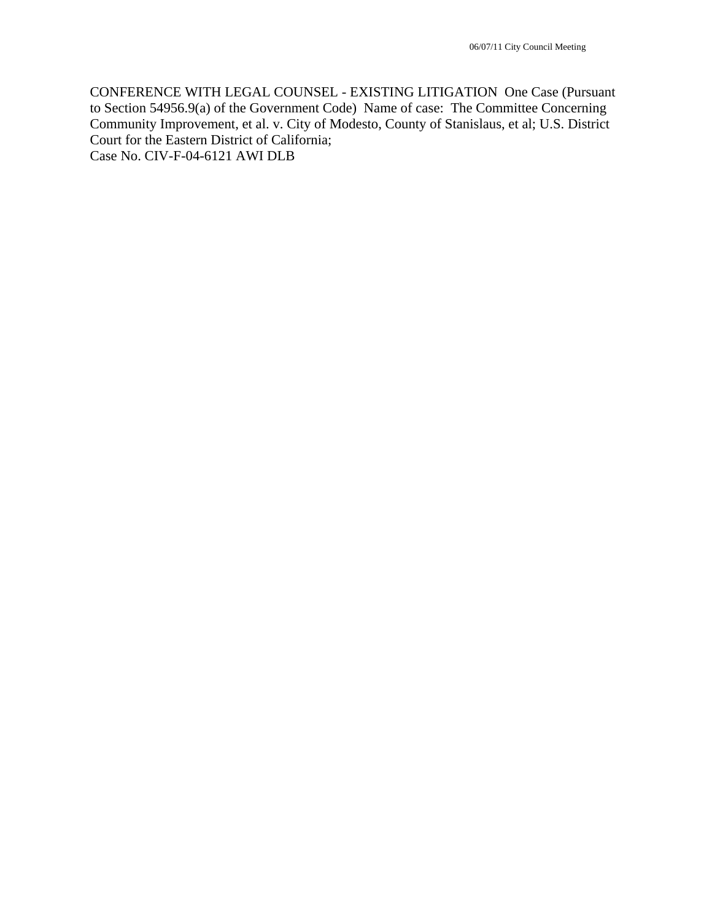CONFERENCE WITH LEGAL COUNSEL - EXISTING LITIGATION One Case (Pursuant to Section 54956.9(a) of the Government Code) Name of case: The Committee Concerning Community Improvement, et al. v. City of Modesto, County of Stanislaus, et al; U.S. District Court for the Eastern District of California; Case No. CIV-F-04-6121 AWI DLB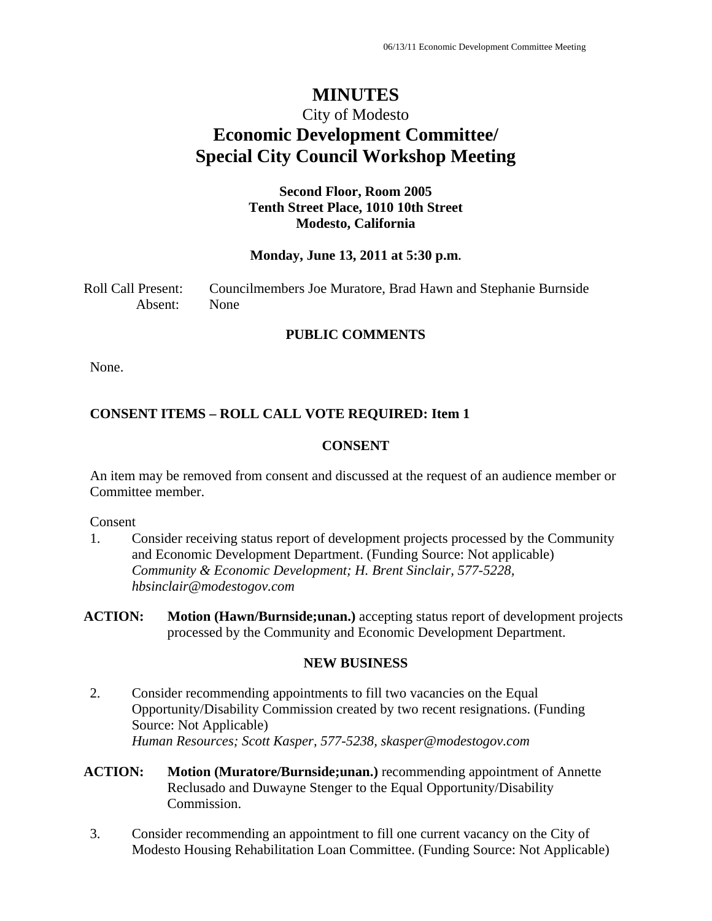# **MINUTES**

# City of Modesto **Economic Development Committee/ Special City Council Workshop Meeting**

# **Second Floor, Room 2005 Tenth Street Place, 1010 10th Street Modesto, California**

#### **Monday, June 13, 2011 at 5:30 p.m.**

Roll Call Present: Councilmembers Joe Muratore, Brad Hawn and Stephanie Burnside Absent: None

#### **PUBLIC COMMENTS**

None.

# **CONSENT ITEMS – ROLL CALL VOTE REQUIRED: Item 1**

#### **CONSENT**

An item may be removed from consent and discussed at the request of an audience member or Committee member.

Consent

1. Consider receiving status report of development projects processed by the Community and Economic Development Department. (Funding Source: Not applicable)  *Community & Economic Development; H. Brent Sinclair, 577-5228, hbsinclair@modestogov.com* 

#### **NEW BUSINESS**

- 2. Consider recommending appointments to fill two vacancies on the Equal Opportunity/Disability Commission created by two recent resignations. (Funding Source: Not Applicable)  *Human Resources; Scott Kasper, 577-5238, skasper@modestogov.com*
- **ACTION: Motion (Muratore/Burnside;unan.)** recommending appointment of Annette Reclusado and Duwayne Stenger to the Equal Opportunity/Disability Commission.
- 3. Consider recommending an appointment to fill one current vacancy on the City of Modesto Housing Rehabilitation Loan Committee. (Funding Source: Not Applicable)

**ACTION: Motion (Hawn/Burnside;unan.)** accepting status report of development projects processed by the Community and Economic Development Department.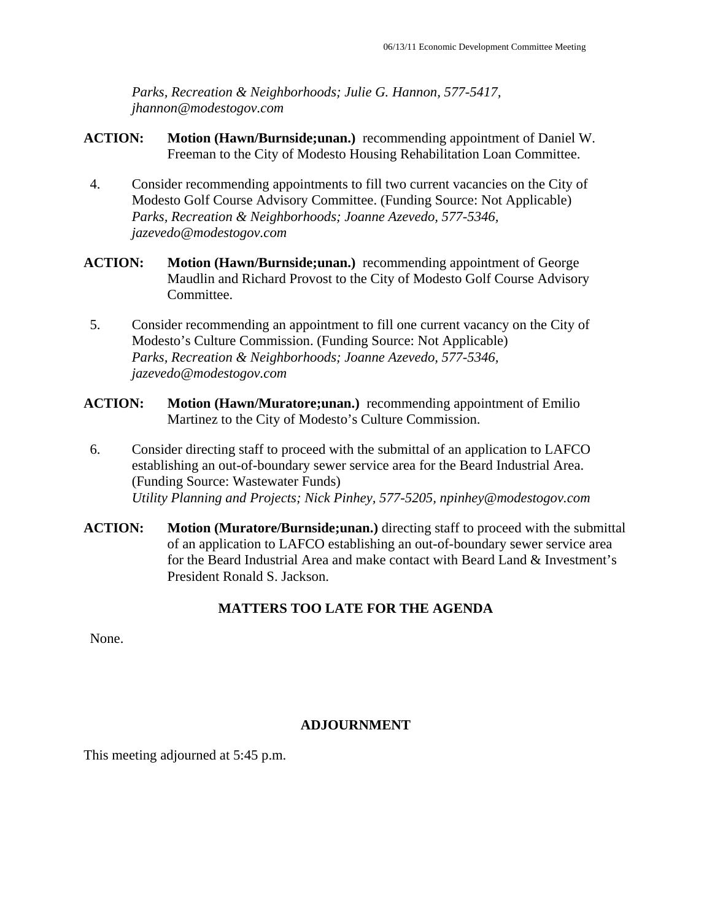*Parks, Recreation & Neighborhoods; Julie G. Hannon, 577-5417, jhannon@modestogov.com* 

- **ACTION: Motion (Hawn/Burnside;unan.)** recommending appointment of Daniel W. Freeman to the City of Modesto Housing Rehabilitation Loan Committee.
- 4. Consider recommending appointments to fill two current vacancies on the City of Modesto Golf Course Advisory Committee. (Funding Source: Not Applicable)  *Parks, Recreation & Neighborhoods; Joanne Azevedo, 577-5346, jazevedo@modestogov.com*
- **ACTION: Motion (Hawn/Burnside;unan.)** recommending appointment of George Maudlin and Richard Provost to the City of Modesto Golf Course Advisory Committee.
- 5. Consider recommending an appointment to fill one current vacancy on the City of Modesto's Culture Commission. (Funding Source: Not Applicable)  *Parks, Recreation & Neighborhoods; Joanne Azevedo, 577-5346, jazevedo@modestogov.com*
- **ACTION: Motion (Hawn/Muratore;unan.)** recommending appointment of Emilio Martinez to the City of Modesto's Culture Commission.
- 6. Consider directing staff to proceed with the submittal of an application to LAFCO establishing an out-of-boundary sewer service area for the Beard Industrial Area. (Funding Source: Wastewater Funds)  *Utility Planning and Projects; Nick Pinhey, 577-5205, npinhey@modestogov.com*
- **ACTION:** Motion (Muratore/Burnside;unan.) directing staff to proceed with the submittal of an application to LAFCO establishing an out-of-boundary sewer service area for the Beard Industrial Area and make contact with Beard Land & Investment's President Ronald S. Jackson.

# **MATTERS TOO LATE FOR THE AGENDA**

None.

# **ADJOURNMENT**

This meeting adjourned at 5:45 p.m.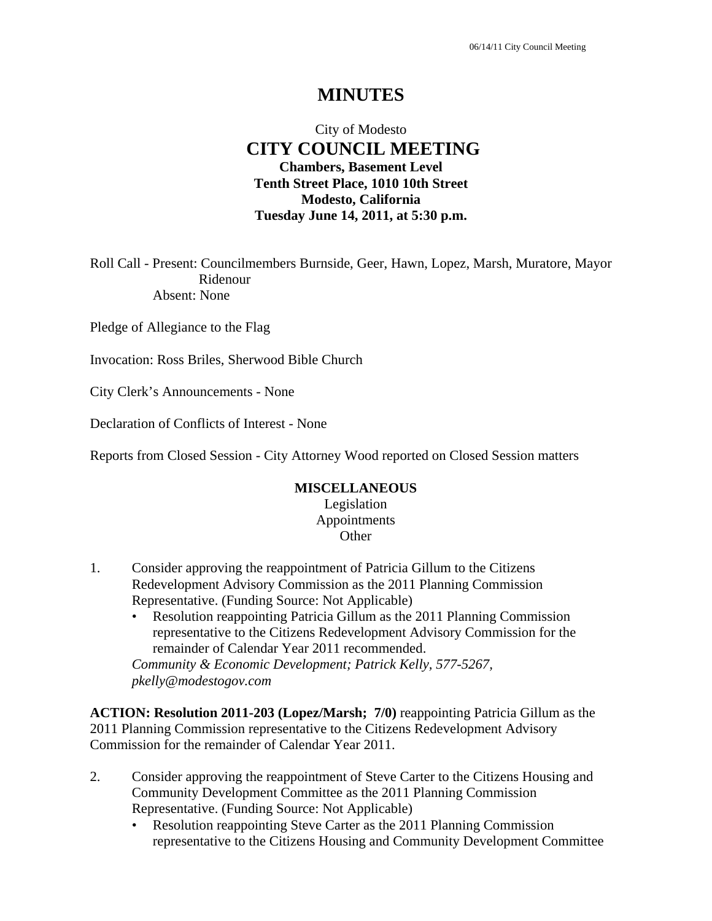# **MINUTES**

# City of Modesto  **CITY COUNCIL MEETING Chambers, Basement Level Tenth Street Place, 1010 10th Street Modesto, California Tuesday June 14, 2011, at 5:30 p.m.**

Roll Call - Present: Councilmembers Burnside, Geer, Hawn, Lopez, Marsh, Muratore, Mayor Ridenour Absent: None

Pledge of Allegiance to the Flag

Invocation: Ross Briles, Sherwood Bible Church

City Clerk's Announcements - None

Declaration of Conflicts of Interest - None

Reports from Closed Session - City Attorney Wood reported on Closed Session matters

#### **MISCELLANEOUS**

Legislation Appointments **Other** 

- 1. Consider approving the reappointment of Patricia Gillum to the Citizens Redevelopment Advisory Commission as the 2011 Planning Commission Representative. (Funding Source: Not Applicable)
	- Resolution reappointing Patricia Gillum as the 2011 Planning Commission representative to the Citizens Redevelopment Advisory Commission for the remainder of Calendar Year 2011 recommended.

*Community & Economic Development; Patrick Kelly, 577-5267, pkelly@modestogov.com* 

**ACTION: Resolution 2011-203 (Lopez/Marsh; 7/0)** reappointing Patricia Gillum as the 2011 Planning Commission representative to the Citizens Redevelopment Advisory Commission for the remainder of Calendar Year 2011.

- 2. Consider approving the reappointment of Steve Carter to the Citizens Housing and Community Development Committee as the 2011 Planning Commission Representative. (Funding Source: Not Applicable)
	- Resolution reappointing Steve Carter as the 2011 Planning Commission representative to the Citizens Housing and Community Development Committee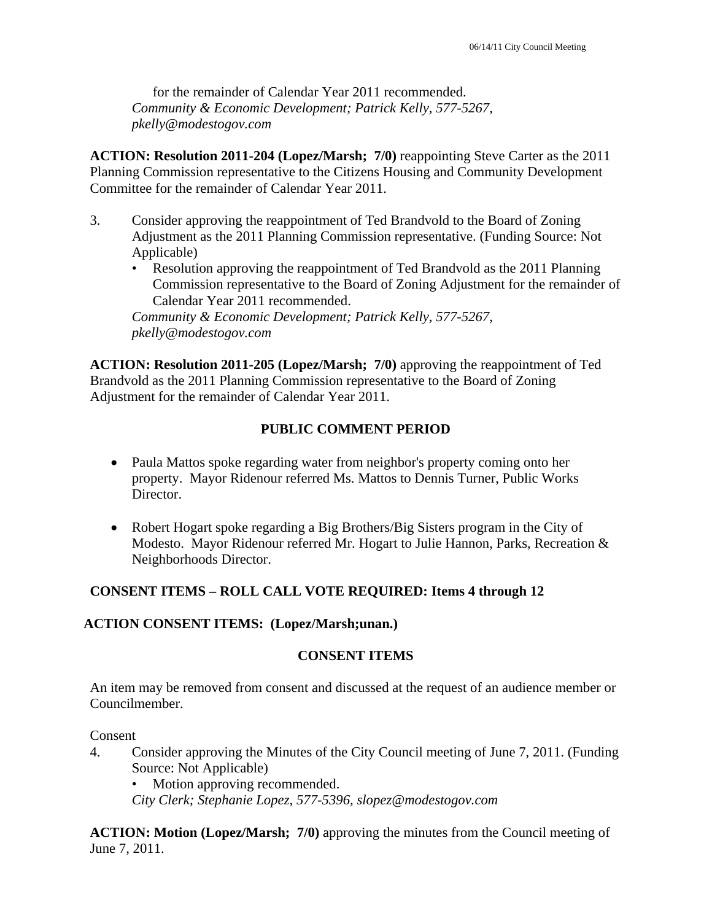for the remainder of Calendar Year 2011 recommended. *Community & Economic Development; Patrick Kelly, 577-5267, pkelly@modestogov.com* 

**ACTION: Resolution 2011-204 (Lopez/Marsh; 7/0)** reappointing Steve Carter as the 2011 Planning Commission representative to the Citizens Housing and Community Development Committee for the remainder of Calendar Year 2011.

- 3. Consider approving the reappointment of Ted Brandvold to the Board of Zoning Adjustment as the 2011 Planning Commission representative. (Funding Source: Not Applicable)
	- Resolution approving the reappointment of Ted Brandvold as the 2011 Planning Commission representative to the Board of Zoning Adjustment for the remainder of Calendar Year 2011 recommended.

*Community & Economic Development; Patrick Kelly, 577-5267, pkelly@modestogov.com* 

**ACTION: Resolution 2011-205 (Lopez/Marsh; 7/0)** approving the reappointment of Ted Brandvold as the 2011 Planning Commission representative to the Board of Zoning Adjustment for the remainder of Calendar Year 2011.

# **PUBLIC COMMENT PERIOD**

- Paula Mattos spoke regarding water from neighbor's property coming onto her property. Mayor Ridenour referred Ms. Mattos to Dennis Turner, Public Works Director.
- Robert Hogart spoke regarding a Big Brothers/Big Sisters program in the City of Modesto. Mayor Ridenour referred Mr. Hogart to Julie Hannon, Parks, Recreation & Neighborhoods Director.

# **CONSENT ITEMS – ROLL CALL VOTE REQUIRED: Items 4 through 12**

# **ACTION CONSENT ITEMS: (Lopez/Marsh;unan.)**

# **CONSENT ITEMS**

An item may be removed from consent and discussed at the request of an audience member or Councilmember.

Consent

4. Consider approving the Minutes of the City Council meeting of June 7, 2011. (Funding Source: Not Applicable)

Motion approving recommended.

*City Clerk; Stephanie Lopez, 577-5396, slopez@modestogov.com* 

**ACTION: Motion (Lopez/Marsh; 7/0)** approving the minutes from the Council meeting of June 7, 2011.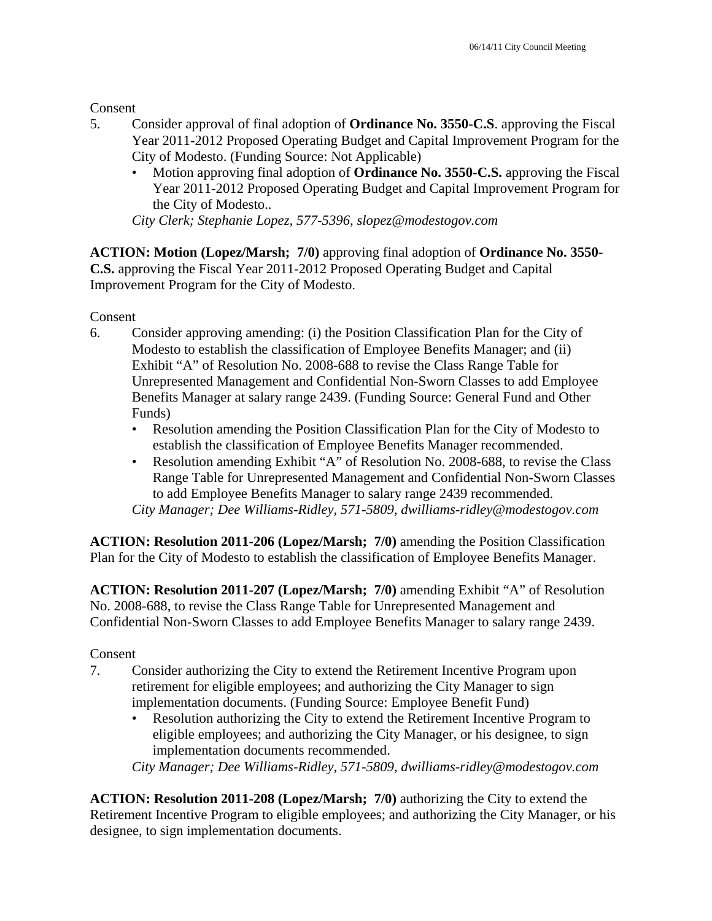**Consent** 

- 5. Consider approval of final adoption of **Ordinance No. 3550-C.S**. approving the Fiscal Year 2011-2012 Proposed Operating Budget and Capital Improvement Program for the City of Modesto. (Funding Source: Not Applicable)
	- Motion approving final adoption of **Ordinance No. 3550-C.S.** approving the Fiscal Year 2011-2012 Proposed Operating Budget and Capital Improvement Program for the City of Modesto..

*City Clerk; Stephanie Lopez, 577-5396, slopez@modestogov.com* 

**ACTION: Motion (Lopez/Marsh; 7/0)** approving final adoption of **Ordinance No. 3550- C.S.** approving the Fiscal Year 2011-2012 Proposed Operating Budget and Capital Improvement Program for the City of Modesto.

Consent

- 6. Consider approving amending: (i) the Position Classification Plan for the City of Modesto to establish the classification of Employee Benefits Manager; and (ii) Exhibit "A" of Resolution No. 2008-688 to revise the Class Range Table for Unrepresented Management and Confidential Non-Sworn Classes to add Employee Benefits Manager at salary range 2439. (Funding Source: General Fund and Other Funds)
	- Resolution amending the Position Classification Plan for the City of Modesto to establish the classification of Employee Benefits Manager recommended.
	- Resolution amending Exhibit "A" of Resolution No. 2008-688, to revise the Class Range Table for Unrepresented Management and Confidential Non-Sworn Classes to add Employee Benefits Manager to salary range 2439 recommended. *City Manager; Dee Williams-Ridley, 571-5809, dwilliams-ridley@modestogov.com*

**ACTION: Resolution 2011-206 (Lopez/Marsh; 7/0)** amending the Position Classification Plan for the City of Modesto to establish the classification of Employee Benefits Manager.

**ACTION: Resolution 2011-207 (Lopez/Marsh; 7/0)** amending Exhibit "A" of Resolution No. 2008-688, to revise the Class Range Table for Unrepresented Management and Confidential Non-Sworn Classes to add Employee Benefits Manager to salary range 2439.

# Consent

- 7. Consider authorizing the City to extend the Retirement Incentive Program upon retirement for eligible employees; and authorizing the City Manager to sign implementation documents. (Funding Source: Employee Benefit Fund)
	- Resolution authorizing the City to extend the Retirement Incentive Program to eligible employees; and authorizing the City Manager, or his designee, to sign implementation documents recommended.

*City Manager; Dee Williams-Ridley, 571-5809, dwilliams-ridley@modestogov.com* 

**ACTION: Resolution 2011-208 (Lopez/Marsh; 7/0)** authorizing the City to extend the Retirement Incentive Program to eligible employees; and authorizing the City Manager, or his designee, to sign implementation documents.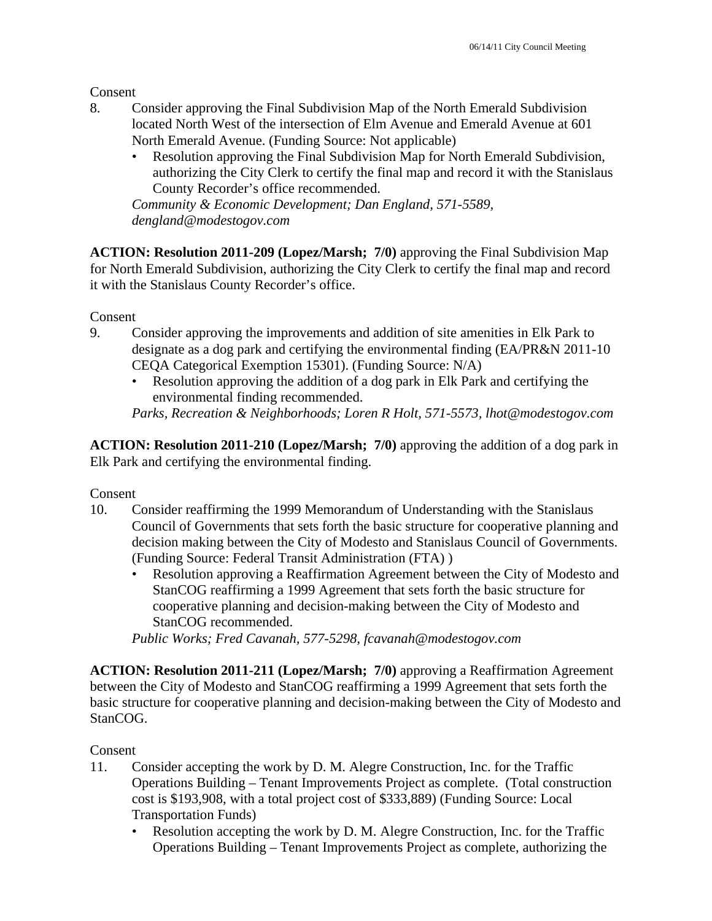Consent

- 8. Consider approving the Final Subdivision Map of the North Emerald Subdivision located North West of the intersection of Elm Avenue and Emerald Avenue at 601 North Emerald Avenue. (Funding Source: Not applicable)
	- Resolution approving the Final Subdivision Map for North Emerald Subdivision, authorizing the City Clerk to certify the final map and record it with the Stanislaus County Recorder's office recommended.

*Community & Economic Development; Dan England, 571-5589, dengland@modestogov.com* 

**ACTION: Resolution 2011-209 (Lopez/Marsh; 7/0)** approving the Final Subdivision Map for North Emerald Subdivision, authorizing the City Clerk to certify the final map and record it with the Stanislaus County Recorder's office.

Consent

- 9. Consider approving the improvements and addition of site amenities in Elk Park to designate as a dog park and certifying the environmental finding (EA/PR&N 2011-10 CEQA Categorical Exemption 15301). (Funding Source: N/A)
	- Resolution approving the addition of a dog park in Elk Park and certifying the environmental finding recommended.

*Parks, Recreation & Neighborhoods; Loren R Holt, 571-5573, lhot@modestogov.com* 

**ACTION: Resolution 2011-210 (Lopez/Marsh; 7/0)** approving the addition of a dog park in Elk Park and certifying the environmental finding.

Consent

- 10. Consider reaffirming the 1999 Memorandum of Understanding with the Stanislaus Council of Governments that sets forth the basic structure for cooperative planning and decision making between the City of Modesto and Stanislaus Council of Governments. (Funding Source: Federal Transit Administration (FTA) )
	- Resolution approving a Reaffirmation Agreement between the City of Modesto and StanCOG reaffirming a 1999 Agreement that sets forth the basic structure for cooperative planning and decision-making between the City of Modesto and StanCOG recommended.

*Public Works; Fred Cavanah, 577-5298, fcavanah@modestogov.com* 

**ACTION: Resolution 2011-211 (Lopez/Marsh; 7/0)** approving a Reaffirmation Agreement between the City of Modesto and StanCOG reaffirming a 1999 Agreement that sets forth the basic structure for cooperative planning and decision-making between the City of Modesto and StanCOG.

#### Consent

- 11. Consider accepting the work by D. M. Alegre Construction, Inc. for the Traffic Operations Building – Tenant Improvements Project as complete. (Total construction cost is \$193,908, with a total project cost of \$333,889) (Funding Source: Local Transportation Funds)
	- Resolution accepting the work by D. M. Alegre Construction, Inc. for the Traffic Operations Building – Tenant Improvements Project as complete, authorizing the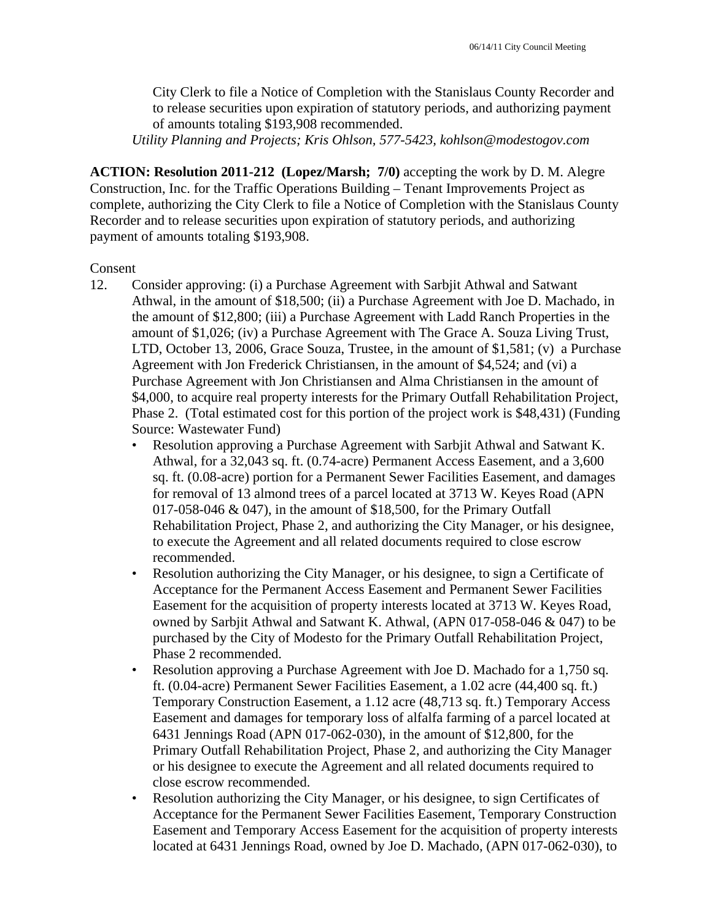City Clerk to file a Notice of Completion with the Stanislaus County Recorder and to release securities upon expiration of statutory periods, and authorizing payment of amounts totaling \$193,908 recommended.

*Utility Planning and Projects; Kris Ohlson, 577-5423, kohlson@modestogov.com* 

**ACTION: Resolution 2011-212 (Lopez/Marsh; 7/0)** accepting the work by D. M. Alegre Construction, Inc. for the Traffic Operations Building – Tenant Improvements Project as complete, authorizing the City Clerk to file a Notice of Completion with the Stanislaus County Recorder and to release securities upon expiration of statutory periods, and authorizing payment of amounts totaling \$193,908.

#### Consent

- 12. Consider approving: (i) a Purchase Agreement with Sarbjit Athwal and Satwant Athwal, in the amount of \$18,500; (ii) a Purchase Agreement with Joe D. Machado, in the amount of \$12,800; (iii) a Purchase Agreement with Ladd Ranch Properties in the amount of \$1,026; (iv) a Purchase Agreement with The Grace A. Souza Living Trust, LTD, October 13, 2006, Grace Souza, Trustee, in the amount of \$1,581; (v) a Purchase Agreement with Jon Frederick Christiansen, in the amount of \$4,524; and (vi) a Purchase Agreement with Jon Christiansen and Alma Christiansen in the amount of \$4,000, to acquire real property interests for the Primary Outfall Rehabilitation Project, Phase 2. (Total estimated cost for this portion of the project work is \$48,431) (Funding Source: Wastewater Fund)
	- Resolution approving a Purchase Agreement with Sarbjit Athwal and Satwant K. Athwal, for a 32,043 sq. ft. (0.74-acre) Permanent Access Easement, and a 3,600 sq. ft. (0.08-acre) portion for a Permanent Sewer Facilities Easement, and damages for removal of 13 almond trees of a parcel located at 3713 W. Keyes Road (APN 017-058-046 & 047), in the amount of \$18,500, for the Primary Outfall Rehabilitation Project, Phase 2, and authorizing the City Manager, or his designee, to execute the Agreement and all related documents required to close escrow recommended.
	- Resolution authorizing the City Manager, or his designee, to sign a Certificate of Acceptance for the Permanent Access Easement and Permanent Sewer Facilities Easement for the acquisition of property interests located at 3713 W. Keyes Road, owned by Sarbjit Athwal and Satwant K. Athwal, (APN 017-058-046 & 047) to be purchased by the City of Modesto for the Primary Outfall Rehabilitation Project, Phase 2 recommended.
	- Resolution approving a Purchase Agreement with Joe D. Machado for a 1,750 sq. ft. (0.04-acre) Permanent Sewer Facilities Easement, a 1.02 acre (44,400 sq. ft.) Temporary Construction Easement, a 1.12 acre (48,713 sq. ft.) Temporary Access Easement and damages for temporary loss of alfalfa farming of a parcel located at 6431 Jennings Road (APN 017-062-030), in the amount of \$12,800, for the Primary Outfall Rehabilitation Project, Phase 2, and authorizing the City Manager or his designee to execute the Agreement and all related documents required to close escrow recommended.
	- Resolution authorizing the City Manager, or his designee, to sign Certificates of Acceptance for the Permanent Sewer Facilities Easement, Temporary Construction Easement and Temporary Access Easement for the acquisition of property interests located at 6431 Jennings Road, owned by Joe D. Machado, (APN 017-062-030), to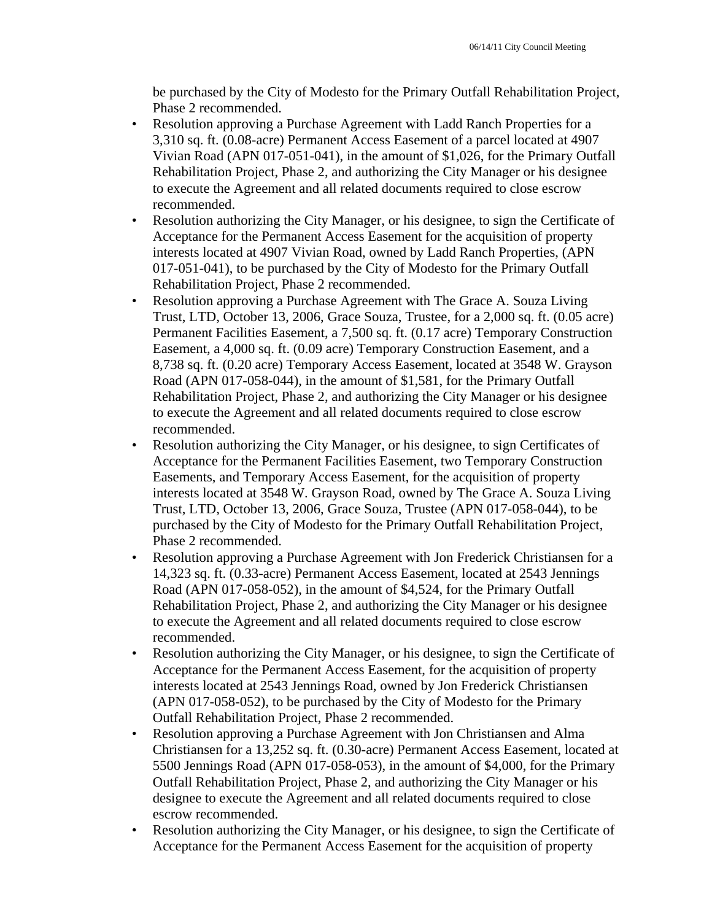be purchased by the City of Modesto for the Primary Outfall Rehabilitation Project, Phase 2 recommended.

- Resolution approving a Purchase Agreement with Ladd Ranch Properties for a 3,310 sq. ft. (0.08-acre) Permanent Access Easement of a parcel located at 4907 Vivian Road (APN 017-051-041), in the amount of \$1,026, for the Primary Outfall Rehabilitation Project, Phase 2, and authorizing the City Manager or his designee to execute the Agreement and all related documents required to close escrow recommended.
- Resolution authorizing the City Manager, or his designee, to sign the Certificate of Acceptance for the Permanent Access Easement for the acquisition of property interests located at 4907 Vivian Road, owned by Ladd Ranch Properties, (APN 017-051-041), to be purchased by the City of Modesto for the Primary Outfall Rehabilitation Project, Phase 2 recommended.
- Resolution approving a Purchase Agreement with The Grace A. Souza Living Trust, LTD, October 13, 2006, Grace Souza, Trustee, for a 2,000 sq. ft. (0.05 acre) Permanent Facilities Easement, a 7,500 sq. ft. (0.17 acre) Temporary Construction Easement, a 4,000 sq. ft. (0.09 acre) Temporary Construction Easement, and a 8,738 sq. ft. (0.20 acre) Temporary Access Easement, located at 3548 W. Grayson Road (APN 017-058-044), in the amount of \$1,581, for the Primary Outfall Rehabilitation Project, Phase 2, and authorizing the City Manager or his designee to execute the Agreement and all related documents required to close escrow recommended.
- Resolution authorizing the City Manager, or his designee, to sign Certificates of Acceptance for the Permanent Facilities Easement, two Temporary Construction Easements, and Temporary Access Easement, for the acquisition of property interests located at 3548 W. Grayson Road, owned by The Grace A. Souza Living Trust, LTD, October 13, 2006, Grace Souza, Trustee (APN 017-058-044), to be purchased by the City of Modesto for the Primary Outfall Rehabilitation Project, Phase 2 recommended.
- Resolution approving a Purchase Agreement with Jon Frederick Christiansen for a 14,323 sq. ft. (0.33-acre) Permanent Access Easement, located at 2543 Jennings Road (APN 017-058-052), in the amount of \$4,524, for the Primary Outfall Rehabilitation Project, Phase 2, and authorizing the City Manager or his designee to execute the Agreement and all related documents required to close escrow recommended.
- Resolution authorizing the City Manager, or his designee, to sign the Certificate of Acceptance for the Permanent Access Easement, for the acquisition of property interests located at 2543 Jennings Road, owned by Jon Frederick Christiansen (APN 017-058-052), to be purchased by the City of Modesto for the Primary Outfall Rehabilitation Project, Phase 2 recommended.
- Resolution approving a Purchase Agreement with Jon Christiansen and Alma Christiansen for a 13,252 sq. ft. (0.30-acre) Permanent Access Easement, located at 5500 Jennings Road (APN 017-058-053), in the amount of \$4,000, for the Primary Outfall Rehabilitation Project, Phase 2, and authorizing the City Manager or his designee to execute the Agreement and all related documents required to close escrow recommended.
- Resolution authorizing the City Manager, or his designee, to sign the Certificate of Acceptance for the Permanent Access Easement for the acquisition of property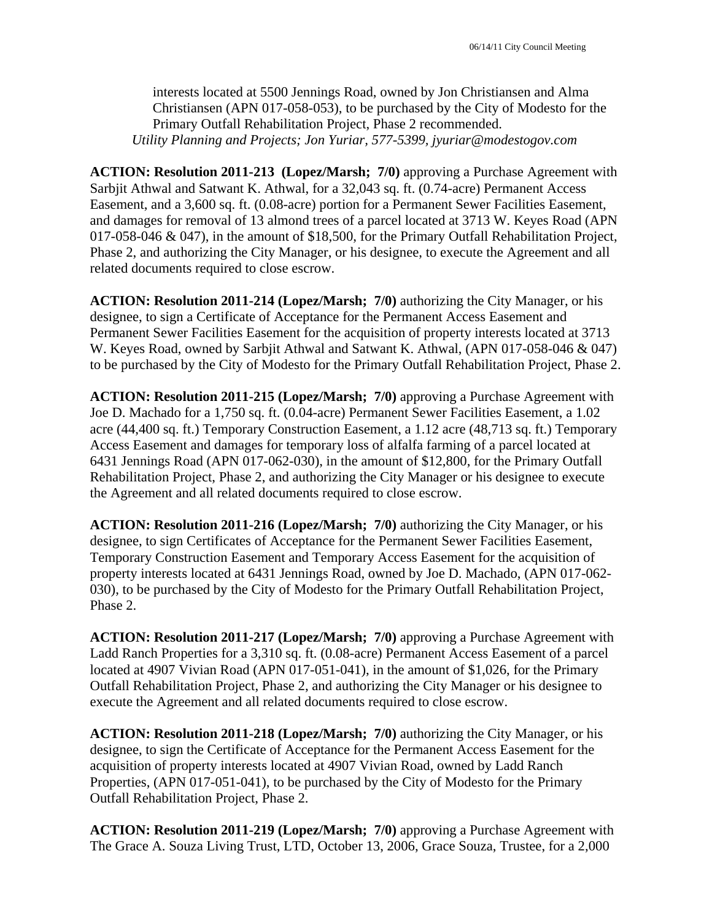interests located at 5500 Jennings Road, owned by Jon Christiansen and Alma Christiansen (APN 017-058-053), to be purchased by the City of Modesto for the Primary Outfall Rehabilitation Project, Phase 2 recommended. *Utility Planning and Projects; Jon Yuriar, 577-5399, jyuriar@modestogov.com* 

**ACTION: Resolution 2011-213 (Lopez/Marsh; 7/0)** approving a Purchase Agreement with Sarbjit Athwal and Satwant K. Athwal, for a 32,043 sq. ft. (0.74-acre) Permanent Access Easement, and a 3,600 sq. ft. (0.08-acre) portion for a Permanent Sewer Facilities Easement, and damages for removal of 13 almond trees of a parcel located at 3713 W. Keyes Road (APN 017-058-046 & 047), in the amount of \$18,500, for the Primary Outfall Rehabilitation Project, Phase 2, and authorizing the City Manager, or his designee, to execute the Agreement and all related documents required to close escrow.

**ACTION: Resolution 2011-214 (Lopez/Marsh; 7/0)** authorizing the City Manager, or his designee, to sign a Certificate of Acceptance for the Permanent Access Easement and Permanent Sewer Facilities Easement for the acquisition of property interests located at 3713 W. Keyes Road, owned by Sarbjit Athwal and Satwant K. Athwal, (APN 017-058-046 & 047) to be purchased by the City of Modesto for the Primary Outfall Rehabilitation Project, Phase 2.

**ACTION: Resolution 2011-215 (Lopez/Marsh; 7/0)** approving a Purchase Agreement with Joe D. Machado for a 1,750 sq. ft. (0.04-acre) Permanent Sewer Facilities Easement, a 1.02 acre (44,400 sq. ft.) Temporary Construction Easement, a 1.12 acre (48,713 sq. ft.) Temporary Access Easement and damages for temporary loss of alfalfa farming of a parcel located at 6431 Jennings Road (APN 017-062-030), in the amount of \$12,800, for the Primary Outfall Rehabilitation Project, Phase 2, and authorizing the City Manager or his designee to execute the Agreement and all related documents required to close escrow.

**ACTION: Resolution 2011-216 (Lopez/Marsh; 7/0)** authorizing the City Manager, or his designee, to sign Certificates of Acceptance for the Permanent Sewer Facilities Easement, Temporary Construction Easement and Temporary Access Easement for the acquisition of property interests located at 6431 Jennings Road, owned by Joe D. Machado, (APN 017-062- 030), to be purchased by the City of Modesto for the Primary Outfall Rehabilitation Project, Phase 2.

**ACTION: Resolution 2011-217 (Lopez/Marsh; 7/0)** approving a Purchase Agreement with Ladd Ranch Properties for a 3,310 sq. ft. (0.08-acre) Permanent Access Easement of a parcel located at 4907 Vivian Road (APN 017-051-041), in the amount of \$1,026, for the Primary Outfall Rehabilitation Project, Phase 2, and authorizing the City Manager or his designee to execute the Agreement and all related documents required to close escrow.

**ACTION: Resolution 2011-218 (Lopez/Marsh; 7/0)** authorizing the City Manager, or his designee, to sign the Certificate of Acceptance for the Permanent Access Easement for the acquisition of property interests located at 4907 Vivian Road, owned by Ladd Ranch Properties, (APN 017-051-041), to be purchased by the City of Modesto for the Primary Outfall Rehabilitation Project, Phase 2.

**ACTION: Resolution 2011-219 (Lopez/Marsh; 7/0)** approving a Purchase Agreement with The Grace A. Souza Living Trust, LTD, October 13, 2006, Grace Souza, Trustee, for a 2,000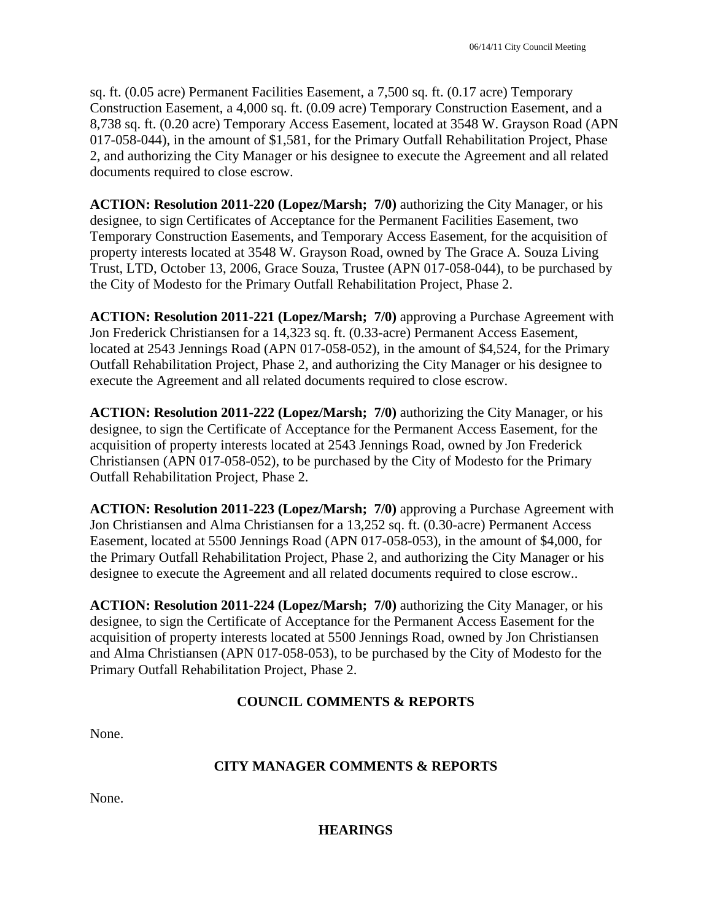sq. ft. (0.05 acre) Permanent Facilities Easement, a 7,500 sq. ft. (0.17 acre) Temporary Construction Easement, a 4,000 sq. ft. (0.09 acre) Temporary Construction Easement, and a 8,738 sq. ft. (0.20 acre) Temporary Access Easement, located at 3548 W. Grayson Road (APN 017-058-044), in the amount of \$1,581, for the Primary Outfall Rehabilitation Project, Phase 2, and authorizing the City Manager or his designee to execute the Agreement and all related documents required to close escrow.

**ACTION: Resolution 2011-220 (Lopez/Marsh; 7/0)** authorizing the City Manager, or his designee, to sign Certificates of Acceptance for the Permanent Facilities Easement, two Temporary Construction Easements, and Temporary Access Easement, for the acquisition of property interests located at 3548 W. Grayson Road, owned by The Grace A. Souza Living Trust, LTD, October 13, 2006, Grace Souza, Trustee (APN 017-058-044), to be purchased by the City of Modesto for the Primary Outfall Rehabilitation Project, Phase 2.

**ACTION: Resolution 2011-221 (Lopez/Marsh; 7/0)** approving a Purchase Agreement with Jon Frederick Christiansen for a 14,323 sq. ft. (0.33-acre) Permanent Access Easement, located at 2543 Jennings Road (APN 017-058-052), in the amount of \$4,524, for the Primary Outfall Rehabilitation Project, Phase 2, and authorizing the City Manager or his designee to execute the Agreement and all related documents required to close escrow.

**ACTION: Resolution 2011-222 (Lopez/Marsh; 7/0)** authorizing the City Manager, or his designee, to sign the Certificate of Acceptance for the Permanent Access Easement, for the acquisition of property interests located at 2543 Jennings Road, owned by Jon Frederick Christiansen (APN 017-058-052), to be purchased by the City of Modesto for the Primary Outfall Rehabilitation Project, Phase 2.

**ACTION: Resolution 2011-223 (Lopez/Marsh; 7/0)** approving a Purchase Agreement with Jon Christiansen and Alma Christiansen for a 13,252 sq. ft. (0.30-acre) Permanent Access Easement, located at 5500 Jennings Road (APN 017-058-053), in the amount of \$4,000, for the Primary Outfall Rehabilitation Project, Phase 2, and authorizing the City Manager or his designee to execute the Agreement and all related documents required to close escrow..

**ACTION: Resolution 2011-224 (Lopez/Marsh; 7/0)** authorizing the City Manager, or his designee, to sign the Certificate of Acceptance for the Permanent Access Easement for the acquisition of property interests located at 5500 Jennings Road, owned by Jon Christiansen and Alma Christiansen (APN 017-058-053), to be purchased by the City of Modesto for the Primary Outfall Rehabilitation Project, Phase 2.

# **COUNCIL COMMENTS & REPORTS**

None.

# **CITY MANAGER COMMENTS & REPORTS**

None.

**HEARINGS**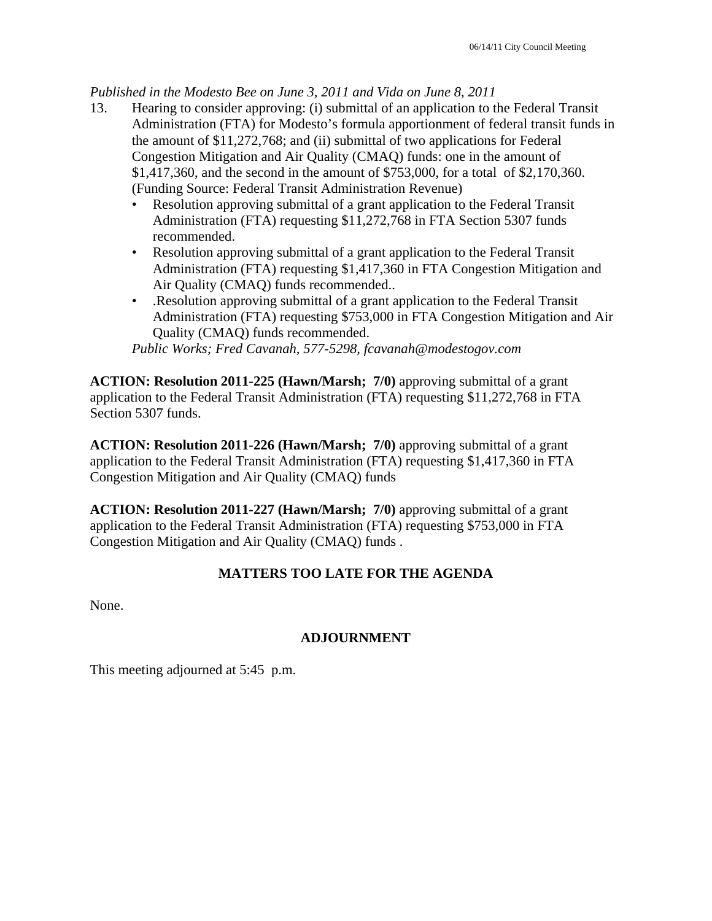*Published in the Modesto Bee on June 3, 2011 and Vida on June 8, 2011* 

- 13. Hearing to consider approving: (i) submittal of an application to the Federal Transit Administration (FTA) for Modesto's formula apportionment of federal transit funds in the amount of \$11,272,768; and (ii) submittal of two applications for Federal Congestion Mitigation and Air Quality (CMAQ) funds: one in the amount of \$1,417,360, and the second in the amount of \$753,000, for a total of \$2,170,360. (Funding Source: Federal Transit Administration Revenue)
	- Resolution approving submittal of a grant application to the Federal Transit Administration (FTA) requesting \$11,272,768 in FTA Section 5307 funds recommended.
	- Resolution approving submittal of a grant application to the Federal Transit Administration (FTA) requesting \$1,417,360 in FTA Congestion Mitigation and Air Quality (CMAQ) funds recommended..
	- .Resolution approving submittal of a grant application to the Federal Transit Administration (FTA) requesting \$753,000 in FTA Congestion Mitigation and Air Quality (CMAQ) funds recommended.

*Public Works; Fred Cavanah, 577-5298, fcavanah@modestogov.com* 

**ACTION: Resolution 2011-225 (Hawn/Marsh; 7/0)** approving submittal of a grant application to the Federal Transit Administration (FTA) requesting \$11,272,768 in FTA Section 5307 funds.

**ACTION: Resolution 2011-226 (Hawn/Marsh; 7/0)** approving submittal of a grant application to the Federal Transit Administration (FTA) requesting \$1,417,360 in FTA Congestion Mitigation and Air Quality (CMAQ) funds

**ACTION: Resolution 2011-227 (Hawn/Marsh; 7/0)** approving submittal of a grant application to the Federal Transit Administration (FTA) requesting \$753,000 in FTA Congestion Mitigation and Air Quality (CMAQ) funds .

# **MATTERS TOO LATE FOR THE AGENDA**

None.

# **ADJOURNMENT**

This meeting adjourned at 5:45 p.m.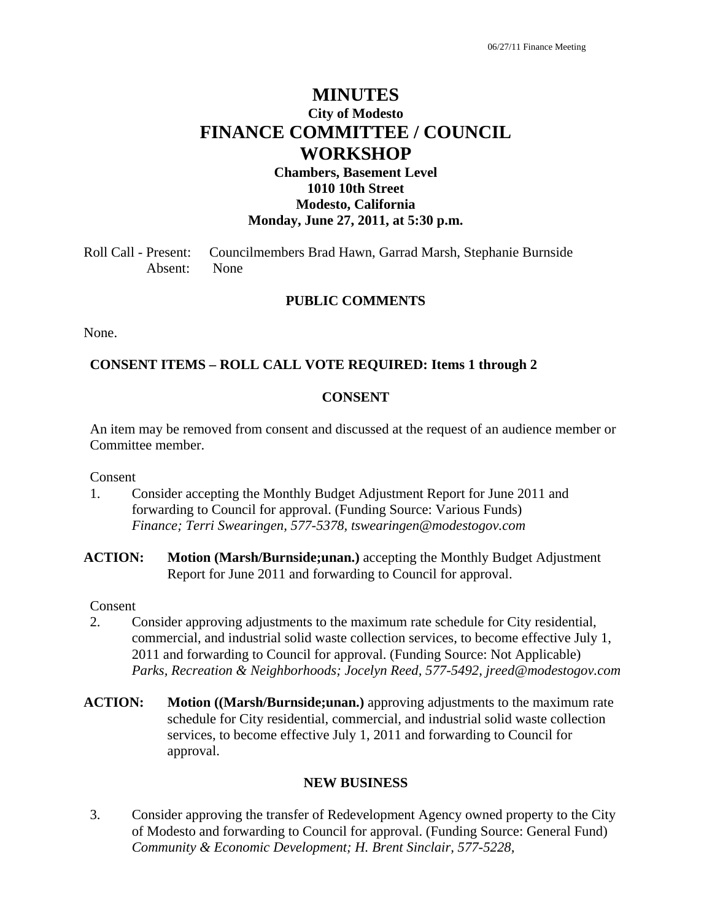# **MINUTES City of Modesto FINANCE COMMITTEE / COUNCIL WORKSHOP**

# **Chambers, Basement Level 1010 10th Street Modesto, California Monday, June 27, 2011, at 5:30 p.m.**

Roll Call - Present: Councilmembers Brad Hawn, Garrad Marsh, Stephanie Burnside Absent: None

#### **PUBLIC COMMENTS**

None.

#### **CONSENT ITEMS – ROLL CALL VOTE REQUIRED: Items 1 through 2**

#### **CONSENT**

An item may be removed from consent and discussed at the request of an audience member or Committee member.

Consent

- 1. Consider accepting the Monthly Budget Adjustment Report for June 2011 and forwarding to Council for approval. (Funding Source: Various Funds)  *Finance; Terri Swearingen, 577-5378, tswearingen@modestogov.com*
- **ACTION: Motion (Marsh/Burnside;unan.)** accepting the Monthly Budget Adjustment Report for June 2011 and forwarding to Council for approval.

Consent

- 2. Consider approving adjustments to the maximum rate schedule for City residential, commercial, and industrial solid waste collection services, to become effective July 1, 2011 and forwarding to Council for approval. (Funding Source: Not Applicable)  *Parks, Recreation & Neighborhoods; Jocelyn Reed, 577-5492, jreed@modestogov.com*
- **ACTION: Motion ((Marsh/Burnside;unan.)** approving adjustments to the maximum rate schedule for City residential, commercial, and industrial solid waste collection services, to become effective July 1, 2011 and forwarding to Council for approval.

#### **NEW BUSINESS**

3. Consider approving the transfer of Redevelopment Agency owned property to the City of Modesto and forwarding to Council for approval. (Funding Source: General Fund)  *Community & Economic Development; H. Brent Sinclair, 577-5228,*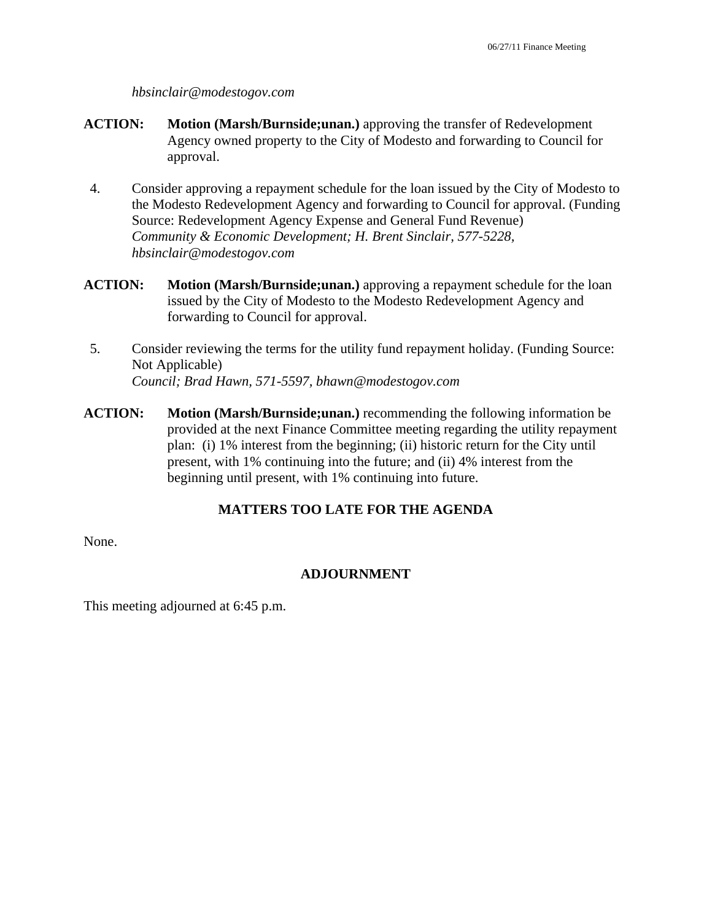#### *hbsinclair@modestogov.com*

- **ACTION: Motion (Marsh/Burnside;unan.)** approving the transfer of Redevelopment Agency owned property to the City of Modesto and forwarding to Council for approval.
- 4. Consider approving a repayment schedule for the loan issued by the City of Modesto to the Modesto Redevelopment Agency and forwarding to Council for approval. (Funding Source: Redevelopment Agency Expense and General Fund Revenue)  *Community & Economic Development; H. Brent Sinclair, 577-5228, hbsinclair@modestogov.com*
- **ACTION: Motion (Marsh/Burnside;unan.)** approving a repayment schedule for the loan issued by the City of Modesto to the Modesto Redevelopment Agency and forwarding to Council for approval.
- 5. Consider reviewing the terms for the utility fund repayment holiday. (Funding Source: Not Applicable)  *Council; Brad Hawn, 571-5597, bhawn@modestogov.com*
- **ACTION: Motion (Marsh/Burnside;unan.)** recommending the following information be provided at the next Finance Committee meeting regarding the utility repayment plan: (i) 1% interest from the beginning; (ii) historic return for the City until present, with 1% continuing into the future; and (ii) 4% interest from the beginning until present, with 1% continuing into future.

# **MATTERS TOO LATE FOR THE AGENDA**

None.

# **ADJOURNMENT**

This meeting adjourned at 6:45 p.m.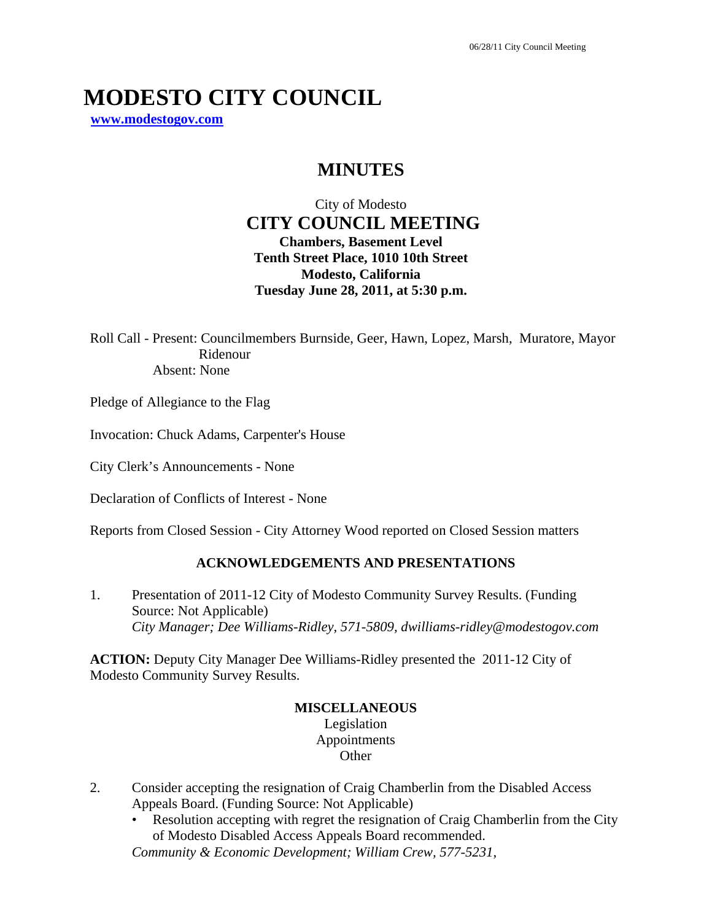# **MODESTO CITY COUNCIL**

**www.modestogov.com**

# **MINUTES**

City of Modesto  **CITY COUNCIL MEETING Chambers, Basement Level Tenth Street Place, 1010 10th Street Modesto, California Tuesday June 28, 2011, at 5:30 p.m.** 

Roll Call - Present: Councilmembers Burnside, Geer, Hawn, Lopez, Marsh, Muratore, Mayor Ridenour Absent: None

Pledge of Allegiance to the Flag

Invocation: Chuck Adams, Carpenter's House

City Clerk's Announcements - None

Declaration of Conflicts of Interest - None

Reports from Closed Session - City Attorney Wood reported on Closed Session matters

# **ACKNOWLEDGEMENTS AND PRESENTATIONS**

1. Presentation of 2011-12 City of Modesto Community Survey Results. (Funding Source: Not Applicable)  *City Manager; Dee Williams-Ridley, 571-5809, dwilliams-ridley@modestogov.com* 

**ACTION:** Deputy City Manager Dee Williams-Ridley presented the 2011-12 City of Modesto Community Survey Results.

# **MISCELLANEOUS**

Legislation Appointments **Other** 

- 2. Consider accepting the resignation of Craig Chamberlin from the Disabled Access Appeals Board. (Funding Source: Not Applicable)
	- Resolution accepting with regret the resignation of Craig Chamberlin from the City of Modesto Disabled Access Appeals Board recommended.

*Community & Economic Development; William Crew, 577-5231,*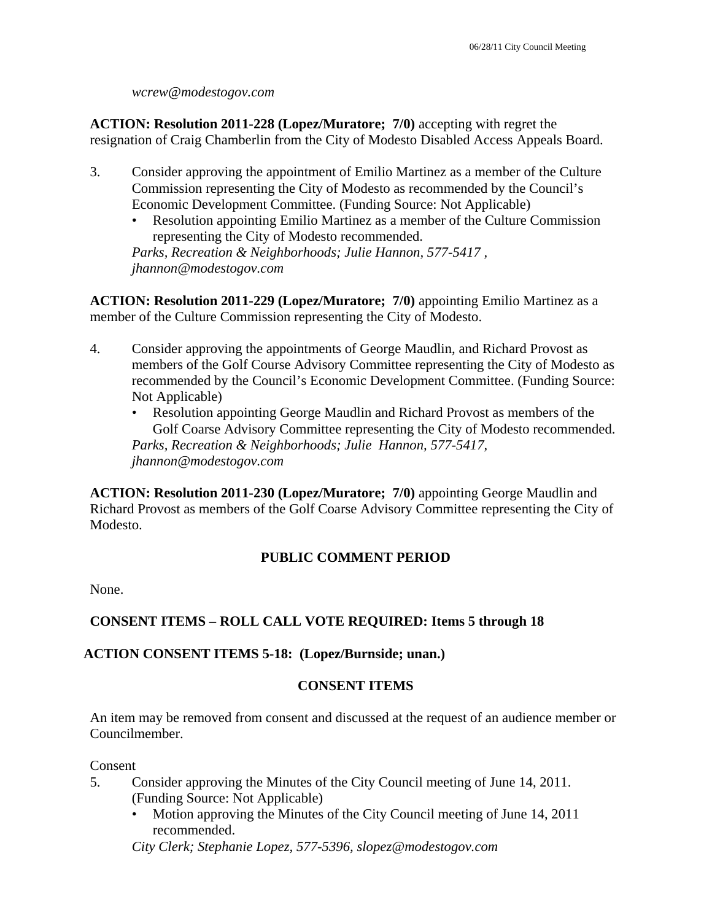*wcrew@modestogov.com* 

**ACTION: Resolution 2011-228 (Lopez/Muratore; 7/0)** accepting with regret the resignation of Craig Chamberlin from the City of Modesto Disabled Access Appeals Board.

- 3. Consider approving the appointment of Emilio Martinez as a member of the Culture Commission representing the City of Modesto as recommended by the Council's Economic Development Committee. (Funding Source: Not Applicable)
	- Resolution appointing Emilio Martinez as a member of the Culture Commission representing the City of Modesto recommended.

*Parks, Recreation & Neighborhoods; Julie Hannon, 577-5417 , jhannon@modestogov.com* 

**ACTION: Resolution 2011-229 (Lopez/Muratore; 7/0)** appointing Emilio Martinez as a member of the Culture Commission representing the City of Modesto.

- 4. Consider approving the appointments of George Maudlin, and Richard Provost as members of the Golf Course Advisory Committee representing the City of Modesto as recommended by the Council's Economic Development Committee. (Funding Source: Not Applicable)
	- Resolution appointing George Maudlin and Richard Provost as members of the Golf Coarse Advisory Committee representing the City of Modesto recommended. *Parks, Recreation & Neighborhoods; Julie Hannon, 577-5417, jhannon@modestogov.com*

**ACTION: Resolution 2011-230 (Lopez/Muratore; 7/0)** appointing George Maudlin and Richard Provost as members of the Golf Coarse Advisory Committee representing the City of Modesto.

# **PUBLIC COMMENT PERIOD**

None.

# **CONSENT ITEMS – ROLL CALL VOTE REQUIRED: Items 5 through 18**

# **ACTION CONSENT ITEMS 5-18: (Lopez/Burnside; unan.)**

#### **CONSENT ITEMS**

An item may be removed from consent and discussed at the request of an audience member or Councilmember.

#### **Consent**

- 5. Consider approving the Minutes of the City Council meeting of June 14, 2011. (Funding Source: Not Applicable)
	- Motion approving the Minutes of the City Council meeting of June 14, 2011 recommended.

*City Clerk; Stephanie Lopez, 577-5396, slopez@modestogov.com*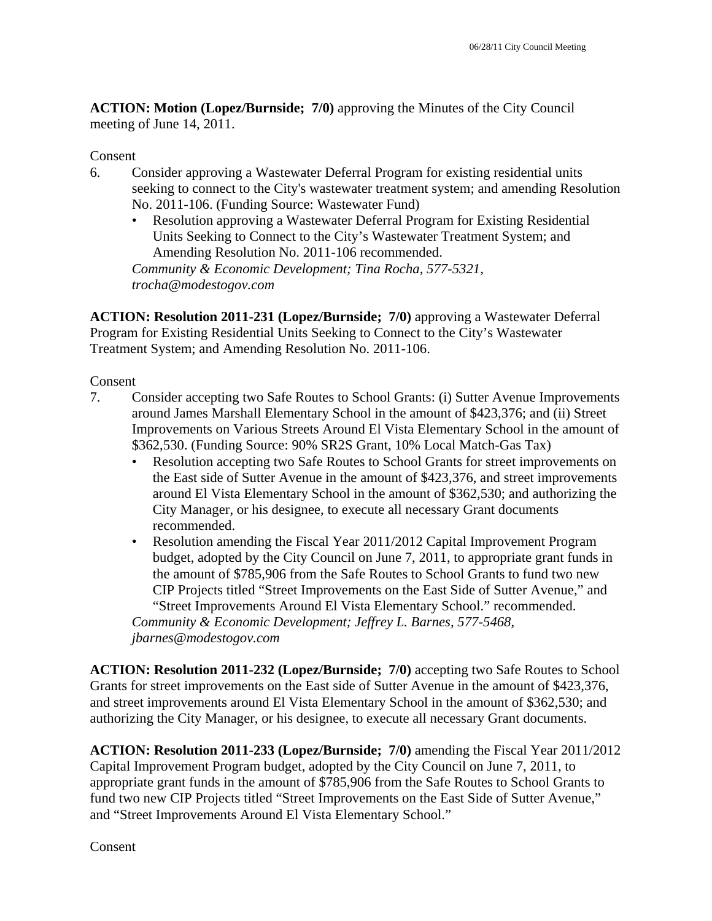**ACTION: Motion (Lopez/Burnside; 7/0)** approving the Minutes of the City Council meeting of June 14, 2011.

#### Consent

- 6. Consider approving a Wastewater Deferral Program for existing residential units seeking to connect to the City's wastewater treatment system; and amending Resolution No. 2011-106. (Funding Source: Wastewater Fund)
	- Resolution approving a Wastewater Deferral Program for Existing Residential Units Seeking to Connect to the City's Wastewater Treatment System; and Amending Resolution No. 2011-106 recommended.

*Community & Economic Development; Tina Rocha, 577-5321, trocha@modestogov.com* 

**ACTION: Resolution 2011-231 (Lopez/Burnside; 7/0)** approving a Wastewater Deferral Program for Existing Residential Units Seeking to Connect to the City's Wastewater Treatment System; and Amending Resolution No. 2011-106.

#### Consent

- 7. Consider accepting two Safe Routes to School Grants: (i) Sutter Avenue Improvements around James Marshall Elementary School in the amount of \$423,376; and (ii) Street Improvements on Various Streets Around El Vista Elementary School in the amount of \$362,530. (Funding Source: 90% SR2S Grant, 10% Local Match-Gas Tax)
	- Resolution accepting two Safe Routes to School Grants for street improvements on the East side of Sutter Avenue in the amount of \$423,376, and street improvements around El Vista Elementary School in the amount of \$362,530; and authorizing the City Manager, or his designee, to execute all necessary Grant documents recommended.
	- Resolution amending the Fiscal Year 2011/2012 Capital Improvement Program budget, adopted by the City Council on June 7, 2011, to appropriate grant funds in the amount of \$785,906 from the Safe Routes to School Grants to fund two new CIP Projects titled "Street Improvements on the East Side of Sutter Avenue," and "Street Improvements Around El Vista Elementary School." recommended. *Community & Economic Development; Jeffrey L. Barnes, 577-5468,*

*jbarnes@modestogov.com* 

**ACTION: Resolution 2011-232 (Lopez/Burnside; 7/0)** accepting two Safe Routes to School Grants for street improvements on the East side of Sutter Avenue in the amount of \$423,376, and street improvements around El Vista Elementary School in the amount of \$362,530; and authorizing the City Manager, or his designee, to execute all necessary Grant documents.

**ACTION: Resolution 2011-233 (Lopez/Burnside; 7/0)** amending the Fiscal Year 2011/2012 Capital Improvement Program budget, adopted by the City Council on June 7, 2011, to appropriate grant funds in the amount of \$785,906 from the Safe Routes to School Grants to fund two new CIP Projects titled "Street Improvements on the East Side of Sutter Avenue," and "Street Improvements Around El Vista Elementary School."

**Consent**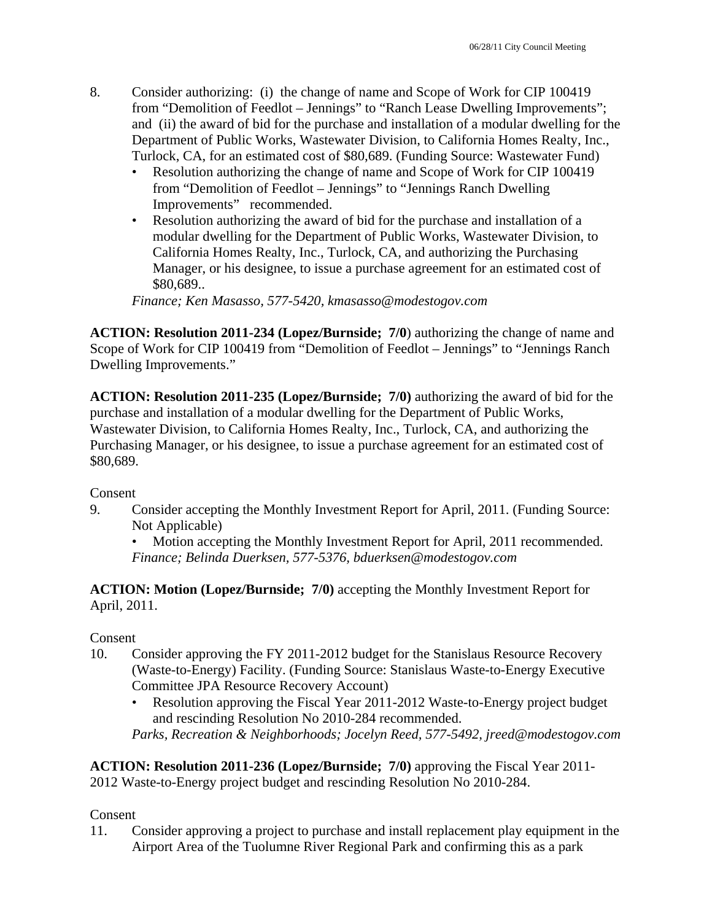- 8. Consider authorizing: (i) the change of name and Scope of Work for CIP 100419 from "Demolition of Feedlot – Jennings" to "Ranch Lease Dwelling Improvements"; and (ii) the award of bid for the purchase and installation of a modular dwelling for the Department of Public Works, Wastewater Division, to California Homes Realty, Inc., Turlock, CA, for an estimated cost of \$80,689. (Funding Source: Wastewater Fund)
	- Resolution authorizing the change of name and Scope of Work for CIP 100419 from "Demolition of Feedlot – Jennings" to "Jennings Ranch Dwelling Improvements" recommended.
	- Resolution authorizing the award of bid for the purchase and installation of a modular dwelling for the Department of Public Works, Wastewater Division, to California Homes Realty, Inc., Turlock, CA, and authorizing the Purchasing Manager, or his designee, to issue a purchase agreement for an estimated cost of \$80,689..

*Finance; Ken Masasso, 577-5420, kmasasso@modestogov.com* 

**ACTION: Resolution 2011-234 (Lopez/Burnside; 7/0**) authorizing the change of name and Scope of Work for CIP 100419 from "Demolition of Feedlot – Jennings" to "Jennings Ranch Dwelling Improvements."

**ACTION: Resolution 2011-235 (Lopez/Burnside; 7/0)** authorizing the award of bid for the purchase and installation of a modular dwelling for the Department of Public Works, Wastewater Division, to California Homes Realty, Inc., Turlock, CA, and authorizing the Purchasing Manager, or his designee, to issue a purchase agreement for an estimated cost of \$80,689.

Consent

9. Consider accepting the Monthly Investment Report for April, 2011. (Funding Source: Not Applicable)

• Motion accepting the Monthly Investment Report for April, 2011 recommended. *Finance; Belinda Duerksen, 577-5376, bduerksen@modestogov.com* 

**ACTION: Motion (Lopez/Burnside; 7/0)** accepting the Monthly Investment Report for April, 2011.

#### Consent

- 10. Consider approving the FY 2011-2012 budget for the Stanislaus Resource Recovery (Waste-to-Energy) Facility. (Funding Source: Stanislaus Waste-to-Energy Executive Committee JPA Resource Recovery Account)
	- Resolution approving the Fiscal Year 2011-2012 Waste-to-Energy project budget and rescinding Resolution No 2010-284 recommended. *Parks, Recreation & Neighborhoods; Jocelyn Reed, 577-5492, jreed@modestogov.com*

**ACTION: Resolution 2011-236 (Lopez/Burnside; 7/0)** approving the Fiscal Year 2011- 2012 Waste-to-Energy project budget and rescinding Resolution No 2010-284.

#### Consent

11. Consider approving a project to purchase and install replacement play equipment in the Airport Area of the Tuolumne River Regional Park and confirming this as a park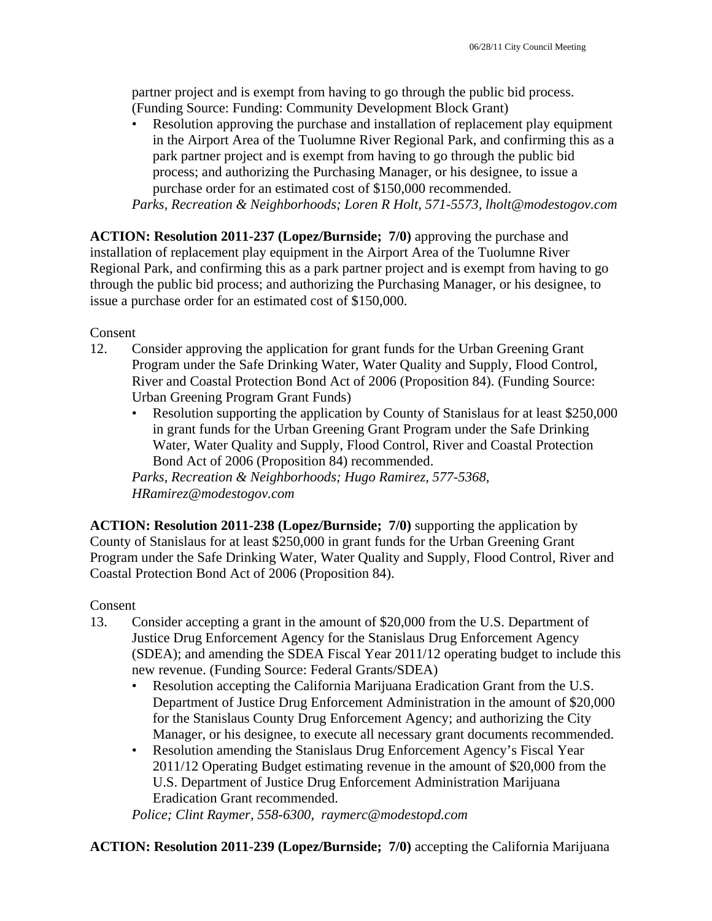partner project and is exempt from having to go through the public bid process. (Funding Source: Funding: Community Development Block Grant)

• Resolution approving the purchase and installation of replacement play equipment in the Airport Area of the Tuolumne River Regional Park, and confirming this as a park partner project and is exempt from having to go through the public bid process; and authorizing the Purchasing Manager, or his designee, to issue a purchase order for an estimated cost of \$150,000 recommended.

*Parks, Recreation & Neighborhoods; Loren R Holt, 571-5573, lholt@modestogov.com* 

**ACTION: Resolution 2011-237 (Lopez/Burnside; 7/0)** approving the purchase and installation of replacement play equipment in the Airport Area of the Tuolumne River Regional Park, and confirming this as a park partner project and is exempt from having to go through the public bid process; and authorizing the Purchasing Manager, or his designee, to issue a purchase order for an estimated cost of \$150,000.

Consent

- 12. Consider approving the application for grant funds for the Urban Greening Grant Program under the Safe Drinking Water, Water Quality and Supply, Flood Control, River and Coastal Protection Bond Act of 2006 (Proposition 84). (Funding Source: Urban Greening Program Grant Funds)
	- Resolution supporting the application by County of Stanislaus for at least \$250,000 in grant funds for the Urban Greening Grant Program under the Safe Drinking Water, Water Quality and Supply, Flood Control, River and Coastal Protection Bond Act of 2006 (Proposition 84) recommended.

*Parks, Recreation & Neighborhoods; Hugo Ramirez, 577-5368, HRamirez@modestogov.com* 

**ACTION: Resolution 2011-238 (Lopez/Burnside; 7/0)** supporting the application by County of Stanislaus for at least \$250,000 in grant funds for the Urban Greening Grant Program under the Safe Drinking Water, Water Quality and Supply, Flood Control, River and Coastal Protection Bond Act of 2006 (Proposition 84).

Consent

- 13. Consider accepting a grant in the amount of \$20,000 from the U.S. Department of Justice Drug Enforcement Agency for the Stanislaus Drug Enforcement Agency (SDEA); and amending the SDEA Fiscal Year 2011/12 operating budget to include this new revenue. (Funding Source: Federal Grants/SDEA)
	- Resolution accepting the California Marijuana Eradication Grant from the U.S. Department of Justice Drug Enforcement Administration in the amount of \$20,000 for the Stanislaus County Drug Enforcement Agency; and authorizing the City Manager, or his designee, to execute all necessary grant documents recommended.
	- Resolution amending the Stanislaus Drug Enforcement Agency's Fiscal Year 2011/12 Operating Budget estimating revenue in the amount of \$20,000 from the U.S. Department of Justice Drug Enforcement Administration Marijuana Eradication Grant recommended.

*Police; Clint Raymer, 558-6300, raymerc@modestopd.com* 

**ACTION: Resolution 2011-239 (Lopez/Burnside; 7/0)** accepting the California Marijuana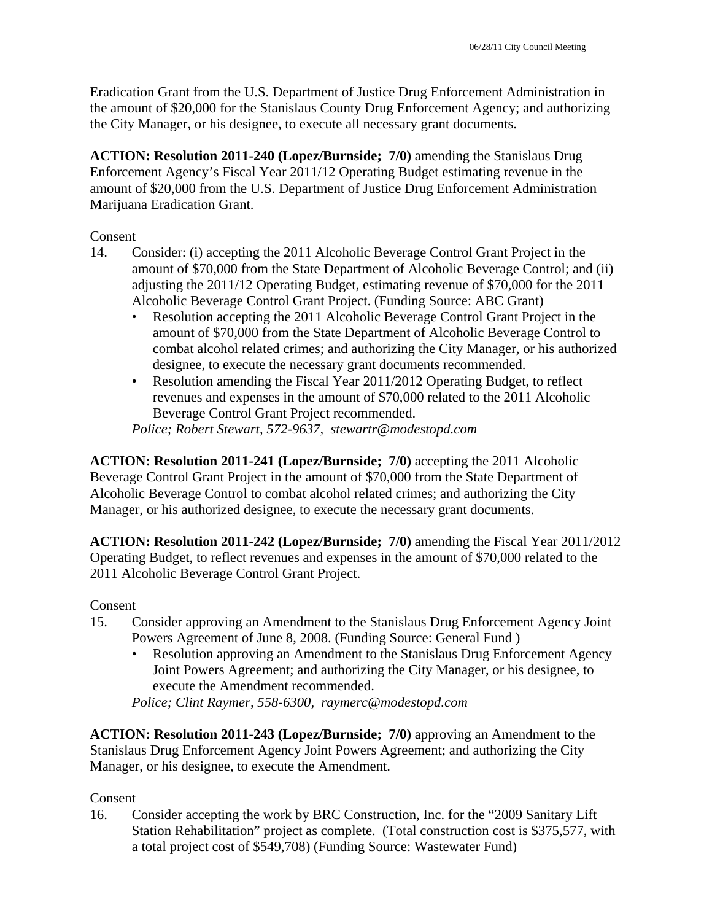Eradication Grant from the U.S. Department of Justice Drug Enforcement Administration in the amount of \$20,000 for the Stanislaus County Drug Enforcement Agency; and authorizing the City Manager, or his designee, to execute all necessary grant documents.

**ACTION: Resolution 2011-240 (Lopez/Burnside; 7/0)** amending the Stanislaus Drug Enforcement Agency's Fiscal Year 2011/12 Operating Budget estimating revenue in the amount of \$20,000 from the U.S. Department of Justice Drug Enforcement Administration Marijuana Eradication Grant.

Consent

- 14. Consider: (i) accepting the 2011 Alcoholic Beverage Control Grant Project in the amount of \$70,000 from the State Department of Alcoholic Beverage Control; and (ii) adjusting the 2011/12 Operating Budget, estimating revenue of \$70,000 for the 2011 Alcoholic Beverage Control Grant Project. (Funding Source: ABC Grant)
	- Resolution accepting the 2011 Alcoholic Beverage Control Grant Project in the amount of \$70,000 from the State Department of Alcoholic Beverage Control to combat alcohol related crimes; and authorizing the City Manager, or his authorized designee, to execute the necessary grant documents recommended.
	- Resolution amending the Fiscal Year 2011/2012 Operating Budget, to reflect revenues and expenses in the amount of \$70,000 related to the 2011 Alcoholic Beverage Control Grant Project recommended.

*Police; Robert Stewart, 572-9637, stewartr@modestopd.com* 

**ACTION: Resolution 2011-241 (Lopez/Burnside; 7/0)** accepting the 2011 Alcoholic Beverage Control Grant Project in the amount of \$70,000 from the State Department of Alcoholic Beverage Control to combat alcohol related crimes; and authorizing the City Manager, or his authorized designee, to execute the necessary grant documents.

**ACTION: Resolution 2011-242 (Lopez/Burnside; 7/0)** amending the Fiscal Year 2011/2012 Operating Budget, to reflect revenues and expenses in the amount of \$70,000 related to the 2011 Alcoholic Beverage Control Grant Project.

Consent

- 15. Consider approving an Amendment to the Stanislaus Drug Enforcement Agency Joint Powers Agreement of June 8, 2008. (Funding Source: General Fund )
	- Resolution approving an Amendment to the Stanislaus Drug Enforcement Agency Joint Powers Agreement; and authorizing the City Manager, or his designee, to execute the Amendment recommended.

*Police; Clint Raymer, 558-6300, raymerc@modestopd.com* 

**ACTION: Resolution 2011-243 (Lopez/Burnside; 7/0)** approving an Amendment to the Stanislaus Drug Enforcement Agency Joint Powers Agreement; and authorizing the City Manager, or his designee, to execute the Amendment.

Consent

16. Consider accepting the work by BRC Construction, Inc. for the "2009 Sanitary Lift Station Rehabilitation" project as complete. (Total construction cost is \$375,577, with a total project cost of \$549,708) (Funding Source: Wastewater Fund)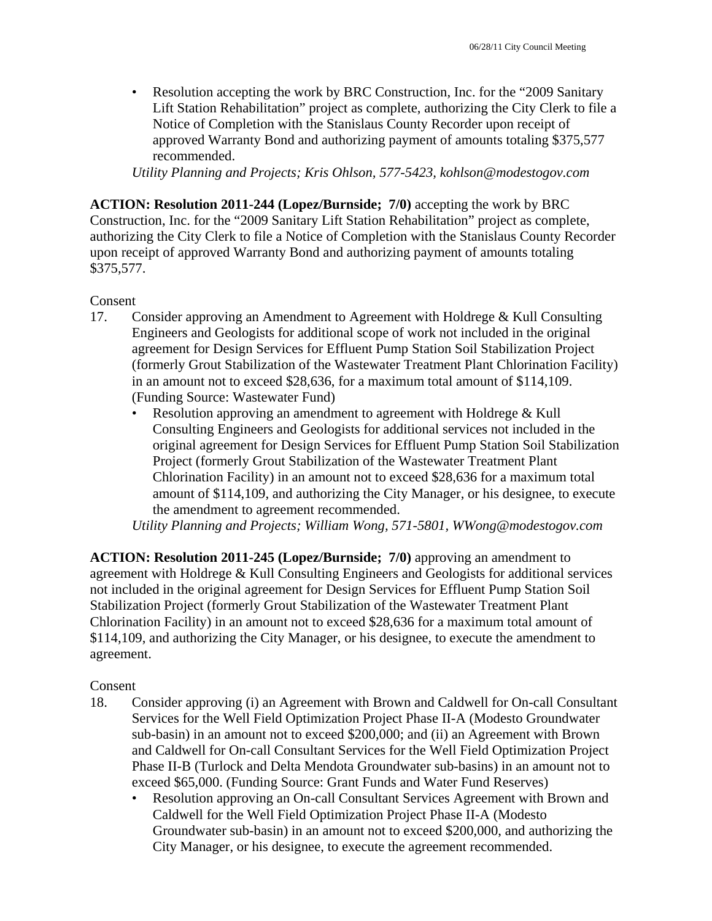• Resolution accepting the work by BRC Construction, Inc. for the "2009 Sanitary" Lift Station Rehabilitation" project as complete, authorizing the City Clerk to file a Notice of Completion with the Stanislaus County Recorder upon receipt of approved Warranty Bond and authorizing payment of amounts totaling \$375,577 recommended.

*Utility Planning and Projects; Kris Ohlson, 577-5423, kohlson@modestogov.com* 

**ACTION: Resolution 2011-244 (Lopez/Burnside; 7/0)** accepting the work by BRC Construction, Inc. for the "2009 Sanitary Lift Station Rehabilitation" project as complete, authorizing the City Clerk to file a Notice of Completion with the Stanislaus County Recorder upon receipt of approved Warranty Bond and authorizing payment of amounts totaling \$375,577.

### Consent

- 17. Consider approving an Amendment to Agreement with Holdrege & Kull Consulting Engineers and Geologists for additional scope of work not included in the original agreement for Design Services for Effluent Pump Station Soil Stabilization Project (formerly Grout Stabilization of the Wastewater Treatment Plant Chlorination Facility) in an amount not to exceed \$28,636, for a maximum total amount of \$114,109. (Funding Source: Wastewater Fund)
	- Resolution approving an amendment to agreement with Holdrege & Kull Consulting Engineers and Geologists for additional services not included in the original agreement for Design Services for Effluent Pump Station Soil Stabilization Project (formerly Grout Stabilization of the Wastewater Treatment Plant Chlorination Facility) in an amount not to exceed \$28,636 for a maximum total amount of \$114,109, and authorizing the City Manager, or his designee, to execute the amendment to agreement recommended.

*Utility Planning and Projects; William Wong, 571-5801, WWong@modestogov.com* 

**ACTION: Resolution 2011-245 (Lopez/Burnside; 7/0)** approving an amendment to agreement with Holdrege & Kull Consulting Engineers and Geologists for additional services not included in the original agreement for Design Services for Effluent Pump Station Soil Stabilization Project (formerly Grout Stabilization of the Wastewater Treatment Plant Chlorination Facility) in an amount not to exceed \$28,636 for a maximum total amount of \$114,109, and authorizing the City Manager, or his designee, to execute the amendment to agreement.

### Consent

- 18. Consider approving (i) an Agreement with Brown and Caldwell for On-call Consultant Services for the Well Field Optimization Project Phase II-A (Modesto Groundwater sub-basin) in an amount not to exceed \$200,000; and (ii) an Agreement with Brown and Caldwell for On-call Consultant Services for the Well Field Optimization Project Phase II-B (Turlock and Delta Mendota Groundwater sub-basins) in an amount not to exceed \$65,000. (Funding Source: Grant Funds and Water Fund Reserves)
	- Resolution approving an On-call Consultant Services Agreement with Brown and Caldwell for the Well Field Optimization Project Phase II-A (Modesto Groundwater sub-basin) in an amount not to exceed \$200,000, and authorizing the City Manager, or his designee, to execute the agreement recommended.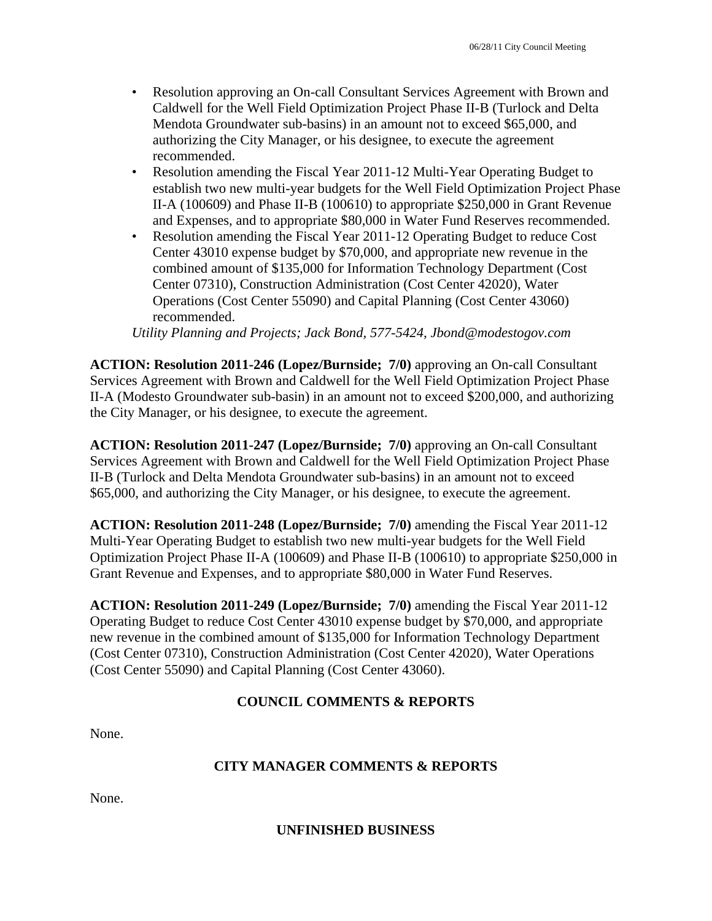- Resolution approving an On-call Consultant Services Agreement with Brown and Caldwell for the Well Field Optimization Project Phase II-B (Turlock and Delta Mendota Groundwater sub-basins) in an amount not to exceed \$65,000, and authorizing the City Manager, or his designee, to execute the agreement recommended.
- Resolution amending the Fiscal Year 2011-12 Multi-Year Operating Budget to establish two new multi-year budgets for the Well Field Optimization Project Phase II-A (100609) and Phase II-B (100610) to appropriate \$250,000 in Grant Revenue and Expenses, and to appropriate \$80,000 in Water Fund Reserves recommended.
- Resolution amending the Fiscal Year 2011-12 Operating Budget to reduce Cost Center 43010 expense budget by \$70,000, and appropriate new revenue in the combined amount of \$135,000 for Information Technology Department (Cost Center 07310), Construction Administration (Cost Center 42020), Water Operations (Cost Center 55090) and Capital Planning (Cost Center 43060) recommended.

*Utility Planning and Projects; Jack Bond, 577-5424, Jbond@modestogov.com* 

**ACTION: Resolution 2011-246 (Lopez/Burnside; 7/0)** approving an On-call Consultant Services Agreement with Brown and Caldwell for the Well Field Optimization Project Phase II-A (Modesto Groundwater sub-basin) in an amount not to exceed \$200,000, and authorizing the City Manager, or his designee, to execute the agreement.

**ACTION: Resolution 2011-247 (Lopez/Burnside; 7/0)** approving an On-call Consultant Services Agreement with Brown and Caldwell for the Well Field Optimization Project Phase II-B (Turlock and Delta Mendota Groundwater sub-basins) in an amount not to exceed \$65,000, and authorizing the City Manager, or his designee, to execute the agreement.

**ACTION: Resolution 2011-248 (Lopez/Burnside; 7/0)** amending the Fiscal Year 2011-12 Multi-Year Operating Budget to establish two new multi-year budgets for the Well Field Optimization Project Phase II-A (100609) and Phase II-B (100610) to appropriate \$250,000 in Grant Revenue and Expenses, and to appropriate \$80,000 in Water Fund Reserves.

**ACTION: Resolution 2011-249 (Lopez/Burnside; 7/0)** amending the Fiscal Year 2011-12 Operating Budget to reduce Cost Center 43010 expense budget by \$70,000, and appropriate new revenue in the combined amount of \$135,000 for Information Technology Department (Cost Center 07310), Construction Administration (Cost Center 42020), Water Operations (Cost Center 55090) and Capital Planning (Cost Center 43060).

# **COUNCIL COMMENTS & REPORTS**

None.

# **CITY MANAGER COMMENTS & REPORTS**

None.

**UNFINISHED BUSINESS**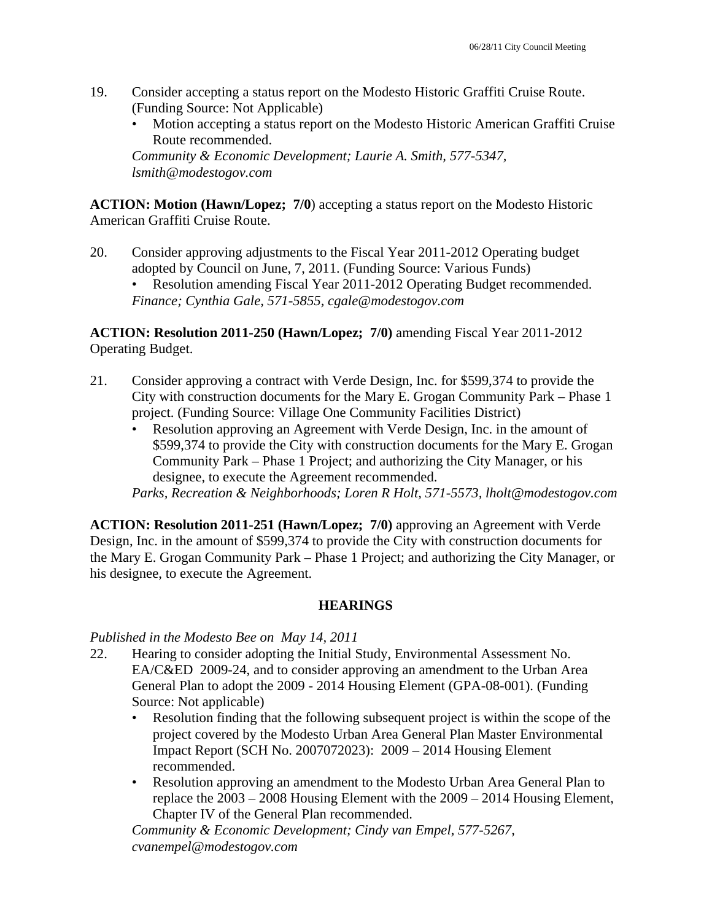- 19. Consider accepting a status report on the Modesto Historic Graffiti Cruise Route. (Funding Source: Not Applicable)
	- Motion accepting a status report on the Modesto Historic American Graffiti Cruise Route recommended.

*Community & Economic Development; Laurie A. Smith, 577-5347, lsmith@modestogov.com* 

**ACTION: Motion (Hawn/Lopez; 7/0**) accepting a status report on the Modesto Historic American Graffiti Cruise Route.

20. Consider approving adjustments to the Fiscal Year 2011-2012 Operating budget adopted by Council on June, 7, 2011. (Funding Source: Various Funds) • Resolution amending Fiscal Year 2011-2012 Operating Budget recommended. *Finance; Cynthia Gale, 571-5855, cgale@modestogov.com* 

**ACTION: Resolution 2011-250 (Hawn/Lopez; 7/0)** amending Fiscal Year 2011-2012 Operating Budget.

- 21. Consider approving a contract with Verde Design, Inc. for \$599,374 to provide the City with construction documents for the Mary E. Grogan Community Park – Phase 1 project. (Funding Source: Village One Community Facilities District)
	- Resolution approving an Agreement with Verde Design, Inc. in the amount of \$599,374 to provide the City with construction documents for the Mary E. Grogan Community Park – Phase 1 Project; and authorizing the City Manager, or his designee, to execute the Agreement recommended.

*Parks, Recreation & Neighborhoods; Loren R Holt, 571-5573, lholt@modestogov.com* 

**ACTION: Resolution 2011-251 (Hawn/Lopez; 7/0)** approving an Agreement with Verde Design, Inc. in the amount of \$599,374 to provide the City with construction documents for the Mary E. Grogan Community Park – Phase 1 Project; and authorizing the City Manager, or his designee, to execute the Agreement.

# **HEARINGS**

*Published in the Modesto Bee on May 14, 2011* 

- 22. Hearing to consider adopting the Initial Study, Environmental Assessment No. EA/C&ED 2009-24, and to consider approving an amendment to the Urban Area General Plan to adopt the 2009 - 2014 Housing Element (GPA-08-001). (Funding Source: Not applicable)
	- Resolution finding that the following subsequent project is within the scope of the project covered by the Modesto Urban Area General Plan Master Environmental Impact Report (SCH No. 2007072023): 2009 – 2014 Housing Element recommended.
	- Resolution approving an amendment to the Modesto Urban Area General Plan to replace the 2003 – 2008 Housing Element with the 2009 – 2014 Housing Element, Chapter IV of the General Plan recommended.

*Community & Economic Development; Cindy van Empel, 577-5267, cvanempel@modestogov.com*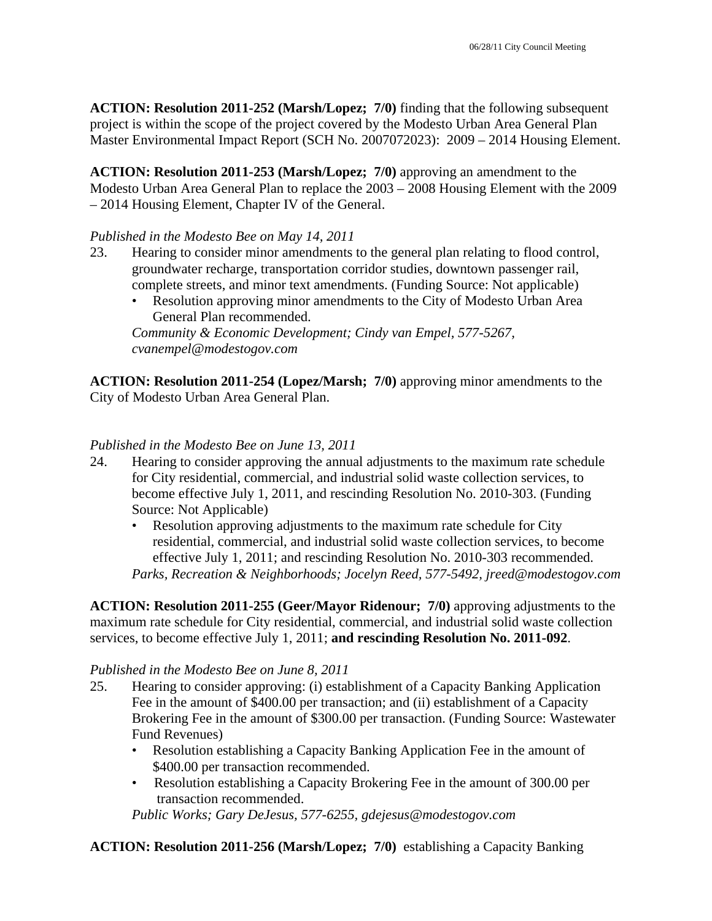**ACTION: Resolution 2011-252 (Marsh/Lopez; 7/0)** finding that the following subsequent project is within the scope of the project covered by the Modesto Urban Area General Plan Master Environmental Impact Report (SCH No. 2007072023): 2009 – 2014 Housing Element.

**ACTION: Resolution 2011-253 (Marsh/Lopez; 7/0)** approving an amendment to the Modesto Urban Area General Plan to replace the 2003 – 2008 Housing Element with the 2009 – 2014 Housing Element, Chapter IV of the General.

### *Published in the Modesto Bee on May 14, 2011*

- 23. Hearing to consider minor amendments to the general plan relating to flood control, groundwater recharge, transportation corridor studies, downtown passenger rail, complete streets, and minor text amendments. (Funding Source: Not applicable)
	- Resolution approving minor amendments to the City of Modesto Urban Area General Plan recommended.

*Community & Economic Development; Cindy van Empel, 577-5267, cvanempel@modestogov.com* 

**ACTION: Resolution 2011-254 (Lopez/Marsh; 7/0)** approving minor amendments to the City of Modesto Urban Area General Plan.

### *Published in the Modesto Bee on June 13, 2011*

- 24. Hearing to consider approving the annual adjustments to the maximum rate schedule for City residential, commercial, and industrial solid waste collection services, to become effective July 1, 2011, and rescinding Resolution No. 2010-303. (Funding Source: Not Applicable)
	- Resolution approving adjustments to the maximum rate schedule for City residential, commercial, and industrial solid waste collection services, to become effective July 1, 2011; and rescinding Resolution No. 2010-303 recommended. *Parks, Recreation & Neighborhoods; Jocelyn Reed, 577-5492, jreed@modestogov.com*

**ACTION: Resolution 2011-255 (Geer/Mayor Ridenour; 7/0)** approving adjustments to the maximum rate schedule for City residential, commercial, and industrial solid waste collection services, to become effective July 1, 2011; **and rescinding Resolution No. 2011-092**.

### *Published in the Modesto Bee on June 8, 2011*

- 25. Hearing to consider approving: (i) establishment of a Capacity Banking Application Fee in the amount of \$400.00 per transaction; and (ii) establishment of a Capacity Brokering Fee in the amount of \$300.00 per transaction. (Funding Source: Wastewater Fund Revenues)
	- Resolution establishing a Capacity Banking Application Fee in the amount of \$400.00 per transaction recommended.
	- Resolution establishing a Capacity Brokering Fee in the amount of 300.00 per transaction recommended.

*Public Works; Gary DeJesus, 577-6255, gdejesus@modestogov.com* 

**ACTION: Resolution 2011-256 (Marsh/Lopez; 7/0)** establishing a Capacity Banking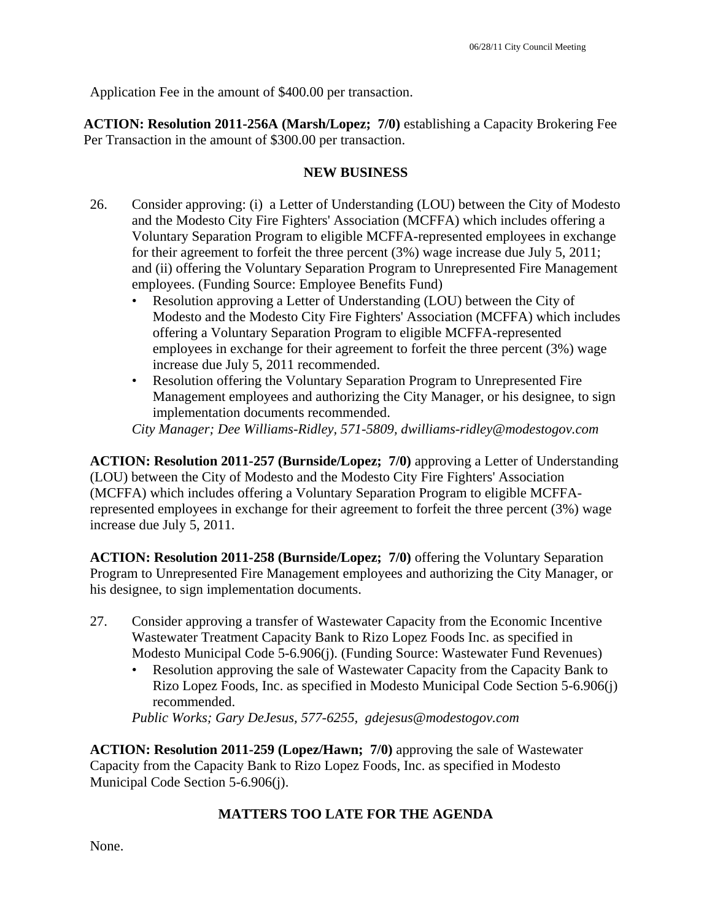Application Fee in the amount of \$400.00 per transaction.

**ACTION: Resolution 2011-256A (Marsh/Lopez; 7/0)** establishing a Capacity Brokering Fee Per Transaction in the amount of \$300.00 per transaction.

### **NEW BUSINESS**

- 26. Consider approving: (i) a Letter of Understanding (LOU) between the City of Modesto and the Modesto City Fire Fighters' Association (MCFFA) which includes offering a Voluntary Separation Program to eligible MCFFA-represented employees in exchange for their agreement to forfeit the three percent (3%) wage increase due July 5, 2011; and (ii) offering the Voluntary Separation Program to Unrepresented Fire Management employees. (Funding Source: Employee Benefits Fund)
	- Resolution approving a Letter of Understanding (LOU) between the City of Modesto and the Modesto City Fire Fighters' Association (MCFFA) which includes offering a Voluntary Separation Program to eligible MCFFA-represented employees in exchange for their agreement to forfeit the three percent (3%) wage increase due July 5, 2011 recommended.
	- Resolution offering the Voluntary Separation Program to Unrepresented Fire Management employees and authorizing the City Manager, or his designee, to sign implementation documents recommended.

*City Manager; Dee Williams-Ridley, 571-5809, dwilliams-ridley@modestogov.com* 

**ACTION: Resolution 2011-257 (Burnside/Lopez; 7/0)** approving a Letter of Understanding (LOU) between the City of Modesto and the Modesto City Fire Fighters' Association (MCFFA) which includes offering a Voluntary Separation Program to eligible MCFFArepresented employees in exchange for their agreement to forfeit the three percent (3%) wage increase due July 5, 2011.

**ACTION: Resolution 2011-258 (Burnside/Lopez; 7/0)** offering the Voluntary Separation Program to Unrepresented Fire Management employees and authorizing the City Manager, or his designee, to sign implementation documents.

- 27. Consider approving a transfer of Wastewater Capacity from the Economic Incentive Wastewater Treatment Capacity Bank to Rizo Lopez Foods Inc. as specified in Modesto Municipal Code 5-6.906(j). (Funding Source: Wastewater Fund Revenues)
	- Resolution approving the sale of Wastewater Capacity from the Capacity Bank to Rizo Lopez Foods, Inc. as specified in Modesto Municipal Code Section 5-6.906(j) recommended.

*Public Works; Gary DeJesus, 577-6255, gdejesus@modestogov.com* 

**ACTION: Resolution 2011-259 (Lopez/Hawn; 7/0)** approving the sale of Wastewater Capacity from the Capacity Bank to Rizo Lopez Foods, Inc. as specified in Modesto Municipal Code Section 5-6.906(j).

### **MATTERS TOO LATE FOR THE AGENDA**

None.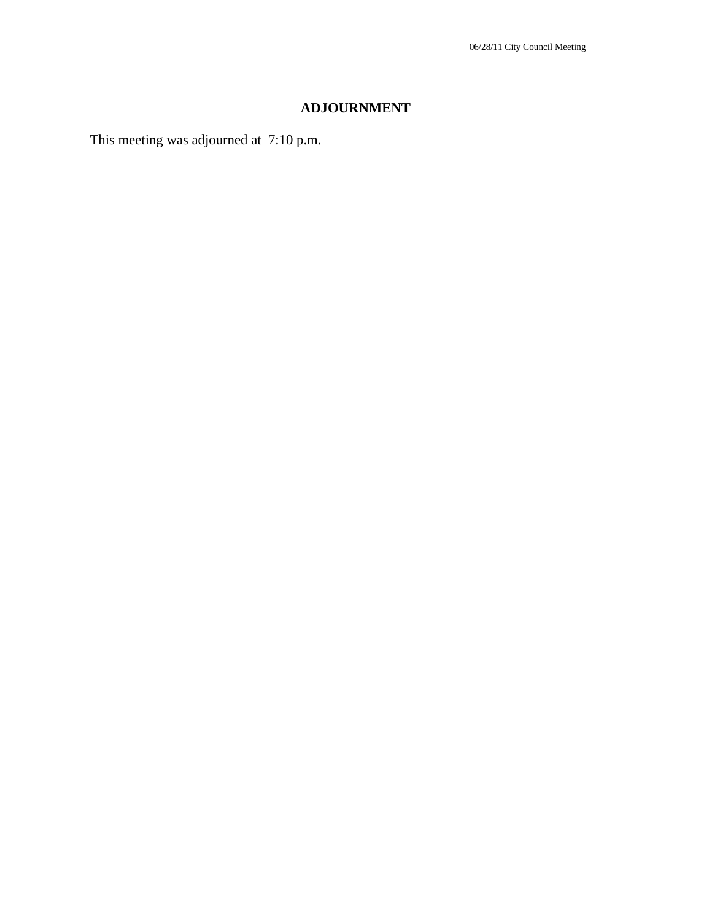# **ADJOURNMENT**

This meeting was adjourned at 7:10 p.m.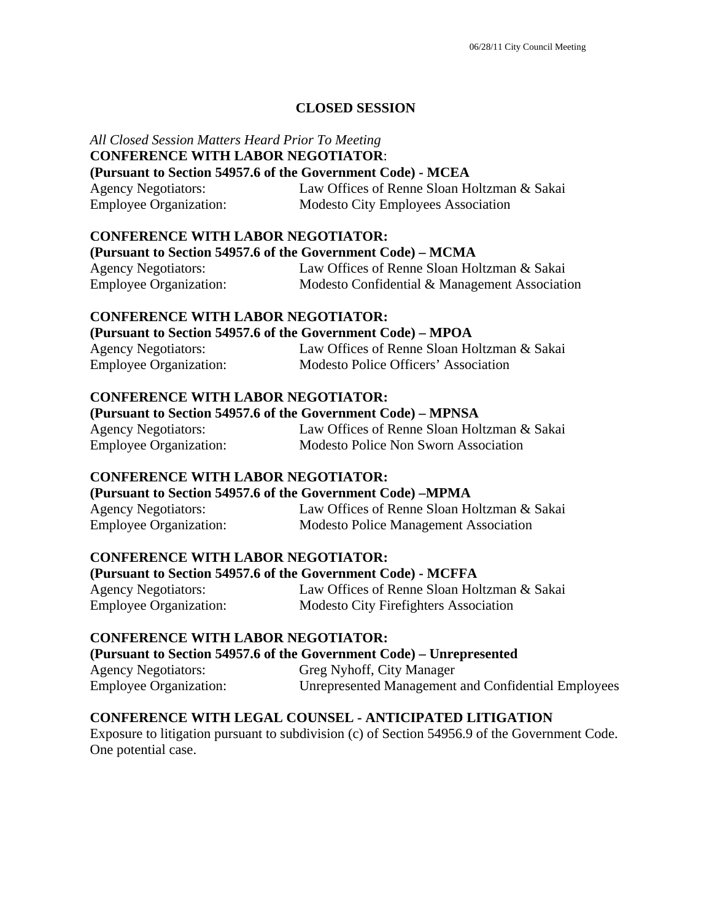### **CLOSED SESSION**

### *All Closed Session Matters Heard Prior To Meeting*  **CONFERENCE WITH LABOR NEGOTIATOR**:

### **(Pursuant to Section 54957.6 of the Government Code) - MCEA**

| <b>Agency Negotiators:</b>    | Law Offices of Renne Sloan Holtzman & Sakai |
|-------------------------------|---------------------------------------------|
| <b>Employee Organization:</b> | <b>Modesto City Employees Association</b>   |

### **CONFERENCE WITH LABOR NEGOTIATOR:**

#### **(Pursuant to Section 54957.6 of the Government Code) – MCMA**

| <b>Agency Negotiators:</b>    | Law Offices of Renne Sloan Holtzman & Sakai   |
|-------------------------------|-----------------------------------------------|
| <b>Employee Organization:</b> | Modesto Confidential & Management Association |

### **CONFERENCE WITH LABOR NEGOTIATOR:**

### **(Pursuant to Section 54957.6 of the Government Code) – MPOA**

| <b>Agency Negotiators:</b>    | Law Offices of Renne Sloan Holtzman & Sakai |
|-------------------------------|---------------------------------------------|
| <b>Employee Organization:</b> | Modesto Police Officers' Association        |

### **CONFERENCE WITH LABOR NEGOTIATOR:**

### **(Pursuant to Section 54957.6 of the Government Code) – MPNSA**

| <b>Agency Negotiators:</b>    | Law Offices of Renne Sloan Holtzman & Sakai |
|-------------------------------|---------------------------------------------|
| <b>Employee Organization:</b> | Modesto Police Non Sworn Association        |

### **CONFERENCE WITH LABOR NEGOTIATOR:**

### **(Pursuant to Section 54957.6 of the Government Code) –MPMA**

| <b>Agency Negotiators:</b>    | Law Offices of Renne Sloan Holtzman & Sakai  |
|-------------------------------|----------------------------------------------|
| <b>Employee Organization:</b> | <b>Modesto Police Management Association</b> |

### **CONFERENCE WITH LABOR NEGOTIATOR:**

### **(Pursuant to Section 54957.6 of the Government Code) - MCFFA**

Agency Negotiators: Law Offices of Renne Sloan Holtzman & Sakai Employee Organization: Modesto City Firefighters Association

### **CONFERENCE WITH LABOR NEGOTIATOR:**

### **(Pursuant to Section 54957.6 of the Government Code) – Unrepresented**

| <b>Agency Negotiators:</b>    | Greg Nyhoff, City Manager                           |
|-------------------------------|-----------------------------------------------------|
| <b>Employee Organization:</b> | Unrepresented Management and Confidential Employees |

### **CONFERENCE WITH LEGAL COUNSEL - ANTICIPATED LITIGATION**

Exposure to litigation pursuant to subdivision (c) of Section 54956.9 of the Government Code. One potential case.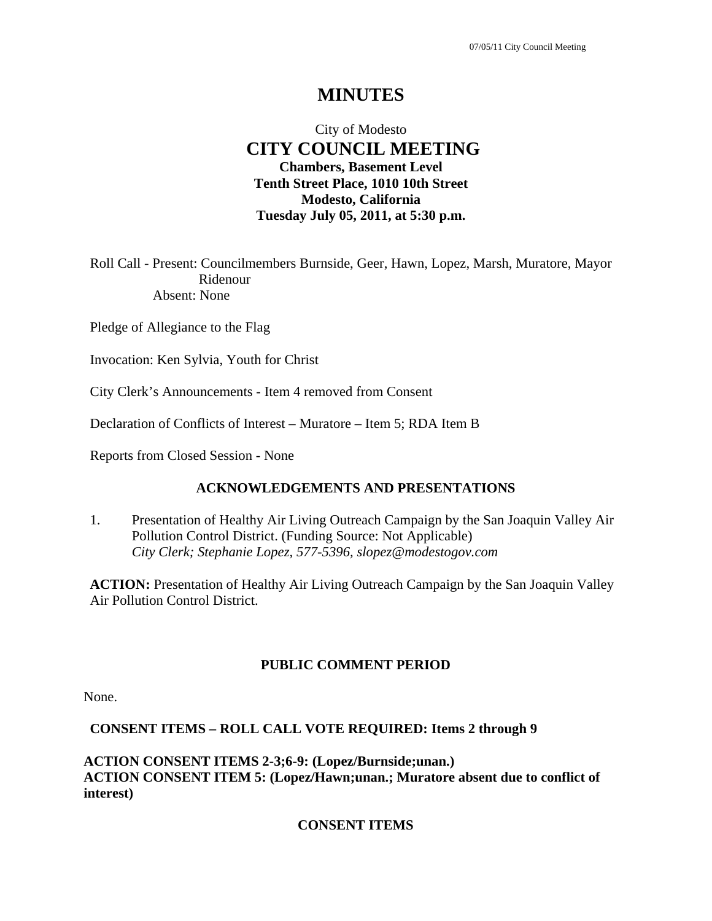# **MINUTES**

# City of Modesto  **CITY COUNCIL MEETING Chambers, Basement Level Tenth Street Place, 1010 10th Street Modesto, California Tuesday July 05, 2011, at 5:30 p.m.**

Roll Call - Present: Councilmembers Burnside, Geer, Hawn, Lopez, Marsh, Muratore, Mayor Ridenour Absent: None

Pledge of Allegiance to the Flag

Invocation: Ken Sylvia, Youth for Christ

City Clerk's Announcements - Item 4 removed from Consent

Declaration of Conflicts of Interest – Muratore – Item 5; RDA Item B

Reports from Closed Session - None

### **ACKNOWLEDGEMENTS AND PRESENTATIONS**

1. Presentation of Healthy Air Living Outreach Campaign by the San Joaquin Valley Air Pollution Control District. (Funding Source: Not Applicable)  *City Clerk; Stephanie Lopez, 577-5396, slopez@modestogov.com* 

**ACTION:** Presentation of Healthy Air Living Outreach Campaign by the San Joaquin Valley Air Pollution Control District.

# **PUBLIC COMMENT PERIOD**

None.

### **CONSENT ITEMS – ROLL CALL VOTE REQUIRED: Items 2 through 9**

**ACTION CONSENT ITEMS 2-3;6-9: (Lopez/Burnside;unan.) ACTION CONSENT ITEM 5: (Lopez/Hawn;unan.; Muratore absent due to conflict of interest)** 

### **CONSENT ITEMS**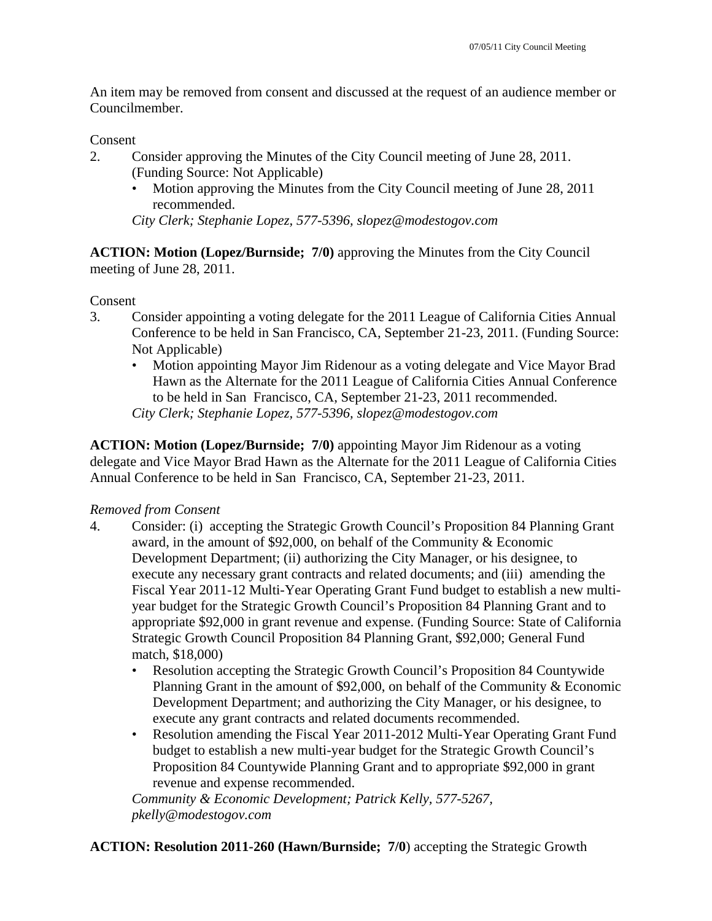An item may be removed from consent and discussed at the request of an audience member or Councilmember.

### Consent

- 2. Consider approving the Minutes of the City Council meeting of June 28, 2011. (Funding Source: Not Applicable)
	- Motion approving the Minutes from the City Council meeting of June 28, 2011 recommended.

*City Clerk; Stephanie Lopez, 577-5396, slopez@modestogov.com* 

**ACTION: Motion (Lopez/Burnside; 7/0)** approving the Minutes from the City Council meeting of June 28, 2011.

## Consent

- 3. Consider appointing a voting delegate for the 2011 League of California Cities Annual Conference to be held in San Francisco, CA, September 21-23, 2011. (Funding Source: Not Applicable)
	- Motion appointing Mayor Jim Ridenour as a voting delegate and Vice Mayor Brad Hawn as the Alternate for the 2011 League of California Cities Annual Conference to be held in San Francisco, CA, September 21-23, 2011 recommended. *City Clerk; Stephanie Lopez, 577-5396, slopez@modestogov.com*

**ACTION: Motion (Lopez/Burnside; 7/0)** appointing Mayor Jim Ridenour as a voting delegate and Vice Mayor Brad Hawn as the Alternate for the 2011 League of California Cities Annual Conference to be held in San Francisco, CA, September 21-23, 2011.

### *Removed from Consent*

- 4. Consider: (i) accepting the Strategic Growth Council's Proposition 84 Planning Grant award, in the amount of \$92,000, on behalf of the Community & Economic Development Department; (ii) authorizing the City Manager, or his designee, to execute any necessary grant contracts and related documents; and (iii) amending the Fiscal Year 2011-12 Multi-Year Operating Grant Fund budget to establish a new multiyear budget for the Strategic Growth Council's Proposition 84 Planning Grant and to appropriate \$92,000 in grant revenue and expense. (Funding Source: State of California Strategic Growth Council Proposition 84 Planning Grant, \$92,000; General Fund match, \$18,000)
	- Resolution accepting the Strategic Growth Council's Proposition 84 Countywide Planning Grant in the amount of \$92,000, on behalf of the Community & Economic Development Department; and authorizing the City Manager, or his designee, to execute any grant contracts and related documents recommended.
	- Resolution amending the Fiscal Year 2011-2012 Multi-Year Operating Grant Fund budget to establish a new multi-year budget for the Strategic Growth Council's Proposition 84 Countywide Planning Grant and to appropriate \$92,000 in grant revenue and expense recommended.

*Community & Economic Development; Patrick Kelly, 577-5267, pkelly@modestogov.com* 

**ACTION: Resolution 2011-260 (Hawn/Burnside; 7/0**) accepting the Strategic Growth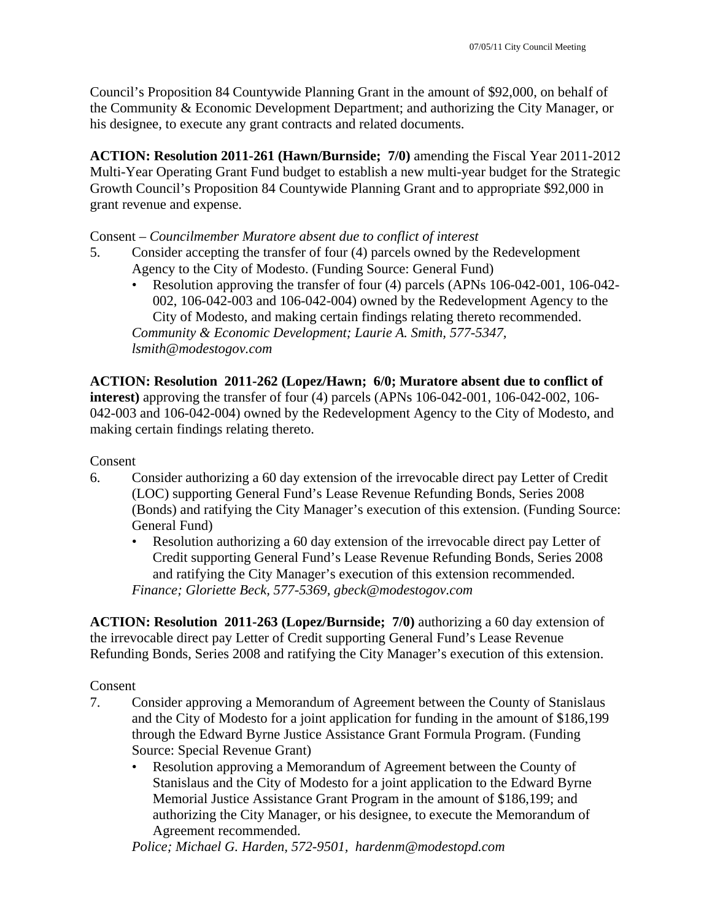Council's Proposition 84 Countywide Planning Grant in the amount of \$92,000, on behalf of the Community & Economic Development Department; and authorizing the City Manager, or his designee, to execute any grant contracts and related documents.

**ACTION: Resolution 2011-261 (Hawn/Burnside; 7/0)** amending the Fiscal Year 2011-2012 Multi-Year Operating Grant Fund budget to establish a new multi-year budget for the Strategic Growth Council's Proposition 84 Countywide Planning Grant and to appropriate \$92,000 in grant revenue and expense.

## Consent – *Councilmember Muratore absent due to conflict of interest*

- 5. Consider accepting the transfer of four (4) parcels owned by the Redevelopment Agency to the City of Modesto. (Funding Source: General Fund)
	- Resolution approving the transfer of four (4) parcels (APNs 106-042-001, 106-042- 002, 106-042-003 and 106-042-004) owned by the Redevelopment Agency to the City of Modesto, and making certain findings relating thereto recommended. *Community & Economic Development; Laurie A. Smith, 577-5347, lsmith@modestogov.com*

**ACTION: Resolution 2011-262 (Lopez/Hawn; 6/0; Muratore absent due to conflict of interest)** approving the transfer of four (4) parcels (APNs 106-042-001, 106-042-002, 106- 042-003 and 106-042-004) owned by the Redevelopment Agency to the City of Modesto, and making certain findings relating thereto.

### Consent

- 6. Consider authorizing a 60 day extension of the irrevocable direct pay Letter of Credit (LOC) supporting General Fund's Lease Revenue Refunding Bonds, Series 2008 (Bonds) and ratifying the City Manager's execution of this extension. (Funding Source: General Fund)
	- Resolution authorizing a 60 day extension of the irrevocable direct pay Letter of Credit supporting General Fund's Lease Revenue Refunding Bonds, Series 2008 and ratifying the City Manager's execution of this extension recommended. *Finance; Gloriette Beck, 577-5369, gbeck@modestogov.com*

**ACTION: Resolution 2011-263 (Lopez/Burnside; 7/0)** authorizing a 60 day extension of the irrevocable direct pay Letter of Credit supporting General Fund's Lease Revenue Refunding Bonds, Series 2008 and ratifying the City Manager's execution of this extension.

Consent

- 7. Consider approving a Memorandum of Agreement between the County of Stanislaus and the City of Modesto for a joint application for funding in the amount of \$186,199 through the Edward Byrne Justice Assistance Grant Formula Program. (Funding Source: Special Revenue Grant)
	- Resolution approving a Memorandum of Agreement between the County of Stanislaus and the City of Modesto for a joint application to the Edward Byrne Memorial Justice Assistance Grant Program in the amount of \$186,199; and authorizing the City Manager, or his designee, to execute the Memorandum of Agreement recommended.

*Police; Michael G. Harden, 572-9501, hardenm@modestopd.com*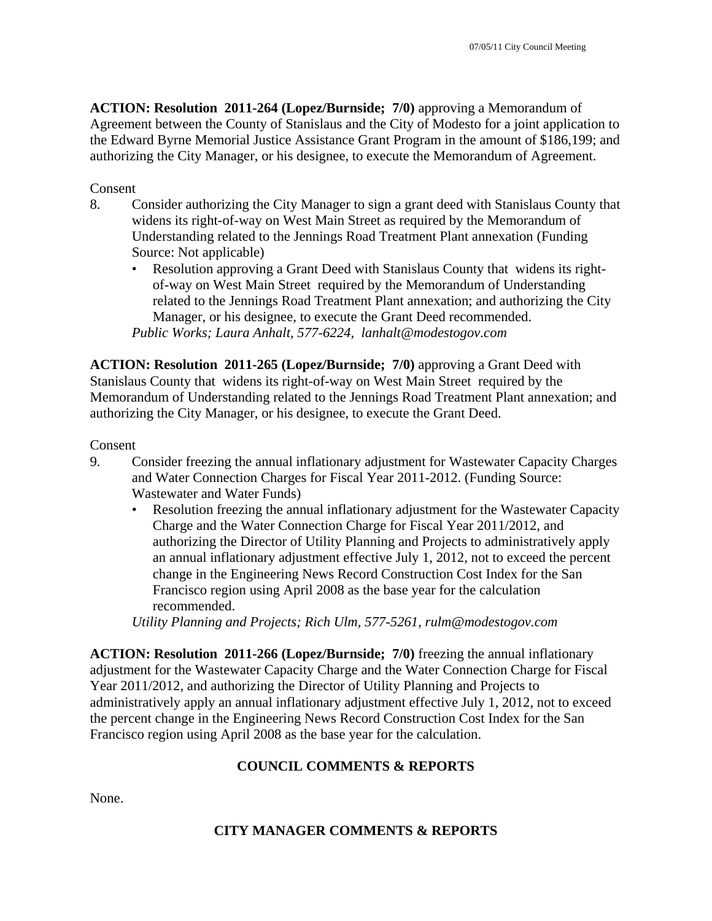**ACTION: Resolution 2011-264 (Lopez/Burnside; 7/0)** approving a Memorandum of Agreement between the County of Stanislaus and the City of Modesto for a joint application to the Edward Byrne Memorial Justice Assistance Grant Program in the amount of \$186,199; and authorizing the City Manager, or his designee, to execute the Memorandum of Agreement.

## Consent

- 8. Consider authorizing the City Manager to sign a grant deed with Stanislaus County that widens its right-of-way on West Main Street as required by the Memorandum of Understanding related to the Jennings Road Treatment Plant annexation (Funding Source: Not applicable)
	- Resolution approving a Grant Deed with Stanislaus County that widens its rightof-way on West Main Street required by the Memorandum of Understanding related to the Jennings Road Treatment Plant annexation; and authorizing the City Manager, or his designee, to execute the Grant Deed recommended. *Public Works; Laura Anhalt, 577-6224, lanhalt@modestogov.com*

**ACTION: Resolution 2011-265 (Lopez/Burnside; 7/0)** approving a Grant Deed with Stanislaus County that widens its right-of-way on West Main Street required by the Memorandum of Understanding related to the Jennings Road Treatment Plant annexation; and authorizing the City Manager, or his designee, to execute the Grant Deed.

### Consent

- 9. Consider freezing the annual inflationary adjustment for Wastewater Capacity Charges and Water Connection Charges for Fiscal Year 2011-2012. (Funding Source: Wastewater and Water Funds)
	- Resolution freezing the annual inflationary adjustment for the Wastewater Capacity Charge and the Water Connection Charge for Fiscal Year 2011/2012, and authorizing the Director of Utility Planning and Projects to administratively apply an annual inflationary adjustment effective July 1, 2012, not to exceed the percent change in the Engineering News Record Construction Cost Index for the San Francisco region using April 2008 as the base year for the calculation recommended.

*Utility Planning and Projects; Rich Ulm, 577-5261, rulm@modestogov.com* 

**ACTION: Resolution 2011-266 (Lopez/Burnside; 7/0)** freezing the annual inflationary adjustment for the Wastewater Capacity Charge and the Water Connection Charge for Fiscal Year 2011/2012, and authorizing the Director of Utility Planning and Projects to administratively apply an annual inflationary adjustment effective July 1, 2012, not to exceed the percent change in the Engineering News Record Construction Cost Index for the San Francisco region using April 2008 as the base year for the calculation.

# **COUNCIL COMMENTS & REPORTS**

None.

# **CITY MANAGER COMMENTS & REPORTS**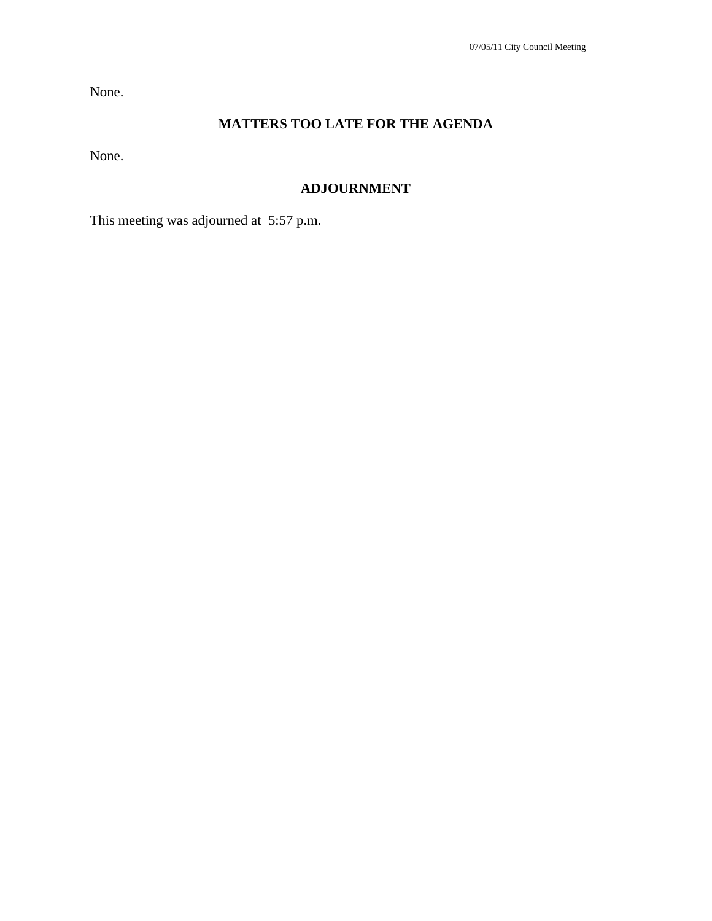None.

# **MATTERS TOO LATE FOR THE AGENDA**

None.

# **ADJOURNMENT**

This meeting was adjourned at 5:57 p.m.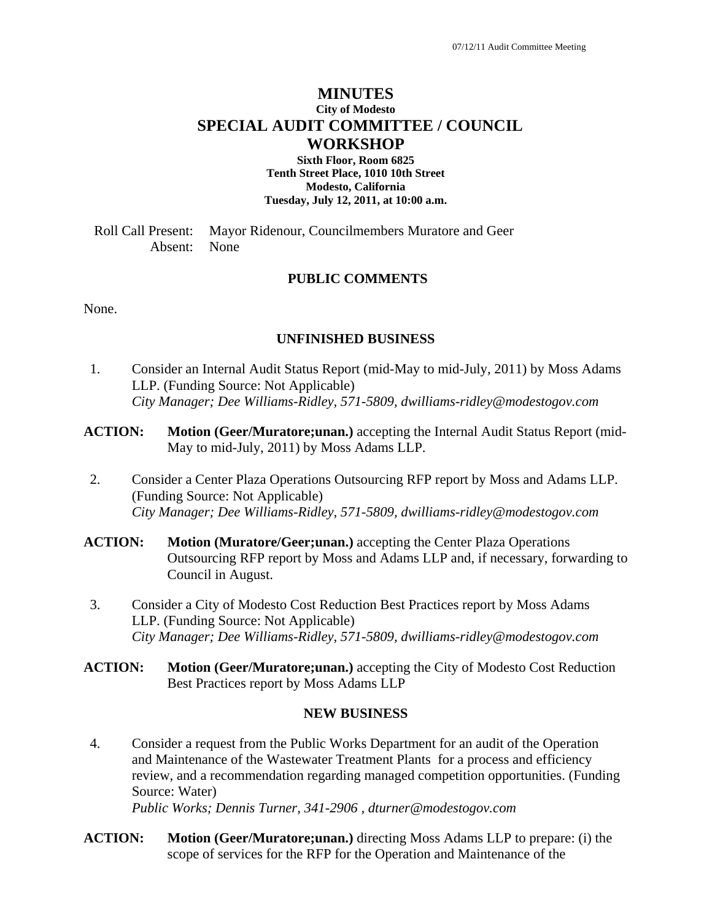# **MINUTES City of Modesto SPECIAL AUDIT COMMITTEE / COUNCIL WORKSHOP**

**Sixth Floor, Room 6825 Tenth Street Place, 1010 10th Street Modesto, California Tuesday, July 12, 2011, at 10:00 a.m.** 

Roll Call Present: Mayor Ridenour, Councilmembers Muratore and Geer Absent: None

### **PUBLIC COMMENTS**

None.

### **UNFINISHED BUSINESS**

- 1. Consider an Internal Audit Status Report (mid-May to mid-July, 2011) by Moss Adams LLP. (Funding Source: Not Applicable)  *City Manager; Dee Williams-Ridley, 571-5809, dwilliams-ridley@modestogov.com*
- **ACTION:** Motion (Geer/Muratore; unan.) accepting the Internal Audit Status Report (mid-May to mid-July, 2011) by Moss Adams LLP.
- 2. Consider a Center Plaza Operations Outsourcing RFP report by Moss and Adams LLP. (Funding Source: Not Applicable)  *City Manager; Dee Williams-Ridley, 571-5809, dwilliams-ridley@modestogov.com*
- **ACTION: Motion (Muratore/Geer;unan.)** accepting the Center Plaza Operations Outsourcing RFP report by Moss and Adams LLP and, if necessary, forwarding to Council in August.
- 3. Consider a City of Modesto Cost Reduction Best Practices report by Moss Adams LLP. (Funding Source: Not Applicable)  *City Manager; Dee Williams-Ridley, 571-5809, dwilliams-ridley@modestogov.com*
- **ACTION: Motion (Geer/Muratore;unan.)** accepting the City of Modesto Cost Reduction Best Practices report by Moss Adams LLP

### **NEW BUSINESS**

4. Consider a request from the Public Works Department for an audit of the Operation and Maintenance of the Wastewater Treatment Plants for a process and efficiency review, and a recommendation regarding managed competition opportunities. (Funding Source: Water)

 *Public Works; Dennis Turner, 341-2906 , dturner@modestogov.com* 

**ACTION: Motion (Geer/Muratore;unan.)** directing Moss Adams LLP to prepare: (i) the scope of services for the RFP for the Operation and Maintenance of the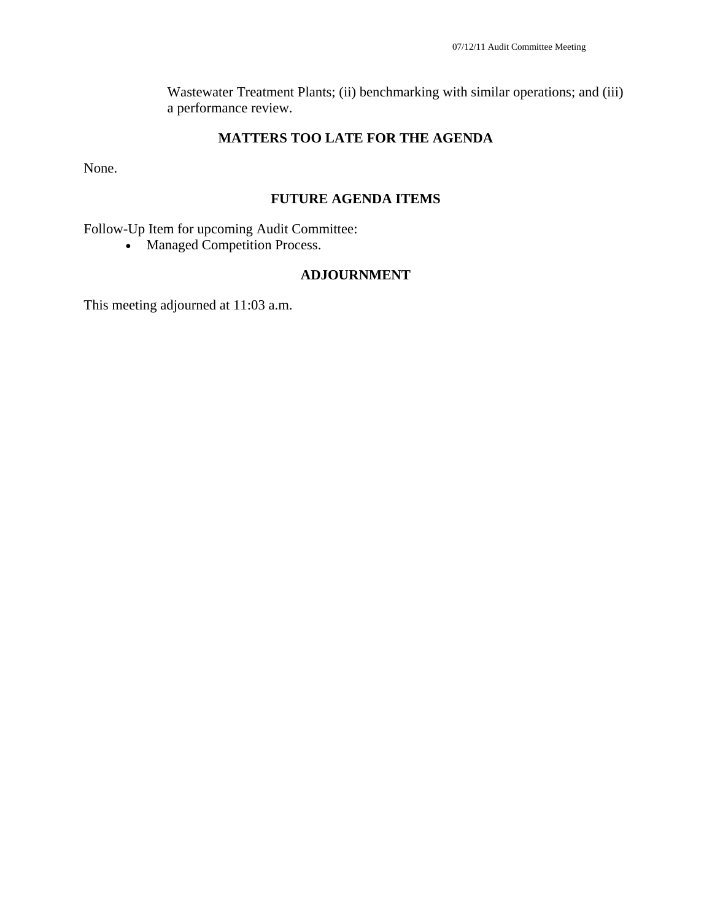Wastewater Treatment Plants; (ii) benchmarking with similar operations; and (iii) a performance review.

## **MATTERS TOO LATE FOR THE AGENDA**

None.

### **FUTURE AGENDA ITEMS**

Follow-Up Item for upcoming Audit Committee:

• Managed Competition Process.

### **ADJOURNMENT**

This meeting adjourned at 11:03 a.m.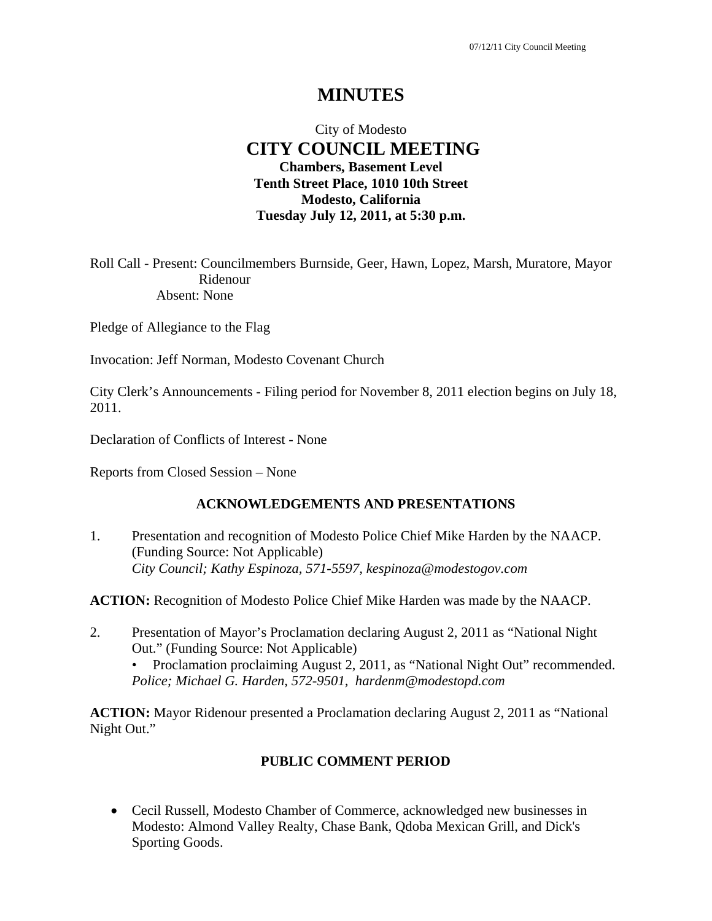# **MINUTES**

# City of Modesto  **CITY COUNCIL MEETING Chambers, Basement Level Tenth Street Place, 1010 10th Street Modesto, California Tuesday July 12, 2011, at 5:30 p.m.**

Roll Call - Present: Councilmembers Burnside, Geer, Hawn, Lopez, Marsh, Muratore, Mayor Ridenour Absent: None

Pledge of Allegiance to the Flag

Invocation: Jeff Norman, Modesto Covenant Church

City Clerk's Announcements - Filing period for November 8, 2011 election begins on July 18, 2011.

Declaration of Conflicts of Interest - None

Reports from Closed Session – None

### **ACKNOWLEDGEMENTS AND PRESENTATIONS**

1. Presentation and recognition of Modesto Police Chief Mike Harden by the NAACP. (Funding Source: Not Applicable)  *City Council; Kathy Espinoza, 571-5597, kespinoza@modestogov.com* 

**ACTION:** Recognition of Modesto Police Chief Mike Harden was made by the NAACP.

2. Presentation of Mayor's Proclamation declaring August 2, 2011 as "National Night Out." (Funding Source: Not Applicable) • Proclamation proclaiming August 2, 2011, as "National Night Out" recommended.

*Police; Michael G. Harden, 572-9501, hardenm@modestopd.com* 

**ACTION:** Mayor Ridenour presented a Proclamation declaring August 2, 2011 as "National Night Out."

# **PUBLIC COMMENT PERIOD**

 Cecil Russell, Modesto Chamber of Commerce, acknowledged new businesses in Modesto: Almond Valley Realty, Chase Bank, Qdoba Mexican Grill, and Dick's Sporting Goods.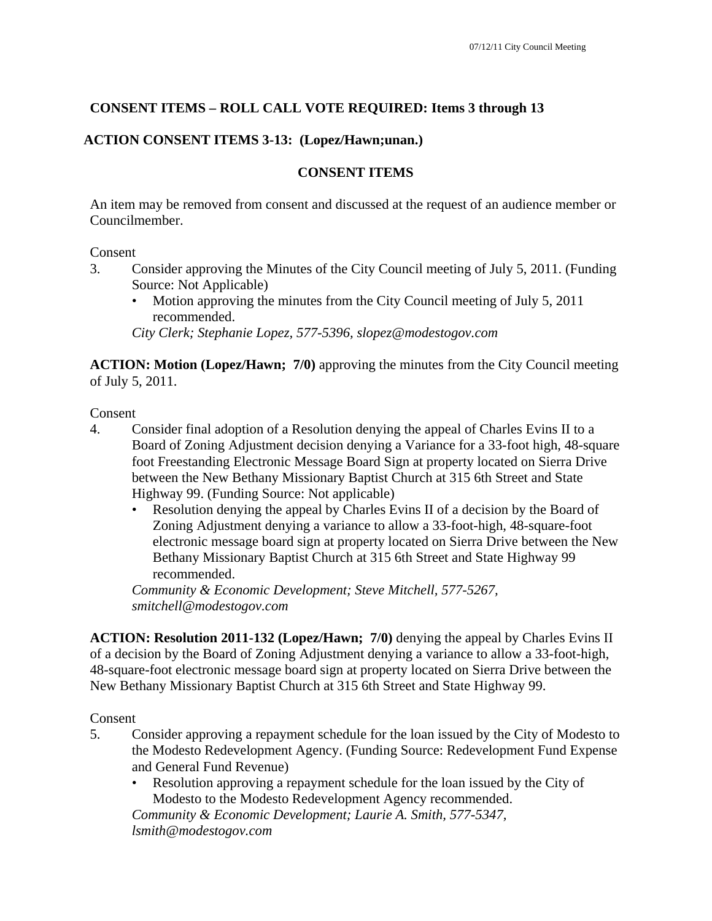# **CONSENT ITEMS – ROLL CALL VOTE REQUIRED: Items 3 through 13**

## **ACTION CONSENT ITEMS 3-13: (Lopez/Hawn;unan.)**

## **CONSENT ITEMS**

An item may be removed from consent and discussed at the request of an audience member or Councilmember.

### Consent

- 3. Consider approving the Minutes of the City Council meeting of July 5, 2011. (Funding Source: Not Applicable)
	- Motion approving the minutes from the City Council meeting of July 5, 2011 recommended.

*City Clerk; Stephanie Lopez, 577-5396, slopez@modestogov.com* 

**ACTION: Motion (Lopez/Hawn; 7/0)** approving the minutes from the City Council meeting of July 5, 2011.

Consent

- 4. Consider final adoption of a Resolution denying the appeal of Charles Evins II to a Board of Zoning Adjustment decision denying a Variance for a 33-foot high, 48-square foot Freestanding Electronic Message Board Sign at property located on Sierra Drive between the New Bethany Missionary Baptist Church at 315 6th Street and State Highway 99. (Funding Source: Not applicable)
	- Resolution denying the appeal by Charles Evins II of a decision by the Board of Zoning Adjustment denying a variance to allow a 33-foot-high, 48-square-foot electronic message board sign at property located on Sierra Drive between the New Bethany Missionary Baptist Church at 315 6th Street and State Highway 99 recommended.

*Community & Economic Development; Steve Mitchell, 577-5267, smitchell@modestogov.com* 

**ACTION: Resolution 2011-132 (Lopez/Hawn; 7/0)** denying the appeal by Charles Evins II of a decision by the Board of Zoning Adjustment denying a variance to allow a 33-foot-high, 48-square-foot electronic message board sign at property located on Sierra Drive between the New Bethany Missionary Baptist Church at 315 6th Street and State Highway 99.

Consent

- 5. Consider approving a repayment schedule for the loan issued by the City of Modesto to the Modesto Redevelopment Agency. (Funding Source: Redevelopment Fund Expense and General Fund Revenue)
	- Resolution approving a repayment schedule for the loan issued by the City of Modesto to the Modesto Redevelopment Agency recommended. *Community & Economic Development; Laurie A. Smith, 577-5347, lsmith@modestogov.com*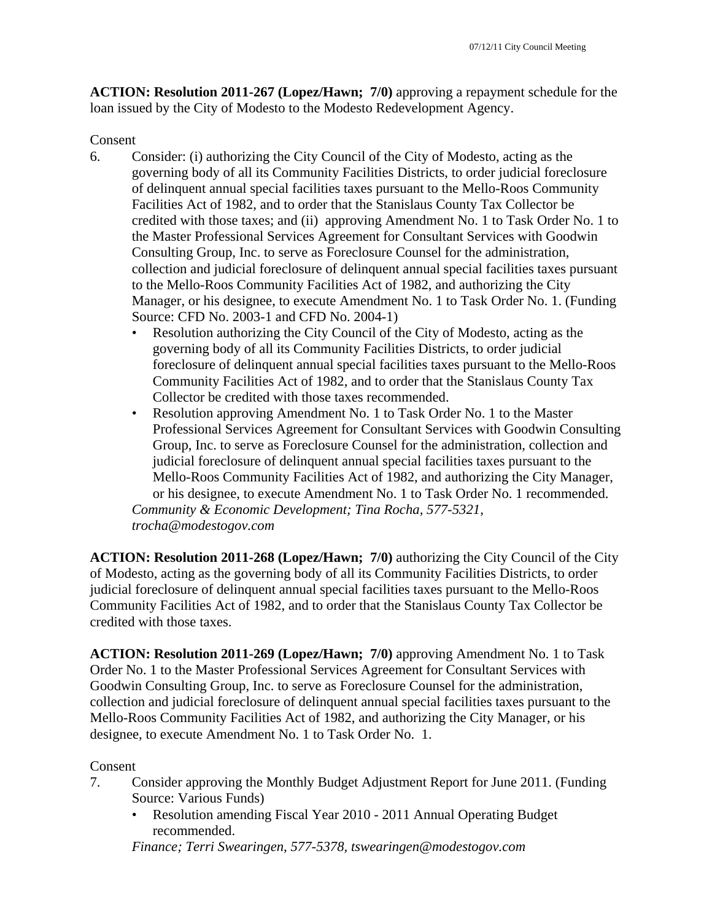**ACTION: Resolution 2011-267 (Lopez/Hawn; 7/0)** approving a repayment schedule for the loan issued by the City of Modesto to the Modesto Redevelopment Agency.

### Consent

- 6. Consider: (i) authorizing the City Council of the City of Modesto, acting as the governing body of all its Community Facilities Districts, to order judicial foreclosure of delinquent annual special facilities taxes pursuant to the Mello-Roos Community Facilities Act of 1982, and to order that the Stanislaus County Tax Collector be credited with those taxes; and (ii) approving Amendment No. 1 to Task Order No. 1 to the Master Professional Services Agreement for Consultant Services with Goodwin Consulting Group, Inc. to serve as Foreclosure Counsel for the administration, collection and judicial foreclosure of delinquent annual special facilities taxes pursuant to the Mello-Roos Community Facilities Act of 1982, and authorizing the City Manager, or his designee, to execute Amendment No. 1 to Task Order No. 1. (Funding Source: CFD No. 2003-1 and CFD No. 2004-1)
	- Resolution authorizing the City Council of the City of Modesto, acting as the governing body of all its Community Facilities Districts, to order judicial foreclosure of delinquent annual special facilities taxes pursuant to the Mello-Roos Community Facilities Act of 1982, and to order that the Stanislaus County Tax Collector be credited with those taxes recommended.
	- Resolution approving Amendment No. 1 to Task Order No. 1 to the Master Professional Services Agreement for Consultant Services with Goodwin Consulting Group, Inc. to serve as Foreclosure Counsel for the administration, collection and judicial foreclosure of delinquent annual special facilities taxes pursuant to the Mello-Roos Community Facilities Act of 1982, and authorizing the City Manager, or his designee, to execute Amendment No. 1 to Task Order No. 1 recommended. *Community & Economic Development; Tina Rocha, 577-5321, trocha@modestogov.com*

**ACTION: Resolution 2011-268 (Lopez/Hawn; 7/0)** authorizing the City Council of the City of Modesto, acting as the governing body of all its Community Facilities Districts, to order judicial foreclosure of delinquent annual special facilities taxes pursuant to the Mello-Roos Community Facilities Act of 1982, and to order that the Stanislaus County Tax Collector be credited with those taxes.

**ACTION: Resolution 2011-269 (Lopez/Hawn; 7/0)** approving Amendment No. 1 to Task Order No. 1 to the Master Professional Services Agreement for Consultant Services with Goodwin Consulting Group, Inc. to serve as Foreclosure Counsel for the administration, collection and judicial foreclosure of delinquent annual special facilities taxes pursuant to the Mello-Roos Community Facilities Act of 1982, and authorizing the City Manager, or his designee, to execute Amendment No. 1 to Task Order No. 1.

### Consent

- 7. Consider approving the Monthly Budget Adjustment Report for June 2011. (Funding Source: Various Funds)
	- Resolution amending Fiscal Year 2010 2011 Annual Operating Budget recommended.

*Finance; Terri Swearingen, 577-5378, tswearingen@modestogov.com*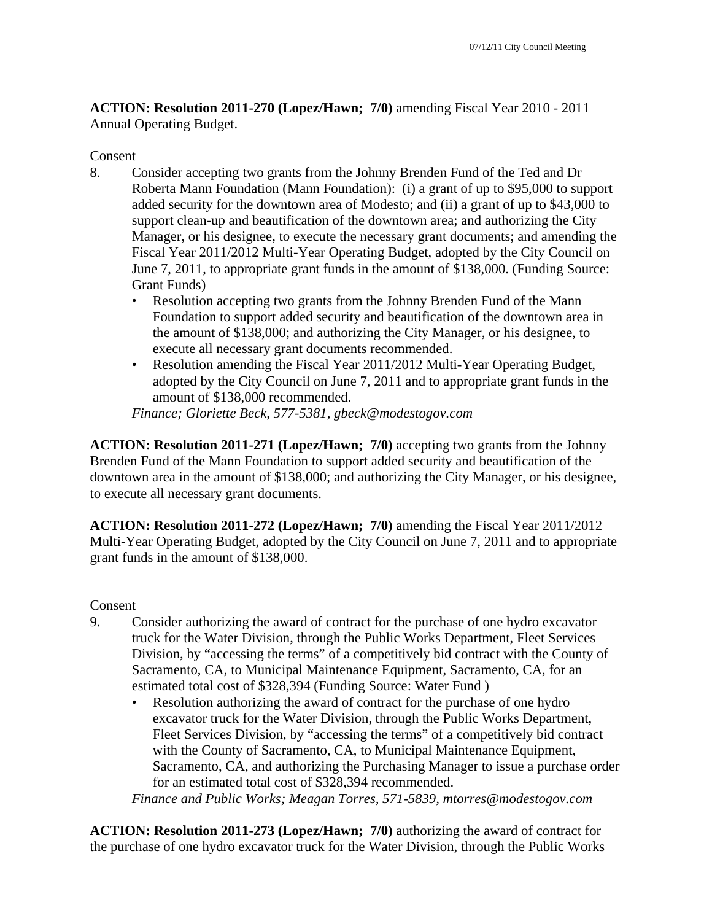**ACTION: Resolution 2011-270 (Lopez/Hawn; 7/0)** amending Fiscal Year 2010 - 2011 Annual Operating Budget.

### Consent

- 8. Consider accepting two grants from the Johnny Brenden Fund of the Ted and Dr Roberta Mann Foundation (Mann Foundation): (i) a grant of up to \$95,000 to support added security for the downtown area of Modesto; and (ii) a grant of up to \$43,000 to support clean-up and beautification of the downtown area; and authorizing the City Manager, or his designee, to execute the necessary grant documents; and amending the Fiscal Year 2011/2012 Multi-Year Operating Budget, adopted by the City Council on June 7, 2011, to appropriate grant funds in the amount of \$138,000. (Funding Source: Grant Funds)
	- Resolution accepting two grants from the Johnny Brenden Fund of the Mann Foundation to support added security and beautification of the downtown area in the amount of \$138,000; and authorizing the City Manager, or his designee, to execute all necessary grant documents recommended.
	- Resolution amending the Fiscal Year 2011/2012 Multi-Year Operating Budget, adopted by the City Council on June 7, 2011 and to appropriate grant funds in the amount of \$138,000 recommended.

*Finance; Gloriette Beck, 577-5381, gbeck@modestogov.com* 

**ACTION: Resolution 2011-271 (Lopez/Hawn; 7/0)** accepting two grants from the Johnny Brenden Fund of the Mann Foundation to support added security and beautification of the downtown area in the amount of \$138,000; and authorizing the City Manager, or his designee, to execute all necessary grant documents.

**ACTION: Resolution 2011-272 (Lopez/Hawn; 7/0)** amending the Fiscal Year 2011/2012 Multi-Year Operating Budget, adopted by the City Council on June 7, 2011 and to appropriate grant funds in the amount of \$138,000.

### Consent

- 9. Consider authorizing the award of contract for the purchase of one hydro excavator truck for the Water Division, through the Public Works Department, Fleet Services Division, by "accessing the terms" of a competitively bid contract with the County of Sacramento, CA, to Municipal Maintenance Equipment, Sacramento, CA, for an estimated total cost of \$328,394 (Funding Source: Water Fund )
	- Resolution authorizing the award of contract for the purchase of one hydro excavator truck for the Water Division, through the Public Works Department, Fleet Services Division, by "accessing the terms" of a competitively bid contract with the County of Sacramento, CA, to Municipal Maintenance Equipment, Sacramento, CA, and authorizing the Purchasing Manager to issue a purchase order for an estimated total cost of \$328,394 recommended.

*Finance and Public Works; Meagan Torres, 571-5839, mtorres@modestogov.com* 

**ACTION: Resolution 2011-273 (Lopez/Hawn; 7/0)** authorizing the award of contract for the purchase of one hydro excavator truck for the Water Division, through the Public Works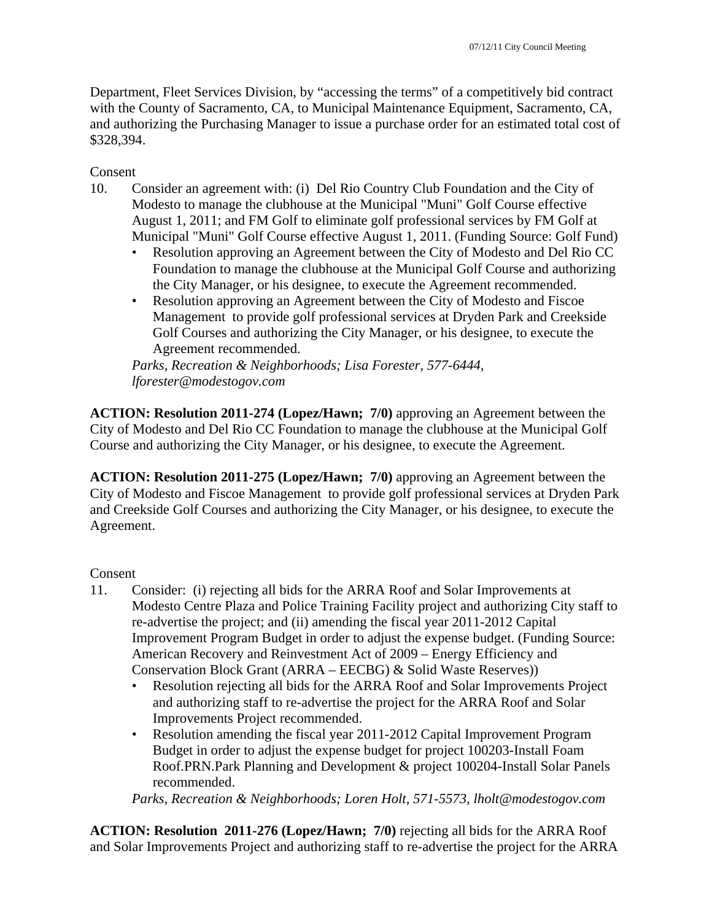Department, Fleet Services Division, by "accessing the terms" of a competitively bid contract with the County of Sacramento, CA, to Municipal Maintenance Equipment, Sacramento, CA, and authorizing the Purchasing Manager to issue a purchase order for an estimated total cost of \$328,394.

Consent

- 10. Consider an agreement with: (i) Del Rio Country Club Foundation and the City of Modesto to manage the clubhouse at the Municipal "Muni" Golf Course effective August 1, 2011; and FM Golf to eliminate golf professional services by FM Golf at Municipal "Muni" Golf Course effective August 1, 2011. (Funding Source: Golf Fund)
	- Resolution approving an Agreement between the City of Modesto and Del Rio CC Foundation to manage the clubhouse at the Municipal Golf Course and authorizing the City Manager, or his designee, to execute the Agreement recommended.
	- Resolution approving an Agreement between the City of Modesto and Fiscoe Management to provide golf professional services at Dryden Park and Creekside Golf Courses and authorizing the City Manager, or his designee, to execute the Agreement recommended.

*Parks, Recreation & Neighborhoods; Lisa Forester, 577-6444, lforester@modestogov.com* 

**ACTION: Resolution 2011-274 (Lopez/Hawn; 7/0)** approving an Agreement between the City of Modesto and Del Rio CC Foundation to manage the clubhouse at the Municipal Golf Course and authorizing the City Manager, or his designee, to execute the Agreement.

**ACTION: Resolution 2011-275 (Lopez/Hawn; 7/0)** approving an Agreement between the City of Modesto and Fiscoe Management to provide golf professional services at Dryden Park and Creekside Golf Courses and authorizing the City Manager, or his designee, to execute the Agreement.

# Consent

- 11. Consider: (i) rejecting all bids for the ARRA Roof and Solar Improvements at Modesto Centre Plaza and Police Training Facility project and authorizing City staff to re-advertise the project; and (ii) amending the fiscal year 2011-2012 Capital Improvement Program Budget in order to adjust the expense budget. (Funding Source: American Recovery and Reinvestment Act of 2009 – Energy Efficiency and Conservation Block Grant (ARRA – EECBG) & Solid Waste Reserves))
	- Resolution rejecting all bids for the ARRA Roof and Solar Improvements Project and authorizing staff to re-advertise the project for the ARRA Roof and Solar Improvements Project recommended.
	- Resolution amending the fiscal year 2011-2012 Capital Improvement Program Budget in order to adjust the expense budget for project 100203-Install Foam Roof.PRN.Park Planning and Development & project 100204-Install Solar Panels recommended.

*Parks, Recreation & Neighborhoods; Loren Holt, 571-5573, lholt@modestogov.com* 

**ACTION: Resolution 2011-276 (Lopez/Hawn; 7/0)** rejecting all bids for the ARRA Roof and Solar Improvements Project and authorizing staff to re-advertise the project for the ARRA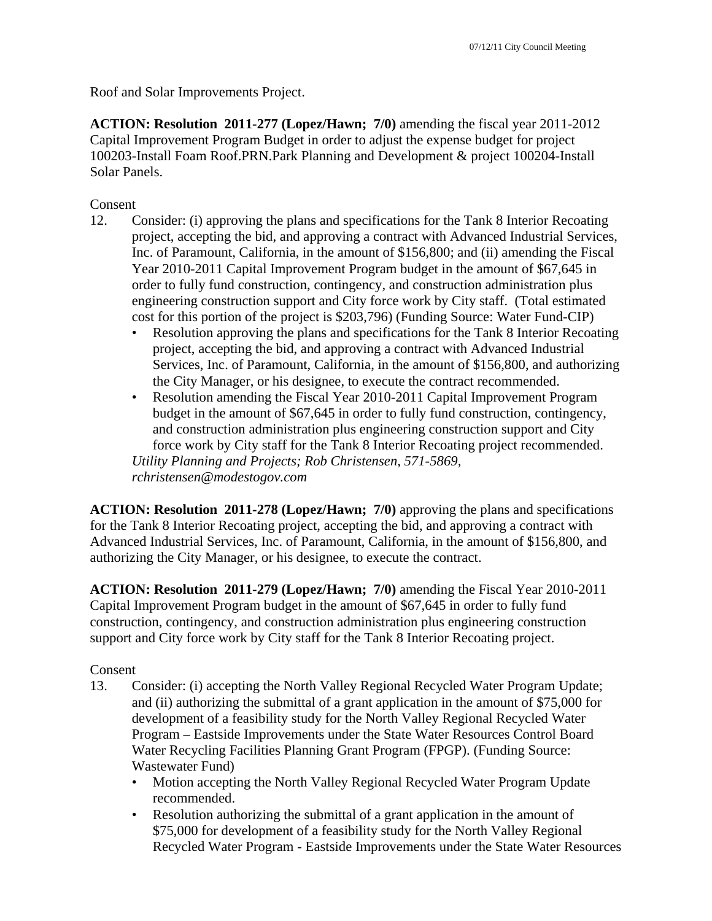Roof and Solar Improvements Project.

**ACTION: Resolution 2011-277 (Lopez/Hawn; 7/0)** amending the fiscal year 2011-2012 Capital Improvement Program Budget in order to adjust the expense budget for project 100203-Install Foam Roof.PRN.Park Planning and Development & project 100204-Install Solar Panels.

Consent

- 12. Consider: (i) approving the plans and specifications for the Tank 8 Interior Recoating project, accepting the bid, and approving a contract with Advanced Industrial Services, Inc. of Paramount, California, in the amount of \$156,800; and (ii) amending the Fiscal Year 2010-2011 Capital Improvement Program budget in the amount of \$67,645 in order to fully fund construction, contingency, and construction administration plus engineering construction support and City force work by City staff. (Total estimated cost for this portion of the project is \$203,796) (Funding Source: Water Fund-CIP)
	- Resolution approving the plans and specifications for the Tank 8 Interior Recoating project, accepting the bid, and approving a contract with Advanced Industrial Services, Inc. of Paramount, California, in the amount of \$156,800, and authorizing the City Manager, or his designee, to execute the contract recommended.
	- Resolution amending the Fiscal Year 2010-2011 Capital Improvement Program budget in the amount of \$67,645 in order to fully fund construction, contingency, and construction administration plus engineering construction support and City force work by City staff for the Tank 8 Interior Recoating project recommended. *Utility Planning and Projects; Rob Christensen, 571-5869,*

*rchristensen@modestogov.com* 

**ACTION: Resolution 2011-278 (Lopez/Hawn; 7/0)** approving the plans and specifications for the Tank 8 Interior Recoating project, accepting the bid, and approving a contract with Advanced Industrial Services, Inc. of Paramount, California, in the amount of \$156,800, and authorizing the City Manager, or his designee, to execute the contract.

**ACTION: Resolution 2011-279 (Lopez/Hawn; 7/0)** amending the Fiscal Year 2010-2011 Capital Improvement Program budget in the amount of \$67,645 in order to fully fund construction, contingency, and construction administration plus engineering construction support and City force work by City staff for the Tank 8 Interior Recoating project.

### Consent

- 13. Consider: (i) accepting the North Valley Regional Recycled Water Program Update; and (ii) authorizing the submittal of a grant application in the amount of \$75,000 for development of a feasibility study for the North Valley Regional Recycled Water Program – Eastside Improvements under the State Water Resources Control Board Water Recycling Facilities Planning Grant Program (FPGP). (Funding Source: Wastewater Fund)
	- Motion accepting the North Valley Regional Recycled Water Program Update recommended.
	- Resolution authorizing the submittal of a grant application in the amount of \$75,000 for development of a feasibility study for the North Valley Regional Recycled Water Program - Eastside Improvements under the State Water Resources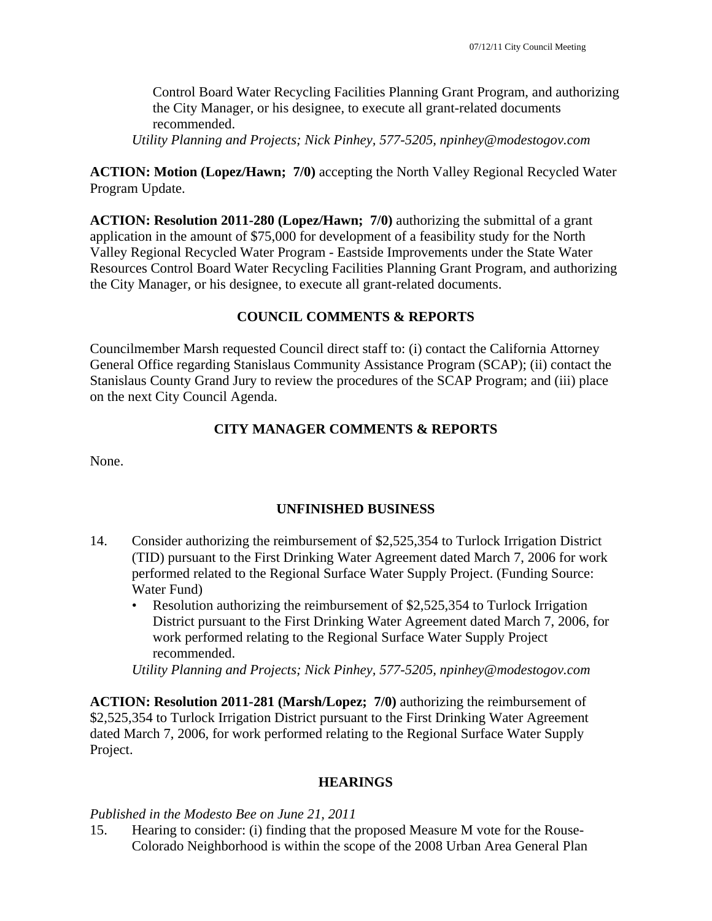Control Board Water Recycling Facilities Planning Grant Program, and authorizing the City Manager, or his designee, to execute all grant-related documents recommended.

*Utility Planning and Projects; Nick Pinhey, 577-5205, npinhey@modestogov.com* 

## **ACTION: Motion (Lopez/Hawn; 7/0)** accepting the North Valley Regional Recycled Water Program Update.

**ACTION: Resolution 2011-280 (Lopez/Hawn; 7/0)** authorizing the submittal of a grant application in the amount of \$75,000 for development of a feasibility study for the North Valley Regional Recycled Water Program - Eastside Improvements under the State Water Resources Control Board Water Recycling Facilities Planning Grant Program, and authorizing the City Manager, or his designee, to execute all grant-related documents.

# **COUNCIL COMMENTS & REPORTS**

Councilmember Marsh requested Council direct staff to: (i) contact the California Attorney General Office regarding Stanislaus Community Assistance Program (SCAP); (ii) contact the Stanislaus County Grand Jury to review the procedures of the SCAP Program; and (iii) place on the next City Council Agenda.

# **CITY MANAGER COMMENTS & REPORTS**

None.

# **UNFINISHED BUSINESS**

- 14. Consider authorizing the reimbursement of \$2,525,354 to Turlock Irrigation District (TID) pursuant to the First Drinking Water Agreement dated March 7, 2006 for work performed related to the Regional Surface Water Supply Project. (Funding Source: Water Fund)
	- Resolution authorizing the reimbursement of \$2,525,354 to Turlock Irrigation District pursuant to the First Drinking Water Agreement dated March 7, 2006, for work performed relating to the Regional Surface Water Supply Project recommended.

*Utility Planning and Projects; Nick Pinhey, 577-5205, npinhey@modestogov.com* 

**ACTION: Resolution 2011-281 (Marsh/Lopez; 7/0)** authorizing the reimbursement of \$2,525,354 to Turlock Irrigation District pursuant to the First Drinking Water Agreement dated March 7, 2006, for work performed relating to the Regional Surface Water Supply Project.

### **HEARINGS**

### *Published in the Modesto Bee on June 21, 2011*

15. Hearing to consider: (i) finding that the proposed Measure M vote for the Rouse-Colorado Neighborhood is within the scope of the 2008 Urban Area General Plan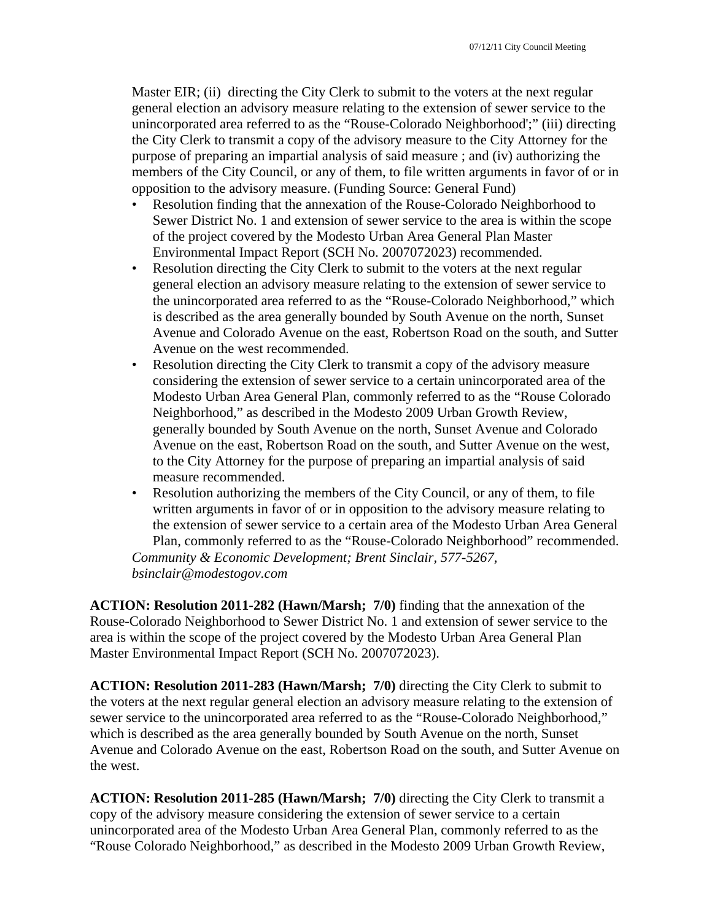Master EIR; (ii) directing the City Clerk to submit to the voters at the next regular general election an advisory measure relating to the extension of sewer service to the unincorporated area referred to as the "Rouse-Colorado Neighborhood';" (iii) directing the City Clerk to transmit a copy of the advisory measure to the City Attorney for the purpose of preparing an impartial analysis of said measure ; and (iv) authorizing the members of the City Council, or any of them, to file written arguments in favor of or in opposition to the advisory measure. (Funding Source: General Fund)

- Resolution finding that the annexation of the Rouse-Colorado Neighborhood to Sewer District No. 1 and extension of sewer service to the area is within the scope of the project covered by the Modesto Urban Area General Plan Master Environmental Impact Report (SCH No. 2007072023) recommended.
- Resolution directing the City Clerk to submit to the voters at the next regular general election an advisory measure relating to the extension of sewer service to the unincorporated area referred to as the "Rouse-Colorado Neighborhood," which is described as the area generally bounded by South Avenue on the north, Sunset Avenue and Colorado Avenue on the east, Robertson Road on the south, and Sutter Avenue on the west recommended.
- Resolution directing the City Clerk to transmit a copy of the advisory measure considering the extension of sewer service to a certain unincorporated area of the Modesto Urban Area General Plan, commonly referred to as the "Rouse Colorado Neighborhood," as described in the Modesto 2009 Urban Growth Review, generally bounded by South Avenue on the north, Sunset Avenue and Colorado Avenue on the east, Robertson Road on the south, and Sutter Avenue on the west, to the City Attorney for the purpose of preparing an impartial analysis of said measure recommended.
- Resolution authorizing the members of the City Council, or any of them, to file written arguments in favor of or in opposition to the advisory measure relating to the extension of sewer service to a certain area of the Modesto Urban Area General Plan, commonly referred to as the "Rouse-Colorado Neighborhood" recommended.

*Community & Economic Development; Brent Sinclair, 577-5267, bsinclair@modestogov.com* 

**ACTION: Resolution 2011-282 (Hawn/Marsh; 7/0)** finding that the annexation of the Rouse-Colorado Neighborhood to Sewer District No. 1 and extension of sewer service to the area is within the scope of the project covered by the Modesto Urban Area General Plan Master Environmental Impact Report (SCH No. 2007072023).

**ACTION: Resolution 2011-283 (Hawn/Marsh; 7/0)** directing the City Clerk to submit to the voters at the next regular general election an advisory measure relating to the extension of sewer service to the unincorporated area referred to as the "Rouse-Colorado Neighborhood," which is described as the area generally bounded by South Avenue on the north, Sunset Avenue and Colorado Avenue on the east, Robertson Road on the south, and Sutter Avenue on the west.

**ACTION: Resolution 2011-285 (Hawn/Marsh; 7/0)** directing the City Clerk to transmit a copy of the advisory measure considering the extension of sewer service to a certain unincorporated area of the Modesto Urban Area General Plan, commonly referred to as the "Rouse Colorado Neighborhood," as described in the Modesto 2009 Urban Growth Review,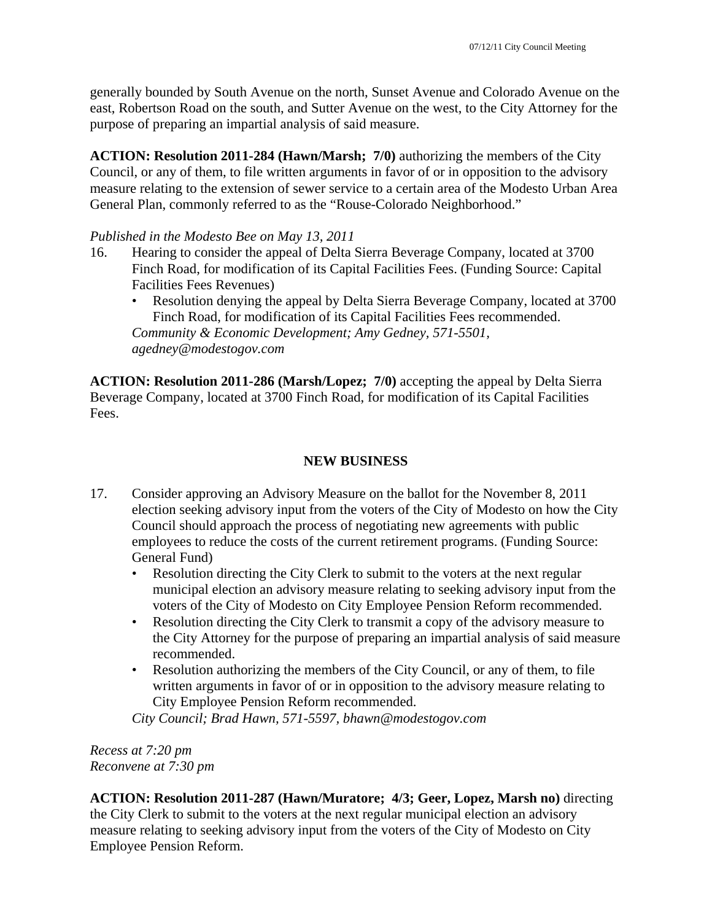generally bounded by South Avenue on the north, Sunset Avenue and Colorado Avenue on the east, Robertson Road on the south, and Sutter Avenue on the west, to the City Attorney for the purpose of preparing an impartial analysis of said measure.

**ACTION: Resolution 2011-284 (Hawn/Marsh; 7/0)** authorizing the members of the City Council, or any of them, to file written arguments in favor of or in opposition to the advisory measure relating to the extension of sewer service to a certain area of the Modesto Urban Area General Plan, commonly referred to as the "Rouse-Colorado Neighborhood."

## *Published in the Modesto Bee on May 13, 2011*

- 16. Hearing to consider the appeal of Delta Sierra Beverage Company, located at 3700 Finch Road, for modification of its Capital Facilities Fees. (Funding Source: Capital Facilities Fees Revenues)
	- Resolution denying the appeal by Delta Sierra Beverage Company, located at 3700 Finch Road, for modification of its Capital Facilities Fees recommended. *Community & Economic Development; Amy Gedney, 571-5501, agedney@modestogov.com*

**ACTION: Resolution 2011-286 (Marsh/Lopez; 7/0)** accepting the appeal by Delta Sierra Beverage Company, located at 3700 Finch Road, for modification of its Capital Facilities Fees.

## **NEW BUSINESS**

- 17. Consider approving an Advisory Measure on the ballot for the November 8, 2011 election seeking advisory input from the voters of the City of Modesto on how the City Council should approach the process of negotiating new agreements with public employees to reduce the costs of the current retirement programs. (Funding Source: General Fund)
	- Resolution directing the City Clerk to submit to the voters at the next regular municipal election an advisory measure relating to seeking advisory input from the voters of the City of Modesto on City Employee Pension Reform recommended.
	- Resolution directing the City Clerk to transmit a copy of the advisory measure to the City Attorney for the purpose of preparing an impartial analysis of said measure recommended.
	- Resolution authorizing the members of the City Council, or any of them, to file written arguments in favor of or in opposition to the advisory measure relating to City Employee Pension Reform recommended.

*City Council; Brad Hawn, 571-5597, bhawn@modestogov.com* 

*Recess at 7:20 pm Reconvene at 7:30 pm* 

**ACTION: Resolution 2011-287 (Hawn/Muratore; 4/3; Geer, Lopez, Marsh no)** directing the City Clerk to submit to the voters at the next regular municipal election an advisory measure relating to seeking advisory input from the voters of the City of Modesto on City Employee Pension Reform.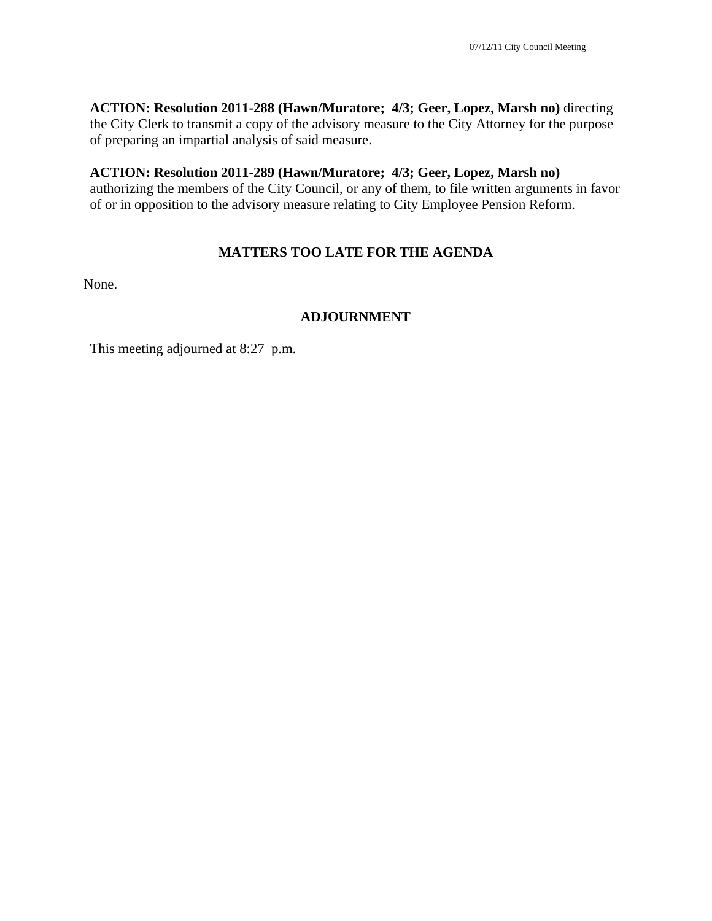**ACTION: Resolution 2011-288 (Hawn/Muratore; 4/3; Geer, Lopez, Marsh no)** directing the City Clerk to transmit a copy of the advisory measure to the City Attorney for the purpose of preparing an impartial analysis of said measure.

### **ACTION: Resolution 2011-289 (Hawn/Muratore; 4/3; Geer, Lopez, Marsh no)**

authorizing the members of the City Council, or any of them, to file written arguments in favor of or in opposition to the advisory measure relating to City Employee Pension Reform.

# **MATTERS TOO LATE FOR THE AGENDA**

None.

# **ADJOURNMENT**

This meeting adjourned at 8:27 p.m.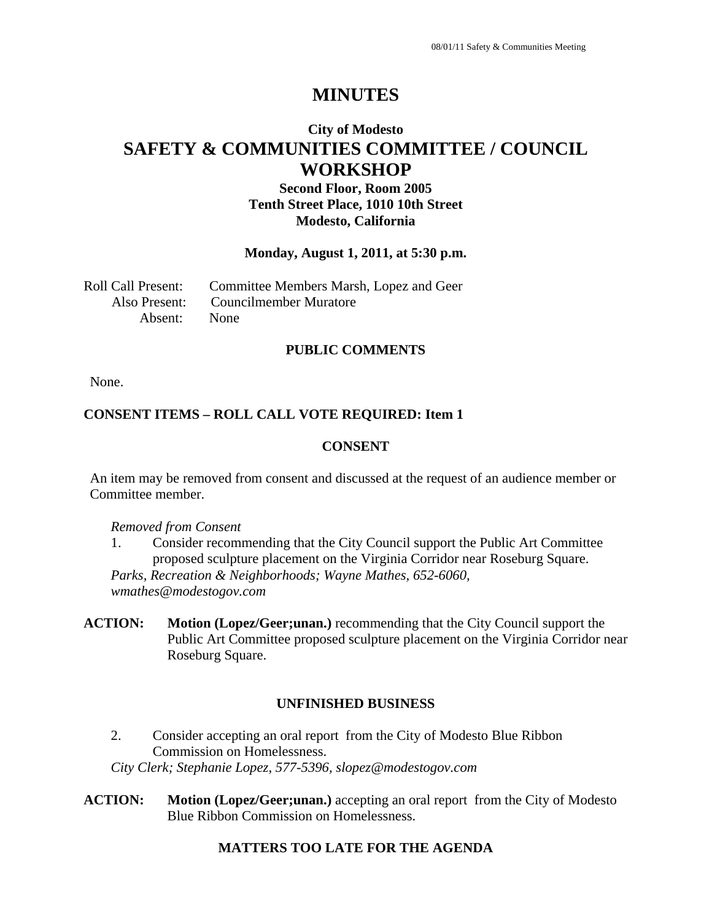# **MINUTES**

# **City of Modesto SAFETY & COMMUNITIES COMMITTEE / COUNCIL WORKSHOP**

**Second Floor, Room 2005 Tenth Street Place, 1010 10th Street Modesto, California** 

### **Monday, August 1, 2011, at 5:30 p.m.**

Roll Call Present: Committee Members Marsh, Lopez and Geer Also Present: Councilmember Muratore Absent: None

#### **PUBLIC COMMENTS**

None.

### **CONSENT ITEMS – ROLL CALL VOTE REQUIRED: Item 1**

### **CONSENT**

An item may be removed from consent and discussed at the request of an audience member or Committee member.

#### *Removed from Consent*

- 1. Consider recommending that the City Council support the Public Art Committee proposed sculpture placement on the Virginia Corridor near Roseburg Square. *Parks, Recreation & Neighborhoods; Wayne Mathes, 652-6060, wmathes@modestogov.com*
- **ACTION: Motion (Lopez/Geer;unan.)** recommending that the City Council support the Public Art Committee proposed sculpture placement on the Virginia Corridor near Roseburg Square.

### **UNFINISHED BUSINESS**

- 2. Consider accepting an oral report from the City of Modesto Blue Ribbon Commission on Homelessness. *City Clerk; Stephanie Lopez, 577-5396, slopez@modestogov.com*
- **ACTION: Motion (Lopez/Geer;unan.)** accepting an oral report from the City of Modesto Blue Ribbon Commission on Homelessness.

### **MATTERS TOO LATE FOR THE AGENDA**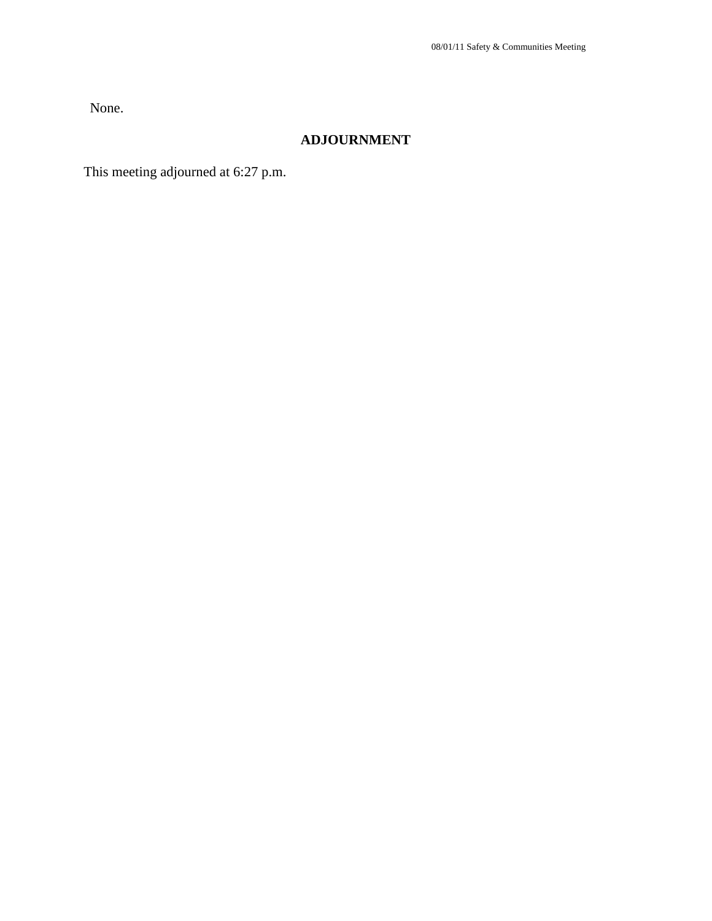None.

# **ADJOURNMENT**

This meeting adjourned at 6:27 p.m.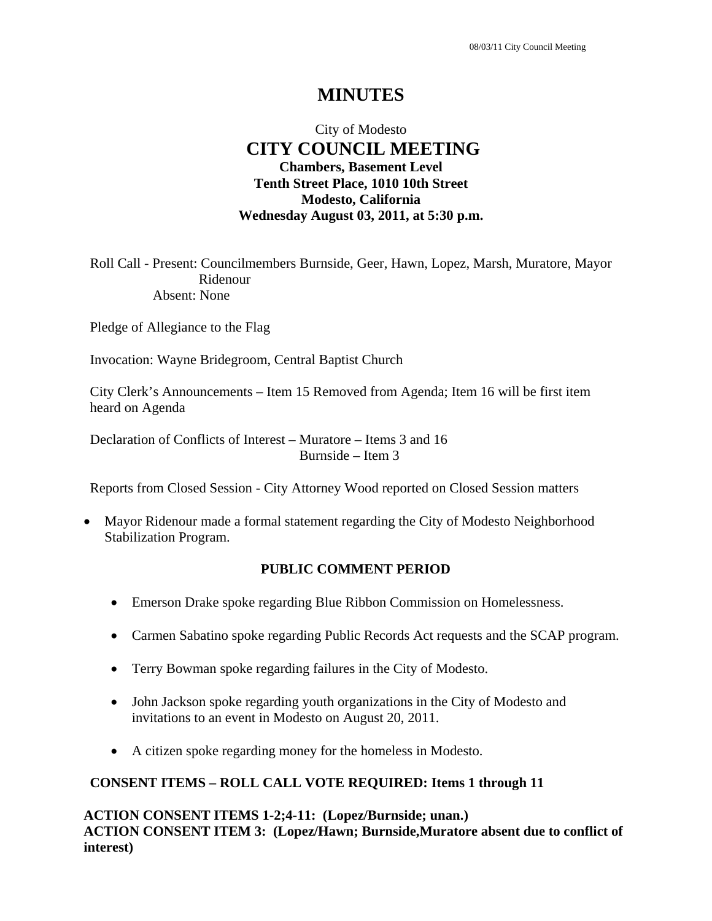# **MINUTES**

# City of Modesto  **CITY COUNCIL MEETING Chambers, Basement Level Tenth Street Place, 1010 10th Street Modesto, California Wednesday August 03, 2011, at 5:30 p.m.**

Roll Call - Present: Councilmembers Burnside, Geer, Hawn, Lopez, Marsh, Muratore, Mayor Ridenour Absent: None

Pledge of Allegiance to the Flag

Invocation: Wayne Bridegroom, Central Baptist Church

City Clerk's Announcements – Item 15 Removed from Agenda; Item 16 will be first item heard on Agenda

Declaration of Conflicts of Interest – Muratore – Items 3 and 16 Burnside – Item 3

Reports from Closed Session - City Attorney Wood reported on Closed Session matters

 Mayor Ridenour made a formal statement regarding the City of Modesto Neighborhood Stabilization Program.

### **PUBLIC COMMENT PERIOD**

- Emerson Drake spoke regarding Blue Ribbon Commission on Homelessness.
- Carmen Sabatino spoke regarding Public Records Act requests and the SCAP program.
- Terry Bowman spoke regarding failures in the City of Modesto.
- John Jackson spoke regarding youth organizations in the City of Modesto and invitations to an event in Modesto on August 20, 2011.
- A citizen spoke regarding money for the homeless in Modesto.

# **CONSENT ITEMS – ROLL CALL VOTE REQUIRED: Items 1 through 11**

**ACTION CONSENT ITEMS 1-2;4-11: (Lopez/Burnside; unan.) ACTION CONSENT ITEM 3: (Lopez/Hawn; Burnside,Muratore absent due to conflict of interest)**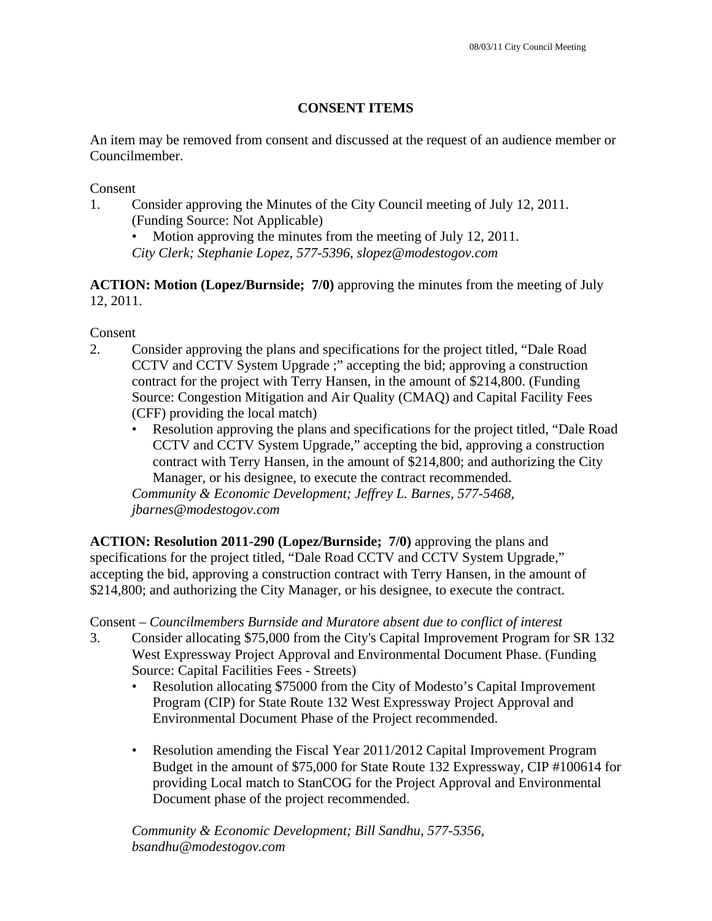# **CONSENT ITEMS**

An item may be removed from consent and discussed at the request of an audience member or Councilmember.

Consent

1. Consider approving the Minutes of the City Council meeting of July 12, 2011. (Funding Source: Not Applicable)

Motion approving the minutes from the meeting of July 12, 2011.

*City Clerk; Stephanie Lopez, 577-5396, slopez@modestogov.com* 

**ACTION: Motion (Lopez/Burnside; 7/0)** approving the minutes from the meeting of July 12, 2011.

Consent

- 2. Consider approving the plans and specifications for the project titled, "Dale Road CCTV and CCTV System Upgrade ;" accepting the bid; approving a construction contract for the project with Terry Hansen, in the amount of \$214,800. (Funding Source: Congestion Mitigation and Air Quality (CMAQ) and Capital Facility Fees (CFF) providing the local match)
	- Resolution approving the plans and specifications for the project titled, "Dale Road CCTV and CCTV System Upgrade," accepting the bid, approving a construction contract with Terry Hansen, in the amount of \$214,800; and authorizing the City Manager, or his designee, to execute the contract recommended.

*Community & Economic Development; Jeffrey L. Barnes, 577-5468, jbarnes@modestogov.com* 

**ACTION: Resolution 2011-290 (Lopez/Burnside; 7/0)** approving the plans and specifications for the project titled, "Dale Road CCTV and CCTV System Upgrade," accepting the bid, approving a construction contract with Terry Hansen, in the amount of \$214,800; and authorizing the City Manager, or his designee, to execute the contract.

Consent – *Councilmembers Burnside and Muratore absent due to conflict of interest*

- 3. Consider allocating \$75,000 from the City's Capital Improvement Program for SR 132 West Expressway Project Approval and Environmental Document Phase. (Funding Source: Capital Facilities Fees - Streets)
	- Resolution allocating \$75000 from the City of Modesto's Capital Improvement Program (CIP) for State Route 132 West Expressway Project Approval and Environmental Document Phase of the Project recommended.
	- Resolution amending the Fiscal Year 2011/2012 Capital Improvement Program Budget in the amount of \$75,000 for State Route 132 Expressway, CIP #100614 for providing Local match to StanCOG for the Project Approval and Environmental Document phase of the project recommended.

*Community & Economic Development; Bill Sandhu, 577-5356, bsandhu@modestogov.com*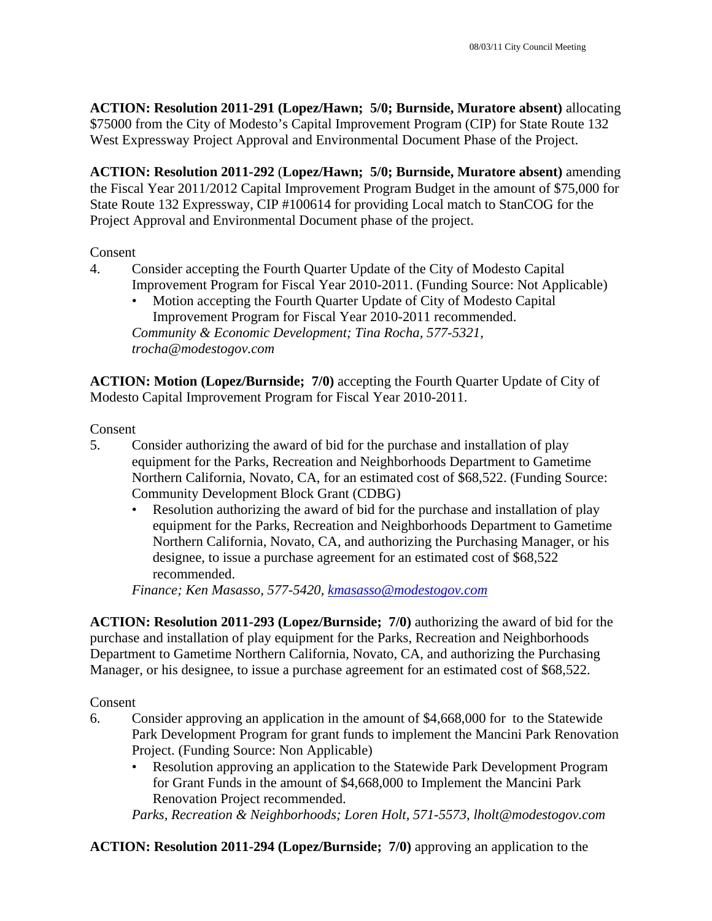**ACTION: Resolution 2011-291 (Lopez/Hawn; 5/0; Burnside, Muratore absent)** allocating \$75000 from the City of Modesto's Capital Improvement Program (CIP) for State Route 132 West Expressway Project Approval and Environmental Document Phase of the Project.

**ACTION: Resolution 2011-292** (**Lopez/Hawn; 5/0; Burnside, Muratore absent)** amending the Fiscal Year 2011/2012 Capital Improvement Program Budget in the amount of \$75,000 for State Route 132 Expressway, CIP #100614 for providing Local match to StanCOG for the Project Approval and Environmental Document phase of the project.

## Consent

- 4. Consider accepting the Fourth Quarter Update of the City of Modesto Capital Improvement Program for Fiscal Year 2010-2011. (Funding Source: Not Applicable)
	- Motion accepting the Fourth Quarter Update of City of Modesto Capital Improvement Program for Fiscal Year 2010-2011 recommended. *Community & Economic Development; Tina Rocha, 577-5321, trocha@modestogov.com*

**ACTION: Motion (Lopez/Burnside; 7/0)** accepting the Fourth Quarter Update of City of Modesto Capital Improvement Program for Fiscal Year 2010-2011.

Consent

- 5. Consider authorizing the award of bid for the purchase and installation of play equipment for the Parks, Recreation and Neighborhoods Department to Gametime Northern California, Novato, CA, for an estimated cost of \$68,522. (Funding Source: Community Development Block Grant (CDBG)
	- Resolution authorizing the award of bid for the purchase and installation of play equipment for the Parks, Recreation and Neighborhoods Department to Gametime Northern California, Novato, CA, and authorizing the Purchasing Manager, or his designee, to issue a purchase agreement for an estimated cost of \$68,522 recommended.

*Finance; Ken Masasso, 577-5420, kmasasso@modestogov.com* 

**ACTION: Resolution 2011-293 (Lopez/Burnside; 7/0)** authorizing the award of bid for the purchase and installation of play equipment for the Parks, Recreation and Neighborhoods Department to Gametime Northern California, Novato, CA, and authorizing the Purchasing Manager, or his designee, to issue a purchase agreement for an estimated cost of \$68,522.

Consent

- 6. Consider approving an application in the amount of \$4,668,000 for to the Statewide Park Development Program for grant funds to implement the Mancini Park Renovation Project. (Funding Source: Non Applicable)
	- Resolution approving an application to the Statewide Park Development Program for Grant Funds in the amount of \$4,668,000 to Implement the Mancini Park Renovation Project recommended.

*Parks, Recreation & Neighborhoods; Loren Holt, 571-5573, lholt@modestogov.com* 

**ACTION: Resolution 2011-294 (Lopez/Burnside; 7/0)** approving an application to the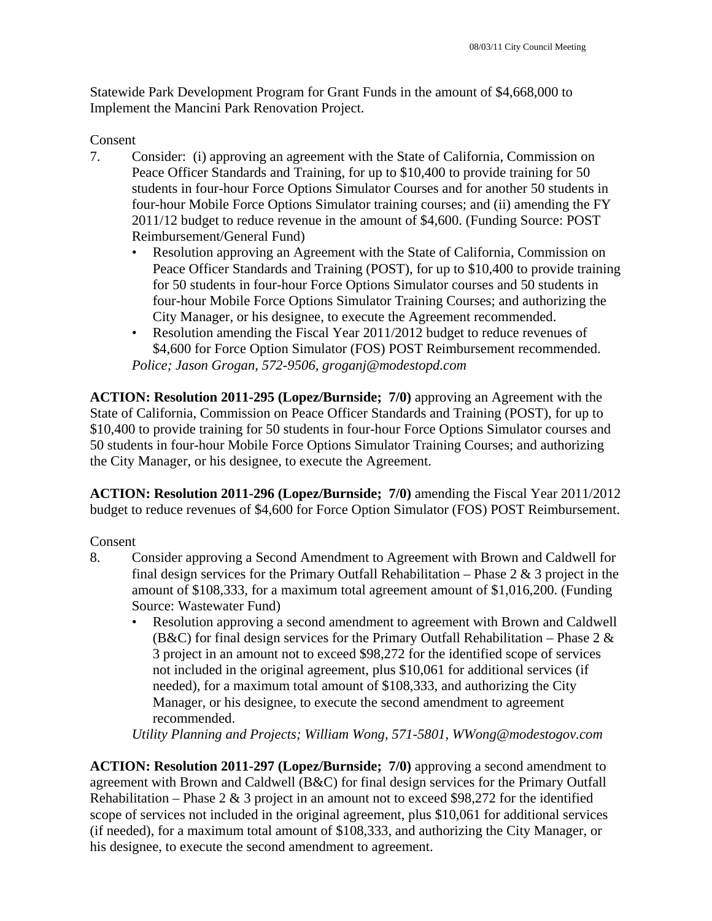Statewide Park Development Program for Grant Funds in the amount of \$4,668,000 to Implement the Mancini Park Renovation Project.

## Consent

- 7. Consider: (i) approving an agreement with the State of California, Commission on Peace Officer Standards and Training, for up to \$10,400 to provide training for 50 students in four-hour Force Options Simulator Courses and for another 50 students in four-hour Mobile Force Options Simulator training courses; and (ii) amending the FY 2011/12 budget to reduce revenue in the amount of \$4,600. (Funding Source: POST Reimbursement/General Fund)
	- Resolution approving an Agreement with the State of California, Commission on Peace Officer Standards and Training (POST), for up to \$10,400 to provide training for 50 students in four-hour Force Options Simulator courses and 50 students in four-hour Mobile Force Options Simulator Training Courses; and authorizing the City Manager, or his designee, to execute the Agreement recommended.
	- Resolution amending the Fiscal Year 2011/2012 budget to reduce revenues of \$4,600 for Force Option Simulator (FOS) POST Reimbursement recommended.

*Police; Jason Grogan, 572-9506, groganj@modestopd.com* 

**ACTION: Resolution 2011-295 (Lopez/Burnside; 7/0)** approving an Agreement with the State of California, Commission on Peace Officer Standards and Training (POST), for up to \$10,400 to provide training for 50 students in four-hour Force Options Simulator courses and 50 students in four-hour Mobile Force Options Simulator Training Courses; and authorizing the City Manager, or his designee, to execute the Agreement.

**ACTION: Resolution 2011-296 (Lopez/Burnside; 7/0)** amending the Fiscal Year 2011/2012 budget to reduce revenues of \$4,600 for Force Option Simulator (FOS) POST Reimbursement.

### Consent

- 8. Consider approving a Second Amendment to Agreement with Brown and Caldwell for final design services for the Primary Outfall Rehabilitation – Phase  $2 \& 3$  project in the amount of \$108,333, for a maximum total agreement amount of \$1,016,200. (Funding Source: Wastewater Fund)
	- Resolution approving a second amendment to agreement with Brown and Caldwell (B&C) for final design services for the Primary Outfall Rehabilitation – Phase 2  $\&$ 3 project in an amount not to exceed \$98,272 for the identified scope of services not included in the original agreement, plus \$10,061 for additional services (if needed), for a maximum total amount of \$108,333, and authorizing the City Manager, or his designee, to execute the second amendment to agreement recommended.

*Utility Planning and Projects; William Wong, 571-5801, WWong@modestogov.com* 

**ACTION: Resolution 2011-297 (Lopez/Burnside; 7/0)** approving a second amendment to agreement with Brown and Caldwell (B&C) for final design services for the Primary Outfall Rehabilitation – Phase  $2 \& 3$  project in an amount not to exceed \$98,272 for the identified scope of services not included in the original agreement, plus \$10,061 for additional services (if needed), for a maximum total amount of \$108,333, and authorizing the City Manager, or his designee, to execute the second amendment to agreement.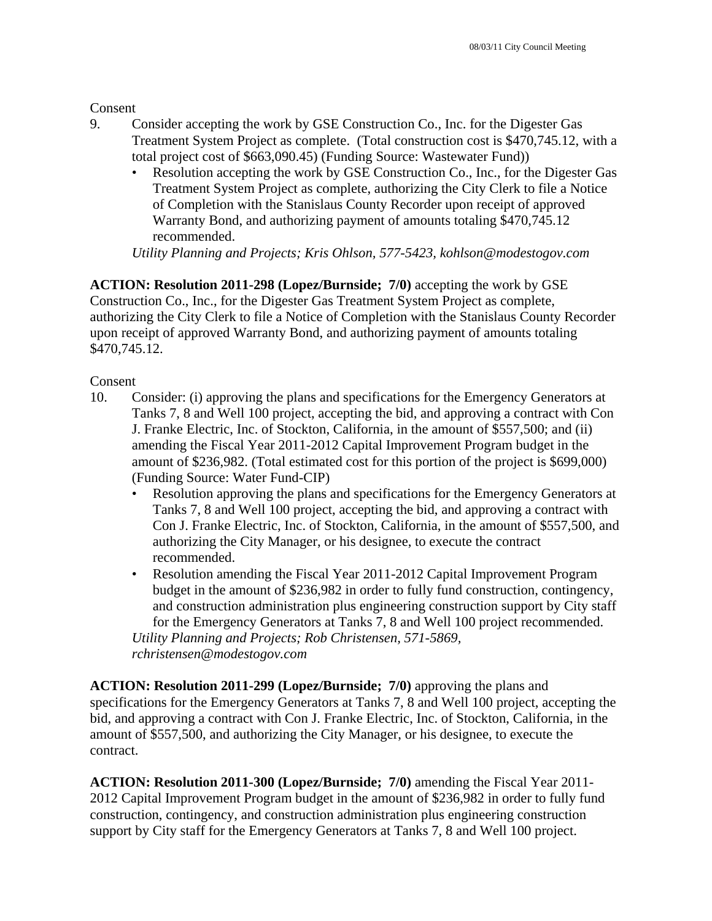**Consent** 

- 9. Consider accepting the work by GSE Construction Co., Inc. for the Digester Gas Treatment System Project as complete. (Total construction cost is \$470,745.12, with a total project cost of \$663,090.45) (Funding Source: Wastewater Fund))
	- Resolution accepting the work by GSE Construction Co., Inc., for the Digester Gas Treatment System Project as complete, authorizing the City Clerk to file a Notice of Completion with the Stanislaus County Recorder upon receipt of approved Warranty Bond, and authorizing payment of amounts totaling \$470,745.12 recommended.

*Utility Planning and Projects; Kris Ohlson, 577-5423, kohlson@modestogov.com* 

**ACTION: Resolution 2011-298 (Lopez/Burnside; 7/0)** accepting the work by GSE Construction Co., Inc., for the Digester Gas Treatment System Project as complete, authorizing the City Clerk to file a Notice of Completion with the Stanislaus County Recorder upon receipt of approved Warranty Bond, and authorizing payment of amounts totaling \$470,745.12.

**Consent** 

- 10. Consider: (i) approving the plans and specifications for the Emergency Generators at Tanks 7, 8 and Well 100 project, accepting the bid, and approving a contract with Con J. Franke Electric, Inc. of Stockton, California, in the amount of \$557,500; and (ii) amending the Fiscal Year 2011-2012 Capital Improvement Program budget in the amount of \$236,982. (Total estimated cost for this portion of the project is \$699,000) (Funding Source: Water Fund-CIP)
	- Resolution approving the plans and specifications for the Emergency Generators at Tanks 7, 8 and Well 100 project, accepting the bid, and approving a contract with Con J. Franke Electric, Inc. of Stockton, California, in the amount of \$557,500, and authorizing the City Manager, or his designee, to execute the contract recommended.
	- Resolution amending the Fiscal Year 2011-2012 Capital Improvement Program budget in the amount of \$236,982 in order to fully fund construction, contingency, and construction administration plus engineering construction support by City staff for the Emergency Generators at Tanks 7, 8 and Well 100 project recommended.

*Utility Planning and Projects; Rob Christensen, 571-5869, rchristensen@modestogov.com* 

**ACTION: Resolution 2011-299 (Lopez/Burnside; 7/0)** approving the plans and specifications for the Emergency Generators at Tanks 7, 8 and Well 100 project, accepting the bid, and approving a contract with Con J. Franke Electric, Inc. of Stockton, California, in the amount of \$557,500, and authorizing the City Manager, or his designee, to execute the contract.

**ACTION: Resolution 2011-300 (Lopez/Burnside; 7/0)** amending the Fiscal Year 2011- 2012 Capital Improvement Program budget in the amount of \$236,982 in order to fully fund construction, contingency, and construction administration plus engineering construction support by City staff for the Emergency Generators at Tanks 7, 8 and Well 100 project.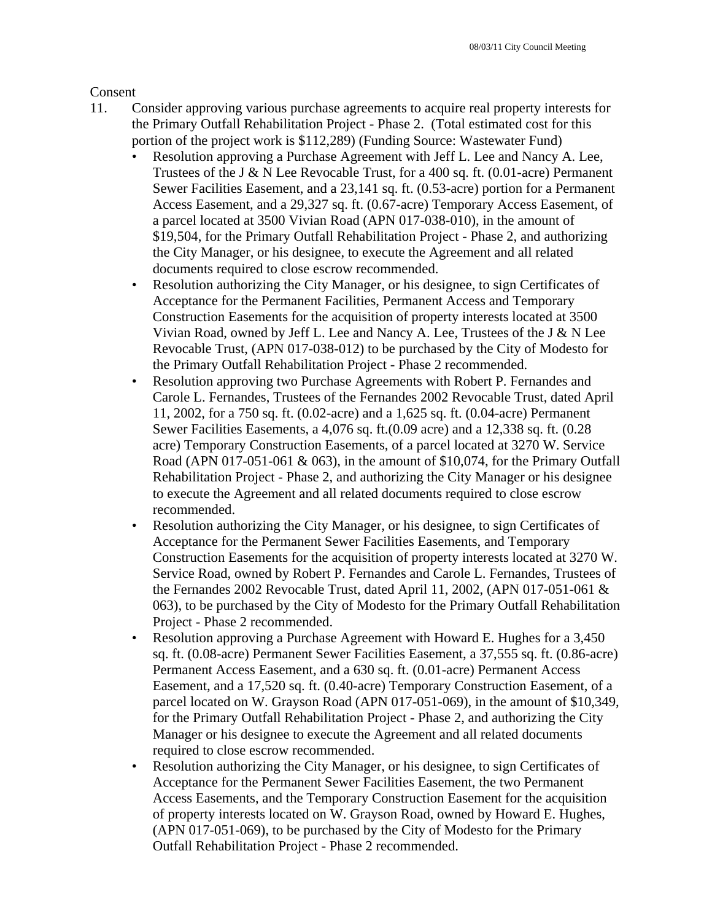Consent

- 11. Consider approving various purchase agreements to acquire real property interests for the Primary Outfall Rehabilitation Project - Phase 2. (Total estimated cost for this portion of the project work is \$112,289) (Funding Source: Wastewater Fund)
	- Resolution approving a Purchase Agreement with Jeff L. Lee and Nancy A. Lee, Trustees of the J & N Lee Revocable Trust, for a 400 sq. ft. (0.01-acre) Permanent Sewer Facilities Easement, and a 23,141 sq. ft. (0.53-acre) portion for a Permanent Access Easement, and a 29,327 sq. ft. (0.67-acre) Temporary Access Easement, of a parcel located at 3500 Vivian Road (APN 017-038-010), in the amount of \$19,504, for the Primary Outfall Rehabilitation Project - Phase 2, and authorizing the City Manager, or his designee, to execute the Agreement and all related documents required to close escrow recommended.
	- Resolution authorizing the City Manager, or his designee, to sign Certificates of Acceptance for the Permanent Facilities, Permanent Access and Temporary Construction Easements for the acquisition of property interests located at 3500 Vivian Road, owned by Jeff L. Lee and Nancy A. Lee, Trustees of the J & N Lee Revocable Trust, (APN 017-038-012) to be purchased by the City of Modesto for the Primary Outfall Rehabilitation Project - Phase 2 recommended.
	- Resolution approving two Purchase Agreements with Robert P. Fernandes and Carole L. Fernandes, Trustees of the Fernandes 2002 Revocable Trust, dated April 11, 2002, for a 750 sq. ft. (0.02-acre) and a 1,625 sq. ft. (0.04-acre) Permanent Sewer Facilities Easements, a 4,076 sq. ft.(0.09 acre) and a 12,338 sq. ft. (0.28 acre) Temporary Construction Easements, of a parcel located at 3270 W. Service Road (APN 017-051-061  $\&$  063), in the amount of \$10,074, for the Primary Outfall Rehabilitation Project - Phase 2, and authorizing the City Manager or his designee to execute the Agreement and all related documents required to close escrow recommended.
	- Resolution authorizing the City Manager, or his designee, to sign Certificates of Acceptance for the Permanent Sewer Facilities Easements, and Temporary Construction Easements for the acquisition of property interests located at 3270 W. Service Road, owned by Robert P. Fernandes and Carole L. Fernandes, Trustees of the Fernandes 2002 Revocable Trust, dated April 11, 2002, (APN 017-051-061 & 063), to be purchased by the City of Modesto for the Primary Outfall Rehabilitation Project - Phase 2 recommended.
	- Resolution approving a Purchase Agreement with Howard E. Hughes for a 3,450 sq. ft. (0.08-acre) Permanent Sewer Facilities Easement, a 37,555 sq. ft. (0.86-acre) Permanent Access Easement, and a 630 sq. ft. (0.01-acre) Permanent Access Easement, and a 17,520 sq. ft. (0.40-acre) Temporary Construction Easement, of a parcel located on W. Grayson Road (APN 017-051-069), in the amount of \$10,349, for the Primary Outfall Rehabilitation Project - Phase 2, and authorizing the City Manager or his designee to execute the Agreement and all related documents required to close escrow recommended.
	- Resolution authorizing the City Manager, or his designee, to sign Certificates of Acceptance for the Permanent Sewer Facilities Easement, the two Permanent Access Easements, and the Temporary Construction Easement for the acquisition of property interests located on W. Grayson Road, owned by Howard E. Hughes, (APN 017-051-069), to be purchased by the City of Modesto for the Primary Outfall Rehabilitation Project - Phase 2 recommended.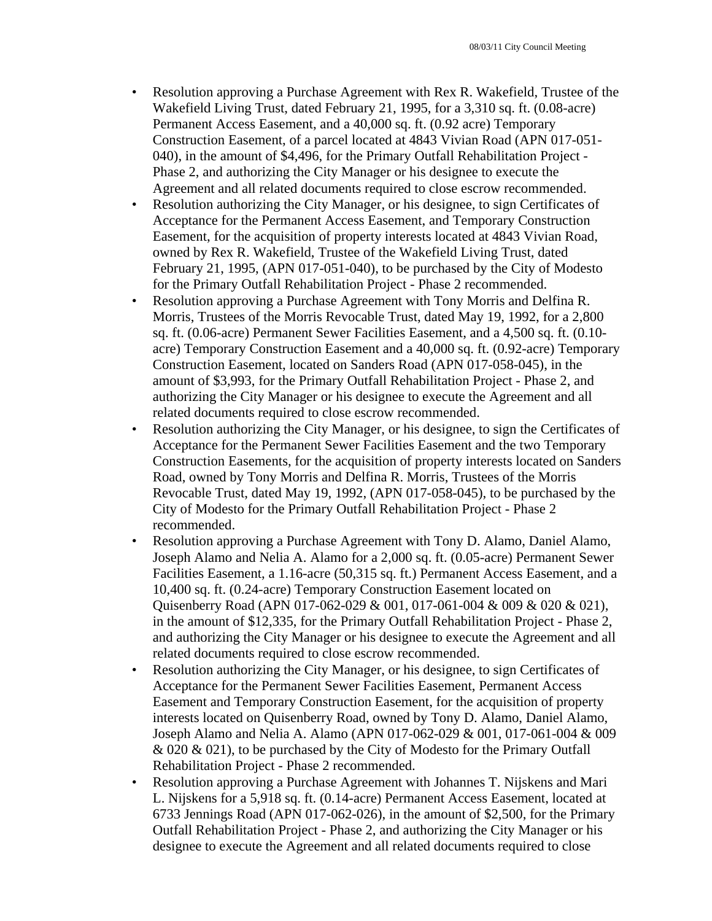- Resolution approving a Purchase Agreement with Rex R. Wakefield, Trustee of the Wakefield Living Trust, dated February 21, 1995, for a 3,310 sq. ft. (0.08-acre) Permanent Access Easement, and a 40,000 sq. ft. (0.92 acre) Temporary Construction Easement, of a parcel located at 4843 Vivian Road (APN 017-051- 040), in the amount of \$4,496, for the Primary Outfall Rehabilitation Project - Phase 2, and authorizing the City Manager or his designee to execute the Agreement and all related documents required to close escrow recommended.
- Resolution authorizing the City Manager, or his designee, to sign Certificates of Acceptance for the Permanent Access Easement, and Temporary Construction Easement, for the acquisition of property interests located at 4843 Vivian Road, owned by Rex R. Wakefield, Trustee of the Wakefield Living Trust, dated February 21, 1995, (APN 017-051-040), to be purchased by the City of Modesto for the Primary Outfall Rehabilitation Project - Phase 2 recommended.
- Resolution approving a Purchase Agreement with Tony Morris and Delfina R. Morris, Trustees of the Morris Revocable Trust, dated May 19, 1992, for a 2,800 sq. ft. (0.06-acre) Permanent Sewer Facilities Easement, and a 4,500 sq. ft. (0.10 acre) Temporary Construction Easement and a 40,000 sq. ft. (0.92-acre) Temporary Construction Easement, located on Sanders Road (APN 017-058-045), in the amount of \$3,993, for the Primary Outfall Rehabilitation Project - Phase 2, and authorizing the City Manager or his designee to execute the Agreement and all related documents required to close escrow recommended.
- Resolution authorizing the City Manager, or his designee, to sign the Certificates of Acceptance for the Permanent Sewer Facilities Easement and the two Temporary Construction Easements, for the acquisition of property interests located on Sanders Road, owned by Tony Morris and Delfina R. Morris, Trustees of the Morris Revocable Trust, dated May 19, 1992, (APN 017-058-045), to be purchased by the City of Modesto for the Primary Outfall Rehabilitation Project - Phase 2 recommended.
- Resolution approving a Purchase Agreement with Tony D. Alamo, Daniel Alamo, Joseph Alamo and Nelia A. Alamo for a 2,000 sq. ft. (0.05-acre) Permanent Sewer Facilities Easement, a 1.16-acre (50,315 sq. ft.) Permanent Access Easement, and a 10,400 sq. ft. (0.24-acre) Temporary Construction Easement located on Quisenberry Road (APN 017-062-029 & 001, 017-061-004 & 009 & 020 & 021), in the amount of \$12,335, for the Primary Outfall Rehabilitation Project - Phase 2, and authorizing the City Manager or his designee to execute the Agreement and all related documents required to close escrow recommended.
- Resolution authorizing the City Manager, or his designee, to sign Certificates of Acceptance for the Permanent Sewer Facilities Easement, Permanent Access Easement and Temporary Construction Easement, for the acquisition of property interests located on Quisenberry Road, owned by Tony D. Alamo, Daniel Alamo, Joseph Alamo and Nelia A. Alamo (APN 017-062-029 & 001, 017-061-004 & 009 & 020 & 021), to be purchased by the City of Modesto for the Primary Outfall Rehabilitation Project - Phase 2 recommended.
- Resolution approving a Purchase Agreement with Johannes T. Nijskens and Mari L. Nijskens for a 5,918 sq. ft. (0.14-acre) Permanent Access Easement, located at 6733 Jennings Road (APN 017-062-026), in the amount of \$2,500, for the Primary Outfall Rehabilitation Project - Phase 2, and authorizing the City Manager or his designee to execute the Agreement and all related documents required to close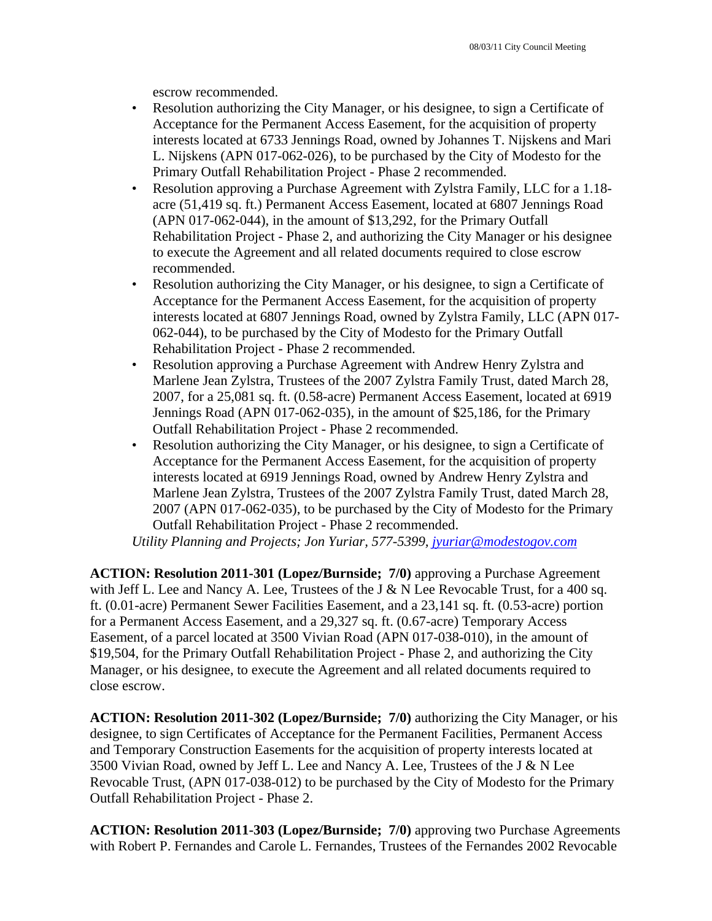escrow recommended.

- Resolution authorizing the City Manager, or his designee, to sign a Certificate of Acceptance for the Permanent Access Easement, for the acquisition of property interests located at 6733 Jennings Road, owned by Johannes T. Nijskens and Mari L. Nijskens (APN 017-062-026), to be purchased by the City of Modesto for the Primary Outfall Rehabilitation Project - Phase 2 recommended.
- Resolution approving a Purchase Agreement with Zylstra Family, LLC for a 1.18 acre (51,419 sq. ft.) Permanent Access Easement, located at 6807 Jennings Road (APN 017-062-044), in the amount of \$13,292, for the Primary Outfall Rehabilitation Project - Phase 2, and authorizing the City Manager or his designee to execute the Agreement and all related documents required to close escrow recommended.
- Resolution authorizing the City Manager, or his designee, to sign a Certificate of Acceptance for the Permanent Access Easement, for the acquisition of property interests located at 6807 Jennings Road, owned by Zylstra Family, LLC (APN 017- 062-044), to be purchased by the City of Modesto for the Primary Outfall Rehabilitation Project - Phase 2 recommended.
- Resolution approving a Purchase Agreement with Andrew Henry Zylstra and Marlene Jean Zylstra, Trustees of the 2007 Zylstra Family Trust, dated March 28, 2007, for a 25,081 sq. ft. (0.58-acre) Permanent Access Easement, located at 6919 Jennings Road (APN 017-062-035), in the amount of \$25,186, for the Primary Outfall Rehabilitation Project - Phase 2 recommended.
- Resolution authorizing the City Manager, or his designee, to sign a Certificate of Acceptance for the Permanent Access Easement, for the acquisition of property interests located at 6919 Jennings Road, owned by Andrew Henry Zylstra and Marlene Jean Zylstra, Trustees of the 2007 Zylstra Family Trust, dated March 28, 2007 (APN 017-062-035), to be purchased by the City of Modesto for the Primary Outfall Rehabilitation Project - Phase 2 recommended.

*Utility Planning and Projects; Jon Yuriar, 577-5399, jyuriar@modestogov.com* 

**ACTION: Resolution 2011-301 (Lopez/Burnside; 7/0)** approving a Purchase Agreement with Jeff L. Lee and Nancy A. Lee, Trustees of the J  $&N$  Lee Revocable Trust, for a 400 sq. ft. (0.01-acre) Permanent Sewer Facilities Easement, and a 23,141 sq. ft. (0.53-acre) portion for a Permanent Access Easement, and a 29,327 sq. ft. (0.67-acre) Temporary Access Easement, of a parcel located at 3500 Vivian Road (APN 017-038-010), in the amount of \$19,504, for the Primary Outfall Rehabilitation Project - Phase 2, and authorizing the City Manager, or his designee, to execute the Agreement and all related documents required to close escrow.

**ACTION: Resolution 2011-302 (Lopez/Burnside; 7/0)** authorizing the City Manager, or his designee, to sign Certificates of Acceptance for the Permanent Facilities, Permanent Access and Temporary Construction Easements for the acquisition of property interests located at 3500 Vivian Road, owned by Jeff L. Lee and Nancy A. Lee, Trustees of the J & N Lee Revocable Trust, (APN 017-038-012) to be purchased by the City of Modesto for the Primary Outfall Rehabilitation Project - Phase 2.

**ACTION: Resolution 2011-303 (Lopez/Burnside; 7/0)** approving two Purchase Agreements with Robert P. Fernandes and Carole L. Fernandes, Trustees of the Fernandes 2002 Revocable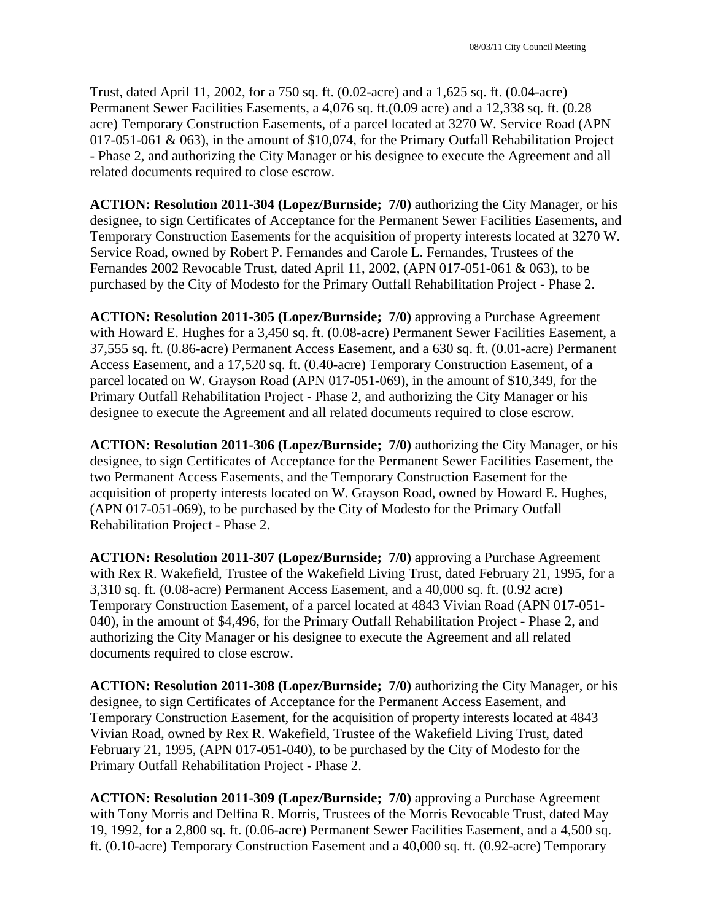Trust, dated April 11, 2002, for a 750 sq. ft. (0.02-acre) and a 1,625 sq. ft. (0.04-acre) Permanent Sewer Facilities Easements, a 4,076 sq. ft.(0.09 acre) and a 12,338 sq. ft. (0.28 acre) Temporary Construction Easements, of a parcel located at 3270 W. Service Road (APN 017-051-061 & 063), in the amount of \$10,074, for the Primary Outfall Rehabilitation Project - Phase 2, and authorizing the City Manager or his designee to execute the Agreement and all related documents required to close escrow.

**ACTION: Resolution 2011-304 (Lopez/Burnside; 7/0)** authorizing the City Manager, or his designee, to sign Certificates of Acceptance for the Permanent Sewer Facilities Easements, and Temporary Construction Easements for the acquisition of property interests located at 3270 W. Service Road, owned by Robert P. Fernandes and Carole L. Fernandes, Trustees of the Fernandes 2002 Revocable Trust, dated April 11, 2002, (APN 017-051-061 & 063), to be purchased by the City of Modesto for the Primary Outfall Rehabilitation Project - Phase 2.

**ACTION: Resolution 2011-305 (Lopez/Burnside; 7/0)** approving a Purchase Agreement with Howard E. Hughes for a 3,450 sq. ft. (0.08-acre) Permanent Sewer Facilities Easement, a 37,555 sq. ft. (0.86-acre) Permanent Access Easement, and a 630 sq. ft. (0.01-acre) Permanent Access Easement, and a 17,520 sq. ft. (0.40-acre) Temporary Construction Easement, of a parcel located on W. Grayson Road (APN 017-051-069), in the amount of \$10,349, for the Primary Outfall Rehabilitation Project - Phase 2, and authorizing the City Manager or his designee to execute the Agreement and all related documents required to close escrow.

**ACTION: Resolution 2011-306 (Lopez/Burnside; 7/0)** authorizing the City Manager, or his designee, to sign Certificates of Acceptance for the Permanent Sewer Facilities Easement, the two Permanent Access Easements, and the Temporary Construction Easement for the acquisition of property interests located on W. Grayson Road, owned by Howard E. Hughes, (APN 017-051-069), to be purchased by the City of Modesto for the Primary Outfall Rehabilitation Project - Phase 2.

**ACTION: Resolution 2011-307 (Lopez/Burnside; 7/0)** approving a Purchase Agreement with Rex R. Wakefield, Trustee of the Wakefield Living Trust, dated February 21, 1995, for a 3,310 sq. ft. (0.08-acre) Permanent Access Easement, and a 40,000 sq. ft. (0.92 acre) Temporary Construction Easement, of a parcel located at 4843 Vivian Road (APN 017-051- 040), in the amount of \$4,496, for the Primary Outfall Rehabilitation Project - Phase 2, and authorizing the City Manager or his designee to execute the Agreement and all related documents required to close escrow.

**ACTION: Resolution 2011-308 (Lopez/Burnside; 7/0)** authorizing the City Manager, or his designee, to sign Certificates of Acceptance for the Permanent Access Easement, and Temporary Construction Easement, for the acquisition of property interests located at 4843 Vivian Road, owned by Rex R. Wakefield, Trustee of the Wakefield Living Trust, dated February 21, 1995, (APN 017-051-040), to be purchased by the City of Modesto for the Primary Outfall Rehabilitation Project - Phase 2.

**ACTION: Resolution 2011-309 (Lopez/Burnside; 7/0)** approving a Purchase Agreement with Tony Morris and Delfina R. Morris, Trustees of the Morris Revocable Trust, dated May 19, 1992, for a 2,800 sq. ft. (0.06-acre) Permanent Sewer Facilities Easement, and a 4,500 sq. ft. (0.10-acre) Temporary Construction Easement and a 40,000 sq. ft. (0.92-acre) Temporary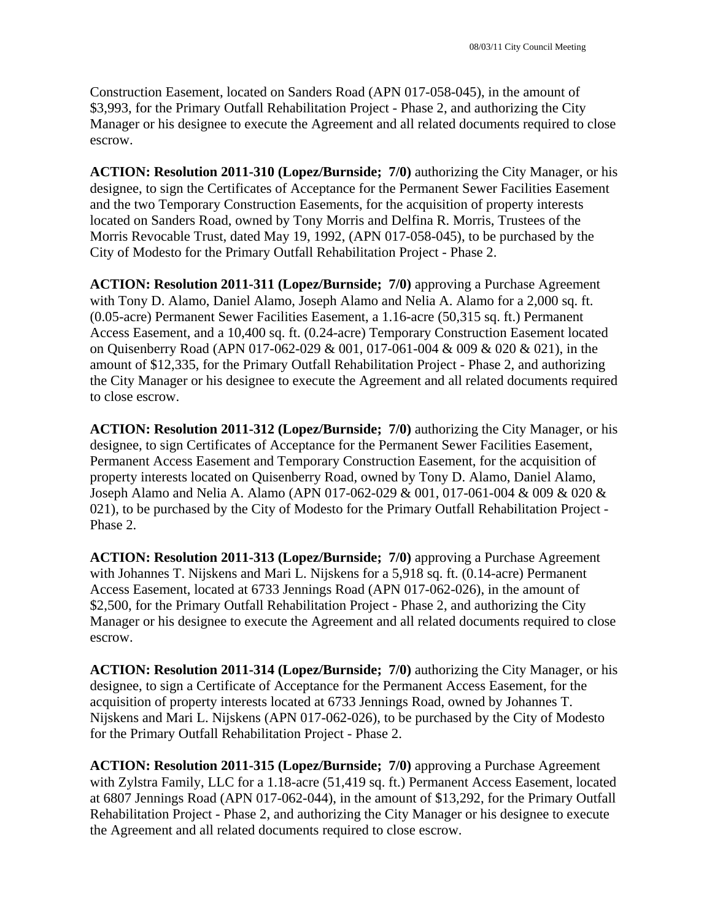Construction Easement, located on Sanders Road (APN 017-058-045), in the amount of \$3,993, for the Primary Outfall Rehabilitation Project - Phase 2, and authorizing the City Manager or his designee to execute the Agreement and all related documents required to close escrow.

**ACTION: Resolution 2011-310 (Lopez/Burnside; 7/0)** authorizing the City Manager, or his designee, to sign the Certificates of Acceptance for the Permanent Sewer Facilities Easement and the two Temporary Construction Easements, for the acquisition of property interests located on Sanders Road, owned by Tony Morris and Delfina R. Morris, Trustees of the Morris Revocable Trust, dated May 19, 1992, (APN 017-058-045), to be purchased by the City of Modesto for the Primary Outfall Rehabilitation Project - Phase 2.

**ACTION: Resolution 2011-311 (Lopez/Burnside; 7/0)** approving a Purchase Agreement with Tony D. Alamo, Daniel Alamo, Joseph Alamo and Nelia A. Alamo for a 2,000 sq. ft. (0.05-acre) Permanent Sewer Facilities Easement, a 1.16-acre (50,315 sq. ft.) Permanent Access Easement, and a 10,400 sq. ft. (0.24-acre) Temporary Construction Easement located on Quisenberry Road (APN 017-062-029 & 001, 017-061-004 & 009 & 020 & 021), in the amount of \$12,335, for the Primary Outfall Rehabilitation Project - Phase 2, and authorizing the City Manager or his designee to execute the Agreement and all related documents required to close escrow.

**ACTION: Resolution 2011-312 (Lopez/Burnside; 7/0)** authorizing the City Manager, or his designee, to sign Certificates of Acceptance for the Permanent Sewer Facilities Easement, Permanent Access Easement and Temporary Construction Easement, for the acquisition of property interests located on Quisenberry Road, owned by Tony D. Alamo, Daniel Alamo, Joseph Alamo and Nelia A. Alamo (APN 017-062-029 & 001, 017-061-004 & 009 & 020 & 021), to be purchased by the City of Modesto for the Primary Outfall Rehabilitation Project - Phase 2.

**ACTION: Resolution 2011-313 (Lopez/Burnside; 7/0)** approving a Purchase Agreement with Johannes T. Nijskens and Mari L. Nijskens for a 5,918 sq. ft. (0.14-acre) Permanent Access Easement, located at 6733 Jennings Road (APN 017-062-026), in the amount of \$2,500, for the Primary Outfall Rehabilitation Project - Phase 2, and authorizing the City Manager or his designee to execute the Agreement and all related documents required to close escrow.

**ACTION: Resolution 2011-314 (Lopez/Burnside; 7/0)** authorizing the City Manager, or his designee, to sign a Certificate of Acceptance for the Permanent Access Easement, for the acquisition of property interests located at 6733 Jennings Road, owned by Johannes T. Nijskens and Mari L. Nijskens (APN 017-062-026), to be purchased by the City of Modesto for the Primary Outfall Rehabilitation Project - Phase 2.

**ACTION: Resolution 2011-315 (Lopez/Burnside; 7/0)** approving a Purchase Agreement with Zylstra Family, LLC for a 1.18-acre (51,419 sq. ft.) Permanent Access Easement, located at 6807 Jennings Road (APN 017-062-044), in the amount of \$13,292, for the Primary Outfall Rehabilitation Project - Phase 2, and authorizing the City Manager or his designee to execute the Agreement and all related documents required to close escrow.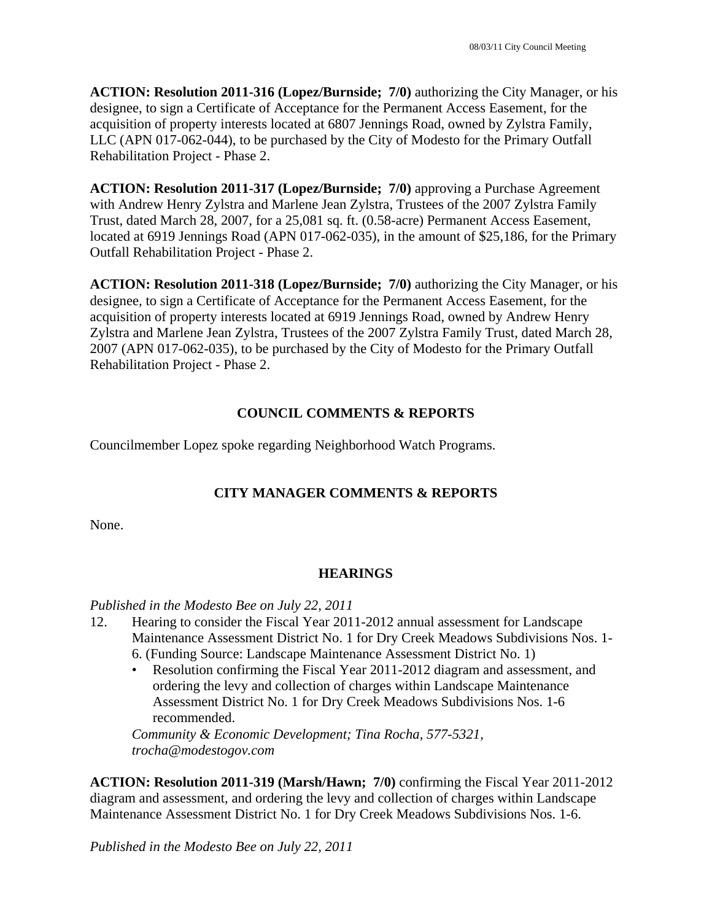**ACTION: Resolution 2011-316 (Lopez/Burnside; 7/0)** authorizing the City Manager, or his designee, to sign a Certificate of Acceptance for the Permanent Access Easement, for the acquisition of property interests located at 6807 Jennings Road, owned by Zylstra Family, LLC (APN 017-062-044), to be purchased by the City of Modesto for the Primary Outfall Rehabilitation Project - Phase 2.

**ACTION: Resolution 2011-317 (Lopez/Burnside; 7/0)** approving a Purchase Agreement with Andrew Henry Zylstra and Marlene Jean Zylstra, Trustees of the 2007 Zylstra Family Trust, dated March 28, 2007, for a 25,081 sq. ft. (0.58-acre) Permanent Access Easement, located at 6919 Jennings Road (APN 017-062-035), in the amount of \$25,186, for the Primary Outfall Rehabilitation Project - Phase 2.

**ACTION: Resolution 2011-318 (Lopez/Burnside; 7/0)** authorizing the City Manager, or his designee, to sign a Certificate of Acceptance for the Permanent Access Easement, for the acquisition of property interests located at 6919 Jennings Road, owned by Andrew Henry Zylstra and Marlene Jean Zylstra, Trustees of the 2007 Zylstra Family Trust, dated March 28, 2007 (APN 017-062-035), to be purchased by the City of Modesto for the Primary Outfall Rehabilitation Project - Phase 2.

## **COUNCIL COMMENTS & REPORTS**

Councilmember Lopez spoke regarding Neighborhood Watch Programs.

# **CITY MANAGER COMMENTS & REPORTS**

None.

## **HEARINGS**

### *Published in the Modesto Bee on July 22, 2011*

- 12. Hearing to consider the Fiscal Year 2011-2012 annual assessment for Landscape Maintenance Assessment District No. 1 for Dry Creek Meadows Subdivisions Nos. 1- 6. (Funding Source: Landscape Maintenance Assessment District No. 1)
	- Resolution confirming the Fiscal Year 2011-2012 diagram and assessment, and ordering the levy and collection of charges within Landscape Maintenance Assessment District No. 1 for Dry Creek Meadows Subdivisions Nos. 1-6 recommended.

*Community & Economic Development; Tina Rocha, 577-5321, trocha@modestogov.com* 

**ACTION: Resolution 2011-319 (Marsh/Hawn; 7/0)** confirming the Fiscal Year 2011-2012 diagram and assessment, and ordering the levy and collection of charges within Landscape Maintenance Assessment District No. 1 for Dry Creek Meadows Subdivisions Nos. 1-6.

*Published in the Modesto Bee on July 22, 2011*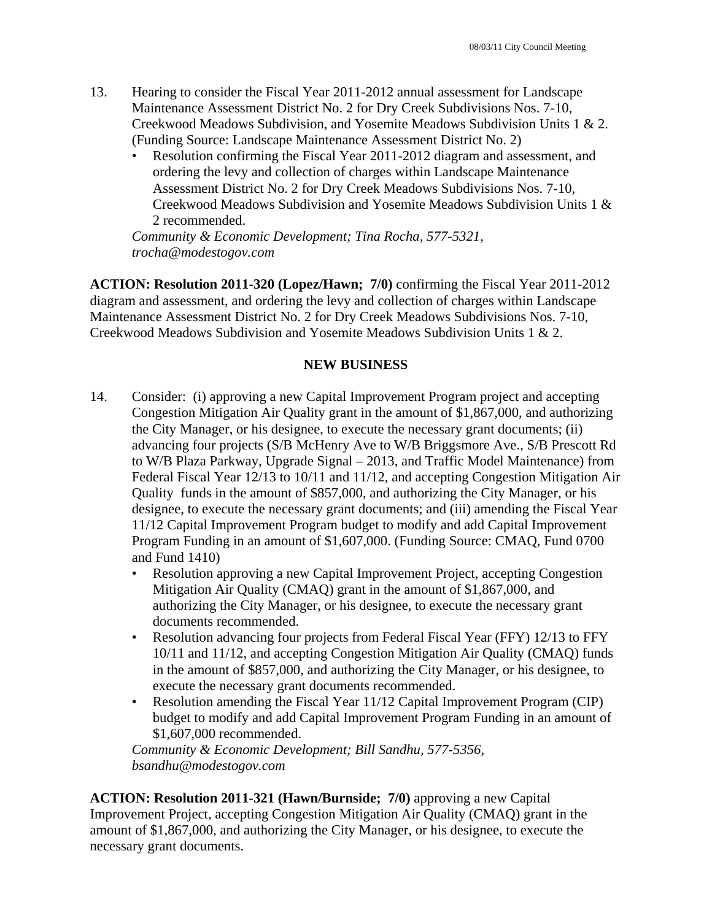- 13. Hearing to consider the Fiscal Year 2011-2012 annual assessment for Landscape Maintenance Assessment District No. 2 for Dry Creek Subdivisions Nos. 7-10, Creekwood Meadows Subdivision, and Yosemite Meadows Subdivision Units 1 & 2. (Funding Source: Landscape Maintenance Assessment District No. 2)
	- Resolution confirming the Fiscal Year 2011-2012 diagram and assessment, and ordering the levy and collection of charges within Landscape Maintenance Assessment District No. 2 for Dry Creek Meadows Subdivisions Nos. 7-10, Creekwood Meadows Subdivision and Yosemite Meadows Subdivision Units 1 & 2 recommended.

*Community & Economic Development; Tina Rocha, 577-5321, trocha@modestogov.com* 

**ACTION: Resolution 2011-320 (Lopez/Hawn; 7/0)** confirming the Fiscal Year 2011-2012 diagram and assessment, and ordering the levy and collection of charges within Landscape Maintenance Assessment District No. 2 for Dry Creek Meadows Subdivisions Nos. 7-10, Creekwood Meadows Subdivision and Yosemite Meadows Subdivision Units 1 & 2.

### **NEW BUSINESS**

- 14. Consider: (i) approving a new Capital Improvement Program project and accepting Congestion Mitigation Air Quality grant in the amount of \$1,867,000, and authorizing the City Manager, or his designee, to execute the necessary grant documents; (ii) advancing four projects (S/B McHenry Ave to W/B Briggsmore Ave., S/B Prescott Rd to W/B Plaza Parkway, Upgrade Signal – 2013, and Traffic Model Maintenance) from Federal Fiscal Year 12/13 to 10/11 and 11/12, and accepting Congestion Mitigation Air Quality funds in the amount of \$857,000, and authorizing the City Manager, or his designee, to execute the necessary grant documents; and (iii) amending the Fiscal Year 11/12 Capital Improvement Program budget to modify and add Capital Improvement Program Funding in an amount of \$1,607,000. (Funding Source: CMAQ, Fund 0700 and Fund 1410)
	- Resolution approving a new Capital Improvement Project, accepting Congestion Mitigation Air Quality (CMAQ) grant in the amount of \$1,867,000, and authorizing the City Manager, or his designee, to execute the necessary grant documents recommended.
	- Resolution advancing four projects from Federal Fiscal Year (FFY) 12/13 to FFY 10/11 and 11/12, and accepting Congestion Mitigation Air Quality (CMAQ) funds in the amount of \$857,000, and authorizing the City Manager, or his designee, to execute the necessary grant documents recommended.
	- Resolution amending the Fiscal Year 11/12 Capital Improvement Program (CIP) budget to modify and add Capital Improvement Program Funding in an amount of \$1,607,000 recommended.

*Community & Economic Development; Bill Sandhu, 577-5356, bsandhu@modestogov.com* 

**ACTION: Resolution 2011-321 (Hawn/Burnside; 7/0)** approving a new Capital Improvement Project, accepting Congestion Mitigation Air Quality (CMAQ) grant in the amount of \$1,867,000, and authorizing the City Manager, or his designee, to execute the necessary grant documents.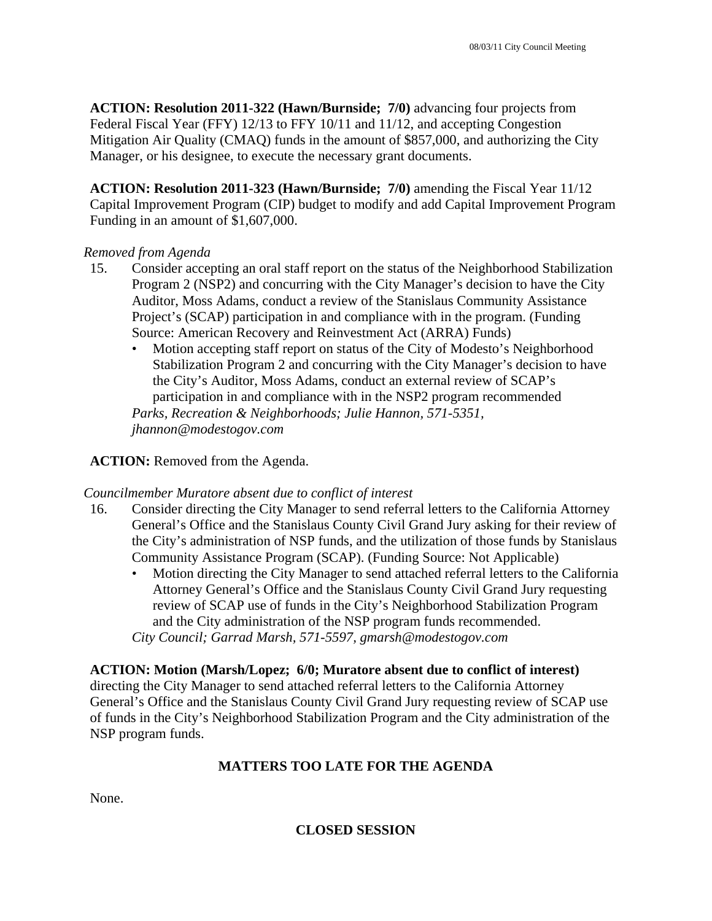**ACTION: Resolution 2011-322 (Hawn/Burnside; 7/0)** advancing four projects from Federal Fiscal Year (FFY) 12/13 to FFY 10/11 and 11/12, and accepting Congestion Mitigation Air Quality (CMAQ) funds in the amount of \$857,000, and authorizing the City Manager, or his designee, to execute the necessary grant documents.

**ACTION: Resolution 2011-323 (Hawn/Burnside; 7/0)** amending the Fiscal Year 11/12 Capital Improvement Program (CIP) budget to modify and add Capital Improvement Program Funding in an amount of \$1,607,000.

### *Removed from Agenda*

- 15. Consider accepting an oral staff report on the status of the Neighborhood Stabilization Program 2 (NSP2) and concurring with the City Manager's decision to have the City Auditor, Moss Adams, conduct a review of the Stanislaus Community Assistance Project's (SCAP) participation in and compliance with in the program. (Funding Source: American Recovery and Reinvestment Act (ARRA) Funds)
	- Motion accepting staff report on status of the City of Modesto's Neighborhood Stabilization Program 2 and concurring with the City Manager's decision to have the City's Auditor, Moss Adams, conduct an external review of SCAP's participation in and compliance with in the NSP2 program recommended *Parks, Recreation & Neighborhoods; Julie Hannon, 571-5351, jhannon@modestogov.com*

## **ACTION:** Removed from the Agenda.

### *Councilmember Muratore absent due to conflict of interest*

- 16. Consider directing the City Manager to send referral letters to the California Attorney General's Office and the Stanislaus County Civil Grand Jury asking for their review of the City's administration of NSP funds, and the utilization of those funds by Stanislaus Community Assistance Program (SCAP). (Funding Source: Not Applicable)
	- Motion directing the City Manager to send attached referral letters to the California Attorney General's Office and the Stanislaus County Civil Grand Jury requesting review of SCAP use of funds in the City's Neighborhood Stabilization Program and the City administration of the NSP program funds recommended. *City Council; Garrad Marsh, 571-5597, gmarsh@modestogov.com*

**ACTION: Motion (Marsh/Lopez; 6/0; Muratore absent due to conflict of interest)** directing the City Manager to send attached referral letters to the California Attorney General's Office and the Stanislaus County Civil Grand Jury requesting review of SCAP use of funds in the City's Neighborhood Stabilization Program and the City administration of the NSP program funds.

# **MATTERS TOO LATE FOR THE AGENDA**

None.

## **CLOSED SESSION**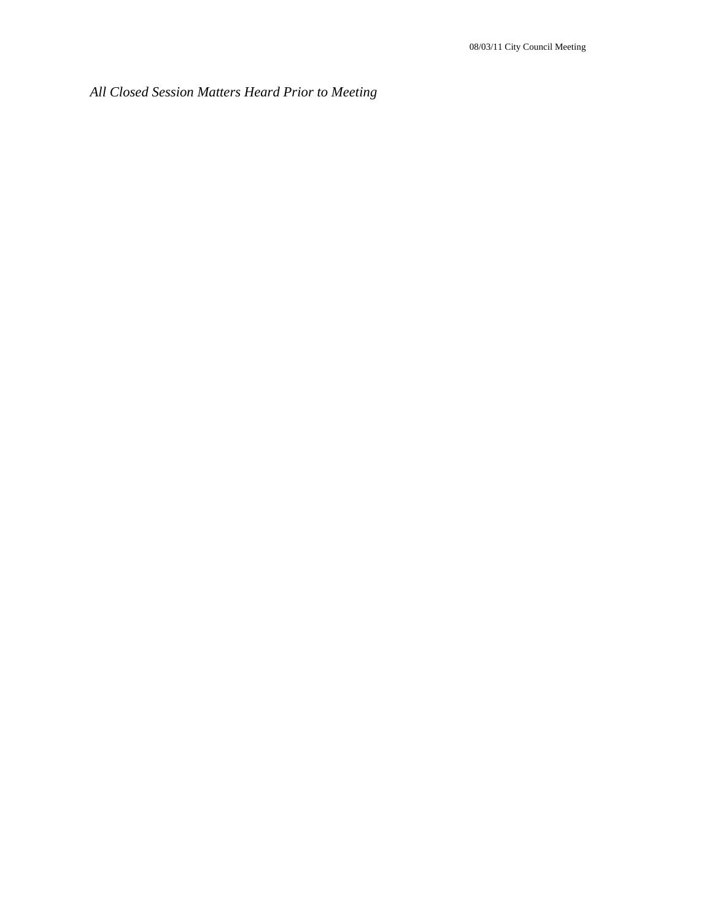*All Closed Session Matters Heard Prior to Meeting*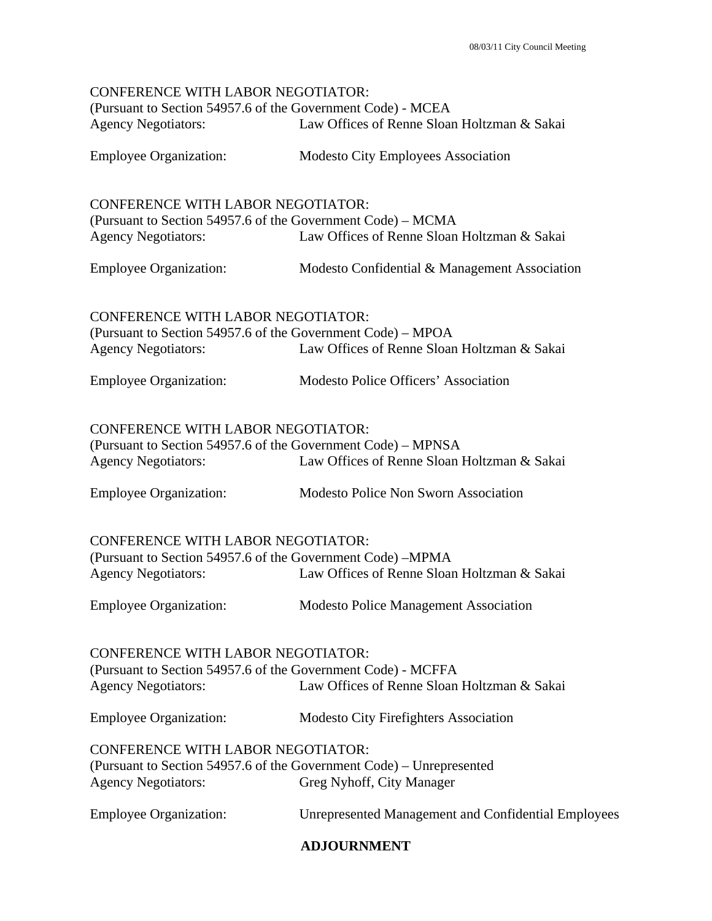| <b>CONFERENCE WITH LABOR NEGOTIATOR:</b><br>(Pursuant to Section 54957.6 of the Government Code) - MCEA                                                                               |                                                            |
|---------------------------------------------------------------------------------------------------------------------------------------------------------------------------------------|------------------------------------------------------------|
| <b>Agency Negotiators:</b>                                                                                                                                                            | Law Offices of Renne Sloan Holtzman & Sakai                |
| <b>Employee Organization:</b>                                                                                                                                                         | Modesto City Employees Association                         |
| <b>CONFERENCE WITH LABOR NEGOTIATOR:</b><br>(Pursuant to Section 54957.6 of the Government Code) – MCMA                                                                               |                                                            |
| <b>Agency Negotiators:</b>                                                                                                                                                            | Law Offices of Renne Sloan Holtzman & Sakai                |
| <b>Employee Organization:</b>                                                                                                                                                         | Modesto Confidential & Management Association              |
| <b>CONFERENCE WITH LABOR NEGOTIATOR:</b><br>(Pursuant to Section 54957.6 of the Government Code) – MPOA                                                                               |                                                            |
| <b>Agency Negotiators:</b>                                                                                                                                                            | Law Offices of Renne Sloan Holtzman & Sakai                |
| <b>Employee Organization:</b>                                                                                                                                                         | Modesto Police Officers' Association                       |
| <b>CONFERENCE WITH LABOR NEGOTIATOR:</b>                                                                                                                                              |                                                            |
| (Pursuant to Section 54957.6 of the Government Code) – MPNSA<br><b>Agency Negotiators:</b>                                                                                            | Law Offices of Renne Sloan Holtzman & Sakai                |
| <b>Employee Organization:</b>                                                                                                                                                         | <b>Modesto Police Non Sworn Association</b>                |
| <b>CONFERENCE WITH LABOR NEGOTIATOR:</b><br>(Pursuant to Section 54957.6 of the Government Code) – MPMA                                                                               |                                                            |
| <b>Agency Negotiators:</b>                                                                                                                                                            | Law Offices of Renne Sloan Holtzman & Sakai                |
| <b>Employee Organization:</b>                                                                                                                                                         | <b>Modesto Police Management Association</b>               |
| <b>CONFERENCE WITH LABOR NEGOTIATOR:</b><br>(Pursuant to Section 54957.6 of the Government Code) - MCFFA<br>Law Offices of Renne Sloan Holtzman & Sakai<br><b>Agency Negotiators:</b> |                                                            |
| <b>Employee Organization:</b>                                                                                                                                                         | <b>Modesto City Firefighters Association</b>               |
| <b>CONFERENCE WITH LABOR NEGOTIATOR:</b><br>(Pursuant to Section 54957.6 of the Government Code) – Unrepresented<br><b>Agency Negotiators:</b><br>Greg Nyhoff, City Manager           |                                                            |
| <b>Employee Organization:</b>                                                                                                                                                         | <b>Unrepresented Management and Confidential Employees</b> |

## **ADJOURNMENT**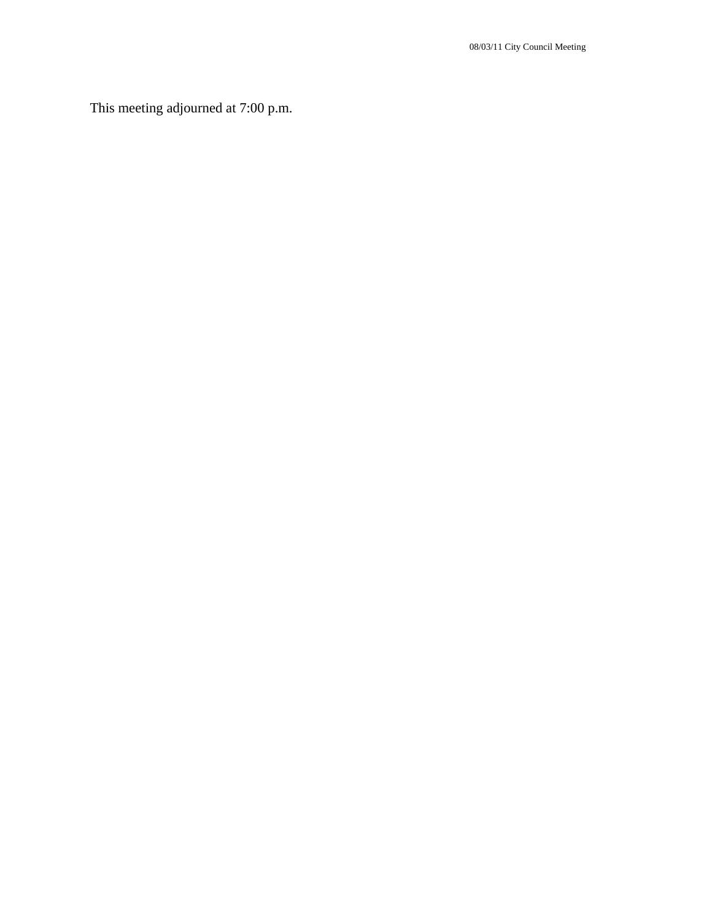This meeting adjourned at 7:00 p.m.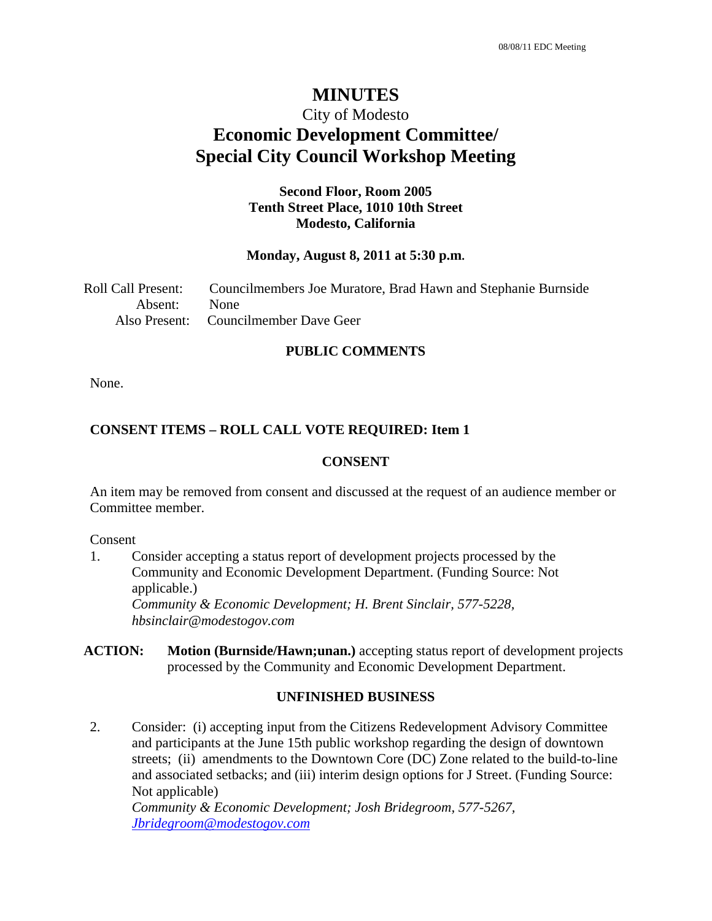# **MINUTES**

# City of Modesto **Economic Development Committee/ Special City Council Workshop Meeting**

### **Second Floor, Room 2005 Tenth Street Place, 1010 10th Street Modesto, California**

### **Monday, August 8, 2011 at 5:30 p.m.**

Roll Call Present: Councilmembers Joe Muratore, Brad Hawn and Stephanie Burnside Absent: None Also Present: Councilmember Dave Geer

#### **PUBLIC COMMENTS**

None.

### **CONSENT ITEMS – ROLL CALL VOTE REQUIRED: Item 1**

### **CONSENT**

An item may be removed from consent and discussed at the request of an audience member or Committee member.

### Consent

- 1. Consider accepting a status report of development projects processed by the Community and Economic Development Department. (Funding Source: Not applicable.)  *Community & Economic Development; H. Brent Sinclair, 577-5228, hbsinclair@modestogov.com*
- **ACTION: Motion (Burnside/Hawn;unan.)** accepting status report of development projects processed by the Community and Economic Development Department.

### **UNFINISHED BUSINESS**

2. Consider: (i) accepting input from the Citizens Redevelopment Advisory Committee and participants at the June 15th public workshop regarding the design of downtown streets; (ii) amendments to the Downtown Core (DC) Zone related to the build-to-line and associated setbacks; and (iii) interim design options for J Street. (Funding Source: Not applicable)

 *Community & Economic Development; Josh Bridegroom, 577-5267, Jbridegroom@modestogov.com*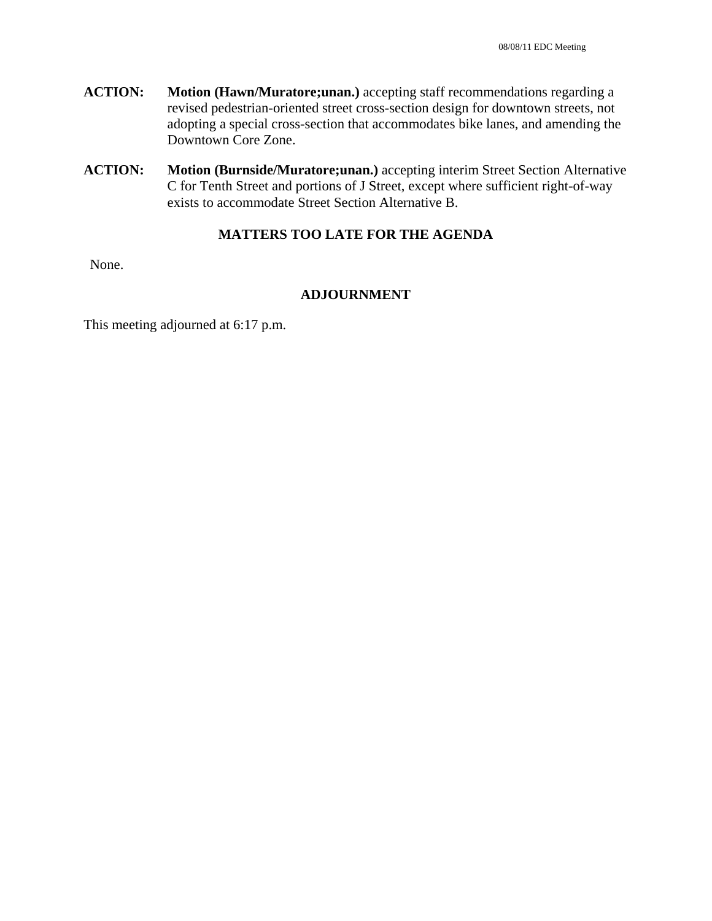- **ACTION: Motion (Hawn/Muratore;unan.)** accepting staff recommendations regarding a revised pedestrian-oriented street cross-section design for downtown streets, not adopting a special cross-section that accommodates bike lanes, and amending the Downtown Core Zone.
- **ACTION:** Motion (Burnside/Muratore;unan.) accepting interim Street Section Alternative C for Tenth Street and portions of J Street, except where sufficient right-of-way exists to accommodate Street Section Alternative B.

### **MATTERS TOO LATE FOR THE AGENDA**

None.

### **ADJOURNMENT**

This meeting adjourned at 6:17 p.m.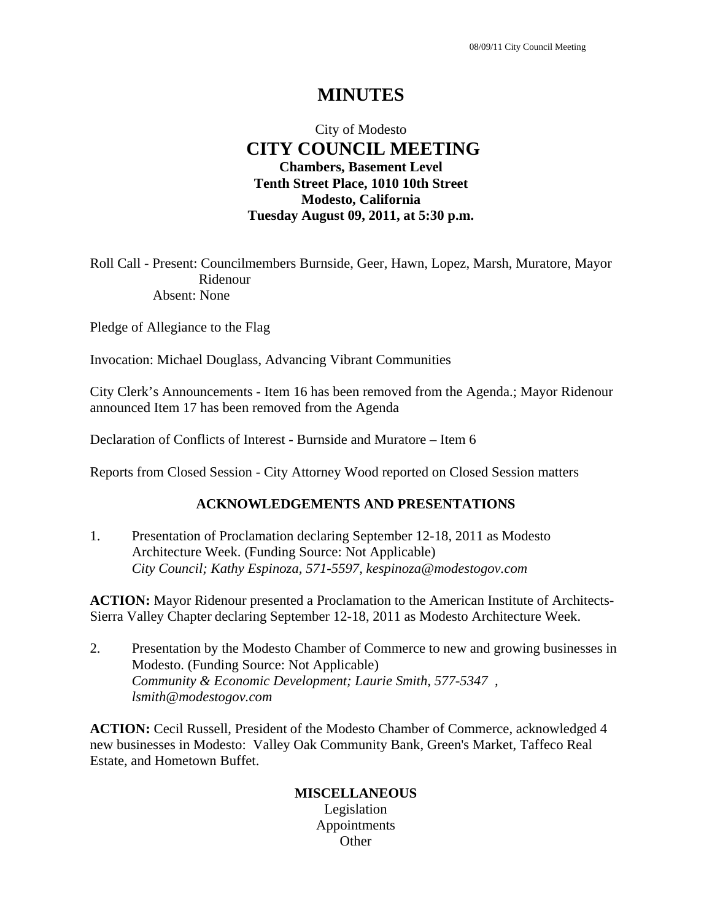# **MINUTES**

# City of Modesto  **CITY COUNCIL MEETING Chambers, Basement Level Tenth Street Place, 1010 10th Street Modesto, California Tuesday August 09, 2011, at 5:30 p.m.**

Roll Call - Present: Councilmembers Burnside, Geer, Hawn, Lopez, Marsh, Muratore, Mayor Ridenour Absent: None

Pledge of Allegiance to the Flag

Invocation: Michael Douglass, Advancing Vibrant Communities

City Clerk's Announcements - Item 16 has been removed from the Agenda.; Mayor Ridenour announced Item 17 has been removed from the Agenda

Declaration of Conflicts of Interest - Burnside and Muratore – Item 6

Reports from Closed Session - City Attorney Wood reported on Closed Session matters

### **ACKNOWLEDGEMENTS AND PRESENTATIONS**

1. Presentation of Proclamation declaring September 12-18, 2011 as Modesto Architecture Week. (Funding Source: Not Applicable)  *City Council; Kathy Espinoza, 571-5597, kespinoza@modestogov.com* 

**ACTION:** Mayor Ridenour presented a Proclamation to the American Institute of Architects-Sierra Valley Chapter declaring September 12-18, 2011 as Modesto Architecture Week.

2. Presentation by the Modesto Chamber of Commerce to new and growing businesses in Modesto. (Funding Source: Not Applicable)  *Community & Economic Development; Laurie Smith, 577-5347 , lsmith@modestogov.com* 

**ACTION:** Cecil Russell, President of the Modesto Chamber of Commerce, acknowledged 4 new businesses in Modesto: Valley Oak Community Bank, Green's Market, Taffeco Real Estate, and Hometown Buffet.

### **MISCELLANEOUS**  Legislation Appointments **Other**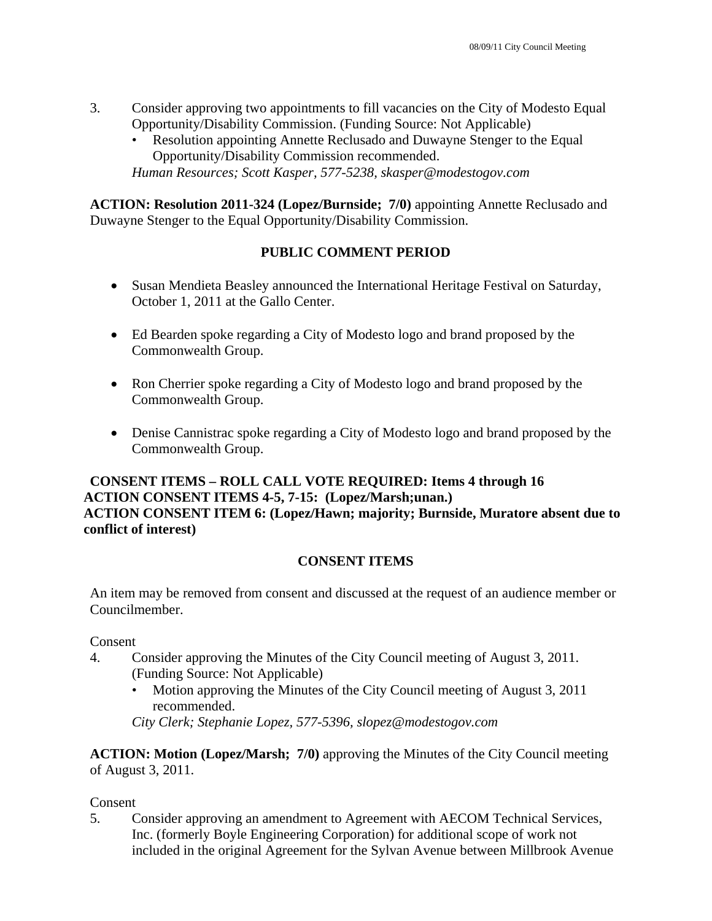- 3. Consider approving two appointments to fill vacancies on the City of Modesto Equal Opportunity/Disability Commission. (Funding Source: Not Applicable)
	- Resolution appointing Annette Reclusado and Duwayne Stenger to the Equal Opportunity/Disability Commission recommended.

*Human Resources; Scott Kasper, 577-5238, skasper@modestogov.com* 

**ACTION: Resolution 2011-324 (Lopez/Burnside; 7/0)** appointing Annette Reclusado and Duwayne Stenger to the Equal Opportunity/Disability Commission.

# **PUBLIC COMMENT PERIOD**

- Susan Mendieta Beasley announced the International Heritage Festival on Saturday, October 1, 2011 at the Gallo Center.
- Ed Bearden spoke regarding a City of Modesto logo and brand proposed by the Commonwealth Group.
- Ron Cherrier spoke regarding a City of Modesto logo and brand proposed by the Commonwealth Group.
- Denise Cannistrac spoke regarding a City of Modesto logo and brand proposed by the Commonwealth Group.

## **CONSENT ITEMS – ROLL CALL VOTE REQUIRED: Items 4 through 16 ACTION CONSENT ITEMS 4-5, 7-15: (Lopez/Marsh;unan.) ACTION CONSENT ITEM 6: (Lopez/Hawn; majority; Burnside, Muratore absent due to conflict of interest)**

## **CONSENT ITEMS**

An item may be removed from consent and discussed at the request of an audience member or Councilmember.

Consent

- 4. Consider approving the Minutes of the City Council meeting of August 3, 2011. (Funding Source: Not Applicable)
	- Motion approving the Minutes of the City Council meeting of August 3, 2011 recommended.

*City Clerk; Stephanie Lopez, 577-5396, slopez@modestogov.com* 

**ACTION: Motion (Lopez/Marsh; 7/0)** approving the Minutes of the City Council meeting of August 3, 2011.

Consent

5. Consider approving an amendment to Agreement with AECOM Technical Services, Inc. (formerly Boyle Engineering Corporation) for additional scope of work not included in the original Agreement for the Sylvan Avenue between Millbrook Avenue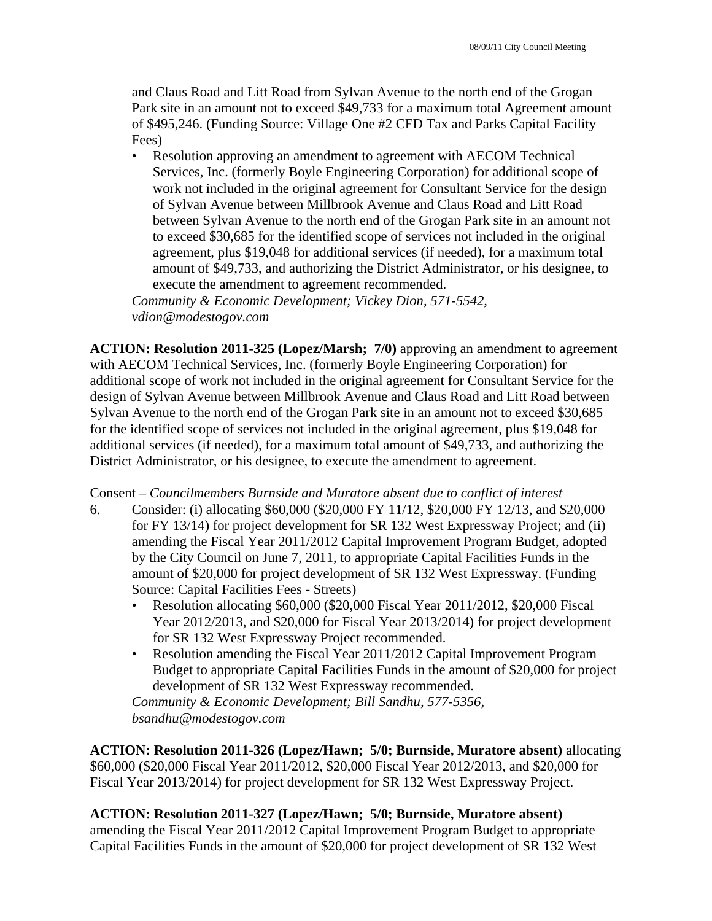and Claus Road and Litt Road from Sylvan Avenue to the north end of the Grogan Park site in an amount not to exceed \$49,733 for a maximum total Agreement amount of \$495,246. (Funding Source: Village One #2 CFD Tax and Parks Capital Facility Fees)

• Resolution approving an amendment to agreement with AECOM Technical Services, Inc. (formerly Boyle Engineering Corporation) for additional scope of work not included in the original agreement for Consultant Service for the design of Sylvan Avenue between Millbrook Avenue and Claus Road and Litt Road between Sylvan Avenue to the north end of the Grogan Park site in an amount not to exceed \$30,685 for the identified scope of services not included in the original agreement, plus \$19,048 for additional services (if needed), for a maximum total amount of \$49,733, and authorizing the District Administrator, or his designee, to execute the amendment to agreement recommended.

*Community & Economic Development; Vickey Dion, 571-5542, vdion@modestogov.com* 

**ACTION: Resolution 2011-325 (Lopez/Marsh; 7/0)** approving an amendment to agreement with AECOM Technical Services, Inc. (formerly Boyle Engineering Corporation) for additional scope of work not included in the original agreement for Consultant Service for the design of Sylvan Avenue between Millbrook Avenue and Claus Road and Litt Road between Sylvan Avenue to the north end of the Grogan Park site in an amount not to exceed \$30,685 for the identified scope of services not included in the original agreement, plus \$19,048 for additional services (if needed), for a maximum total amount of \$49,733, and authorizing the District Administrator, or his designee, to execute the amendment to agreement.

Consent – *Councilmembers Burnside and Muratore absent due to conflict of interest* 

- 6. Consider: (i) allocating \$60,000 (\$20,000 FY 11/12, \$20,000 FY 12/13, and \$20,000 for FY 13/14) for project development for SR 132 West Expressway Project; and (ii) amending the Fiscal Year 2011/2012 Capital Improvement Program Budget, adopted by the City Council on June 7, 2011, to appropriate Capital Facilities Funds in the amount of \$20,000 for project development of SR 132 West Expressway. (Funding Source: Capital Facilities Fees - Streets)
	- Resolution allocating \$60,000 (\$20,000 Fiscal Year 2011/2012, \$20,000 Fiscal Year 2012/2013, and \$20,000 for Fiscal Year 2013/2014) for project development for SR 132 West Expressway Project recommended.
	- Resolution amending the Fiscal Year 2011/2012 Capital Improvement Program Budget to appropriate Capital Facilities Funds in the amount of \$20,000 for project development of SR 132 West Expressway recommended.

*Community & Economic Development; Bill Sandhu, 577-5356, bsandhu@modestogov.com* 

**ACTION: Resolution 2011-326 (Lopez/Hawn; 5/0; Burnside, Muratore absent)** allocating \$60,000 (\$20,000 Fiscal Year 2011/2012, \$20,000 Fiscal Year 2012/2013, and \$20,000 for Fiscal Year 2013/2014) for project development for SR 132 West Expressway Project.

# **ACTION: Resolution 2011-327 (Lopez/Hawn; 5/0; Burnside, Muratore absent)**

amending the Fiscal Year 2011/2012 Capital Improvement Program Budget to appropriate Capital Facilities Funds in the amount of \$20,000 for project development of SR 132 West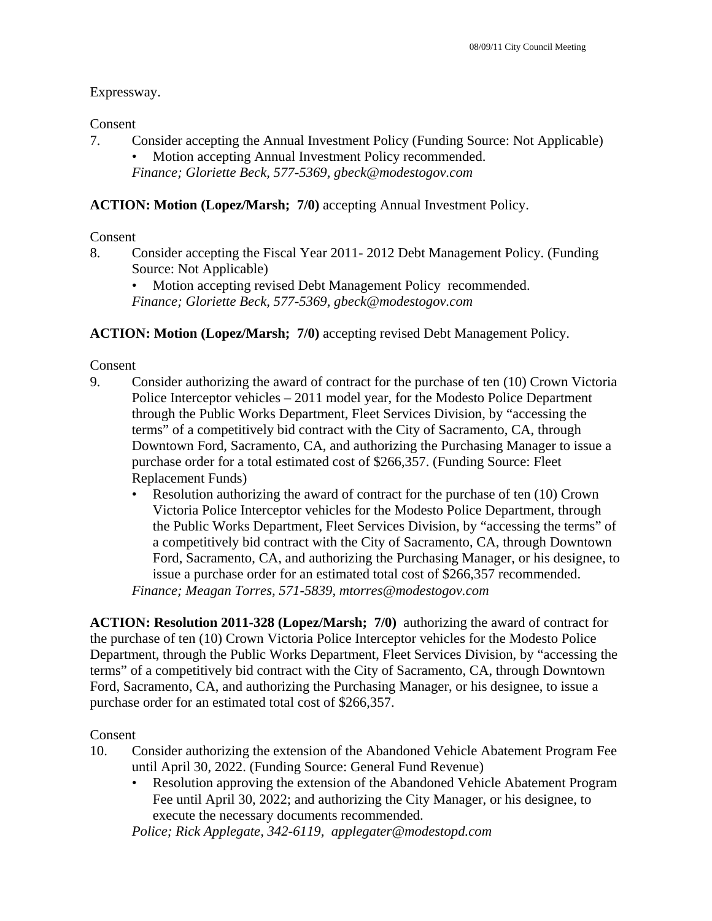### Expressway.

### Consent

7. Consider accepting the Annual Investment Policy (Funding Source: Not Applicable) Motion accepting Annual Investment Policy recommended.

*Finance; Gloriette Beck, 577-5369, gbeck@modestogov.com* 

## **ACTION: Motion (Lopez/Marsh; 7/0)** accepting Annual Investment Policy.

### Consent

8. Consider accepting the Fiscal Year 2011- 2012 Debt Management Policy. (Funding Source: Not Applicable)

Motion accepting revised Debt Management Policy recommended. *Finance; Gloriette Beck, 577-5369, gbeck@modestogov.com* 

### **ACTION: Motion (Lopez/Marsh; 7/0)** accepting revised Debt Management Policy.

### Consent

- 9. Consider authorizing the award of contract for the purchase of ten (10) Crown Victoria Police Interceptor vehicles – 2011 model year, for the Modesto Police Department through the Public Works Department, Fleet Services Division, by "accessing the terms" of a competitively bid contract with the City of Sacramento, CA, through Downtown Ford, Sacramento, CA, and authorizing the Purchasing Manager to issue a purchase order for a total estimated cost of \$266,357. (Funding Source: Fleet Replacement Funds)
	- Resolution authorizing the award of contract for the purchase of ten (10) Crown Victoria Police Interceptor vehicles for the Modesto Police Department, through the Public Works Department, Fleet Services Division, by "accessing the terms" of a competitively bid contract with the City of Sacramento, CA, through Downtown Ford, Sacramento, CA, and authorizing the Purchasing Manager, or his designee, to issue a purchase order for an estimated total cost of \$266,357 recommended. *Finance; Meagan Torres, 571-5839, mtorres@modestogov.com*

**ACTION: Resolution 2011-328 (Lopez/Marsh; 7/0)** authorizing the award of contract for the purchase of ten (10) Crown Victoria Police Interceptor vehicles for the Modesto Police Department, through the Public Works Department, Fleet Services Division, by "accessing the terms" of a competitively bid contract with the City of Sacramento, CA, through Downtown Ford, Sacramento, CA, and authorizing the Purchasing Manager, or his designee, to issue a purchase order for an estimated total cost of \$266,357.

### Consent

- 10. Consider authorizing the extension of the Abandoned Vehicle Abatement Program Fee until April 30, 2022. (Funding Source: General Fund Revenue)
	- Resolution approving the extension of the Abandoned Vehicle Abatement Program Fee until April 30, 2022; and authorizing the City Manager, or his designee, to execute the necessary documents recommended.

*Police; Rick Applegate, 342-6119, applegater@modestopd.com*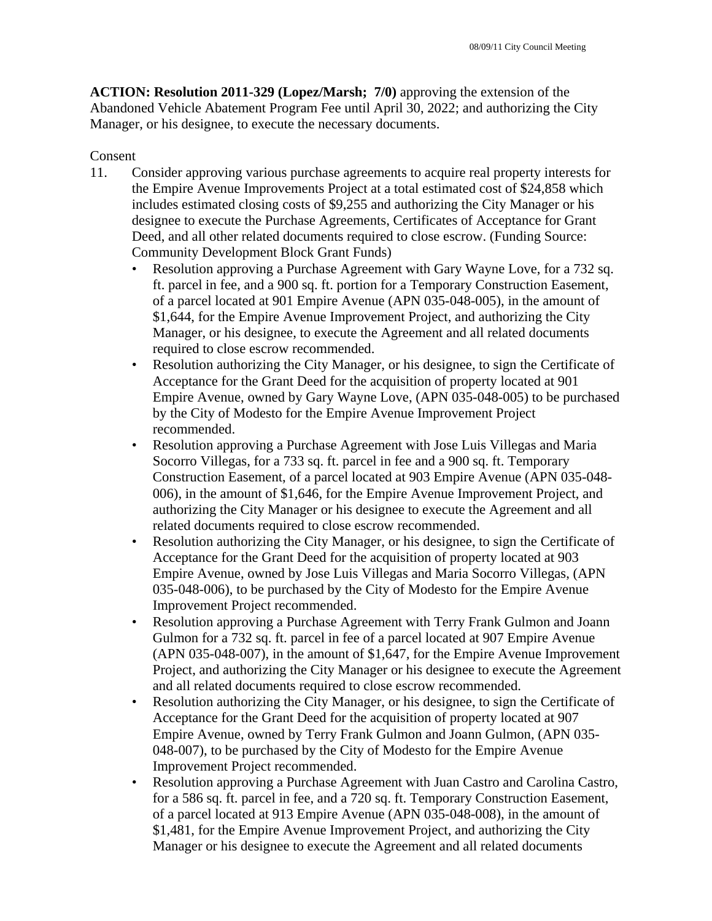**ACTION: Resolution 2011-329 (Lopez/Marsh; 7/0)** approving the extension of the Abandoned Vehicle Abatement Program Fee until April 30, 2022; and authorizing the City Manager, or his designee, to execute the necessary documents.

### Consent

- 11. Consider approving various purchase agreements to acquire real property interests for the Empire Avenue Improvements Project at a total estimated cost of \$24,858 which includes estimated closing costs of \$9,255 and authorizing the City Manager or his designee to execute the Purchase Agreements, Certificates of Acceptance for Grant Deed, and all other related documents required to close escrow. (Funding Source: Community Development Block Grant Funds)
	- Resolution approving a Purchase Agreement with Gary Wayne Love, for a 732 sq. ft. parcel in fee, and a 900 sq. ft. portion for a Temporary Construction Easement, of a parcel located at 901 Empire Avenue (APN 035-048-005), in the amount of \$1,644, for the Empire Avenue Improvement Project, and authorizing the City Manager, or his designee, to execute the Agreement and all related documents required to close escrow recommended.
	- Resolution authorizing the City Manager, or his designee, to sign the Certificate of Acceptance for the Grant Deed for the acquisition of property located at 901 Empire Avenue, owned by Gary Wayne Love, (APN 035-048-005) to be purchased by the City of Modesto for the Empire Avenue Improvement Project recommended.
	- Resolution approving a Purchase Agreement with Jose Luis Villegas and Maria Socorro Villegas, for a 733 sq. ft. parcel in fee and a 900 sq. ft. Temporary Construction Easement, of a parcel located at 903 Empire Avenue (APN 035-048- 006), in the amount of \$1,646, for the Empire Avenue Improvement Project, and authorizing the City Manager or his designee to execute the Agreement and all related documents required to close escrow recommended.
	- Resolution authorizing the City Manager, or his designee, to sign the Certificate of Acceptance for the Grant Deed for the acquisition of property located at 903 Empire Avenue, owned by Jose Luis Villegas and Maria Socorro Villegas, (APN 035-048-006), to be purchased by the City of Modesto for the Empire Avenue Improvement Project recommended.
	- Resolution approving a Purchase Agreement with Terry Frank Gulmon and Joann Gulmon for a 732 sq. ft. parcel in fee of a parcel located at 907 Empire Avenue (APN 035-048-007), in the amount of \$1,647, for the Empire Avenue Improvement Project, and authorizing the City Manager or his designee to execute the Agreement and all related documents required to close escrow recommended.
	- Resolution authorizing the City Manager, or his designee, to sign the Certificate of Acceptance for the Grant Deed for the acquisition of property located at 907 Empire Avenue, owned by Terry Frank Gulmon and Joann Gulmon, (APN 035- 048-007), to be purchased by the City of Modesto for the Empire Avenue Improvement Project recommended.
	- Resolution approving a Purchase Agreement with Juan Castro and Carolina Castro, for a 586 sq. ft. parcel in fee, and a 720 sq. ft. Temporary Construction Easement, of a parcel located at 913 Empire Avenue (APN 035-048-008), in the amount of \$1,481, for the Empire Avenue Improvement Project, and authorizing the City Manager or his designee to execute the Agreement and all related documents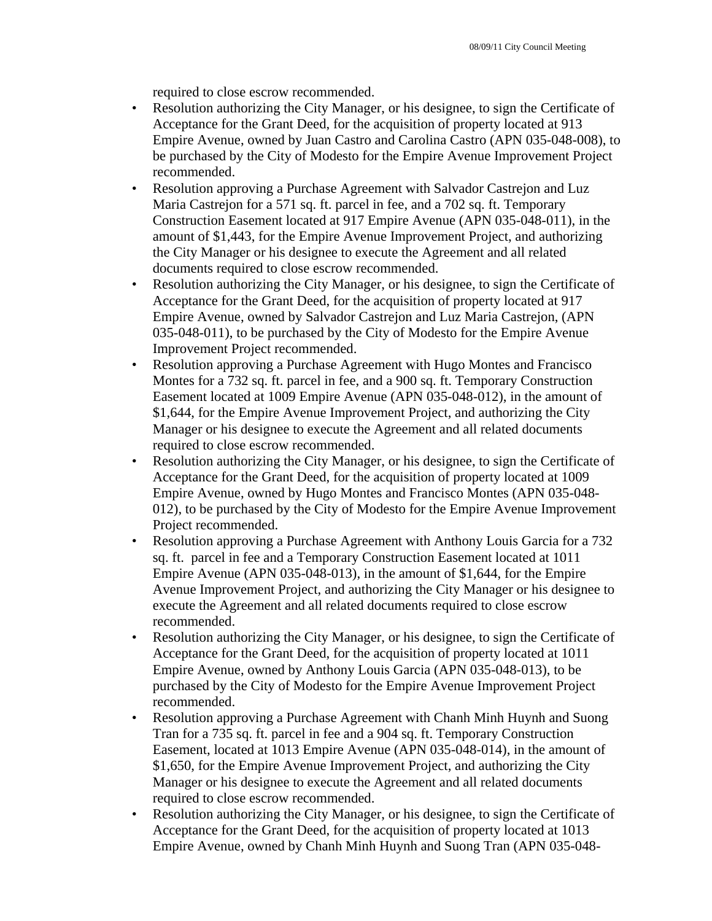required to close escrow recommended.

- Resolution authorizing the City Manager, or his designee, to sign the Certificate of Acceptance for the Grant Deed, for the acquisition of property located at 913 Empire Avenue, owned by Juan Castro and Carolina Castro (APN 035-048-008), to be purchased by the City of Modesto for the Empire Avenue Improvement Project recommended.
- Resolution approving a Purchase Agreement with Salvador Castrejon and Luz Maria Castrejon for a 571 sq. ft. parcel in fee, and a 702 sq. ft. Temporary Construction Easement located at 917 Empire Avenue (APN 035-048-011), in the amount of \$1,443, for the Empire Avenue Improvement Project, and authorizing the City Manager or his designee to execute the Agreement and all related documents required to close escrow recommended.
- Resolution authorizing the City Manager, or his designee, to sign the Certificate of Acceptance for the Grant Deed, for the acquisition of property located at 917 Empire Avenue, owned by Salvador Castrejon and Luz Maria Castrejon, (APN 035-048-011), to be purchased by the City of Modesto for the Empire Avenue Improvement Project recommended.
- Resolution approving a Purchase Agreement with Hugo Montes and Francisco Montes for a 732 sq. ft. parcel in fee, and a 900 sq. ft. Temporary Construction Easement located at 1009 Empire Avenue (APN 035-048-012), in the amount of \$1,644, for the Empire Avenue Improvement Project, and authorizing the City Manager or his designee to execute the Agreement and all related documents required to close escrow recommended.
- Resolution authorizing the City Manager, or his designee, to sign the Certificate of Acceptance for the Grant Deed, for the acquisition of property located at 1009 Empire Avenue, owned by Hugo Montes and Francisco Montes (APN 035-048- 012), to be purchased by the City of Modesto for the Empire Avenue Improvement Project recommended.
- Resolution approving a Purchase Agreement with Anthony Louis Garcia for a 732 sq. ft. parcel in fee and a Temporary Construction Easement located at 1011 Empire Avenue (APN 035-048-013), in the amount of \$1,644, for the Empire Avenue Improvement Project, and authorizing the City Manager or his designee to execute the Agreement and all related documents required to close escrow recommended.
- Resolution authorizing the City Manager, or his designee, to sign the Certificate of Acceptance for the Grant Deed, for the acquisition of property located at 1011 Empire Avenue, owned by Anthony Louis Garcia (APN 035-048-013), to be purchased by the City of Modesto for the Empire Avenue Improvement Project recommended.
- Resolution approving a Purchase Agreement with Chanh Minh Huynh and Suong Tran for a 735 sq. ft. parcel in fee and a 904 sq. ft. Temporary Construction Easement, located at 1013 Empire Avenue (APN 035-048-014), in the amount of \$1,650, for the Empire Avenue Improvement Project, and authorizing the City Manager or his designee to execute the Agreement and all related documents required to close escrow recommended.
- Resolution authorizing the City Manager, or his designee, to sign the Certificate of Acceptance for the Grant Deed, for the acquisition of property located at 1013 Empire Avenue, owned by Chanh Minh Huynh and Suong Tran (APN 035-048-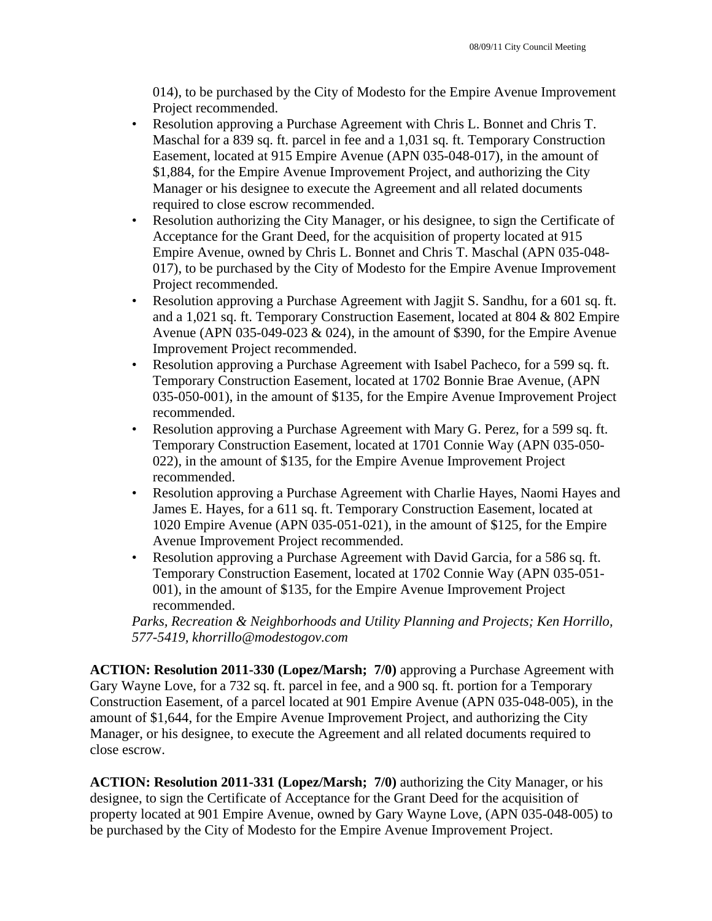014), to be purchased by the City of Modesto for the Empire Avenue Improvement Project recommended.

- Resolution approving a Purchase Agreement with Chris L. Bonnet and Chris T. Maschal for a 839 sq. ft. parcel in fee and a 1,031 sq. ft. Temporary Construction Easement, located at 915 Empire Avenue (APN 035-048-017), in the amount of \$1,884, for the Empire Avenue Improvement Project, and authorizing the City Manager or his designee to execute the Agreement and all related documents required to close escrow recommended.
- Resolution authorizing the City Manager, or his designee, to sign the Certificate of Acceptance for the Grant Deed, for the acquisition of property located at 915 Empire Avenue, owned by Chris L. Bonnet and Chris T. Maschal (APN 035-048- 017), to be purchased by the City of Modesto for the Empire Avenue Improvement Project recommended.
- Resolution approving a Purchase Agreement with Jagjit S. Sandhu, for a 601 sq. ft. and a 1,021 sq. ft. Temporary Construction Easement, located at 804 & 802 Empire Avenue (APN 035-049-023 & 024), in the amount of \$390, for the Empire Avenue Improvement Project recommended.
- Resolution approving a Purchase Agreement with Isabel Pacheco, for a 599 sq. ft. Temporary Construction Easement, located at 1702 Bonnie Brae Avenue, (APN 035-050-001), in the amount of \$135, for the Empire Avenue Improvement Project recommended.
- Resolution approving a Purchase Agreement with Mary G. Perez, for a 599 sq. ft. Temporary Construction Easement, located at 1701 Connie Way (APN 035-050- 022), in the amount of \$135, for the Empire Avenue Improvement Project recommended.
- Resolution approving a Purchase Agreement with Charlie Hayes, Naomi Hayes and James E. Hayes, for a 611 sq. ft. Temporary Construction Easement, located at 1020 Empire Avenue (APN 035-051-021), in the amount of \$125, for the Empire Avenue Improvement Project recommended.
- Resolution approving a Purchase Agreement with David Garcia, for a 586 sq. ft. Temporary Construction Easement, located at 1702 Connie Way (APN 035-051- 001), in the amount of \$135, for the Empire Avenue Improvement Project recommended.

*Parks, Recreation & Neighborhoods and Utility Planning and Projects; Ken Horrillo, 577-5419, khorrillo@modestogov.com* 

**ACTION: Resolution 2011-330 (Lopez/Marsh; 7/0)** approving a Purchase Agreement with Gary Wayne Love, for a 732 sq. ft. parcel in fee, and a 900 sq. ft. portion for a Temporary Construction Easement, of a parcel located at 901 Empire Avenue (APN 035-048-005), in the amount of \$1,644, for the Empire Avenue Improvement Project, and authorizing the City Manager, or his designee, to execute the Agreement and all related documents required to close escrow.

**ACTION: Resolution 2011-331 (Lopez/Marsh; 7/0)** authorizing the City Manager, or his designee, to sign the Certificate of Acceptance for the Grant Deed for the acquisition of property located at 901 Empire Avenue, owned by Gary Wayne Love, (APN 035-048-005) to be purchased by the City of Modesto for the Empire Avenue Improvement Project.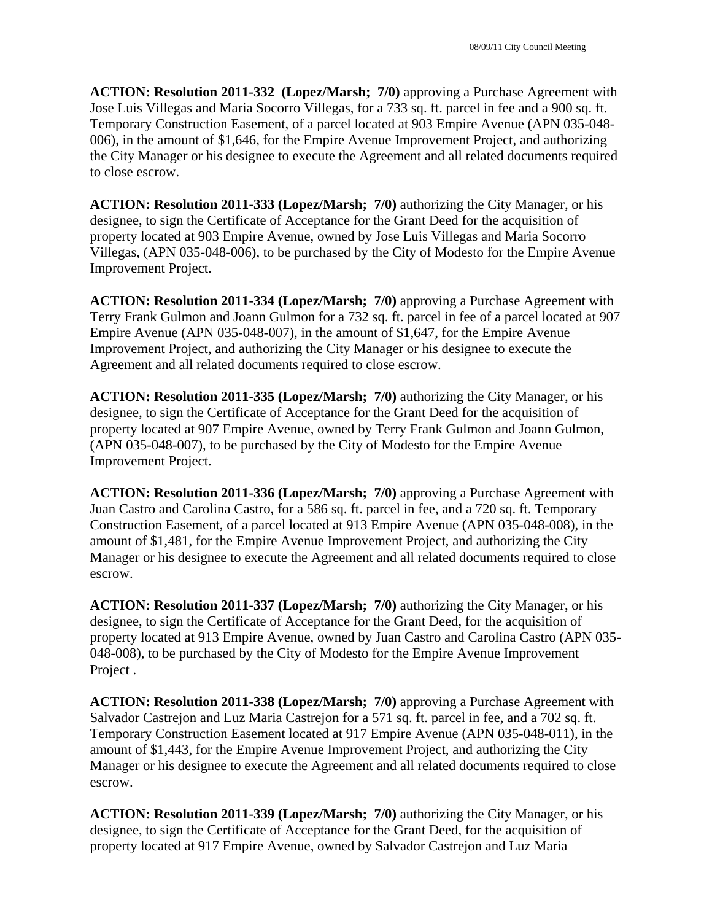**ACTION: Resolution 2011-332 (Lopez/Marsh; 7/0)** approving a Purchase Agreement with Jose Luis Villegas and Maria Socorro Villegas, for a 733 sq. ft. parcel in fee and a 900 sq. ft. Temporary Construction Easement, of a parcel located at 903 Empire Avenue (APN 035-048- 006), in the amount of \$1,646, for the Empire Avenue Improvement Project, and authorizing the City Manager or his designee to execute the Agreement and all related documents required to close escrow.

**ACTION: Resolution 2011-333 (Lopez/Marsh; 7/0)** authorizing the City Manager, or his designee, to sign the Certificate of Acceptance for the Grant Deed for the acquisition of property located at 903 Empire Avenue, owned by Jose Luis Villegas and Maria Socorro Villegas, (APN 035-048-006), to be purchased by the City of Modesto for the Empire Avenue Improvement Project.

**ACTION: Resolution 2011-334 (Lopez/Marsh; 7/0)** approving a Purchase Agreement with Terry Frank Gulmon and Joann Gulmon for a 732 sq. ft. parcel in fee of a parcel located at 907 Empire Avenue (APN 035-048-007), in the amount of \$1,647, for the Empire Avenue Improvement Project, and authorizing the City Manager or his designee to execute the Agreement and all related documents required to close escrow.

**ACTION: Resolution 2011-335 (Lopez/Marsh; 7/0)** authorizing the City Manager, or his designee, to sign the Certificate of Acceptance for the Grant Deed for the acquisition of property located at 907 Empire Avenue, owned by Terry Frank Gulmon and Joann Gulmon, (APN 035-048-007), to be purchased by the City of Modesto for the Empire Avenue Improvement Project.

**ACTION: Resolution 2011-336 (Lopez/Marsh; 7/0)** approving a Purchase Agreement with Juan Castro and Carolina Castro, for a 586 sq. ft. parcel in fee, and a 720 sq. ft. Temporary Construction Easement, of a parcel located at 913 Empire Avenue (APN 035-048-008), in the amount of \$1,481, for the Empire Avenue Improvement Project, and authorizing the City Manager or his designee to execute the Agreement and all related documents required to close escrow.

**ACTION: Resolution 2011-337 (Lopez/Marsh; 7/0)** authorizing the City Manager, or his designee, to sign the Certificate of Acceptance for the Grant Deed, for the acquisition of property located at 913 Empire Avenue, owned by Juan Castro and Carolina Castro (APN 035- 048-008), to be purchased by the City of Modesto for the Empire Avenue Improvement Project .

**ACTION: Resolution 2011-338 (Lopez/Marsh; 7/0)** approving a Purchase Agreement with Salvador Castrejon and Luz Maria Castrejon for a 571 sq. ft. parcel in fee, and a 702 sq. ft. Temporary Construction Easement located at 917 Empire Avenue (APN 035-048-011), in the amount of \$1,443, for the Empire Avenue Improvement Project, and authorizing the City Manager or his designee to execute the Agreement and all related documents required to close escrow.

**ACTION: Resolution 2011-339 (Lopez/Marsh; 7/0)** authorizing the City Manager, or his designee, to sign the Certificate of Acceptance for the Grant Deed, for the acquisition of property located at 917 Empire Avenue, owned by Salvador Castrejon and Luz Maria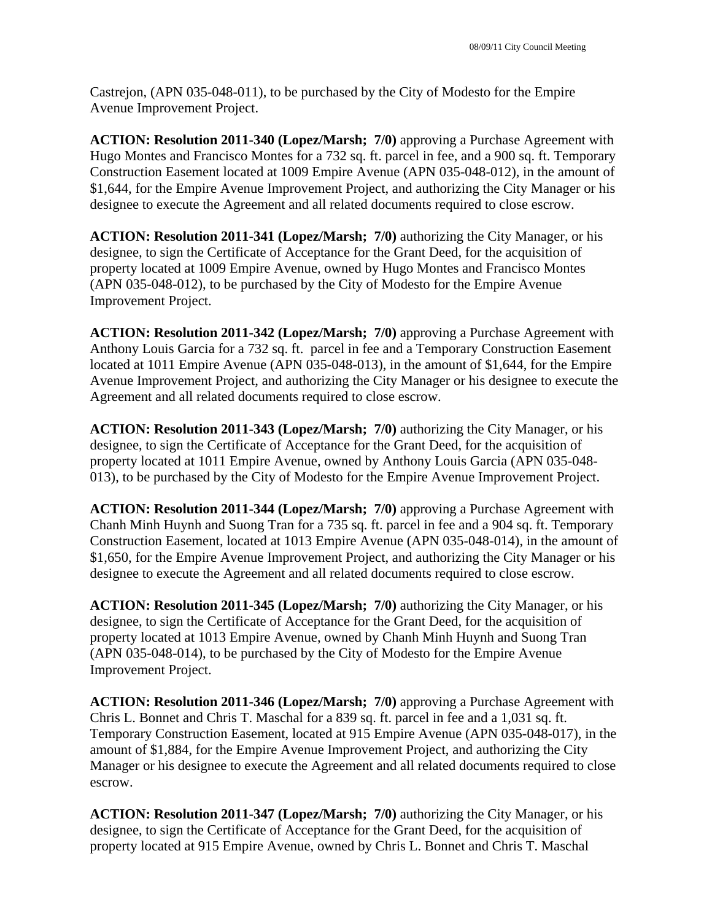Castrejon, (APN 035-048-011), to be purchased by the City of Modesto for the Empire Avenue Improvement Project.

**ACTION: Resolution 2011-340 (Lopez/Marsh; 7/0)** approving a Purchase Agreement with Hugo Montes and Francisco Montes for a 732 sq. ft. parcel in fee, and a 900 sq. ft. Temporary Construction Easement located at 1009 Empire Avenue (APN 035-048-012), in the amount of \$1,644, for the Empire Avenue Improvement Project, and authorizing the City Manager or his designee to execute the Agreement and all related documents required to close escrow.

**ACTION: Resolution 2011-341 (Lopez/Marsh; 7/0)** authorizing the City Manager, or his designee, to sign the Certificate of Acceptance for the Grant Deed, for the acquisition of property located at 1009 Empire Avenue, owned by Hugo Montes and Francisco Montes (APN 035-048-012), to be purchased by the City of Modesto for the Empire Avenue Improvement Project.

**ACTION: Resolution 2011-342 (Lopez/Marsh; 7/0)** approving a Purchase Agreement with Anthony Louis Garcia for a 732 sq. ft. parcel in fee and a Temporary Construction Easement located at 1011 Empire Avenue (APN 035-048-013), in the amount of \$1,644, for the Empire Avenue Improvement Project, and authorizing the City Manager or his designee to execute the Agreement and all related documents required to close escrow.

**ACTION: Resolution 2011-343 (Lopez/Marsh; 7/0)** authorizing the City Manager, or his designee, to sign the Certificate of Acceptance for the Grant Deed, for the acquisition of property located at 1011 Empire Avenue, owned by Anthony Louis Garcia (APN 035-048- 013), to be purchased by the City of Modesto for the Empire Avenue Improvement Project.

**ACTION: Resolution 2011-344 (Lopez/Marsh; 7/0)** approving a Purchase Agreement with Chanh Minh Huynh and Suong Tran for a 735 sq. ft. parcel in fee and a 904 sq. ft. Temporary Construction Easement, located at 1013 Empire Avenue (APN 035-048-014), in the amount of \$1,650, for the Empire Avenue Improvement Project, and authorizing the City Manager or his designee to execute the Agreement and all related documents required to close escrow.

**ACTION: Resolution 2011-345 (Lopez/Marsh; 7/0)** authorizing the City Manager, or his designee, to sign the Certificate of Acceptance for the Grant Deed, for the acquisition of property located at 1013 Empire Avenue, owned by Chanh Minh Huynh and Suong Tran (APN 035-048-014), to be purchased by the City of Modesto for the Empire Avenue Improvement Project.

**ACTION: Resolution 2011-346 (Lopez/Marsh; 7/0)** approving a Purchase Agreement with Chris L. Bonnet and Chris T. Maschal for a 839 sq. ft. parcel in fee and a 1,031 sq. ft. Temporary Construction Easement, located at 915 Empire Avenue (APN 035-048-017), in the amount of \$1,884, for the Empire Avenue Improvement Project, and authorizing the City Manager or his designee to execute the Agreement and all related documents required to close escrow.

**ACTION: Resolution 2011-347 (Lopez/Marsh; 7/0)** authorizing the City Manager, or his designee, to sign the Certificate of Acceptance for the Grant Deed, for the acquisition of property located at 915 Empire Avenue, owned by Chris L. Bonnet and Chris T. Maschal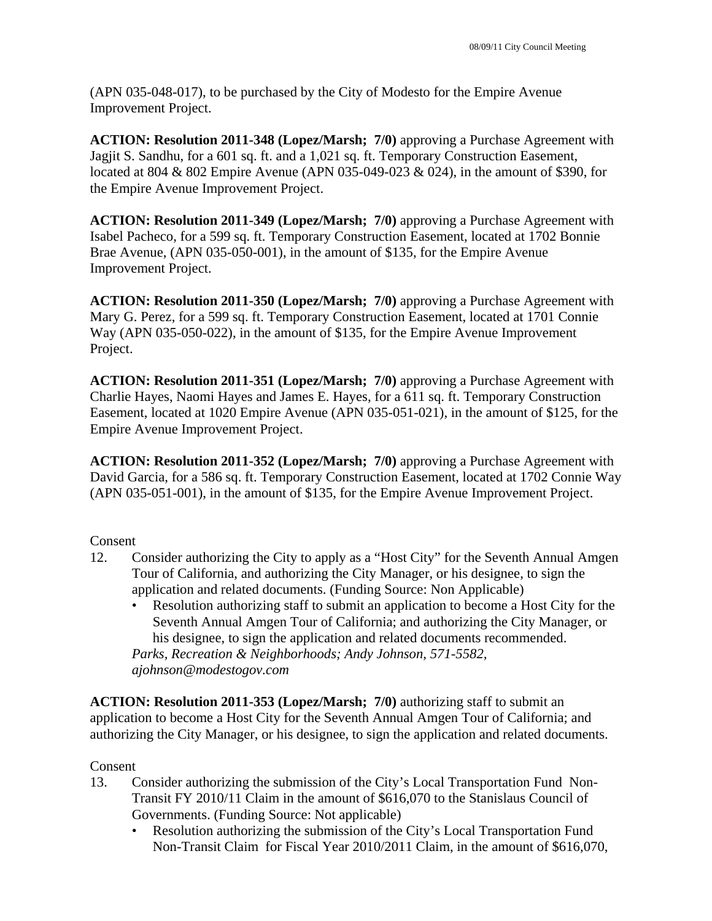(APN 035-048-017), to be purchased by the City of Modesto for the Empire Avenue Improvement Project.

**ACTION: Resolution 2011-348 (Lopez/Marsh; 7/0)** approving a Purchase Agreement with Jagjit S. Sandhu, for a 601 sq. ft. and a 1,021 sq. ft. Temporary Construction Easement, located at 804 & 802 Empire Avenue (APN 035-049-023 & 024), in the amount of \$390, for the Empire Avenue Improvement Project.

**ACTION: Resolution 2011-349 (Lopez/Marsh; 7/0)** approving a Purchase Agreement with Isabel Pacheco, for a 599 sq. ft. Temporary Construction Easement, located at 1702 Bonnie Brae Avenue, (APN 035-050-001), in the amount of \$135, for the Empire Avenue Improvement Project.

**ACTION: Resolution 2011-350 (Lopez/Marsh; 7/0)** approving a Purchase Agreement with Mary G. Perez, for a 599 sq. ft. Temporary Construction Easement, located at 1701 Connie Way (APN 035-050-022), in the amount of \$135, for the Empire Avenue Improvement Project.

**ACTION: Resolution 2011-351 (Lopez/Marsh; 7/0)** approving a Purchase Agreement with Charlie Hayes, Naomi Hayes and James E. Hayes, for a 611 sq. ft. Temporary Construction Easement, located at 1020 Empire Avenue (APN 035-051-021), in the amount of \$125, for the Empire Avenue Improvement Project.

**ACTION: Resolution 2011-352 (Lopez/Marsh; 7/0)** approving a Purchase Agreement with David Garcia, for a 586 sq. ft. Temporary Construction Easement, located at 1702 Connie Way (APN 035-051-001), in the amount of \$135, for the Empire Avenue Improvement Project.

### Consent

- 12. Consider authorizing the City to apply as a "Host City" for the Seventh Annual Amgen Tour of California, and authorizing the City Manager, or his designee, to sign the application and related documents. (Funding Source: Non Applicable)
	- Resolution authorizing staff to submit an application to become a Host City for the Seventh Annual Amgen Tour of California; and authorizing the City Manager, or his designee, to sign the application and related documents recommended. *Parks, Recreation & Neighborhoods; Andy Johnson, 571-5582, ajohnson@modestogov.com*

**ACTION: Resolution 2011-353 (Lopez/Marsh; 7/0)** authorizing staff to submit an application to become a Host City for the Seventh Annual Amgen Tour of California; and authorizing the City Manager, or his designee, to sign the application and related documents.

### Consent

- 13. Consider authorizing the submission of the City's Local Transportation Fund Non-Transit FY 2010/11 Claim in the amount of \$616,070 to the Stanislaus Council of Governments. (Funding Source: Not applicable)
	- Resolution authorizing the submission of the City's Local Transportation Fund Non-Transit Claim for Fiscal Year 2010/2011 Claim, in the amount of \$616,070,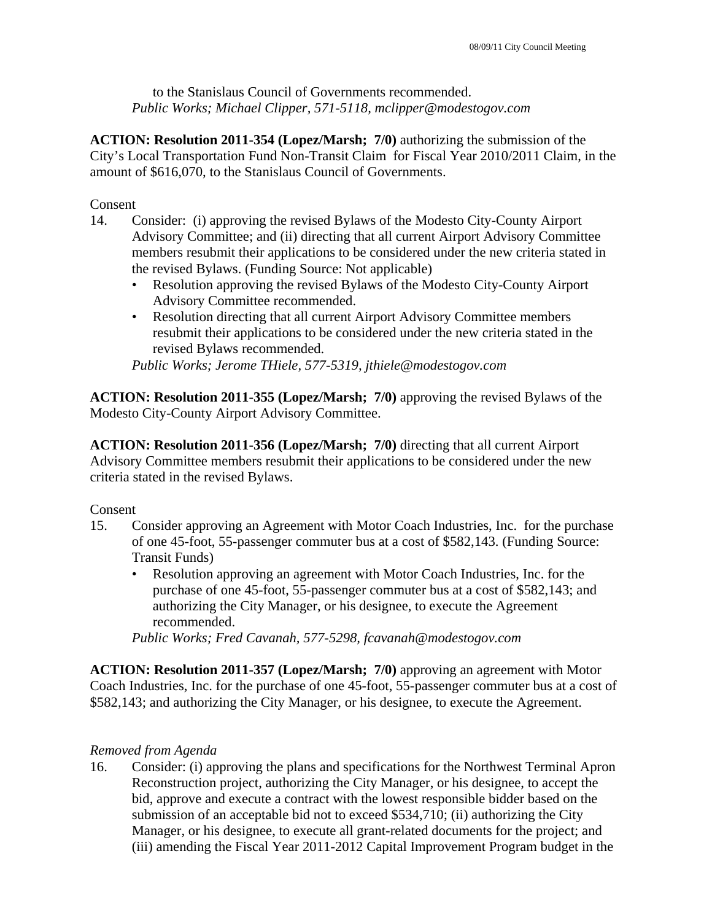to the Stanislaus Council of Governments recommended. *Public Works; Michael Clipper, 571-5118, mclipper@modestogov.com* 

**ACTION: Resolution 2011-354 (Lopez/Marsh; 7/0)** authorizing the submission of the City's Local Transportation Fund Non-Transit Claim for Fiscal Year 2010/2011 Claim, in the amount of \$616,070, to the Stanislaus Council of Governments.

### Consent

- 14. Consider: (i) approving the revised Bylaws of the Modesto City-County Airport Advisory Committee; and (ii) directing that all current Airport Advisory Committee members resubmit their applications to be considered under the new criteria stated in the revised Bylaws. (Funding Source: Not applicable)
	- Resolution approving the revised Bylaws of the Modesto City-County Airport Advisory Committee recommended.
	- Resolution directing that all current Airport Advisory Committee members resubmit their applications to be considered under the new criteria stated in the revised Bylaws recommended.

*Public Works; Jerome THiele, 577-5319, jthiele@modestogov.com* 

**ACTION: Resolution 2011-355 (Lopez/Marsh; 7/0)** approving the revised Bylaws of the Modesto City-County Airport Advisory Committee.

**ACTION: Resolution 2011-356 (Lopez/Marsh; 7/0)** directing that all current Airport Advisory Committee members resubmit their applications to be considered under the new criteria stated in the revised Bylaws.

### Consent

- 15. Consider approving an Agreement with Motor Coach Industries, Inc. for the purchase of one 45-foot, 55-passenger commuter bus at a cost of \$582,143. (Funding Source: Transit Funds)
	- Resolution approving an agreement with Motor Coach Industries, Inc. for the purchase of one 45-foot, 55-passenger commuter bus at a cost of \$582,143; and authorizing the City Manager, or his designee, to execute the Agreement recommended.

*Public Works; Fred Cavanah, 577-5298, fcavanah@modestogov.com* 

**ACTION: Resolution 2011-357 (Lopez/Marsh; 7/0)** approving an agreement with Motor Coach Industries, Inc. for the purchase of one 45-foot, 55-passenger commuter bus at a cost of \$582,143; and authorizing the City Manager, or his designee, to execute the Agreement.

## *Removed from Agenda*

16. Consider: (i) approving the plans and specifications for the Northwest Terminal Apron Reconstruction project, authorizing the City Manager, or his designee, to accept the bid, approve and execute a contract with the lowest responsible bidder based on the submission of an acceptable bid not to exceed \$534,710; (ii) authorizing the City Manager, or his designee, to execute all grant-related documents for the project; and (iii) amending the Fiscal Year 2011-2012 Capital Improvement Program budget in the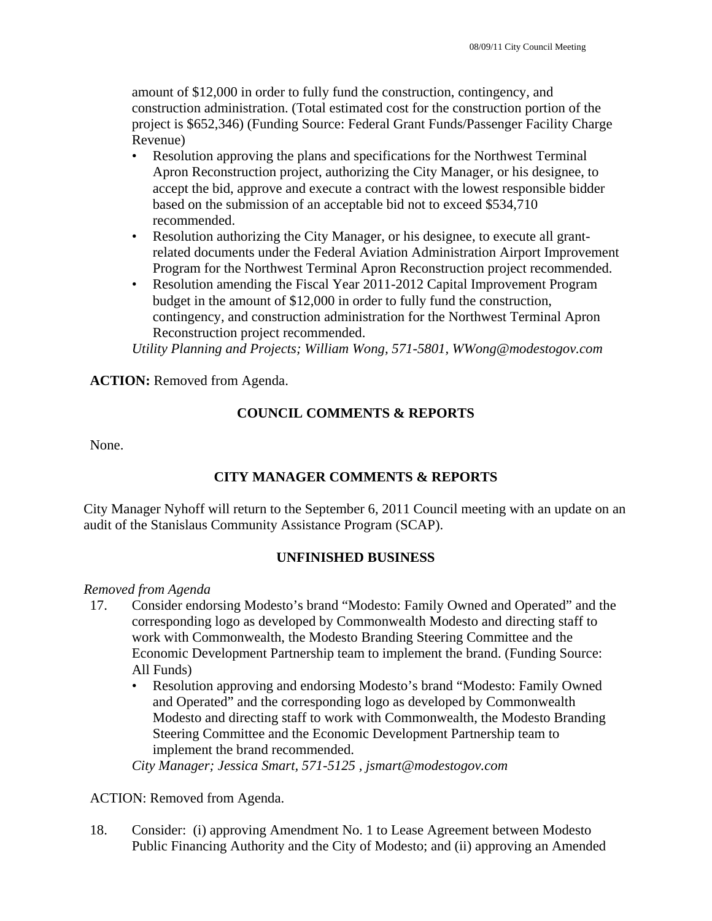amount of \$12,000 in order to fully fund the construction, contingency, and construction administration. (Total estimated cost for the construction portion of the project is \$652,346) (Funding Source: Federal Grant Funds/Passenger Facility Charge Revenue)

- Resolution approving the plans and specifications for the Northwest Terminal Apron Reconstruction project, authorizing the City Manager, or his designee, to accept the bid, approve and execute a contract with the lowest responsible bidder based on the submission of an acceptable bid not to exceed \$534,710 recommended.
- Resolution authorizing the City Manager, or his designee, to execute all grantrelated documents under the Federal Aviation Administration Airport Improvement Program for the Northwest Terminal Apron Reconstruction project recommended.
- Resolution amending the Fiscal Year 2011-2012 Capital Improvement Program budget in the amount of \$12,000 in order to fully fund the construction, contingency, and construction administration for the Northwest Terminal Apron Reconstruction project recommended.

*Utility Planning and Projects; William Wong, 571-5801, WWong@modestogov.com* 

**ACTION:** Removed from Agenda.

## **COUNCIL COMMENTS & REPORTS**

None.

# **CITY MANAGER COMMENTS & REPORTS**

City Manager Nyhoff will return to the September 6, 2011 Council meeting with an update on an audit of the Stanislaus Community Assistance Program (SCAP).

## **UNFINISHED BUSINESS**

## *Removed from Agenda*

- 17. Consider endorsing Modesto's brand "Modesto: Family Owned and Operated" and the corresponding logo as developed by Commonwealth Modesto and directing staff to work with Commonwealth, the Modesto Branding Steering Committee and the Economic Development Partnership team to implement the brand. (Funding Source: All Funds)
	- Resolution approving and endorsing Modesto's brand "Modesto: Family Owned and Operated" and the corresponding logo as developed by Commonwealth Modesto and directing staff to work with Commonwealth, the Modesto Branding Steering Committee and the Economic Development Partnership team to implement the brand recommended.

*City Manager; Jessica Smart, 571-5125 , jsmart@modestogov.com* 

ACTION: Removed from Agenda.

18. Consider: (i) approving Amendment No. 1 to Lease Agreement between Modesto Public Financing Authority and the City of Modesto; and (ii) approving an Amended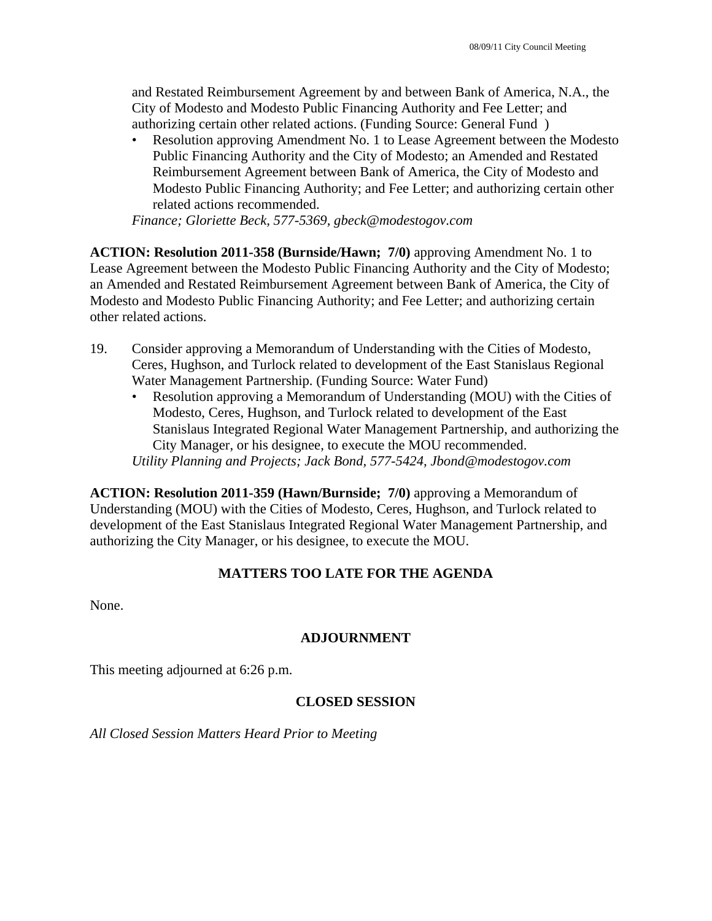and Restated Reimbursement Agreement by and between Bank of America, N.A., the City of Modesto and Modesto Public Financing Authority and Fee Letter; and authorizing certain other related actions. (Funding Source: General Fund )

• Resolution approving Amendment No. 1 to Lease Agreement between the Modesto Public Financing Authority and the City of Modesto; an Amended and Restated Reimbursement Agreement between Bank of America, the City of Modesto and Modesto Public Financing Authority; and Fee Letter; and authorizing certain other related actions recommended.

*Finance; Gloriette Beck, 577-5369, gbeck@modestogov.com* 

**ACTION: Resolution 2011-358 (Burnside/Hawn; 7/0)** approving Amendment No. 1 to Lease Agreement between the Modesto Public Financing Authority and the City of Modesto; an Amended and Restated Reimbursement Agreement between Bank of America, the City of Modesto and Modesto Public Financing Authority; and Fee Letter; and authorizing certain other related actions.

- 19. Consider approving a Memorandum of Understanding with the Cities of Modesto, Ceres, Hughson, and Turlock related to development of the East Stanislaus Regional Water Management Partnership. (Funding Source: Water Fund)
	- Resolution approving a Memorandum of Understanding (MOU) with the Cities of Modesto, Ceres, Hughson, and Turlock related to development of the East Stanislaus Integrated Regional Water Management Partnership, and authorizing the City Manager, or his designee, to execute the MOU recommended.

*Utility Planning and Projects; Jack Bond, 577-5424, Jbond@modestogov.com* 

**ACTION: Resolution 2011-359 (Hawn/Burnside; 7/0)** approving a Memorandum of Understanding (MOU) with the Cities of Modesto, Ceres, Hughson, and Turlock related to development of the East Stanislaus Integrated Regional Water Management Partnership, and authorizing the City Manager, or his designee, to execute the MOU.

### **MATTERS TOO LATE FOR THE AGENDA**

None.

### **ADJOURNMENT**

This meeting adjourned at 6:26 p.m.

### **CLOSED SESSION**

*All Closed Session Matters Heard Prior to Meeting*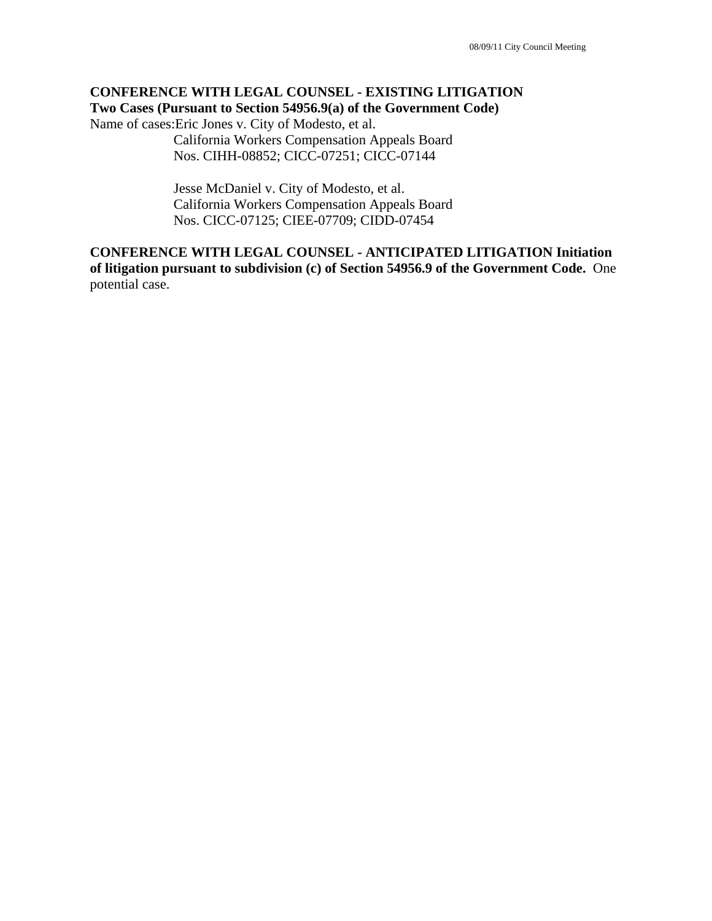## **CONFERENCE WITH LEGAL COUNSEL - EXISTING LITIGATION Two Cases (Pursuant to Section 54956.9(a) of the Government Code)**

Name of cases:Eric Jones v. City of Modesto, et al.

 California Workers Compensation Appeals Board Nos. CIHH-08852; CICC-07251; CICC-07144

 Jesse McDaniel v. City of Modesto, et al. California Workers Compensation Appeals Board Nos. CICC-07125; CIEE-07709; CIDD-07454

## **CONFERENCE WITH LEGAL COUNSEL - ANTICIPATED LITIGATION Initiation of litigation pursuant to subdivision (c) of Section 54956.9 of the Government Code.** One potential case.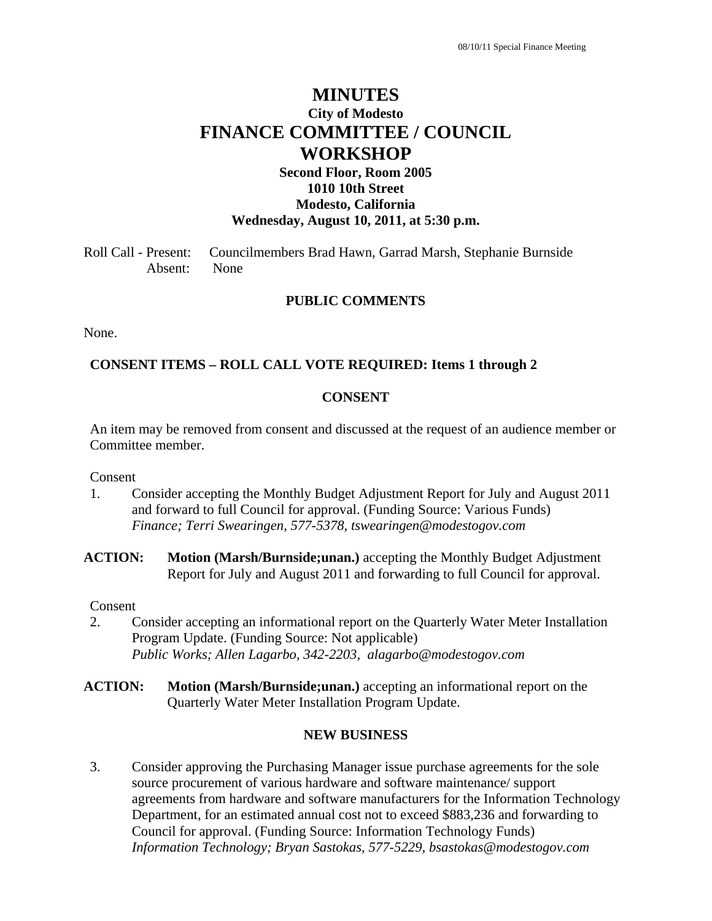# **MINUTES City of Modesto FINANCE COMMITTEE / COUNCIL WORKSHOP**

## **Second Floor, Room 2005 1010 10th Street Modesto, California Wednesday, August 10, 2011, at 5:30 p.m.**

Roll Call - Present: Councilmembers Brad Hawn, Garrad Marsh, Stephanie Burnside Absent: None

### **PUBLIC COMMENTS**

None.

### **CONSENT ITEMS – ROLL CALL VOTE REQUIRED: Items 1 through 2**

#### **CONSENT**

An item may be removed from consent and discussed at the request of an audience member or Committee member.

Consent

- 1. Consider accepting the Monthly Budget Adjustment Report for July and August 2011 and forward to full Council for approval. (Funding Source: Various Funds)  *Finance; Terri Swearingen, 577-5378, tswearingen@modestogov.com*
- **ACTION: Motion (Marsh/Burnside;unan.)** accepting the Monthly Budget Adjustment Report for July and August 2011 and forwarding to full Council for approval.

Consent

- 2. Consider accepting an informational report on the Quarterly Water Meter Installation Program Update. (Funding Source: Not applicable)  *Public Works; Allen Lagarbo, 342-2203, alagarbo@modestogov.com*
- **ACTION: Motion (Marsh/Burnside;unan.)** accepting an informational report on the Quarterly Water Meter Installation Program Update.

### **NEW BUSINESS**

3. Consider approving the Purchasing Manager issue purchase agreements for the sole source procurement of various hardware and software maintenance/ support agreements from hardware and software manufacturers for the Information Technology Department, for an estimated annual cost not to exceed \$883,236 and forwarding to Council for approval. (Funding Source: Information Technology Funds)  *Information Technology; Bryan Sastokas, 577-5229, bsastokas@modestogov.com*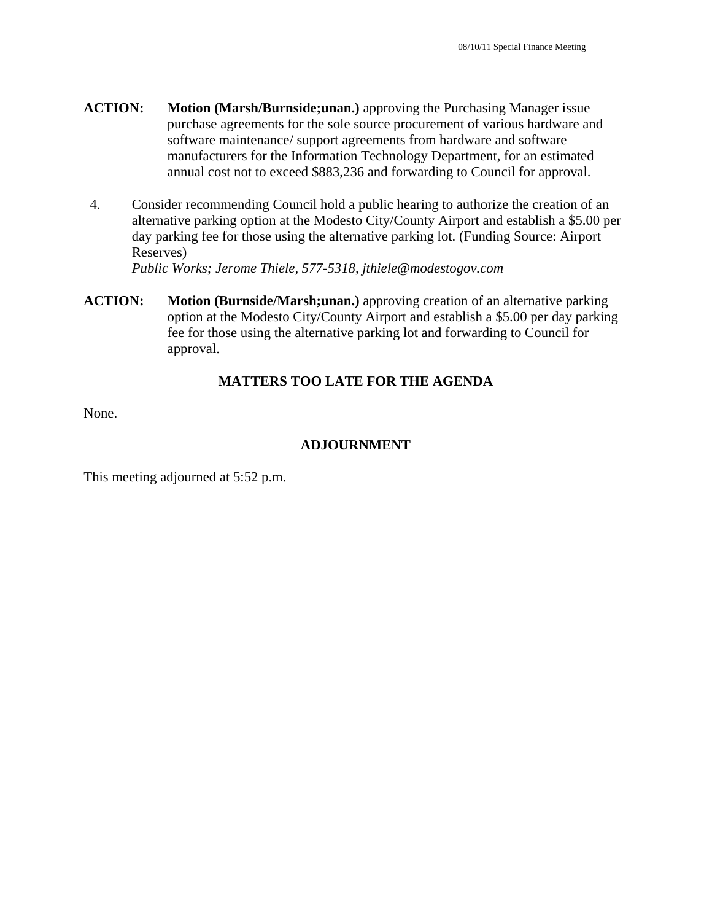- **ACTION: Motion (Marsh/Burnside;unan.)** approving the Purchasing Manager issue purchase agreements for the sole source procurement of various hardware and software maintenance/ support agreements from hardware and software manufacturers for the Information Technology Department, for an estimated annual cost not to exceed \$883,236 and forwarding to Council for approval.
- 4. Consider recommending Council hold a public hearing to authorize the creation of an alternative parking option at the Modesto City/County Airport and establish a \$5.00 per day parking fee for those using the alternative parking lot. (Funding Source: Airport Reserves)

 *Public Works; Jerome Thiele, 577-5318, jthiele@modestogov.com* 

**ACTION: Motion (Burnside/Marsh;unan.)** approving creation of an alternative parking option at the Modesto City/County Airport and establish a \$5.00 per day parking fee for those using the alternative parking lot and forwarding to Council for approval.

## **MATTERS TOO LATE FOR THE AGENDA**

None.

### **ADJOURNMENT**

This meeting adjourned at 5:52 p.m.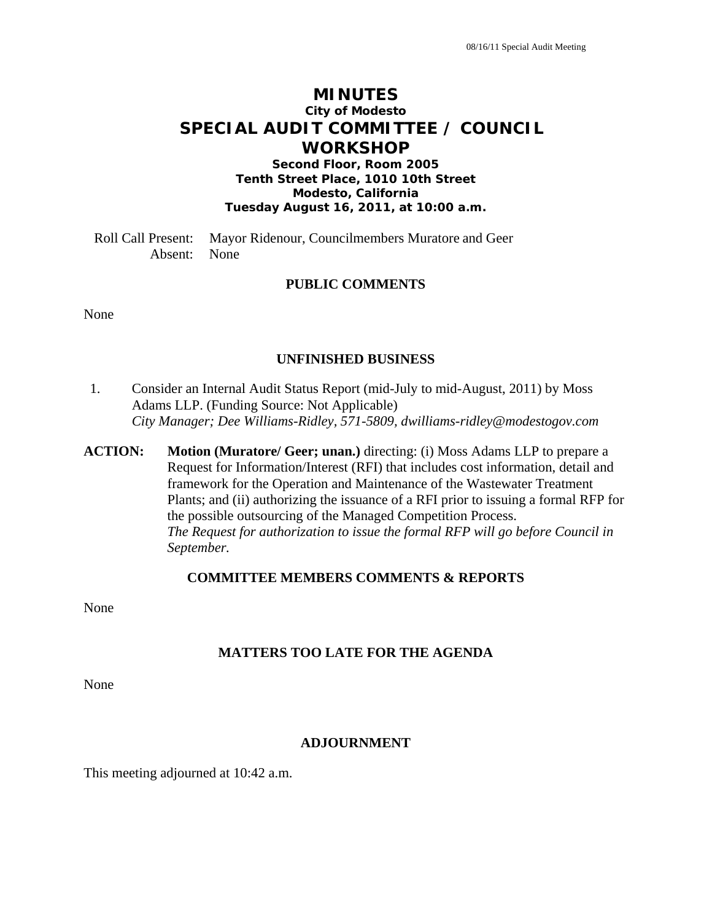# **MINUTES City of Modesto SPECIAL AUDIT COMMITTEE / COUNCIL WORKSHOP**

**Second Floor, Room 2005 Tenth Street Place, 1010 10th Street Modesto, California Tuesday August 16, 2011, at 10:00 a.m.** 

Roll Call Present: Mayor Ridenour, Councilmembers Muratore and Geer Absent: None

### **PUBLIC COMMENTS**

None

### **UNFINISHED BUSINESS**

- 1. Consider an Internal Audit Status Report (mid-July to mid-August, 2011) by Moss Adams LLP. (Funding Source: Not Applicable)  *City Manager; Dee Williams-Ridley, 571-5809, dwilliams-ridley@modestogov.com*
- **ACTION: Motion (Muratore/ Geer; unan.)** directing: (i) Moss Adams LLP to prepare a Request for Information/Interest (RFI) that includes cost information, detail and framework for the Operation and Maintenance of the Wastewater Treatment Plants; and (ii) authorizing the issuance of a RFI prior to issuing a formal RFP for the possible outsourcing of the Managed Competition Process. *The Request for authorization to issue the formal RFP will go before Council in September.*

#### **COMMITTEE MEMBERS COMMENTS & REPORTS**

None

### **MATTERS TOO LATE FOR THE AGENDA**

None

### **ADJOURNMENT**

This meeting adjourned at 10:42 a.m.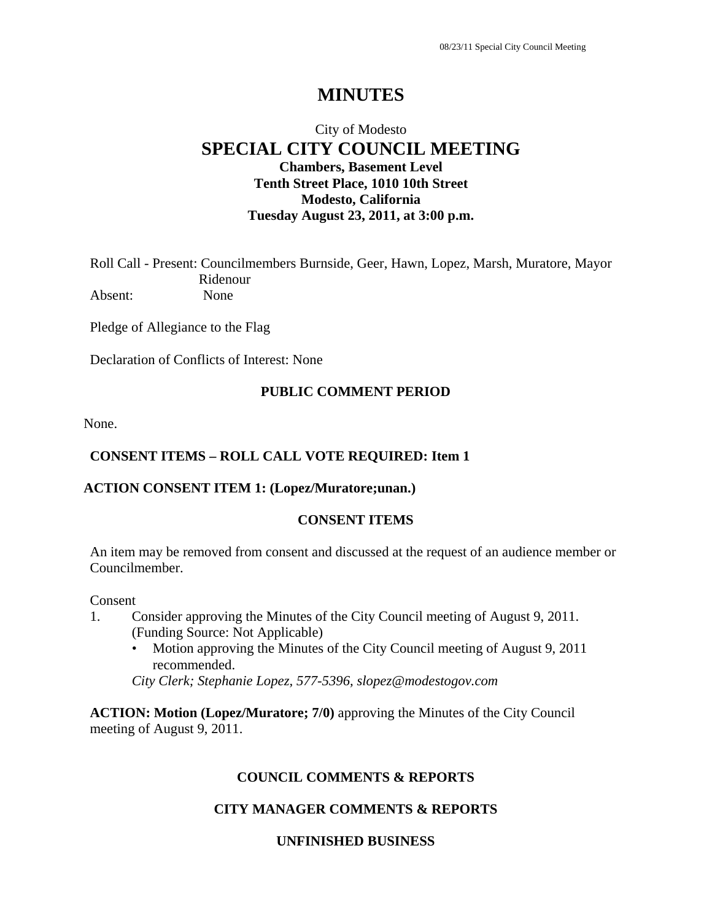# **MINUTES**

# City of Modesto **SPECIAL CITY COUNCIL MEETING Chambers, Basement Level Tenth Street Place, 1010 10th Street Modesto, California Tuesday August 23, 2011, at 3:00 p.m.**

Roll Call - Present: Councilmembers Burnside, Geer, Hawn, Lopez, Marsh, Muratore, Mayor Ridenour Absent: None

Pledge of Allegiance to the Flag

Declaration of Conflicts of Interest: None

### **PUBLIC COMMENT PERIOD**

None.

### **CONSENT ITEMS – ROLL CALL VOTE REQUIRED: Item 1**

### **ACTION CONSENT ITEM 1: (Lopez/Muratore;unan.)**

### **CONSENT ITEMS**

An item may be removed from consent and discussed at the request of an audience member or Councilmember.

#### Consent

- 1. Consider approving the Minutes of the City Council meeting of August 9, 2011. (Funding Source: Not Applicable)
	- Motion approving the Minutes of the City Council meeting of August 9, 2011 recommended.

*City Clerk; Stephanie Lopez, 577-5396, slopez@modestogov.com* 

**ACTION: Motion (Lopez/Muratore; 7/0)** approving the Minutes of the City Council meeting of August 9, 2011.

### **COUNCIL COMMENTS & REPORTS**

### **CITY MANAGER COMMENTS & REPORTS**

### **UNFINISHED BUSINESS**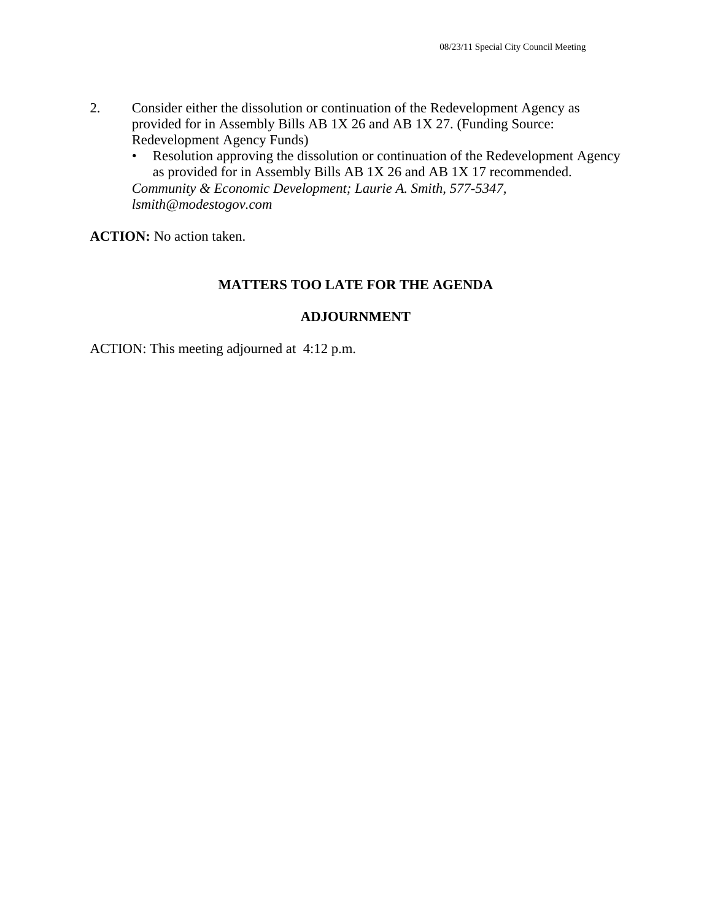- 2. Consider either the dissolution or continuation of the Redevelopment Agency as provided for in Assembly Bills AB 1X 26 and AB 1X 27. (Funding Source: Redevelopment Agency Funds)
	- Resolution approving the dissolution or continuation of the Redevelopment Agency as provided for in Assembly Bills AB 1X 26 and AB 1X 17 recommended. *Community & Economic Development; Laurie A. Smith, 577-5347, lsmith@modestogov.com*

**ACTION:** No action taken.

### **MATTERS TOO LATE FOR THE AGENDA**

### **ADJOURNMENT**

ACTION: This meeting adjourned at 4:12 p.m.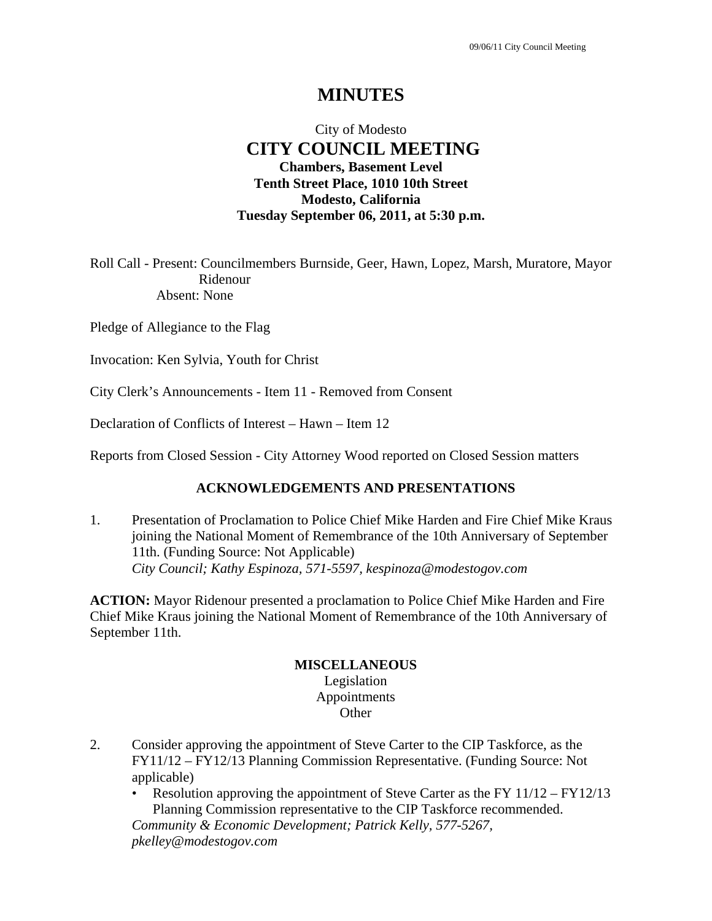# **MINUTES**

# City of Modesto  **CITY COUNCIL MEETING Chambers, Basement Level Tenth Street Place, 1010 10th Street Modesto, California Tuesday September 06, 2011, at 5:30 p.m.**

Roll Call - Present: Councilmembers Burnside, Geer, Hawn, Lopez, Marsh, Muratore, Mayor Ridenour Absent: None

Pledge of Allegiance to the Flag

Invocation: Ken Sylvia, Youth for Christ

City Clerk's Announcements - Item 11 - Removed from Consent

Declaration of Conflicts of Interest – Hawn – Item 12

Reports from Closed Session - City Attorney Wood reported on Closed Session matters

## **ACKNOWLEDGEMENTS AND PRESENTATIONS**

1. Presentation of Proclamation to Police Chief Mike Harden and Fire Chief Mike Kraus joining the National Moment of Remembrance of the 10th Anniversary of September 11th. (Funding Source: Not Applicable)  *City Council; Kathy Espinoza, 571-5597, kespinoza@modestogov.com* 

**ACTION:** Mayor Ridenour presented a proclamation to Police Chief Mike Harden and Fire Chief Mike Kraus joining the National Moment of Remembrance of the 10th Anniversary of September 11th.

### **MISCELLANEOUS**

Legislation Appointments **Other** 

- 2. Consider approving the appointment of Steve Carter to the CIP Taskforce, as the FY11/12 – FY12/13 Planning Commission Representative. (Funding Source: Not applicable)
	- Resolution approving the appointment of Steve Carter as the FY  $11/12 FY12/13$ Planning Commission representative to the CIP Taskforce recommended.

*Community & Economic Development; Patrick Kelly, 577-5267, pkelley@modestogov.com*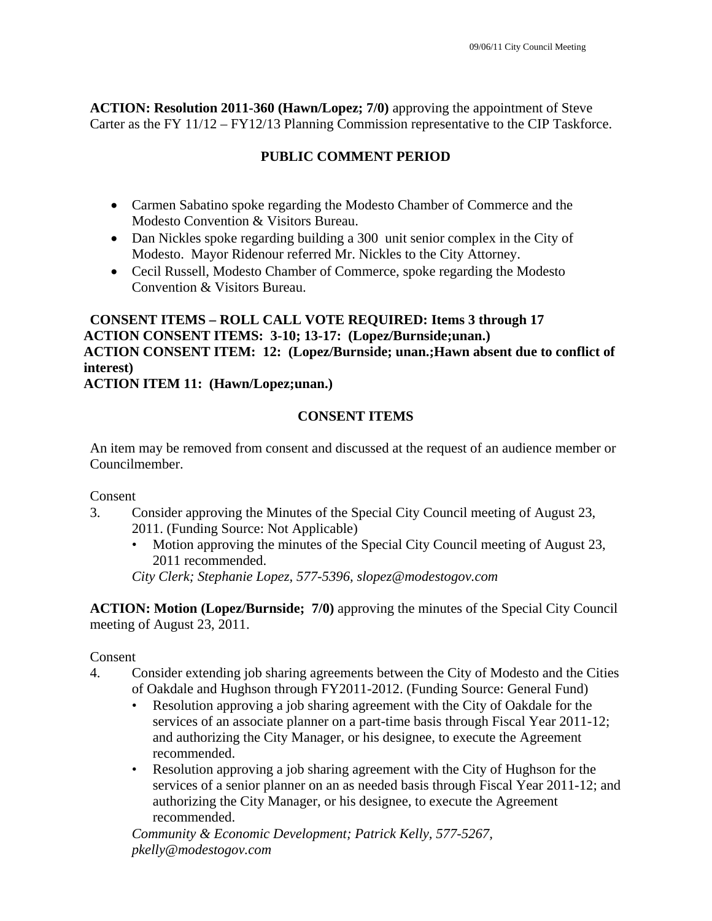**ACTION: Resolution 2011-360 (Hawn/Lopez; 7/0)** approving the appointment of Steve Carter as the FY 11/12 – FY12/13 Planning Commission representative to the CIP Taskforce.

# **PUBLIC COMMENT PERIOD**

- Carmen Sabatino spoke regarding the Modesto Chamber of Commerce and the Modesto Convention & Visitors Bureau.
- Dan Nickles spoke regarding building a 300 unit senior complex in the City of Modesto. Mayor Ridenour referred Mr. Nickles to the City Attorney.
- Cecil Russell, Modesto Chamber of Commerce, spoke regarding the Modesto Convention & Visitors Bureau.

# **CONSENT ITEMS – ROLL CALL VOTE REQUIRED: Items 3 through 17 ACTION CONSENT ITEMS: 3-10; 13-17: (Lopez/Burnside;unan.) ACTION CONSENT ITEM: 12: (Lopez/Burnside; unan.;Hawn absent due to conflict of interest)**

## **ACTION ITEM 11: (Hawn/Lopez;unan.)**

## **CONSENT ITEMS**

An item may be removed from consent and discussed at the request of an audience member or Councilmember.

Consent

- 3. Consider approving the Minutes of the Special City Council meeting of August 23, 2011. (Funding Source: Not Applicable)
	- Motion approving the minutes of the Special City Council meeting of August 23, 2011 recommended.

*City Clerk; Stephanie Lopez, 577-5396, slopez@modestogov.com* 

**ACTION: Motion (Lopez/Burnside; 7/0)** approving the minutes of the Special City Council meeting of August 23, 2011.

## Consent

- 4. Consider extending job sharing agreements between the City of Modesto and the Cities of Oakdale and Hughson through FY2011-2012. (Funding Source: General Fund)
	- Resolution approving a job sharing agreement with the City of Oakdale for the services of an associate planner on a part-time basis through Fiscal Year 2011-12; and authorizing the City Manager, or his designee, to execute the Agreement recommended.
	- Resolution approving a job sharing agreement with the City of Hughson for the services of a senior planner on an as needed basis through Fiscal Year 2011-12; and authorizing the City Manager, or his designee, to execute the Agreement recommended.

*Community & Economic Development; Patrick Kelly, 577-5267, pkelly@modestogov.com*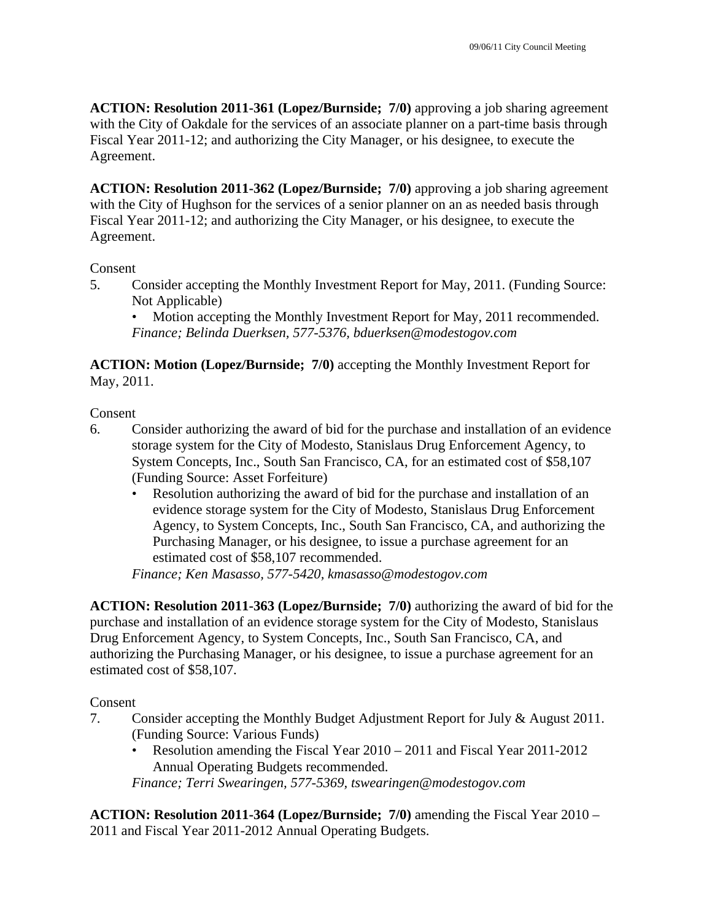**ACTION: Resolution 2011-361 (Lopez/Burnside; 7/0)** approving a job sharing agreement with the City of Oakdale for the services of an associate planner on a part-time basis through Fiscal Year 2011-12; and authorizing the City Manager, or his designee, to execute the Agreement.

**ACTION: Resolution 2011-362 (Lopez/Burnside; 7/0)** approving a job sharing agreement with the City of Hughson for the services of a senior planner on an as needed basis through Fiscal Year 2011-12; and authorizing the City Manager, or his designee, to execute the Agreement.

### Consent

5. Consider accepting the Monthly Investment Report for May, 2011. (Funding Source: Not Applicable)

• Motion accepting the Monthly Investment Report for May, 2011 recommended. *Finance; Belinda Duerksen, 577-5376, bduerksen@modestogov.com* 

**ACTION: Motion (Lopez/Burnside; 7/0)** accepting the Monthly Investment Report for May, 2011.

Consent

- 6. Consider authorizing the award of bid for the purchase and installation of an evidence storage system for the City of Modesto, Stanislaus Drug Enforcement Agency, to System Concepts, Inc., South San Francisco, CA, for an estimated cost of \$58,107 (Funding Source: Asset Forfeiture)
	- Resolution authorizing the award of bid for the purchase and installation of an evidence storage system for the City of Modesto, Stanislaus Drug Enforcement Agency, to System Concepts, Inc., South San Francisco, CA, and authorizing the Purchasing Manager, or his designee, to issue a purchase agreement for an estimated cost of \$58,107 recommended.

*Finance; Ken Masasso, 577-5420, kmasasso@modestogov.com* 

**ACTION: Resolution 2011-363 (Lopez/Burnside; 7/0)** authorizing the award of bid for the purchase and installation of an evidence storage system for the City of Modesto, Stanislaus Drug Enforcement Agency, to System Concepts, Inc., South San Francisco, CA, and authorizing the Purchasing Manager, or his designee, to issue a purchase agreement for an estimated cost of \$58,107.

Consent

- 7. Consider accepting the Monthly Budget Adjustment Report for July & August 2011. (Funding Source: Various Funds)
	- Resolution amending the Fiscal Year 2010 2011 and Fiscal Year 2011-2012 Annual Operating Budgets recommended.

*Finance; Terri Swearingen, 577-5369, tswearingen@modestogov.com* 

**ACTION: Resolution 2011-364 (Lopez/Burnside; 7/0)** amending the Fiscal Year 2010 – 2011 and Fiscal Year 2011-2012 Annual Operating Budgets.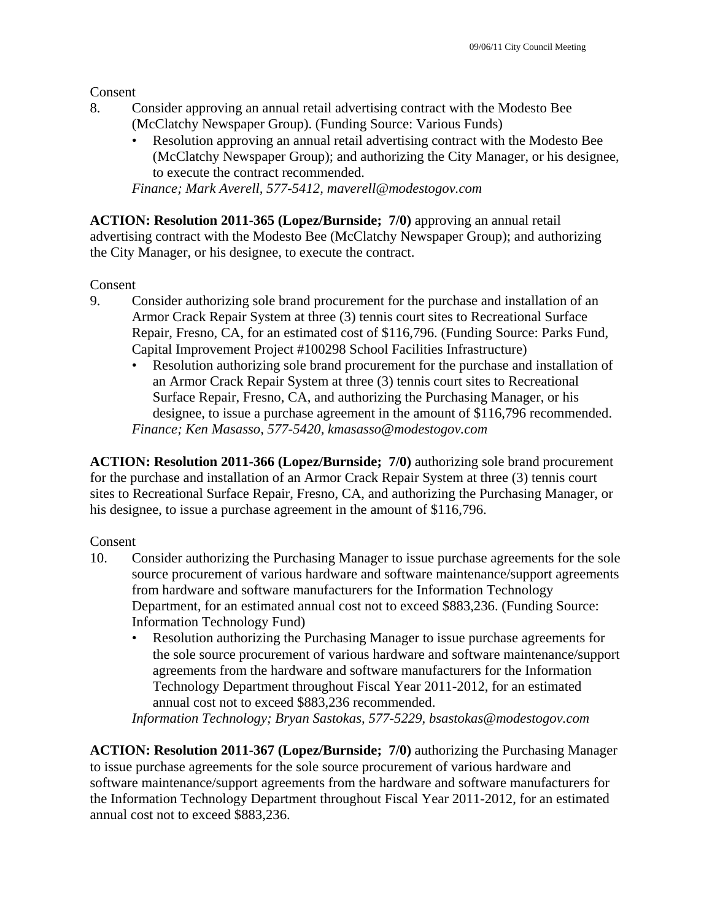Consent

- 8. Consider approving an annual retail advertising contract with the Modesto Bee (McClatchy Newspaper Group). (Funding Source: Various Funds)
	- Resolution approving an annual retail advertising contract with the Modesto Bee (McClatchy Newspaper Group); and authorizing the City Manager, or his designee, to execute the contract recommended.

*Finance; Mark Averell, 577-5412, maverell@modestogov.com* 

**ACTION: Resolution 2011-365 (Lopez/Burnside; 7/0)** approving an annual retail advertising contract with the Modesto Bee (McClatchy Newspaper Group); and authorizing the City Manager, or his designee, to execute the contract.

Consent

- 9. Consider authorizing sole brand procurement for the purchase and installation of an Armor Crack Repair System at three (3) tennis court sites to Recreational Surface Repair, Fresno, CA, for an estimated cost of \$116,796. (Funding Source: Parks Fund, Capital Improvement Project #100298 School Facilities Infrastructure)
	- Resolution authorizing sole brand procurement for the purchase and installation of an Armor Crack Repair System at three (3) tennis court sites to Recreational Surface Repair, Fresno, CA, and authorizing the Purchasing Manager, or his designee, to issue a purchase agreement in the amount of \$116,796 recommended. *Finance; Ken Masasso, 577-5420, kmasasso@modestogov.com*

**ACTION: Resolution 2011-366 (Lopez/Burnside; 7/0)** authorizing sole brand procurement for the purchase and installation of an Armor Crack Repair System at three (3) tennis court sites to Recreational Surface Repair, Fresno, CA, and authorizing the Purchasing Manager, or his designee, to issue a purchase agreement in the amount of \$116,796.

Consent

- 10. Consider authorizing the Purchasing Manager to issue purchase agreements for the sole source procurement of various hardware and software maintenance/support agreements from hardware and software manufacturers for the Information Technology Department, for an estimated annual cost not to exceed \$883,236. (Funding Source: Information Technology Fund)
	- Resolution authorizing the Purchasing Manager to issue purchase agreements for the sole source procurement of various hardware and software maintenance/support agreements from the hardware and software manufacturers for the Information Technology Department throughout Fiscal Year 2011-2012, for an estimated annual cost not to exceed \$883,236 recommended.

*Information Technology; Bryan Sastokas, 577-5229, bsastokas@modestogov.com* 

**ACTION: Resolution 2011-367 (Lopez/Burnside; 7/0)** authorizing the Purchasing Manager to issue purchase agreements for the sole source procurement of various hardware and software maintenance/support agreements from the hardware and software manufacturers for the Information Technology Department throughout Fiscal Year 2011-2012, for an estimated annual cost not to exceed \$883,236.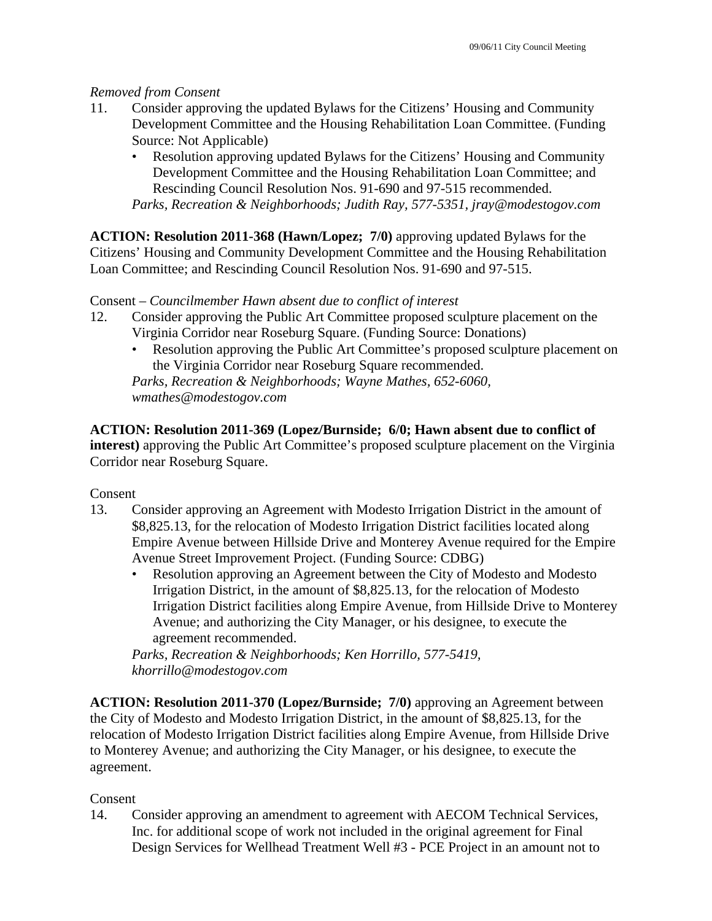### *Removed from Consent*

- 11. Consider approving the updated Bylaws for the Citizens' Housing and Community Development Committee and the Housing Rehabilitation Loan Committee. (Funding Source: Not Applicable)
	- Resolution approving updated Bylaws for the Citizens' Housing and Community Development Committee and the Housing Rehabilitation Loan Committee; and Rescinding Council Resolution Nos. 91-690 and 97-515 recommended. *Parks, Recreation & Neighborhoods; Judith Ray, 577-5351, jray@modestogov.com*

**ACTION: Resolution 2011-368 (Hawn/Lopez; 7/0)** approving updated Bylaws for the Citizens' Housing and Community Development Committee and the Housing Rehabilitation Loan Committee; and Rescinding Council Resolution Nos. 91-690 and 97-515.

### Consent – *Councilmember Hawn absent due to conflict of interest*

- 12. Consider approving the Public Art Committee proposed sculpture placement on the Virginia Corridor near Roseburg Square. (Funding Source: Donations)
	- Resolution approving the Public Art Committee's proposed sculpture placement on the Virginia Corridor near Roseburg Square recommended.

*Parks, Recreation & Neighborhoods; Wayne Mathes, 652-6060, wmathes@modestogov.com* 

**ACTION: Resolution 2011-369 (Lopez/Burnside; 6/0; Hawn absent due to conflict of interest)** approving the Public Art Committee's proposed sculpture placement on the Virginia Corridor near Roseburg Square.

Consent

- 13. Consider approving an Agreement with Modesto Irrigation District in the amount of \$8,825.13, for the relocation of Modesto Irrigation District facilities located along Empire Avenue between Hillside Drive and Monterey Avenue required for the Empire Avenue Street Improvement Project. (Funding Source: CDBG)
	- Resolution approving an Agreement between the City of Modesto and Modesto Irrigation District, in the amount of \$8,825.13, for the relocation of Modesto Irrigation District facilities along Empire Avenue, from Hillside Drive to Monterey Avenue; and authorizing the City Manager, or his designee, to execute the agreement recommended.

*Parks, Recreation & Neighborhoods; Ken Horrillo, 577-5419, khorrillo@modestogov.com* 

**ACTION: Resolution 2011-370 (Lopez/Burnside; 7/0)** approving an Agreement between the City of Modesto and Modesto Irrigation District, in the amount of \$8,825.13, for the relocation of Modesto Irrigation District facilities along Empire Avenue, from Hillside Drive to Monterey Avenue; and authorizing the City Manager, or his designee, to execute the agreement.

## Consent

14. Consider approving an amendment to agreement with AECOM Technical Services, Inc. for additional scope of work not included in the original agreement for Final Design Services for Wellhead Treatment Well #3 - PCE Project in an amount not to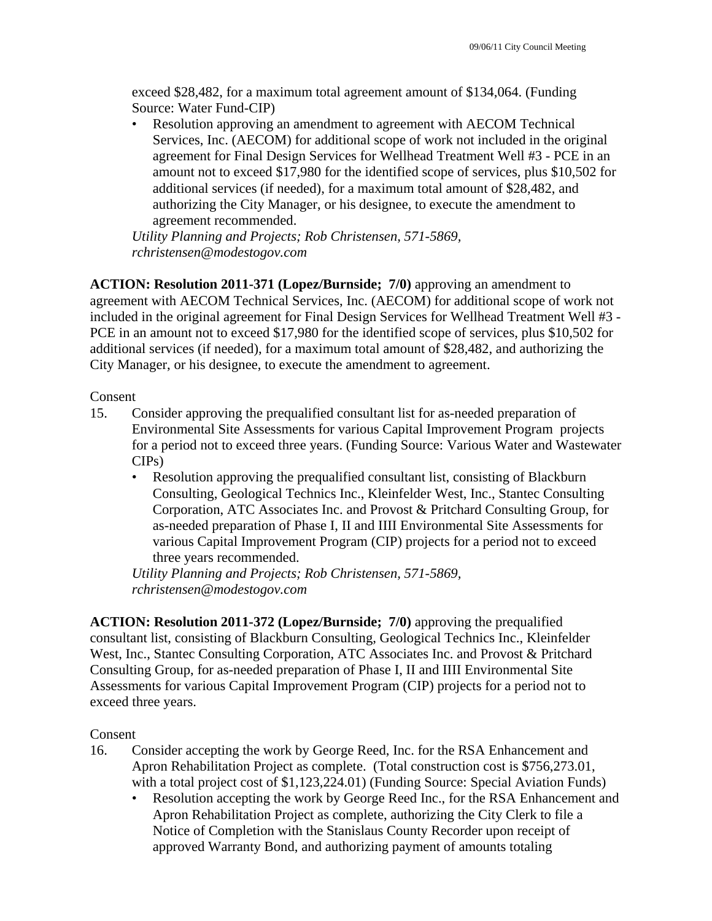exceed \$28,482, for a maximum total agreement amount of \$134,064. (Funding Source: Water Fund-CIP)

• Resolution approving an amendment to agreement with AECOM Technical Services, Inc. (AECOM) for additional scope of work not included in the original agreement for Final Design Services for Wellhead Treatment Well #3 - PCE in an amount not to exceed \$17,980 for the identified scope of services, plus \$10,502 for additional services (if needed), for a maximum total amount of \$28,482, and authorizing the City Manager, or his designee, to execute the amendment to agreement recommended.

*Utility Planning and Projects; Rob Christensen, 571-5869, rchristensen@modestogov.com* 

**ACTION: Resolution 2011-371 (Lopez/Burnside; 7/0)** approving an amendment to agreement with AECOM Technical Services, Inc. (AECOM) for additional scope of work not included in the original agreement for Final Design Services for Wellhead Treatment Well #3 - PCE in an amount not to exceed \$17,980 for the identified scope of services, plus \$10,502 for additional services (if needed), for a maximum total amount of \$28,482, and authorizing the City Manager, or his designee, to execute the amendment to agreement.

### Consent

- 15. Consider approving the prequalified consultant list for as-needed preparation of Environmental Site Assessments for various Capital Improvement Program projects for a period not to exceed three years. (Funding Source: Various Water and Wastewater CIPs)
	- Resolution approving the prequalified consultant list, consisting of Blackburn Consulting, Geological Technics Inc., Kleinfelder West, Inc., Stantec Consulting Corporation, ATC Associates Inc. and Provost & Pritchard Consulting Group, for as-needed preparation of Phase I, II and IIII Environmental Site Assessments for various Capital Improvement Program (CIP) projects for a period not to exceed three years recommended.

*Utility Planning and Projects; Rob Christensen, 571-5869, rchristensen@modestogov.com* 

**ACTION: Resolution 2011-372 (Lopez/Burnside; 7/0)** approving the prequalified consultant list, consisting of Blackburn Consulting, Geological Technics Inc., Kleinfelder West, Inc., Stantec Consulting Corporation, ATC Associates Inc. and Provost & Pritchard Consulting Group, for as-needed preparation of Phase I, II and IIII Environmental Site Assessments for various Capital Improvement Program (CIP) projects for a period not to exceed three years.

### Consent

- 16. Consider accepting the work by George Reed, Inc. for the RSA Enhancement and Apron Rehabilitation Project as complete. (Total construction cost is \$756,273.01, with a total project cost of \$1,123,224.01) (Funding Source: Special Aviation Funds)
	- Resolution accepting the work by George Reed Inc., for the RSA Enhancement and Apron Rehabilitation Project as complete, authorizing the City Clerk to file a Notice of Completion with the Stanislaus County Recorder upon receipt of approved Warranty Bond, and authorizing payment of amounts totaling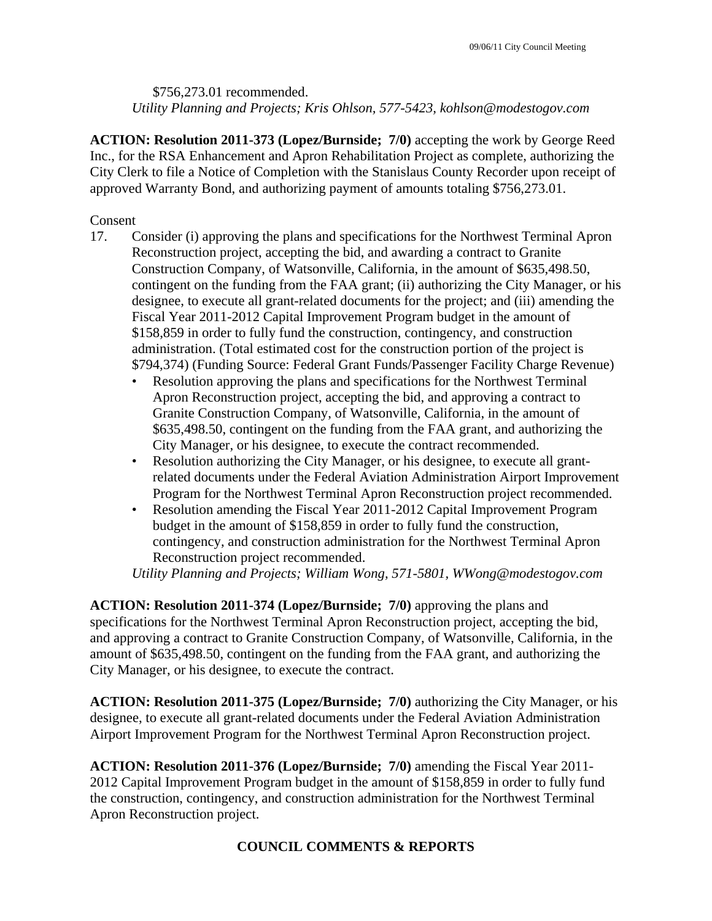\$756,273.01 recommended. *Utility Planning and Projects; Kris Ohlson, 577-5423, kohlson@modestogov.com* 

**ACTION: Resolution 2011-373 (Lopez/Burnside; 7/0)** accepting the work by George Reed Inc., for the RSA Enhancement and Apron Rehabilitation Project as complete, authorizing the City Clerk to file a Notice of Completion with the Stanislaus County Recorder upon receipt of approved Warranty Bond, and authorizing payment of amounts totaling \$756,273.01.

Consent

- 17. Consider (i) approving the plans and specifications for the Northwest Terminal Apron Reconstruction project, accepting the bid, and awarding a contract to Granite Construction Company, of Watsonville, California, in the amount of \$635,498.50, contingent on the funding from the FAA grant; (ii) authorizing the City Manager, or his designee, to execute all grant-related documents for the project; and (iii) amending the Fiscal Year 2011-2012 Capital Improvement Program budget in the amount of \$158,859 in order to fully fund the construction, contingency, and construction administration. (Total estimated cost for the construction portion of the project is \$794,374) (Funding Source: Federal Grant Funds/Passenger Facility Charge Revenue)
	- Resolution approving the plans and specifications for the Northwest Terminal Apron Reconstruction project, accepting the bid, and approving a contract to Granite Construction Company, of Watsonville, California, in the amount of \$635,498.50, contingent on the funding from the FAA grant, and authorizing the City Manager, or his designee, to execute the contract recommended.
	- Resolution authorizing the City Manager, or his designee, to execute all grantrelated documents under the Federal Aviation Administration Airport Improvement Program for the Northwest Terminal Apron Reconstruction project recommended.
	- Resolution amending the Fiscal Year 2011-2012 Capital Improvement Program budget in the amount of \$158,859 in order to fully fund the construction, contingency, and construction administration for the Northwest Terminal Apron Reconstruction project recommended.

*Utility Planning and Projects; William Wong, 571-5801, WWong@modestogov.com* 

**ACTION: Resolution 2011-374 (Lopez/Burnside; 7/0)** approving the plans and specifications for the Northwest Terminal Apron Reconstruction project, accepting the bid, and approving a contract to Granite Construction Company, of Watsonville, California, in the amount of \$635,498.50, contingent on the funding from the FAA grant, and authorizing the City Manager, or his designee, to execute the contract.

**ACTION: Resolution 2011-375 (Lopez/Burnside; 7/0)** authorizing the City Manager, or his designee, to execute all grant-related documents under the Federal Aviation Administration Airport Improvement Program for the Northwest Terminal Apron Reconstruction project.

**ACTION: Resolution 2011-376 (Lopez/Burnside; 7/0)** amending the Fiscal Year 2011- 2012 Capital Improvement Program budget in the amount of \$158,859 in order to fully fund the construction, contingency, and construction administration for the Northwest Terminal Apron Reconstruction project.

## **COUNCIL COMMENTS & REPORTS**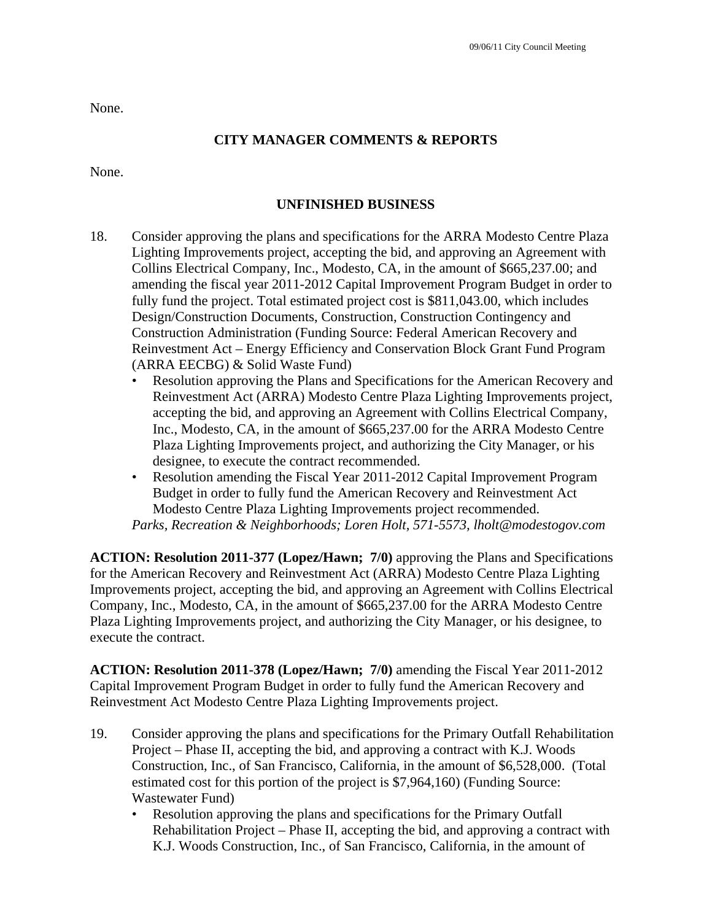None.

## **CITY MANAGER COMMENTS & REPORTS**

None.

### **UNFINISHED BUSINESS**

- 18. Consider approving the plans and specifications for the ARRA Modesto Centre Plaza Lighting Improvements project, accepting the bid, and approving an Agreement with Collins Electrical Company, Inc., Modesto, CA, in the amount of \$665,237.00; and amending the fiscal year 2011-2012 Capital Improvement Program Budget in order to fully fund the project. Total estimated project cost is \$811,043.00, which includes Design/Construction Documents, Construction, Construction Contingency and Construction Administration (Funding Source: Federal American Recovery and Reinvestment Act – Energy Efficiency and Conservation Block Grant Fund Program (ARRA EECBG) & Solid Waste Fund)
	- Resolution approving the Plans and Specifications for the American Recovery and Reinvestment Act (ARRA) Modesto Centre Plaza Lighting Improvements project, accepting the bid, and approving an Agreement with Collins Electrical Company, Inc., Modesto, CA, in the amount of \$665,237.00 for the ARRA Modesto Centre Plaza Lighting Improvements project, and authorizing the City Manager, or his designee, to execute the contract recommended.
	- Resolution amending the Fiscal Year 2011-2012 Capital Improvement Program Budget in order to fully fund the American Recovery and Reinvestment Act Modesto Centre Plaza Lighting Improvements project recommended.

*Parks, Recreation & Neighborhoods; Loren Holt, 571-5573, lholt@modestogov.com* 

**ACTION: Resolution 2011-377 (Lopez/Hawn; 7/0)** approving the Plans and Specifications for the American Recovery and Reinvestment Act (ARRA) Modesto Centre Plaza Lighting Improvements project, accepting the bid, and approving an Agreement with Collins Electrical Company, Inc., Modesto, CA, in the amount of \$665,237.00 for the ARRA Modesto Centre Plaza Lighting Improvements project, and authorizing the City Manager, or his designee, to execute the contract.

**ACTION: Resolution 2011-378 (Lopez/Hawn; 7/0)** amending the Fiscal Year 2011-2012 Capital Improvement Program Budget in order to fully fund the American Recovery and Reinvestment Act Modesto Centre Plaza Lighting Improvements project.

- 19. Consider approving the plans and specifications for the Primary Outfall Rehabilitation Project – Phase II, accepting the bid, and approving a contract with K.J. Woods Construction, Inc., of San Francisco, California, in the amount of \$6,528,000. (Total estimated cost for this portion of the project is \$7,964,160) (Funding Source: Wastewater Fund)
	- Resolution approving the plans and specifications for the Primary Outfall Rehabilitation Project – Phase II, accepting the bid, and approving a contract with K.J. Woods Construction, Inc., of San Francisco, California, in the amount of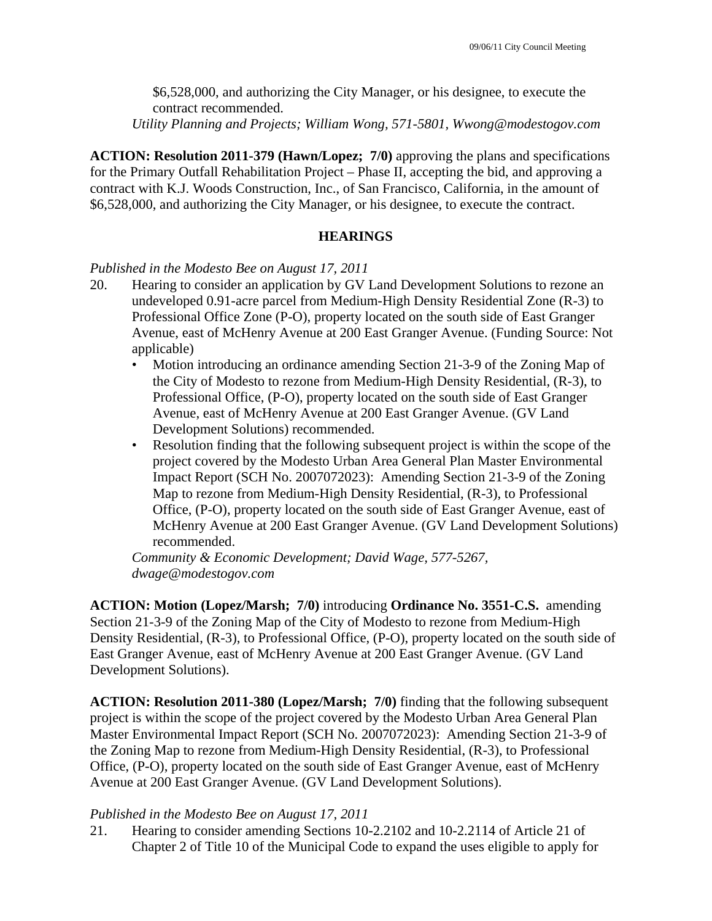\$6,528,000, and authorizing the City Manager, or his designee, to execute the contract recommended.

*Utility Planning and Projects; William Wong, 571-5801, Wwong@modestogov.com* 

**ACTION: Resolution 2011-379 (Hawn/Lopez; 7/0)** approving the plans and specifications for the Primary Outfall Rehabilitation Project – Phase II, accepting the bid, and approving a contract with K.J. Woods Construction, Inc., of San Francisco, California, in the amount of \$6,528,000, and authorizing the City Manager, or his designee, to execute the contract.

## **HEARINGS**

### *Published in the Modesto Bee on August 17, 2011*

- 20. Hearing to consider an application by GV Land Development Solutions to rezone an undeveloped 0.91-acre parcel from Medium-High Density Residential Zone (R-3) to Professional Office Zone (P-O), property located on the south side of East Granger Avenue, east of McHenry Avenue at 200 East Granger Avenue. (Funding Source: Not applicable)
	- Motion introducing an ordinance amending Section 21-3-9 of the Zoning Map of the City of Modesto to rezone from Medium-High Density Residential, (R-3), to Professional Office, (P-O), property located on the south side of East Granger Avenue, east of McHenry Avenue at 200 East Granger Avenue. (GV Land Development Solutions) recommended.
	- Resolution finding that the following subsequent project is within the scope of the project covered by the Modesto Urban Area General Plan Master Environmental Impact Report (SCH No. 2007072023): Amending Section 21-3-9 of the Zoning Map to rezone from Medium-High Density Residential, (R-3), to Professional Office, (P-O), property located on the south side of East Granger Avenue, east of McHenry Avenue at 200 East Granger Avenue. (GV Land Development Solutions) recommended.

*Community & Economic Development; David Wage, 577-5267, dwage@modestogov.com* 

**ACTION: Motion (Lopez/Marsh; 7/0)** introducing **Ordinance No. 3551-C.S.** amending Section 21-3-9 of the Zoning Map of the City of Modesto to rezone from Medium-High Density Residential, (R-3), to Professional Office, (P-O), property located on the south side of East Granger Avenue, east of McHenry Avenue at 200 East Granger Avenue. (GV Land Development Solutions).

**ACTION: Resolution 2011-380 (Lopez/Marsh; 7/0)** finding that the following subsequent project is within the scope of the project covered by the Modesto Urban Area General Plan Master Environmental Impact Report (SCH No. 2007072023): Amending Section 21-3-9 of the Zoning Map to rezone from Medium-High Density Residential, (R-3), to Professional Office, (P-O), property located on the south side of East Granger Avenue, east of McHenry Avenue at 200 East Granger Avenue. (GV Land Development Solutions).

### *Published in the Modesto Bee on August 17, 2011*

21. Hearing to consider amending Sections 10-2.2102 and 10-2.2114 of Article 21 of Chapter 2 of Title 10 of the Municipal Code to expand the uses eligible to apply for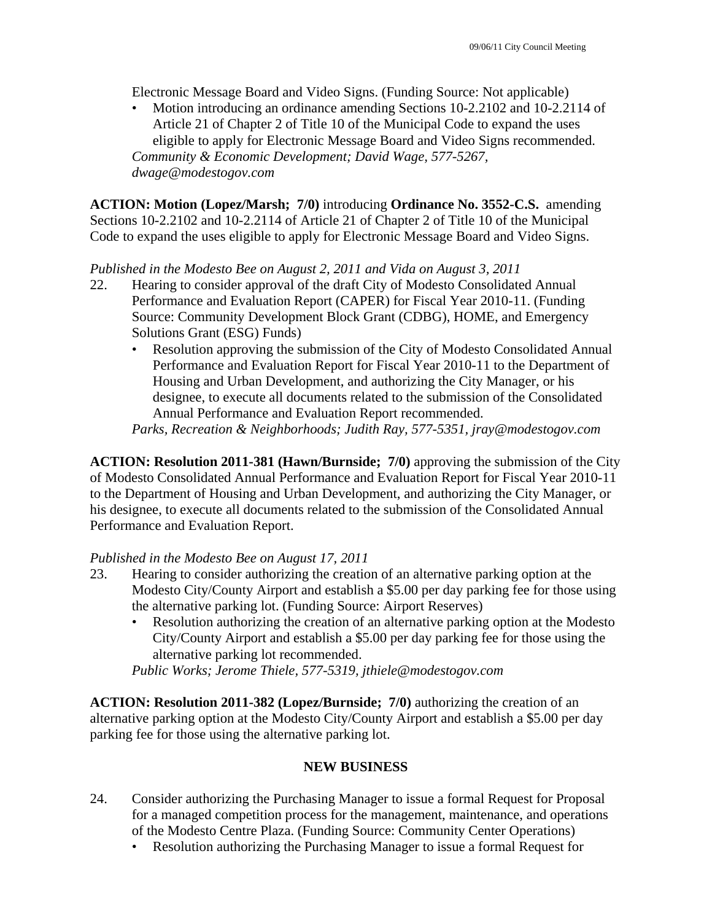Electronic Message Board and Video Signs. (Funding Source: Not applicable)

• Motion introducing an ordinance amending Sections 10-2.2102 and 10-2.2114 of Article 21 of Chapter 2 of Title 10 of the Municipal Code to expand the uses eligible to apply for Electronic Message Board and Video Signs recommended. *Community & Economic Development; David Wage, 577-5267, dwage@modestogov.com* 

**ACTION: Motion (Lopez/Marsh; 7/0)** introducing **Ordinance No. 3552-C.S.** amending Sections 10-2.2102 and 10-2.2114 of Article 21 of Chapter 2 of Title 10 of the Municipal Code to expand the uses eligible to apply for Electronic Message Board and Video Signs.

*Published in the Modesto Bee on August 2, 2011 and Vida on August 3, 2011* 

- 22. Hearing to consider approval of the draft City of Modesto Consolidated Annual Performance and Evaluation Report (CAPER) for Fiscal Year 2010-11. (Funding Source: Community Development Block Grant (CDBG), HOME, and Emergency Solutions Grant (ESG) Funds)
	- Resolution approving the submission of the City of Modesto Consolidated Annual Performance and Evaluation Report for Fiscal Year 2010-11 to the Department of Housing and Urban Development, and authorizing the City Manager, or his designee, to execute all documents related to the submission of the Consolidated Annual Performance and Evaluation Report recommended.

*Parks, Recreation & Neighborhoods; Judith Ray, 577-5351, jray@modestogov.com* 

**ACTION: Resolution 2011-381 (Hawn/Burnside; 7/0)** approving the submission of the City of Modesto Consolidated Annual Performance and Evaluation Report for Fiscal Year 2010-11 to the Department of Housing and Urban Development, and authorizing the City Manager, or his designee, to execute all documents related to the submission of the Consolidated Annual Performance and Evaluation Report.

## *Published in the Modesto Bee on August 17, 2011*

- 23. Hearing to consider authorizing the creation of an alternative parking option at the Modesto City/County Airport and establish a \$5.00 per day parking fee for those using the alternative parking lot. (Funding Source: Airport Reserves)
	- Resolution authorizing the creation of an alternative parking option at the Modesto City/County Airport and establish a \$5.00 per day parking fee for those using the alternative parking lot recommended.

*Public Works; Jerome Thiele, 577-5319, jthiele@modestogov.com* 

**ACTION: Resolution 2011-382 (Lopez/Burnside; 7/0)** authorizing the creation of an alternative parking option at the Modesto City/County Airport and establish a \$5.00 per day parking fee for those using the alternative parking lot.

## **NEW BUSINESS**

- 24. Consider authorizing the Purchasing Manager to issue a formal Request for Proposal for a managed competition process for the management, maintenance, and operations of the Modesto Centre Plaza. (Funding Source: Community Center Operations)
	- Resolution authorizing the Purchasing Manager to issue a formal Request for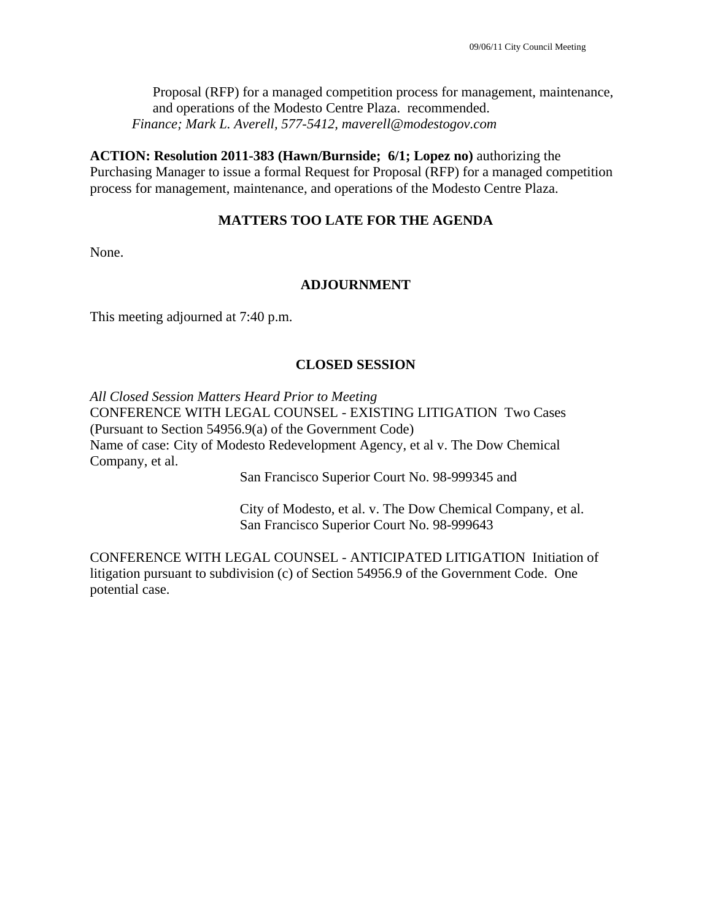Proposal (RFP) for a managed competition process for management, maintenance, and operations of the Modesto Centre Plaza. recommended. *Finance; Mark L. Averell, 577-5412, maverell@modestogov.com* 

**ACTION: Resolution 2011-383 (Hawn/Burnside; 6/1; Lopez no)** authorizing the Purchasing Manager to issue a formal Request for Proposal (RFP) for a managed competition process for management, maintenance, and operations of the Modesto Centre Plaza.

## **MATTERS TOO LATE FOR THE AGENDA**

None.

### **ADJOURNMENT**

This meeting adjourned at 7:40 p.m.

### **CLOSED SESSION**

*All Closed Session Matters Heard Prior to Meeting* CONFERENCE WITH LEGAL COUNSEL - EXISTING LITIGATION Two Cases (Pursuant to Section 54956.9(a) of the Government Code) Name of case: City of Modesto Redevelopment Agency, et al v. The Dow Chemical Company, et al.

San Francisco Superior Court No. 98-999345 and

 City of Modesto, et al. v. The Dow Chemical Company, et al. San Francisco Superior Court No. 98-999643

CONFERENCE WITH LEGAL COUNSEL - ANTICIPATED LITIGATION Initiation of litigation pursuant to subdivision (c) of Section 54956.9 of the Government Code. One potential case.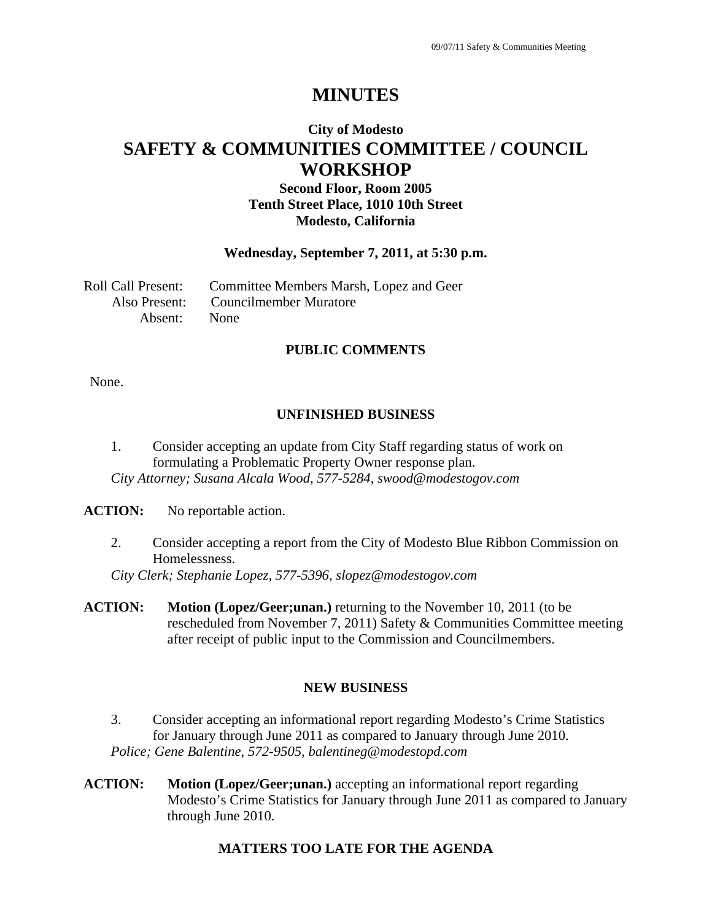# **City of Modesto SAFETY & COMMUNITIES COMMITTEE / COUNCIL WORKSHOP**

## **Second Floor, Room 2005 Tenth Street Place, 1010 10th Street Modesto, California**

### **Wednesday, September 7, 2011, at 5:30 p.m.**

|              | Roll Call Present: Committee Members Marsh, Lopez and Geer |
|--------------|------------------------------------------------------------|
|              | Also Present: Councilmember Muratore                       |
| Absent: None |                                                            |

### **PUBLIC COMMENTS**

None.

## **UNFINISHED BUSINESS**

1. Consider accepting an update from City Staff regarding status of work on formulating a Problematic Property Owner response plan. *City Attorney; Susana Alcala Wood, 577-5284, swood@modestogov.com* 

#### **ACTION:** No reportable action.

2. Consider accepting a report from the City of Modesto Blue Ribbon Commission on Homelessness.

*City Clerk; Stephanie Lopez, 577-5396, slopez@modestogov.com* 

**ACTION: Motion (Lopez/Geer;unan.)** returning to the November 10, 2011 (to be rescheduled from November 7, 2011) Safety & Communities Committee meeting after receipt of public input to the Commission and Councilmembers.

### **NEW BUSINESS**

- 3. Consider accepting an informational report regarding Modesto's Crime Statistics for January through June 2011 as compared to January through June 2010. *Police; Gene Balentine, 572-9505, balentineg@modestopd.com*
- **ACTION: Motion (Lopez/Geer;unan.)** accepting an informational report regarding Modesto's Crime Statistics for January through June 2011 as compared to January through June 2010.

## **MATTERS TOO LATE FOR THE AGENDA**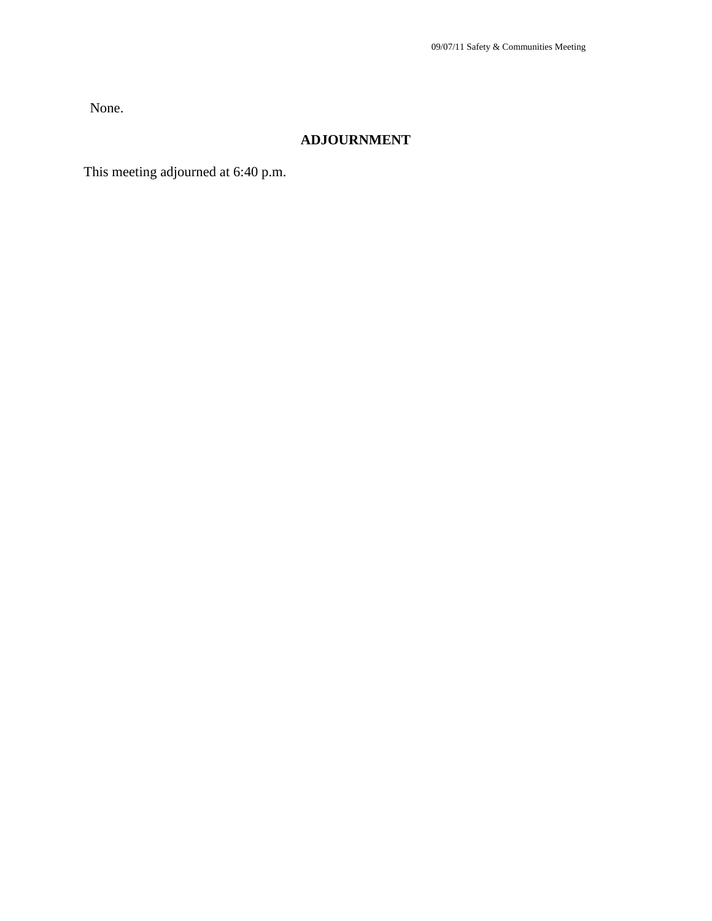None.

## **ADJOURNMENT**

This meeting adjourned at 6:40 p.m.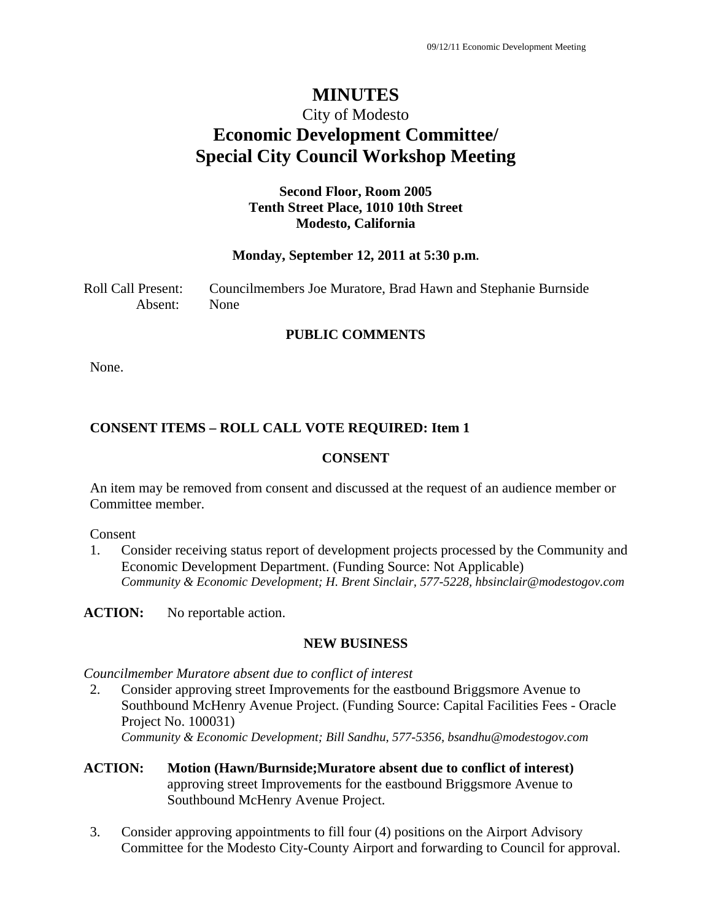# City of Modesto **Economic Development Committee/ Special City Council Workshop Meeting**

## **Second Floor, Room 2005 Tenth Street Place, 1010 10th Street Modesto, California**

### **Monday, September 12, 2011 at 5:30 p.m.**

Roll Call Present: Councilmembers Joe Muratore, Brad Hawn and Stephanie Burnside Absent: None

### **PUBLIC COMMENTS**

None.

## **CONSENT ITEMS – ROLL CALL VOTE REQUIRED: Item 1**

### **CONSENT**

An item may be removed from consent and discussed at the request of an audience member or Committee member.

Consent

1. Consider receiving status report of development projects processed by the Community and Economic Development Department. (Funding Source: Not Applicable) *Community & Economic Development; H. Brent Sinclair, 577-5228, hbsinclair@modestogov.com* 

ACTION: No reportable action.

### **NEW BUSINESS**

*Councilmember Muratore absent due to conflict of interest* 

- 2. Consider approving street Improvements for the eastbound Briggsmore Avenue to Southbound McHenry Avenue Project. (Funding Source: Capital Facilities Fees - Oracle Project No. 100031) *Community & Economic Development; Bill Sandhu, 577-5356, bsandhu@modestogov.com*
- **ACTION: Motion (Hawn/Burnside;Muratore absent due to conflict of interest)**  approving street Improvements for the eastbound Briggsmore Avenue to Southbound McHenry Avenue Project.
- 3. Consider approving appointments to fill four (4) positions on the Airport Advisory Committee for the Modesto City-County Airport and forwarding to Council for approval.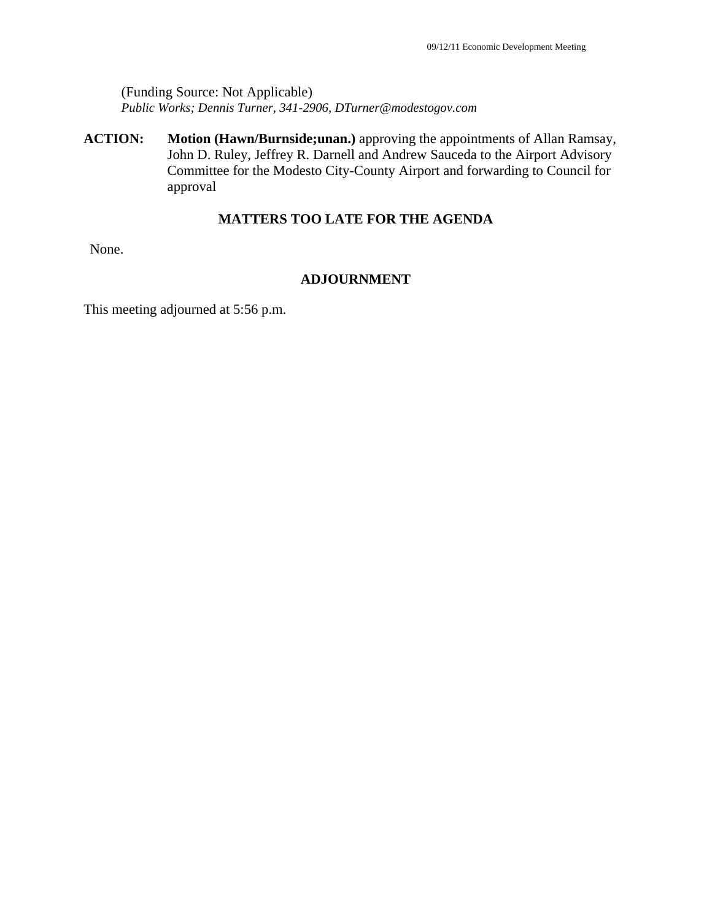(Funding Source: Not Applicable) *Public Works; Dennis Turner, 341-2906, DTurner@modestogov.com* 

**ACTION: Motion (Hawn/Burnside;unan.)** approving the appointments of Allan Ramsay, John D. Ruley, Jeffrey R. Darnell and Andrew Sauceda to the Airport Advisory Committee for the Modesto City-County Airport and forwarding to Council for approval

## **MATTERS TOO LATE FOR THE AGENDA**

None.

### **ADJOURNMENT**

This meeting adjourned at 5:56 p.m.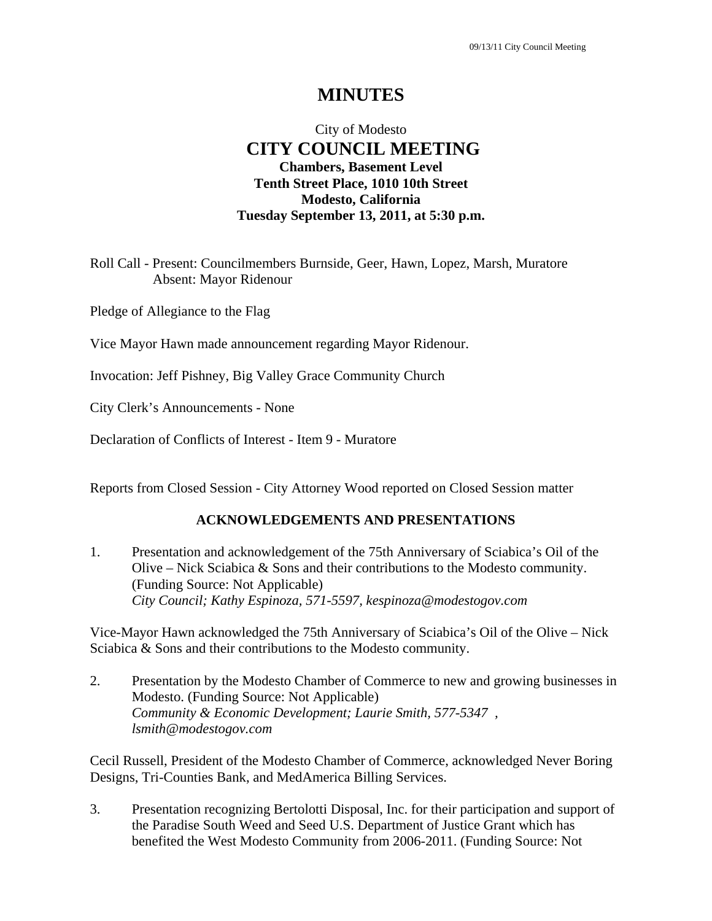# City of Modesto  **CITY COUNCIL MEETING Chambers, Basement Level Tenth Street Place, 1010 10th Street Modesto, California Tuesday September 13, 2011, at 5:30 p.m.**

Roll Call - Present: Councilmembers Burnside, Geer, Hawn, Lopez, Marsh, Muratore Absent: Mayor Ridenour

Pledge of Allegiance to the Flag

Vice Mayor Hawn made announcement regarding Mayor Ridenour.

Invocation: Jeff Pishney, Big Valley Grace Community Church

City Clerk's Announcements - None

Declaration of Conflicts of Interest - Item 9 - Muratore

Reports from Closed Session - City Attorney Wood reported on Closed Session matter

### **ACKNOWLEDGEMENTS AND PRESENTATIONS**

1. Presentation and acknowledgement of the 75th Anniversary of Sciabica's Oil of the Olive – Nick Sciabica & Sons and their contributions to the Modesto community. (Funding Source: Not Applicable)  *City Council; Kathy Espinoza, 571-5597, kespinoza@modestogov.com* 

Vice-Mayor Hawn acknowledged the 75th Anniversary of Sciabica's Oil of the Olive – Nick Sciabica & Sons and their contributions to the Modesto community.

2. Presentation by the Modesto Chamber of Commerce to new and growing businesses in Modesto. (Funding Source: Not Applicable)  *Community & Economic Development; Laurie Smith, 577-5347 , lsmith@modestogov.com* 

Cecil Russell, President of the Modesto Chamber of Commerce, acknowledged Never Boring Designs, Tri-Counties Bank, and MedAmerica Billing Services.

3. Presentation recognizing Bertolotti Disposal, Inc. for their participation and support of the Paradise South Weed and Seed U.S. Department of Justice Grant which has benefited the West Modesto Community from 2006-2011. (Funding Source: Not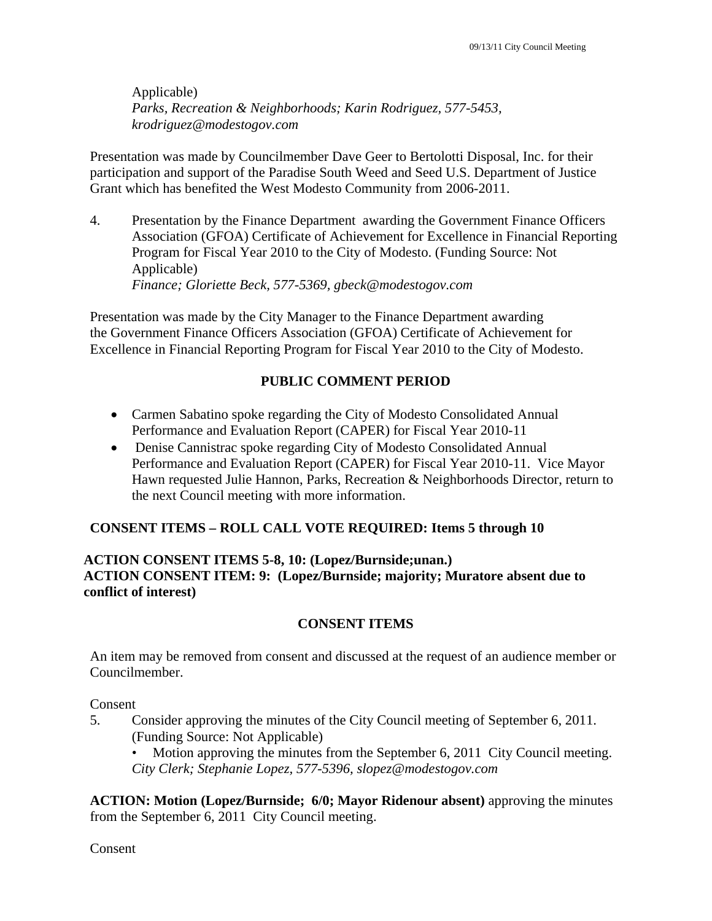Applicable)  *Parks, Recreation & Neighborhoods; Karin Rodriguez, 577-5453, krodriguez@modestogov.com* 

Presentation was made by Councilmember Dave Geer to Bertolotti Disposal, Inc. for their participation and support of the Paradise South Weed and Seed U.S. Department of Justice Grant which has benefited the West Modesto Community from 2006-2011.

4. Presentation by the Finance Department awarding the Government Finance Officers Association (GFOA) Certificate of Achievement for Excellence in Financial Reporting Program for Fiscal Year 2010 to the City of Modesto. (Funding Source: Not Applicable)  *Finance; Gloriette Beck, 577-5369, gbeck@modestogov.com* 

Presentation was made by the City Manager to the Finance Department awarding the Government Finance Officers Association (GFOA) Certificate of Achievement for Excellence in Financial Reporting Program for Fiscal Year 2010 to the City of Modesto.

## **PUBLIC COMMENT PERIOD**

- Carmen Sabatino spoke regarding the City of Modesto Consolidated Annual Performance and Evaluation Report (CAPER) for Fiscal Year 2010-11
- Denise Cannistrac spoke regarding City of Modesto Consolidated Annual Performance and Evaluation Report (CAPER) for Fiscal Year 2010-11. Vice Mayor Hawn requested Julie Hannon, Parks, Recreation & Neighborhoods Director, return to the next Council meeting with more information.

## **CONSENT ITEMS – ROLL CALL VOTE REQUIRED: Items 5 through 10**

## **ACTION CONSENT ITEMS 5-8, 10: (Lopez/Burnside;unan.) ACTION CONSENT ITEM: 9: (Lopez/Burnside; majority; Muratore absent due to conflict of interest)**

## **CONSENT ITEMS**

An item may be removed from consent and discussed at the request of an audience member or Councilmember.

Consent

5. Consider approving the minutes of the City Council meeting of September 6, 2011. (Funding Source: Not Applicable)

Motion approving the minutes from the September 6, 2011 City Council meeting. *City Clerk; Stephanie Lopez, 577-5396, slopez@modestogov.com* 

**ACTION: Motion (Lopez/Burnside; 6/0; Mayor Ridenour absent)** approving the minutes from the September 6, 2011 City Council meeting.

Consent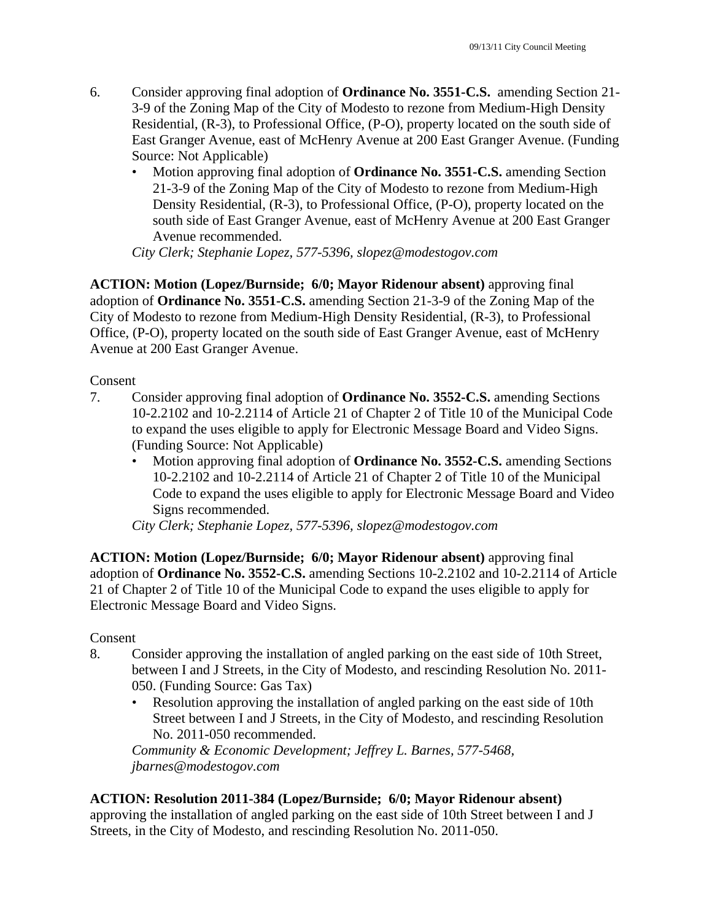- 6. Consider approving final adoption of **Ordinance No. 3551-C.S.** amending Section 21- 3-9 of the Zoning Map of the City of Modesto to rezone from Medium-High Density Residential, (R-3), to Professional Office, (P-O), property located on the south side of East Granger Avenue, east of McHenry Avenue at 200 East Granger Avenue. (Funding Source: Not Applicable)
	- Motion approving final adoption of **Ordinance No. 3551-C.S.** amending Section 21-3-9 of the Zoning Map of the City of Modesto to rezone from Medium-High Density Residential, (R-3), to Professional Office, (P-O), property located on the south side of East Granger Avenue, east of McHenry Avenue at 200 East Granger Avenue recommended.

*City Clerk; Stephanie Lopez, 577-5396, slopez@modestogov.com* 

**ACTION: Motion (Lopez/Burnside; 6/0; Mayor Ridenour absent)** approving final adoption of **Ordinance No. 3551-C.S.** amending Section 21-3-9 of the Zoning Map of the City of Modesto to rezone from Medium-High Density Residential, (R-3), to Professional Office, (P-O), property located on the south side of East Granger Avenue, east of McHenry Avenue at 200 East Granger Avenue.

Consent

- 7. Consider approving final adoption of **Ordinance No. 3552-C.S.** amending Sections 10-2.2102 and 10-2.2114 of Article 21 of Chapter 2 of Title 10 of the Municipal Code to expand the uses eligible to apply for Electronic Message Board and Video Signs. (Funding Source: Not Applicable)
	- Motion approving final adoption of **Ordinance No. 3552-C.S.** amending Sections 10-2.2102 and 10-2.2114 of Article 21 of Chapter 2 of Title 10 of the Municipal Code to expand the uses eligible to apply for Electronic Message Board and Video Signs recommended.

*City Clerk; Stephanie Lopez, 577-5396, slopez@modestogov.com* 

**ACTION: Motion (Lopez/Burnside; 6/0; Mayor Ridenour absent)** approving final adoption of **Ordinance No. 3552-C.S.** amending Sections 10-2.2102 and 10-2.2114 of Article 21 of Chapter 2 of Title 10 of the Municipal Code to expand the uses eligible to apply for Electronic Message Board and Video Signs.

Consent

- 8. Consider approving the installation of angled parking on the east side of 10th Street, between I and J Streets, in the City of Modesto, and rescinding Resolution No. 2011- 050. (Funding Source: Gas Tax)
	- Resolution approving the installation of angled parking on the east side of 10th Street between I and J Streets, in the City of Modesto, and rescinding Resolution No. 2011-050 recommended.

*Community & Economic Development; Jeffrey L. Barnes, 577-5468, jbarnes@modestogov.com* 

## **ACTION: Resolution 2011-384 (Lopez/Burnside; 6/0; Mayor Ridenour absent)**

approving the installation of angled parking on the east side of 10th Street between I and J Streets, in the City of Modesto, and rescinding Resolution No. 2011-050.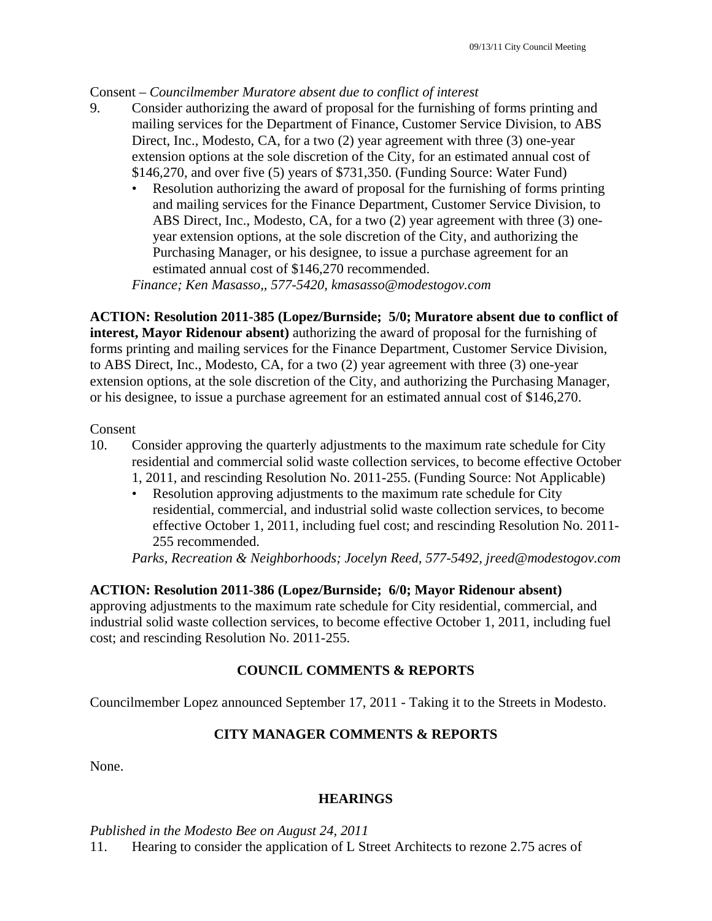## Consent – *Councilmember Muratore absent due to conflict of interest*

- 9. Consider authorizing the award of proposal for the furnishing of forms printing and mailing services for the Department of Finance, Customer Service Division, to ABS Direct, Inc., Modesto, CA, for a two (2) year agreement with three (3) one-year extension options at the sole discretion of the City, for an estimated annual cost of \$146,270, and over five (5) years of \$731,350. (Funding Source: Water Fund)
	- Resolution authorizing the award of proposal for the furnishing of forms printing and mailing services for the Finance Department, Customer Service Division, to ABS Direct, Inc., Modesto, CA, for a two (2) year agreement with three (3) oneyear extension options, at the sole discretion of the City, and authorizing the Purchasing Manager, or his designee, to issue a purchase agreement for an estimated annual cost of \$146,270 recommended.

*Finance; Ken Masasso,, 577-5420, kmasasso@modestogov.com* 

**ACTION: Resolution 2011-385 (Lopez/Burnside; 5/0; Muratore absent due to conflict of interest, Mayor Ridenour absent)** authorizing the award of proposal for the furnishing of forms printing and mailing services for the Finance Department, Customer Service Division, to ABS Direct, Inc., Modesto, CA, for a two (2) year agreement with three (3) one-year extension options, at the sole discretion of the City, and authorizing the Purchasing Manager, or his designee, to issue a purchase agreement for an estimated annual cost of \$146,270.

### Consent

- 10. Consider approving the quarterly adjustments to the maximum rate schedule for City residential and commercial solid waste collection services, to become effective October
	- 1, 2011, and rescinding Resolution No. 2011-255. (Funding Source: Not Applicable)
	- Resolution approving adjustments to the maximum rate schedule for City residential, commercial, and industrial solid waste collection services, to become effective October 1, 2011, including fuel cost; and rescinding Resolution No. 2011- 255 recommended.

*Parks, Recreation & Neighborhoods; Jocelyn Reed, 577-5492, jreed@modestogov.com* 

## **ACTION: Resolution 2011-386 (Lopez/Burnside; 6/0; Mayor Ridenour absent)**

approving adjustments to the maximum rate schedule for City residential, commercial, and industrial solid waste collection services, to become effective October 1, 2011, including fuel cost; and rescinding Resolution No. 2011-255.

## **COUNCIL COMMENTS & REPORTS**

Councilmember Lopez announced September 17, 2011 - Taking it to the Streets in Modesto.

# **CITY MANAGER COMMENTS & REPORTS**

None.

### **HEARINGS**

*Published in the Modesto Bee on August 24, 2011* 

11. Hearing to consider the application of L Street Architects to rezone 2.75 acres of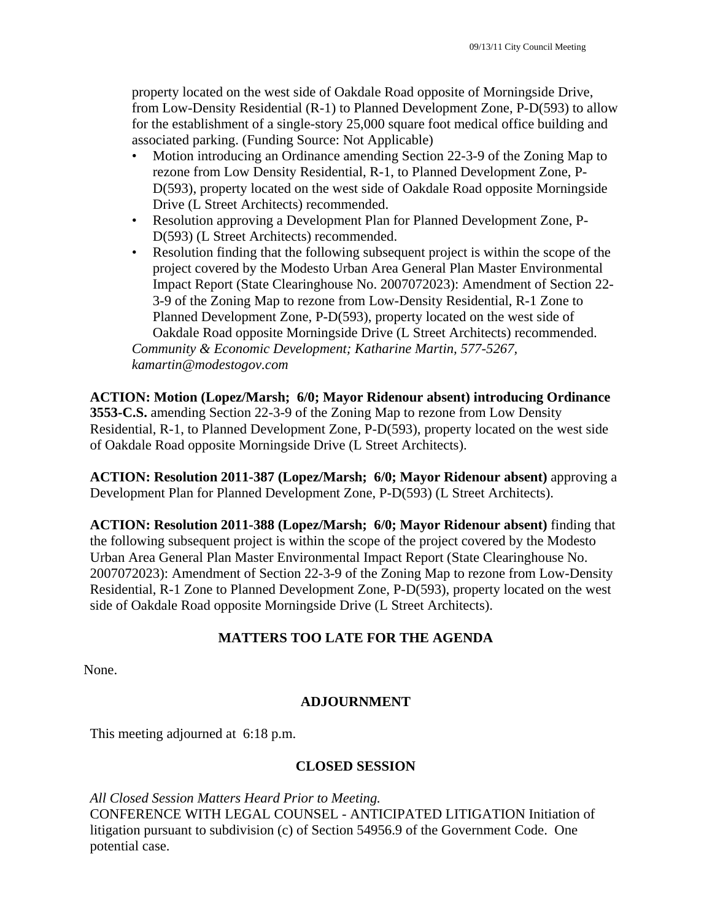property located on the west side of Oakdale Road opposite of Morningside Drive, from Low-Density Residential (R-1) to Planned Development Zone, P-D(593) to allow for the establishment of a single-story 25,000 square foot medical office building and associated parking. (Funding Source: Not Applicable)

- Motion introducing an Ordinance amending Section 22-3-9 of the Zoning Map to rezone from Low Density Residential, R-1, to Planned Development Zone, P-D(593), property located on the west side of Oakdale Road opposite Morningside Drive (L Street Architects) recommended.
- Resolution approving a Development Plan for Planned Development Zone, P-D(593) (L Street Architects) recommended.
- Resolution finding that the following subsequent project is within the scope of the project covered by the Modesto Urban Area General Plan Master Environmental Impact Report (State Clearinghouse No. 2007072023): Amendment of Section 22- 3-9 of the Zoning Map to rezone from Low-Density Residential, R-1 Zone to Planned Development Zone, P-D(593), property located on the west side of Oakdale Road opposite Morningside Drive (L Street Architects) recommended. *Community & Economic Development; Katharine Martin, 577-5267,*

*kamartin@modestogov.com* 

**ACTION: Motion (Lopez/Marsh; 6/0; Mayor Ridenour absent) introducing Ordinance 3553-C.S.** amending Section 22-3-9 of the Zoning Map to rezone from Low Density Residential, R-1, to Planned Development Zone, P-D(593), property located on the west side of Oakdale Road opposite Morningside Drive (L Street Architects).

**ACTION: Resolution 2011-387 (Lopez/Marsh; 6/0; Mayor Ridenour absent)** approving a Development Plan for Planned Development Zone, P-D(593) (L Street Architects).

**ACTION: Resolution 2011-388 (Lopez/Marsh; 6/0; Mayor Ridenour absent)** finding that the following subsequent project is within the scope of the project covered by the Modesto Urban Area General Plan Master Environmental Impact Report (State Clearinghouse No. 2007072023): Amendment of Section 22-3-9 of the Zoning Map to rezone from Low-Density Residential, R-1 Zone to Planned Development Zone, P-D(593), property located on the west side of Oakdale Road opposite Morningside Drive (L Street Architects).

## **MATTERS TOO LATE FOR THE AGENDA**

None.

## **ADJOURNMENT**

This meeting adjourned at 6:18 p.m.

### **CLOSED SESSION**

*All Closed Session Matters Heard Prior to Meeting.* CONFERENCE WITH LEGAL COUNSEL - ANTICIPATED LITIGATION Initiation of litigation pursuant to subdivision (c) of Section 54956.9 of the Government Code. One potential case.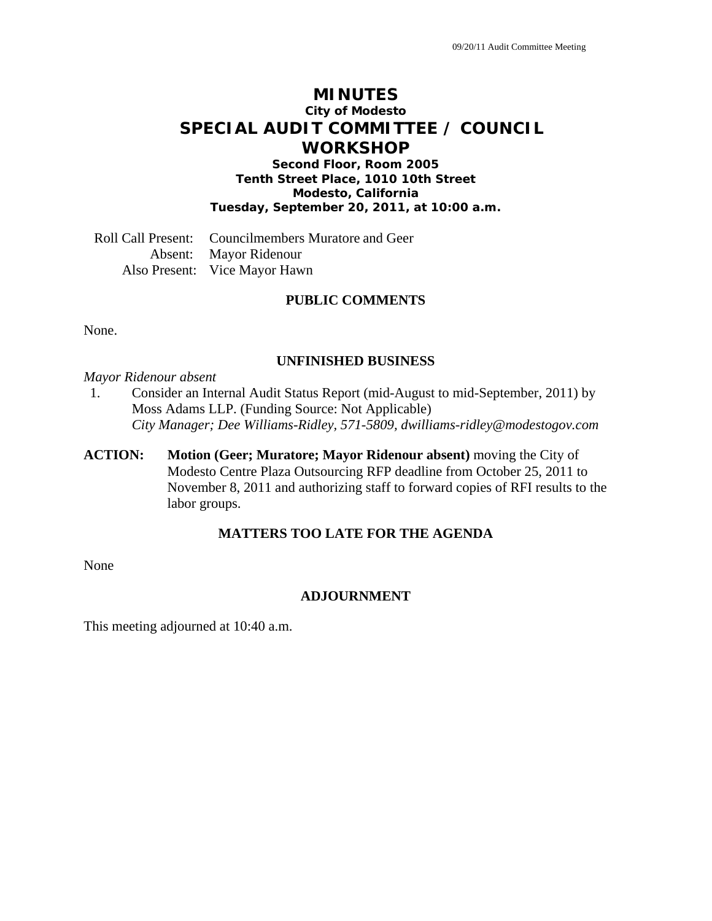# **MINUTES City of Modesto SPECIAL AUDIT COMMITTEE / COUNCIL WORKSHOP**

**Second Floor, Room 2005 Tenth Street Place, 1010 10th Street Modesto, California Tuesday, September 20, 2011, at 10:00 a.m.** 

Roll Call Present: Councilmembers Muratore and Geer Absent: Mayor Ridenour Also Present: Vice Mayor Hawn

### **PUBLIC COMMENTS**

None.

### **UNFINISHED BUSINESS**

*Mayor Ridenour absent* 

- 1. Consider an Internal Audit Status Report (mid-August to mid-September, 2011) by Moss Adams LLP. (Funding Source: Not Applicable)  *City Manager; Dee Williams-Ridley, 571-5809, dwilliams-ridley@modestogov.com*
- **ACTION: Motion (Geer; Muratore; Mayor Ridenour absent)** moving the City of Modesto Centre Plaza Outsourcing RFP deadline from October 25, 2011 to November 8, 2011 and authorizing staff to forward copies of RFI results to the labor groups.

### **MATTERS TOO LATE FOR THE AGENDA**

None

#### **ADJOURNMENT**

This meeting adjourned at 10:40 a.m.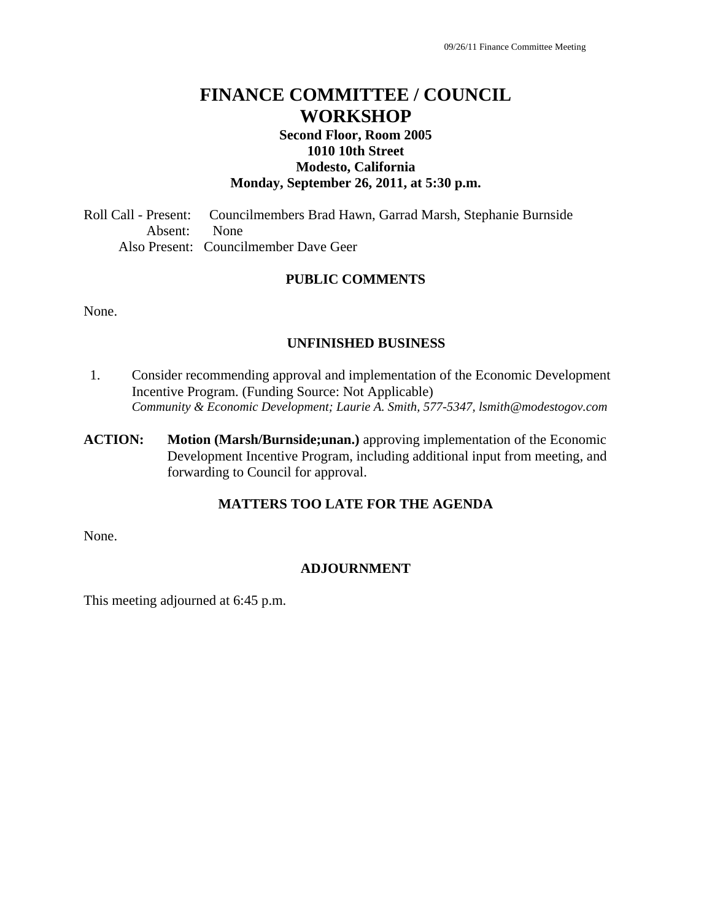# **FINANCE COMMITTEE / COUNCIL WORKSHOP**

## **Second Floor, Room 2005 1010 10th Street Modesto, California Monday, September 26, 2011, at 5:30 p.m.**

Roll Call - Present: Councilmembers Brad Hawn, Garrad Marsh, Stephanie Burnside Absent: None Also Present: Councilmember Dave Geer

## **PUBLIC COMMENTS**

None.

### **UNFINISHED BUSINESS**

- 1. Consider recommending approval and implementation of the Economic Development Incentive Program. (Funding Source: Not Applicable) *Community & Economic Development; Laurie A. Smith, 577-5347, lsmith@modestogov.com*
- **ACTION: Motion (Marsh/Burnside;unan.)** approving implementation of the Economic Development Incentive Program, including additional input from meeting, and forwarding to Council for approval.

### **MATTERS TOO LATE FOR THE AGENDA**

None.

### **ADJOURNMENT**

This meeting adjourned at 6:45 p.m.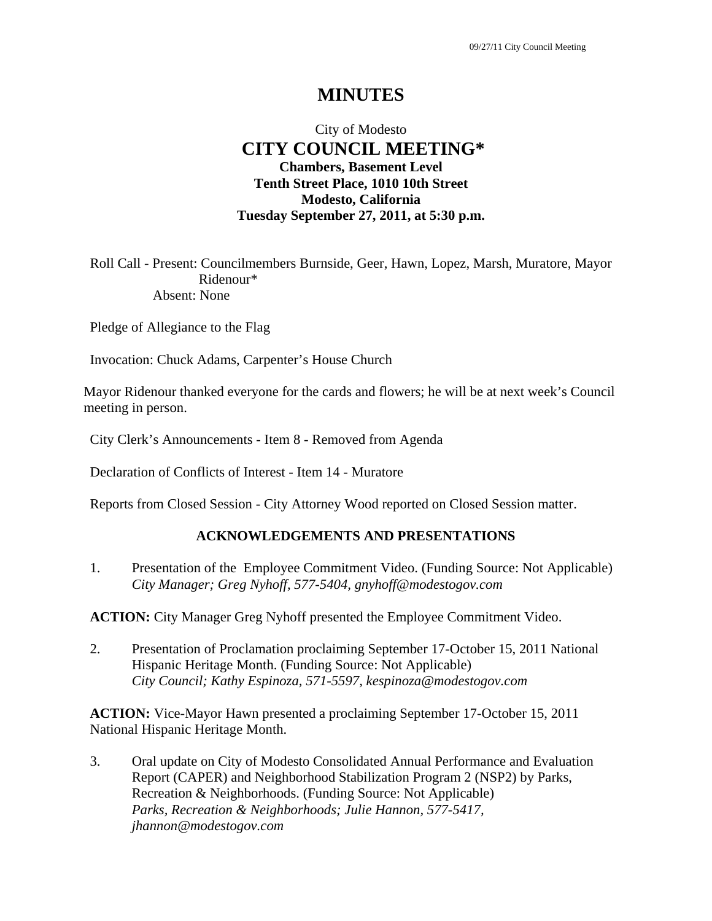## City of Modesto  **CITY COUNCIL MEETING\* Chambers, Basement Level Tenth Street Place, 1010 10th Street Modesto, California Tuesday September 27, 2011, at 5:30 p.m.**

Roll Call - Present: Councilmembers Burnside, Geer, Hawn, Lopez, Marsh, Muratore, Mayor Ridenour\* Absent: None

Pledge of Allegiance to the Flag

Invocation: Chuck Adams, Carpenter's House Church

Mayor Ridenour thanked everyone for the cards and flowers; he will be at next week's Council meeting in person.

City Clerk's Announcements - Item 8 - Removed from Agenda

Declaration of Conflicts of Interest - Item 14 - Muratore

Reports from Closed Session - City Attorney Wood reported on Closed Session matter.

#### **ACKNOWLEDGEMENTS AND PRESENTATIONS**

1. Presentation of the Employee Commitment Video. (Funding Source: Not Applicable)  *City Manager; Greg Nyhoff, 577-5404, gnyhoff@modestogov.com* 

**ACTION:** City Manager Greg Nyhoff presented the Employee Commitment Video.

2. Presentation of Proclamation proclaiming September 17-October 15, 2011 National Hispanic Heritage Month. (Funding Source: Not Applicable)  *City Council; Kathy Espinoza, 571-5597, kespinoza@modestogov.com* 

**ACTION:** Vice-Mayor Hawn presented a proclaiming September 17-October 15, 2011 National Hispanic Heritage Month.

3. Oral update on City of Modesto Consolidated Annual Performance and Evaluation Report (CAPER) and Neighborhood Stabilization Program 2 (NSP2) by Parks, Recreation & Neighborhoods. (Funding Source: Not Applicable)  *Parks, Recreation & Neighborhoods; Julie Hannon, 577-5417, jhannon@modestogov.com*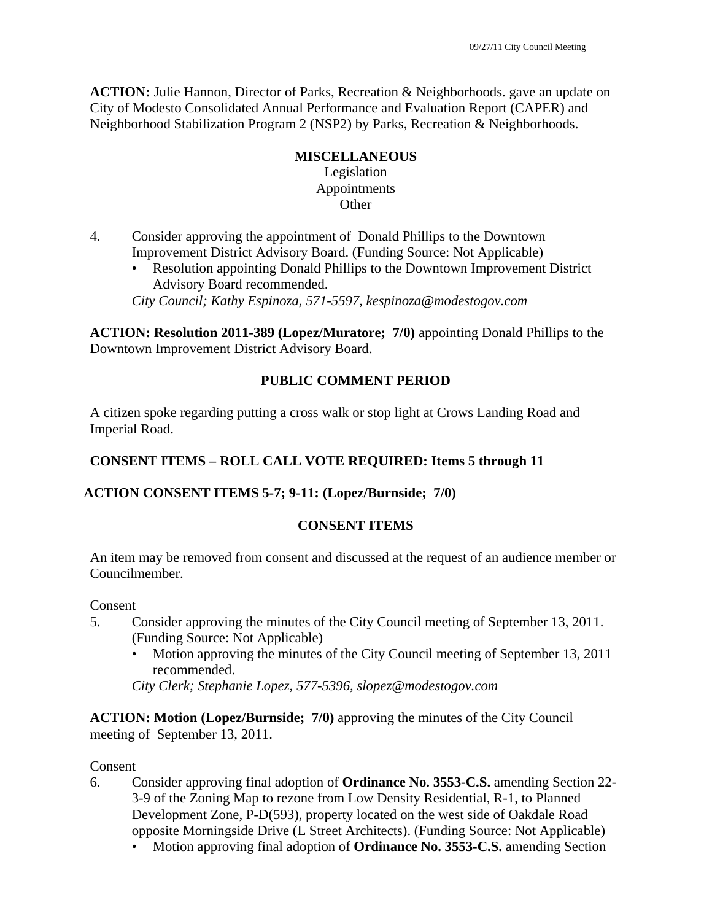**ACTION:** Julie Hannon, Director of Parks, Recreation & Neighborhoods. gave an update on City of Modesto Consolidated Annual Performance and Evaluation Report (CAPER) and Neighborhood Stabilization Program 2 (NSP2) by Parks, Recreation & Neighborhoods.

## **MISCELLANEOUS**

Legislation Appointments **Other** 

- 4. Consider approving the appointment of Donald Phillips to the Downtown Improvement District Advisory Board. (Funding Source: Not Applicable)
	- Resolution appointing Donald Phillips to the Downtown Improvement District Advisory Board recommended.

*City Council; Kathy Espinoza, 571-5597, kespinoza@modestogov.com* 

**ACTION: Resolution 2011-389 (Lopez/Muratore; 7/0)** appointing Donald Phillips to the Downtown Improvement District Advisory Board.

## **PUBLIC COMMENT PERIOD**

A citizen spoke regarding putting a cross walk or stop light at Crows Landing Road and Imperial Road.

## **CONSENT ITEMS – ROLL CALL VOTE REQUIRED: Items 5 through 11**

## **ACTION CONSENT ITEMS 5-7; 9-11: (Lopez/Burnside; 7/0)**

## **CONSENT ITEMS**

An item may be removed from consent and discussed at the request of an audience member or Councilmember.

**Consent** 

- 5. Consider approving the minutes of the City Council meeting of September 13, 2011. (Funding Source: Not Applicable)
	- Motion approving the minutes of the City Council meeting of September 13, 2011 recommended.

*City Clerk; Stephanie Lopez, 577-5396, slopez@modestogov.com* 

**ACTION: Motion (Lopez/Burnside; 7/0)** approving the minutes of the City Council meeting of September 13, 2011.

Consent

- 6. Consider approving final adoption of **Ordinance No. 3553-C.S.** amending Section 22- 3-9 of the Zoning Map to rezone from Low Density Residential, R-1, to Planned Development Zone, P-D(593), property located on the west side of Oakdale Road opposite Morningside Drive (L Street Architects). (Funding Source: Not Applicable)
	- Motion approving final adoption of **Ordinance No. 3553-C.S.** amending Section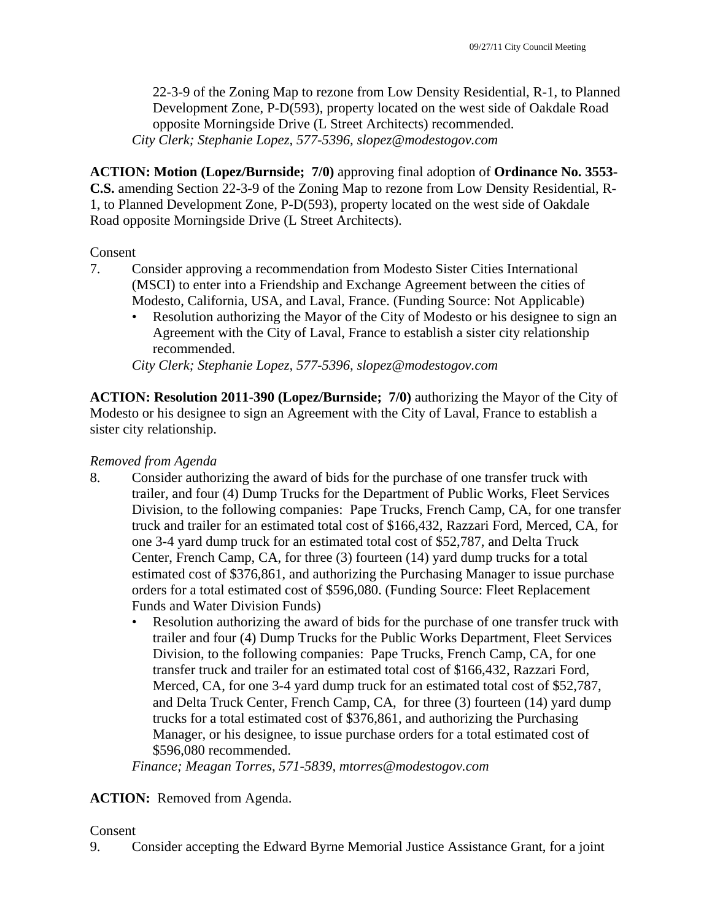22-3-9 of the Zoning Map to rezone from Low Density Residential, R-1, to Planned Development Zone, P-D(593), property located on the west side of Oakdale Road opposite Morningside Drive (L Street Architects) recommended. *City Clerk; Stephanie Lopez, 577-5396, slopez@modestogov.com* 

**ACTION: Motion (Lopez/Burnside; 7/0)** approving final adoption of **Ordinance No. 3553- C.S.** amending Section 22-3-9 of the Zoning Map to rezone from Low Density Residential, R-1, to Planned Development Zone, P-D(593), property located on the west side of Oakdale Road opposite Morningside Drive (L Street Architects).

### Consent

- 7. Consider approving a recommendation from Modesto Sister Cities International (MSCI) to enter into a Friendship and Exchange Agreement between the cities of Modesto, California, USA, and Laval, France. (Funding Source: Not Applicable)
	- Resolution authorizing the Mayor of the City of Modesto or his designee to sign an Agreement with the City of Laval, France to establish a sister city relationship recommended.

*City Clerk; Stephanie Lopez, 577-5396, slopez@modestogov.com* 

**ACTION: Resolution 2011-390 (Lopez/Burnside; 7/0)** authorizing the Mayor of the City of Modesto or his designee to sign an Agreement with the City of Laval, France to establish a sister city relationship.

### *Removed from Agenda*

- 8. Consider authorizing the award of bids for the purchase of one transfer truck with trailer, and four (4) Dump Trucks for the Department of Public Works, Fleet Services Division, to the following companies: Pape Trucks, French Camp, CA, for one transfer truck and trailer for an estimated total cost of \$166,432, Razzari Ford, Merced, CA, for one 3-4 yard dump truck for an estimated total cost of \$52,787, and Delta Truck Center, French Camp, CA, for three (3) fourteen (14) yard dump trucks for a total estimated cost of \$376,861, and authorizing the Purchasing Manager to issue purchase orders for a total estimated cost of \$596,080. (Funding Source: Fleet Replacement Funds and Water Division Funds)
	- Resolution authorizing the award of bids for the purchase of one transfer truck with trailer and four (4) Dump Trucks for the Public Works Department, Fleet Services Division, to the following companies: Pape Trucks, French Camp, CA, for one transfer truck and trailer for an estimated total cost of \$166,432, Razzari Ford, Merced, CA, for one 3-4 yard dump truck for an estimated total cost of \$52,787, and Delta Truck Center, French Camp, CA, for three (3) fourteen (14) yard dump trucks for a total estimated cost of \$376,861, and authorizing the Purchasing Manager, or his designee, to issue purchase orders for a total estimated cost of \$596,080 recommended.

*Finance; Meagan Torres, 571-5839, mtorres@modestogov.com* 

## **ACTION:** Removed from Agenda.

#### Consent

9. Consider accepting the Edward Byrne Memorial Justice Assistance Grant, for a joint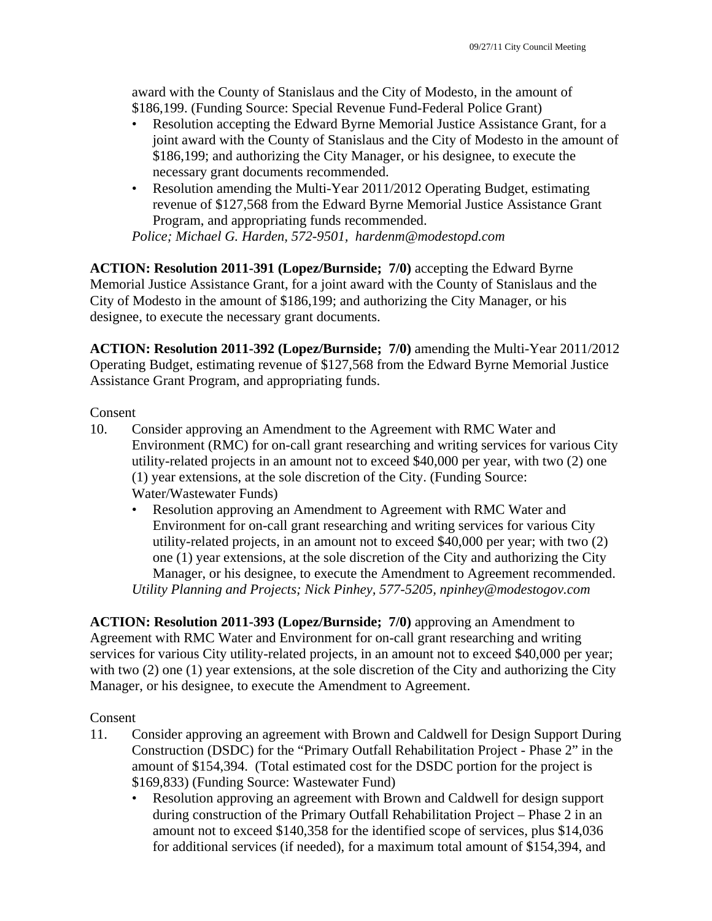award with the County of Stanislaus and the City of Modesto, in the amount of \$186,199. (Funding Source: Special Revenue Fund-Federal Police Grant)

- Resolution accepting the Edward Byrne Memorial Justice Assistance Grant, for a joint award with the County of Stanislaus and the City of Modesto in the amount of \$186,199; and authorizing the City Manager, or his designee, to execute the necessary grant documents recommended.
- Resolution amending the Multi-Year 2011/2012 Operating Budget, estimating revenue of \$127,568 from the Edward Byrne Memorial Justice Assistance Grant Program, and appropriating funds recommended.

*Police; Michael G. Harden, 572-9501, hardenm@modestopd.com* 

**ACTION: Resolution 2011-391 (Lopez/Burnside; 7/0)** accepting the Edward Byrne Memorial Justice Assistance Grant, for a joint award with the County of Stanislaus and the City of Modesto in the amount of \$186,199; and authorizing the City Manager, or his designee, to execute the necessary grant documents.

**ACTION: Resolution 2011-392 (Lopez/Burnside; 7/0)** amending the Multi-Year 2011/2012 Operating Budget, estimating revenue of \$127,568 from the Edward Byrne Memorial Justice Assistance Grant Program, and appropriating funds.

## Consent

- 10. Consider approving an Amendment to the Agreement with RMC Water and Environment (RMC) for on-call grant researching and writing services for various City utility-related projects in an amount not to exceed \$40,000 per year, with two (2) one (1) year extensions, at the sole discretion of the City. (Funding Source: Water/Wastewater Funds)
	- Resolution approving an Amendment to Agreement with RMC Water and Environment for on-call grant researching and writing services for various City utility-related projects, in an amount not to exceed \$40,000 per year; with two (2) one (1) year extensions, at the sole discretion of the City and authorizing the City Manager, or his designee, to execute the Amendment to Agreement recommended. *Utility Planning and Projects; Nick Pinhey, 577-5205, npinhey@modestogov.com*

**ACTION: Resolution 2011-393 (Lopez/Burnside; 7/0)** approving an Amendment to Agreement with RMC Water and Environment for on-call grant researching and writing services for various City utility-related projects, in an amount not to exceed \$40,000 per year; with two (2) one (1) year extensions, at the sole discretion of the City and authorizing the City Manager, or his designee, to execute the Amendment to Agreement.

### Consent

- 11. Consider approving an agreement with Brown and Caldwell for Design Support During Construction (DSDC) for the "Primary Outfall Rehabilitation Project - Phase 2" in the amount of \$154,394. (Total estimated cost for the DSDC portion for the project is \$169,833) (Funding Source: Wastewater Fund)
	- Resolution approving an agreement with Brown and Caldwell for design support during construction of the Primary Outfall Rehabilitation Project – Phase 2 in an amount not to exceed \$140,358 for the identified scope of services, plus \$14,036 for additional services (if needed), for a maximum total amount of \$154,394, and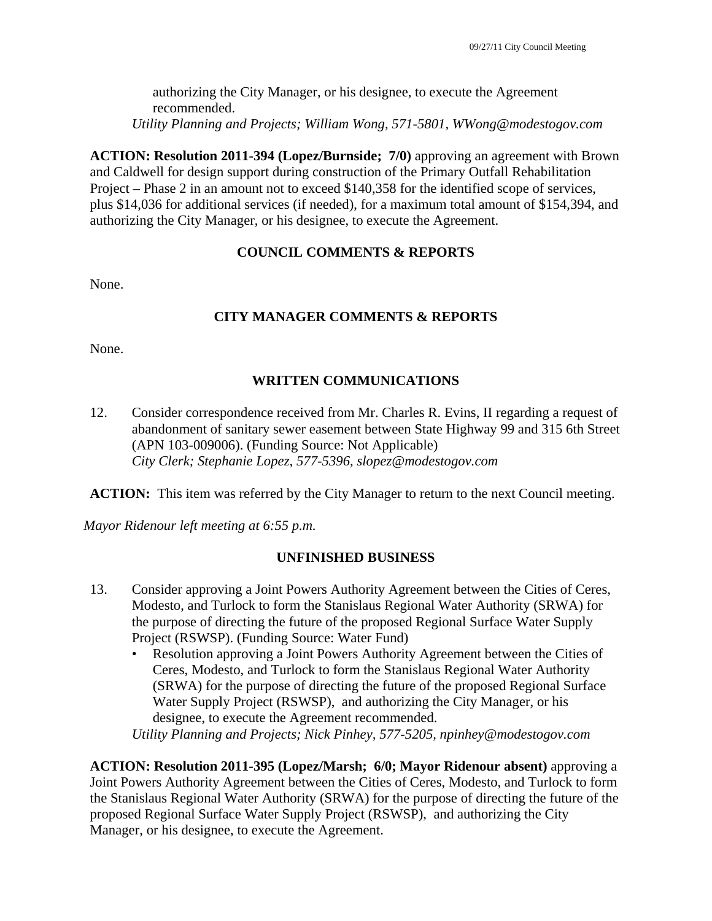authorizing the City Manager, or his designee, to execute the Agreement recommended. *Utility Planning and Projects; William Wong, 571-5801, WWong@modestogov.com* 

**ACTION: Resolution 2011-394 (Lopez/Burnside; 7/0)** approving an agreement with Brown and Caldwell for design support during construction of the Primary Outfall Rehabilitation Project – Phase 2 in an amount not to exceed \$140,358 for the identified scope of services, plus \$14,036 for additional services (if needed), for a maximum total amount of \$154,394, and authorizing the City Manager, or his designee, to execute the Agreement.

## **COUNCIL COMMENTS & REPORTS**

None.

## **CITY MANAGER COMMENTS & REPORTS**

None.

## **WRITTEN COMMUNICATIONS**

12. Consider correspondence received from Mr. Charles R. Evins, II regarding a request of abandonment of sanitary sewer easement between State Highway 99 and 315 6th Street (APN 103-009006). (Funding Source: Not Applicable)  *City Clerk; Stephanie Lopez, 577-5396, slopez@modestogov.com* 

**ACTION:** This item was referred by the City Manager to return to the next Council meeting.

*Mayor Ridenour left meeting at 6:55 p.m.* 

### **UNFINISHED BUSINESS**

- 13. Consider approving a Joint Powers Authority Agreement between the Cities of Ceres, Modesto, and Turlock to form the Stanislaus Regional Water Authority (SRWA) for the purpose of directing the future of the proposed Regional Surface Water Supply Project (RSWSP). (Funding Source: Water Fund)
	- Resolution approving a Joint Powers Authority Agreement between the Cities of Ceres, Modesto, and Turlock to form the Stanislaus Regional Water Authority (SRWA) for the purpose of directing the future of the proposed Regional Surface Water Supply Project (RSWSP), and authorizing the City Manager, or his designee, to execute the Agreement recommended.

*Utility Planning and Projects; Nick Pinhey, 577-5205, npinhey@modestogov.com* 

**ACTION: Resolution 2011-395 (Lopez/Marsh; 6/0; Mayor Ridenour absent)** approving a Joint Powers Authority Agreement between the Cities of Ceres, Modesto, and Turlock to form the Stanislaus Regional Water Authority (SRWA) for the purpose of directing the future of the proposed Regional Surface Water Supply Project (RSWSP), and authorizing the City Manager, or his designee, to execute the Agreement.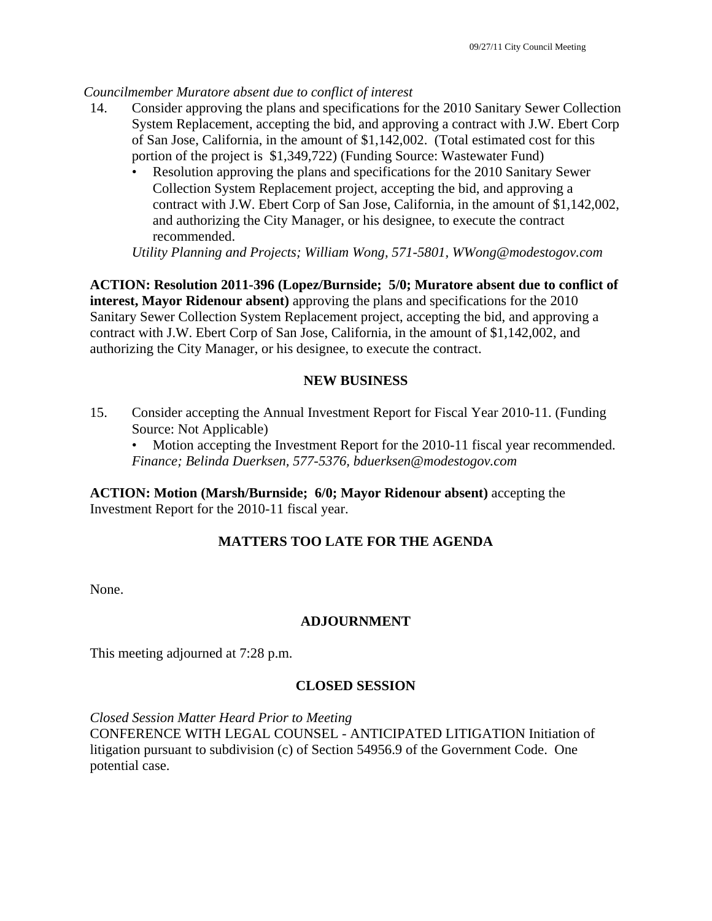### *Councilmember Muratore absent due to conflict of interest*

- 14. Consider approving the plans and specifications for the 2010 Sanitary Sewer Collection System Replacement, accepting the bid, and approving a contract with J.W. Ebert Corp of San Jose, California, in the amount of \$1,142,002. (Total estimated cost for this portion of the project is \$1,349,722) (Funding Source: Wastewater Fund)
	- Resolution approving the plans and specifications for the 2010 Sanitary Sewer Collection System Replacement project, accepting the bid, and approving a contract with J.W. Ebert Corp of San Jose, California, in the amount of \$1,142,002, and authorizing the City Manager, or his designee, to execute the contract recommended.

*Utility Planning and Projects; William Wong, 571-5801, WWong@modestogov.com* 

**ACTION: Resolution 2011-396 (Lopez/Burnside; 5/0; Muratore absent due to conflict of interest, Mayor Ridenour absent)** approving the plans and specifications for the 2010 Sanitary Sewer Collection System Replacement project, accepting the bid, and approving a contract with J.W. Ebert Corp of San Jose, California, in the amount of \$1,142,002, and authorizing the City Manager, or his designee, to execute the contract.

## **NEW BUSINESS**

15. Consider accepting the Annual Investment Report for Fiscal Year 2010-11. (Funding Source: Not Applicable)

Motion accepting the Investment Report for the 2010-11 fiscal year recommended. *Finance; Belinda Duerksen, 577-5376, bduerksen@modestogov.com* 

**ACTION: Motion (Marsh/Burnside; 6/0; Mayor Ridenour absent)** accepting the Investment Report for the 2010-11 fiscal year.

# **MATTERS TOO LATE FOR THE AGENDA**

None.

## **ADJOURNMENT**

This meeting adjourned at 7:28 p.m.

## **CLOSED SESSION**

*Closed Session Matter Heard Prior to Meeting* CONFERENCE WITH LEGAL COUNSEL - ANTICIPATED LITIGATION Initiation of litigation pursuant to subdivision (c) of Section 54956.9 of the Government Code. One potential case.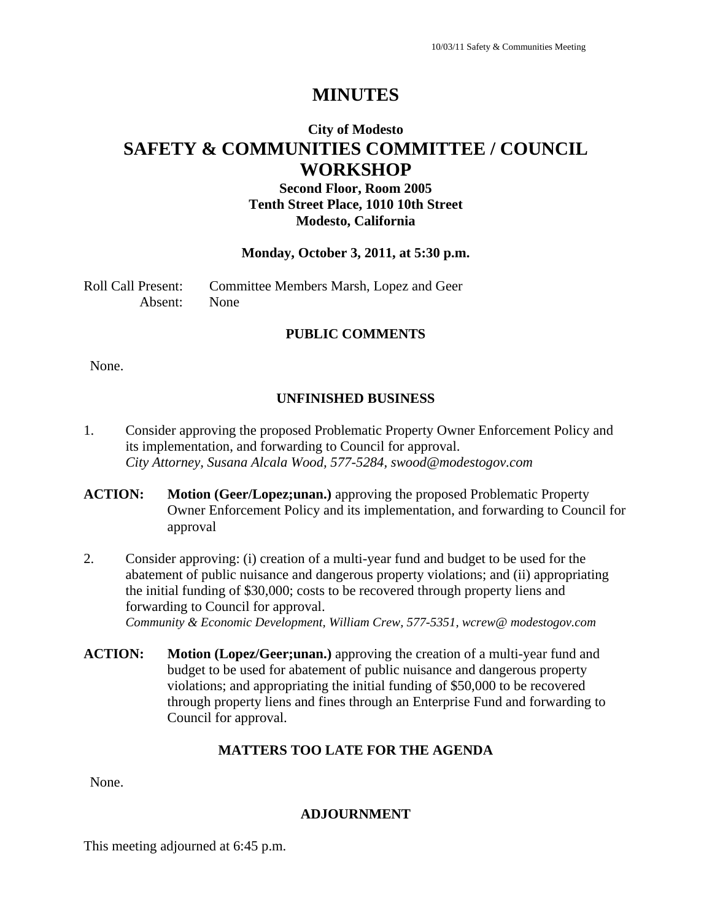# **City of Modesto SAFETY & COMMUNITIES COMMITTEE / COUNCIL WORKSHOP**

## **Second Floor, Room 2005 Tenth Street Place, 1010 10th Street Modesto, California**

### **Monday, October 3, 2011, at 5:30 p.m.**

Roll Call Present: Committee Members Marsh, Lopez and Geer Absent: None

### **PUBLIC COMMENTS**

None.

### **UNFINISHED BUSINESS**

- 1. Consider approving the proposed Problematic Property Owner Enforcement Policy and its implementation, and forwarding to Council for approval.  *City Attorney, Susana Alcala Wood, 577-5284, swood@modestogov.com*
- **ACTION: Motion (Geer/Lopez;unan.)** approving the proposed Problematic Property Owner Enforcement Policy and its implementation, and forwarding to Council for approval
- 2. Consider approving: (i) creation of a multi-year fund and budget to be used for the abatement of public nuisance and dangerous property violations; and (ii) appropriating the initial funding of \$30,000; costs to be recovered through property liens and forwarding to Council for approval. *Community & Economic Development, William Crew, 577-5351, wcrew@ modestogov.com*
- **ACTION: Motion (Lopez/Geer;unan.)** approving the creation of a multi-year fund and budget to be used for abatement of public nuisance and dangerous property violations; and appropriating the initial funding of \$50,000 to be recovered through property liens and fines through an Enterprise Fund and forwarding to Council for approval.

#### **MATTERS TOO LATE FOR THE AGENDA**

None.

#### **ADJOURNMENT**

This meeting adjourned at 6:45 p.m.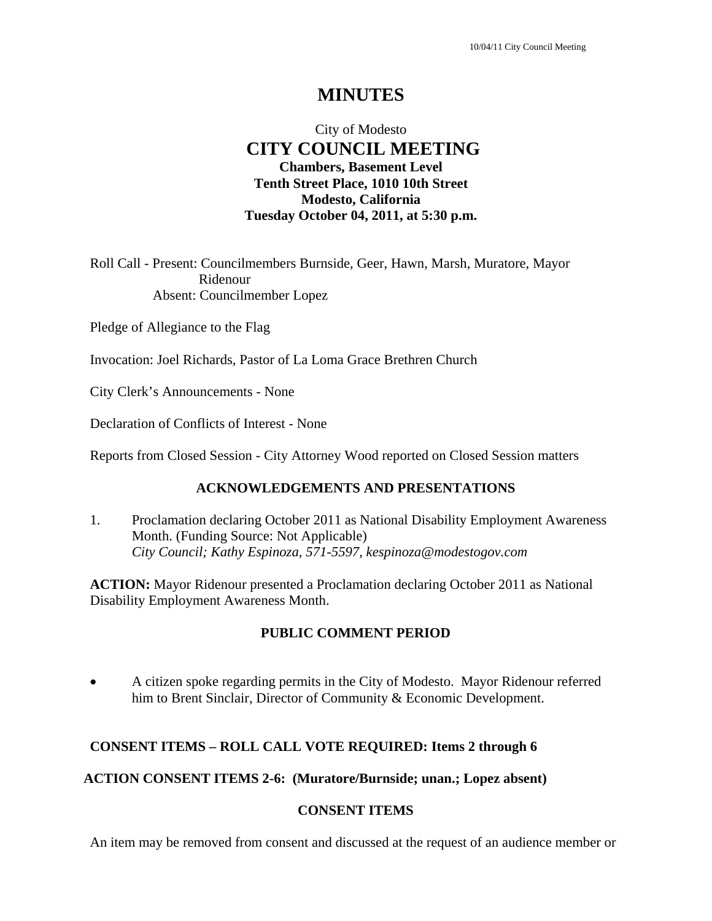# City of Modesto  **CITY COUNCIL MEETING Chambers, Basement Level Tenth Street Place, 1010 10th Street Modesto, California Tuesday October 04, 2011, at 5:30 p.m.**

Roll Call - Present: Councilmembers Burnside, Geer, Hawn, Marsh, Muratore, Mayor Ridenour Absent: Councilmember Lopez

Pledge of Allegiance to the Flag

Invocation: Joel Richards, Pastor of La Loma Grace Brethren Church

City Clerk's Announcements - None

Declaration of Conflicts of Interest - None

Reports from Closed Session - City Attorney Wood reported on Closed Session matters

### **ACKNOWLEDGEMENTS AND PRESENTATIONS**

1. Proclamation declaring October 2011 as National Disability Employment Awareness Month. (Funding Source: Not Applicable)  *City Council; Kathy Espinoza, 571-5597, kespinoza@modestogov.com* 

**ACTION:** Mayor Ridenour presented a Proclamation declaring October 2011 as National Disability Employment Awareness Month.

### **PUBLIC COMMENT PERIOD**

 A citizen spoke regarding permits in the City of Modesto. Mayor Ridenour referred him to Brent Sinclair, Director of Community & Economic Development.

### **CONSENT ITEMS – ROLL CALL VOTE REQUIRED: Items 2 through 6**

#### **ACTION CONSENT ITEMS 2-6: (Muratore/Burnside; unan.; Lopez absent)**

#### **CONSENT ITEMS**

An item may be removed from consent and discussed at the request of an audience member or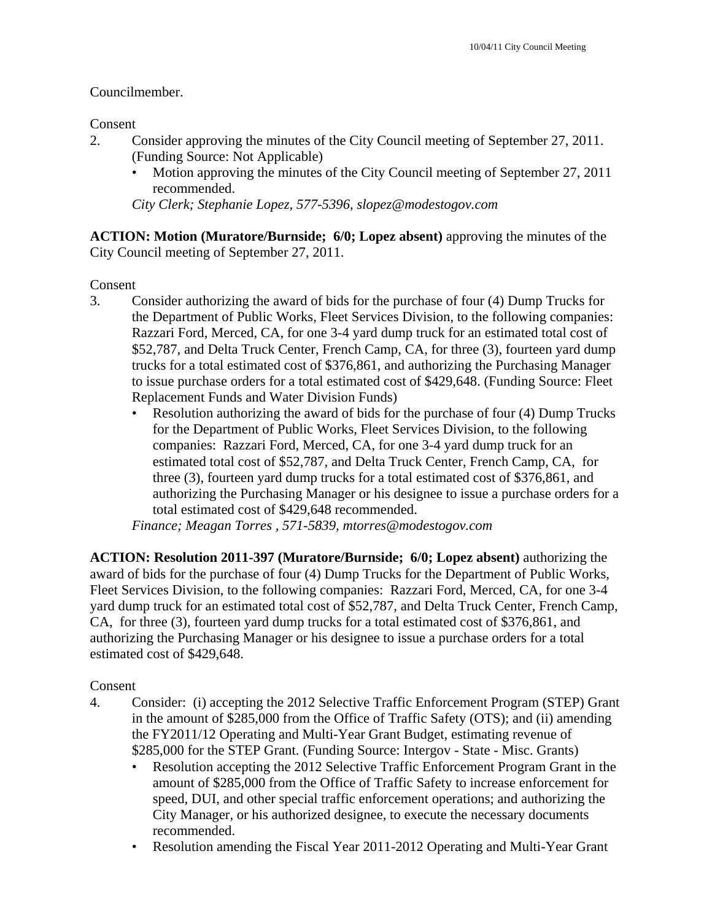## Councilmember.

Consent

- 2. Consider approving the minutes of the City Council meeting of September 27, 2011. (Funding Source: Not Applicable)
	- Motion approving the minutes of the City Council meeting of September 27, 2011 recommended.

*City Clerk; Stephanie Lopez, 577-5396, slopez@modestogov.com* 

**ACTION: Motion (Muratore/Burnside; 6/0; Lopez absent)** approving the minutes of the City Council meeting of September 27, 2011.

Consent

- 3. Consider authorizing the award of bids for the purchase of four (4) Dump Trucks for the Department of Public Works, Fleet Services Division, to the following companies: Razzari Ford, Merced, CA, for one 3-4 yard dump truck for an estimated total cost of \$52,787, and Delta Truck Center, French Camp, CA, for three (3), fourteen yard dump trucks for a total estimated cost of \$376,861, and authorizing the Purchasing Manager to issue purchase orders for a total estimated cost of \$429,648. (Funding Source: Fleet Replacement Funds and Water Division Funds)
	- Resolution authorizing the award of bids for the purchase of four (4) Dump Trucks for the Department of Public Works, Fleet Services Division, to the following companies: Razzari Ford, Merced, CA, for one 3-4 yard dump truck for an estimated total cost of \$52,787, and Delta Truck Center, French Camp, CA, for three (3), fourteen yard dump trucks for a total estimated cost of \$376,861, and authorizing the Purchasing Manager or his designee to issue a purchase orders for a total estimated cost of \$429,648 recommended.

*Finance; Meagan Torres , 571-5839, mtorres@modestogov.com* 

**ACTION: Resolution 2011-397 (Muratore/Burnside; 6/0; Lopez absent)** authorizing the award of bids for the purchase of four (4) Dump Trucks for the Department of Public Works, Fleet Services Division, to the following companies: Razzari Ford, Merced, CA, for one 3-4 yard dump truck for an estimated total cost of \$52,787, and Delta Truck Center, French Camp, CA, for three (3), fourteen yard dump trucks for a total estimated cost of \$376,861, and authorizing the Purchasing Manager or his designee to issue a purchase orders for a total estimated cost of \$429,648.

# Consent

- 4. Consider: (i) accepting the 2012 Selective Traffic Enforcement Program (STEP) Grant in the amount of \$285,000 from the Office of Traffic Safety (OTS); and (ii) amending the FY2011/12 Operating and Multi-Year Grant Budget, estimating revenue of \$285,000 for the STEP Grant. (Funding Source: Intergov - State - Misc. Grants)
	- Resolution accepting the 2012 Selective Traffic Enforcement Program Grant in the amount of \$285,000 from the Office of Traffic Safety to increase enforcement for speed, DUI, and other special traffic enforcement operations; and authorizing the City Manager, or his authorized designee, to execute the necessary documents recommended.
	- Resolution amending the Fiscal Year 2011-2012 Operating and Multi-Year Grant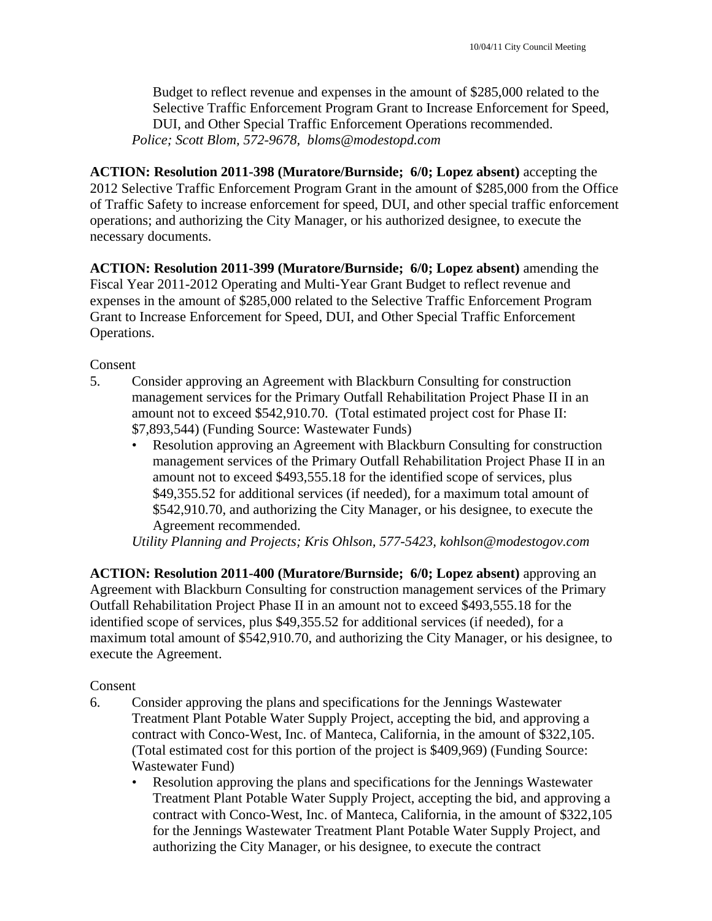Budget to reflect revenue and expenses in the amount of \$285,000 related to the Selective Traffic Enforcement Program Grant to Increase Enforcement for Speed, DUI, and Other Special Traffic Enforcement Operations recommended. *Police; Scott Blom, 572-9678, bloms@modestopd.com* 

**ACTION: Resolution 2011-398 (Muratore/Burnside; 6/0; Lopez absent)** accepting the 2012 Selective Traffic Enforcement Program Grant in the amount of \$285,000 from the Office of Traffic Safety to increase enforcement for speed, DUI, and other special traffic enforcement operations; and authorizing the City Manager, or his authorized designee, to execute the necessary documents.

**ACTION: Resolution 2011-399 (Muratore/Burnside; 6/0; Lopez absent)** amending the Fiscal Year 2011-2012 Operating and Multi-Year Grant Budget to reflect revenue and expenses in the amount of \$285,000 related to the Selective Traffic Enforcement Program Grant to Increase Enforcement for Speed, DUI, and Other Special Traffic Enforcement Operations.

Consent

- 5. Consider approving an Agreement with Blackburn Consulting for construction management services for the Primary Outfall Rehabilitation Project Phase II in an amount not to exceed \$542,910.70. (Total estimated project cost for Phase II: \$7,893,544) (Funding Source: Wastewater Funds)
	- Resolution approving an Agreement with Blackburn Consulting for construction management services of the Primary Outfall Rehabilitation Project Phase II in an amount not to exceed \$493,555.18 for the identified scope of services, plus \$49,355.52 for additional services (if needed), for a maximum total amount of \$542,910.70, and authorizing the City Manager, or his designee, to execute the Agreement recommended.

*Utility Planning and Projects; Kris Ohlson, 577-5423, kohlson@modestogov.com* 

**ACTION: Resolution 2011-400 (Muratore/Burnside; 6/0; Lopez absent)** approving an Agreement with Blackburn Consulting for construction management services of the Primary Outfall Rehabilitation Project Phase II in an amount not to exceed \$493,555.18 for the identified scope of services, plus \$49,355.52 for additional services (if needed), for a maximum total amount of \$542,910.70, and authorizing the City Manager, or his designee, to execute the Agreement.

### Consent

- 6. Consider approving the plans and specifications for the Jennings Wastewater Treatment Plant Potable Water Supply Project, accepting the bid, and approving a contract with Conco-West, Inc. of Manteca, California, in the amount of \$322,105. (Total estimated cost for this portion of the project is \$409,969) (Funding Source: Wastewater Fund)
	- Resolution approving the plans and specifications for the Jennings Wastewater Treatment Plant Potable Water Supply Project, accepting the bid, and approving a contract with Conco-West, Inc. of Manteca, California, in the amount of \$322,105 for the Jennings Wastewater Treatment Plant Potable Water Supply Project, and authorizing the City Manager, or his designee, to execute the contract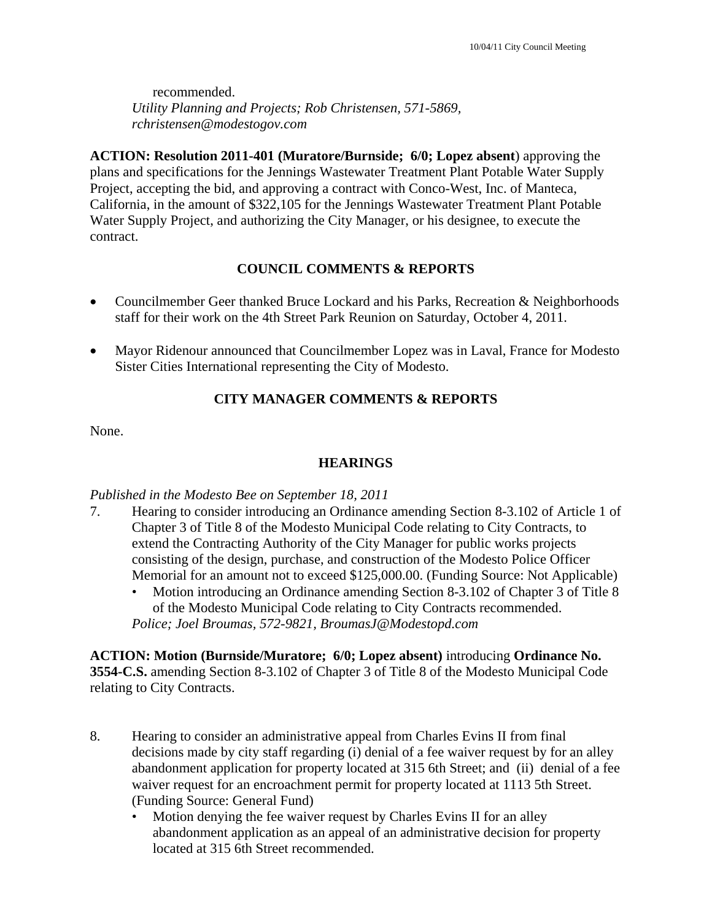recommended. *Utility Planning and Projects; Rob Christensen, 571-5869, rchristensen@modestogov.com* 

**ACTION: Resolution 2011-401 (Muratore/Burnside; 6/0; Lopez absent**) approving the plans and specifications for the Jennings Wastewater Treatment Plant Potable Water Supply Project, accepting the bid, and approving a contract with Conco-West, Inc. of Manteca, California, in the amount of \$322,105 for the Jennings Wastewater Treatment Plant Potable Water Supply Project, and authorizing the City Manager, or his designee, to execute the contract.

## **COUNCIL COMMENTS & REPORTS**

- Councilmember Geer thanked Bruce Lockard and his Parks, Recreation & Neighborhoods staff for their work on the 4th Street Park Reunion on Saturday, October 4, 2011.
- Mayor Ridenour announced that Councilmember Lopez was in Laval, France for Modesto Sister Cities International representing the City of Modesto.

## **CITY MANAGER COMMENTS & REPORTS**

None.

## **HEARINGS**

### *Published in the Modesto Bee on September 18, 2011*

- 7. Hearing to consider introducing an Ordinance amending Section 8-3.102 of Article 1 of Chapter 3 of Title 8 of the Modesto Municipal Code relating to City Contracts, to extend the Contracting Authority of the City Manager for public works projects consisting of the design, purchase, and construction of the Modesto Police Officer Memorial for an amount not to exceed \$125,000.00. (Funding Source: Not Applicable)
	- Motion introducing an Ordinance amending Section 8-3.102 of Chapter 3 of Title 8 of the Modesto Municipal Code relating to City Contracts recommended. *Police; Joel Broumas, 572-9821, BroumasJ@Modestopd.com*

**ACTION: Motion (Burnside/Muratore; 6/0; Lopez absent)** introducing **Ordinance No. 3554-C.S.** amending Section 8-3.102 of Chapter 3 of Title 8 of the Modesto Municipal Code relating to City Contracts.

- 8. Hearing to consider an administrative appeal from Charles Evins II from final decisions made by city staff regarding (i) denial of a fee waiver request by for an alley abandonment application for property located at 315 6th Street; and (ii) denial of a fee waiver request for an encroachment permit for property located at 1113 5th Street. (Funding Source: General Fund)
	- Motion denying the fee waiver request by Charles Evins II for an alley abandonment application as an appeal of an administrative decision for property located at 315 6th Street recommended.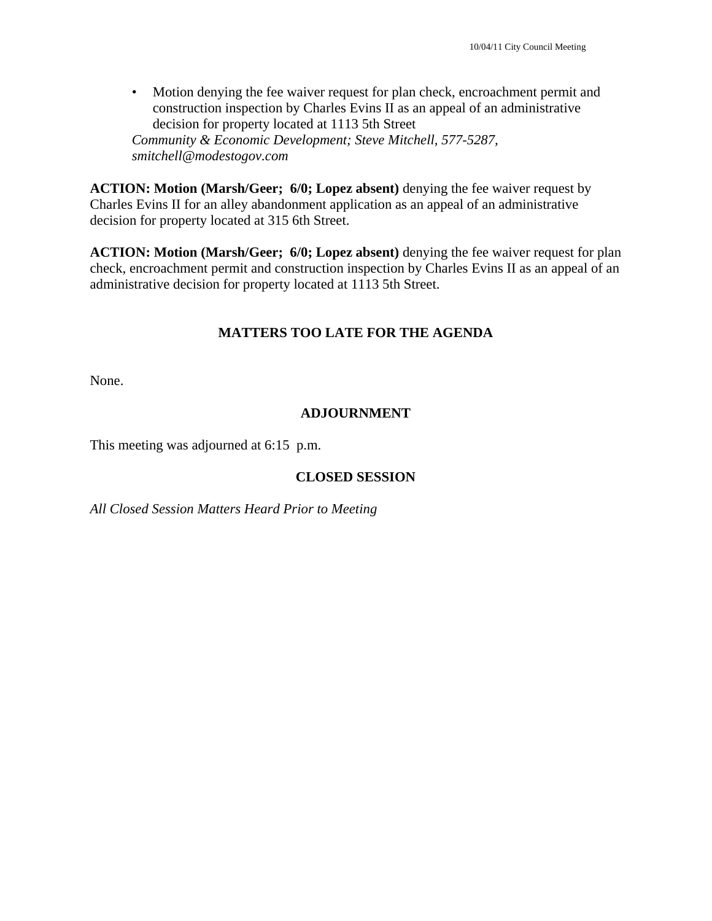• Motion denying the fee waiver request for plan check, encroachment permit and construction inspection by Charles Evins II as an appeal of an administrative decision for property located at 1113 5th Street *Community & Economic Development; Steve Mitchell, 577-5287, smitchell@modestogov.com* 

**ACTION: Motion (Marsh/Geer; 6/0; Lopez absent)** denying the fee waiver request by Charles Evins II for an alley abandonment application as an appeal of an administrative decision for property located at 315 6th Street.

**ACTION: Motion (Marsh/Geer; 6/0; Lopez absent)** denying the fee waiver request for plan check, encroachment permit and construction inspection by Charles Evins II as an appeal of an administrative decision for property located at 1113 5th Street.

## **MATTERS TOO LATE FOR THE AGENDA**

None.

## **ADJOURNMENT**

This meeting was adjourned at 6:15 p.m.

## **CLOSED SESSION**

*All Closed Session Matters Heard Prior to Meeting*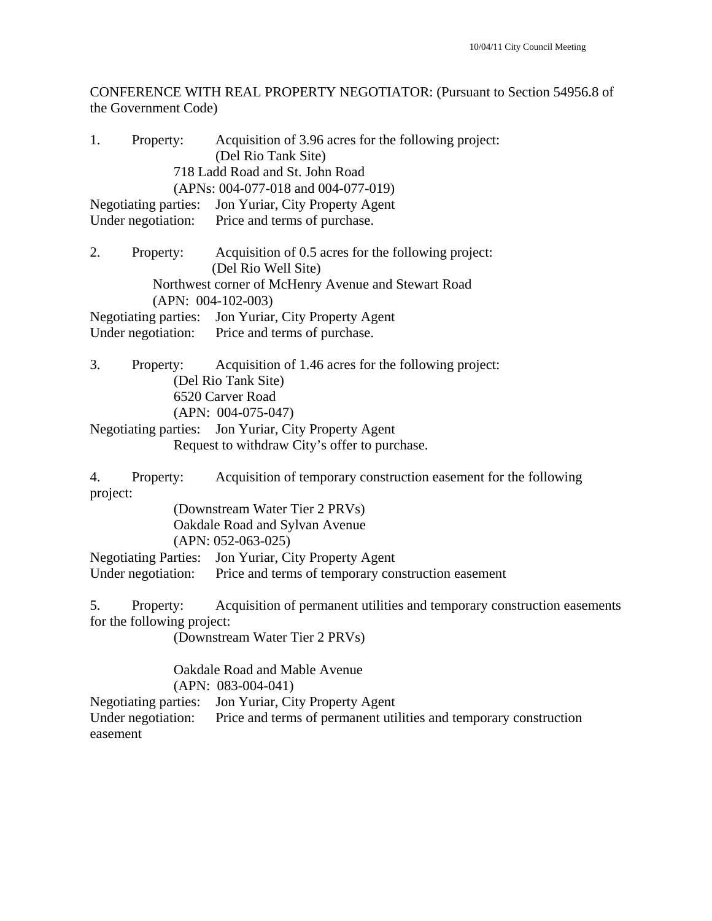CONFERENCE WITH REAL PROPERTY NEGOTIATOR: (Pursuant to Section 54956.8 of the Government Code)

| 1.                 | Property:                               | Acquisition of 3.96 acres for the following project:                        |
|--------------------|-----------------------------------------|-----------------------------------------------------------------------------|
|                    |                                         | (Del Rio Tank Site)                                                         |
|                    |                                         | 718 Ladd Road and St. John Road                                             |
|                    |                                         | (APNs: 004-077-018 and 004-077-019)                                         |
|                    |                                         | Negotiating parties: Jon Yuriar, City Property Agent                        |
|                    |                                         | Under negotiation: Price and terms of purchase.                             |
| 2.                 | Property:                               | Acquisition of 0.5 acres for the following project:                         |
|                    |                                         | (Del Rio Well Site)                                                         |
|                    |                                         | Northwest corner of McHenry Avenue and Stewart Road<br>$(APN: 004-102-003)$ |
|                    | Negotiating parties:                    | Jon Yuriar, City Property Agent                                             |
|                    |                                         | Under negotiation: Price and terms of purchase.                             |
| 3.                 | Property:                               | Acquisition of 1.46 acres for the following project:                        |
|                    |                                         | (Del Rio Tank Site)                                                         |
|                    |                                         | 6520 Carver Road                                                            |
|                    |                                         | $(APN: 004-075-047)$                                                        |
|                    |                                         | Negotiating parties: Jon Yuriar, City Property Agent                        |
|                    |                                         | Request to withdraw City's offer to purchase.                               |
| 4.<br>project:     | Property:                               | Acquisition of temporary construction easement for the following            |
|                    |                                         | (Downstream Water Tier 2 PRVs)                                              |
|                    |                                         | Oakdale Road and Sylvan Avenue                                              |
|                    |                                         | $(APN: 052-063-025)$                                                        |
|                    |                                         | Negotiating Parties: Jon Yuriar, City Property Agent                        |
|                    |                                         | Under negotiation: Price and terms of temporary construction easement       |
| 5.                 | Property:<br>for the following project: | Acquisition of permanent utilities and temporary construction easements     |
|                    |                                         |                                                                             |
|                    |                                         | (Downstream Water Tier 2 PRVs)                                              |
|                    |                                         | Oakdale Road and Mable Avenue                                               |
|                    |                                         | $(APN: 083-004-041)$                                                        |
|                    |                                         | Negotiating parties: Jon Yuriar, City Property Agent                        |
| Under negotiation: |                                         | Price and terms of permanent utilities and temporary construction           |

easement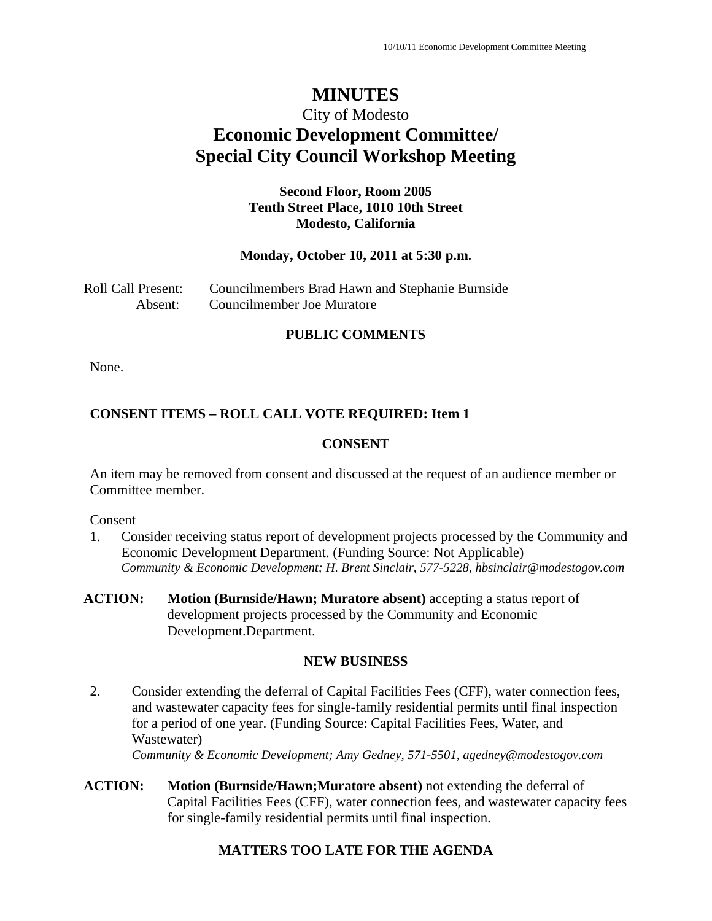# City of Modesto **Economic Development Committee/ Special City Council Workshop Meeting**

## **Second Floor, Room 2005 Tenth Street Place, 1010 10th Street Modesto, California**

### **Monday, October 10, 2011 at 5:30 p.m.**

| Roll Call Present: | Councilmembers Brad Hawn and Stephanie Burnside |
|--------------------|-------------------------------------------------|
| Absent:            | Councilmember Joe Muratore                      |

### **PUBLIC COMMENTS**

None.

## **CONSENT ITEMS – ROLL CALL VOTE REQUIRED: Item 1**

## **CONSENT**

An item may be removed from consent and discussed at the request of an audience member or Committee member.

Consent

- 1. Consider receiving status report of development projects processed by the Community and Economic Development Department. (Funding Source: Not Applicable) *Community & Economic Development; H. Brent Sinclair, 577-5228, hbsinclair@modestogov.com*
- **ACTION:** Motion (Burnside/Hawn; Muratore absent) accepting a status report of development projects processed by the Community and Economic Development.Department.

### **NEW BUSINESS**

- 2. Consider extending the deferral of Capital Facilities Fees (CFF), water connection fees, and wastewater capacity fees for single-family residential permits until final inspection for a period of one year. (Funding Source: Capital Facilities Fees, Water, and Wastewater) *Community & Economic Development; Amy Gedney, 571-5501, agedney@modestogov.com*
- **ACTION: Motion (Burnside/Hawn;Muratore absent)** not extending the deferral of Capital Facilities Fees (CFF), water connection fees, and wastewater capacity fees for single-family residential permits until final inspection.

# **MATTERS TOO LATE FOR THE AGENDA**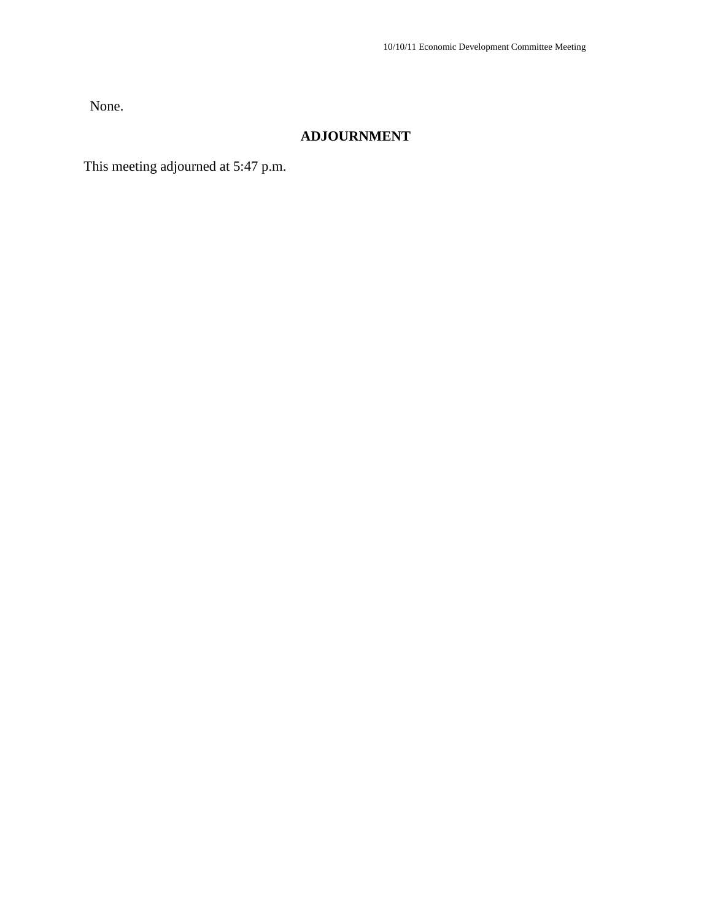None.

# **ADJOURNMENT**

This meeting adjourned at 5:47 p.m.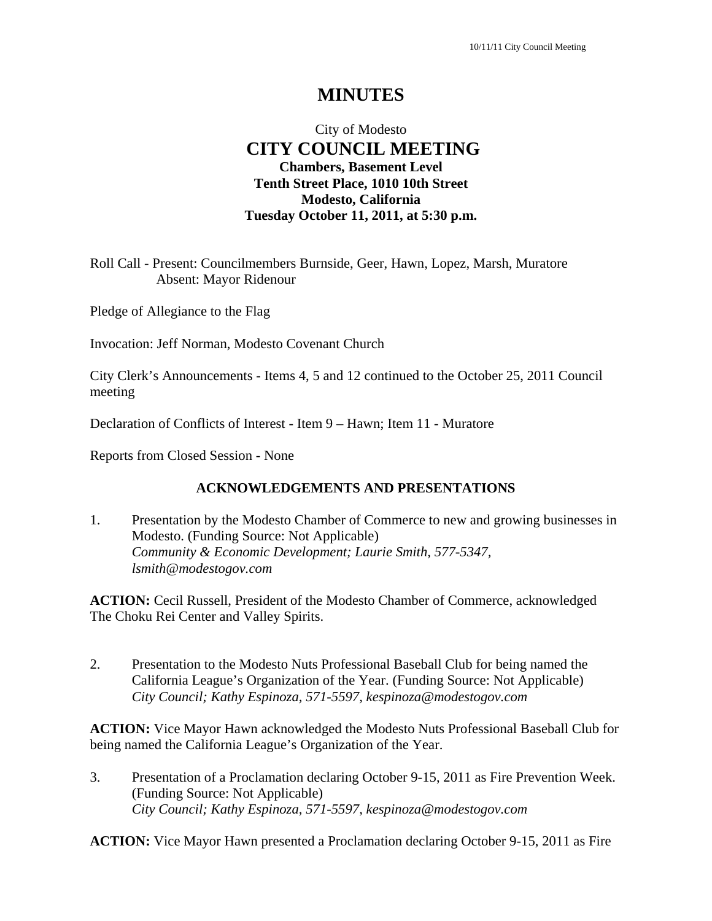## City of Modesto  **CITY COUNCIL MEETING Chambers, Basement Level Tenth Street Place, 1010 10th Street Modesto, California Tuesday October 11, 2011, at 5:30 p.m.**

Roll Call - Present: Councilmembers Burnside, Geer, Hawn, Lopez, Marsh, Muratore Absent: Mayor Ridenour

Pledge of Allegiance to the Flag

Invocation: Jeff Norman, Modesto Covenant Church

City Clerk's Announcements - Items 4, 5 and 12 continued to the October 25, 2011 Council meeting

Declaration of Conflicts of Interest - Item 9 – Hawn; Item 11 - Muratore

Reports from Closed Session - None

### **ACKNOWLEDGEMENTS AND PRESENTATIONS**

1. Presentation by the Modesto Chamber of Commerce to new and growing businesses in Modesto. (Funding Source: Not Applicable)  *Community & Economic Development; Laurie Smith, 577-5347, lsmith@modestogov.com* 

**ACTION:** Cecil Russell, President of the Modesto Chamber of Commerce, acknowledged The Choku Rei Center and Valley Spirits.

2. Presentation to the Modesto Nuts Professional Baseball Club for being named the California League's Organization of the Year. (Funding Source: Not Applicable)  *City Council; Kathy Espinoza, 571-5597, kespinoza@modestogov.com* 

**ACTION:** Vice Mayor Hawn acknowledged the Modesto Nuts Professional Baseball Club for being named the California League's Organization of the Year.

3. Presentation of a Proclamation declaring October 9-15, 2011 as Fire Prevention Week. (Funding Source: Not Applicable)  *City Council; Kathy Espinoza, 571-5597, kespinoza@modestogov.com* 

**ACTION:** Vice Mayor Hawn presented a Proclamation declaring October 9-15, 2011 as Fire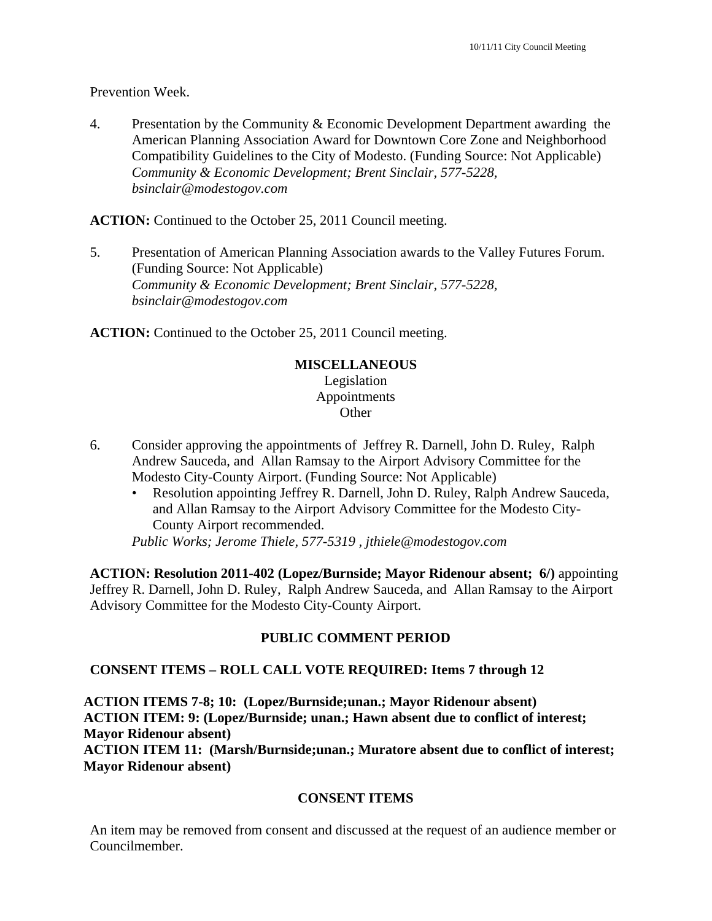Prevention Week.

4. Presentation by the Community & Economic Development Department awarding the American Planning Association Award for Downtown Core Zone and Neighborhood Compatibility Guidelines to the City of Modesto. (Funding Source: Not Applicable)  *Community & Economic Development; Brent Sinclair, 577-5228, bsinclair@modestogov.com* 

**ACTION:** Continued to the October 25, 2011 Council meeting.

5. Presentation of American Planning Association awards to the Valley Futures Forum. (Funding Source: Not Applicable)  *Community & Economic Development; Brent Sinclair, 577-5228, bsinclair@modestogov.com* 

**ACTION:** Continued to the October 25, 2011 Council meeting.

# **MISCELLANEOUS**

Legislation Appointments **Other** 

- 6. Consider approving the appointments of Jeffrey R. Darnell, John D. Ruley, Ralph Andrew Sauceda, and Allan Ramsay to the Airport Advisory Committee for the Modesto City-County Airport. (Funding Source: Not Applicable)
	- Resolution appointing Jeffrey R. Darnell, John D. Ruley, Ralph Andrew Sauceda, and Allan Ramsay to the Airport Advisory Committee for the Modesto City-County Airport recommended.

*Public Works; Jerome Thiele, 577-5319 , jthiele@modestogov.com* 

**ACTION: Resolution 2011-402 (Lopez/Burnside; Mayor Ridenour absent; 6/)** appointing Jeffrey R. Darnell, John D. Ruley, Ralph Andrew Sauceda, and Allan Ramsay to the Airport Advisory Committee for the Modesto City-County Airport.

## **PUBLIC COMMENT PERIOD**

## **CONSENT ITEMS – ROLL CALL VOTE REQUIRED: Items 7 through 12**

**ACTION ITEMS 7-8; 10: (Lopez/Burnside;unan.; Mayor Ridenour absent) ACTION ITEM: 9: (Lopez/Burnside; unan.; Hawn absent due to conflict of interest; Mayor Ridenour absent) ACTION ITEM 11: (Marsh/Burnside;unan.; Muratore absent due to conflict of interest; Mayor Ridenour absent)** 

### **CONSENT ITEMS**

An item may be removed from consent and discussed at the request of an audience member or Councilmember.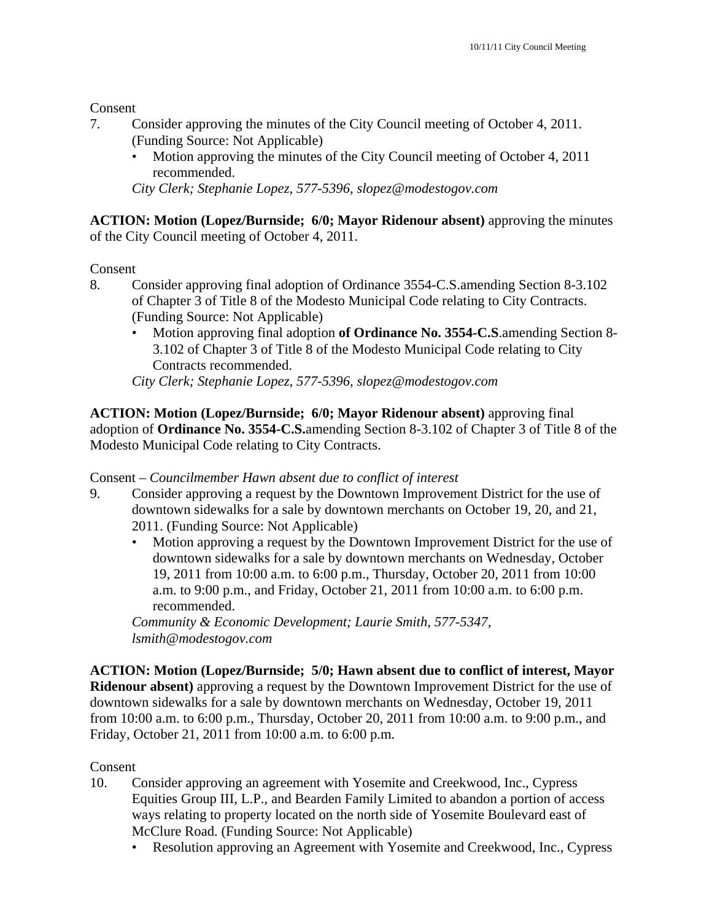Consent

- 7. Consider approving the minutes of the City Council meeting of October 4, 2011. (Funding Source: Not Applicable)
	- Motion approving the minutes of the City Council meeting of October 4, 2011 recommended.

*City Clerk; Stephanie Lopez, 577-5396, slopez@modestogov.com* 

**ACTION: Motion (Lopez/Burnside; 6/0; Mayor Ridenour absent)** approving the minutes of the City Council meeting of October 4, 2011.

## Consent

- 8. Consider approving final adoption of Ordinance 3554-C.S.amending Section 8-3.102 of Chapter 3 of Title 8 of the Modesto Municipal Code relating to City Contracts. (Funding Source: Not Applicable)
	- Motion approving final adoption **of Ordinance No. 3554-C.S**.amending Section 8- 3.102 of Chapter 3 of Title 8 of the Modesto Municipal Code relating to City Contracts recommended.

*City Clerk; Stephanie Lopez, 577-5396, slopez@modestogov.com* 

**ACTION: Motion (Lopez/Burnside; 6/0; Mayor Ridenour absent)** approving final adoption of **Ordinance No. 3554-C.S.**amending Section 8-3.102 of Chapter 3 of Title 8 of the Modesto Municipal Code relating to City Contracts.

Consent – *Councilmember Hawn absent due to conflict of interest*

- 9. Consider approving a request by the Downtown Improvement District for the use of downtown sidewalks for a sale by downtown merchants on October 19, 20, and 21, 2011. (Funding Source: Not Applicable)
	- Motion approving a request by the Downtown Improvement District for the use of downtown sidewalks for a sale by downtown merchants on Wednesday, October 19, 2011 from 10:00 a.m. to 6:00 p.m., Thursday, October 20, 2011 from 10:00 a.m. to 9:00 p.m., and Friday, October 21, 2011 from 10:00 a.m. to 6:00 p.m. recommended.

*Community & Economic Development; Laurie Smith, 577-5347, lsmith@modestogov.com* 

**ACTION: Motion (Lopez/Burnside; 5/0; Hawn absent due to conflict of interest, Mayor Ridenour absent)** approving a request by the Downtown Improvement District for the use of downtown sidewalks for a sale by downtown merchants on Wednesday, October 19, 2011 from 10:00 a.m. to 6:00 p.m., Thursday, October 20, 2011 from 10:00 a.m. to 9:00 p.m., and Friday, October 21, 2011 from 10:00 a.m. to 6:00 p.m.

## Consent

- 10. Consider approving an agreement with Yosemite and Creekwood, Inc., Cypress Equities Group III, L.P., and Bearden Family Limited to abandon a portion of access ways relating to property located on the north side of Yosemite Boulevard east of McClure Road. (Funding Source: Not Applicable)
	- Resolution approving an Agreement with Yosemite and Creekwood, Inc., Cypress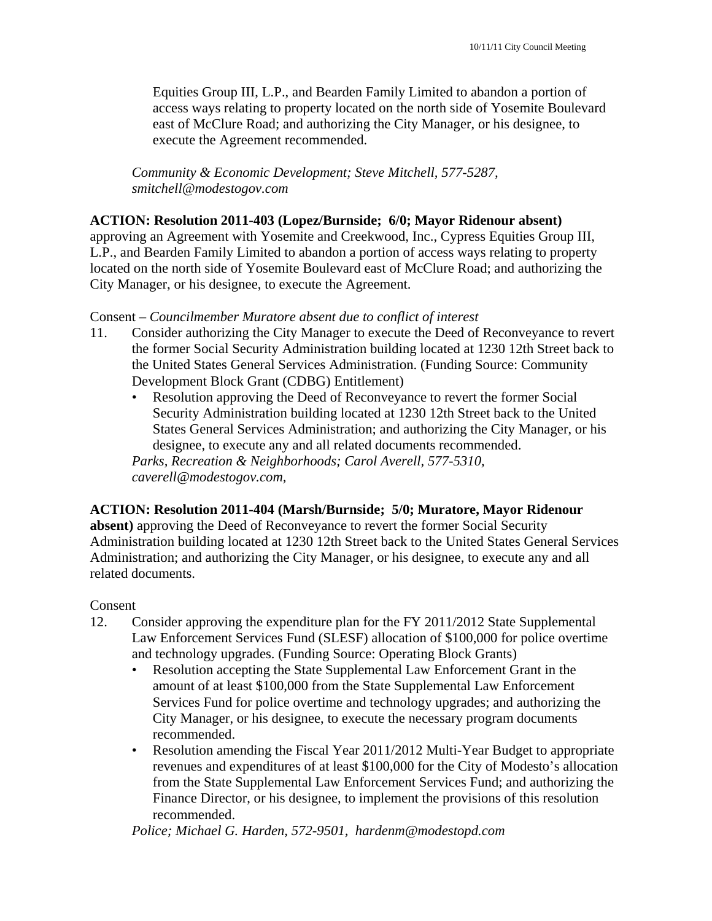Equities Group III, L.P., and Bearden Family Limited to abandon a portion of access ways relating to property located on the north side of Yosemite Boulevard east of McClure Road; and authorizing the City Manager, or his designee, to execute the Agreement recommended.

*Community & Economic Development; Steve Mitchell, 577-5287, smitchell@modestogov.com* 

### **ACTION: Resolution 2011-403 (Lopez/Burnside; 6/0; Mayor Ridenour absent)**

approving an Agreement with Yosemite and Creekwood, Inc., Cypress Equities Group III, L.P., and Bearden Family Limited to abandon a portion of access ways relating to property located on the north side of Yosemite Boulevard east of McClure Road; and authorizing the City Manager, or his designee, to execute the Agreement.

### Consent – *Councilmember Muratore absent due to conflict of interest*

- 11. Consider authorizing the City Manager to execute the Deed of Reconveyance to revert the former Social Security Administration building located at 1230 12th Street back to the United States General Services Administration. (Funding Source: Community Development Block Grant (CDBG) Entitlement)
	- Resolution approving the Deed of Reconveyance to revert the former Social Security Administration building located at 1230 12th Street back to the United States General Services Administration; and authorizing the City Manager, or his designee, to execute any and all related documents recommended.

*Parks, Recreation & Neighborhoods; Carol Averell, 577-5310, caverell@modestogov.com,* 

### **ACTION: Resolution 2011-404 (Marsh/Burnside; 5/0; Muratore, Mayor Ridenour**

**absent)** approving the Deed of Reconveyance to revert the former Social Security Administration building located at 1230 12th Street back to the United States General Services Administration; and authorizing the City Manager, or his designee, to execute any and all related documents.

#### Consent

- 12. Consider approving the expenditure plan for the FY 2011/2012 State Supplemental Law Enforcement Services Fund (SLESF) allocation of \$100,000 for police overtime and technology upgrades. (Funding Source: Operating Block Grants)
	- Resolution accepting the State Supplemental Law Enforcement Grant in the amount of at least \$100,000 from the State Supplemental Law Enforcement Services Fund for police overtime and technology upgrades; and authorizing the City Manager, or his designee, to execute the necessary program documents recommended.
	- Resolution amending the Fiscal Year 2011/2012 Multi-Year Budget to appropriate revenues and expenditures of at least \$100,000 for the City of Modesto's allocation from the State Supplemental Law Enforcement Services Fund; and authorizing the Finance Director, or his designee, to implement the provisions of this resolution recommended.

*Police; Michael G. Harden, 572-9501, hardenm@modestopd.com*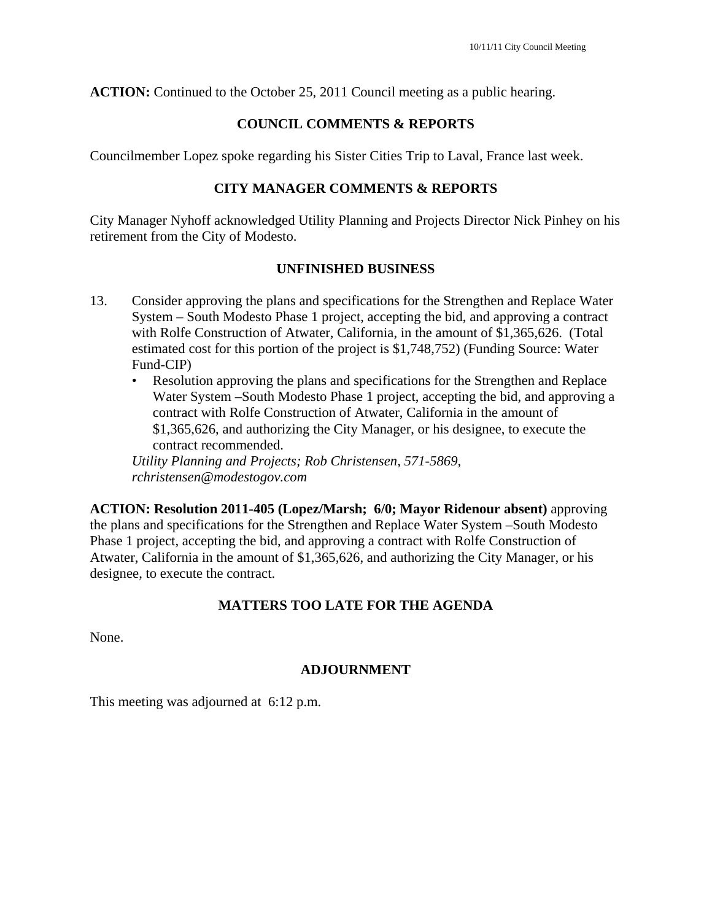**ACTION:** Continued to the October 25, 2011 Council meeting as a public hearing.

## **COUNCIL COMMENTS & REPORTS**

Councilmember Lopez spoke regarding his Sister Cities Trip to Laval, France last week.

## **CITY MANAGER COMMENTS & REPORTS**

City Manager Nyhoff acknowledged Utility Planning and Projects Director Nick Pinhey on his retirement from the City of Modesto.

## **UNFINISHED BUSINESS**

- 13. Consider approving the plans and specifications for the Strengthen and Replace Water System – South Modesto Phase 1 project, accepting the bid, and approving a contract with Rolfe Construction of Atwater, California, in the amount of \$1,365,626. (Total estimated cost for this portion of the project is \$1,748,752) (Funding Source: Water Fund-CIP)
	- Resolution approving the plans and specifications for the Strengthen and Replace Water System –South Modesto Phase 1 project, accepting the bid, and approving a contract with Rolfe Construction of Atwater, California in the amount of \$1,365,626, and authorizing the City Manager, or his designee, to execute the contract recommended.

*Utility Planning and Projects; Rob Christensen, 571-5869, rchristensen@modestogov.com* 

**ACTION: Resolution 2011-405 (Lopez/Marsh; 6/0; Mayor Ridenour absent)** approving the plans and specifications for the Strengthen and Replace Water System –South Modesto Phase 1 project, accepting the bid, and approving a contract with Rolfe Construction of Atwater, California in the amount of \$1,365,626, and authorizing the City Manager, or his designee, to execute the contract.

# **MATTERS TOO LATE FOR THE AGENDA**

None.

## **ADJOURNMENT**

This meeting was adjourned at 6:12 p.m.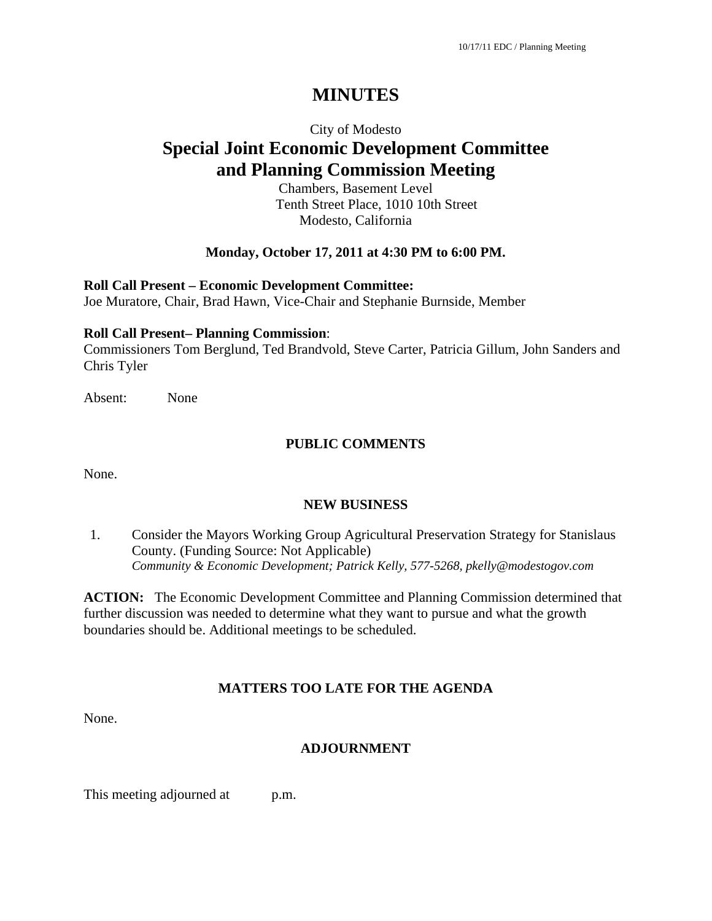### City of Modesto

# **Special Joint Economic Development Committee and Planning Commission Meeting**

Chambers, Basement Level Tenth Street Place, 1010 10th Street Modesto, California

### **Monday, October 17, 2011 at 4:30 PM to 6:00 PM.**

**Roll Call Present – Economic Development Committee:**

Joe Muratore, Chair, Brad Hawn, Vice-Chair and Stephanie Burnside, Member

#### **Roll Call Present– Planning Commission**:

Commissioners Tom Berglund, Ted Brandvold, Steve Carter, Patricia Gillum, John Sanders and Chris Tyler

Absent: None

### **PUBLIC COMMENTS**

None.

### **NEW BUSINESS**

1. Consider the Mayors Working Group Agricultural Preservation Strategy for Stanislaus County. (Funding Source: Not Applicable) *Community & Economic Development; Patrick Kelly, 577-5268, pkelly@modestogov.com* 

**ACTION:** The Economic Development Committee and Planning Commission determined that further discussion was needed to determine what they want to pursue and what the growth boundaries should be. Additional meetings to be scheduled.

### **MATTERS TOO LATE FOR THE AGENDA**

None.

### **ADJOURNMENT**

This meeting adjourned at p.m.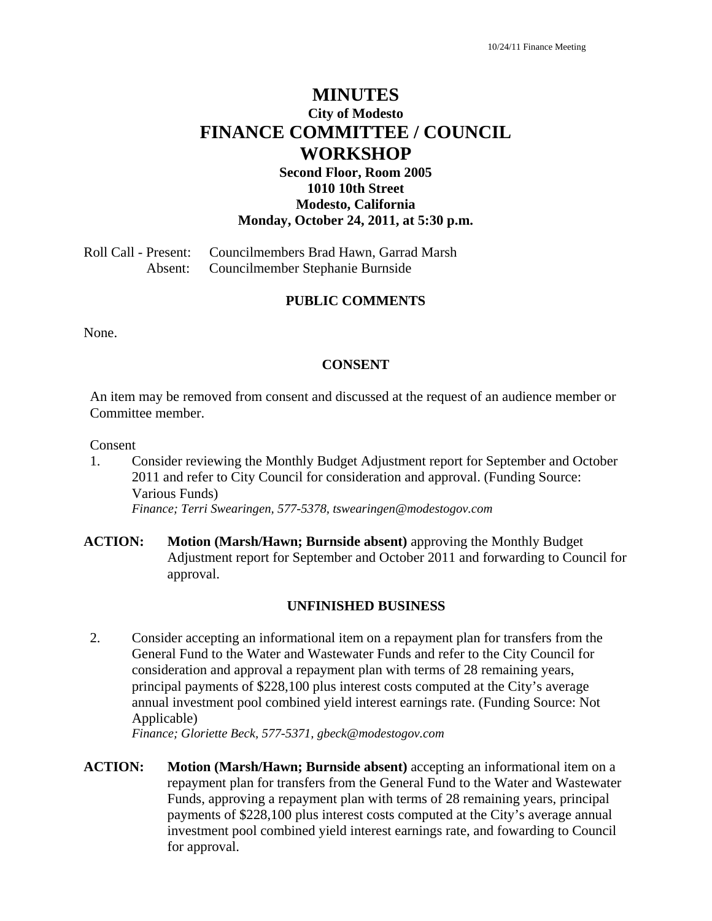# **MINUTES City of Modesto FINANCE COMMITTEE / COUNCIL WORKSHOP**

## **Second Floor, Room 2005 1010 10th Street Modesto, California Monday, October 24, 2011, at 5:30 p.m.**

Roll Call - Present: Councilmembers Brad Hawn, Garrad Marsh Absent: Councilmember Stephanie Burnside

### **PUBLIC COMMENTS**

None.

#### **CONSENT**

An item may be removed from consent and discussed at the request of an audience member or Committee member.

Consent

- 1. Consider reviewing the Monthly Budget Adjustment report for September and October 2011 and refer to City Council for consideration and approval. (Funding Source: Various Funds) *Finance; Terri Swearingen, 577-5378, tswearingen@modestogov.com*
- **ACTION: Motion (Marsh/Hawn; Burnside absent)** approving the Monthly Budget Adjustment report for September and October 2011 and forwarding to Council for approval.

#### **UNFINISHED BUSINESS**

2. Consider accepting an informational item on a repayment plan for transfers from the General Fund to the Water and Wastewater Funds and refer to the City Council for consideration and approval a repayment plan with terms of 28 remaining years, principal payments of \$228,100 plus interest costs computed at the City's average annual investment pool combined yield interest earnings rate. (Funding Source: Not Applicable)

*Finance; Gloriette Beck, 577-5371, gbeck@modestogov.com* 

**ACTION: Motion (Marsh/Hawn; Burnside absent)** accepting an informational item on a repayment plan for transfers from the General Fund to the Water and Wastewater Funds, approving a repayment plan with terms of 28 remaining years, principal payments of \$228,100 plus interest costs computed at the City's average annual investment pool combined yield interest earnings rate, and fowarding to Council for approval.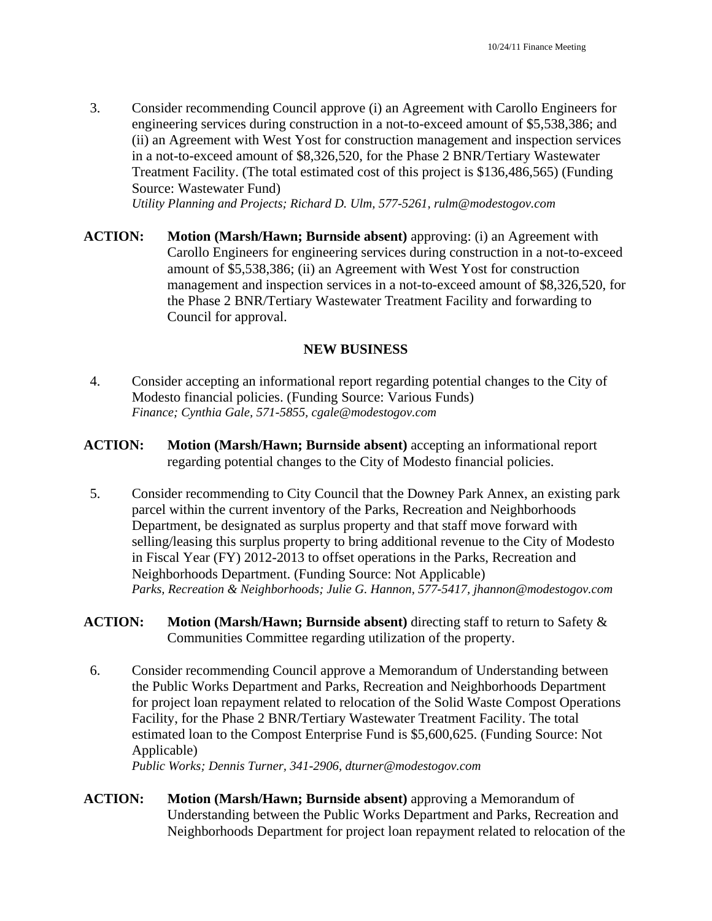3. Consider recommending Council approve (i) an Agreement with Carollo Engineers for engineering services during construction in a not-to-exceed amount of \$5,538,386; and (ii) an Agreement with West Yost for construction management and inspection services in a not-to-exceed amount of \$8,326,520, for the Phase 2 BNR/Tertiary Wastewater Treatment Facility. (The total estimated cost of this project is \$136,486,565) (Funding Source: Wastewater Fund)

*Utility Planning and Projects; Richard D. Ulm, 577-5261, rulm@modestogov.com* 

**ACTION:** Motion (Marsh/Hawn; Burnside absent) approving: (i) an Agreement with Carollo Engineers for engineering services during construction in a not-to-exceed amount of \$5,538,386; (ii) an Agreement with West Yost for construction management and inspection services in a not-to-exceed amount of \$8,326,520, for the Phase 2 BNR/Tertiary Wastewater Treatment Facility and forwarding to Council for approval.

#### **NEW BUSINESS**

- 4. Consider accepting an informational report regarding potential changes to the City of Modesto financial policies. (Funding Source: Various Funds) *Finance; Cynthia Gale, 571-5855, cgale@modestogov.com*
- **ACTION: Motion (Marsh/Hawn; Burnside absent)** accepting an informational report regarding potential changes to the City of Modesto financial policies.
- 5. Consider recommending to City Council that the Downey Park Annex, an existing park parcel within the current inventory of the Parks, Recreation and Neighborhoods Department, be designated as surplus property and that staff move forward with selling/leasing this surplus property to bring additional revenue to the City of Modesto in Fiscal Year (FY) 2012-2013 to offset operations in the Parks, Recreation and Neighborhoods Department. (Funding Source: Not Applicable) *Parks, Recreation & Neighborhoods; Julie G. Hannon, 577-5417, jhannon@modestogov.com*
- **ACTION: Motion (Marsh/Hawn; Burnside absent)** directing staff to return to Safety & Communities Committee regarding utilization of the property.
- 6. Consider recommending Council approve a Memorandum of Understanding between the Public Works Department and Parks, Recreation and Neighborhoods Department for project loan repayment related to relocation of the Solid Waste Compost Operations Facility, for the Phase 2 BNR/Tertiary Wastewater Treatment Facility. The total estimated loan to the Compost Enterprise Fund is \$5,600,625. (Funding Source: Not Applicable)

*Public Works; Dennis Turner, 341-2906, dturner@modestogov.com* 

**ACTION:** Motion (Marsh/Hawn; Burnside absent) approving a Memorandum of Understanding between the Public Works Department and Parks, Recreation and Neighborhoods Department for project loan repayment related to relocation of the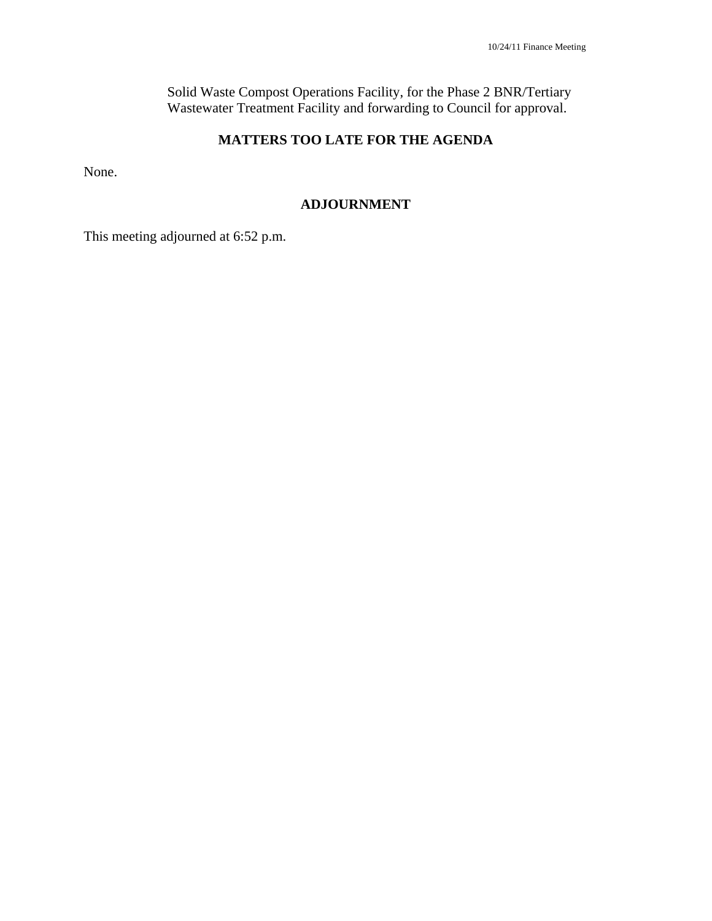Solid Waste Compost Operations Facility, for the Phase 2 BNR/Tertiary Wastewater Treatment Facility and forwarding to Council for approval.

# **MATTERS TOO LATE FOR THE AGENDA**

None.

### **ADJOURNMENT**

This meeting adjourned at 6:52 p.m.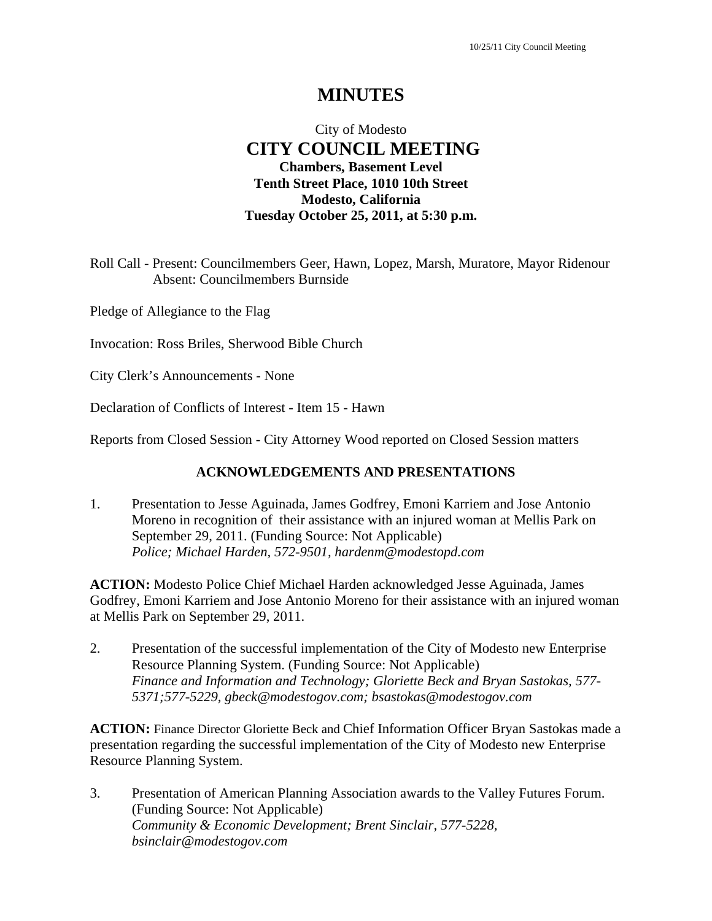# **MINUTES**

# City of Modesto  **CITY COUNCIL MEETING Chambers, Basement Level Tenth Street Place, 1010 10th Street Modesto, California Tuesday October 25, 2011, at 5:30 p.m.**

Roll Call - Present: Councilmembers Geer, Hawn, Lopez, Marsh, Muratore, Mayor Ridenour Absent: Councilmembers Burnside

Pledge of Allegiance to the Flag

Invocation: Ross Briles, Sherwood Bible Church

City Clerk's Announcements - None

Declaration of Conflicts of Interest - Item 15 - Hawn

Reports from Closed Session - City Attorney Wood reported on Closed Session matters

#### **ACKNOWLEDGEMENTS AND PRESENTATIONS**

1. Presentation to Jesse Aguinada, James Godfrey, Emoni Karriem and Jose Antonio Moreno in recognition of their assistance with an injured woman at Mellis Park on September 29, 2011. (Funding Source: Not Applicable)  *Police; Michael Harden, 572-9501, hardenm@modestopd.com* 

**ACTION:** Modesto Police Chief Michael Harden acknowledged Jesse Aguinada, James Godfrey, Emoni Karriem and Jose Antonio Moreno for their assistance with an injured woman at Mellis Park on September 29, 2011.

2. Presentation of the successful implementation of the City of Modesto new Enterprise Resource Planning System. (Funding Source: Not Applicable)  *Finance and Information and Technology; Gloriette Beck and Bryan Sastokas, 577- 5371;577-5229, gbeck@modestogov.com; bsastokas@modestogov.com* 

**ACTION:** Finance Director Gloriette Beck and Chief Information Officer Bryan Sastokas made a presentation regarding the successful implementation of the City of Modesto new Enterprise Resource Planning System.

3. Presentation of American Planning Association awards to the Valley Futures Forum. (Funding Source: Not Applicable)  *Community & Economic Development; Brent Sinclair, 577-5228, bsinclair@modestogov.com*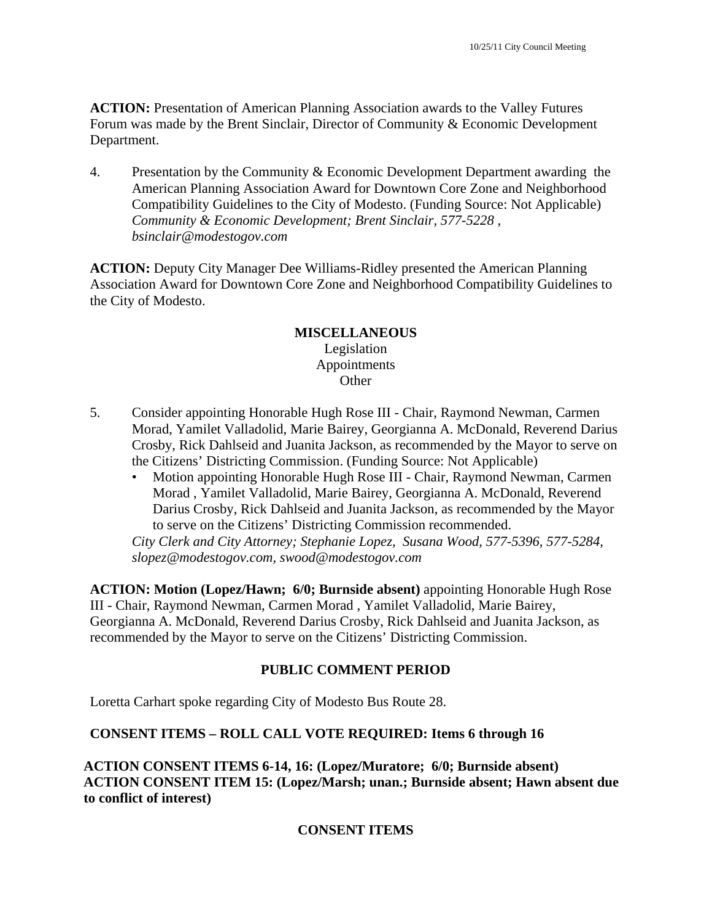**ACTION:** Presentation of American Planning Association awards to the Valley Futures Forum was made by the Brent Sinclair, Director of Community & Economic Development Department.

4. Presentation by the Community & Economic Development Department awarding the American Planning Association Award for Downtown Core Zone and Neighborhood Compatibility Guidelines to the City of Modesto. (Funding Source: Not Applicable)  *Community & Economic Development; Brent Sinclair, 577-5228 , bsinclair@modestogov.com* 

**ACTION:** Deputy City Manager Dee Williams-Ridley presented the American Planning Association Award for Downtown Core Zone and Neighborhood Compatibility Guidelines to the City of Modesto.

### **MISCELLANEOUS**  Legislation Appointments **Other**

- 5. Consider appointing Honorable Hugh Rose III Chair, Raymond Newman, Carmen Morad, Yamilet Valladolid, Marie Bairey, Georgianna A. McDonald, Reverend Darius Crosby, Rick Dahlseid and Juanita Jackson, as recommended by the Mayor to serve on the Citizens' Districting Commission. (Funding Source: Not Applicable)
	- Motion appointing Honorable Hugh Rose III Chair, Raymond Newman, Carmen Morad , Yamilet Valladolid, Marie Bairey, Georgianna A. McDonald, Reverend Darius Crosby, Rick Dahlseid and Juanita Jackson, as recommended by the Mayor to serve on the Citizens' Districting Commission recommended.

*City Clerk and City Attorney; Stephanie Lopez, Susana Wood, 577-5396, 577-5284, slopez@modestogov.com, swood@modestogov.com* 

**ACTION: Motion (Lopez/Hawn; 6/0; Burnside absent)** appointing Honorable Hugh Rose III - Chair, Raymond Newman, Carmen Morad , Yamilet Valladolid, Marie Bairey, Georgianna A. McDonald, Reverend Darius Crosby, Rick Dahlseid and Juanita Jackson, as recommended by the Mayor to serve on the Citizens' Districting Commission.

# **PUBLIC COMMENT PERIOD**

Loretta Carhart spoke regarding City of Modesto Bus Route 28.

# **CONSENT ITEMS – ROLL CALL VOTE REQUIRED: Items 6 through 16**

**ACTION CONSENT ITEMS 6-14, 16: (Lopez/Muratore; 6/0; Burnside absent) ACTION CONSENT ITEM 15: (Lopez/Marsh; unan.; Burnside absent; Hawn absent due to conflict of interest)** 

# **CONSENT ITEMS**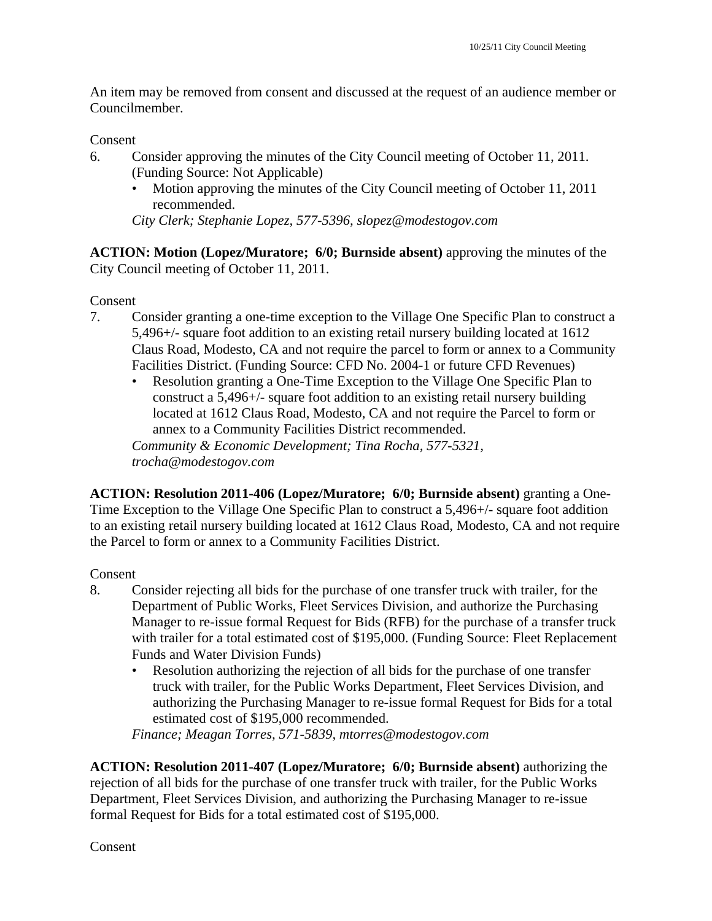An item may be removed from consent and discussed at the request of an audience member or Councilmember.

Consent

- 6. Consider approving the minutes of the City Council meeting of October 11, 2011. (Funding Source: Not Applicable)
	- Motion approving the minutes of the City Council meeting of October 11, 2011 recommended.

*City Clerk; Stephanie Lopez, 577-5396, slopez@modestogov.com* 

**ACTION: Motion (Lopez/Muratore; 6/0; Burnside absent)** approving the minutes of the City Council meeting of October 11, 2011.

Consent

- 7. Consider granting a one-time exception to the Village One Specific Plan to construct a 5,496+/- square foot addition to an existing retail nursery building located at 1612 Claus Road, Modesto, CA and not require the parcel to form or annex to a Community Facilities District. (Funding Source: CFD No. 2004-1 or future CFD Revenues)
	- Resolution granting a One-Time Exception to the Village One Specific Plan to construct a 5,496+/- square foot addition to an existing retail nursery building located at 1612 Claus Road, Modesto, CA and not require the Parcel to form or annex to a Community Facilities District recommended. *Community & Economic Development; Tina Rocha, 577-5321,*

*trocha@modestogov.com* 

**ACTION: Resolution 2011-406 (Lopez/Muratore; 6/0; Burnside absent)** granting a One-Time Exception to the Village One Specific Plan to construct a 5,496+/- square foot addition to an existing retail nursery building located at 1612 Claus Road, Modesto, CA and not require the Parcel to form or annex to a Community Facilities District.

# Consent

- 8. Consider rejecting all bids for the purchase of one transfer truck with trailer, for the Department of Public Works, Fleet Services Division, and authorize the Purchasing Manager to re-issue formal Request for Bids (RFB) for the purchase of a transfer truck with trailer for a total estimated cost of \$195,000. (Funding Source: Fleet Replacement Funds and Water Division Funds)
	- Resolution authorizing the rejection of all bids for the purchase of one transfer truck with trailer, for the Public Works Department, Fleet Services Division, and authorizing the Purchasing Manager to re-issue formal Request for Bids for a total estimated cost of \$195,000 recommended.

*Finance; Meagan Torres, 571-5839, mtorres@modestogov.com* 

**ACTION: Resolution 2011-407 (Lopez/Muratore; 6/0; Burnside absent)** authorizing the rejection of all bids for the purchase of one transfer truck with trailer, for the Public Works Department, Fleet Services Division, and authorizing the Purchasing Manager to re-issue formal Request for Bids for a total estimated cost of \$195,000.

Consent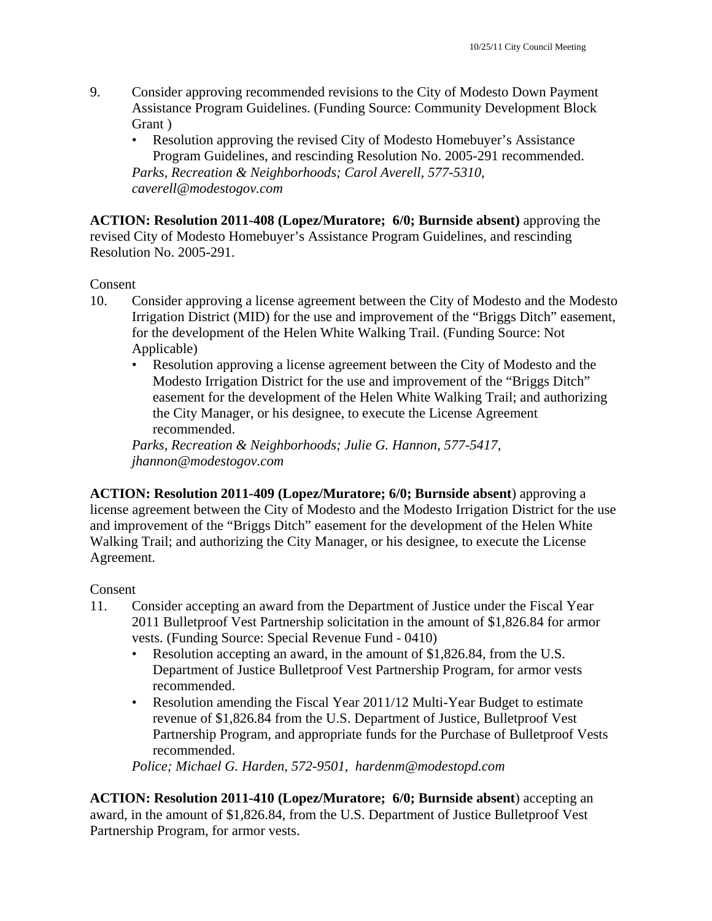- 9. Consider approving recommended revisions to the City of Modesto Down Payment Assistance Program Guidelines. (Funding Source: Community Development Block Grant )
	- Resolution approving the revised City of Modesto Homebuyer's Assistance Program Guidelines, and rescinding Resolution No. 2005-291 recommended. *Parks, Recreation & Neighborhoods; Carol Averell, 577-5310, caverell@modestogov.com*

**ACTION: Resolution 2011-408 (Lopez/Muratore; 6/0; Burnside absent)** approving the revised City of Modesto Homebuyer's Assistance Program Guidelines, and rescinding Resolution No. 2005-291.

Consent

- 10. Consider approving a license agreement between the City of Modesto and the Modesto Irrigation District (MID) for the use and improvement of the "Briggs Ditch" easement, for the development of the Helen White Walking Trail. (Funding Source: Not Applicable)
	- Resolution approving a license agreement between the City of Modesto and the Modesto Irrigation District for the use and improvement of the "Briggs Ditch" easement for the development of the Helen White Walking Trail; and authorizing the City Manager, or his designee, to execute the License Agreement recommended.

*Parks, Recreation & Neighborhoods; Julie G. Hannon, 577-5417, jhannon@modestogov.com* 

**ACTION: Resolution 2011-409 (Lopez/Muratore; 6/0; Burnside absent**) approving a license agreement between the City of Modesto and the Modesto Irrigation District for the use and improvement of the "Briggs Ditch" easement for the development of the Helen White Walking Trail; and authorizing the City Manager, or his designee, to execute the License Agreement.

### Consent

- 11. Consider accepting an award from the Department of Justice under the Fiscal Year 2011 Bulletproof Vest Partnership solicitation in the amount of \$1,826.84 for armor vests. (Funding Source: Special Revenue Fund - 0410)
	- Resolution accepting an award, in the amount of \$1,826.84, from the U.S. Department of Justice Bulletproof Vest Partnership Program, for armor vests recommended.
	- Resolution amending the Fiscal Year 2011/12 Multi-Year Budget to estimate revenue of \$1,826.84 from the U.S. Department of Justice, Bulletproof Vest Partnership Program, and appropriate funds for the Purchase of Bulletproof Vests recommended.

*Police; Michael G. Harden, 572-9501, hardenm@modestopd.com* 

**ACTION: Resolution 2011-410 (Lopez/Muratore; 6/0; Burnside absent**) accepting an award, in the amount of \$1,826.84, from the U.S. Department of Justice Bulletproof Vest Partnership Program, for armor vests.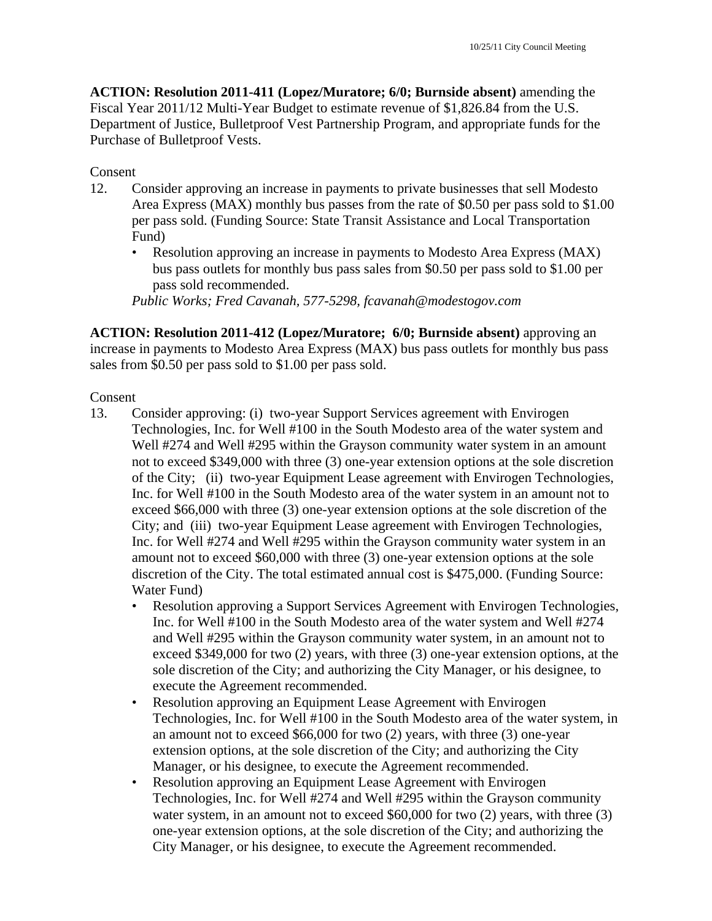**ACTION: Resolution 2011-411 (Lopez/Muratore; 6/0; Burnside absent)** amending the Fiscal Year 2011/12 Multi-Year Budget to estimate revenue of \$1,826.84 from the U.S. Department of Justice, Bulletproof Vest Partnership Program, and appropriate funds for the Purchase of Bulletproof Vests.

### Consent

- 12. Consider approving an increase in payments to private businesses that sell Modesto Area Express (MAX) monthly bus passes from the rate of \$0.50 per pass sold to \$1.00 per pass sold. (Funding Source: State Transit Assistance and Local Transportation Fund)
	- Resolution approving an increase in payments to Modesto Area Express (MAX) bus pass outlets for monthly bus pass sales from \$0.50 per pass sold to \$1.00 per pass sold recommended.

*Public Works; Fred Cavanah, 577-5298, fcavanah@modestogov.com* 

**ACTION: Resolution 2011-412 (Lopez/Muratore; 6/0; Burnside absent)** approving an increase in payments to Modesto Area Express (MAX) bus pass outlets for monthly bus pass sales from \$0.50 per pass sold to \$1.00 per pass sold.

### Consent

- 13. Consider approving: (i) two-year Support Services agreement with Envirogen Technologies, Inc. for Well #100 in the South Modesto area of the water system and Well #274 and Well #295 within the Grayson community water system in an amount not to exceed \$349,000 with three (3) one-year extension options at the sole discretion of the City; (ii) two-year Equipment Lease agreement with Envirogen Technologies, Inc. for Well #100 in the South Modesto area of the water system in an amount not to exceed \$66,000 with three (3) one-year extension options at the sole discretion of the City; and (iii) two-year Equipment Lease agreement with Envirogen Technologies, Inc. for Well #274 and Well #295 within the Grayson community water system in an amount not to exceed \$60,000 with three (3) one-year extension options at the sole discretion of the City. The total estimated annual cost is \$475,000. (Funding Source: Water Fund)
	- Resolution approving a Support Services Agreement with Envirogen Technologies, Inc. for Well #100 in the South Modesto area of the water system and Well #274 and Well #295 within the Grayson community water system, in an amount not to exceed \$349,000 for two (2) years, with three (3) one-year extension options, at the sole discretion of the City; and authorizing the City Manager, or his designee, to execute the Agreement recommended.
	- Resolution approving an Equipment Lease Agreement with Envirogen Technologies, Inc. for Well #100 in the South Modesto area of the water system, in an amount not to exceed \$66,000 for two (2) years, with three (3) one-year extension options, at the sole discretion of the City; and authorizing the City Manager, or his designee, to execute the Agreement recommended.
	- Resolution approving an Equipment Lease Agreement with Envirogen Technologies, Inc. for Well #274 and Well #295 within the Grayson community water system, in an amount not to exceed \$60,000 for two (2) years, with three (3) one-year extension options, at the sole discretion of the City; and authorizing the City Manager, or his designee, to execute the Agreement recommended.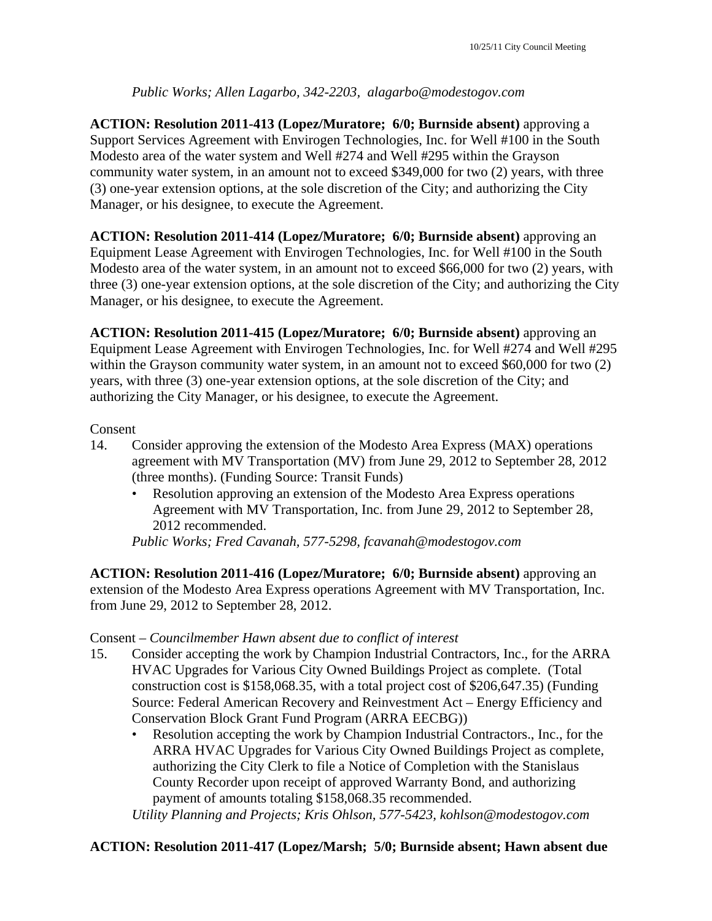## *Public Works; Allen Lagarbo, 342-2203, alagarbo@modestogov.com*

**ACTION: Resolution 2011-413 (Lopez/Muratore; 6/0; Burnside absent)** approving a Support Services Agreement with Envirogen Technologies, Inc. for Well #100 in the South Modesto area of the water system and Well #274 and Well #295 within the Grayson community water system, in an amount not to exceed \$349,000 for two (2) years, with three (3) one-year extension options, at the sole discretion of the City; and authorizing the City Manager, or his designee, to execute the Agreement.

**ACTION: Resolution 2011-414 (Lopez/Muratore; 6/0; Burnside absent)** approving an Equipment Lease Agreement with Envirogen Technologies, Inc. for Well #100 in the South Modesto area of the water system, in an amount not to exceed \$66,000 for two (2) years, with three (3) one-year extension options, at the sole discretion of the City; and authorizing the City Manager, or his designee, to execute the Agreement.

**ACTION: Resolution 2011-415 (Lopez/Muratore; 6/0; Burnside absent)** approving an Equipment Lease Agreement with Envirogen Technologies, Inc. for Well #274 and Well #295 within the Grayson community water system, in an amount not to exceed \$60,000 for two  $(2)$ years, with three (3) one-year extension options, at the sole discretion of the City; and authorizing the City Manager, or his designee, to execute the Agreement.

### Consent

- 14. Consider approving the extension of the Modesto Area Express (MAX) operations agreement with MV Transportation (MV) from June 29, 2012 to September 28, 2012 (three months). (Funding Source: Transit Funds)
	- Resolution approving an extension of the Modesto Area Express operations Agreement with MV Transportation, Inc. from June 29, 2012 to September 28, 2012 recommended.

*Public Works; Fred Cavanah, 577-5298, fcavanah@modestogov.com* 

**ACTION: Resolution 2011-416 (Lopez/Muratore; 6/0; Burnside absent)** approving an extension of the Modesto Area Express operations Agreement with MV Transportation, Inc. from June 29, 2012 to September 28, 2012.

### Consent – *Councilmember Hawn absent due to conflict of interest*

- 15. Consider accepting the work by Champion Industrial Contractors, Inc., for the ARRA HVAC Upgrades for Various City Owned Buildings Project as complete. (Total construction cost is \$158,068.35, with a total project cost of \$206,647.35) (Funding Source: Federal American Recovery and Reinvestment Act – Energy Efficiency and Conservation Block Grant Fund Program (ARRA EECBG))
	- Resolution accepting the work by Champion Industrial Contractors., Inc., for the ARRA HVAC Upgrades for Various City Owned Buildings Project as complete, authorizing the City Clerk to file a Notice of Completion with the Stanislaus County Recorder upon receipt of approved Warranty Bond, and authorizing payment of amounts totaling \$158,068.35 recommended.

*Utility Planning and Projects; Kris Ohlson, 577-5423, kohlson@modestogov.com* 

### **ACTION: Resolution 2011-417 (Lopez/Marsh; 5/0; Burnside absent; Hawn absent due**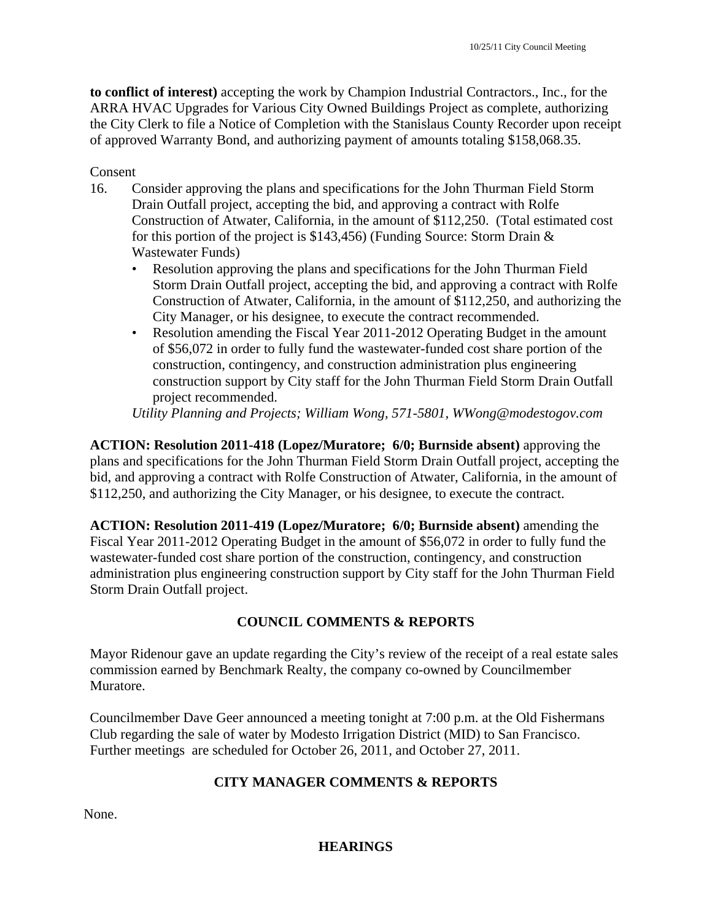**to conflict of interest)** accepting the work by Champion Industrial Contractors., Inc., for the ARRA HVAC Upgrades for Various City Owned Buildings Project as complete, authorizing the City Clerk to file a Notice of Completion with the Stanislaus County Recorder upon receipt of approved Warranty Bond, and authorizing payment of amounts totaling \$158,068.35.

### Consent

- 16. Consider approving the plans and specifications for the John Thurman Field Storm Drain Outfall project, accepting the bid, and approving a contract with Rolfe Construction of Atwater, California, in the amount of \$112,250. (Total estimated cost for this portion of the project is \$143,456) (Funding Source: Storm Drain  $\&$ Wastewater Funds)
	- Resolution approving the plans and specifications for the John Thurman Field Storm Drain Outfall project, accepting the bid, and approving a contract with Rolfe Construction of Atwater, California, in the amount of \$112,250, and authorizing the City Manager, or his designee, to execute the contract recommended.
	- Resolution amending the Fiscal Year 2011-2012 Operating Budget in the amount of \$56,072 in order to fully fund the wastewater-funded cost share portion of the construction, contingency, and construction administration plus engineering construction support by City staff for the John Thurman Field Storm Drain Outfall project recommended.

*Utility Planning and Projects; William Wong, 571-5801, WWong@modestogov.com* 

**ACTION: Resolution 2011-418 (Lopez/Muratore; 6/0; Burnside absent)** approving the plans and specifications for the John Thurman Field Storm Drain Outfall project, accepting the bid, and approving a contract with Rolfe Construction of Atwater, California, in the amount of \$112,250, and authorizing the City Manager, or his designee, to execute the contract.

**ACTION: Resolution 2011-419 (Lopez/Muratore; 6/0; Burnside absent)** amending the Fiscal Year 2011-2012 Operating Budget in the amount of \$56,072 in order to fully fund the wastewater-funded cost share portion of the construction, contingency, and construction administration plus engineering construction support by City staff for the John Thurman Field Storm Drain Outfall project.

# **COUNCIL COMMENTS & REPORTS**

Mayor Ridenour gave an update regarding the City's review of the receipt of a real estate sales commission earned by Benchmark Realty, the company co-owned by Councilmember Muratore.

Councilmember Dave Geer announced a meeting tonight at 7:00 p.m. at the Old Fishermans Club regarding the sale of water by Modesto Irrigation District (MID) to San Francisco. Further meetings are scheduled for October 26, 2011, and October 27, 2011.

### **CITY MANAGER COMMENTS & REPORTS**

None.

### **HEARINGS**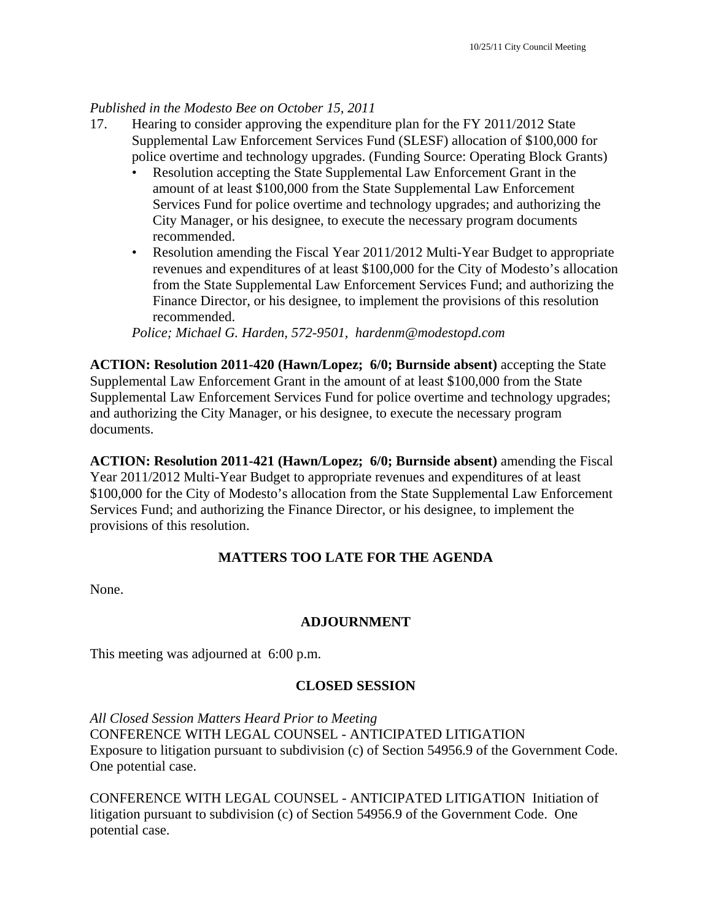## *Published in the Modesto Bee on October 15, 2011*

- 17. Hearing to consider approving the expenditure plan for the FY 2011/2012 State Supplemental Law Enforcement Services Fund (SLESF) allocation of \$100,000 for police overtime and technology upgrades. (Funding Source: Operating Block Grants)
	- Resolution accepting the State Supplemental Law Enforcement Grant in the amount of at least \$100,000 from the State Supplemental Law Enforcement Services Fund for police overtime and technology upgrades; and authorizing the City Manager, or his designee, to execute the necessary program documents recommended.
	- Resolution amending the Fiscal Year 2011/2012 Multi-Year Budget to appropriate revenues and expenditures of at least \$100,000 for the City of Modesto's allocation from the State Supplemental Law Enforcement Services Fund; and authorizing the Finance Director, or his designee, to implement the provisions of this resolution recommended.

*Police; Michael G. Harden, 572-9501, hardenm@modestopd.com* 

**ACTION: Resolution 2011-420 (Hawn/Lopez; 6/0; Burnside absent)** accepting the State Supplemental Law Enforcement Grant in the amount of at least \$100,000 from the State Supplemental Law Enforcement Services Fund for police overtime and technology upgrades; and authorizing the City Manager, or his designee, to execute the necessary program documents.

**ACTION: Resolution 2011-421 (Hawn/Lopez; 6/0; Burnside absent)** amending the Fiscal Year 2011/2012 Multi-Year Budget to appropriate revenues and expenditures of at least \$100,000 for the City of Modesto's allocation from the State Supplemental Law Enforcement Services Fund; and authorizing the Finance Director, or his designee, to implement the provisions of this resolution.

### **MATTERS TOO LATE FOR THE AGENDA**

None.

### **ADJOURNMENT**

This meeting was adjourned at 6:00 p.m.

### **CLOSED SESSION**

*All Closed Session Matters Heard Prior to Meeting* CONFERENCE WITH LEGAL COUNSEL - ANTICIPATED LITIGATION Exposure to litigation pursuant to subdivision (c) of Section 54956.9 of the Government Code. One potential case.

CONFERENCE WITH LEGAL COUNSEL - ANTICIPATED LITIGATION Initiation of litigation pursuant to subdivision (c) of Section 54956.9 of the Government Code. One potential case.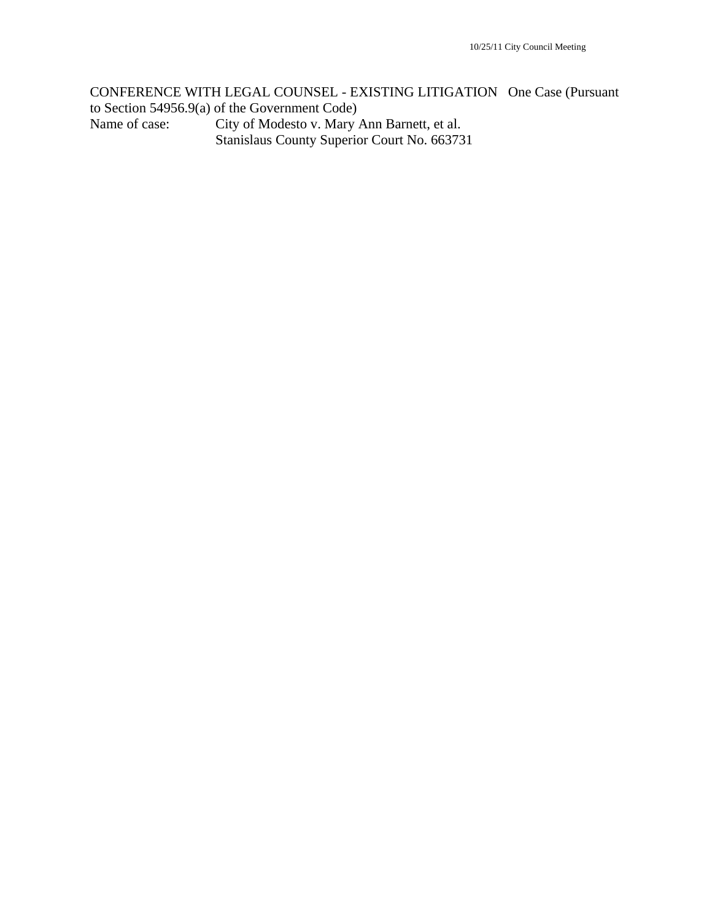CONFERENCE WITH LEGAL COUNSEL - EXISTING LITIGATION One Case (Pursuant to Section 54956.9(a) of the Government Code) Name of case: City of Modesto v. Mary Ann Barnett, et al. Stanislaus County Superior Court No. 663731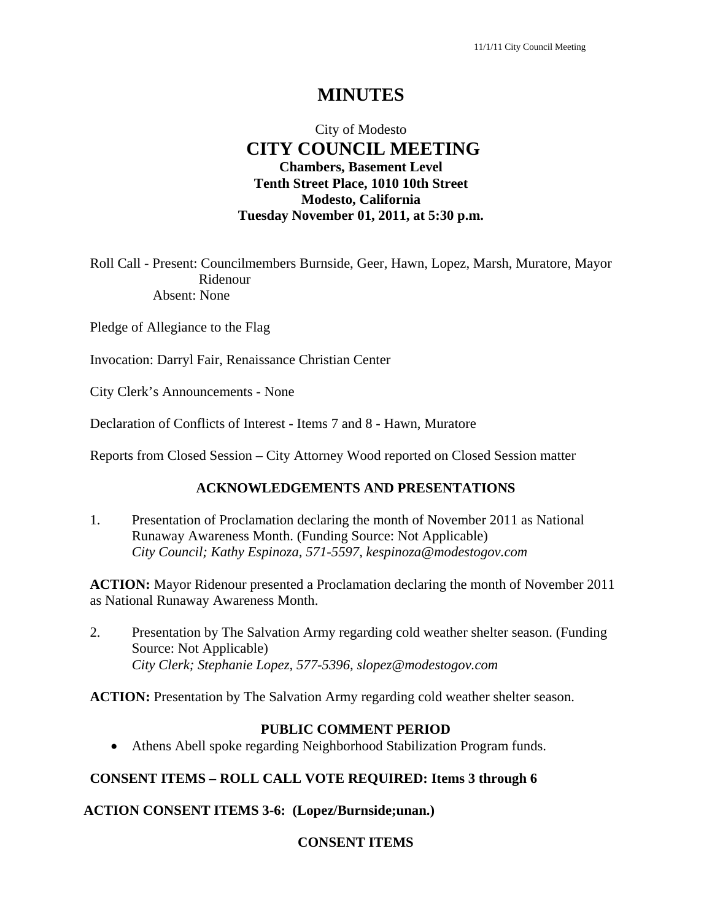# **MINUTES**

# City of Modesto  **CITY COUNCIL MEETING Chambers, Basement Level Tenth Street Place, 1010 10th Street Modesto, California Tuesday November 01, 2011, at 5:30 p.m.**

Roll Call - Present: Councilmembers Burnside, Geer, Hawn, Lopez, Marsh, Muratore, Mayor Ridenour Absent: None

Pledge of Allegiance to the Flag

Invocation: Darryl Fair, Renaissance Christian Center

City Clerk's Announcements - None

Declaration of Conflicts of Interest - Items 7 and 8 - Hawn, Muratore

Reports from Closed Session – City Attorney Wood reported on Closed Session matter

### **ACKNOWLEDGEMENTS AND PRESENTATIONS**

1. Presentation of Proclamation declaring the month of November 2011 as National Runaway Awareness Month. (Funding Source: Not Applicable)  *City Council; Kathy Espinoza, 571-5597, kespinoza@modestogov.com* 

**ACTION:** Mayor Ridenour presented a Proclamation declaring the month of November 2011 as National Runaway Awareness Month.

2. Presentation by The Salvation Army regarding cold weather shelter season. (Funding Source: Not Applicable)  *City Clerk; Stephanie Lopez, 577-5396, slopez@modestogov.com* 

**ACTION:** Presentation by The Salvation Army regarding cold weather shelter season.

#### **PUBLIC COMMENT PERIOD**

Athens Abell spoke regarding Neighborhood Stabilization Program funds.

#### **CONSENT ITEMS – ROLL CALL VOTE REQUIRED: Items 3 through 6**

**ACTION CONSENT ITEMS 3-6: (Lopez/Burnside;unan.)** 

#### **CONSENT ITEMS**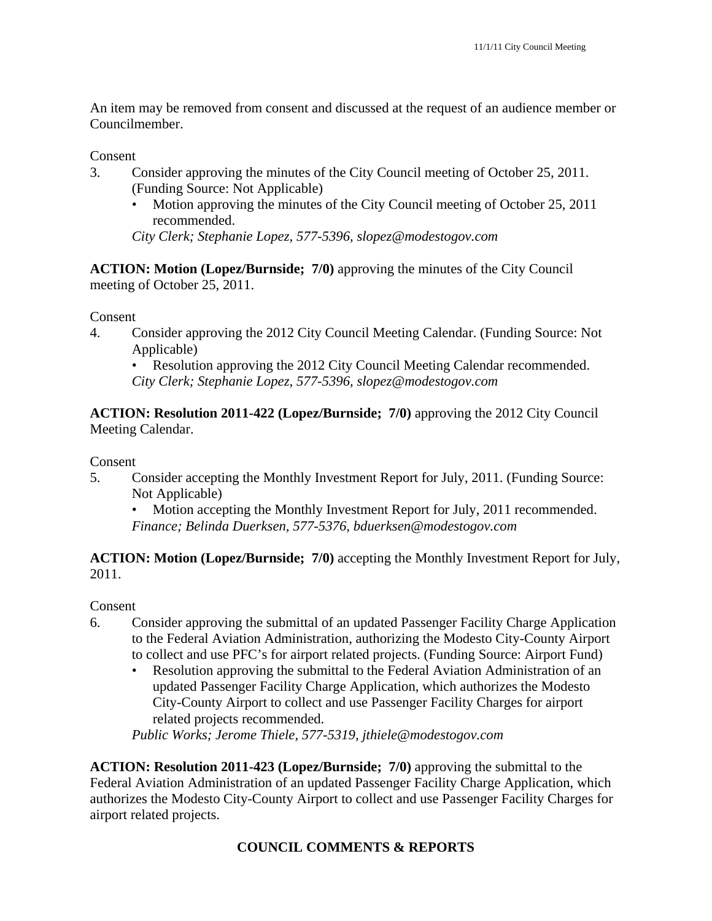An item may be removed from consent and discussed at the request of an audience member or Councilmember.

### Consent

- 3. Consider approving the minutes of the City Council meeting of October 25, 2011. (Funding Source: Not Applicable)
	- Motion approving the minutes of the City Council meeting of October 25, 2011 recommended.

*City Clerk; Stephanie Lopez, 577-5396, slopez@modestogov.com* 

**ACTION: Motion (Lopez/Burnside; 7/0)** approving the minutes of the City Council meeting of October 25, 2011.

### Consent

4. Consider approving the 2012 City Council Meeting Calendar. (Funding Source: Not Applicable)

Resolution approving the 2012 City Council Meeting Calendar recommended. *City Clerk; Stephanie Lopez, 577-5396, slopez@modestogov.com* 

**ACTION: Resolution 2011-422 (Lopez/Burnside; 7/0)** approving the 2012 City Council Meeting Calendar.

### Consent

5. Consider accepting the Monthly Investment Report for July, 2011. (Funding Source: Not Applicable)

• Motion accepting the Monthly Investment Report for July, 2011 recommended. *Finance; Belinda Duerksen, 577-5376, bduerksen@modestogov.com* 

**ACTION: Motion (Lopez/Burnside; 7/0)** accepting the Monthly Investment Report for July, 2011.

### Consent

- 6. Consider approving the submittal of an updated Passenger Facility Charge Application to the Federal Aviation Administration, authorizing the Modesto City-County Airport to collect and use PFC's for airport related projects. (Funding Source: Airport Fund)
	- Resolution approving the submittal to the Federal Aviation Administration of an updated Passenger Facility Charge Application, which authorizes the Modesto City-County Airport to collect and use Passenger Facility Charges for airport related projects recommended.

*Public Works; Jerome Thiele, 577-5319, jthiele@modestogov.com* 

**ACTION: Resolution 2011-423 (Lopez/Burnside; 7/0)** approving the submittal to the Federal Aviation Administration of an updated Passenger Facility Charge Application, which authorizes the Modesto City-County Airport to collect and use Passenger Facility Charges for airport related projects.

# **COUNCIL COMMENTS & REPORTS**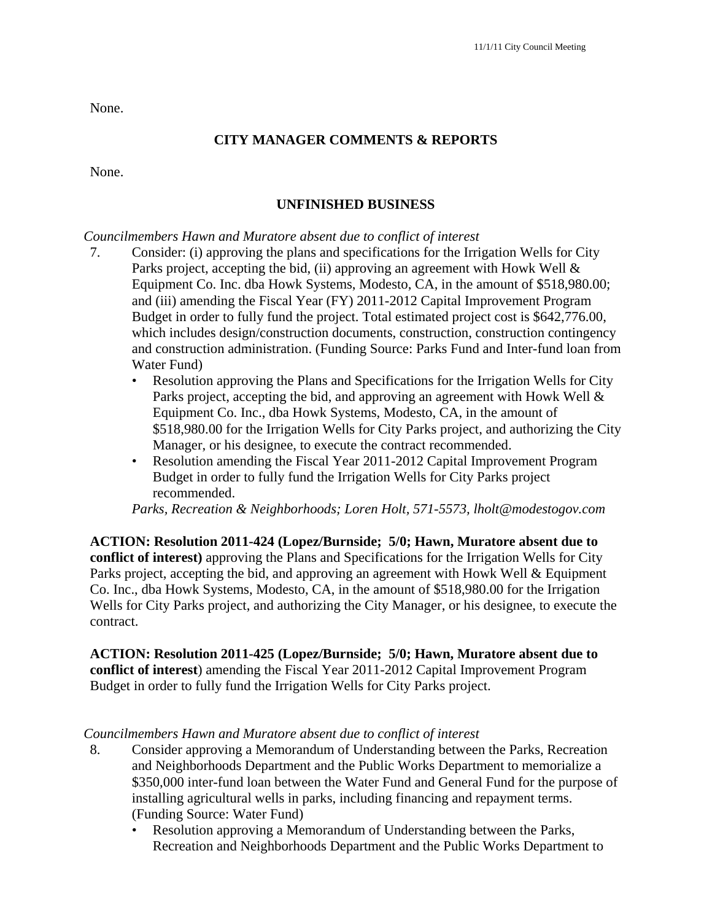None.

# **CITY MANAGER COMMENTS & REPORTS**

None.

# **UNFINISHED BUSINESS**

### *Councilmembers Hawn and Muratore absent due to conflict of interest*

- 7. Consider: (i) approving the plans and specifications for the Irrigation Wells for City Parks project, accepting the bid, (ii) approving an agreement with Howk Well & Equipment Co. Inc. dba Howk Systems, Modesto, CA, in the amount of \$518,980.00; and (iii) amending the Fiscal Year (FY) 2011-2012 Capital Improvement Program Budget in order to fully fund the project. Total estimated project cost is \$642,776.00, which includes design/construction documents, construction, construction contingency and construction administration. (Funding Source: Parks Fund and Inter-fund loan from Water Fund)
	- Resolution approving the Plans and Specifications for the Irrigation Wells for City Parks project, accepting the bid, and approving an agreement with Howk Well & Equipment Co. Inc., dba Howk Systems, Modesto, CA, in the amount of \$518,980.00 for the Irrigation Wells for City Parks project, and authorizing the City Manager, or his designee, to execute the contract recommended.
	- Resolution amending the Fiscal Year 2011-2012 Capital Improvement Program Budget in order to fully fund the Irrigation Wells for City Parks project recommended.

*Parks, Recreation & Neighborhoods; Loren Holt, 571-5573, lholt@modestogov.com* 

**ACTION: Resolution 2011-424 (Lopez/Burnside; 5/0; Hawn, Muratore absent due to conflict of interest)** approving the Plans and Specifications for the Irrigation Wells for City Parks project, accepting the bid, and approving an agreement with Howk Well & Equipment Co. Inc., dba Howk Systems, Modesto, CA, in the amount of \$518,980.00 for the Irrigation Wells for City Parks project, and authorizing the City Manager, or his designee, to execute the contract.

**ACTION: Resolution 2011-425 (Lopez/Burnside; 5/0; Hawn, Muratore absent due to conflict of interest**) amending the Fiscal Year 2011-2012 Capital Improvement Program Budget in order to fully fund the Irrigation Wells for City Parks project.

### *Councilmembers Hawn and Muratore absent due to conflict of interest*

- 8. Consider approving a Memorandum of Understanding between the Parks, Recreation and Neighborhoods Department and the Public Works Department to memorialize a \$350,000 inter-fund loan between the Water Fund and General Fund for the purpose of installing agricultural wells in parks, including financing and repayment terms. (Funding Source: Water Fund)
	- Resolution approving a Memorandum of Understanding between the Parks, Recreation and Neighborhoods Department and the Public Works Department to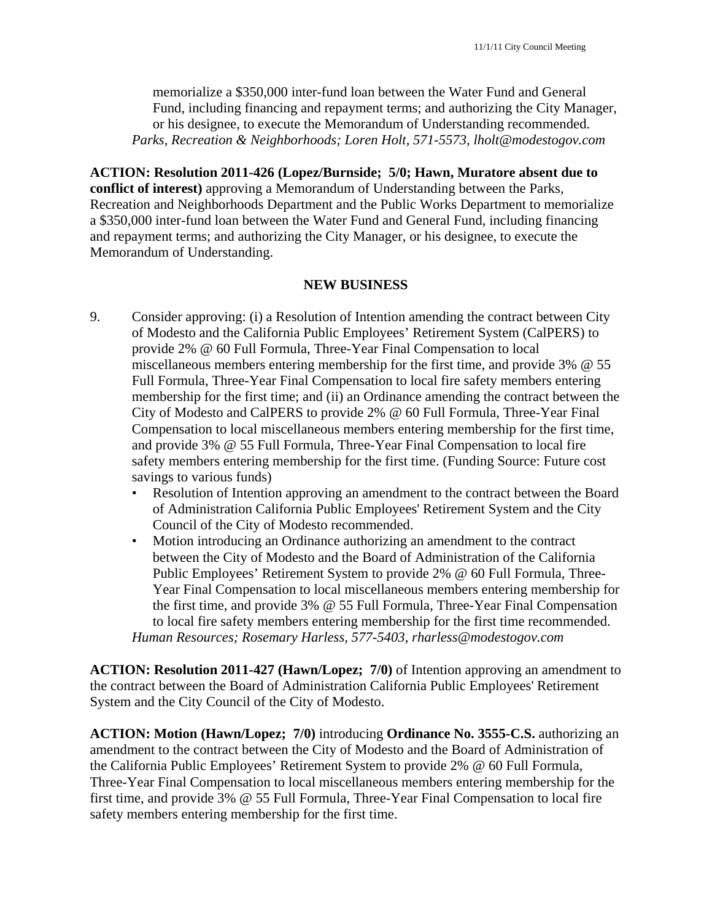memorialize a \$350,000 inter-fund loan between the Water Fund and General Fund, including financing and repayment terms; and authorizing the City Manager, or his designee, to execute the Memorandum of Understanding recommended. *Parks, Recreation & Neighborhoods; Loren Holt, 571-5573, lholt@modestogov.com* 

**ACTION: Resolution 2011-426 (Lopez/Burnside; 5/0; Hawn, Muratore absent due to conflict of interest)** approving a Memorandum of Understanding between the Parks, Recreation and Neighborhoods Department and the Public Works Department to memorialize a \$350,000 inter-fund loan between the Water Fund and General Fund, including financing and repayment terms; and authorizing the City Manager, or his designee, to execute the Memorandum of Understanding.

### **NEW BUSINESS**

- 9. Consider approving: (i) a Resolution of Intention amending the contract between City of Modesto and the California Public Employees' Retirement System (CalPERS) to provide 2% @ 60 Full Formula, Three-Year Final Compensation to local miscellaneous members entering membership for the first time, and provide 3% @ 55 Full Formula, Three-Year Final Compensation to local fire safety members entering membership for the first time; and (ii) an Ordinance amending the contract between the City of Modesto and CalPERS to provide 2% @ 60 Full Formula, Three-Year Final Compensation to local miscellaneous members entering membership for the first time, and provide 3% @ 55 Full Formula, Three-Year Final Compensation to local fire safety members entering membership for the first time. (Funding Source: Future cost savings to various funds)
	- Resolution of Intention approving an amendment to the contract between the Board of Administration California Public Employees' Retirement System and the City Council of the City of Modesto recommended.
	- Motion introducing an Ordinance authorizing an amendment to the contract between the City of Modesto and the Board of Administration of the California Public Employees' Retirement System to provide 2% @ 60 Full Formula, Three-Year Final Compensation to local miscellaneous members entering membership for the first time, and provide 3% @ 55 Full Formula, Three-Year Final Compensation to local fire safety members entering membership for the first time recommended. *Human Resources; Rosemary Harless, 577-5403, rharless@modestogov.com*

**ACTION: Resolution 2011-427 (Hawn/Lopez; 7/0)** of Intention approving an amendment to the contract between the Board of Administration California Public Employees' Retirement System and the City Council of the City of Modesto.

**ACTION: Motion (Hawn/Lopez; 7/0)** introducing **Ordinance No. 3555-C.S.** authorizing an amendment to the contract between the City of Modesto and the Board of Administration of the California Public Employees' Retirement System to provide 2% @ 60 Full Formula, Three-Year Final Compensation to local miscellaneous members entering membership for the first time, and provide 3% @ 55 Full Formula, Three-Year Final Compensation to local fire safety members entering membership for the first time.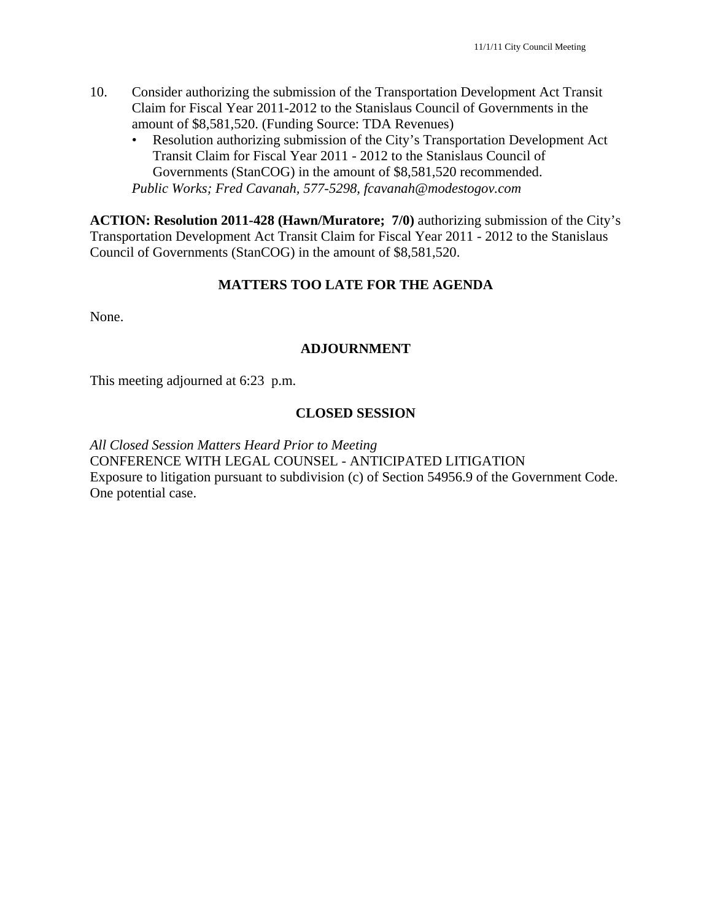- 10. Consider authorizing the submission of the Transportation Development Act Transit Claim for Fiscal Year 2011-2012 to the Stanislaus Council of Governments in the amount of \$8,581,520. (Funding Source: TDA Revenues)
	- Resolution authorizing submission of the City's Transportation Development Act Transit Claim for Fiscal Year 2011 - 2012 to the Stanislaus Council of Governments (StanCOG) in the amount of \$8,581,520 recommended. *Public Works; Fred Cavanah, 577-5298, fcavanah@modestogov.com*

**ACTION: Resolution 2011-428 (Hawn/Muratore; 7/0)** authorizing submission of the City's Transportation Development Act Transit Claim for Fiscal Year 2011 - 2012 to the Stanislaus Council of Governments (StanCOG) in the amount of \$8,581,520.

### **MATTERS TOO LATE FOR THE AGENDA**

None.

### **ADJOURNMENT**

This meeting adjourned at 6:23 p.m.

### **CLOSED SESSION**

*All Closed Session Matters Heard Prior to Meeting*  CONFERENCE WITH LEGAL COUNSEL - ANTICIPATED LITIGATION Exposure to litigation pursuant to subdivision (c) of Section 54956.9 of the Government Code. One potential case.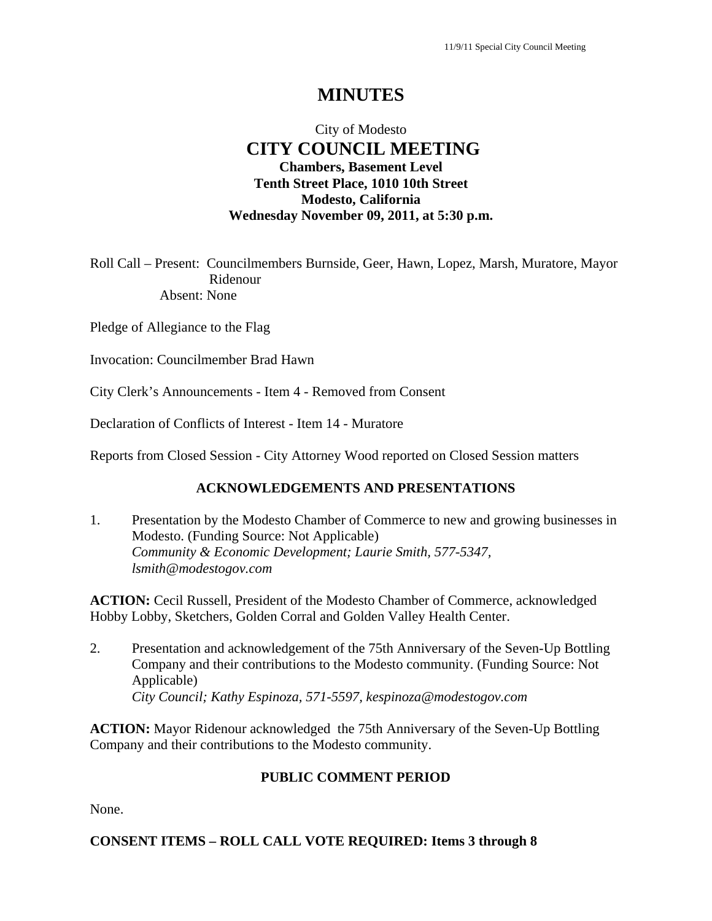# **MINUTES**

# City of Modesto  **CITY COUNCIL MEETING Chambers, Basement Level Tenth Street Place, 1010 10th Street Modesto, California Wednesday November 09, 2011, at 5:30 p.m.**

Roll Call – Present: Councilmembers Burnside, Geer, Hawn, Lopez, Marsh, Muratore, Mayor Ridenour Absent: None

Pledge of Allegiance to the Flag

Invocation: Councilmember Brad Hawn

City Clerk's Announcements - Item 4 - Removed from Consent

Declaration of Conflicts of Interest - Item 14 - Muratore

Reports from Closed Session - City Attorney Wood reported on Closed Session matters

# **ACKNOWLEDGEMENTS AND PRESENTATIONS**

1. Presentation by the Modesto Chamber of Commerce to new and growing businesses in Modesto. (Funding Source: Not Applicable)  *Community & Economic Development; Laurie Smith, 577-5347, lsmith@modestogov.com* 

**ACTION:** Cecil Russell, President of the Modesto Chamber of Commerce, acknowledged Hobby Lobby, Sketchers, Golden Corral and Golden Valley Health Center.

2. Presentation and acknowledgement of the 75th Anniversary of the Seven-Up Bottling Company and their contributions to the Modesto community. (Funding Source: Not Applicable)  *City Council; Kathy Espinoza, 571-5597, kespinoza@modestogov.com* 

**ACTION:** Mayor Ridenour acknowledged the 75th Anniversary of the Seven-Up Bottling Company and their contributions to the Modesto community.

# **PUBLIC COMMENT PERIOD**

None.

### **CONSENT ITEMS – ROLL CALL VOTE REQUIRED: Items 3 through 8**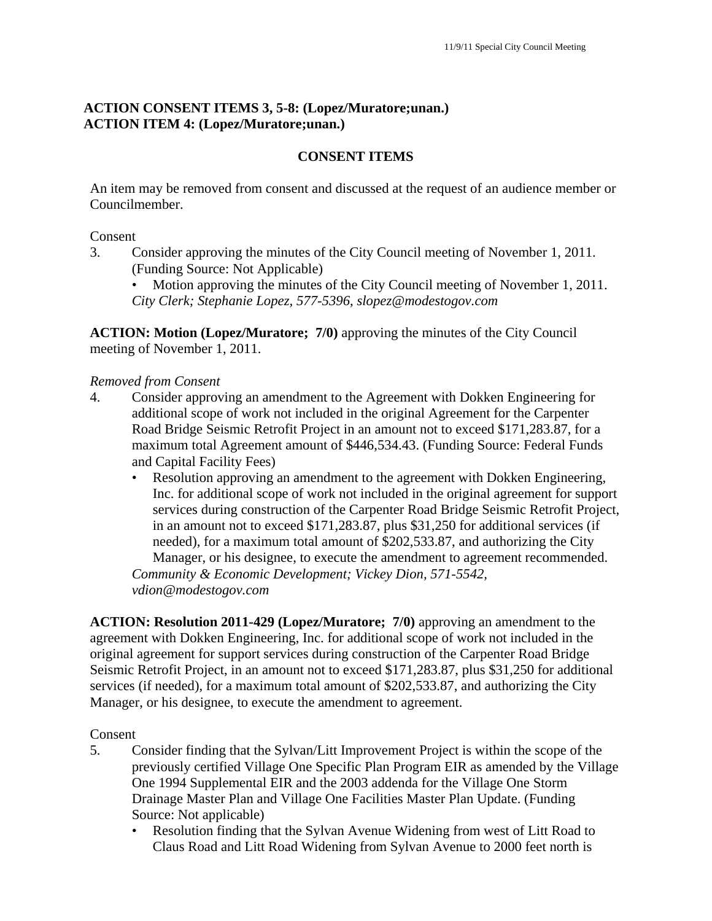# **ACTION CONSENT ITEMS 3, 5-8: (Lopez/Muratore;unan.) ACTION ITEM 4: (Lopez/Muratore;unan.)**

### **CONSENT ITEMS**

An item may be removed from consent and discussed at the request of an audience member or Councilmember.

### Consent

3. Consider approving the minutes of the City Council meeting of November 1, 2011. (Funding Source: Not Applicable)

• Motion approving the minutes of the City Council meeting of November 1, 2011. *City Clerk; Stephanie Lopez, 577-5396, slopez@modestogov.com* 

**ACTION: Motion (Lopez/Muratore; 7/0)** approving the minutes of the City Council meeting of November 1, 2011.

### *Removed from Consent*

- 4. Consider approving an amendment to the Agreement with Dokken Engineering for additional scope of work not included in the original Agreement for the Carpenter Road Bridge Seismic Retrofit Project in an amount not to exceed \$171,283.87, for a maximum total Agreement amount of \$446,534.43. (Funding Source: Federal Funds and Capital Facility Fees)
	- Resolution approving an amendment to the agreement with Dokken Engineering, Inc. for additional scope of work not included in the original agreement for support services during construction of the Carpenter Road Bridge Seismic Retrofit Project, in an amount not to exceed \$171,283.87, plus \$31,250 for additional services (if needed), for a maximum total amount of \$202,533.87, and authorizing the City Manager, or his designee, to execute the amendment to agreement recommended.

*Community & Economic Development; Vickey Dion, 571-5542, vdion@modestogov.com* 

**ACTION: Resolution 2011-429 (Lopez/Muratore; 7/0)** approving an amendment to the agreement with Dokken Engineering, Inc. for additional scope of work not included in the original agreement for support services during construction of the Carpenter Road Bridge Seismic Retrofit Project, in an amount not to exceed \$171,283.87, plus \$31,250 for additional services (if needed), for a maximum total amount of \$202,533.87, and authorizing the City Manager, or his designee, to execute the amendment to agreement.

#### Consent

- 5. Consider finding that the Sylvan/Litt Improvement Project is within the scope of the previously certified Village One Specific Plan Program EIR as amended by the Village One 1994 Supplemental EIR and the 2003 addenda for the Village One Storm Drainage Master Plan and Village One Facilities Master Plan Update. (Funding Source: Not applicable)
	- Resolution finding that the Sylvan Avenue Widening from west of Litt Road to Claus Road and Litt Road Widening from Sylvan Avenue to 2000 feet north is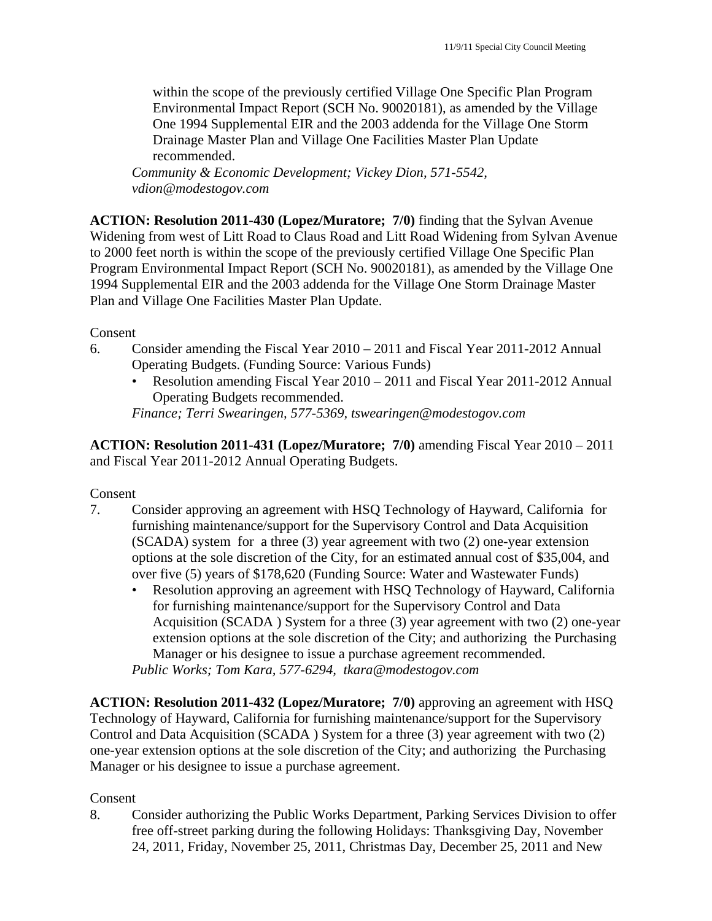within the scope of the previously certified Village One Specific Plan Program Environmental Impact Report (SCH No. 90020181), as amended by the Village One 1994 Supplemental EIR and the 2003 addenda for the Village One Storm Drainage Master Plan and Village One Facilities Master Plan Update recommended.

*Community & Economic Development; Vickey Dion, 571-5542, vdion@modestogov.com* 

**ACTION: Resolution 2011-430 (Lopez/Muratore; 7/0)** finding that the Sylvan Avenue Widening from west of Litt Road to Claus Road and Litt Road Widening from Sylvan Avenue to 2000 feet north is within the scope of the previously certified Village One Specific Plan Program Environmental Impact Report (SCH No. 90020181), as amended by the Village One 1994 Supplemental EIR and the 2003 addenda for the Village One Storm Drainage Master Plan and Village One Facilities Master Plan Update.

Consent

- 6. Consider amending the Fiscal Year 2010 2011 and Fiscal Year 2011-2012 Annual Operating Budgets. (Funding Source: Various Funds)
	- Resolution amending Fiscal Year 2010 2011 and Fiscal Year 2011-2012 Annual Operating Budgets recommended.

*Finance; Terri Swearingen, 577-5369, tswearingen@modestogov.com* 

**ACTION: Resolution 2011-431 (Lopez/Muratore; 7/0)** amending Fiscal Year 2010 – 2011 and Fiscal Year 2011-2012 Annual Operating Budgets.

### Consent

- 7. Consider approving an agreement with HSQ Technology of Hayward, California for furnishing maintenance/support for the Supervisory Control and Data Acquisition (SCADA) system for a three (3) year agreement with two (2) one-year extension options at the sole discretion of the City, for an estimated annual cost of \$35,004, and over five (5) years of \$178,620 (Funding Source: Water and Wastewater Funds)
	- Resolution approving an agreement with HSQ Technology of Hayward, California for furnishing maintenance/support for the Supervisory Control and Data Acquisition (SCADA ) System for a three (3) year agreement with two (2) one-year extension options at the sole discretion of the City; and authorizing the Purchasing Manager or his designee to issue a purchase agreement recommended.

*Public Works; Tom Kara, 577-6294, tkara@modestogov.com* 

**ACTION: Resolution 2011-432 (Lopez/Muratore; 7/0)** approving an agreement with HSQ Technology of Hayward, California for furnishing maintenance/support for the Supervisory Control and Data Acquisition (SCADA ) System for a three (3) year agreement with two (2) one-year extension options at the sole discretion of the City; and authorizing the Purchasing Manager or his designee to issue a purchase agreement.

# Consent

8. Consider authorizing the Public Works Department, Parking Services Division to offer free off-street parking during the following Holidays: Thanksgiving Day, November 24, 2011, Friday, November 25, 2011, Christmas Day, December 25, 2011 and New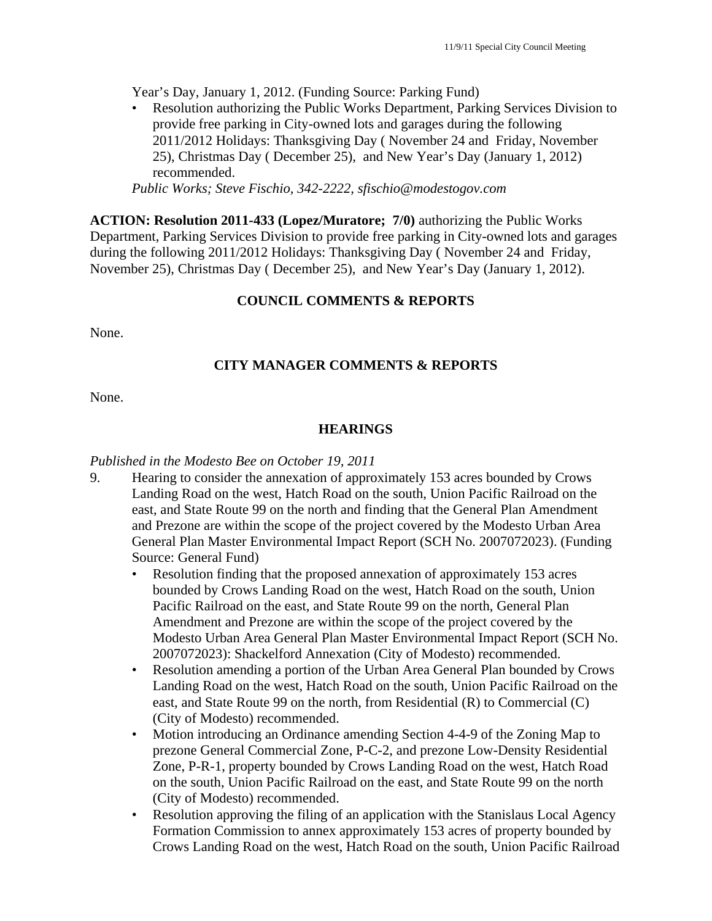Year's Day, January 1, 2012. (Funding Source: Parking Fund)

• Resolution authorizing the Public Works Department, Parking Services Division to provide free parking in City-owned lots and garages during the following 2011/2012 Holidays: Thanksgiving Day ( November 24 and Friday, November 25), Christmas Day ( December 25), and New Year's Day (January 1, 2012) recommended.

*Public Works; Steve Fischio, 342-2222, sfischio@modestogov.com* 

**ACTION: Resolution 2011-433 (Lopez/Muratore; 7/0)** authorizing the Public Works Department, Parking Services Division to provide free parking in City-owned lots and garages during the following 2011/2012 Holidays: Thanksgiving Day ( November 24 and Friday, November 25), Christmas Day ( December 25), and New Year's Day (January 1, 2012).

# **COUNCIL COMMENTS & REPORTS**

None.

# **CITY MANAGER COMMENTS & REPORTS**

None.

### **HEARINGS**

### *Published in the Modesto Bee on October 19, 2011*

- 9. Hearing to consider the annexation of approximately 153 acres bounded by Crows Landing Road on the west, Hatch Road on the south, Union Pacific Railroad on the east, and State Route 99 on the north and finding that the General Plan Amendment and Prezone are within the scope of the project covered by the Modesto Urban Area General Plan Master Environmental Impact Report (SCH No. 2007072023). (Funding Source: General Fund)
	- Resolution finding that the proposed annexation of approximately 153 acres bounded by Crows Landing Road on the west, Hatch Road on the south, Union Pacific Railroad on the east, and State Route 99 on the north, General Plan Amendment and Prezone are within the scope of the project covered by the Modesto Urban Area General Plan Master Environmental Impact Report (SCH No. 2007072023): Shackelford Annexation (City of Modesto) recommended.
	- Resolution amending a portion of the Urban Area General Plan bounded by Crows Landing Road on the west, Hatch Road on the south, Union Pacific Railroad on the east, and State Route 99 on the north, from Residential (R) to Commercial (C) (City of Modesto) recommended.
	- Motion introducing an Ordinance amending Section 4-4-9 of the Zoning Map to prezone General Commercial Zone, P-C-2, and prezone Low-Density Residential Zone, P-R-1, property bounded by Crows Landing Road on the west, Hatch Road on the south, Union Pacific Railroad on the east, and State Route 99 on the north (City of Modesto) recommended.
	- Resolution approving the filing of an application with the Stanislaus Local Agency Formation Commission to annex approximately 153 acres of property bounded by Crows Landing Road on the west, Hatch Road on the south, Union Pacific Railroad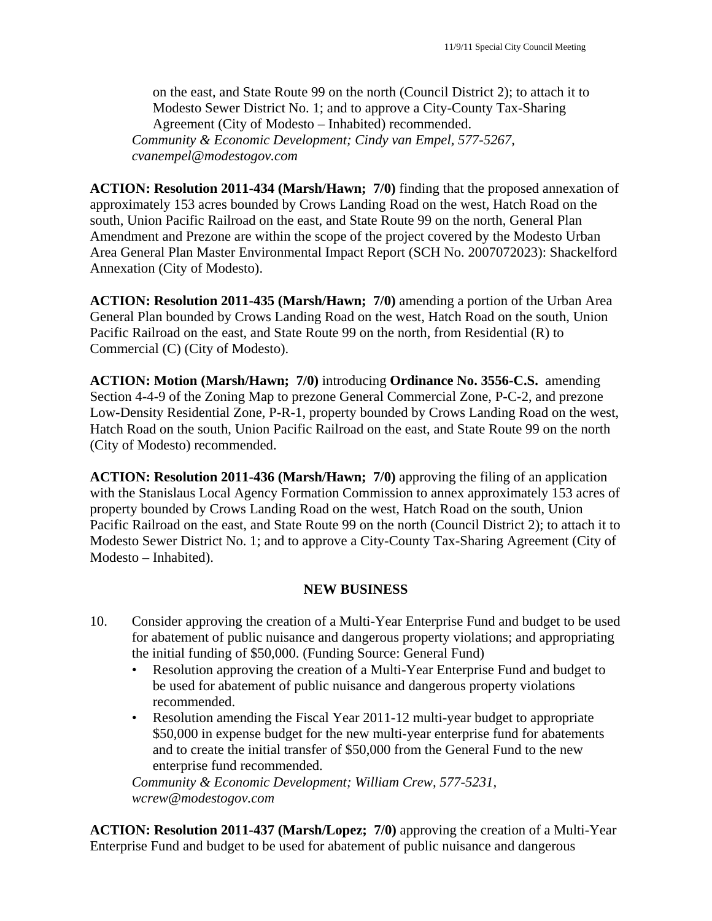on the east, and State Route 99 on the north (Council District 2); to attach it to Modesto Sewer District No. 1; and to approve a City-County Tax-Sharing Agreement (City of Modesto – Inhabited) recommended. *Community & Economic Development; Cindy van Empel, 577-5267, cvanempel@modestogov.com* 

**ACTION: Resolution 2011-434 (Marsh/Hawn; 7/0)** finding that the proposed annexation of approximately 153 acres bounded by Crows Landing Road on the west, Hatch Road on the south, Union Pacific Railroad on the east, and State Route 99 on the north, General Plan Amendment and Prezone are within the scope of the project covered by the Modesto Urban Area General Plan Master Environmental Impact Report (SCH No. 2007072023): Shackelford Annexation (City of Modesto).

**ACTION: Resolution 2011-435 (Marsh/Hawn; 7/0)** amending a portion of the Urban Area General Plan bounded by Crows Landing Road on the west, Hatch Road on the south, Union Pacific Railroad on the east, and State Route 99 on the north, from Residential (R) to Commercial (C) (City of Modesto).

**ACTION: Motion (Marsh/Hawn; 7/0)** introducing **Ordinance No. 3556-C.S.** amending Section 4-4-9 of the Zoning Map to prezone General Commercial Zone, P-C-2, and prezone Low-Density Residential Zone, P-R-1, property bounded by Crows Landing Road on the west, Hatch Road on the south, Union Pacific Railroad on the east, and State Route 99 on the north (City of Modesto) recommended.

**ACTION: Resolution 2011-436 (Marsh/Hawn; 7/0)** approving the filing of an application with the Stanislaus Local Agency Formation Commission to annex approximately 153 acres of property bounded by Crows Landing Road on the west, Hatch Road on the south, Union Pacific Railroad on the east, and State Route 99 on the north (Council District 2); to attach it to Modesto Sewer District No. 1; and to approve a City-County Tax-Sharing Agreement (City of Modesto – Inhabited).

### **NEW BUSINESS**

- 10. Consider approving the creation of a Multi-Year Enterprise Fund and budget to be used for abatement of public nuisance and dangerous property violations; and appropriating the initial funding of \$50,000. (Funding Source: General Fund)
	- Resolution approving the creation of a Multi-Year Enterprise Fund and budget to be used for abatement of public nuisance and dangerous property violations recommended.
	- Resolution amending the Fiscal Year 2011-12 multi-year budget to appropriate \$50,000 in expense budget for the new multi-year enterprise fund for abatements and to create the initial transfer of \$50,000 from the General Fund to the new enterprise fund recommended.

*Community & Economic Development; William Crew, 577-5231, wcrew@modestogov.com* 

**ACTION: Resolution 2011-437 (Marsh/Lopez; 7/0)** approving the creation of a Multi-Year Enterprise Fund and budget to be used for abatement of public nuisance and dangerous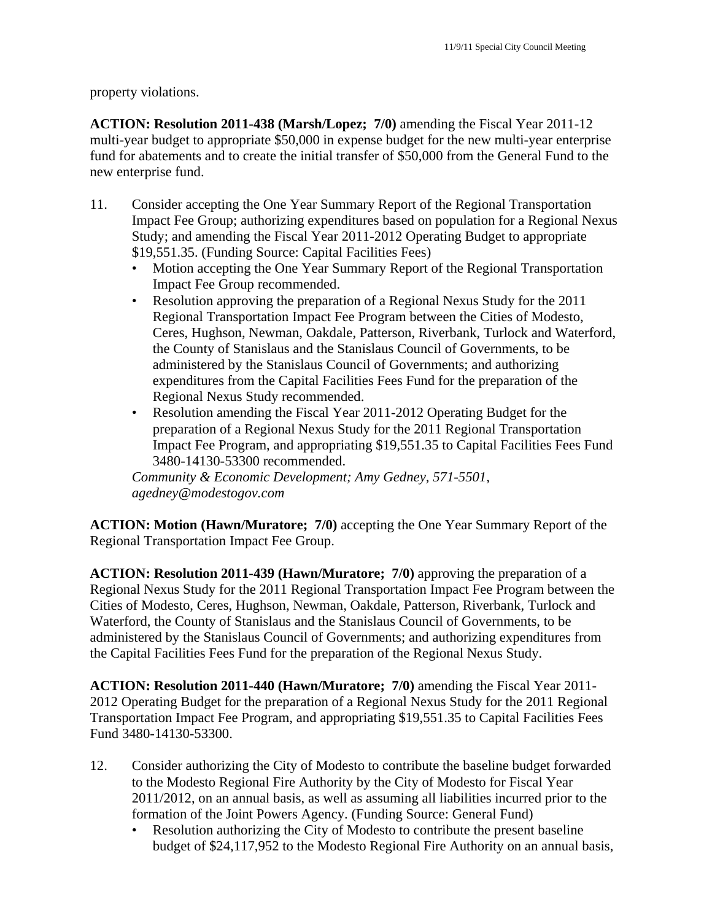property violations.

**ACTION: Resolution 2011-438 (Marsh/Lopez; 7/0)** amending the Fiscal Year 2011-12 multi-year budget to appropriate \$50,000 in expense budget for the new multi-year enterprise fund for abatements and to create the initial transfer of \$50,000 from the General Fund to the new enterprise fund.

- 11. Consider accepting the One Year Summary Report of the Regional Transportation Impact Fee Group; authorizing expenditures based on population for a Regional Nexus Study; and amending the Fiscal Year 2011-2012 Operating Budget to appropriate \$19,551.35. (Funding Source: Capital Facilities Fees)
	- Motion accepting the One Year Summary Report of the Regional Transportation Impact Fee Group recommended.
	- Resolution approving the preparation of a Regional Nexus Study for the 2011 Regional Transportation Impact Fee Program between the Cities of Modesto, Ceres, Hughson, Newman, Oakdale, Patterson, Riverbank, Turlock and Waterford, the County of Stanislaus and the Stanislaus Council of Governments, to be administered by the Stanislaus Council of Governments; and authorizing expenditures from the Capital Facilities Fees Fund for the preparation of the Regional Nexus Study recommended.
	- Resolution amending the Fiscal Year 2011-2012 Operating Budget for the preparation of a Regional Nexus Study for the 2011 Regional Transportation Impact Fee Program, and appropriating \$19,551.35 to Capital Facilities Fees Fund 3480-14130-53300 recommended.

*Community & Economic Development; Amy Gedney, 571-5501, agedney@modestogov.com* 

**ACTION: Motion (Hawn/Muratore; 7/0)** accepting the One Year Summary Report of the Regional Transportation Impact Fee Group.

**ACTION: Resolution 2011-439 (Hawn/Muratore; 7/0)** approving the preparation of a Regional Nexus Study for the 2011 Regional Transportation Impact Fee Program between the Cities of Modesto, Ceres, Hughson, Newman, Oakdale, Patterson, Riverbank, Turlock and Waterford, the County of Stanislaus and the Stanislaus Council of Governments, to be administered by the Stanislaus Council of Governments; and authorizing expenditures from the Capital Facilities Fees Fund for the preparation of the Regional Nexus Study.

**ACTION: Resolution 2011-440 (Hawn/Muratore; 7/0)** amending the Fiscal Year 2011- 2012 Operating Budget for the preparation of a Regional Nexus Study for the 2011 Regional Transportation Impact Fee Program, and appropriating \$19,551.35 to Capital Facilities Fees Fund 3480-14130-53300.

- 12. Consider authorizing the City of Modesto to contribute the baseline budget forwarded to the Modesto Regional Fire Authority by the City of Modesto for Fiscal Year 2011/2012, on an annual basis, as well as assuming all liabilities incurred prior to the formation of the Joint Powers Agency. (Funding Source: General Fund)
	- Resolution authorizing the City of Modesto to contribute the present baseline budget of \$24,117,952 to the Modesto Regional Fire Authority on an annual basis,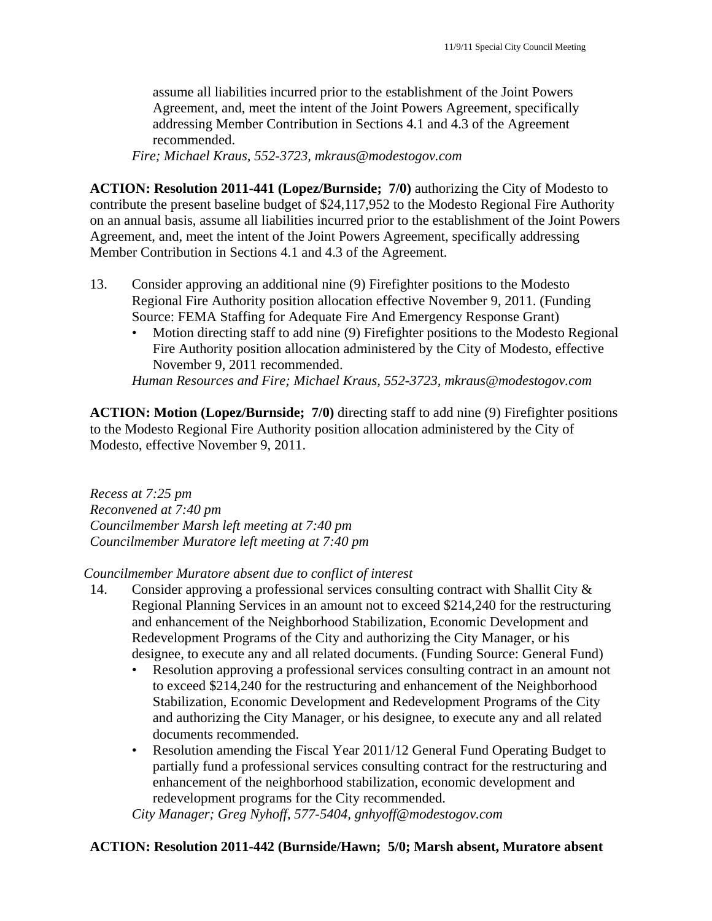assume all liabilities incurred prior to the establishment of the Joint Powers Agreement, and, meet the intent of the Joint Powers Agreement, specifically addressing Member Contribution in Sections 4.1 and 4.3 of the Agreement recommended.

*Fire; Michael Kraus, 552-3723, mkraus@modestogov.com* 

**ACTION: Resolution 2011-441 (Lopez/Burnside; 7/0)** authorizing the City of Modesto to contribute the present baseline budget of \$24,117,952 to the Modesto Regional Fire Authority on an annual basis, assume all liabilities incurred prior to the establishment of the Joint Powers Agreement, and, meet the intent of the Joint Powers Agreement, specifically addressing Member Contribution in Sections 4.1 and 4.3 of the Agreement.

- 13. Consider approving an additional nine (9) Firefighter positions to the Modesto Regional Fire Authority position allocation effective November 9, 2011. (Funding Source: FEMA Staffing for Adequate Fire And Emergency Response Grant)
	- Motion directing staff to add nine (9) Firefighter positions to the Modesto Regional Fire Authority position allocation administered by the City of Modesto, effective November 9, 2011 recommended.

*Human Resources and Fire; Michael Kraus, 552-3723, mkraus@modestogov.com* 

**ACTION: Motion (Lopez/Burnside; 7/0)** directing staff to add nine (9) Firefighter positions to the Modesto Regional Fire Authority position allocation administered by the City of Modesto, effective November 9, 2011.

*Recess at 7:25 pm Reconvened at 7:40 pm Councilmember Marsh left meeting at 7:40 pm Councilmember Muratore left meeting at 7:40 pm* 

*Councilmember Muratore absent due to conflict of interest* 

- 14. Consider approving a professional services consulting contract with Shallit City & Regional Planning Services in an amount not to exceed \$214,240 for the restructuring and enhancement of the Neighborhood Stabilization, Economic Development and Redevelopment Programs of the City and authorizing the City Manager, or his designee, to execute any and all related documents. (Funding Source: General Fund)
	- Resolution approving a professional services consulting contract in an amount not to exceed \$214,240 for the restructuring and enhancement of the Neighborhood Stabilization, Economic Development and Redevelopment Programs of the City and authorizing the City Manager, or his designee, to execute any and all related documents recommended.
	- Resolution amending the Fiscal Year 2011/12 General Fund Operating Budget to partially fund a professional services consulting contract for the restructuring and enhancement of the neighborhood stabilization, economic development and redevelopment programs for the City recommended.

*City Manager; Greg Nyhoff, 577-5404, gnhyoff@modestogov.com* 

# **ACTION: Resolution 2011-442 (Burnside/Hawn; 5/0; Marsh absent, Muratore absent**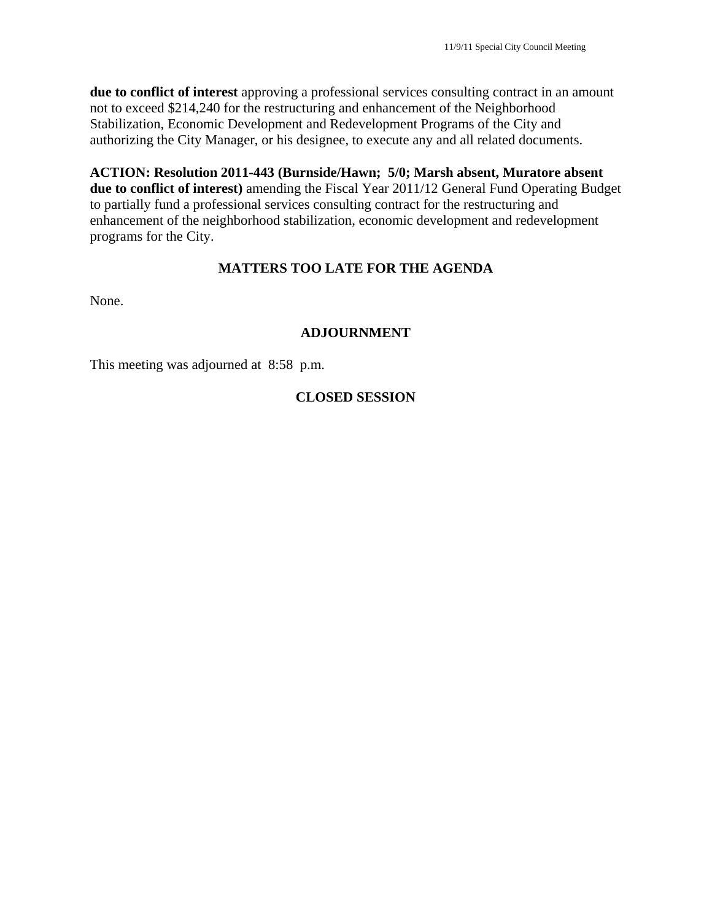**due to conflict of interest** approving a professional services consulting contract in an amount not to exceed \$214,240 for the restructuring and enhancement of the Neighborhood Stabilization, Economic Development and Redevelopment Programs of the City and authorizing the City Manager, or his designee, to execute any and all related documents.

**ACTION: Resolution 2011-443 (Burnside/Hawn; 5/0; Marsh absent, Muratore absent due to conflict of interest)** amending the Fiscal Year 2011/12 General Fund Operating Budget to partially fund a professional services consulting contract for the restructuring and enhancement of the neighborhood stabilization, economic development and redevelopment programs for the City.

# **MATTERS TOO LATE FOR THE AGENDA**

None.

# **ADJOURNMENT**

This meeting was adjourned at 8:58 p.m.

# **CLOSED SESSION**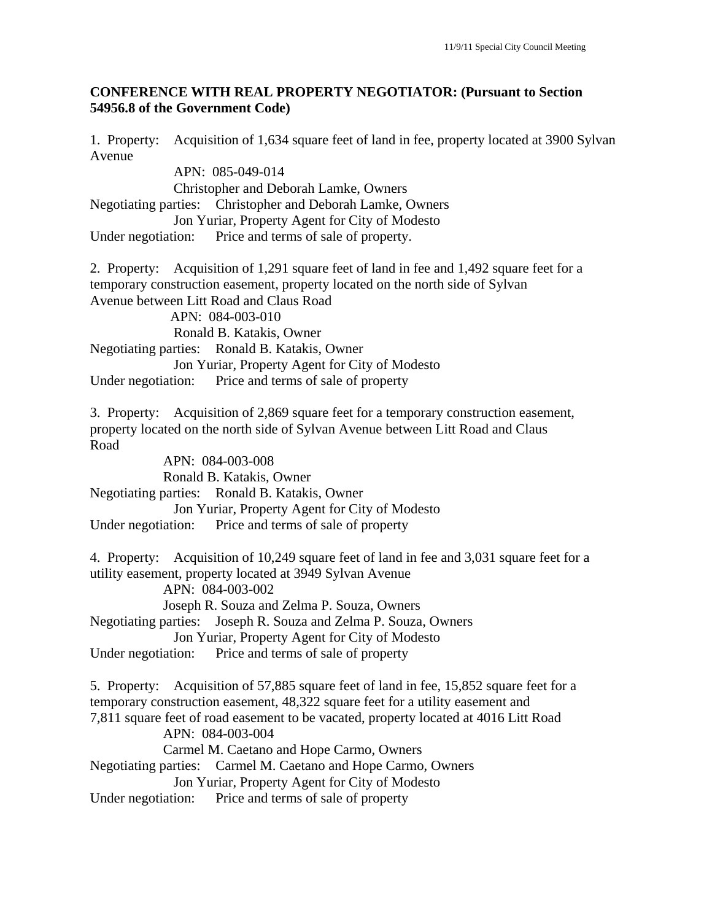### **CONFERENCE WITH REAL PROPERTY NEGOTIATOR: (Pursuant to Section 54956.8 of the Government Code)**

1. Property: Acquisition of 1,634 square feet of land in fee, property located at 3900 Sylvan Avenue

 APN: 085-049-014 Christopher and Deborah Lamke, Owners Negotiating parties: Christopher and Deborah Lamke, Owners Jon Yuriar, Property Agent for City of Modesto Under negotiation: Price and terms of sale of property. 2. Property: Acquisition of 1,291 square feet of land in fee and 1,492 square feet for a temporary construction easement, property located on the north side of Sylvan Avenue between Litt Road and Claus Road APN: 084-003-010 Ronald B. Katakis, Owner Negotiating parties: Ronald B. Katakis, Owner Jon Yuriar, Property Agent for City of Modesto Under negotiation: Price and terms of sale of property 3. Property: Acquisition of 2,869 square feet for a temporary construction easement, property located on the north side of Sylvan Avenue between Litt Road and Claus Road APN: 084-003-008 Ronald B. Katakis, Owner Negotiating parties: Ronald B. Katakis, Owner Jon Yuriar, Property Agent for City of Modesto Under negotiation: Price and terms of sale of property 4. Property: Acquisition of 10,249 square feet of land in fee and 3,031 square feet for a utility easement, property located at 3949 Sylvan Avenue APN: 084-003-002 Joseph R. Souza and Zelma P. Souza, Owners Negotiating parties: Joseph R. Souza and Zelma P. Souza, Owners Jon Yuriar, Property Agent for City of Modesto Under negotiation: Price and terms of sale of property 5. Property: Acquisition of 57,885 square feet of land in fee, 15,852 square feet for a temporary construction easement, 48,322 square feet for a utility easement and 7,811 square feet of road easement to be vacated, property located at 4016 Litt Road APN: 084-003-004 Carmel M. Caetano and Hope Carmo, Owners Negotiating parties: Carmel M. Caetano and Hope Carmo, Owners Jon Yuriar, Property Agent for City of Modesto Under negotiation: Price and terms of sale of property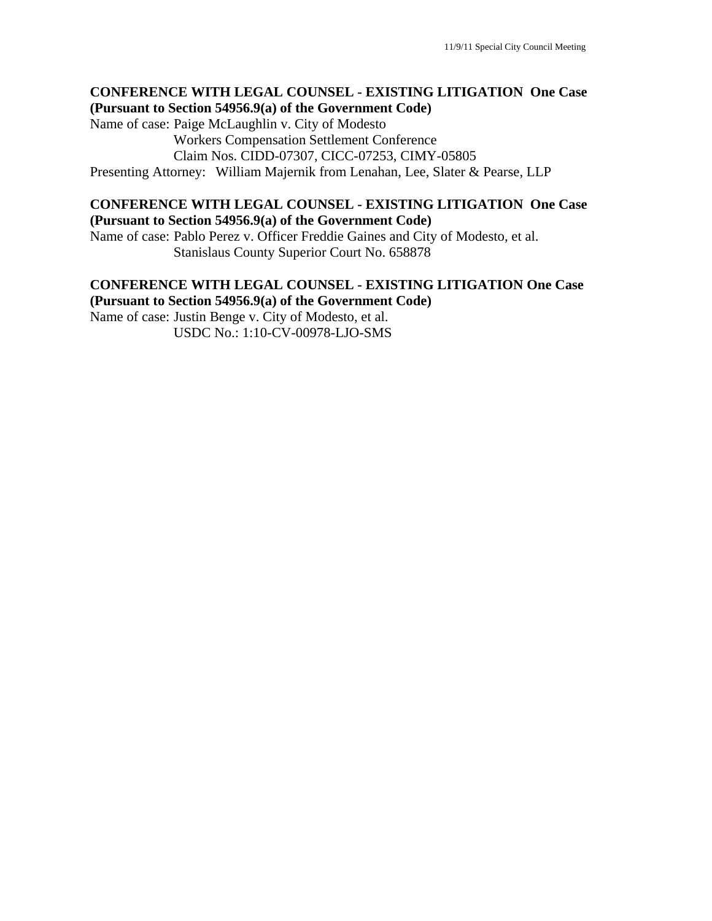### **CONFERENCE WITH LEGAL COUNSEL - EXISTING LITIGATION One Case (Pursuant to Section 54956.9(a) of the Government Code)**

Name of case: Paige McLaughlin v. City of Modesto Workers Compensation Settlement Conference Claim Nos. CIDD-07307, CICC-07253, CIMY-05805

Presenting Attorney: William Majernik from Lenahan, Lee, Slater & Pearse, LLP

### **CONFERENCE WITH LEGAL COUNSEL - EXISTING LITIGATION One Case (Pursuant to Section 54956.9(a) of the Government Code)**

Name of case: Pablo Perez v. Officer Freddie Gaines and City of Modesto, et al. Stanislaus County Superior Court No. 658878

### **CONFERENCE WITH LEGAL COUNSEL - EXISTING LITIGATION One Case (Pursuant to Section 54956.9(a) of the Government Code)**

Name of case: Justin Benge v. City of Modesto, et al. USDC No.: 1:10-CV-00978-LJO-SMS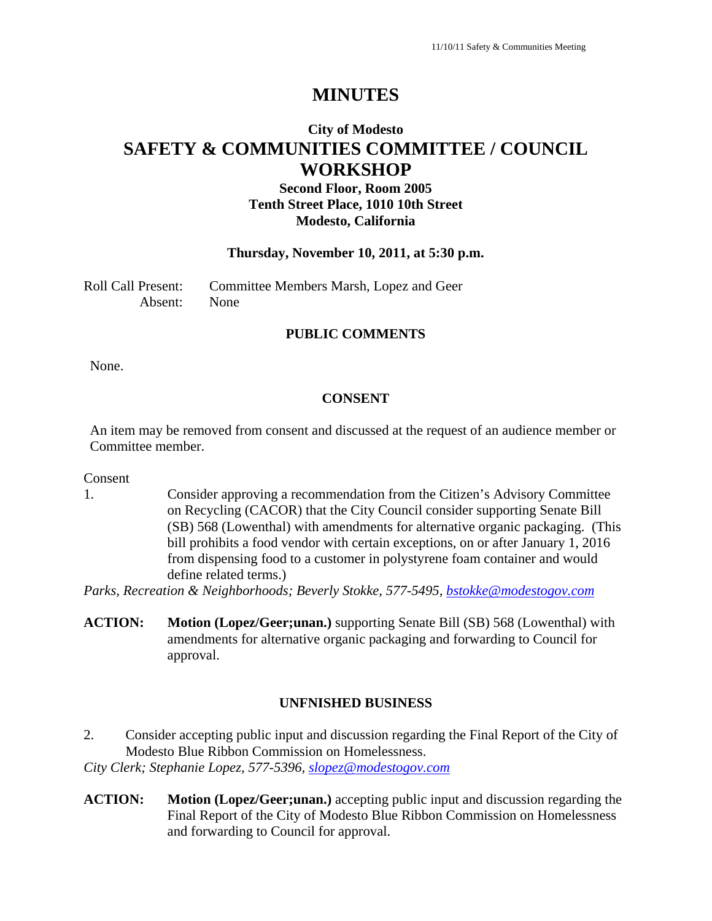# **MINUTES**

# **City of Modesto SAFETY & COMMUNITIES COMMITTEE / COUNCIL WORKSHOP**

# **Second Floor, Room 2005 Tenth Street Place, 1010 10th Street Modesto, California**

#### **Thursday, November 10, 2011, at 5:30 p.m.**

Roll Call Present: Committee Members Marsh, Lopez and Geer Absent: None

### **PUBLIC COMMENTS**

None.

### **CONSENT**

An item may be removed from consent and discussed at the request of an audience member or Committee member.

Consent

1. Consider approving a recommendation from the Citizen's Advisory Committee on Recycling (CACOR) that the City Council consider supporting Senate Bill (SB) 568 (Lowenthal) with amendments for alternative organic packaging. (This bill prohibits a food vendor with certain exceptions, on or after January 1, 2016 from dispensing food to a customer in polystyrene foam container and would define related terms.)

*Parks, Recreation & Neighborhoods; Beverly Stokke, 577-5495, bstokke@modestogov.com*

**ACTION: Motion (Lopez/Geer;unan.)** supporting Senate Bill (SB) 568 (Lowenthal) with amendments for alternative organic packaging and forwarding to Council for approval.

### **UNFNISHED BUSINESS**

2. Consider accepting public input and discussion regarding the Final Report of the City of Modesto Blue Ribbon Commission on Homelessness. *City Clerk; Stephanie Lopez, 577-5396, slopez@modestogov.com*

**ACTION: Motion (Lopez/Geer;unan.)** accepting public input and discussion regarding the Final Report of the City of Modesto Blue Ribbon Commission on Homelessness and forwarding to Council for approval.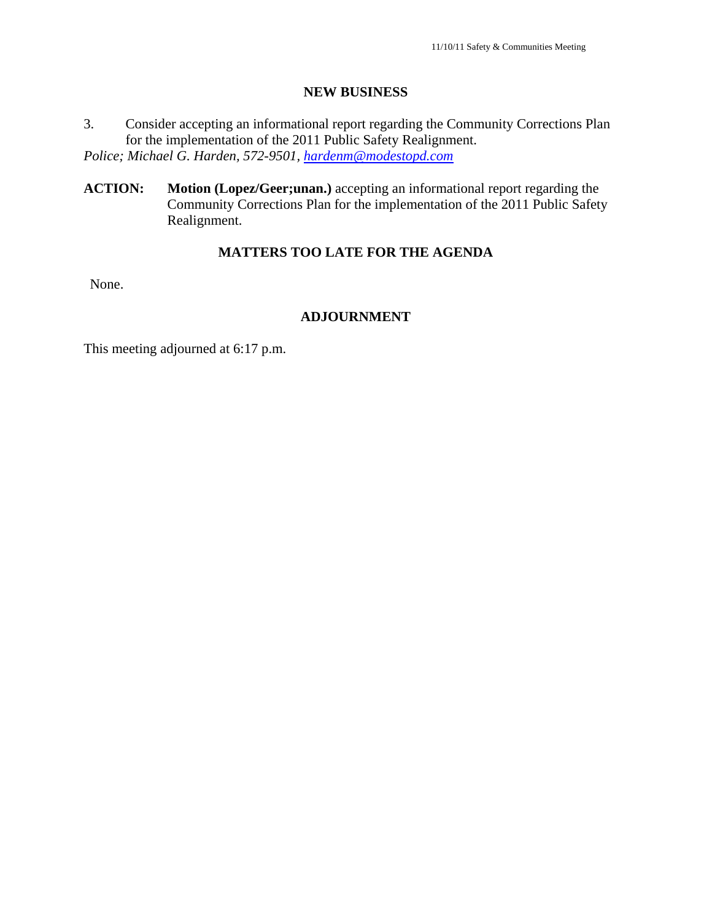### **NEW BUSINESS**

- 3. Consider accepting an informational report regarding the Community Corrections Plan for the implementation of the 2011 Public Safety Realignment. *Police; Michael G. Harden, 572-9501, hardenm@modestopd.com*
- **ACTION: Motion (Lopez/Geer;unan.)** accepting an informational report regarding the Community Corrections Plan for the implementation of the 2011 Public Safety Realignment.

# **MATTERS TOO LATE FOR THE AGENDA**

None.

# **ADJOURNMENT**

This meeting adjourned at 6:17 p.m.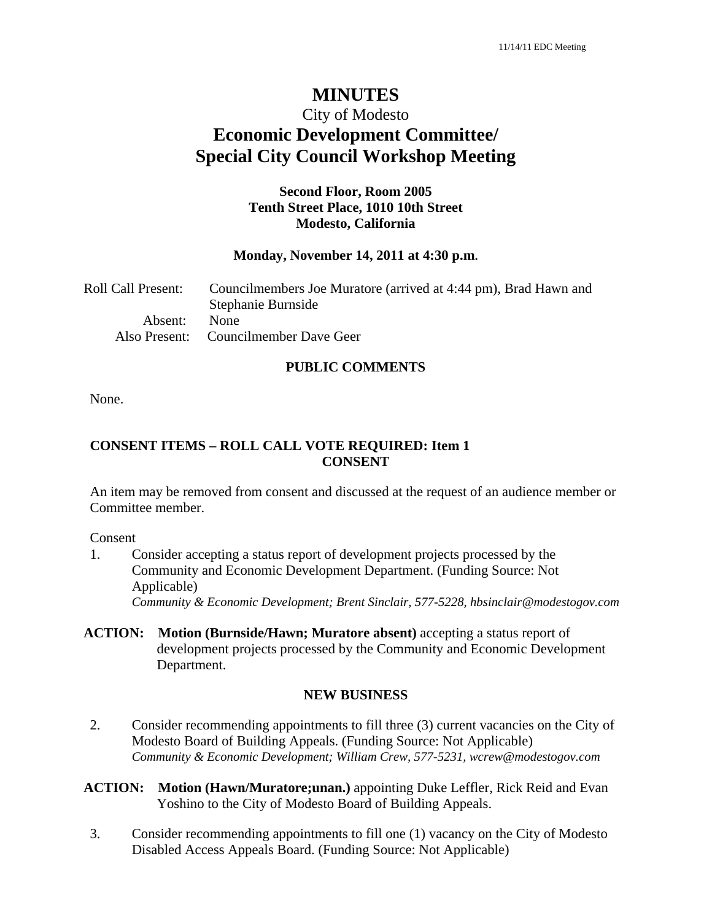# **MINUTES**

# City of Modesto **Economic Development Committee/ Special City Council Workshop Meeting**

## **Second Floor, Room 2005 Tenth Street Place, 1010 10th Street Modesto, California**

#### **Monday, November 14, 2011 at 4:30 p.m.**

| Roll Call Present: | Councilmembers Joe Muratore (arrived at 4:44 pm), Brad Hawn and<br>Stephanie Burnside |
|--------------------|---------------------------------------------------------------------------------------|
| Absent:            | <b>None</b><br>Also Present: Councilmember Dave Geer                                  |

#### **PUBLIC COMMENTS**

None.

### **CONSENT ITEMS – ROLL CALL VOTE REQUIRED: Item 1 CONSENT**

An item may be removed from consent and discussed at the request of an audience member or Committee member.

Consent

1. Consider accepting a status report of development projects processed by the Community and Economic Development Department. (Funding Source: Not Applicable)

*Community & Economic Development; Brent Sinclair, 577-5228, hbsinclair@modestogov.com* 

**ACTION: Motion (Burnside/Hawn; Muratore absent)** accepting a status report of development projects processed by the Community and Economic Development Department.

#### **NEW BUSINESS**

2. Consider recommending appointments to fill three (3) current vacancies on the City of Modesto Board of Building Appeals. (Funding Source: Not Applicable) *Community & Economic Development; William Crew, 577-5231, wcrew@modestogov.com* 

### **ACTION: Motion (Hawn/Muratore;unan.)** appointing Duke Leffler, Rick Reid and Evan Yoshino to the City of Modesto Board of Building Appeals.

3. Consider recommending appointments to fill one (1) vacancy on the City of Modesto Disabled Access Appeals Board. (Funding Source: Not Applicable)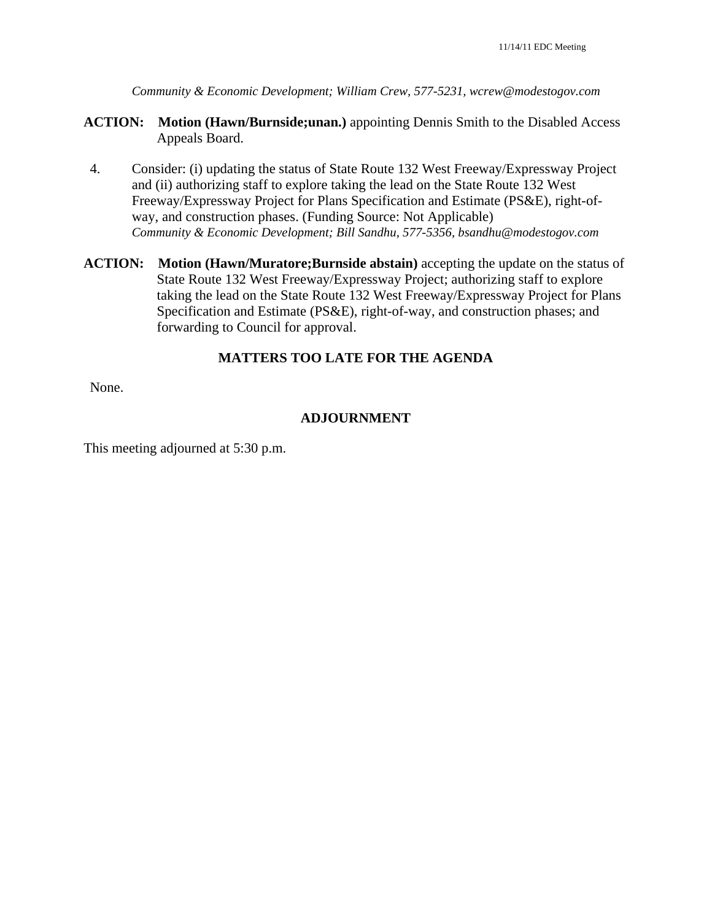*Community & Economic Development; William Crew, 577-5231, wcrew@modestogov.com* 

- **ACTION: Motion (Hawn/Burnside;unan.)** appointing Dennis Smith to the Disabled Access Appeals Board.
- 4. Consider: (i) updating the status of State Route 132 West Freeway/Expressway Project and (ii) authorizing staff to explore taking the lead on the State Route 132 West Freeway/Expressway Project for Plans Specification and Estimate (PS&E), right-ofway, and construction phases. (Funding Source: Not Applicable) *Community & Economic Development; Bill Sandhu, 577-5356, bsandhu@modestogov.com*
- **ACTION: Motion (Hawn/Muratore;Burnside abstain)** accepting the update on the status of State Route 132 West Freeway/Expressway Project; authorizing staff to explore taking the lead on the State Route 132 West Freeway/Expressway Project for Plans Specification and Estimate (PS&E), right-of-way, and construction phases; and forwarding to Council for approval.

# **MATTERS TOO LATE FOR THE AGENDA**

None.

# **ADJOURNMENT**

This meeting adjourned at 5:30 p.m.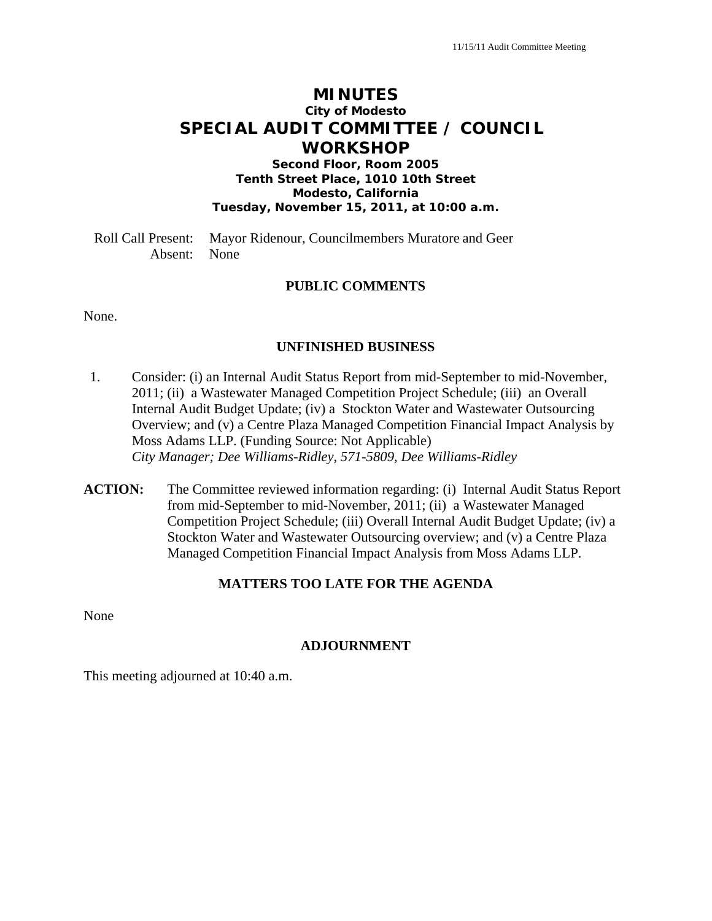# **MINUTES City of Modesto SPECIAL AUDIT COMMITTEE / COUNCIL WORKSHOP**

**Second Floor, Room 2005 Tenth Street Place, 1010 10th Street Modesto, California Tuesday, November 15, 2011, at 10:00 a.m.** 

Roll Call Present: Mayor Ridenour, Councilmembers Muratore and Geer Absent: None

### **PUBLIC COMMENTS**

None.

#### **UNFINISHED BUSINESS**

- 1. Consider: (i) an Internal Audit Status Report from mid-September to mid-November, 2011; (ii) a Wastewater Managed Competition Project Schedule; (iii) an Overall Internal Audit Budget Update; (iv) a Stockton Water and Wastewater Outsourcing Overview; and (v) a Centre Plaza Managed Competition Financial Impact Analysis by Moss Adams LLP. (Funding Source: Not Applicable)  *City Manager; Dee Williams-Ridley, 571-5809, Dee Williams-Ridley*
- **ACTION:** The Committee reviewed information regarding: (i) Internal Audit Status Report from mid-September to mid-November, 2011; (ii) a Wastewater Managed Competition Project Schedule; (iii) Overall Internal Audit Budget Update; (iv) a Stockton Water and Wastewater Outsourcing overview; and (v) a Centre Plaza Managed Competition Financial Impact Analysis from Moss Adams LLP.

### **MATTERS TOO LATE FOR THE AGENDA**

None

### **ADJOURNMENT**

This meeting adjourned at 10:40 a.m.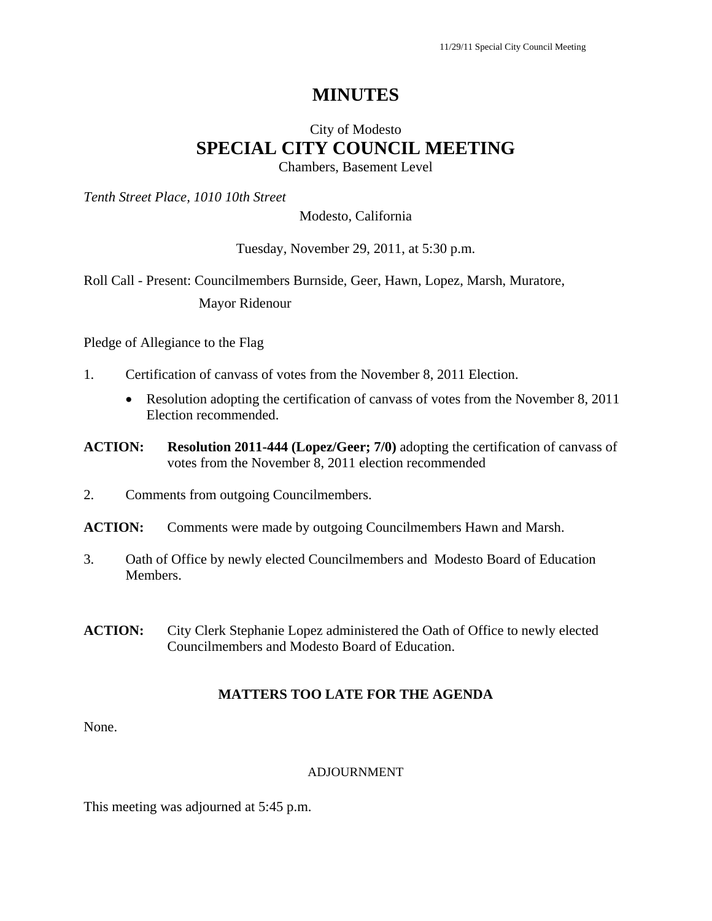# **MINUTES**

# City of Modesto **SPECIAL CITY COUNCIL MEETING**  Chambers, Basement Level

*Tenth Street Place, 1010 10th Street* 

### Modesto, California

### Tuesday, November 29, 2011, at 5:30 p.m.

Roll Call - Present: Councilmembers Burnside, Geer, Hawn, Lopez, Marsh, Muratore, Mayor Ridenour

Pledge of Allegiance to the Flag

- 1. Certification of canvass of votes from the November 8, 2011 Election.
	- Resolution adopting the certification of canvass of votes from the November 8, 2011 Election recommended.
- **ACTION: Resolution 2011-444 (Lopez/Geer; 7/0)** adopting the certification of canvass of votes from the November 8, 2011 election recommended
- 2. Comments from outgoing Councilmembers.
- **ACTION:** Comments were made by outgoing Councilmembers Hawn and Marsh.
- 3. Oath of Office by newly elected Councilmembers and Modesto Board of Education Members.
- **ACTION:** City Clerk Stephanie Lopez administered the Oath of Office to newly elected Councilmembers and Modesto Board of Education.

# **MATTERS TOO LATE FOR THE AGENDA**

None.

#### ADJOURNMENT

This meeting was adjourned at 5:45 p.m.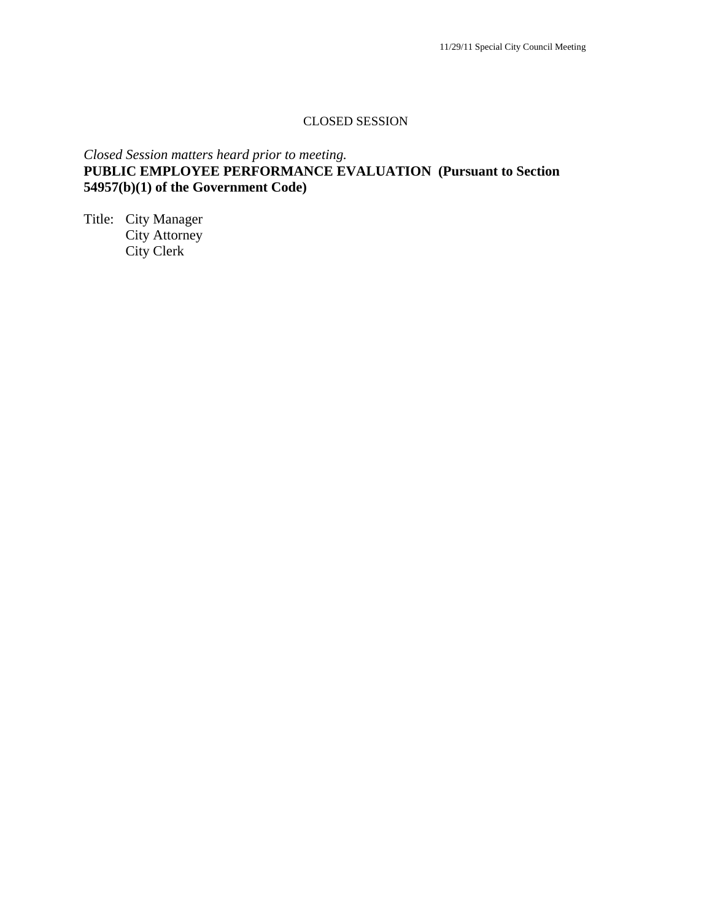### CLOSED SESSION

# *Closed Session matters heard prior to meeting.*  **PUBLIC EMPLOYEE PERFORMANCE EVALUATION (Pursuant to Section 54957(b)(1) of the Government Code)**

Title: City Manager City Attorney City Clerk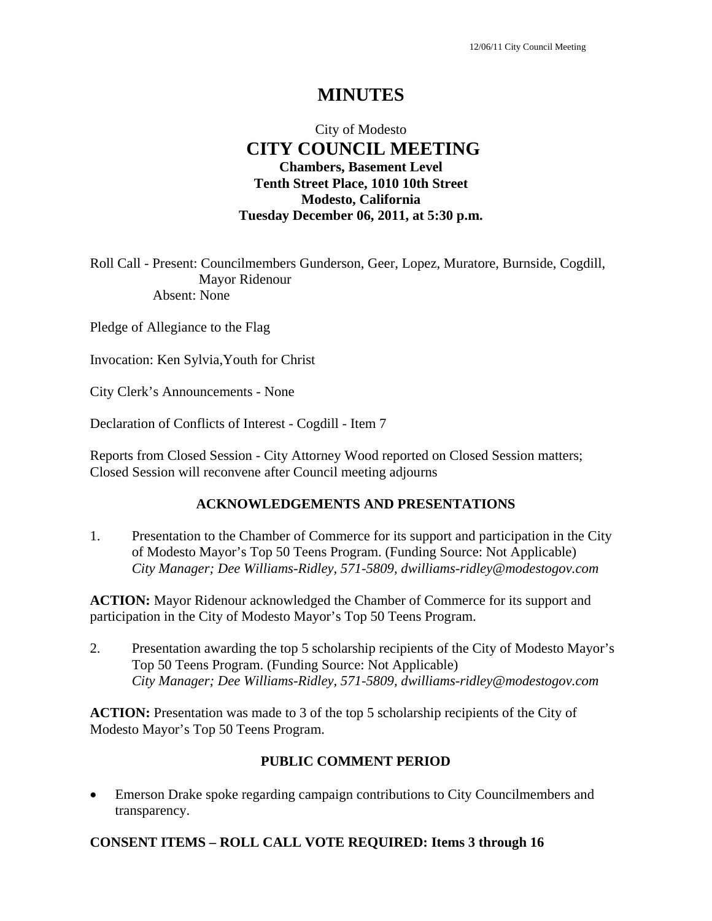# **MINUTES**

# City of Modesto  **CITY COUNCIL MEETING Chambers, Basement Level Tenth Street Place, 1010 10th Street Modesto, California Tuesday December 06, 2011, at 5:30 p.m.**

Roll Call - Present: Councilmembers Gunderson, Geer, Lopez, Muratore, Burnside, Cogdill, Mayor Ridenour Absent: None

Pledge of Allegiance to the Flag

Invocation: Ken Sylvia,Youth for Christ

City Clerk's Announcements - None

Declaration of Conflicts of Interest - Cogdill - Item 7

Reports from Closed Session - City Attorney Wood reported on Closed Session matters; Closed Session will reconvene after Council meeting adjourns

#### **ACKNOWLEDGEMENTS AND PRESENTATIONS**

1. Presentation to the Chamber of Commerce for its support and participation in the City of Modesto Mayor's Top 50 Teens Program. (Funding Source: Not Applicable)  *City Manager; Dee Williams-Ridley, 571-5809, dwilliams-ridley@modestogov.com* 

**ACTION:** Mayor Ridenour acknowledged the Chamber of Commerce for its support and participation in the City of Modesto Mayor's Top 50 Teens Program.

2. Presentation awarding the top 5 scholarship recipients of the City of Modesto Mayor's Top 50 Teens Program. (Funding Source: Not Applicable)  *City Manager; Dee Williams-Ridley, 571-5809, dwilliams-ridley@modestogov.com* 

**ACTION:** Presentation was made to 3 of the top 5 scholarship recipients of the City of Modesto Mayor's Top 50 Teens Program.

### **PUBLIC COMMENT PERIOD**

 Emerson Drake spoke regarding campaign contributions to City Councilmembers and transparency.

### **CONSENT ITEMS – ROLL CALL VOTE REQUIRED: Items 3 through 16**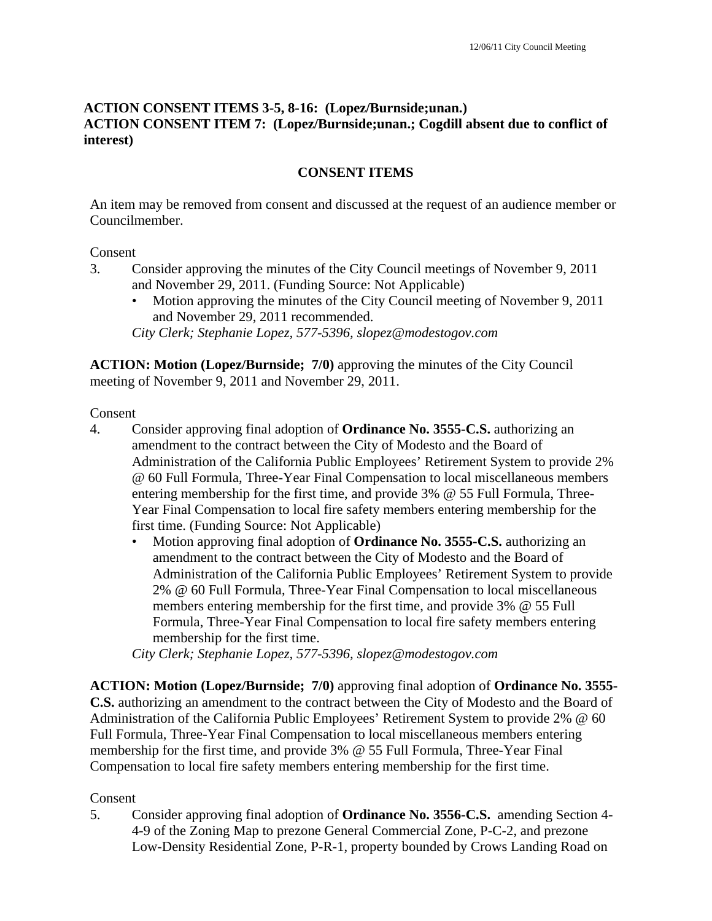# **ACTION CONSENT ITEMS 3-5, 8-16: (Lopez/Burnside;unan.) ACTION CONSENT ITEM 7: (Lopez/Burnside;unan.; Cogdill absent due to conflict of interest)**

# **CONSENT ITEMS**

An item may be removed from consent and discussed at the request of an audience member or Councilmember.

### Consent

- 3. Consider approving the minutes of the City Council meetings of November 9, 2011 and November 29, 2011. (Funding Source: Not Applicable)
	- Motion approving the minutes of the City Council meeting of November 9, 2011 and November 29, 2011 recommended. *City Clerk; Stephanie Lopez, 577-5396, slopez@modestogov.com*

**ACTION: Motion (Lopez/Burnside; 7/0)** approving the minutes of the City Council meeting of November 9, 2011 and November 29, 2011.

Consent

- 4. Consider approving final adoption of **Ordinance No. 3555-C.S.** authorizing an amendment to the contract between the City of Modesto and the Board of Administration of the California Public Employees' Retirement System to provide 2% @ 60 Full Formula, Three-Year Final Compensation to local miscellaneous members entering membership for the first time, and provide 3% @ 55 Full Formula, Three-Year Final Compensation to local fire safety members entering membership for the first time. (Funding Source: Not Applicable)
	- Motion approving final adoption of **Ordinance No. 3555-C.S.** authorizing an amendment to the contract between the City of Modesto and the Board of Administration of the California Public Employees' Retirement System to provide 2% @ 60 Full Formula, Three-Year Final Compensation to local miscellaneous members entering membership for the first time, and provide 3% @ 55 Full Formula, Three-Year Final Compensation to local fire safety members entering membership for the first time.

*City Clerk; Stephanie Lopez, 577-5396, slopez@modestogov.com* 

**ACTION: Motion (Lopez/Burnside; 7/0)** approving final adoption of **Ordinance No. 3555- C.S.** authorizing an amendment to the contract between the City of Modesto and the Board of Administration of the California Public Employees' Retirement System to provide 2% @ 60 Full Formula, Three-Year Final Compensation to local miscellaneous members entering membership for the first time, and provide 3% @ 55 Full Formula, Three-Year Final Compensation to local fire safety members entering membership for the first time.

# Consent

5. Consider approving final adoption of **Ordinance No. 3556-C.S.** amending Section 4- 4-9 of the Zoning Map to prezone General Commercial Zone, P-C-2, and prezone Low-Density Residential Zone, P-R-1, property bounded by Crows Landing Road on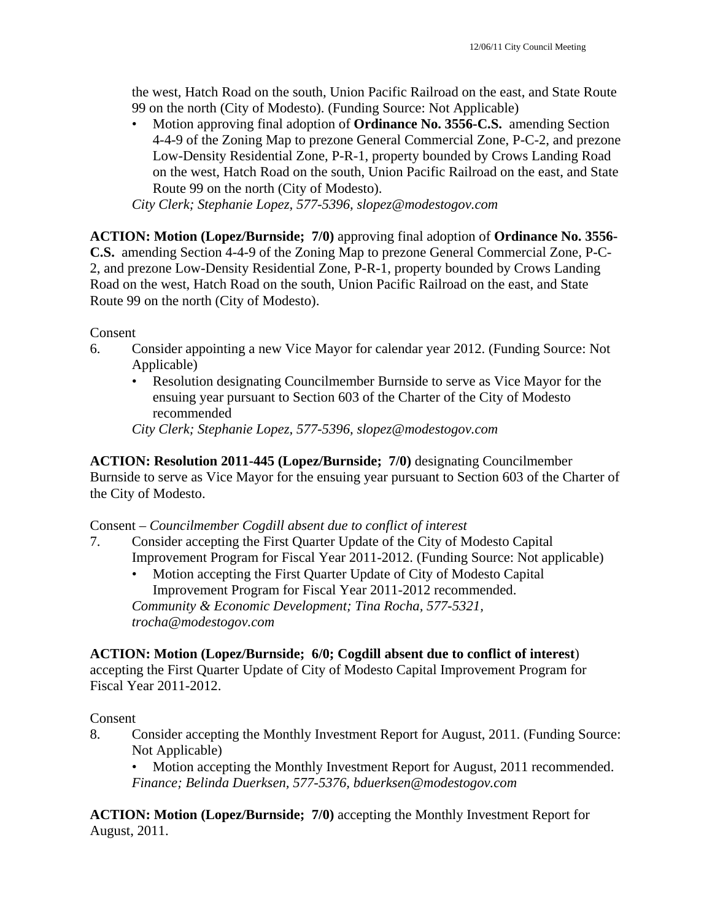the west, Hatch Road on the south, Union Pacific Railroad on the east, and State Route 99 on the north (City of Modesto). (Funding Source: Not Applicable)

• Motion approving final adoption of **Ordinance No. 3556-C.S.** amending Section 4-4-9 of the Zoning Map to prezone General Commercial Zone, P-C-2, and prezone Low-Density Residential Zone, P-R-1, property bounded by Crows Landing Road on the west, Hatch Road on the south, Union Pacific Railroad on the east, and State Route 99 on the north (City of Modesto).

*City Clerk; Stephanie Lopez, 577-5396, slopez@modestogov.com* 

**ACTION: Motion (Lopez/Burnside; 7/0)** approving final adoption of **Ordinance No. 3556- C.S.** amending Section 4-4-9 of the Zoning Map to prezone General Commercial Zone, P-C-2, and prezone Low-Density Residential Zone, P-R-1, property bounded by Crows Landing Road on the west, Hatch Road on the south, Union Pacific Railroad on the east, and State Route 99 on the north (City of Modesto).

Consent

- 6. Consider appointing a new Vice Mayor for calendar year 2012. (Funding Source: Not Applicable)
	- Resolution designating Councilmember Burnside to serve as Vice Mayor for the ensuing year pursuant to Section 603 of the Charter of the City of Modesto recommended

*City Clerk; Stephanie Lopez, 577-5396, slopez@modestogov.com* 

**ACTION: Resolution 2011-445 (Lopez/Burnside; 7/0)** designating Councilmember Burnside to serve as Vice Mayor for the ensuing year pursuant to Section 603 of the Charter of the City of Modesto.

### Consent – *Councilmember Cogdill absent due to conflict of interest*

- 7. Consider accepting the First Quarter Update of the City of Modesto Capital Improvement Program for Fiscal Year 2011-2012. (Funding Source: Not applicable)
	- Motion accepting the First Quarter Update of City of Modesto Capital Improvement Program for Fiscal Year 2011-2012 recommended. *Community & Economic Development; Tina Rocha, 577-5321, trocha@modestogov.com*

### **ACTION: Motion (Lopez/Burnside; 6/0; Cogdill absent due to conflict of interest**)

accepting the First Quarter Update of City of Modesto Capital Improvement Program for Fiscal Year 2011-2012.

### Consent

8. Consider accepting the Monthly Investment Report for August, 2011. (Funding Source: Not Applicable)

• Motion accepting the Monthly Investment Report for August, 2011 recommended. *Finance; Belinda Duerksen, 577-5376, bduerksen@modestogov.com* 

**ACTION: Motion (Lopez/Burnside; 7/0)** accepting the Monthly Investment Report for August, 2011.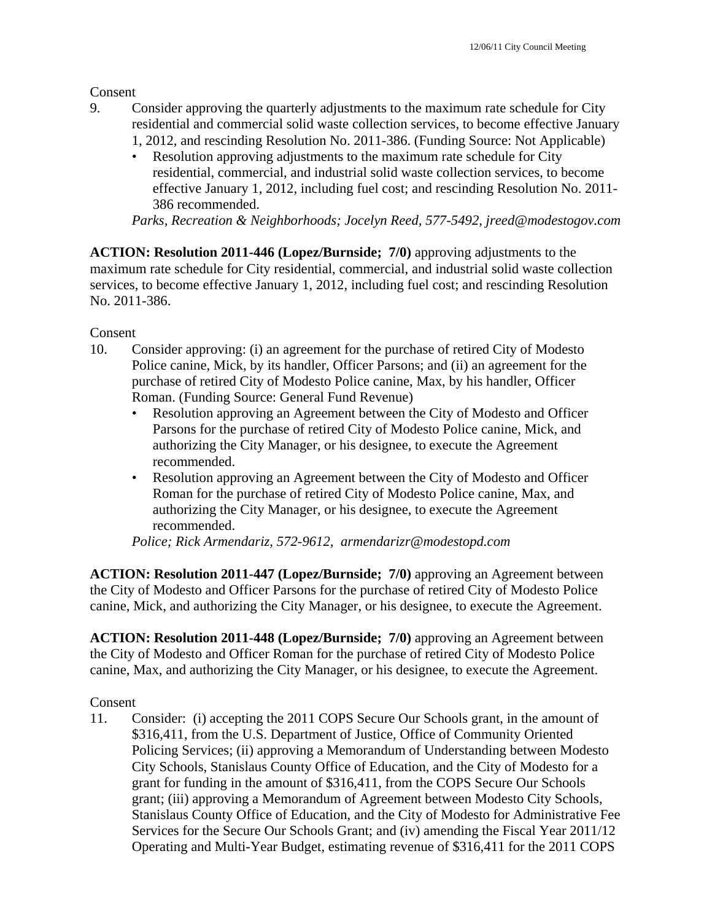Consent

- 9. Consider approving the quarterly adjustments to the maximum rate schedule for City residential and commercial solid waste collection services, to become effective January 1, 2012, and rescinding Resolution No. 2011-386. (Funding Source: Not Applicable)
	- Resolution approving adjustments to the maximum rate schedule for City residential, commercial, and industrial solid waste collection services, to become effective January 1, 2012, including fuel cost; and rescinding Resolution No. 2011- 386 recommended.

*Parks, Recreation & Neighborhoods; Jocelyn Reed, 577-5492, jreed@modestogov.com* 

**ACTION: Resolution 2011-446 (Lopez/Burnside; 7/0)** approving adjustments to the maximum rate schedule for City residential, commercial, and industrial solid waste collection services, to become effective January 1, 2012, including fuel cost; and rescinding Resolution No. 2011-386.

Consent

- 10. Consider approving: (i) an agreement for the purchase of retired City of Modesto Police canine, Mick, by its handler, Officer Parsons; and (ii) an agreement for the purchase of retired City of Modesto Police canine, Max, by his handler, Officer Roman. (Funding Source: General Fund Revenue)
	- Resolution approving an Agreement between the City of Modesto and Officer Parsons for the purchase of retired City of Modesto Police canine, Mick, and authorizing the City Manager, or his designee, to execute the Agreement recommended.
	- Resolution approving an Agreement between the City of Modesto and Officer Roman for the purchase of retired City of Modesto Police canine, Max, and authorizing the City Manager, or his designee, to execute the Agreement recommended.

*Police; Rick Armendariz, 572-9612, armendarizr@modestopd.com* 

**ACTION: Resolution 2011-447 (Lopez/Burnside; 7/0)** approving an Agreement between the City of Modesto and Officer Parsons for the purchase of retired City of Modesto Police canine, Mick, and authorizing the City Manager, or his designee, to execute the Agreement.

**ACTION: Resolution 2011-448 (Lopez/Burnside; 7/0)** approving an Agreement between the City of Modesto and Officer Roman for the purchase of retired City of Modesto Police canine, Max, and authorizing the City Manager, or his designee, to execute the Agreement.

Consent

11. Consider: (i) accepting the 2011 COPS Secure Our Schools grant, in the amount of \$316,411, from the U.S. Department of Justice, Office of Community Oriented Policing Services; (ii) approving a Memorandum of Understanding between Modesto City Schools, Stanislaus County Office of Education, and the City of Modesto for a grant for funding in the amount of \$316,411, from the COPS Secure Our Schools grant; (iii) approving a Memorandum of Agreement between Modesto City Schools, Stanislaus County Office of Education, and the City of Modesto for Administrative Fee Services for the Secure Our Schools Grant; and (iv) amending the Fiscal Year 2011/12 Operating and Multi-Year Budget, estimating revenue of \$316,411 for the 2011 COPS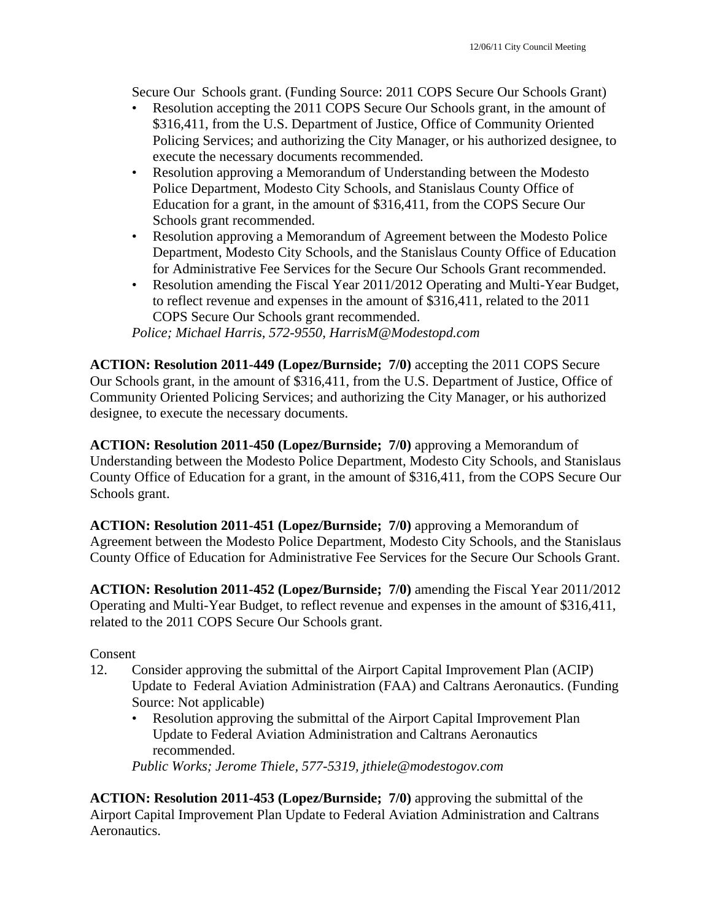Secure Our Schools grant. (Funding Source: 2011 COPS Secure Our Schools Grant)

- Resolution accepting the 2011 COPS Secure Our Schools grant, in the amount of \$316,411, from the U.S. Department of Justice, Office of Community Oriented Policing Services; and authorizing the City Manager, or his authorized designee, to execute the necessary documents recommended.
- Resolution approving a Memorandum of Understanding between the Modesto Police Department, Modesto City Schools, and Stanislaus County Office of Education for a grant, in the amount of \$316,411, from the COPS Secure Our Schools grant recommended.
- Resolution approving a Memorandum of Agreement between the Modesto Police Department, Modesto City Schools, and the Stanislaus County Office of Education for Administrative Fee Services for the Secure Our Schools Grant recommended.
- Resolution amending the Fiscal Year 2011/2012 Operating and Multi-Year Budget, to reflect revenue and expenses in the amount of \$316,411, related to the 2011 COPS Secure Our Schools grant recommended.

*Police; Michael Harris, 572-9550, HarrisM@Modestopd.com* 

**ACTION: Resolution 2011-449 (Lopez/Burnside; 7/0)** accepting the 2011 COPS Secure Our Schools grant, in the amount of \$316,411, from the U.S. Department of Justice, Office of Community Oriented Policing Services; and authorizing the City Manager, or his authorized designee, to execute the necessary documents.

**ACTION: Resolution 2011-450 (Lopez/Burnside; 7/0)** approving a Memorandum of Understanding between the Modesto Police Department, Modesto City Schools, and Stanislaus County Office of Education for a grant, in the amount of \$316,411, from the COPS Secure Our Schools grant.

**ACTION: Resolution 2011-451 (Lopez/Burnside; 7/0)** approving a Memorandum of Agreement between the Modesto Police Department, Modesto City Schools, and the Stanislaus County Office of Education for Administrative Fee Services for the Secure Our Schools Grant.

**ACTION: Resolution 2011-452 (Lopez/Burnside; 7/0)** amending the Fiscal Year 2011/2012 Operating and Multi-Year Budget, to reflect revenue and expenses in the amount of \$316,411, related to the 2011 COPS Secure Our Schools grant.

#### Consent

- 12. Consider approving the submittal of the Airport Capital Improvement Plan (ACIP) Update to Federal Aviation Administration (FAA) and Caltrans Aeronautics. (Funding Source: Not applicable)
	- Resolution approving the submittal of the Airport Capital Improvement Plan Update to Federal Aviation Administration and Caltrans Aeronautics recommended.

*Public Works; Jerome Thiele, 577-5319, jthiele@modestogov.com* 

**ACTION: Resolution 2011-453 (Lopez/Burnside; 7/0)** approving the submittal of the Airport Capital Improvement Plan Update to Federal Aviation Administration and Caltrans Aeronautics.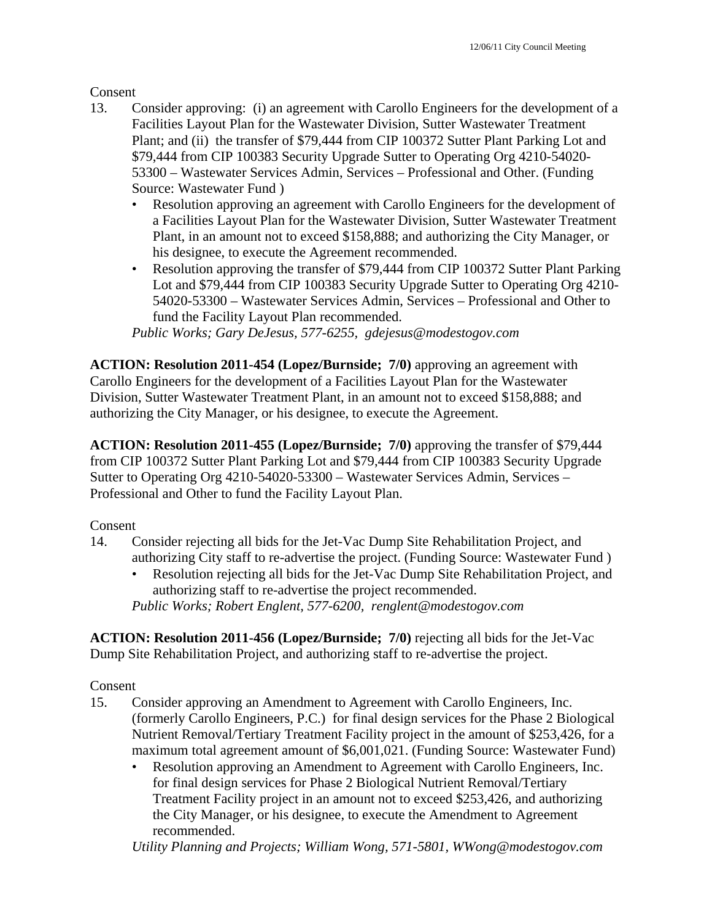Consent

- 13. Consider approving: (i) an agreement with Carollo Engineers for the development of a Facilities Layout Plan for the Wastewater Division, Sutter Wastewater Treatment Plant; and (ii) the transfer of \$79,444 from CIP 100372 Sutter Plant Parking Lot and \$79,444 from CIP 100383 Security Upgrade Sutter to Operating Org 4210-54020- 53300 – Wastewater Services Admin, Services – Professional and Other. (Funding Source: Wastewater Fund )
	- Resolution approving an agreement with Carollo Engineers for the development of a Facilities Layout Plan for the Wastewater Division, Sutter Wastewater Treatment Plant, in an amount not to exceed \$158,888; and authorizing the City Manager, or his designee, to execute the Agreement recommended.
	- Resolution approving the transfer of \$79,444 from CIP 100372 Sutter Plant Parking Lot and \$79,444 from CIP 100383 Security Upgrade Sutter to Operating Org 4210- 54020-53300 – Wastewater Services Admin, Services – Professional and Other to fund the Facility Layout Plan recommended.

*Public Works; Gary DeJesus, 577-6255, gdejesus@modestogov.com* 

**ACTION: Resolution 2011-454 (Lopez/Burnside; 7/0)** approving an agreement with Carollo Engineers for the development of a Facilities Layout Plan for the Wastewater Division, Sutter Wastewater Treatment Plant, in an amount not to exceed \$158,888; and authorizing the City Manager, or his designee, to execute the Agreement.

**ACTION: Resolution 2011-455 (Lopez/Burnside; 7/0)** approving the transfer of \$79,444 from CIP 100372 Sutter Plant Parking Lot and \$79,444 from CIP 100383 Security Upgrade Sutter to Operating Org 4210-54020-53300 – Wastewater Services Admin, Services – Professional and Other to fund the Facility Layout Plan.

Consent

- 14. Consider rejecting all bids for the Jet-Vac Dump Site Rehabilitation Project, and authorizing City staff to re-advertise the project. (Funding Source: Wastewater Fund )
	- Resolution rejecting all bids for the Jet-Vac Dump Site Rehabilitation Project, and authorizing staff to re-advertise the project recommended. *Public Works; Robert Englent, 577-6200, renglent@modestogov.com*

**ACTION: Resolution 2011-456 (Lopez/Burnside; 7/0)** rejecting all bids for the Jet-Vac Dump Site Rehabilitation Project, and authorizing staff to re-advertise the project.

Consent

- 15. Consider approving an Amendment to Agreement with Carollo Engineers, Inc. (formerly Carollo Engineers, P.C.) for final design services for the Phase 2 Biological Nutrient Removal/Tertiary Treatment Facility project in the amount of \$253,426, for a maximum total agreement amount of \$6,001,021. (Funding Source: Wastewater Fund)
	- Resolution approving an Amendment to Agreement with Carollo Engineers, Inc. for final design services for Phase 2 Biological Nutrient Removal/Tertiary Treatment Facility project in an amount not to exceed \$253,426, and authorizing the City Manager, or his designee, to execute the Amendment to Agreement recommended.

*Utility Planning and Projects; William Wong, 571-5801, WWong@modestogov.com*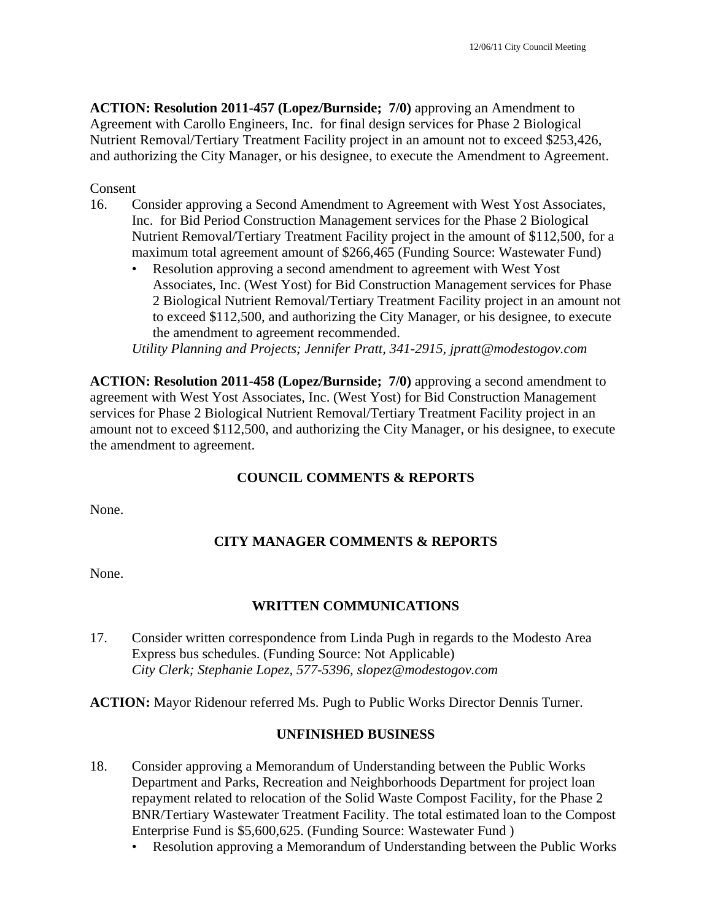**ACTION: Resolution 2011-457 (Lopez/Burnside; 7/0)** approving an Amendment to Agreement with Carollo Engineers, Inc. for final design services for Phase 2 Biological Nutrient Removal/Tertiary Treatment Facility project in an amount not to exceed \$253,426, and authorizing the City Manager, or his designee, to execute the Amendment to Agreement.

Consent

- 16. Consider approving a Second Amendment to Agreement with West Yost Associates, Inc. for Bid Period Construction Management services for the Phase 2 Biological Nutrient Removal/Tertiary Treatment Facility project in the amount of \$112,500, for a maximum total agreement amount of \$266,465 (Funding Source: Wastewater Fund)
	- Resolution approving a second amendment to agreement with West Yost Associates, Inc. (West Yost) for Bid Construction Management services for Phase 2 Biological Nutrient Removal/Tertiary Treatment Facility project in an amount not to exceed \$112,500, and authorizing the City Manager, or his designee, to execute the amendment to agreement recommended.

*Utility Planning and Projects; Jennifer Pratt, 341-2915, jpratt@modestogov.com* 

**ACTION: Resolution 2011-458 (Lopez/Burnside; 7/0)** approving a second amendment to agreement with West Yost Associates, Inc. (West Yost) for Bid Construction Management services for Phase 2 Biological Nutrient Removal/Tertiary Treatment Facility project in an amount not to exceed \$112,500, and authorizing the City Manager, or his designee, to execute the amendment to agreement.

## **COUNCIL COMMENTS & REPORTS**

None.

## **CITY MANAGER COMMENTS & REPORTS**

None.

## **WRITTEN COMMUNICATIONS**

17. Consider written correspondence from Linda Pugh in regards to the Modesto Area Express bus schedules. (Funding Source: Not Applicable)  *City Clerk; Stephanie Lopez, 577-5396, slopez@modestogov.com* 

**ACTION:** Mayor Ridenour referred Ms. Pugh to Public Works Director Dennis Turner.

#### **UNFINISHED BUSINESS**

- 18. Consider approving a Memorandum of Understanding between the Public Works Department and Parks, Recreation and Neighborhoods Department for project loan repayment related to relocation of the Solid Waste Compost Facility, for the Phase 2 BNR/Tertiary Wastewater Treatment Facility. The total estimated loan to the Compost Enterprise Fund is \$5,600,625. (Funding Source: Wastewater Fund )
	- Resolution approving a Memorandum of Understanding between the Public Works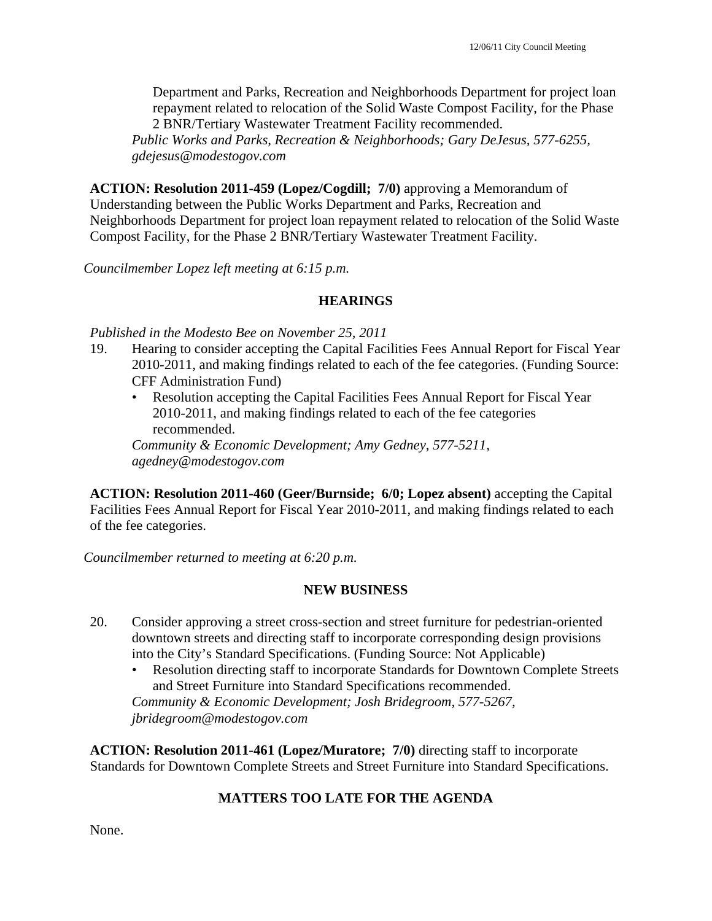Department and Parks, Recreation and Neighborhoods Department for project loan repayment related to relocation of the Solid Waste Compost Facility, for the Phase 2 BNR/Tertiary Wastewater Treatment Facility recommended.

*Public Works and Parks, Recreation & Neighborhoods; Gary DeJesus, 577-6255, gdejesus@modestogov.com* 

**ACTION: Resolution 2011-459 (Lopez/Cogdill; 7/0)** approving a Memorandum of Understanding between the Public Works Department and Parks, Recreation and Neighborhoods Department for project loan repayment related to relocation of the Solid Waste Compost Facility, for the Phase 2 BNR/Tertiary Wastewater Treatment Facility.

*Councilmember Lopez left meeting at 6:15 p.m.* 

## **HEARINGS**

*Published in the Modesto Bee on November 25, 2011* 

- 19. Hearing to consider accepting the Capital Facilities Fees Annual Report for Fiscal Year 2010-2011, and making findings related to each of the fee categories. (Funding Source: CFF Administration Fund)
	- Resolution accepting the Capital Facilities Fees Annual Report for Fiscal Year 2010-2011, and making findings related to each of the fee categories recommended.

*Community & Economic Development; Amy Gedney, 577-5211, agedney@modestogov.com* 

**ACTION: Resolution 2011-460 (Geer/Burnside; 6/0; Lopez absent)** accepting the Capital Facilities Fees Annual Report for Fiscal Year 2010-2011, and making findings related to each of the fee categories.

*Councilmember returned to meeting at 6:20 p.m.* 

#### **NEW BUSINESS**

- 20. Consider approving a street cross-section and street furniture for pedestrian-oriented downtown streets and directing staff to incorporate corresponding design provisions into the City's Standard Specifications. (Funding Source: Not Applicable)
	- Resolution directing staff to incorporate Standards for Downtown Complete Streets and Street Furniture into Standard Specifications recommended. *Community & Economic Development; Josh Bridegroom, 577-5267, jbridegroom@modestogov.com*

**ACTION: Resolution 2011-461 (Lopez/Muratore; 7/0)** directing staff to incorporate Standards for Downtown Complete Streets and Street Furniture into Standard Specifications.

## **MATTERS TOO LATE FOR THE AGENDA**

None.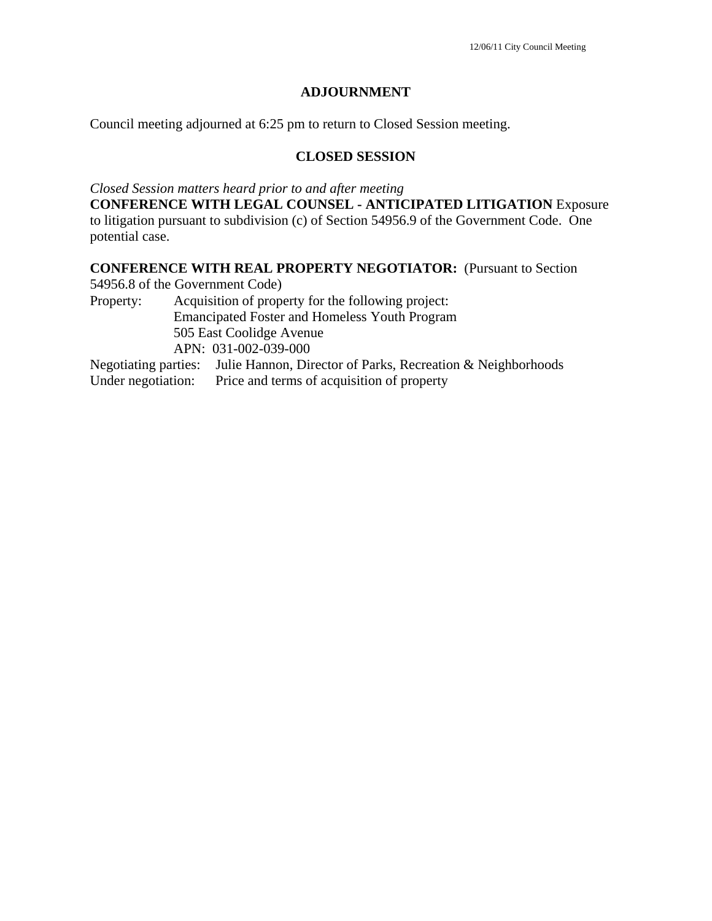## **ADJOURNMENT**

Council meeting adjourned at 6:25 pm to return to Closed Session meeting.

#### **CLOSED SESSION**

*Closed Session matters heard prior to and after meeting*

**CONFERENCE WITH LEGAL COUNSEL - ANTICIPATED LITIGATION** Exposure to litigation pursuant to subdivision (c) of Section 54956.9 of the Government Code. One potential case.

## **CONFERENCE WITH REAL PROPERTY NEGOTIATOR:** (Pursuant to Section

54956.8 of the Government Code)

Property: Acquisition of property for the following project: Emancipated Foster and Homeless Youth Program 505 East Coolidge Avenue APN: 031-002-039-000

Negotiating parties: Julie Hannon, Director of Parks, Recreation & Neighborhoods Under negotiation: Price and terms of acquisition of property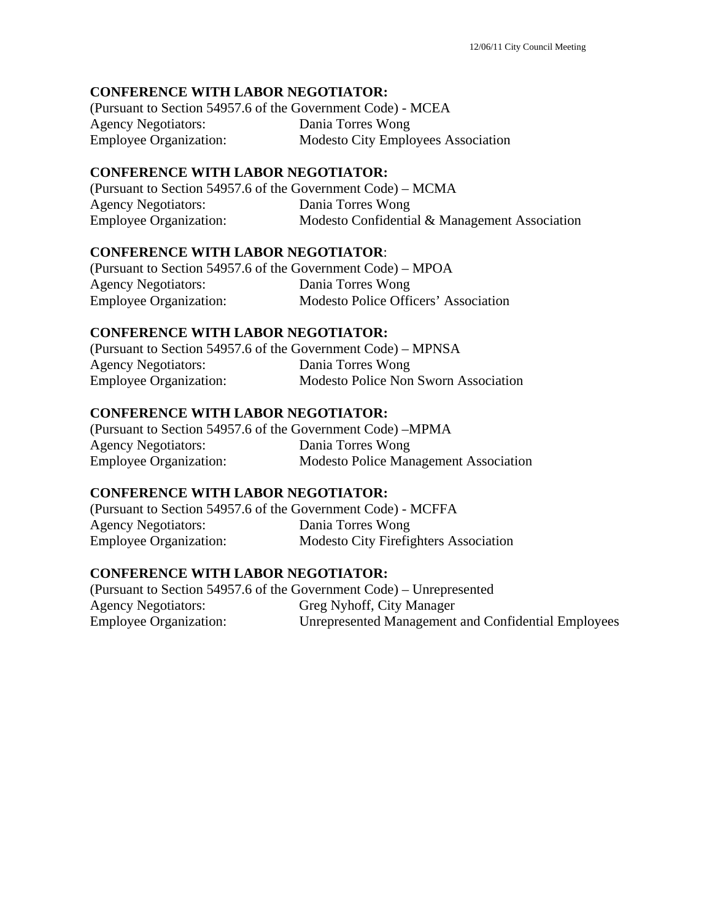## **CONFERENCE WITH LABOR NEGOTIATOR:**

| (Pursuant to Section 54957.6 of the Government Code) - MCEA |                                           |
|-------------------------------------------------------------|-------------------------------------------|
| <b>Agency Negotiators:</b>                                  | Dania Torres Wong                         |
| <b>Employee Organization:</b>                               | <b>Modesto City Employees Association</b> |

#### **CONFERENCE WITH LABOR NEGOTIATOR:**

(Pursuant to Section 54957.6 of the Government Code) – MCMA Agency Negotiators: Dania Torres Wong Employee Organization: Modesto Confidential & Management Association

## **CONFERENCE WITH LABOR NEGOTIATOR**:

(Pursuant to Section 54957.6 of the Government Code) – MPOA Agency Negotiators: Dania Torres Wong Employee Organization: Modesto Police Officers' Association

## **CONFERENCE WITH LABOR NEGOTIATOR:**

(Pursuant to Section 54957.6 of the Government Code) – MPNSA Agency Negotiators: Dania Torres Wong Employee Organization: Modesto Police Non Sworn Association

#### **CONFERENCE WITH LABOR NEGOTIATOR:**

| (Pursuant to Section 54957.6 of the Government Code) – MPMA |                                              |
|-------------------------------------------------------------|----------------------------------------------|
| <b>Agency Negotiators:</b>                                  | Dania Torres Wong                            |
| <b>Employee Organization:</b>                               | <b>Modesto Police Management Association</b> |

## **CONFERENCE WITH LABOR NEGOTIATOR:**

(Pursuant to Section 54957.6 of the Government Code) - MCFFA Agency Negotiators: Dania Torres Wong Employee Organization: Modesto City Firefighters Association

## **CONFERENCE WITH LABOR NEGOTIATOR:**

(Pursuant to Section 54957.6 of the Government Code) – Unrepresented Agency Negotiators: Greg Nyhoff, City Manager Employee Organization: Unrepresented Management and Confidential Employees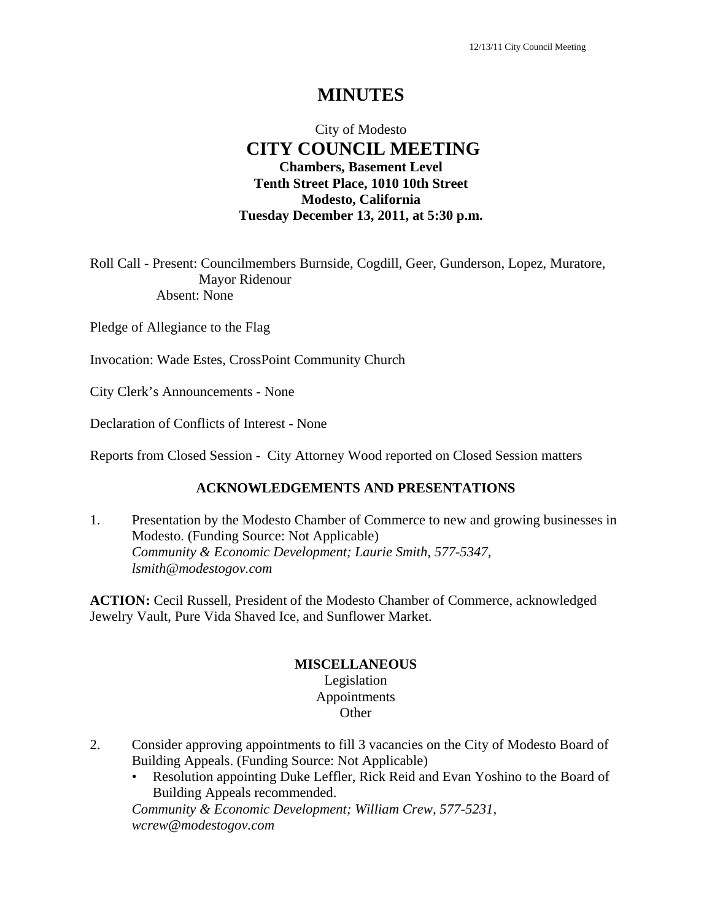# **MINUTES**

## City of Modesto  **CITY COUNCIL MEETING Chambers, Basement Level Tenth Street Place, 1010 10th Street Modesto, California Tuesday December 13, 2011, at 5:30 p.m.**

Roll Call - Present: Councilmembers Burnside, Cogdill, Geer, Gunderson, Lopez, Muratore, Mayor Ridenour Absent: None

Pledge of Allegiance to the Flag

Invocation: Wade Estes, CrossPoint Community Church

City Clerk's Announcements - None

Declaration of Conflicts of Interest - None

Reports from Closed Session - City Attorney Wood reported on Closed Session matters

#### **ACKNOWLEDGEMENTS AND PRESENTATIONS**

1. Presentation by the Modesto Chamber of Commerce to new and growing businesses in Modesto. (Funding Source: Not Applicable)  *Community & Economic Development; Laurie Smith, 577-5347, lsmith@modestogov.com* 

**ACTION:** Cecil Russell, President of the Modesto Chamber of Commerce, acknowledged Jewelry Vault, Pure Vida Shaved Ice, and Sunflower Market.

#### **MISCELLANEOUS**

Legislation Appointments **Other** 

- 2. Consider approving appointments to fill 3 vacancies on the City of Modesto Board of Building Appeals. (Funding Source: Not Applicable)
	- Resolution appointing Duke Leffler, Rick Reid and Evan Yoshino to the Board of Building Appeals recommended.

*Community & Economic Development; William Crew, 577-5231, wcrew@modestogov.com*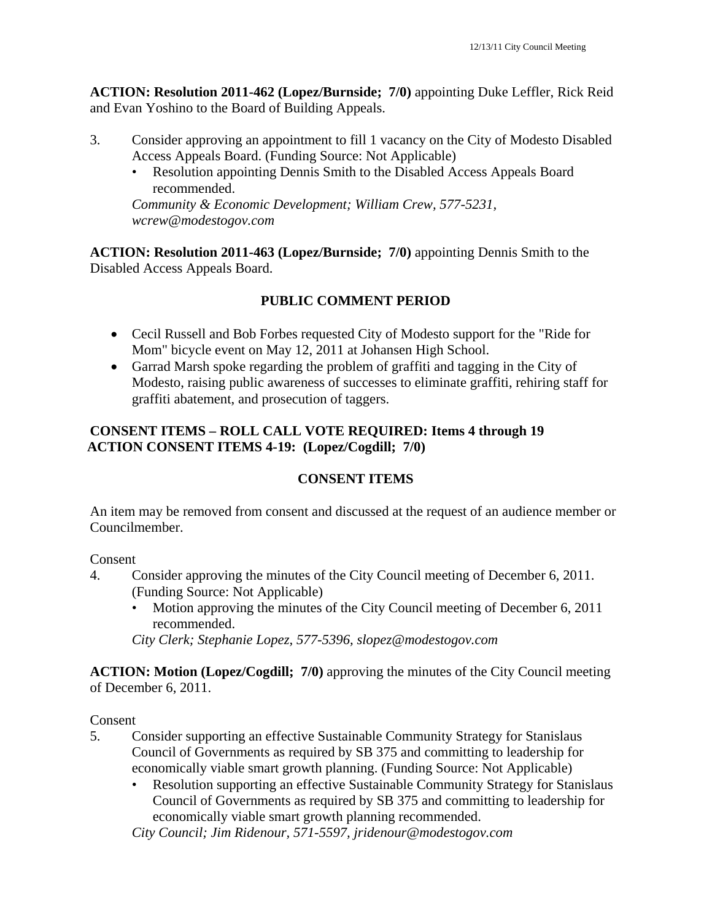**ACTION: Resolution 2011-462 (Lopez/Burnside; 7/0)** appointing Duke Leffler, Rick Reid and Evan Yoshino to the Board of Building Appeals.

- 3. Consider approving an appointment to fill 1 vacancy on the City of Modesto Disabled Access Appeals Board. (Funding Source: Not Applicable)
	- Resolution appointing Dennis Smith to the Disabled Access Appeals Board recommended.

*Community & Economic Development; William Crew, 577-5231, wcrew@modestogov.com* 

**ACTION: Resolution 2011-463 (Lopez/Burnside; 7/0)** appointing Dennis Smith to the Disabled Access Appeals Board.

# **PUBLIC COMMENT PERIOD**

- Cecil Russell and Bob Forbes requested City of Modesto support for the "Ride for Mom" bicycle event on May 12, 2011 at Johansen High School.
- Garrad Marsh spoke regarding the problem of graffiti and tagging in the City of Modesto, raising public awareness of successes to eliminate graffiti, rehiring staff for graffiti abatement, and prosecution of taggers.

## **CONSENT ITEMS – ROLL CALL VOTE REQUIRED: Items 4 through 19 ACTION CONSENT ITEMS 4-19: (Lopez/Cogdill; 7/0)**

## **CONSENT ITEMS**

An item may be removed from consent and discussed at the request of an audience member or Councilmember.

Consent

- 4. Consider approving the minutes of the City Council meeting of December 6, 2011. (Funding Source: Not Applicable)
	- Motion approving the minutes of the City Council meeting of December 6, 2011 recommended.

*City Clerk; Stephanie Lopez, 577-5396, slopez@modestogov.com* 

**ACTION: Motion (Lopez/Cogdill; 7/0)** approving the minutes of the City Council meeting of December 6, 2011.

Consent

- 5. Consider supporting an effective Sustainable Community Strategy for Stanislaus Council of Governments as required by SB 375 and committing to leadership for economically viable smart growth planning. (Funding Source: Not Applicable)
	- Resolution supporting an effective Sustainable Community Strategy for Stanislaus Council of Governments as required by SB 375 and committing to leadership for economically viable smart growth planning recommended.

*City Council; Jim Ridenour, 571-5597, jridenour@modestogov.com*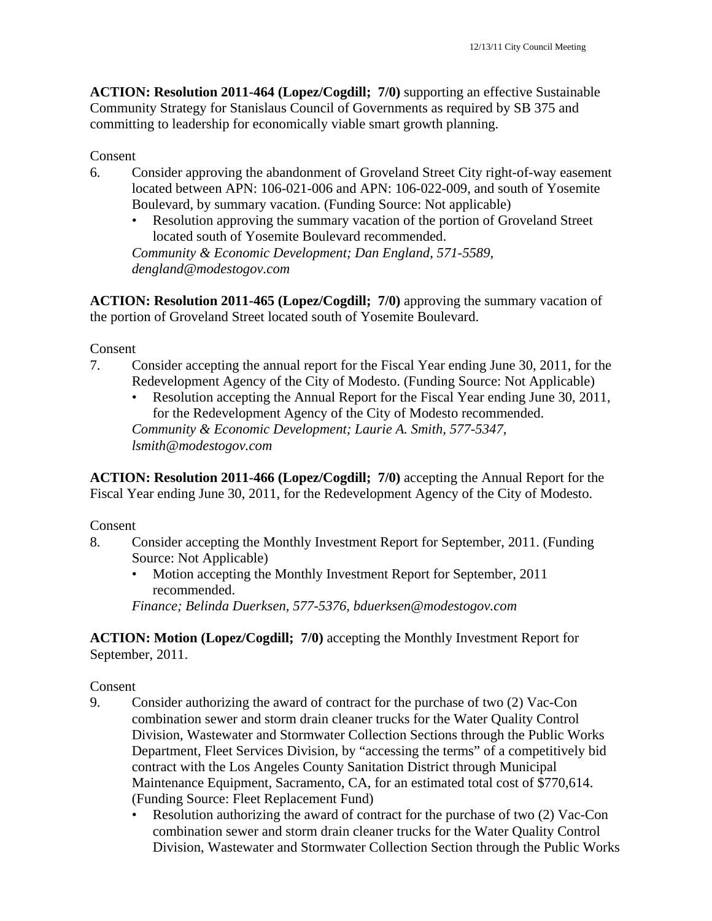**ACTION: Resolution 2011-464 (Lopez/Cogdill; 7/0)** supporting an effective Sustainable Community Strategy for Stanislaus Council of Governments as required by SB 375 and committing to leadership for economically viable smart growth planning.

#### Consent

- 6. Consider approving the abandonment of Groveland Street City right-of-way easement located between APN: 106-021-006 and APN: 106-022-009, and south of Yosemite Boulevard, by summary vacation. (Funding Source: Not applicable)
	- Resolution approving the summary vacation of the portion of Groveland Street located south of Yosemite Boulevard recommended. *Community & Economic Development; Dan England, 571-5589, dengland@modestogov.com*

**ACTION: Resolution 2011-465 (Lopez/Cogdill; 7/0)** approving the summary vacation of the portion of Groveland Street located south of Yosemite Boulevard.

#### Consent

- 7. Consider accepting the annual report for the Fiscal Year ending June 30, 2011, for the Redevelopment Agency of the City of Modesto. (Funding Source: Not Applicable)
	- Resolution accepting the Annual Report for the Fiscal Year ending June 30, 2011, for the Redevelopment Agency of the City of Modesto recommended. *Community & Economic Development; Laurie A. Smith, 577-5347, lsmith@modestogov.com*

**ACTION: Resolution 2011-466 (Lopez/Cogdill; 7/0)** accepting the Annual Report for the Fiscal Year ending June 30, 2011, for the Redevelopment Agency of the City of Modesto.

#### Consent

- 8. Consider accepting the Monthly Investment Report for September, 2011. (Funding Source: Not Applicable)
	- Motion accepting the Monthly Investment Report for September, 2011 recommended.

*Finance; Belinda Duerksen, 577-5376, bduerksen@modestogov.com* 

**ACTION: Motion (Lopez/Cogdill; 7/0)** accepting the Monthly Investment Report for September, 2011.

- 9. Consider authorizing the award of contract for the purchase of two (2) Vac-Con combination sewer and storm drain cleaner trucks for the Water Quality Control Division, Wastewater and Stormwater Collection Sections through the Public Works Department, Fleet Services Division, by "accessing the terms" of a competitively bid contract with the Los Angeles County Sanitation District through Municipal Maintenance Equipment, Sacramento, CA, for an estimated total cost of \$770,614. (Funding Source: Fleet Replacement Fund)
	- Resolution authorizing the award of contract for the purchase of two (2) Vac-Con combination sewer and storm drain cleaner trucks for the Water Quality Control Division, Wastewater and Stormwater Collection Section through the Public Works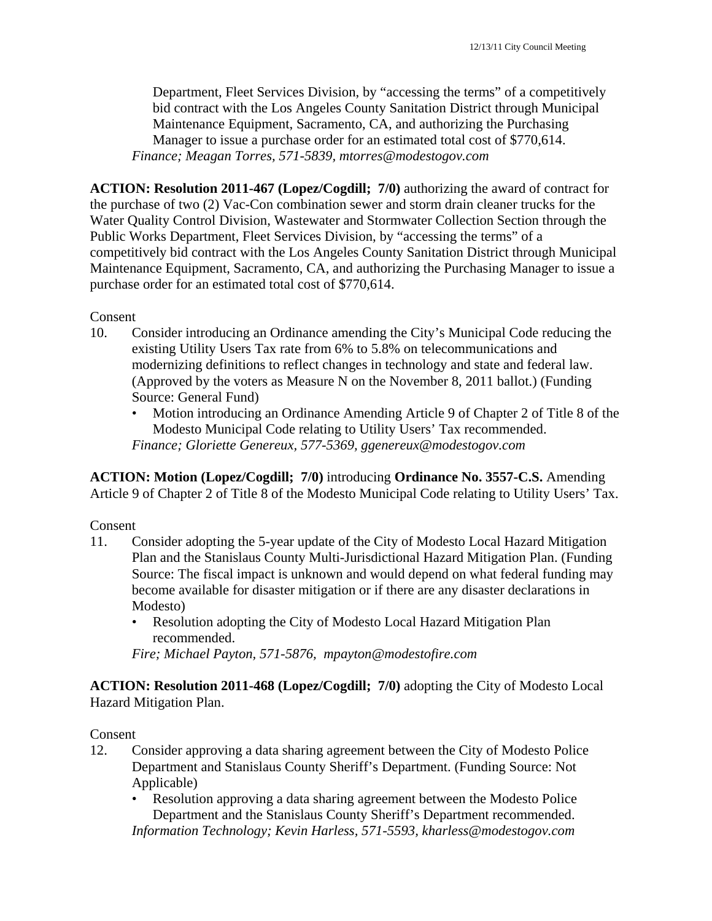Department, Fleet Services Division, by "accessing the terms" of a competitively bid contract with the Los Angeles County Sanitation District through Municipal Maintenance Equipment, Sacramento, CA, and authorizing the Purchasing Manager to issue a purchase order for an estimated total cost of \$770,614. *Finance; Meagan Torres, 571-5839, mtorres@modestogov.com* 

**ACTION: Resolution 2011-467 (Lopez/Cogdill; 7/0)** authorizing the award of contract for the purchase of two (2) Vac-Con combination sewer and storm drain cleaner trucks for the Water Quality Control Division, Wastewater and Stormwater Collection Section through the Public Works Department, Fleet Services Division, by "accessing the terms" of a competitively bid contract with the Los Angeles County Sanitation District through Municipal Maintenance Equipment, Sacramento, CA, and authorizing the Purchasing Manager to issue a purchase order for an estimated total cost of \$770,614.

Consent

- 10. Consider introducing an Ordinance amending the City's Municipal Code reducing the existing Utility Users Tax rate from 6% to 5.8% on telecommunications and modernizing definitions to reflect changes in technology and state and federal law. (Approved by the voters as Measure N on the November 8, 2011 ballot.) (Funding Source: General Fund)
	- Motion introducing an Ordinance Amending Article 9 of Chapter 2 of Title 8 of the Modesto Municipal Code relating to Utility Users' Tax recommended. *Finance; Gloriette Genereux, 577-5369, ggenereux@modestogov.com*

**ACTION: Motion (Lopez/Cogdill; 7/0)** introducing **Ordinance No. 3557-C.S.** Amending Article 9 of Chapter 2 of Title 8 of the Modesto Municipal Code relating to Utility Users' Tax.

## Consent

- 11. Consider adopting the 5-year update of the City of Modesto Local Hazard Mitigation Plan and the Stanislaus County Multi-Jurisdictional Hazard Mitigation Plan. (Funding Source: The fiscal impact is unknown and would depend on what federal funding may become available for disaster mitigation or if there are any disaster declarations in Modesto)
	- Resolution adopting the City of Modesto Local Hazard Mitigation Plan recommended.

*Fire; Michael Payton, 571-5876, mpayton@modestofire.com* 

**ACTION: Resolution 2011-468 (Lopez/Cogdill; 7/0)** adopting the City of Modesto Local Hazard Mitigation Plan.

- 12. Consider approving a data sharing agreement between the City of Modesto Police Department and Stanislaus County Sheriff's Department. (Funding Source: Not Applicable)
	- Resolution approving a data sharing agreement between the Modesto Police Department and the Stanislaus County Sheriff's Department recommended. *Information Technology; Kevin Harless, 571-5593, kharless@modestogov.com*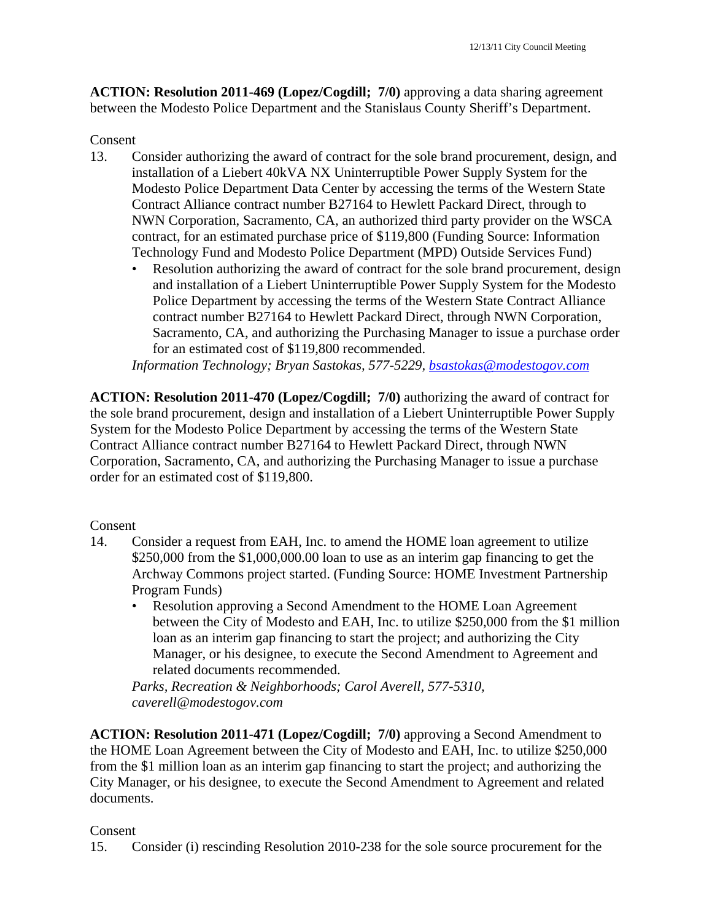**ACTION: Resolution 2011-469 (Lopez/Cogdill; 7/0)** approving a data sharing agreement between the Modesto Police Department and the Stanislaus County Sheriff's Department.

#### Consent

- 13. Consider authorizing the award of contract for the sole brand procurement, design, and installation of a Liebert 40kVA NX Uninterruptible Power Supply System for the Modesto Police Department Data Center by accessing the terms of the Western State Contract Alliance contract number B27164 to Hewlett Packard Direct, through to NWN Corporation, Sacramento, CA, an authorized third party provider on the WSCA contract, for an estimated purchase price of \$119,800 (Funding Source: Information Technology Fund and Modesto Police Department (MPD) Outside Services Fund)
	- Resolution authorizing the award of contract for the sole brand procurement, design and installation of a Liebert Uninterruptible Power Supply System for the Modesto Police Department by accessing the terms of the Western State Contract Alliance contract number B27164 to Hewlett Packard Direct, through NWN Corporation, Sacramento, CA, and authorizing the Purchasing Manager to issue a purchase order for an estimated cost of \$119,800 recommended.

*Information Technology; Bryan Sastokas, 577-5229, bsastokas@modestogov.com* 

**ACTION: Resolution 2011-470 (Lopez/Cogdill; 7/0)** authorizing the award of contract for the sole brand procurement, design and installation of a Liebert Uninterruptible Power Supply System for the Modesto Police Department by accessing the terms of the Western State Contract Alliance contract number B27164 to Hewlett Packard Direct, through NWN Corporation, Sacramento, CA, and authorizing the Purchasing Manager to issue a purchase order for an estimated cost of \$119,800.

#### Consent

- 14. Consider a request from EAH, Inc. to amend the HOME loan agreement to utilize \$250,000 from the \$1,000,000.00 loan to use as an interim gap financing to get the Archway Commons project started. (Funding Source: HOME Investment Partnership Program Funds)
	- Resolution approving a Second Amendment to the HOME Loan Agreement between the City of Modesto and EAH, Inc. to utilize \$250,000 from the \$1 million loan as an interim gap financing to start the project; and authorizing the City Manager, or his designee, to execute the Second Amendment to Agreement and related documents recommended.

*Parks, Recreation & Neighborhoods; Carol Averell, 577-5310, caverell@modestogov.com* 

**ACTION: Resolution 2011-471 (Lopez/Cogdill; 7/0)** approving a Second Amendment to the HOME Loan Agreement between the City of Modesto and EAH, Inc. to utilize \$250,000 from the \$1 million loan as an interim gap financing to start the project; and authorizing the City Manager, or his designee, to execute the Second Amendment to Agreement and related documents.

## Consent

15. Consider (i) rescinding Resolution 2010-238 for the sole source procurement for the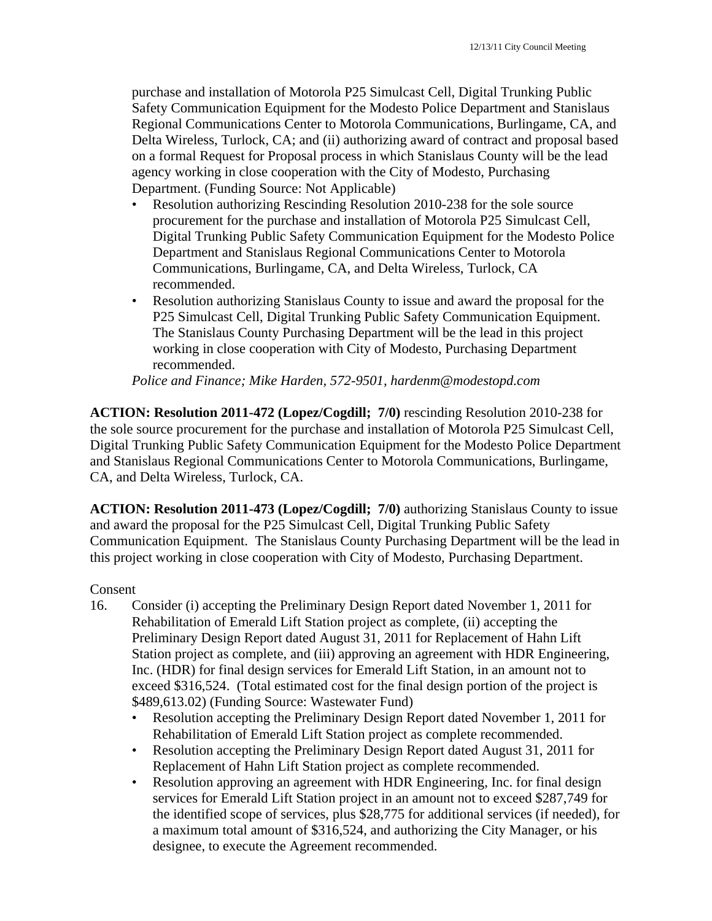purchase and installation of Motorola P25 Simulcast Cell, Digital Trunking Public Safety Communication Equipment for the Modesto Police Department and Stanislaus Regional Communications Center to Motorola Communications, Burlingame, CA, and Delta Wireless, Turlock, CA; and (ii) authorizing award of contract and proposal based on a formal Request for Proposal process in which Stanislaus County will be the lead agency working in close cooperation with the City of Modesto, Purchasing Department. (Funding Source: Not Applicable)

- Resolution authorizing Rescinding Resolution 2010-238 for the sole source procurement for the purchase and installation of Motorola P25 Simulcast Cell, Digital Trunking Public Safety Communication Equipment for the Modesto Police Department and Stanislaus Regional Communications Center to Motorola Communications, Burlingame, CA, and Delta Wireless, Turlock, CA recommended.
- Resolution authorizing Stanislaus County to issue and award the proposal for the P25 Simulcast Cell, Digital Trunking Public Safety Communication Equipment. The Stanislaus County Purchasing Department will be the lead in this project working in close cooperation with City of Modesto, Purchasing Department recommended.

*Police and Finance; Mike Harden, 572-9501, hardenm@modestopd.com* 

**ACTION: Resolution 2011-472 (Lopez/Cogdill; 7/0)** rescinding Resolution 2010-238 for the sole source procurement for the purchase and installation of Motorola P25 Simulcast Cell, Digital Trunking Public Safety Communication Equipment for the Modesto Police Department and Stanislaus Regional Communications Center to Motorola Communications, Burlingame, CA, and Delta Wireless, Turlock, CA.

**ACTION: Resolution 2011-473 (Lopez/Cogdill; 7/0)** authorizing Stanislaus County to issue and award the proposal for the P25 Simulcast Cell, Digital Trunking Public Safety Communication Equipment. The Stanislaus County Purchasing Department will be the lead in this project working in close cooperation with City of Modesto, Purchasing Department.

- 16. Consider (i) accepting the Preliminary Design Report dated November 1, 2011 for Rehabilitation of Emerald Lift Station project as complete, (ii) accepting the Preliminary Design Report dated August 31, 2011 for Replacement of Hahn Lift Station project as complete, and (iii) approving an agreement with HDR Engineering, Inc. (HDR) for final design services for Emerald Lift Station, in an amount not to exceed \$316,524. (Total estimated cost for the final design portion of the project is \$489,613.02) (Funding Source: Wastewater Fund)
	- Resolution accepting the Preliminary Design Report dated November 1, 2011 for Rehabilitation of Emerald Lift Station project as complete recommended.
	- Resolution accepting the Preliminary Design Report dated August 31, 2011 for Replacement of Hahn Lift Station project as complete recommended.
	- Resolution approving an agreement with HDR Engineering, Inc. for final design services for Emerald Lift Station project in an amount not to exceed \$287,749 for the identified scope of services, plus \$28,775 for additional services (if needed), for a maximum total amount of \$316,524, and authorizing the City Manager, or his designee, to execute the Agreement recommended.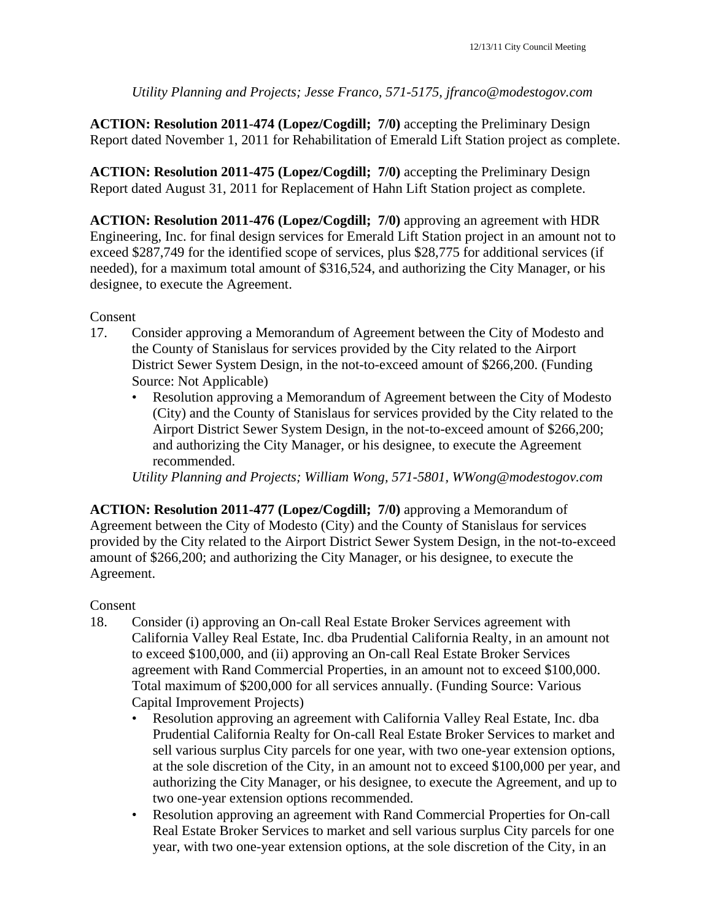*Utility Planning and Projects; Jesse Franco, 571-5175, jfranco@modestogov.com* 

**ACTION: Resolution 2011-474 (Lopez/Cogdill; 7/0)** accepting the Preliminary Design Report dated November 1, 2011 for Rehabilitation of Emerald Lift Station project as complete.

**ACTION: Resolution 2011-475 (Lopez/Cogdill; 7/0)** accepting the Preliminary Design Report dated August 31, 2011 for Replacement of Hahn Lift Station project as complete.

**ACTION: Resolution 2011-476 (Lopez/Cogdill; 7/0)** approving an agreement with HDR Engineering, Inc. for final design services for Emerald Lift Station project in an amount not to exceed \$287,749 for the identified scope of services, plus \$28,775 for additional services (if needed), for a maximum total amount of \$316,524, and authorizing the City Manager, or his designee, to execute the Agreement.

Consent

- 17. Consider approving a Memorandum of Agreement between the City of Modesto and the County of Stanislaus for services provided by the City related to the Airport District Sewer System Design, in the not-to-exceed amount of \$266,200. (Funding Source: Not Applicable)
	- Resolution approving a Memorandum of Agreement between the City of Modesto (City) and the County of Stanislaus for services provided by the City related to the Airport District Sewer System Design, in the not-to-exceed amount of \$266,200; and authorizing the City Manager, or his designee, to execute the Agreement recommended.

*Utility Planning and Projects; William Wong, 571-5801, WWong@modestogov.com* 

**ACTION: Resolution 2011-477 (Lopez/Cogdill; 7/0)** approving a Memorandum of Agreement between the City of Modesto (City) and the County of Stanislaus for services provided by the City related to the Airport District Sewer System Design, in the not-to-exceed amount of \$266,200; and authorizing the City Manager, or his designee, to execute the Agreement.

- 18. Consider (i) approving an On-call Real Estate Broker Services agreement with California Valley Real Estate, Inc. dba Prudential California Realty, in an amount not to exceed \$100,000, and (ii) approving an On-call Real Estate Broker Services agreement with Rand Commercial Properties, in an amount not to exceed \$100,000. Total maximum of \$200,000 for all services annually. (Funding Source: Various Capital Improvement Projects)
	- Resolution approving an agreement with California Valley Real Estate, Inc. dba Prudential California Realty for On-call Real Estate Broker Services to market and sell various surplus City parcels for one year, with two one-year extension options, at the sole discretion of the City, in an amount not to exceed \$100,000 per year, and authorizing the City Manager, or his designee, to execute the Agreement, and up to two one-year extension options recommended.
	- Resolution approving an agreement with Rand Commercial Properties for On-call Real Estate Broker Services to market and sell various surplus City parcels for one year, with two one-year extension options, at the sole discretion of the City, in an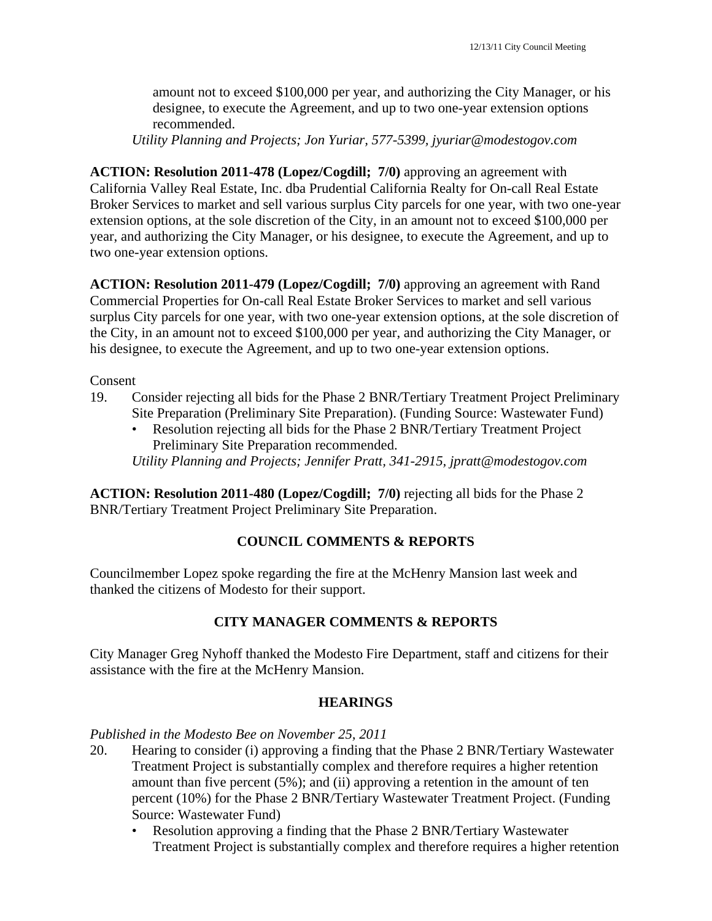amount not to exceed \$100,000 per year, and authorizing the City Manager, or his designee, to execute the Agreement, and up to two one-year extension options recommended.

*Utility Planning and Projects; Jon Yuriar, 577-5399, jyuriar@modestogov.com* 

**ACTION: Resolution 2011-478 (Lopez/Cogdill; 7/0)** approving an agreement with California Valley Real Estate, Inc. dba Prudential California Realty for On-call Real Estate Broker Services to market and sell various surplus City parcels for one year, with two one-year extension options, at the sole discretion of the City, in an amount not to exceed \$100,000 per year, and authorizing the City Manager, or his designee, to execute the Agreement, and up to two one-year extension options.

**ACTION: Resolution 2011-479 (Lopez/Cogdill; 7/0)** approving an agreement with Rand Commercial Properties for On-call Real Estate Broker Services to market and sell various surplus City parcels for one year, with two one-year extension options, at the sole discretion of the City, in an amount not to exceed \$100,000 per year, and authorizing the City Manager, or his designee, to execute the Agreement, and up to two one-year extension options.

Consent

- 19. Consider rejecting all bids for the Phase 2 BNR/Tertiary Treatment Project Preliminary Site Preparation (Preliminary Site Preparation). (Funding Source: Wastewater Fund)
	- Resolution rejecting all bids for the Phase 2 BNR/Tertiary Treatment Project Preliminary Site Preparation recommended.

*Utility Planning and Projects; Jennifer Pratt, 341-2915, jpratt@modestogov.com* 

**ACTION: Resolution 2011-480 (Lopez/Cogdill; 7/0)** rejecting all bids for the Phase 2 BNR/Tertiary Treatment Project Preliminary Site Preparation.

#### **COUNCIL COMMENTS & REPORTS**

Councilmember Lopez spoke regarding the fire at the McHenry Mansion last week and thanked the citizens of Modesto for their support.

#### **CITY MANAGER COMMENTS & REPORTS**

City Manager Greg Nyhoff thanked the Modesto Fire Department, staff and citizens for their assistance with the fire at the McHenry Mansion.

#### **HEARINGS**

*Published in the Modesto Bee on November 25, 2011* 

- 20. Hearing to consider (i) approving a finding that the Phase 2 BNR/Tertiary Wastewater Treatment Project is substantially complex and therefore requires a higher retention amount than five percent (5%); and (ii) approving a retention in the amount of ten percent (10%) for the Phase 2 BNR/Tertiary Wastewater Treatment Project. (Funding Source: Wastewater Fund)
	- Resolution approving a finding that the Phase 2 BNR/Tertiary Wastewater Treatment Project is substantially complex and therefore requires a higher retention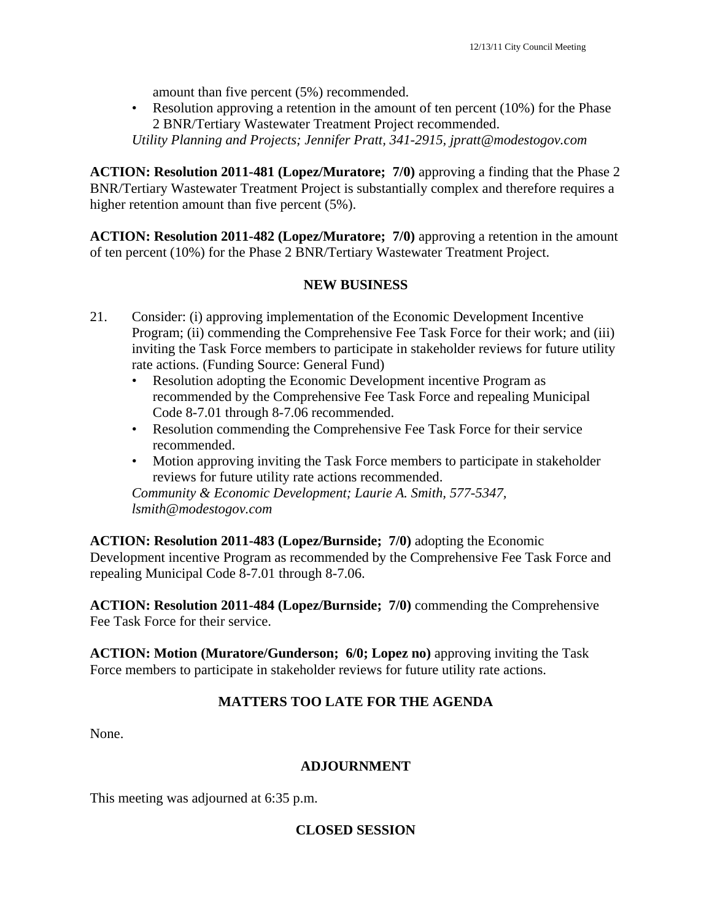amount than five percent (5%) recommended.

• Resolution approving a retention in the amount of ten percent (10%) for the Phase 2 BNR/Tertiary Wastewater Treatment Project recommended.

*Utility Planning and Projects; Jennifer Pratt, 341-2915, jpratt@modestogov.com* 

**ACTION: Resolution 2011-481 (Lopez/Muratore; 7/0)** approving a finding that the Phase 2 BNR/Tertiary Wastewater Treatment Project is substantially complex and therefore requires a higher retention amount than five percent (5%).

**ACTION: Resolution 2011-482 (Lopez/Muratore; 7/0)** approving a retention in the amount of ten percent (10%) for the Phase 2 BNR/Tertiary Wastewater Treatment Project.

## **NEW BUSINESS**

- 21. Consider: (i) approving implementation of the Economic Development Incentive Program; (ii) commending the Comprehensive Fee Task Force for their work; and (iii) inviting the Task Force members to participate in stakeholder reviews for future utility rate actions. (Funding Source: General Fund)
	- Resolution adopting the Economic Development incentive Program as recommended by the Comprehensive Fee Task Force and repealing Municipal Code 8-7.01 through 8-7.06 recommended.
	- Resolution commending the Comprehensive Fee Task Force for their service recommended.
	- Motion approving inviting the Task Force members to participate in stakeholder reviews for future utility rate actions recommended.

*Community & Economic Development; Laurie A. Smith, 577-5347, lsmith@modestogov.com* 

**ACTION: Resolution 2011-483 (Lopez/Burnside; 7/0)** adopting the Economic Development incentive Program as recommended by the Comprehensive Fee Task Force and repealing Municipal Code 8-7.01 through 8-7.06.

**ACTION: Resolution 2011-484 (Lopez/Burnside; 7/0)** commending the Comprehensive Fee Task Force for their service.

**ACTION: Motion (Muratore/Gunderson; 6/0; Lopez no)** approving inviting the Task Force members to participate in stakeholder reviews for future utility rate actions.

## **MATTERS TOO LATE FOR THE AGENDA**

None.

#### **ADJOURNMENT**

This meeting was adjourned at 6:35 p.m.

#### **CLOSED SESSION**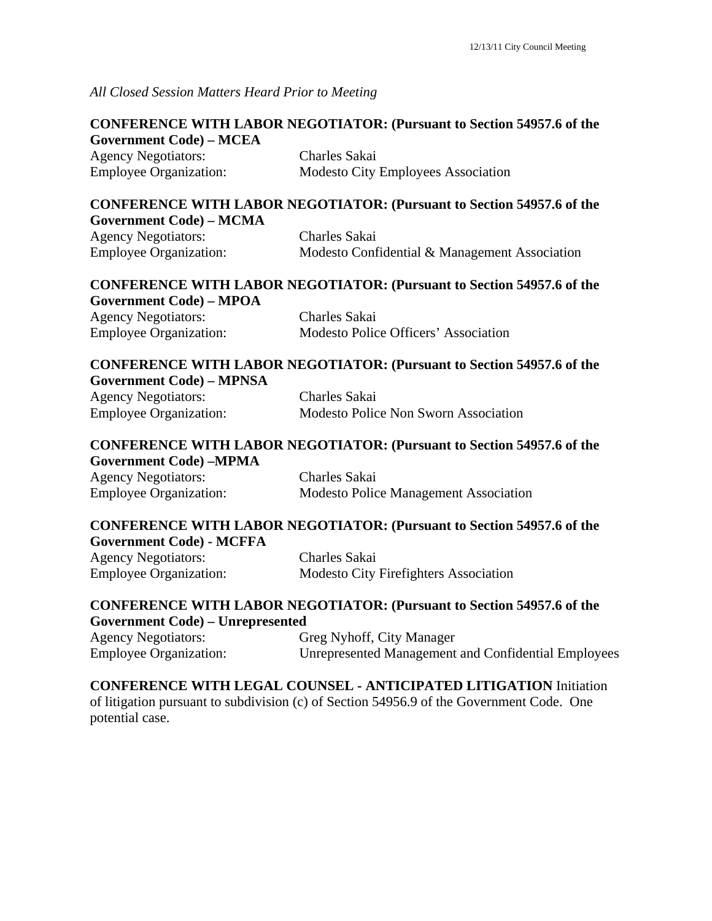*All Closed Session Matters Heard Prior to Meeting*

| <b>CONFERENCE WITH LABOR NEGOTIATOR: (Pursuant to Section 54957.6 of the</b> |                                                                              |  |
|------------------------------------------------------------------------------|------------------------------------------------------------------------------|--|
| <b>Government Code) - MCEA</b>                                               |                                                                              |  |
| <b>Agency Negotiators:</b>                                                   | Charles Sakai                                                                |  |
| <b>Employee Organization:</b>                                                | Modesto City Employees Association                                           |  |
|                                                                              | <b>CONFERENCE WITH LABOR NEGOTIATOR: (Pursuant to Section 54957.6 of the</b> |  |
| <b>Government Code) - MCMA</b>                                               |                                                                              |  |
| <b>Agency Negotiators:</b>                                                   | <b>Charles Sakai</b>                                                         |  |
| <b>Employee Organization:</b>                                                | Modesto Confidential & Management Association                                |  |
|                                                                              | <b>CONFERENCE WITH LABOR NEGOTIATOR: (Pursuant to Section 54957.6 of the</b> |  |
| <b>Government Code) - MPOA</b>                                               |                                                                              |  |
| <b>Agency Negotiators:</b>                                                   | <b>Charles Sakai</b>                                                         |  |
| <b>Employee Organization:</b>                                                | Modesto Police Officers' Association                                         |  |
|                                                                              | <b>CONFERENCE WITH LABOR NEGOTIATOR: (Pursuant to Section 54957.6 of the</b> |  |
| <b>Government Code) - MPNSA</b>                                              |                                                                              |  |
| <b>Agency Negotiators:</b>                                                   | <b>Charles Sakai</b>                                                         |  |
| <b>Employee Organization:</b>                                                | Modesto Police Non Sworn Association                                         |  |
|                                                                              | <b>CONFERENCE WITH LABOR NEGOTIATOR: (Pursuant to Section 54957.6 of the</b> |  |
| <b>Government Code) -MPMA</b>                                                |                                                                              |  |
| <b>Agency Negotiators:</b>                                                   | Charles Sakai                                                                |  |
| <b>Employee Organization:</b>                                                | <b>Modesto Police Management Association</b>                                 |  |
|                                                                              | <b>CONFERENCE WITH LABOR NEGOTIATOR: (Pursuant to Section 54957.6 of the</b> |  |
| <b>Government Code) - MCFFA</b>                                              |                                                                              |  |
| <b>Agency Negotiators:</b>                                                   | <b>Charles Sakai</b>                                                         |  |
| <b>Employee Organization:</b>                                                | <b>Modesto City Firefighters Association</b>                                 |  |
|                                                                              | <b>CONFERENCE WITH LABOR NEGOTIATOR: (Pursuant to Section 54957.6 of the</b> |  |
| <b>Government Code) - Unrepresented</b>                                      |                                                                              |  |

| <b>Agency Negotiators:</b>    | Greg Nyhoff, City Manager                           |
|-------------------------------|-----------------------------------------------------|
| <b>Employee Organization:</b> | Unrepresented Management and Confidential Employees |

## **CONFERENCE WITH LEGAL COUNSEL - ANTICIPATED LITIGATION** Initiation

of litigation pursuant to subdivision (c) of Section 54956.9 of the Government Code. One potential case.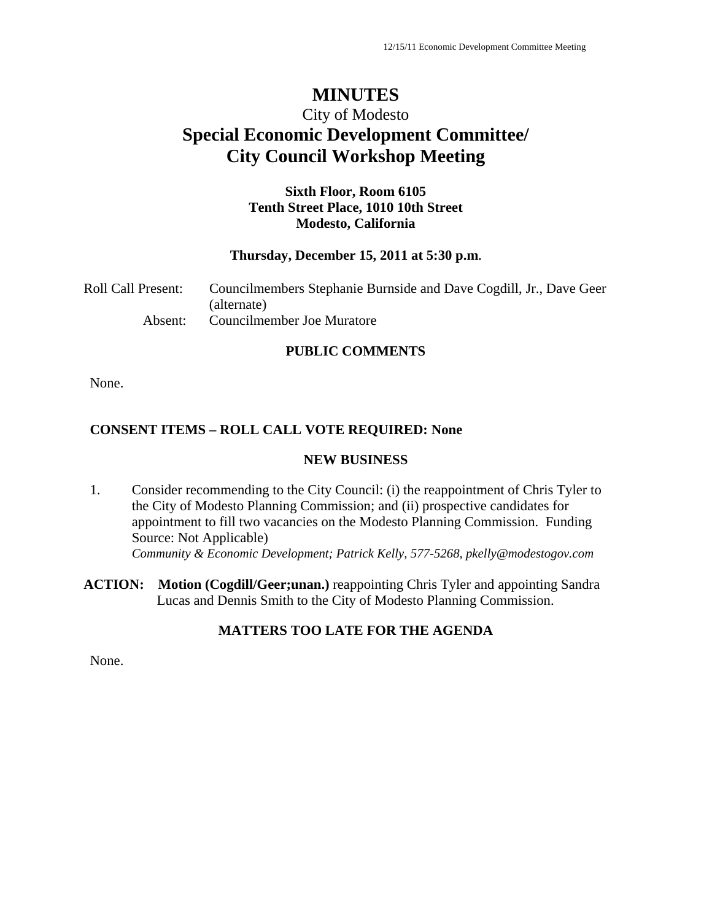# **MINUTES**

# City of Modesto **Special Economic Development Committee/ City Council Workshop Meeting**

## **Sixth Floor, Room 6105 Tenth Street Place, 1010 10th Street Modesto, California**

#### **Thursday, December 15, 2011 at 5:30 p.m.**

| Roll Call Present: | Councilmembers Stephanie Burnside and Dave Cogdill, Jr., Dave Geer |
|--------------------|--------------------------------------------------------------------|
|                    | (alternate)                                                        |
| Absent:            | Councilmember Joe Muratore                                         |

#### **PUBLIC COMMENTS**

None.

## **CONSENT ITEMS – ROLL CALL VOTE REQUIRED: None**

#### **NEW BUSINESS**

1. Consider recommending to the City Council: (i) the reappointment of Chris Tyler to the City of Modesto Planning Commission; and (ii) prospective candidates for appointment to fill two vacancies on the Modesto Planning Commission. Funding Source: Not Applicable) *Community & Economic Development; Patrick Kelly, 577-5268, pkelly@modestogov.com* 

**ACTION: Motion (Cogdill/Geer;unan.)** reappointing Chris Tyler and appointing Sandra Lucas and Dennis Smith to the City of Modesto Planning Commission.

## **MATTERS TOO LATE FOR THE AGENDA**

None.